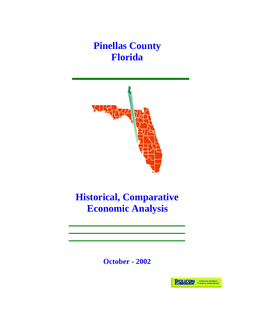**Pinellas County Florida**



## **Historical, Comparative Economic Analysis**

**October - 2002**

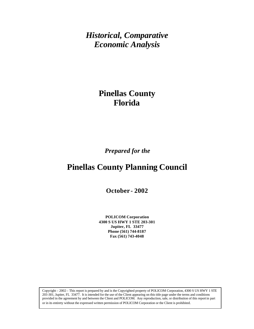*Historical, Comparative Economic Analysis*

## **Pinellas County Florida**

*Prepared for the*

## **Pinellas County Planning Council**

**October - 2002**

**POLICOM Corporation 4300 S US HWY 1 STE 203-301 Jupiter, FL 33477 Phone (561) 744-8187 Fax (561) 743-4048**

Copyright – 2002 – This report is prepared by and is the Copyrighted property of POLICOM Corporation, 4300 S US HWY 1 STE 203-301, Jupiter, FL 33477. It is intended for the use of the Client appearing on this title page under the terms and conditions provided in the agreement by and between the Client and POLICOM. Any reproduction, sale, or distribution of this report in part or in its entirety without the expressed written permission of POLICOM Corporation or the Client is prohibited.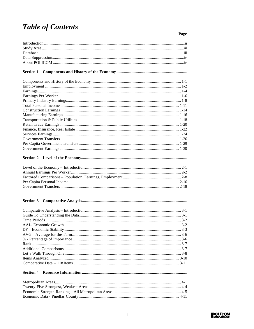## **Table of Contents**

Page

#### 

#### 

#### 

#### 

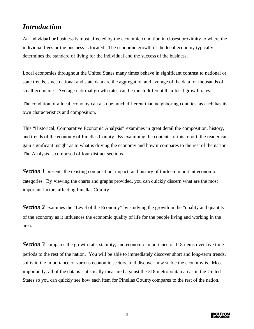#### *Introduction*

An individual or business is most affected by the economic condition in closest proximity to where the individual lives or the business is located. The economic growth of the local economy typically determines the standard of living for the individual and the success of the business.

Local economies throughout the United States many times behave in significant contrast to national or state trends, since national and state data are the aggregation and average of the data for thousands of small economies. Average national growth rates can be much different than local growth rates.

The condition of a local economy can also be much different than neighboring counties, as each has its own characteristics and composition.

This "Historical, Comparative Economic Analysis" examines in great detail the composition, history, and trends of the economy of Pinellas County. By examining the contents of this report, the reader can gain significant insight as to what is driving the economy and how it compares to the rest of the nation. The Analysis is composed of four distinct sections.

**Section 1** presents the existing composition, impact, and history of thirteen important economic categories. By viewing the charts and graphs provided, you can quickly discern what are the most important factors affecting Pinellas County.

**Section 2** examines the "Level of the Economy" by studying the growth in the "quality and quantity" of the economy as it influences the economic quality of life for the people living and working in the area.

**Section 3** compares the growth rate, stability, and economic importance of 118 items over five time periods to the rest of the nation. You will be able to immediately discover short and long-term trends, shifts in the importance of various economic sectors, and discover how stable the economy is. Most importantly, all of the data is statistically measured against the 318 metropolitan areas in the United States so you can quickly see how each item for Pinellas County compares to the rest of the nation.

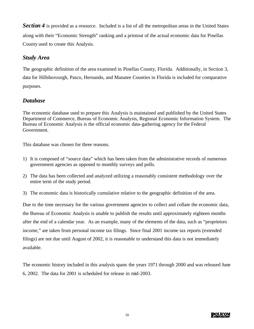**Section 4** is provided as a resource. Included is a list of all the metropolitan areas in the United States along with their "Economic Strength" ranking and a printout of the actual economic data for Pinellas County used to create this Analysis.

#### *Study Area*

The geographic definition of the area examined in Pinellas County, Florida. Additionally, in Section 3, data for Hillsborourgh, Pasco, Hernando, and Manatee Counties in Florida is included for comparative purposes.

#### *Database*

The economic database used to prepare this Analysis is maintained and published by the United States Department of Commerce, Bureau of Economic Analysis, Regional Economic Information System. The Bureau of Economic Analysis is the official economic data-gathering agency for the Federal Government.

This database was chosen for three reasons.

- 1) It is composed of "source data" which has been taken from the administrative records of numerous government agencies as opposed to monthly surveys and polls.
- 2) The data has been collected and analyzed utilizing a reasonably consistent methodology over the entire term of the study period.
- 3) The economic data is historically cumulative relative to the geographic definition of the area.

Due to the time necessary for the various government agencies to collect and collate the economic data, the Bureau of Economic Analysis is unable to publish the results until approximately eighteen months after the end of a calendar year. As an example, many of the elements of the data, such as "proprietors income," are taken from personal income tax filings. Since final 2001 income tax reports (extended filings) are not due until August of 2002, it is reasonable to understand this data is not immediately available.

The economic history included in this analysis spans the years 1971 through 2000 and was released June 6, 2002. The data for 2001 is scheduled for release in mid-2003.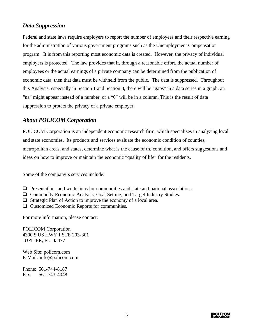#### *Data Suppression*

Federal and state laws require employers to report the number of employees and their respective earning for the administration of various government programs such as the Unemployment Compensation program. It is from this reporting most economic data is created. However, the privacy of individual employers is protected. The law provides that if, through a reasonable effort, the actual number of employees or the actual earnings of a private company can be determined from the publication of economic data, then that data must be withheld from the public. The data is suppressed. Throughout this Analysis, especially in Section 1 and Section 3, there will be "gaps" in a data series in a graph, an "na" might appear instead of a number, or a "0" will be in a column. This is the result of data suppression to protect the privacy of a private employer.

#### *About POLICOM Corporation*

POLICOM Corporation is an independent economic research firm, which specializes in analyzing local and state economies. Its products and services evaluate the economic condition of counties, metropolitan areas, and states, determine what is the cause of the condition, and offers suggestions and ideas on how to improve or maintain the economic "quality of life" for the residents.

Some of the company's services include:

- $\Box$  Presentations and workshops for communities and state and national associations.
- $\Box$  Community Economic Analysis, Goal Setting, and Target Industry Studies.
- $\Box$  Strategic Plan of Action to improve the economy of a local area.
- $\Box$  Customized Economic Reports for communities.

For more information, please contact:

POLICOM Corporation 4300 S US HWY 1 STE 203-301 JUPITER, FL 33477

Web Site: policom.com E-Mail: info@policom.com

Phone: 561-744-8187 Fax: 561-743-4048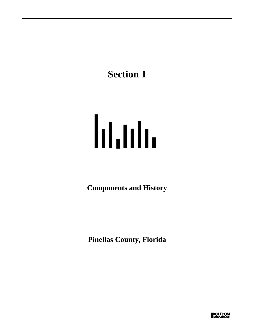# **Section 1**

# <u>lıtılı</u>

**Components and History** 

**Pinellas County, Florida**

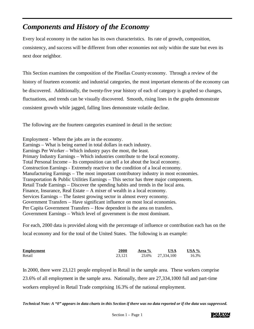## *Components and History of the Economy*

Every local economy in the nation has its own characteristics. Its rate of growth, composition, consistency, and success will be different from other economies not only within the state but even its next door neighbor.

This Section examines the composition of the Pinellas County economy. Through a review of the history of fourteen economic and industrial categories, the most important elements of the economy can be discovered. Additionally, the twenty-five year history of each of category is graphed so changes, fluctuations, and trends can be visually discovered. Smooth, rising lines in the graphs demonstrate consistent growth while jagged, falling lines demonstrate volatile decline.

The following are the fourteen categories examined in detail in the section:

Employment - Where the jobs are in the economy. Earnings – What is being earned in total dollars in each industry. Earnings Per Worker – Which industry pays the most, the least. Primary Industry Earnings – Which industries contribute to the local economy. Total Personal Income – Its composition can tell a lot about the local economy. Construction Earnings - Extremely reactive to the condition of a local economy. Manufacturing Earnings – The most important contributory industry in most economies. Transportation & Public Utilities Earnings – This sector has three major components. Retail Trade Earnings – Discover the spending habits and trends in the local area. Finance, Insurance, Real Estate – A mixer of wealth in a local economy. Services Earnings – The fastest growing sector in almost every economy. Government Transfers – Have significant influence on most local economies. Per Capita Government Transfers – How dependent is the area on transfers. Government Earnings – Which level of government is the most dominant.

For each, 2000 data is provided along with the percentage of influence or contribution each has on the local economy and for the total of the United States. The following is an example:

| <b>Employment</b> | <b>2000</b> | Area % | <b>USA</b>       | USA % |
|-------------------|-------------|--------|------------------|-------|
| Retail            | 23.121      |        | 23.6% 27,334,100 | 16.3% |

In 2000, there were 23,121 people employed in Retail in the sample area. These workers comprise 23.6% of all employment in the sample area. Nationally, there are 27,334,1000 full and part-time workers employed in Retail Trade comprising 16.3% of the national employment.

*Technical Note: A "0" appears in data charts in this Section if there was no data reported or if the data was suppressed.*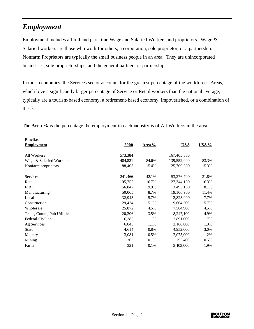## *Employment*

Employment includes all full and part-time Wage and Salaried Workers and proprietors. Wage & Salaried workers are those who work for others; a corporation, sole proprietor, or a partnership. Nonfarm Proprietors are typically the small business people in an area. They are unincorporated businesses, sole proprietorships, and the general partners of partnerships.

In most economies, the Services sector accounts for the greatest percentage of the workforce. Areas, which have a significantly larger percentage of Service or Retail workers than the national average, typically are a tourism-based economy, a retirement-based economy, impoverished, or a combination of these.

The **Area %** is the percentage the employment in each industry is of All Workers in the area.

| <b>Pinellas</b>            |         |               |             |          |
|----------------------------|---------|---------------|-------------|----------|
| <b>Employment</b>          | 2000    | <u>Area %</u> | <b>USA</b>  | $USA \%$ |
| All Workers                | 573,384 |               | 167,465,300 |          |
| Wage & Salaried Workers    | 484,821 | 84.6%         | 139,552,000 | 83.3%    |
| Nonfarm proprietors        | 88,403  | 15.4%         | 25,700,300  | 15.3%    |
| <b>Services</b>            | 241,466 | 42.1%         | 53,276,700  | 31.8%    |
| Retail                     | 95,755  | 16.7%         | 27,344,100  | 16.3%    |
| <b>FIRE</b>                | 56,847  | 9.9%          | 13,495,100  | 8.1%     |
| Manufacturing              | 50,065  | 8.7%          | 19,106,900  | 11.4%    |
| Local                      | 32,943  | 5.7%          | 12,823,000  | 7.7%     |
| Construction               | 29,424  | 5.1%          | 9,604,300   | 5.7%     |
| Wholesale                  | 25,872  | 4.5%          | 7,584,900   | 4.5%     |
| Trans, Comm, Pub Utilities | 20,206  | 3.5%          | 8,247,100   | 4.9%     |
| Federal Civilian           | 6,382   | 1.1%          | 2,891,000   | 1.7%     |
| Ag Services                | 6,045   | 1.1%          | 2,166,800   | 1.3%     |
| <b>State</b>               | 4,614   | 0.8%          | 4,952,000   | 3.0%     |
| Military                   | 3,081   | 0.5%          | 2,075,000   | 1.2%     |
| Mining                     | 363     | 0.1%          | 795,400     | 0.5%     |
| Farm                       | 321     | 0.1%          | 3,103,000   | 1.9%     |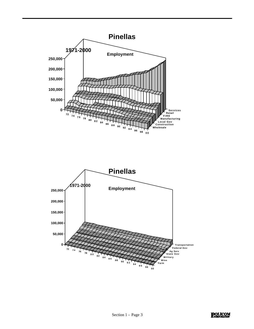

**POLICOM**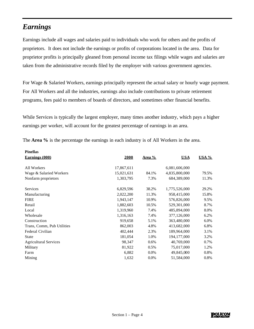#### *Earnings*

**Pinellas**

Earnings include all wages and salaries paid to individuals who work for others and the profits of proprietors. It does not include the earnings or profits of corporations located in the area. Data for proprietor profits is principally gleaned from personal income tax filings while wages and salaries are taken from the administrative records filed by the employer with various government agencies.

For Wage & Salaried Workers, earnings principally represent the actual salary or hourly wage payment. For All Workers and all the industries, earnings also include contributions to private retirement programs, fees paid to members of boards of directors, and sometimes other financial benefits.

While Services is typically the largest employer, many times another industry, which pays a higher earnings per worker, will account for the greatest percentage of earnings in an area.

| <b>Pinellas</b>              |            |         |               |              |
|------------------------------|------------|---------|---------------|--------------|
| <b>Earnings (000)</b>        | 2000       | Area %  | <b>USA</b>    | <b>USA %</b> |
|                              |            |         |               |              |
| All Workers                  | 17,867,611 |         | 6,081,606,000 |              |
| Wage & Salaried Workers      | 15,021,631 | 84.1%   | 4,835,800,000 | 79.5%        |
| Nonfarm proprietors          | 1,303,795  | 7.3%    | 684,389,000   | 11.3%        |
|                              |            |         |               |              |
| <b>Services</b>              | 6,829,596  | 38.2%   | 1,775,526,000 | 29.2%        |
| Manufacturing                | 2,022,200  | 11.3%   | 958,415,000   | 15.8%        |
| <b>FIRE</b>                  | 1,943,147  | 10.9%   | 576,826,000   | 9.5%         |
| Retail                       | 1,882,603  | 10.5%   | 529,301,000   | 8.7%         |
| Local                        | 1,319,960  | 7.4%    | 485,894,000   | 8.0%         |
| Wholesale                    | 1,316,163  | 7.4%    | 377,126,000   | 6.2%         |
| Construction                 | 919,658    | 5.1%    | 363,480,000   | 6.0%         |
| Trans, Comm, Pub Utilities   | 862,003    | 4.8%    | 413,682,000   | 6.8%         |
| Federal Civilian             | 402,444    | 2.3%    | 189,964,000   | 3.1%         |
| <b>State</b>                 | 181,054    | 1.0%    | 194, 177, 000 | 3.2%         |
| <b>Agricultural Services</b> | 98,347     | $0.6\%$ | 40,769,000    | 0.7%         |
| Military                     | 81,922     | 0.5%    | 75,017,000    | 1.2%         |
| Farm                         | 6,882      | 0.0%    | 49,845,000    | 0.8%         |
| Mining                       | 1,632      | 0.0%    | 51,584,000    | 0.8%         |
|                              |            |         |               |              |

The **Area %** is the percentage the earnings in each industry is of All Workers in the area.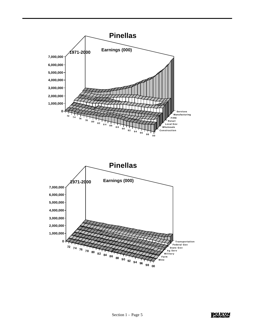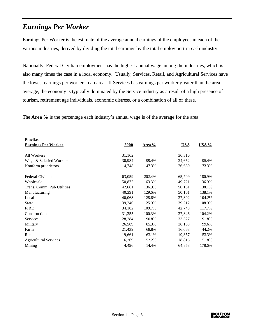## *Earnings Per Worker*

Earnings Per Worker is the estimate of the average annual earnings of the employees in each of the various industries, derived by dividing the total earnings by the total employment in each industry.

Nationally, Federal Civilian employment has the highest annual wage among the industries, which is also many times the case in a local economy. Usually, Services, Retail, and Agricultural Services have the lowest earnings per worker in an area. If Services has earnings per worker greater than the area average, the economy is typically dominated by the Service industry as a result of a high presence of tourism, retirement age individuals, economic distress, or a combination of all of these.

The **Area %** is the percentage each industry's annual wage is of the average for the area.

| 2000   | Area % | <b>USA</b> | <b>USA %</b> |
|--------|--------|------------|--------------|
|        |        |            |              |
| 31,162 |        | 36,316     |              |
| 30,984 | 99.4%  | 34,652     | 95.4%        |
| 14,748 | 47.3%  | 26,630     | 73.3%        |
| 63,059 | 202.4% | 65,709     | 180.9%       |
| 50,872 | 163.3% | 49,721     | 136.9%       |
| 42,661 | 136.9% | 50,161     | 138.1%       |
| 40,391 | 129.6% | 50,161     | 138.1%       |
| 40,068 | 128.6% | 37,892     | 104.3%       |
| 39,240 | 125.9% | 39,212     | 108.0%       |
| 34,182 | 109.7% | 42,743     | 117.7%       |
| 31,255 | 100.3% | 37,846     | 104.2%       |
| 28,284 | 90.8%  | 33,327     | 91.8%        |
| 26,589 | 85.3%  | 36,153     | 99.6%        |
| 21,439 | 68.8%  | 16,063     | 44.2%        |
| 19,661 | 63.1%  | 19,357     | 53.3%        |
| 16,269 | 52.2%  | 18,815     | 51.8%        |
| 4,496  | 14.4%  | 64,853     | 178.6%       |
|        |        |            |              |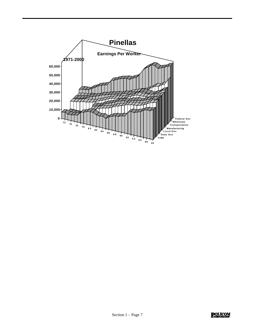

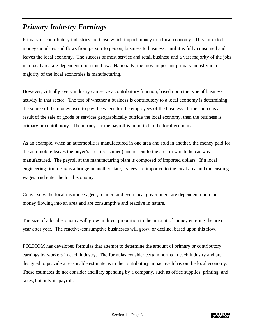## *Primary Industry Earnings*

Primary or contributory industries are those which import money to a local economy. This imported money circulates and flows from person to person, business to business, until it is fully consumed and leaves the local economy. The success of most service and retail business and a vast majority of the jobs in a local area are dependent upon this flow. Nationally, the most important primary industry in a majority of the local economies is manufacturing.

However, virtually every industry can serve a contributory function, based upon the type of business activity in that sector. The test of whether a business is contributory to a local economy is determining the source of the money used to pay the wages for the employees of the business. If the source is a result of the sale of goods or services geographically outside the local economy, then the business is primary or contributory. The money for the payroll is imported to the local economy.

As an example, when an automobile is manufactured in one area and sold in another, the money paid for the automobile leaves the buyer's area (consumed) and is sent to the area in which the car was manufactured. The payroll at the manufacturing plant is composed of imported dollars. If a local engineering firm designs a bridge in another state, its fees are imported to the local area and the ensuing wages paid enter the local economy.

Conversely, the local insurance agent, retailer, and even local government are dependent upon the money flowing into an area and are consumptive and reactive in nature.

The size of a local economy will grow in direct proportion to the amount of money entering the area year after year. The reactive-consumptive businesses will grow, or decline, based upon this flow.

POLICOM has developed formulas that attempt to determine the amount of primary or contributory earnings by workers in each industry. The formulas consider certain norms in each industry and are designed to provide a reasonable estimate as to the contributory impact each has on the local economy. These estimates do not consider ancillary spending by a company, such as office supplies, printing, and taxes, but only its payroll.

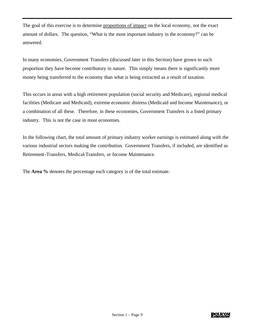The goal of this exercise is to determine proportions of impact on the local economy, not the exact amount of dollars. The question, "What is the most important industry in the economy?" can be answered.

In many economies, Government Transfers (discussed later in this Section) have grown to such proportion they have become contributory in nature. This simply means there is significantly more money being transferred to the economy than what is being extracted as a result of taxation.

This occurs in areas with a high retirement population (social security and Medicare), regional medical facilities (Medicare and Medicaid), extreme economic distress (Medicaid and Income Maintenance), or a combination of all these. Therefore, in these economies, Government Transfers is a listed primary industry. This is not the case in most economies.

In the following chart, the total amount of primary industry worker earnings is estimated along with the various industrial sectors making the contribution. Government Transfers, if included, are identified as Retirement-Transfers, Medical-Transfers, or Income Maintenance.

The **Area %** denotes the percentage each category is of the total estimate.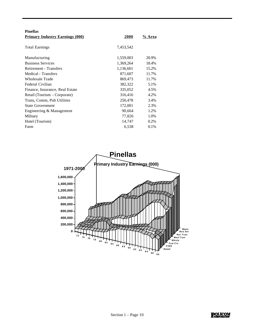| <b>Pinellas</b>                        |           |         |
|----------------------------------------|-----------|---------|
| <b>Primary Industry Earnings (000)</b> | 2000      | % Area  |
|                                        |           |         |
| <b>Total Earnings</b>                  | 7,453,542 |         |
|                                        |           |         |
| Manufacturing                          | 1,559,003 | 20.9%   |
| <b>Business Services</b>               | 1,369,264 | 18.4%   |
| Retirement - Transfers                 | 1,136,601 | 15.2%   |
| Medical - Transfers                    | 871,607   | 11.7%   |
| <b>Wholesale Trade</b>                 | 869,473   | 11.7%   |
| Federal Civilian                       | 382,322   | 5.1%    |
| Finance, Insurance, Real Estate        | 335,052   | 4.5%    |
| Retail (Tourism - Corporate)           | 316,416   | 4.2%    |
| Trans, Comm, Pub Utilities             | 250,478   | 3.4%    |
| <b>State Government</b>                | 172,001   | 2.3%    |
| Engineering & Management               | 90,664    | 1.2%    |
| Military                               | 77,826    | 1.0%    |
| Hotel (Tourism)                        | 14,747    | $0.2\%$ |
| Farm                                   | 6,538     | $0.1\%$ |

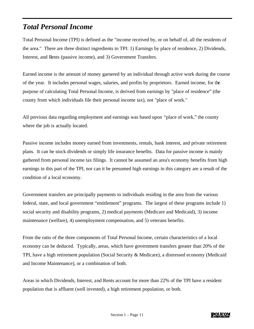#### *Total Personal Income*

Total Personal Income (TPI) is defined as the "income received by, or on behalf of, all the residents of the area." There are three distinct ingredients to TPI: 1) Earnings by place of residence, 2) Dividends, Interest, and Rents (passive income), and 3) Government Transfers.

Earned income is the amount of money garnered by an individual through active work during the course of the year. It includes personal wages, salaries, and profits by proprietors. Earned income, for the purpose of calculating Total Personal Income, is derived from earnings by "place of residence" (the county from which individuals file their personal income tax), not "place of work."

All previous data regarding employment and earnings was based upon "place of work," the county where the job is actually located.

Passive income includes money earned from investments, rentals, bank interest, and private retirement plans. It can be stock dividends or simply life insurance benefits. Data for passive income is mainly gathered from personal income tax filings. It cannot be assumed an area's economy benefits from high earnings in this part of the TPI, nor can it be presumed high earnings in this category are a result of the condition of a local economy.

Government transfers are principally payments to individuals residing in the area from the various federal, state, and local government "entitlement" programs. The largest of these programs include 1) social security and disability programs, 2) medical payments (Medicare and Medicaid), 3) income maintenance (welfare), 4) unemployment compensation, and 5) veterans benefits.

From the ratio of the three components of Total Personal Income, certain characteristics of a local economy can be deduced. Typically, areas, which have government transfers greater than 20% of the TPI, have a high retirement population (Social Security & Medicare), a distressed economy (Medicaid and Income Maintenance), or a combination of both.

Areas in which Dividends, Interest, and Rents account for more than 22% of the TPI have a resident population that is affluent (well invested), a high retirement population, or both.

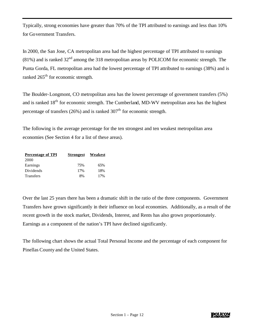Typically, strong economies have greater than 70% of the TPI attributed to earnings and less than 10% for Government Transfers.

In 2000, the San Jose, CA metropolitan area had the highest percentage of TPI attributed to earnings  $(81%)$  and is ranked  $32<sup>nd</sup>$  among the 318 metropolitan areas by POLICOM for economic strength. The Punta Gorda, FL metropolitan area had the lowest percentage of TPI attributed to earnings (38%) and is ranked  $265<sup>th</sup>$  for economic strength.

The Boulder-Longmont, CO metropolitan area has the lowest percentage of government transfers (5%) and is ranked 18<sup>th</sup> for economic strength. The Cumberland, MD-WV metropolitan area has the highest percentage of transfers (26%) and is ranked  $307<sup>th</sup>$  for economic strength.

The following is the average percentage for the ten strongest and ten weakest metropolitan area economies (See Section 4 for a list of these areas).

| <b>Percentage of TPI</b> | <b>Strongest</b> | Weakest |
|--------------------------|------------------|---------|
| 2000                     |                  |         |
| Earnings                 | 75%              | 65%     |
| Dividends                | 17%              | 18%     |
| <b>Transfers</b>         | 8%               | 17%     |

Over the last 25 years there has been a dramatic shift in the ratio of the three components. Government Transfers have grown significantly in their influence on local economies. Additionally, as a result of the recent growth in the stock market, Dividends, Interest, and Rents has also grown proportionately. Earnings as a component of the nation's TPI have declined significantly.

The following chart shows the actual Total Personal Income and the percentage of each component for Pinellas County and the United States.

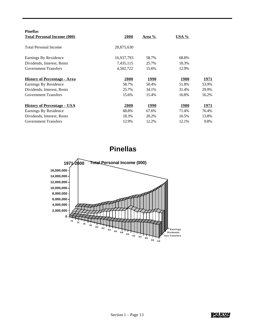| <b>Pinellas</b>                     |             |              |              |               |
|-------------------------------------|-------------|--------------|--------------|---------------|
| <b>Total Personal Income (000)</b>  | <b>2000</b> | Area %       | <u>USA %</u> |               |
| <b>Total Personal Income</b>        | 28,875,630  |              |              |               |
| Earnings By Residence               | 16,937,793  | 58.7%        | 68.8%        |               |
| Dividends, Interest, Rents          | 7,435,115   | 25.7%        | 18.3%        |               |
| <b>Government Transfers</b>         | 4,502,722   | 15.6%        | 12.9%        |               |
| <b>History of Percentage - Area</b> | 2000        | <b>1990</b>  | 1980         | <u> 1971 </u> |
| Earnings By Residence               | 58.7%       | 50.4%        | 51.8%        | 53.9%         |
| Dividends, Interest, Rents          | 25.7%       | 34.1%        | 31.4%        | 29.9%         |
| <b>Government Transfers</b>         | 15.6%       | 15.4%        | 16.8%        | 16.2%         |
| <b>History of Percentage - USA</b>  | <b>2000</b> | <u> 1990</u> | 1980         | 1971          |
| Earnings By Residence               | 68.8%       | 67.6%        | 71.4%        | 76.4%         |
| Dividends, Interest, Rents          | 18.3%       | 20.2%        | 16.5%        | 13.8%         |
| <b>Government Transfers</b>         | 12.9%       | 12.2%        | 12.1%        | 9.8%          |



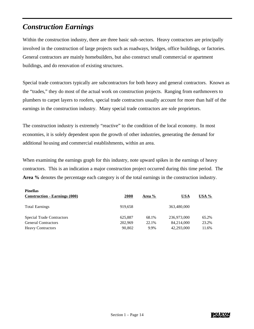## *Construction Earnings*

**Pinellas**

Within the construction industry, there are three basic sub-sectors. Heavy contractors are principally involved in the construction of large projects such as roadways, bridges, office buildings, or factories. General contractors are mainly homebuilders, but also construct small commercial or apartment buildings, and do renovation of existing structures.

Special trade contractors typically are subcontractors for both heavy and general contractors. Known as the "trades," they do most of the actual work on construction projects. Ranging from earthmovers to plumbers to carpet layers to roofers, special trade contractors usually account for more than half of the earnings in the construction industry. Many special trade contractors are sole proprietors.

The construction industry is extremely "reactive" to the condition of the local economy. In most economies, it is solely dependent upon the growth of other industries, generating the demand for additional housing and commercial establishments, within an area.

When examining the earnings graph for this industry, note upward spikes in the earnings of heavy contractors. This is an indication a major construction project occurred during this time period. The **Area %** denotes the percentage each category is of the total earnings in the construction industry.

| r menas<br><b>Construction - Earnings (000)</b> | <b>2000</b> | Area % | <b>USA</b>  | USA % |
|-------------------------------------------------|-------------|--------|-------------|-------|
| <b>Total Earnings</b>                           | 919,658     |        | 363,480,000 |       |
| <b>Special Trade Contractors</b>                | 625,887     | 68.1%  | 236,973,000 | 65.2% |
| <b>General Contractors</b>                      | 202,969     | 22.1%  | 84,214,000  | 23.2% |
| <b>Heavy Contractors</b>                        | 90,802      | 9.9%   | 42,293,000  | 11.6% |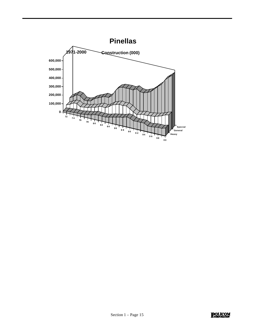

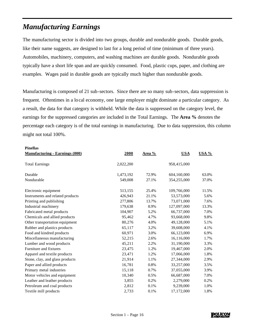## *Manufacturing Earnings*

The manufacturing sector is divided into two groups, durable and nondurable goods. Durable goods, like their name suggests, are designed to last for a long period of time (minimum of three years). Automobiles, machinery, computers, and washing machines are durable goods. Nondurable goods typically have a short life span and are quickly consumed. Food, plastic cups, paper, and clothing are examples. Wages paid in durable goods are typically much higher than nondurable goods.

Manufacturing is composed of 21 sub-sectors. Since there are so many sub-sectors, data suppression is frequent. Oftentimes in a local economy, one large employer might dominate a particular category. As a result, the data for that category is withheld. While the data is suppressed on the category level, the earnings for the suppressed categories are included in the Total Earnings. The **Area %** denotes the percentage each category is of the total earnings in manufacturing. Due to data suppression, this column might not total 100%.

#### **Pinellas**

| <b>Manufacturing - Earnings (000)</b> | 2000      | Area % | <b>USA</b>  |       |
|---------------------------------------|-----------|--------|-------------|-------|
| <b>Total Earnings</b>                 | 2,022,200 |        | 958,415,000 |       |
| Durable                               | 1,473,192 | 72.9%  | 604,160,000 | 63.0% |
| Nondurable                            | 549,008   | 27.1%  | 354,255,000 | 37.0% |
| Electronic equipment                  | 513,155   | 25.4%  | 109,766,000 | 11.5% |
| Instruments and related products      | 426,943   | 21.1%  | 53,573,000  | 5.6%  |
| Printing and publishing               | 277,806   | 13.7%  | 73,071,000  | 7.6%  |
| Industrial machinery                  | 179,638   | 8.9%   | 127,097,000 | 13.3% |
| Fabricated metal products             | 104,907   | 5.2%   | 66,737,000  | 7.0%  |
| Chemicals and allied products         | 95,462    | 4.7%   | 93,668,000  | 9.8%  |
| Other transportation equipment        | 80,276    | 4.0%   | 49,128,000  | 5.1%  |
| Rubber and plastics products          | 65,117    | 3.2%   | 39,608,000  | 4.1%  |
| Food and kindred products             | 60,971    | 3.0%   | 66,123,000  | 6.9%  |
| Miscellaneous manufacturing           | 52,215    | 2.6%   | 16,116,000  | 1.7%  |
| Lumber and wood products              | 45,211    | 2.2%   | 31,190,000  | 3.3%  |
| Furniture and fixtures                | 23,475    | 1.2%   | 19,467,000  | 2.0%  |
| Apparel and textile products          | 23,471    | 1.2%   | 17,066,000  | 1.8%  |
| Stone, clay, and glass products       | 21,914    | 1.1%   | 27,344,000  | 2.9%  |
| Paper and allied products             | 16,781    | 0.8%   | 33,257,000  | 3.5%  |
| Primary metal industries              | 15,118    | 0.7%   | 37,055,000  | 3.9%  |
| Motor vehicles and equipment          | 10,340    | 0.5%   | 66,687,000  | 7.0%  |
| Leather and leather products          | 3,855     | 0.2%   | 2,279,000   | 0.2%  |
| Petroleum and coal products           | 2,812     | 0.1%   | 9,239,000   | 1.0%  |
| Textile mill products                 | 2,733     | 0.1%   | 17,172,000  | 1.8%  |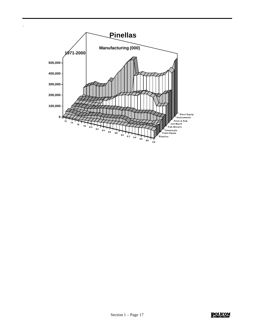

.

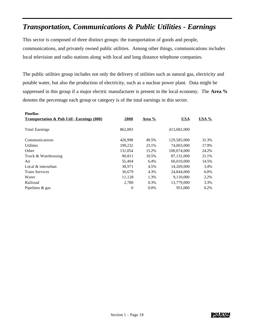## *Transportation, Communications & Public Utilities - Earnings*

This sector is composed of three distinct groups: the transportation of goods and people, communications, and privately owned public utilities. Among other things, communications includes local television and radio stations along with local and long distance telephone companies.

The public utilities group includes not only the delivery of utilities such as natural gas, electricity and potable water, but also the production of electricity, such as a nuclear power plant. Data might be suppressed in this group if a major electric manufacturer is present in the local economy. The **Area %** denotes the percentage each group or category is of the total earnings in this sector.

| <b>Pinellas</b>                                       |                |        |             |         |
|-------------------------------------------------------|----------------|--------|-------------|---------|
| <b>Transportation &amp; Pub Util - Earnings (000)</b> | 2000           | Area % | <b>USA</b>  | USA %   |
|                                                       |                |        |             |         |
| <b>Total Earnings</b>                                 | 862,003        |        | 413,682,000 |         |
|                                                       |                |        |             |         |
| Communications                                        | 426,998        | 49.5%  | 129,585,000 | 31.3%   |
| <b>Utilities</b>                                      | 199,232        | 23.1%  | 74,003,000  | 17.9%   |
| Other                                                 | 131,054        | 15.2%  | 100,074,000 | 24.2%   |
| Truck & Warehousing                                   | 90,811         | 10.5%  | 87.131.000  | 21.1%   |
| Air                                                   | 55,404         | 6.4%   | 60,010,000  | 14.5%   |
| Local & interurban                                    | 38,971         | 4.5%   | 14,269,000  | 3.4%    |
| <b>Trans Services</b>                                 | 36,679         | 4.3%   | 24,844,000  | $6.0\%$ |
| Water                                                 | 11,128         | 1.3%   | 9,110,000   | 2.2%    |
| Railroad                                              | 2.780          | 0.3%   | 13,779,000  | 3.3%    |
| Pipelines & gas                                       | $\overline{0}$ | 0.0%   | 951.000     | 0.2%    |
|                                                       |                |        |             |         |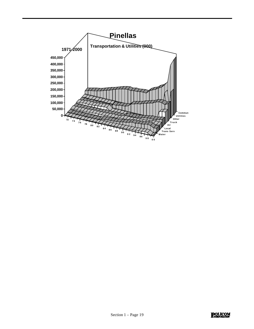

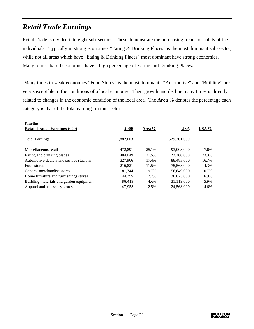#### *Retail Trade Earnings*

Retail Trade is divided into eight sub-sectors. These demonstrate the purchasing trends or habits of the individuals. Typically in strong economies "Eating & Drinking Places" is the most dominant sub-sector, while not all areas which have "Eating & Drinking Places" most dominant have strong economies. Many tourist-based economies have a high percentage of Eating and Drinking Places.

 Many times in weak economies "Food Stores" is the most dominant. "Automotive" and "Building" are very susceptible to the conditions of a local economy. Their growth and decline many times is directly related to changes in the economic condition of the local area. The **Area %** denotes the percentage each category is that of the total earnings in this sector.

| <b>Pinellas</b>                         |           |        |             |         |
|-----------------------------------------|-----------|--------|-------------|---------|
| <b>Retail Trade - Earnings (000)</b>    | 2000      | Area % | <b>USA</b>  | USA $%$ |
| <b>Total Earnings</b>                   | 1,882,603 |        | 529,301,000 |         |
| Miscellaneous retail                    | 472.891   | 25.1%  | 93,003,000  | 17.6%   |
| Eating and drinking places              | 404,049   | 21.5%  | 123,288,000 | 23.3%   |
| Automotive dealers and service stations | 327,966   | 17.4%  | 88,483,000  | 16.7%   |
| Food stores                             | 216.821   | 11.5%  | 75,568,000  | 14.3%   |
| General merchandise stores              | 181,744   | 9.7%   | 56,649,000  | 10.7%   |
| Home furniture and furnishings stores   | 144,755   | 7.7%   | 36.623,000  | 6.9%    |
| Building materials and garden equipment | 86.419    | 4.6%   | 31.119.000  | 5.9%    |
| Apparel and accessory stores            | 47.958    | 2.5%   | 24.568,000  | 4.6%    |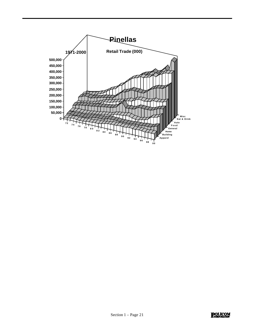

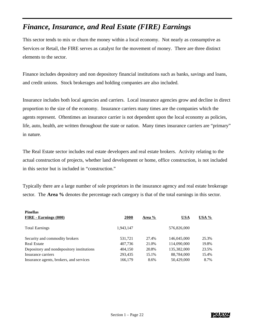### *Finance, Insurance, and Real Estate (FIRE) Earnings*

This sector tends to mix or churn the money within a local economy. Not nearly as consumptive as Services or Retail, the FIRE serves as catalyst for the movement of money. There are three distinct elements to the sector.

Finance includes depository and non depository financial institutions such as banks, savings and loans, and credit unions. Stock brokerages and holding companies are also included.

Insurance includes both local agencies and carriers. Local insurance agencies grow and decline in direct proportion to the size of the economy. Insurance carriers many times are the companies which the agents represent. Oftentimes an insurance carrier is not dependent upon the local economy as policies, life, auto, health, are written throughout the state or nation. Many times insurance carriers are "primary" in nature.

The Real Estate sector includes real estate developers and real estate brokers. Activity relating to the actual construction of projects, whether land development or home, office construction, is not included in this sector but is included in "construction."

Typically there are a large number of sole proprietors in the insurance agency and real estate brokerage sector. The **Area %** denotes the percentage each category is that of the total earnings in this sector.

| <b>Pinellas</b>                           |           |        |             |       |
|-------------------------------------------|-----------|--------|-------------|-------|
| <b>FIRE</b> - Earnings (000)              | 2000      | Area % | <b>USA</b>  | USA % |
| <b>Total Earnings</b>                     | 1,943,147 |        | 576,826,000 |       |
| Security and commodity brokers            | 531,721   | 27.4%  | 146,045,000 | 25.3% |
| <b>Real Estate</b>                        | 407,736   | 21.0%  | 114,090,000 | 19.8% |
| Depository and nondepository institutions | 404,150   | 20.8%  | 135,382,000 | 23.5% |
| Insurance carriers                        | 293,435   | 15.1%  | 88,784,000  | 15.4% |
| Insurance agents, brokers, and services   | 166,179   | 8.6%   | 50,429,000  | 8.7%  |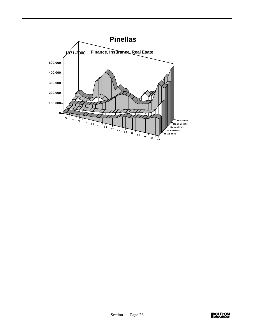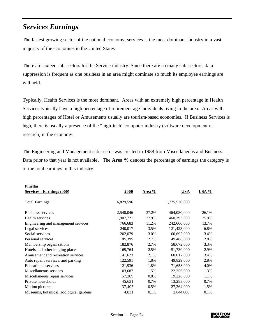## *Services Earnings*

The fastest growing sector of the national economy, services is the most dominant industry in a vast majority of the economies in the United States

There are sixteen sub-sectors for the Service industry. Since there are so many sub-sectors, data suppression is frequent as one business in an area might dominate so much its employee earnings are withheld.

Typically, Health Services is the most dominant. Areas with an extremely high percentage in Health Services typically have a high percentage of retirement age individuals living in the area. Areas with high percentages of Hotel or Amusements usually are tourism-based economies. If Business Services is high, there is usually a presence of the "high-tech" computer industry (software development or research) in the economy.

The Engineering and Management sub-sector was created in 1988 from Miscellaneous and Business. Data prior to that year is not available. The **Area %** denotes the percentage of earnings the category is of the total earnings in this industry.

| <b>Pinellas</b>                        |           |        |               |         |
|----------------------------------------|-----------|--------|---------------|---------|
| <b>Services - Earnings (000)</b>       | 2000      | Area % | <b>USA</b>    | $USA\%$ |
| <b>Total Earnings</b>                  | 6,829,596 |        | 1,775,526,000 |         |
|                                        |           |        |               |         |
| <b>Business services</b>               | 2,540,046 | 37.2%  | 464,080,000   | 26.1%   |
| Health services                        | 1,907,721 | 27.9%  | 460,393,000   | 25.9%   |
| Engineering and management services    | 766,683   | 11.2%  | 242,666,000   | 13.7%   |
| Legal services                         | 240,017   | 3.5%   | 121,423,000   | 6.8%    |
| Social services                        | 202,079   | 3.0%   | 60,695,000    | 3.4%    |
| Personal services                      | 185,395   | 2.7%   | 49,488,000    | 2.8%    |
| Membership organizations               | 182,876   | 2.7%   | 58,672,000    | 3.3%    |
| Hotels and other lodging places        | 169,764   | 2.5%   | 51,730,000    | 2.9%    |
| Amusement and recreation services      | 141,623   | 2.1%   | 60,017,000    | 3.4%    |
| Auto repair, services, and parking     | 122,591   | 1.8%   | 49,829,000    | 2.8%    |
| <b>Educational services</b>            | 121,936   | 1.8%   | 71,658,000    | 4.0%    |
| Miscellaneous services                 | 103,687   | 1.5%   | 22,356,000    | 1.3%    |
| Miscellaneous repair services          | 57,309    | 0.8%   | 19,228,000    | 1.1%    |
| Private households                     | 45,631    | 0.7%   | 13,283,000    | 0.7%    |
| Motion pictures                        | 37,407    | 0.5%   | 27,364,000    | 1.5%    |
| Museums, botanical, zoological gardens | 4,831     | 0.1%   | 2,644,000     | 0.1%    |

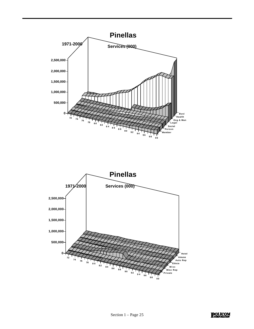

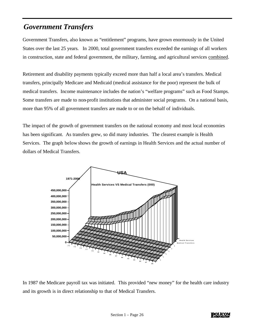#### *Government Transfers*

Government Transfers, also known as "entitlement" programs, have grown enormously in the United States over the last 25 years. In 2000, total government transfers exceeded the earnings of all workers in construction, state and federal government, the military, farming, and agricultural services combined.

Retirement and disability payments typically exceed more than half a local area's transfers. Medical transfers, principally Medicare and Medicaid (medical assistance for the poor) represent the bulk of medical transfers. Income maintenance includes the nation's "welfare programs" such as Food Stamps. Some transfers are made to non-profit institutions that administer social programs. On a national basis, more than 95% of all government transfers are made to or on the behalf of individuals.

The impact of the growth of government transfers on the national economy and most local economies has been significant. As transfers grew, so did many industries. The clearest example is Health Services. The graph below shows the growth of earnings in Health Services and the actual number of dollars of Medical Transfers.



In 1987 the Medicare payroll tax was initiated. This provided "new money" for the health care industry and its growth is in direct relationship to that of Medical Transfers.

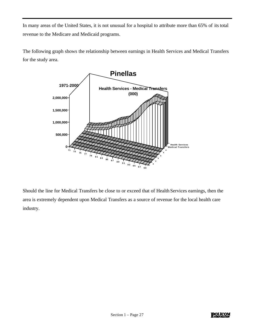In many areas of the United States, it is not unusual for a hospital to attribute more than 65% of its total revenue to the Medicare and Medicaid programs.

The following graph shows the relationship between earnings in Health Services and Medical Transfers for the study area.



Should the line for Medical Transfers be close to or exceed that of Health Services earnings, then the area is extremely dependent upon Medical Transfers as a source of revenue for the local health care industry.

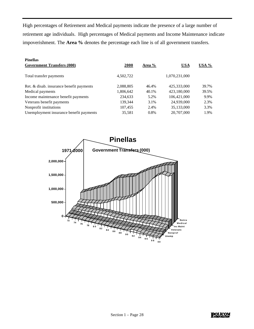High percentages of Retirement and Medical payments indicate the presence of a large number of retirement age individuals. High percentages of Medical payments and Income Maintenance indicate impoverishment. The **Area %** denotes the percentage each line is of all government transfers.

| <b>Pinellas</b>                          |           |        |               |       |
|------------------------------------------|-----------|--------|---------------|-------|
| <b>Government Transfers (000)</b>        | 2000      | Area % | <b>USA</b>    | USA % |
|                                          |           |        |               |       |
| Total transfer payments                  | 4,502,722 |        | 1,070,231,000 |       |
| Ret. & disab. insurance benefit payments | 2,088,805 | 46.4%  | 425,333,000   | 39.7% |
| Medical payments                         | 1,806,642 | 40.1%  | 423,180,000   | 39.5% |
| Income maintenance benefit payments      | 234,633   | 5.2%   | 106,421,000   | 9.9%  |
| Veterans benefit payments                | 139,344   | 3.1%   | 24,939,000    | 2.3%  |
| Nonprofit institutions                   | 107,455   | 2.4%   | 35,133,000    | 3.3%  |
| Unemployment insurance benefit payments  | 35,581    | 0.8%   | 20,707,000    | 1.9%  |
|                                          |           |        |               |       |

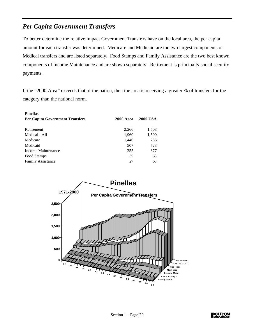#### *Per Capita Government Transfers*

To better determine the relative impact Government Transfe rs have on the local area, the per capita amount for each transfer was determined. Medicare and Medicaid are the two largest components of Medical transfers and are listed separately. Food Stamps and Family Assistance are the two best known components of Income Maintenance and are shown separately. Retirement is principally social security payments.

If the "2000 Area" exceeds that of the nation, then the area is receiving a greater % of transfers for the category than the national norm.

| <b>Pinellas</b>                        |                  |                 |
|----------------------------------------|------------------|-----------------|
| <b>Per Capita Government Transfers</b> | <b>2000 Area</b> | <b>2000 USA</b> |
|                                        |                  |                 |
| Retirement                             | 2,266            | 1,508           |
| Medical - All                          | 1,960            | 1,500           |
| Medicare                               | 1,440            | 765             |
| Medicaid                               | 507              | 728             |
| Income Maintenance                     | 255              | 377             |
| Food Stamps                            | 35               | 53              |
| <b>Family Assistance</b>               | 27               | 65              |



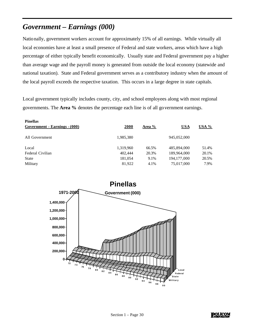# *Government – Earnings (000)*

Nationally, government workers account for approximately 15% of all earnings. While virtually all local economies have at least a small presence of Federal and state workers, areas which have a high percentage of either typically benefit economically. Usually state and Federal government pay a higher than average wage and the payroll money is generated from outside the local economy (statewide and national taxation). State and Federal government serves as a contributory industry when the amount of the local payroll exceeds the respective taxation. This occurs in a large degree in state capitals.

Local government typically includes county, city, and school employees along with most regional governments. The **Area %** denotes the percentage each line is of all government earnings.

| <b>Pinellas</b><br><b>Government - Earnings - (000)</b> | <b>2000</b> | Area % | <u>USA</u>    | $USA\%$ |
|---------------------------------------------------------|-------------|--------|---------------|---------|
| All Government                                          | 1,985,380   |        | 945,052,000   |         |
| Local                                                   | 1,319,960   | 66.5%  | 485,894,000   | 51.4%   |
| Federal Civilian                                        | 402,444     | 20.3%  | 189,964,000   | 20.1%   |
| State                                                   | 181,054     | 9.1%   | 194, 177, 000 | 20.5%   |
| Military                                                | 81,922      | 4.1%   | 75,017,000    | 7.9%    |



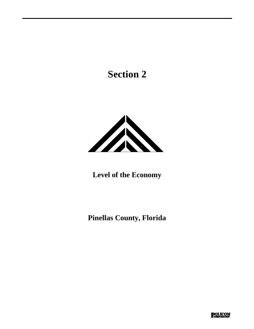# **Section 2**



**Level of the Economy** 

**Pinellas County, Florida**

**POLICOM**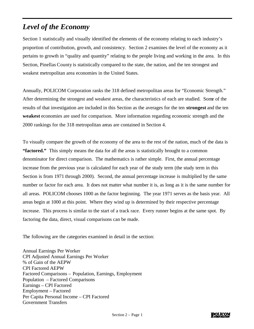# *Level of the Economy*

Section 1 statistically and visually identified the elements of the economy relating to each industry's proportion of contribution, growth, and consistency. Section 2 examines the level of the economy as it pertains to growth in "quality and quantity" relating to the people living and working in the area. In this Section, Pinellas County is statistically compared to the state, the nation, and the ten strongest and weakest metropolitan area economies in the United States.

Annually, POLICOM Corporation ranks the 318 defined metropolitan areas for "Economic Strength." After determining the strongest and weakest areas, the characteristics of each are studied. Some of the results of that investigation are included in this Section as the averages for the ten **strongest** and the ten **weakest** economies are used for comparison. More information regarding economic strength and the 2000 rankings for the 318 metropolitan areas are contained in Section 4.

To visually compare the growth of the economy of the area to the rest of the nation, much of the data is **"factored."** This simply means the data for all the areas is statistically brought to a common denominator for direct comparison. The mathematics is rather simple. First, the annual percentage increase from the previous year is calculated for each year of the study term (the study term in this Section is from 1971 through 2000). Second, the annual percentage increase is multiplied by the same number or factor for each area. It does not matter what number it is, as long as it is the same number for all areas. POLICOM chooses 1000 as the factor beginning. The year 1971 serves as the basis year. All areas begin at 1000 at this point. Where they wind up is determined by their respective percentage increase. This process is similar to the start of a track race. Every runner begins at the same spot. By factoring the data, direct, visual comparisons can be made.

The following are the categories examined in detail in the section:

Annual Earnings Per Worker CPI Adjusted Annual Earnings Per Worker % of Gain of the AEPW CPI Factored AEPW Factored Comparisons – Population, Earnings, Employment Population – Factored Comparisons Earnings – CPI Factored Employment – Factored Per Capita Personal Income – CPI Factored Government Transfers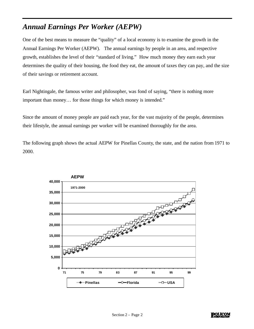# *Annual Earnings Per Worker (AEPW)*

One of the best means to measure the "quality" of a local economy is to examine the growth in the Annual Earnings Per Worker (AEPW). The annual earnings by people in an area, and respective growth, establishes the level of their "standard of living." How much money they earn each year determines the quality of their housing, the food they eat, the amount of taxes they can pay, and the size of their savings or retirement account.

Earl Nightingale, the famous writer and philosopher, was fond of saying, "there is nothing more important than money… for those things for which money is intended."

Since the amount of money people are paid each year, for the vast majority of the people, determines their lifestyle, the annual earnings per worker will be examined thoroughly for the area.

The following graph shows the actual AEPW for Pinellas County, the state, and the nation from 1971 to 2000.



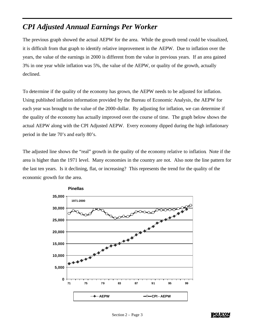## *CPI Adjusted Annual Earnings Per Worker*

The previous graph showed the actual AEPW for the area. While the growth trend could be visualized, it is difficult from that graph to identify relative improvement in the AEPW. Due to inflation over the years, the value of the earnings in 2000 is different from the value in previous years. If an area gained 3% in one year while inflation was 5%, the value of the AEPW, or quality of the growth, actually declined.

To determine if the quality of the economy has grown, the AEPW needs to be adjusted for inflation. Using published inflation information provided by the Bureau of Economic Analysis, the AEPW for each year was brought to the value of the 2000-dollar. By adjusting for inflation, we can determine if the quality of the economy has actually improved over the course of time. The graph below shows the actual AEPW along with the CPI Adjusted AEPW. Every economy dipped during the high inflationary period in the late 70's and early 80's.

The adjusted line shows the "real" growth in the quality of the economy relative to inflation. Note if the area is higher than the 1971 level. Many economies in the country are not. Also note the line pattern for the last ten years. Is it declining, flat, or increasing? This represents the trend for the quality of the economic growth for the area.



#### **Pinellas**

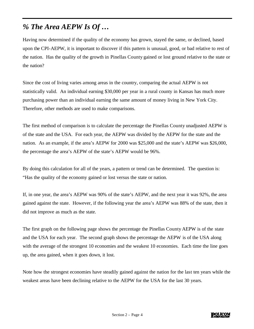# *% The Area AEPW Is Of …*

Having now determined if the quality of the economy has grown, stayed the same, or declined, based upon the CPI-AEPW, it is important to discover if this pattern is unusual, good, or bad relative to rest of the nation. Has the quality of the growth in Pinellas County gained or lost ground relative to the state or the nation?

Since the cost of living varies among areas in the country, comparing the actual AEPW is not statistically valid. An individual earning \$30,000 per year in a rural county in Kansas has much more purchasing power than an individual earning the same amount of money living in New York City. Therefore, other methods are used to make comparisons.

The first method of comparison is to calculate the percentage the Pinellas County unadjusted AEPW is of the state and the USA. For each year, the AEPW was divided by the AEPW for the state and the nation. As an example, if the area's AEPW for 2000 was \$25,000 and the state's AEPW was \$26,000, the percentage the area's AEPW of the state's AEPW would be 96%.

By doing this calculation for all of the years, a pattern or trend can be determined. The question is: "Has the quality of the economy gained or lost versus the state or nation.

If, in one year, the area's AEPW was 90% of the state's AEPW, and the next year it was 92%, the area gained against the state. However, if the following year the area's AEPW was 88% of the state, then it did not improve as much as the state.

The first graph on the following page shows the percentage the Pinellas County AEPW is of the state and the USA for each year. The second graph shows the percentage the AEPW is of the USA along with the average of the strongest 10 economies and the weakest 10 economies. Each time the line goes up, the area gained, when it goes down, it lost.

Note how the strongest economies have steadily gained against the nation for the last ten years while the weakest areas have been declining relative to the AEPW for the USA for the last 30 years.

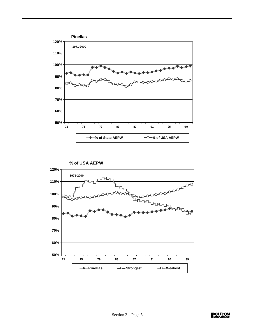

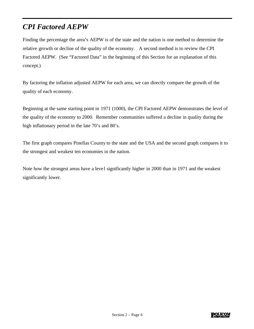# *CPI Factored AEPW*

Finding the percentage the area's AEPW is of the state and the nation is one method to determine the relative growth or decline of the quality of the economy. A second method is to review the CPI Factored AEPW. (See "Factored Data" in the beginning of this Section for an explanation of this concept.)

By factoring the inflation adjusted AEPW for each area, we can directly compare the growth of the quality of each economy.

Beginning at the same starting point in 1971 (1000), the CPI Factored AEPW demonstrates the level of the quality of the economy to 2000. Remember communities suffered a decline in quality during the high inflationary period in the late 70's and 80's.

The first graph compares Pinellas County to the state and the USA and the second graph compares it to the strongest and weakest ten economies in the nation.

Note how the strongest areas have a leve1 significantly higher in 2000 than in 1971 and the weakest significantly lower.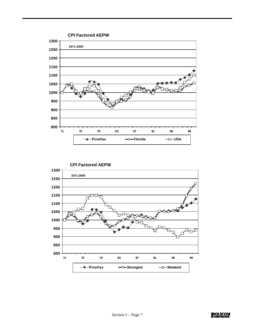

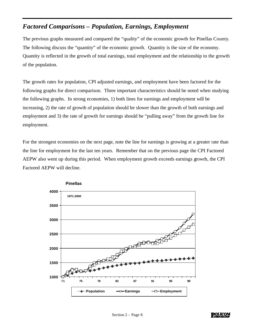### *Factored Comparisons – Population, Earnings, Employment*

The previous graphs measured and compared the "quality" of the economic growth for Pinellas County. The following discuss the "quantity" of the economic growth. Quantity is the size of the economy. Quantity is reflected in the growth of total earnings, total employment and the relationship to the growth of the population.

The growth rates for population, CPI adjusted earnings, and employment have been factored for the following graphs for direct comparison. Three important characteristics should be noted when studying the following graphs. In strong economies, 1) both lines for earnings and employment will be increasing, 2) the rate of growth of population should be slower than the growth of both earnings and employment and 3) the rate of growth for earnings should be "pulling away" from the growth line for employment.

For the strongest economies on the next page, note the line for earnings is growing at a greater rate than the line for employment for the last ten years. Remember that on the previous page the CPI Factored AEPW also went up during this period. When employment growth exceeds earnings growth, the CPI Factored AEPW will decline.



**Pinellas**

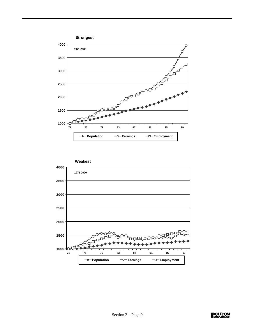

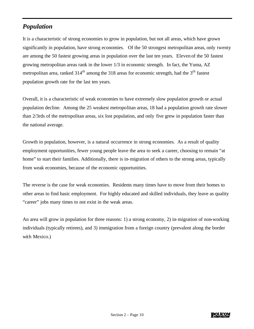### *Population*

It is a characteristic of strong economies to grow in population, but not all areas, which have grown significantly in population, have strong economies. Of the 50 strongest metropolitan areas, only twenty are among the 50 fastest growing areas in population over the last ten years. Eleven of the 50 fastest growing metropolitan areas rank in the lower 1/3 in economic strength. In fact, the Yuma, AZ metropolitan area, ranked 314<sup>th</sup> among the 318 areas for economic strength, had the 3<sup>th</sup> fastest population growth rate for the last ten years.

Overall, it is a characteristic of weak economies to have extremely slow population growth or actual population decline. Among the 25 weakest metropolitan areas, 18 had a population growth rate slower than 2/3rds of the metropolitan areas, six lost population, and only five grew in population faster than the national average.

Growth in population, however, is a natural occurrence in strong economies. As a result of quality employment opportunities, fewer young people leave the area to seek a career, choosing to remain "at home" to start their families. Additionally, there is in-migration of others to the strong areas, typically from weak economies, because of the economic opportunities.

The reverse is the case for weak economies. Residents many times have to move from their homes to other areas to find basic employment. For highly educated and skilled individuals, they leave as quality "career" jobs many times to not exist in the weak areas.

An area will grow in population for three reasons: 1) a strong economy, 2) in-migration of non-working individuals (typically retirees), and 3) immigration from a foreign country (prevalent along the border with Mexico.)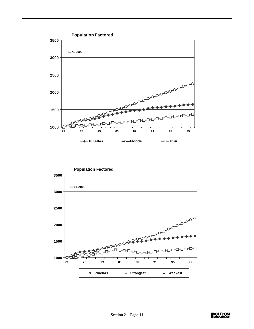

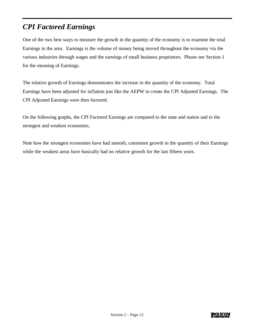# *CPI Factored Earnings*

One of the two best ways to measure the growth in the quantity of the economy is to examine the total Earnings in the area. Earnings is the volume of money being moved throughout the economy via the various industries through wages and the earnings of small business proprietors. Please see Section 1 for the meaning of Earnings.

The relative growth of Earnings demonstrates the increase in the quantity of the economy. Total Earnings have been adjusted for inflation just like the AEPW to create the CPI Adjusted Earnings. The CPI Adjusted Earnings were then factored.

On the following graphs, the CPI Factored Earnings are compared to the state and nation and to the strongest and weakest economies.

Note how the strongest economies have had smooth, consistent growth in the quantity of their Earnings while the weakest areas have basically had no relative growth for the last fifteen years.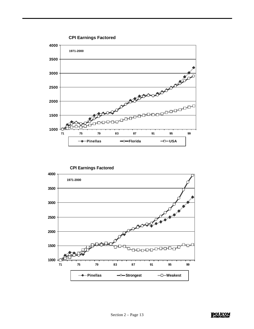

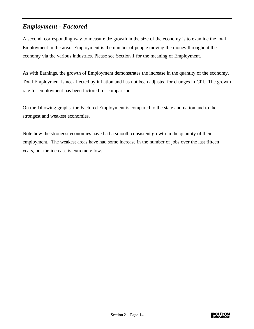### *Employment - Factored*

A second, corresponding way to measure the growth in the size of the economy is to examine the total Employment in the area. Employment is the number of people moving the money throughout the economy via the various industries. Please see Section 1 for the meaning of Employment.

As with Earnings, the growth of Employment demonstrates the increase in the quantity of the economy. Total Employment is not affected by inflation and has not been adjusted for changes in CPI. The growth rate for employment has been factored for comparison.

On the following graphs, the Factored Employment is compared to the state and nation and to the strongest and weakest economies.

Note how the strongest economies have had a smooth consistent growth in the quantity of their employment. The weakest areas have had some increase in the number of jobs over the last fifteen years, but the increase is extremely low.

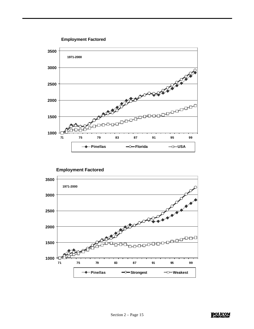**3500 1971-2000** All March 1998 **3000 2500 2000 1500 1000** -10 **71 75 79 83 87 91 95 99**  $\rightarrow$  **Pinellas**  $\rightarrow$  Florida  $\rightarrow$  USA

**Employment Factored**

**Employment Factored**

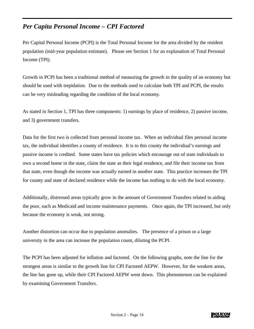### *Per Capita Personal Income – CPI Factored*

Per Capital Personal Income (PCPI) is the Total Personal Income for the area divided by the resident population (mid-year population estimate). Please see Section 1 for an explanation of Total Personal Income (TPI).

Growth in PCPI has been a traditional method of measuring the growth in the quality of an economy but should be used with trepidation. Due to the methods used to calculate both TPI and PCPI, the results can be very misleading regarding the condition of the local economy.

As stated in Section 1, TPI has three components: 1) earnings by place of residence, 2) passive income, and 3) government transfers.

Data for the first two is collected from personal income tax. When an individual files personal income tax, the individual identifies a county of residence. It is to this county the individual's earnings and passive income is credited. Some states have tax policies which encourage out of state individuals to own a second home in the state, claim the state as their legal residence, and file their income tax from that state, even though the income was actually earned in another state. This practice increases the TPI for county and state of declared residence while the income has nothing to do with the local economy.

Additionally, distressed areas typically grow in the amount of Government Transfers related to aiding the poor, such as Medicaid and income maintenance payments. Once again, the TPI increased, but only because the economy is weak, not strong.

Another distortion can occur due to population anomalies. The presence of a prison or a large university in the area can increase the population count, diluting the PCPI.

The PCPI has been adjusted for inflation and factored. On the following graphs, note the line for the strongest areas is similar to the growth line for CPI Factored AEPW. However, for the weakest areas, the line has gone up, while their CPI Factored AEPW went down. This phenomenon can be explained by examining Government Transfers.

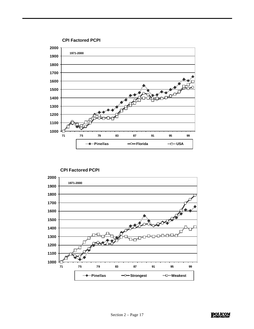

**CPI Factored PCPI**



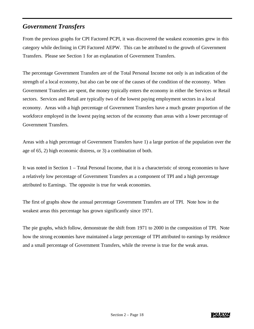### *Government Transfers*

From the previous graphs for CPI Factored PCPI, it was discovered the weakest economies grew in this category while declining in CPI Factored AEPW. This can be attributed to the growth of Government Transfers. Please see Section 1 for an explanation of Government Transfers.

The percentage Government Transfers are of the Total Personal Income not only is an indication of the strength of a local economy, but also can be one of the causes of the condition of the economy. When Government Transfers are spent, the money typically enters the economy in either the Services or Retail sectors. Services and Retail are typically two of the lowest paying employment sectors in a local economy. Areas with a high percentage of Government Transfers have a much greater proportion of the workforce employed in the lowest paying sectors of the economy than areas with a lower percentage of Government Transfers.

Areas with a high percentage of Government Transfers have 1) a large portion of the population over the age of 65, 2) high economic distress, or 3) a combination of both.

It was noted in Section 1 – Total Personal Income, that it is a characteristic of strong economies to have a relatively low percentage of Government Transfers as a component of TPI and a high percentage attributed to Earnings. The opposite is true for weak economies.

The first of graphs show the annual percentage Government Transfers are of TPI. Note how in the weakest areas this percentage has grown significantly since 1971.

The pie graphs, which follow, demonstrate the shift from 1971 to 2000 in the composition of TPI. Note how the strong economies have maintained a large percentage of TPI attributed to earnings by residence and a small percentage of Government Transfers, while the reverse is true for the weak areas.

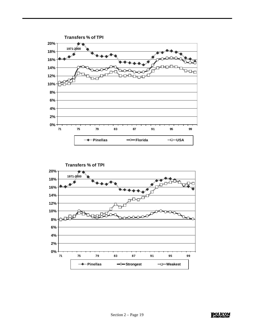

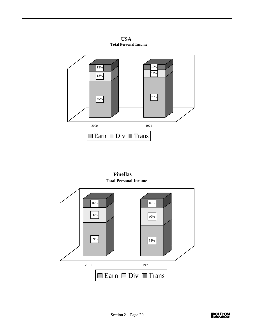**Total Personal Income USA**



**Total Personal Income Pinellas**



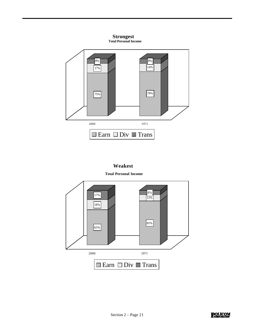

#### **Weakest**

#### **Total Personal Income**



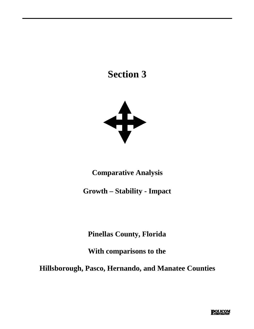# **Section 3**



**Comparative Analysis**

**Growth – Stability - Impact**

**Pinellas County, Florida**

**With comparisons to the**

**Hillsborough, Pasco, Hernando, and Manatee Counties**

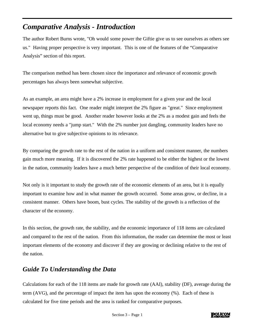# *Comparative Analysis - Introduction*

The author Robert Burns wrote, "Oh would some power the Giftie give us to see ourselves as others see us." Having proper perspective is very important. This is one of the features of the "Comparative Analysis" section of this report.

The comparison method has been chosen since the importance and relevance of economic growth percentages has always been somewhat subjective.

As an example, an area might have a 2% increase in employment for a given year and the local newspaper reports this fact. One reader might interpret the 2% figure as "great." Since employment went up, things must be good. Another reader however looks at the 2% as a modest gain and feels the local economy needs a "jump start." With the 2% number just dangling, community leaders have no alternative but to give subjective opinions to its relevance.

By comparing the growth rate to the rest of the nation in a uniform and consistent manner, the numbers gain much more meaning. If it is discovered the 2% rate happened to be either the highest or the lowest in the nation, community leaders have a much better perspective of the condition of their local economy.

Not only is it important to study the growth rate of the economic elements of an area, but it is equally important to examine how and in what manner the growth occurred. Some areas grow, or decline, in a consistent manner. Others have boom, bust cycles. The stability of the growth is a reflection of the character of the economy.

In this section, the growth rate, the stability, and the economic importance of 118 items are calculated and compared to the rest of the nation. From this information, the reader can determine the most or least important elements of the economy and discover if they are growing or declining relative to the rest of the nation.

### *Guide To Understanding the Data*

Calculations for each of the 118 items are made for growth rate (AAI), stability (DF), average during the term (AVG), and the percentage of impact the item has upon the economy (%). Each of these is calculated for five time periods and the area is ranked for comparative purposes.

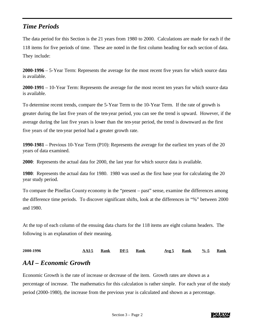### *Time Periods*

The data period for this Section is the 21 years from 1980 to 2000. Calculations are made for each if the 118 items for five periods of time. These are noted in the first column heading for each section of data. They include:

**2000-1996** – 5-Year Term: Represents the average for the most recent five years for which source data is available.

**2000-1991** – 10-Year Term: Represents the average for the most recent ten years for which source data is available.

To determine recent trends, compare the 5-Year Term to the 10-Year Term. If the rate of growth is greater during the last five years of the ten-year period, you can see the trend is upward. However, if the average during the last five years is lower than the ten-year period, the trend is downward as the first five years of the ten-year period had a greater growth rate.

**1990-1981** – Previous 10-Year Term (P10): Represents the average for the earliest ten years of the 20 years of data examined.

**2000**: Represents the actual data for 2000, the last year for which source data is available.

**1980**: Represents the actual data for 1980. 1980 was used as the first base year for calculating the 20 year study period.

To compare the Pinellas County economy in the "present – past" sense, examine the differences among the difference time periods. To discover significant shifts, look at the differences in "%" between 2000 and 1980.

At the top of each column of the ensuing data charts for the 118 items are eight column headers. The following is an explanation of their meaning.

**2000-1996 AAI-5 Rank DF-5 Rank Avg 5 Rank %-5 Rank**

### *AAI – Economic Growth*

Economic Growth is the rate of increase or decrease of the item. Growth rates are shown as a percentage of increase. The mathematics for this calculation is rather simple. For each year of the study period (2000-1980), the increase from the previous year is calculated and shown as a percentage.

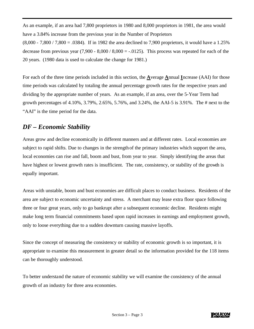As an example, if an area had 7,800 proprietors in 1980 and 8,000 proprietors in 1981, the area would have a 3.84% increase from the previous year in the Number of Proprietors  $(8,000 - 7,800 / 7,800 = .0384)$ . If in 1982 the area declined to 7,900 proprietors, it would have a 1.25% decrease from previous year  $(7,900 - 8,000 / 8,000 = -0.0125)$ . This process was repeated for each of the 20 years. (1980 data is used to calculate the change for 1981.)

For each of the three time periods included in this section, the **A**verage **A**nnual **I**ncrease (AAI) for those time periods was calculated by totaling the annual percentage growth rates for the respective years and dividing by the appropriate number of years. As an example, if an area, over the 5-Year Term had growth percentages of 4.10%, 3.79%, 2.65%, 5.76%, and 3.24%, the AAI-5 is 3.91%. The # next to the "AAI" is the time period for the data.

### *DF – Economic Stability*

Areas grow and decline economically in different manners and at different rates. Local economies are subject to rapid shifts. Due to changes in the strength of the primary industries which support the area, local economies can rise and fall, boom and bust, from year to year. Simply identifying the areas that have highest or lowest growth rates is insufficient. The rate, consistency, or stability of the growth is equally important.

Areas with unstable, boom and bust economies are difficult places to conduct business. Residents of the area are subject to economic uncertainty and stress. A merchant may lease extra floor space following three or four great years, only to go bankrupt after a subsequent economic decline. Residents might make long term financial commitments based upon rapid increases in earnings and employment growth, only to loose everything due to a sudden downturn causing massive layoffs.

Since the concept of measuring the consistency or stability of economic growth is so important, it is appropriate to examine this measurement in greater detail so the information provided for the 118 items can be thoroughly understood.

To better understand the nature of economic stability we will examine the consistency of the annual growth of an industry for three area economies.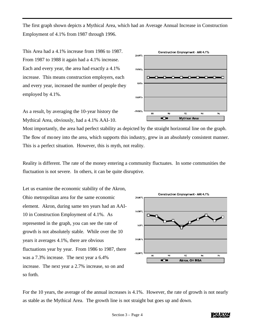The first graph shown depicts a Mythical Area, which had an Average Annual Increase in Construction Employment of 4.1% from 1987 through 1996.

This Area had a 4.1% increase from 1986 to 1987. From 1987 to 1988 it again had a 4.1% increase. Each and every year, the area had exactly a 4.1% increase. This means construction employers, each and every year, increased the number of people they employed by 4.1%.

As a result, by averaging the 10-year history the Mythical Area, obviously, had a 4.1% AAI-10.

Most importantly, the area had perfect stability as depicted by the straight horizontal line on the graph. The flow of money into the area, which supports this industry, grew in an absolutely consistent manner. This is a perfect situation. However, this is myth, not reality.

Reality is different. The rate of the money entering a community fluctuates. In some communities the fluctuation is not severe. In others, it can be quite disruptive.

Let us examine the economic stability of the Akron, Ohio metropolitan area for the same economic element. Akron, during same ten years had an AAI-10 in Construction Employment of 4.1%. As represented in the graph, you can see the rate of growth is not absolutely stable. While over the 10 years it averages 4.1%, there are obvious fluctuations year by year. From 1986 to 1987, there was a 7.3% increase. The next year a 6.4% increase. The next year a 2.7% increase, so on and so forth.



For the 10 years, the average of the annual increases is 4.1%. However, the rate of growth is not nearly as stable as the Mythical Area. The growth line is not straight but goes up and down.



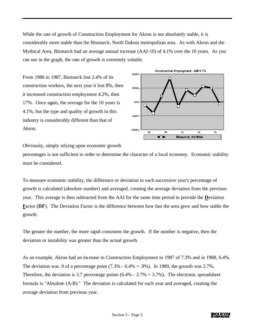While the rate of growth of Construction Employment for Akron is not absolutely stable, it is considerably more stable than the Bismarck, North Dakota metropolitan area. As with Akron and the Mythical Area, Bismarck had an average annual increase (AAI-10) of 4.1% over the 10 years. As you can see in the graph, the rate of growth is extremely volatile.

From 1986 to 1987, Bismarck lost 2.4% of its construction workers, the next year it lost 8%, then it increased construction employment 4.2%, then 17%. Once again, the average for the 10 years is 4.1%, but the type and quality of growth in this industry is considerably different than that of Akron.



Obviously, simply relying upon economic growth

percentages is not sufficient in order to determine the character of a local economy. Economic stability must be considered.

To measure economic stability, the difference or deviation in each successive year's percentage of growth is calculated (absolute number) and averaged, creating the average deviation from the previous year. This average is then subtracted from the AAI for the same time period to provide the **D**eviation **Factor (DF).** The Deviation Factor is the difference between how fast the area grew and how stable the growth.

The greater the number, the more rapid-consistent the growth. If the number is negative, then the deviation or instability was greater than the actual growth.

As an example, Akron had an increase in Construction Employment in 1987 of 7.3% and in 1988, 6.4%. The deviation was .9 of a percentage point  $(7.3\% - 6.4\% = .9\%)$ . In 1989, the growth was 2.7%. Therefore, the deviation is 3.7 percentage points  $(6.4\% - 2.7\% = 3.7\%)$ . The electronic spreadsheet formula is "Absolute (A-B)." The deviation is calculated for each year and averaged, creating the average deviation from previous year.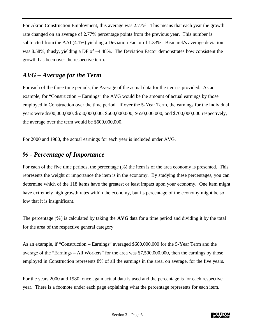For Akron Construction Employment, this average was 2.77%. This means that each year the growth rate changed on an average of 2.77% percentage points from the previous year. This number is subtracted from the AAI (4.1%) yielding a Deviation Factor of 1.33%. Bismarck's average deviation was 8.58%, thusly, yielding a DF of –4.48%. The Deviation Factor demonstrates how consistent the growth has been over the respective term.

### *AVG – Average for the Term*

For each of the three time periods, the Average of the actual data for the item is provided. As an example, for "Construction – Earnings" the AVG would be the amount of actual earnings by those employed in Construction over the time period. If over the 5-Year Term, the earnings for the individual years were \$500,000,000, \$550,000,000, \$600,000,000, \$650,000,000, and \$700,000,000 respectively, the average over the term would be \$600,000,000.

For 2000 and 1980, the actual earnings for each year is included under AVG.

### *% - Percentage of Importance*

For each of the five time periods, the percentage (%) the item is of the area economy is presented. This represents the weight or importance the item is in the economy. By studying these percentages, you can determine which of the 118 items have the greatest or least impact upon your economy. One item might have extremely high growth rates within the economy, but its percentage of the economy might be so low that it is insignificant.

The percentage (**%**) is calculated by taking the **AVG** data for a time period and dividing it by the total for the area of the respective general category.

As an example, if "Construction – Earnings" averaged \$600,000,000 for the 5-Year Term and the average of the "Earnings – All Workers" for the area was \$7,500,000,000, then the earnings by those employed in Construction represents 8% of all the earnings in the area, on average, for the five years.

For the years 2000 and 1980, once again actual data is used and the percentage is for each respective year. There is a footnote under each page explaining what the percentage represents for each item.

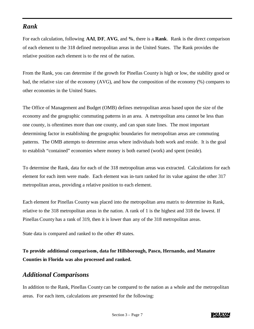### *Rank*

For each calculation, following **AAI**, **DF**, **AVG**, and **%**, there is a **Rank**. Rank is the direct comparison of each element to the 318 defined metropolitan areas in the United States. The Rank provides the relative position each element is to the rest of the nation.

From the Rank, you can determine if the growth for Pinellas County is high or low, the stability good or bad, the relative size of the economy (AVG), and how the composition of the economy (%) compares to other economies in the United States.

The Office of Management and Budget (OMB) defines metropolitan areas based upon the size of the economy and the geographic commuting patterns in an area. A metropolitan area cannot be less than one county, is oftentimes more than one county, and can span state lines. The most important determining factor in establishing the geographic boundaries for metropolitan areas are commuting patterns. The OMB attempts to determine areas where individuals both work and reside. It is the goal to establish "contained" economies where money is both earned (work) and spent (reside).

To determine the Rank, data for each of the 318 metropolitan areas was extracted. Calculations for each element for each item were made. Each element was in-turn ranked for its value against the other 317 metropolitan areas, providing a relative position to each element.

Each element for Pinellas County was placed into the metropolitan area matrix to determine its Rank, relative to the 318 metropolitan areas in the nation. A rank of 1 is the highest and 318 the lowest. If Pinellas County has a rank of 319, then it is lower than any of the 318 metropolitan areas.

State data is compared and ranked to the other 49 states.

**To provide additional comparisons, data for Hillsborough, Pasco, Hernando, and Manatee Counties in Florida was also processed and ranked.** 

### *Additional Comparisons*

In addition to the Rank, Pinellas County can be compared to the nation as a whole and the metropolitan areas. For each item, calculations are presented for the following:

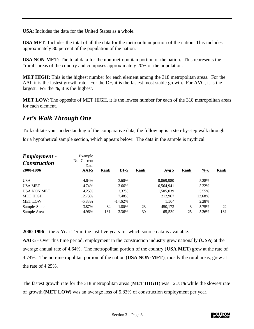**USA**: Includes the data for the United States as a whole.

**USA MET**: Includes the total of all the data for the metropolitan portion of the nation. This includes approximately 80 percent of the population of the nation.

**USA NON-MET**: The total data for the non-metropolitan portion of the nation. This represents the "rural" areas of the country and composes approximately 20% of the population.

**MET HIGH**: This is the highest number for each element among the 318 metropolitan areas. For the AAI, it is the fastest growth rate. For the DF, it is the fastest most stable growth. For AVG, it is the largest. For the %, it is the highest.

**MET LOW**: The opposite of MET HIGH, it is the lowest number for each of the 318 metropolitan areas for each element.

### *Let's Walk Through One*

To facilitate your understanding of the comparative data, the following is a step-by-step walk through for a hypothetical sample section, which appears below. The data in the sample is mythical.

| Example<br>Not Current |              |           |        |             |       |             |                  |
|------------------------|--------------|-----------|--------|-------------|-------|-------------|------------------|
| Data                   |              |           |        |             |       |             |                  |
|                        |              |           |        |             |       |             | <b>Rank</b>      |
| 4.64%                  |              | 3.60%     |        | 8,069,980   |       | 5.28%       |                  |
| 4.74%                  |              | 3.66%     |        | 6,564,941   |       | 5.22%       |                  |
| 4.25%                  |              | 3.37%     |        | 1,505,039   |       | 5.55%       |                  |
| 12.73%                 |              | 7.48%     |        | 212,967     |       | 12.68%      |                  |
| $-5.83\%$              |              | $-14.62%$ |        | 1,504       |       | 2.28%       |                  |
| 3.87%                  | 34           | 1.80%     | 23     | 450.173     | 3     | 5.75%       | 22               |
| 4.96%                  | 131          | 3.36%     | 30     | 65,539      | 25    | 5.26%       | 181              |
|                        | <b>AAI-5</b> | Rank      | $DF-5$ | <b>Rank</b> | Avg 5 | <b>Rank</b> | $\frac{9}{6}$ -5 |

**2000-1996** – the 5-Year Term: the last five years for which source data is available.

**AAI-5** - Over this time period, employment in the construction industry grew nationally (**USA**) at the average annual rate of 4.64%. The metropolitan portion of the country (**USA MET**) grew at the rate of 4.74%. The non-metropolitan portion of the nation (**USA NON-MET**), mostly the rural areas, grew at the rate of 4.25%.

The fastest growth rate for the 318 metropolitan areas (**MET HIGH**) was 12.73% while the slowest rate of growth **(MET LOW**) was an average loss of 5.83% of construction employment per year.

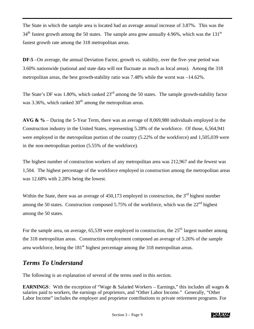The State in which the sample area is located had an average annual increase of 3.87%. This was the  $34<sup>th</sup>$  fastest growth among the 50 states. The sample area grew annually 4.96%, which was the 131<sup>st</sup> fastest growth rate among the 318 metropolitan areas.

**DF-5** –On average, the annual Deviation Factor, growth vs. stability, over the five-year period was 3.60% nationwide (national and state data will not fluctuate as much as local areas). Among the 318 metropolitan areas, the best growth-stability ratio was 7.48% while the worst was –14.62%.

The State's DF was 1.80%, which ranked  $23<sup>rd</sup>$  among the 50 states. The sample growth-stability factor was  $3.36\%$ , which ranked  $30<sup>th</sup>$  among the metropolitan areas.

**AVG & %** – During the 5-Year Term, there was an average of 8,069,980 individuals employed in the Construction industry in the United States, representing 5.28% of the workforce. Of those, 6,564,941 were employed in the metropolitan portion of the country (5.22% of the workforce) and 1,505,039 were in the non-metropolitan portion (5.55% of the workforce).

The highest number of construction workers of any metropolitan area was 212,967 and the fewest was 1,504. The highest percentage of the workforce employed in construction among the metropolitan areas was 12.68% with 2.28% being the lowest.

Within the State, there was an average of  $450,173$  employed in construction, the  $3<sup>rd</sup>$  highest number among the 50 states. Construction composed 5.75% of the workforce, which was the  $22<sup>nd</sup>$  highest among the 50 states.

For the sample area, on average,  $65,539$  were employed in construction, the  $25<sup>th</sup>$  largest number among the 318 metropolitan areas. Construction employment composed an average of 5.26% of the sample area workforce, being the  $181<sup>st</sup>$  highest percentage among the 318 metropolitan areas.

### *Terms To Understand*

The following is an explanation of several of the terms used in this section.

**EARNINGS**: With the exception of "Wage & Salaried Workers – Earnings," this includes all wages & salaries paid to workers, the earnings of proprietors, and "Other Labor Income." Generally, "Other Labor Income" includes the employer and proprietor contributions to private retirement programs. For

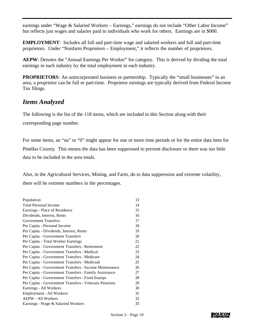earnings under "Wage & Salaried Workers – Earnings," earnings do not include "Other Labor Income" but reflects just wages and salaries paid to individuals who work for others. Earnings are in \$000.

**EMPLOYMENT**: Includes all full and part-time wage and salaried workers and full and part-time proprietors. Under "Nonfarm Proprietors – Employment," it reflects the number of proprietors.

AEPW: Denotes the "Annual Earnings Per Worker" for category. This is derived by dividing the total earnings in each industry by the total employment in each industry.

**PROPRIETORS**: An unincorporated business or partnership. Typically the "small businesses" in an area, a proprietor can be full or part-time. Proprietor earnings are typically derived from Federal Income Tax filings.

### *Items Analyzed*

The following is the list of the 118 items, which are included in this Section along with their corresponding page number.

For some items, an "na" or "0" might appear for one or more time periods or for the entire data item for Pinellas County. This means the data has been suppressed to prevent disclosure or there was too little data to be included in the area totals.

Also, in the Agricultural Services, Mining, and Farm, do to data suppression and extreme volatility, there will be extreme numbers in the percentages.

| Population                                             | 13 |
|--------------------------------------------------------|----|
| <b>Total Personal Income</b>                           | 14 |
| Earnings - Place of Residence                          | 15 |
| Dividends, Interest, Rents                             | 16 |
| <b>Government Transfers</b>                            | 17 |
| Per Capita - Personal Income                           | 18 |
| Per Capita - Dividends, Interest, Rents                | 19 |
| Per Capita - Government Transfers                      | 20 |
| Per Capita - Total Worker Earnings                     | 21 |
| Per Capita - Government Transfers - Retirement         | 22 |
| Per Capita - Government Transfers - Medical            | 23 |
| Per Capita - Government Transfers - Medicare           | 24 |
| Per Capita - Government Transfers - Medicaid           | 25 |
| Per Capita - Government Transfers - Income Maintenance | 26 |
| Per Capita - Government Transfers - Family Assistance  | 27 |
| Per Capita - Government Transfers - Food Stamps        | 28 |
| Per Capita - Government Transfers - Veterans Pensions  | 29 |
| Earnings - All Workers                                 | 30 |
| Employment - All Workers                               | 31 |
| <b>AEPW</b> - All Workers                              | 32 |
| Earnings - Wage & Salaried Workers                     | 33 |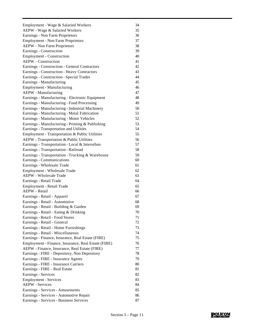| Employment - Wage & Salaried Workers                | 34 |
|-----------------------------------------------------|----|
| AEPW - Wage & Salaried Workers                      | 35 |
| Earnings - Non Farm Proprietors                     | 36 |
| <b>Employment - Non Farm Proprietors</b>            | 37 |
| <b>AEPW</b> - Non Farm Proprietors                  | 38 |
| Earnings - Construction                             | 39 |
| <b>Employment - Construction</b>                    | 40 |
| <b>AEPW</b> - Construction                          | 41 |
| Earnings - Construction - General Contractors       | 42 |
| Earnings - Construction - Heavy Contractors         | 43 |
| Earnings - Construction - Special Trades            | 44 |
| Earnings - Manufacturing                            | 45 |
| <b>Employment - Manufacturing</b>                   | 46 |
| <b>AEPW</b> - Manufacturing                         | 47 |
| Earnings - Manufacturing - Electronic Equipment     | 48 |
| Earnings - Manufacturing - Food Processing          | 49 |
| Earnings - Manufacturing - Industrial Machinery     | 50 |
| Earnings - Manufacturing - Metal Fabrication        | 51 |
| Earnings - Manufacturing - Motor Vehicles           | 52 |
| Earnings - Manufacturing - Printing & Publishing    | 53 |
| Earnings - Transportation and Utilities             | 54 |
| Employment - Transportation & Public Utilities      | 55 |
| AEPW - Transportation & Public Utilities            | 56 |
| Earnings - Transportation - Local & Interurban      | 57 |
| Earnings - Transportation - Railroad                | 58 |
| Earnings - Transportation - Trucking & Warehouse    | 59 |
| Earnings - Communications                           | 60 |
| Earnings - Wholesale Trade                          | 61 |
| Employment - Wholesale Trade                        | 62 |
| AEPW - Wholesale Trade                              | 63 |
| Earnings - Retail Trade                             | 64 |
| Employment - Retail Trade                           | 65 |
| AEPW - Retail                                       | 66 |
| Earnings - Retail - Apparel                         | 67 |
| Earnings - Retail - Automotive                      | 68 |
| Earnings - Retail - Building & Garden               | 69 |
| Earnings - Retail - Eating & Drinking               | 70 |
| Earnings - Retail - Food Stores                     | 71 |
| Earnings - Retail - General                         | 72 |
| Earnings - Retail - Home Furnishings                | 73 |
| Earnings - Retail - Miscellaneous                   | 74 |
| Earnings - Finance, Insurance, Real Estate (FIRE)   | 75 |
| Employment - Finance, Insurance, Real Estate (FIRE) | 76 |
| AEPW - Finance, Insurance, Real Estate (FIRE)       | 77 |
| Earnings - FIRE - Depository, Non Depository        | 78 |
| Earnings - FIRE - Insurance Agents                  | 79 |
| Earnings - FIRE - Insurance Carriers                | 80 |
| Earnings - FIRE - Real Estate                       | 81 |
| Earnings - Services                                 | 82 |
| <b>Employment - Services</b>                        | 83 |
| <b>AEPW</b> - Services                              | 84 |
| Earnings - Services - Amusements                    | 85 |
| Earnings - Services - Automotive Repair             | 86 |
| Earnings - Services - Business Services             | 87 |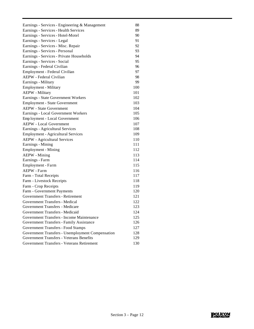| Earnings - Services - Engineering & Management   | 88  |
|--------------------------------------------------|-----|
| Earnings - Services - Health Services            | 89  |
| Earnings - Services - Hotel-Motel                | 90  |
| Earnings - Services - Legal                      | 91  |
| Earnings - Services - Misc. Repair               | 92  |
| Earnings - Services - Personal                   | 93  |
| Earnings - Services - Private Households         | 94  |
| Earnings - Services - Social                     | 95  |
| Earnings - Federal Civilian                      | 96  |
| Employment - Federal Civilian                    | 97  |
| AEPW - Federal Civilian                          | 98  |
| Earnings - Military                              | 99  |
| <b>Employment - Military</b>                     | 100 |
| <b>AEPW</b> - Military                           | 101 |
| Earnings - State Government Workers              | 102 |
| Employment - State Government                    | 103 |
| <b>AEPW</b> - State Government                   | 104 |
| Earnings - Local Government Workers              | 105 |
| Employment - Local Government                    | 106 |
| <b>AEPW</b> - Local Government                   | 107 |
| Earnings - Agricultural Services                 | 108 |
| <b>Employment - Agricultural Services</b>        | 109 |
| <b>AEPW</b> - Agricultural Services              | 110 |
| Earnings - Mining                                | 111 |
| <b>Employment - Mining</b>                       | 112 |
| <b>AEPW</b> - Mining                             | 113 |
| Earnings - Farm                                  | 114 |
| Employment - Farm                                | 115 |
| <b>AEPW</b> - Farm                               | 116 |
| Farm - Total Receipts                            | 117 |
| Farm - Livestock Receipts                        | 118 |
| Farm - Crop Receipts                             | 119 |
| Farm - Government Payments                       | 120 |
| Government Transfers - Retirement                | 121 |
| Government Transfers - Medical                   | 122 |
| Government Transfers - Medicare                  | 123 |
| Government Transfers - Medicaid                  | 124 |
| Government Transfers - Income Maintenance        | 125 |
| Government Transfers - Family Assistance         | 126 |
| Government Transfers - Food Stamps               | 127 |
| Government Transfers - Unemployment Compensation | 128 |
| <b>Government Transfers - Veterans Benefits</b>  | 129 |
| Government Transfers - Veterans Retirement       | 130 |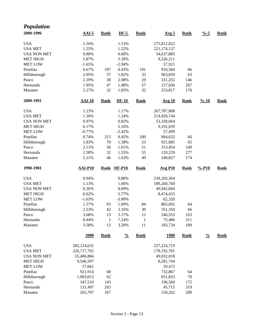| <b>Population</b>  |                |              |               |              |                  |             |                    |             |
|--------------------|----------------|--------------|---------------|--------------|------------------|-------------|--------------------|-------------|
| 2000-1996          | $AAI-5$        | <b>Rank</b>  | $DF-5$        | <b>Rank</b>  | Avg <sub>5</sub> | <b>Rank</b> | $\frac{0}{6}$ -5   | <b>Rank</b> |
| <b>USA</b>         | 1.16%          |              | 1.13%         |              | 275,812,022      |             |                    |             |
| <b>USA MET</b>     | 1.25%          |              | 1.22%         |              | 221,174,137      |             |                    |             |
| <b>USA NON MET</b> | 0.80%          |              | 0.68%         |              | 54,637,885       |             |                    |             |
| <b>MET HIGH</b>    | 5.87%          |              | 5.39%         |              | 9,326,211        |             |                    |             |
| <b>MET LOW</b>     | $-1.65%$       |              | $-2.94%$      |              | 57,921           |             |                    |             |
| Pinellas           | 0.67%          | 197          | 0.43%         | 191          | 910,584          | 66          |                    |             |
| Hillsborough       | 2.05%          | 37           | 1.82%         | 33           | 963,839          | 63          |                    |             |
| Pasco              | 2.39%          | 30           | 2.08%         | 29           | 331,255          | 146         |                    |             |
| Hernando           | 1.95%          | 47           | 1.48%         | 57           | 127,036          | 267         |                    |             |
| Manatee            | 2.27%          | 32           | 1.83%         | 32           | 253,817          | 170         |                    |             |
| 2000-1991          | <b>AAI-10</b>  | <b>Rank</b>  | $DF-10$       | <b>Rank</b>  | <b>Avg 10</b>    | <b>Rank</b> | $\frac{9}{6} - 10$ | <b>Rank</b> |
| <b>USA</b>         | 1.23%          |              | 1.17%         |              | 267,787,808      |             |                    |             |
| <b>USA MET</b>     | 1.30%          |              | 1.24%         |              | 214,459,744      |             |                    |             |
| <b>USA NON MET</b> | 0.97%          |              | 0.82%         |              | 53,328,064       |             |                    |             |
| <b>MET HIGH</b>    | 6.17%          |              | 5.16%         |              | 9,192,039        |             |                    |             |
| <b>MET LOW</b>     | $-0.77%$       |              | $-2.42%$      |              | 57,499           |             |                    |             |
| Pinellas           | 0.74%          | 215          | 0.45%         | 200          | 894,632          | 66          |                    |             |
| Hillsborough       | 1.83%          | 70           | 1.58%         | 53           | 921,085          | 65          |                    |             |
| Pasco              | 2.11%          | 50           | 1.61%         | 51           | 313,454          | 149         |                    |             |
| Hernando           | 2.50%          | 32           | 1.55%         | 55           | 120,229          | 277         |                    |             |
| Manatee            | 2.21%          | 46           | 1.63%         | 49           | 240,827          | 174         |                    |             |
| 1990-1981          | <b>AAI-P10</b> | <b>Rank</b>  | <b>DF-P10</b> | <b>Rank</b>  | <b>Avg P10</b>   | <b>Rank</b> | $% -P10$           | <b>Rank</b> |
| <b>USA</b>         | 0.94%          |              | 0.88%         |              | 239, 203, 364    |             |                    |             |
| <b>USA MET</b>     | 1.13%          |              | 1.06%         |              | 189,260,760      |             |                    |             |
| <b>USA NON MET</b> | 0.26%          |              | 0.09%         |              | 49,942,604       |             |                    |             |
| <b>MET HIGH</b>    | 6.62%          |              | 5.77%         |              | 8,474,433        |             |                    |             |
| <b>MET LOW</b>     | $-1.63%$       |              | $-3.89%$      |              | 62,320           |             |                    |             |
| Pinellas           | 1.57%          | 93           | 1.09%         | 84           | 805,692          | 64          |                    |             |
| Hillsborough       | 2.53%          | 42           | 2.16%         | 30           | 761,350          | 66          |                    |             |
| Pasco              | 3.68%          | 13           | 3.17%         | 12           | 246,553          | 163         |                    |             |
| Hernando           | 8.44%          | $\mathbf{1}$ | 7.24%         | $\mathbf{1}$ | 75,486           | 311         |                    |             |
| Manatee            | 3.58%          | 13           | 3.20%         | 11           | 183,734          | 189         |                    |             |
|                    | 2000           | <b>Rank</b>  | $\frac{0}{0}$ | <b>Rank</b>  | <u>1980</u>      | <b>Rank</b> | $\frac{0}{0}$      | <b>Rank</b> |
| <b>USA</b>         | 282,124,631    |              |               |              | 227, 224, 719    |             |                    |             |
| <b>USA MET</b>     | 226,717,765    |              |               |              | 178, 192, 701    |             |                    |             |
| <b>USA NON MET</b> | 55,406,866     |              |               |              | 49,032,018       |             |                    |             |
| <b>MET HIGH</b>    | 9,546,597      |              |               |              | 8,281,744        |             |                    |             |
| <b>MET LOW</b>     | 57,661         |              |               |              | 59,472           |             |                    |             |
| Pinellas           | 921,914        | 68           |               |              | 732,867          | 64          |                    |             |
| Hillsborough       | 1,003,013      | 62           |               |              | 651,833          | 70          |                    |             |
| Pasco              | 347,510        | 143          |               |              | 196,560          | 172         |                    |             |
| Hernando           | 131,497        | 263          |               |              | 45,715           | 319         |                    |             |
| Manatee            | 265,797        | 167          |               |              | 150,262          | 209         |                    |             |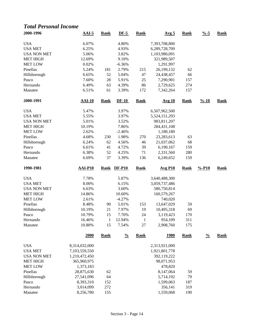### *Total Personal Income*

| 2000-1996           | $AAI-5$                | <b>Rank</b>       | $DF-5$                 | <b>Rank</b>       | Avg <sub>5</sub>         | <b>Rank</b>        | $\frac{9}{6} - 5$  | <b>Rank</b> |
|---------------------|------------------------|-------------------|------------------------|-------------------|--------------------------|--------------------|--------------------|-------------|
| <b>USA</b>          | 6.07%                  |                   | 4.80%                  |                   | 7,393,708,800            |                    |                    |             |
| <b>USA MET</b>      | 6.25%                  |                   | 4.93%                  |                   | 6,289,728,709            |                    |                    |             |
| <b>USA NON MET</b>  | 5.06%                  |                   | 3.82%                  |                   | 1,103,980,091            |                    |                    |             |
| <b>MET HIGH</b>     | 12.69%                 |                   | 9.10%                  |                   | 321,989,507              |                    |                    |             |
| <b>MET LOW</b>      | 0.02%                  |                   | $-6.36%$               |                   | 1,291,997                |                    |                    |             |
| Pinellas            | 5.24%                  | 181               | 2.79%                  | 215               | 26,199,132               | 62                 |                    |             |
| Hillsborough        | 6.65%                  | 52                | 5.04%                  | 47                | 24,438,457               | 66                 |                    |             |
| Pasco               | 7.60%                  | 28                | 5.91%                  | 25                | 7,290,901                | 157                |                    |             |
| Hernando            | 6.49%                  | 63                | 4.39%                  | 86                | 2,729,625                | 274                |                    |             |
| Manatee             | 6.51%                  | 61                | 3.39%                  | 172               | 7,342,264                | 157                |                    |             |
| 2000-1991           | <b>AAI-10</b>          | <b>Rank</b>       | $DF-10$                | <b>Rank</b>       | <b>Avg 10</b>            | <b>Rank</b>        | $\frac{9}{6} - 10$ | <b>Rank</b> |
| <b>USA</b>          | 5.47%                  |                   | 3.97%                  |                   | 6,507,962,500            |                    |                    |             |
| <b>USA MET</b>      | 5.55%                  |                   | 3.97%                  |                   | 5,524,151,293            |                    |                    |             |
| <b>USA NON MET</b>  | 5.01%                  |                   | 3.52%                  |                   | 983,811,207              |                    |                    |             |
| <b>MET HIGH</b>     | 10.19%                 |                   | 7.86%                  |                   | 284,431,108              |                    |                    |             |
| <b>MET LOW</b>      | 2.62%                  |                   | $-2.46%$               |                   | 1,180,180                |                    |                    |             |
| Pinellas            | 4.68%                  | 230               | 1.98%                  | 270               | 23, 283, 613             | 63                 |                    |             |
| Hillsborough        | 6.24%                  | 62                | 4.56%                  | 46                | 21,037,062               | 68                 |                    |             |
| Pasco               | 6.61%                  | 41                | 4.72%                  | 39                | 6,190,167                | 159                |                    |             |
| Hernando            | 6.38%                  | 52                | 4.25%                  | 71                | 2,331,560                | 280                |                    |             |
| Manatee             | 6.69%                  | 37                | 3.39%                  | 136               | 6,249,652                | 159                |                    |             |
|                     |                        |                   |                        |                   |                          |                    |                    |             |
| 1990-1981           | <b>AAI-P10</b>         |                   | Rank DF-P10            | <b>Rank</b>       | <b>Avg P10</b>           | <b>Rank</b>        | $% -P10$           | <b>Rank</b> |
|                     |                        |                   |                        |                   |                          |                    |                    |             |
| <b>USA</b>          | 7.78%                  |                   | 5.87%                  |                   | 3,640,488,300            |                    |                    |             |
| <b>USA MET</b>      | 8.00%                  |                   | 6.15%                  |                   | 3,059,737,486            |                    |                    |             |
| <b>USA NON MET</b>  | 6.63%                  |                   | 3.60%                  |                   | 580,750,814              |                    |                    |             |
| <b>MET HIGH</b>     | 14.86%                 |                   | 10.60%                 |                   | 160,579,267              |                    |                    |             |
| <b>MET LOW</b>      | 2.61%                  |                   | $-4.27%$               |                   | 740,020                  |                    |                    |             |
| Pinellas            | 8.48%                  | 90                | 5.01%                  | 153               | 13,647,029               | 59                 |                    |             |
| Hillsborough        | 10.19%                 | 21                | 7.97%                  | 19                | 10,495,318               | 69                 |                    |             |
| Pasco               | 10.79%                 | 15                | 7.70%                  | 24                | 3,119,423                | 170                |                    |             |
| Hernando            | 16.46%                 | $\mathbf{1}$      | 12.94%                 | $\mathbf{1}$      | 954,109                  | 311                |                    |             |
| Manatee             | 10.80%<br>2000         | 15<br><b>Rank</b> | 7.54%<br>$\frac{0}{0}$ | 27<br><b>Rank</b> | 2,908,760<br><u>1980</u> | 175<br><b>Rank</b> | $\frac{0}{0}$      | <b>Rank</b> |
|                     |                        |                   |                        |                   |                          |                    |                    |             |
| <b>USA</b>          | 8,314,032,000          |                   |                        |                   | 2,313,921,000            |                    |                    |             |
| <b>USA MET</b>      | 7,103,559,550          |                   |                        |                   | 1,921,801,778            |                    |                    |             |
| <b>USA NON MET</b>  | 1,210,472,450          |                   |                        |                   | 392,119,222              |                    |                    |             |
| <b>MET HIGH</b>     | 365,960,975            |                   |                        |                   | 98,071,953               |                    |                    |             |
| <b>MET LOW</b>      | 1,373,183              |                   |                        |                   | 478,820                  |                    |                    |             |
| Pinellas            | 28,875,630             | 62                |                        |                   | 8,147,064                | 59                 |                    |             |
| Hillsborough        | 27,541,096             | 64                |                        |                   | 5,714,192                | 79                 |                    |             |
| Pasco               | 8,393,310              | 152               |                        |                   | 1,599,063                | 187                |                    |             |
| Hernando<br>Manatee | 3,014,099<br>8,256,780 | 272<br>155        |                        |                   | 356,141<br>1,559,068     | 319<br>190         |                    |             |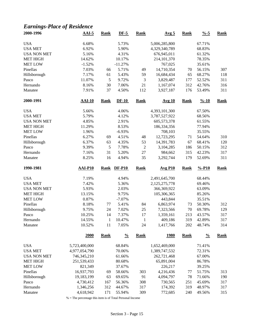# *Earnings-Place of Residence*

| 2000-1996          | $AAI-5$                | <b>Rank</b>  | $DF-5$           | <b>Rank</b>      | Avg <sub>5</sub>   | <b>Rank</b> | $\frac{9}{6} - 5$  | <b>Rank</b> |
|--------------------|------------------------|--------------|------------------|------------------|--------------------|-------------|--------------------|-------------|
| <b>USA</b>         | 6.68%                  |              | 5.73%            |                  | 5,006,285,800      |             | 67.71%             |             |
| <b>USA MET</b>     | 6.92%                  |              | 5.90%            |                  | 4,329,340,789      |             | 68.83%             |             |
| <b>USA NON MET</b> | 5.16%                  |              | 4.31%            |                  | 676,945,011        |             | 61.32%             |             |
| <b>MET HIGH</b>    | 14.62%                 |              | 10.17%           |                  | 214,101,370        |             | 78.35%             |             |
| <b>MET LOW</b>     | $-1.52%$               |              | $-11.27%$        |                  | 767,025            |             | 35.61%             |             |
| Pinellas           | 7.03%                  | 66           | 5.71%            | 49               | 14,710,354         | 70          | 56.15%             | 307         |
| Hillsborough       | 7.17%                  | 61           | 5.43%            | 59               | 16,684,434         | 65          | 68.27%             | 118         |
| Pasco              | 11.07%                 | $\sqrt{5}$   | 9.72%            | 3                | 3,829,487          | 177         | 52.52%             | 311         |
| Hernando           | 8.16%                  | 30           | 7.06%            | 21               | 1,167,074          | 312         | 42.76%             | 316         |
| Manatee            | 7.91%                  | 37           | 4.50%            | 112              | 3,927,187          | 176         | 53.49%             | 311         |
| 2000-1991          | $AAI-10$               | <b>Rank</b>  | $DF-10$          | <b>Rank</b>      | <b>Avg 10</b>      | <b>Rank</b> | $\frac{9}{6} - 10$ | <b>Rank</b> |
| <b>USA</b>         | 5.66%                  |              | 4.06%            |                  | 4,393,101,300      |             | 67.50%             |             |
| <b>USA MET</b>     | 5.79%                  |              | 4.12%            |                  | 3,787,527,922      |             | 68.56%             |             |
| <b>USA NON MET</b> | 4.85%                  |              | 2.91%            |                  | 605,573,378        |             | 61.55%             |             |
| <b>MET HIGH</b>    | 11.29%                 |              | 8.53%            |                  | 186,334,356        |             | 77.94%             |             |
| <b>MET LOW</b>     | 1.96%                  |              | $-6.93%$         |                  | 708,103            |             | 35.55%             |             |
| Pinellas           | 6.27%                  | 69           | 4.51%            | 48               | 12,723,295         | 71          | 54.64%             | 310         |
| Hillsborough       | 6.37%                  | 63           | 4.35%            | 53               | 14,391,783         | 67          | 68.41%             | 120         |
| Pasco              | 9.39%                  | $\sqrt{5}$   | 7.78%            | $\boldsymbol{2}$ | 3,104,285          | 186         | 50.15%             | 312         |
| Hernando           | 7.16%                  | 31           | 5.20%            | $27\,$           | 984,662            | 315         | 42.23%             | 317         |
| Manatee            | 8.25%                  | 16           | 4.94%            | 35               | 3,292,744          | 179         | 52.69%             | 311         |
|                    |                        |              |                  |                  |                    |             |                    |             |
|                    |                        |              |                  |                  |                    |             |                    |             |
| 1990-1981          | AAI-P10                | Rank         | <b>DF-P10</b>    | <b>Rank</b>      | <b>Avg P10</b>     | <b>Rank</b> | $% -P10$           | <b>Rank</b> |
| <b>USA</b>         | 7.19%                  |              | 4.94%            |                  | 2,491,645,700      |             | 68.44%             |             |
| <b>USA MET</b>     | 7.42%                  |              | 5.36%            |                  | 2,125,275,778      |             | 69.46%             |             |
| <b>USA NON MET</b> | 5.93%                  |              | 2.03%            |                  | 366,369,922        |             | 63.09%             |             |
| <b>MET HIGH</b>    | 13.15%                 |              | 9.75%            |                  | 105,306,365        |             | 85.26%             |             |
| <b>MET LOW</b>     | 0.87%                  |              | $-7.07%$         |                  | 443,844            |             | 35.51%             |             |
| Pinellas           | 8.18%                  | 77           | 5.41%            | 84               | 6,863,974          | 73          | 50.30%             | 312         |
| Hillsborough       | 9.75%                  | 24           | 7.02%            | $25\,$           | 7,323,566          | 70          | 69.78%             | 129         |
| Pasco              | 10.25%                 | 14           | 7.37%            | 17               | 1,359,161          | 213         | 43.57%             | 317         |
| Hernando           | 14.55%                 | $\mathbf{1}$ | 10.47%           | $\mathbf{1}$     | 409,186            | 319         | 42.89%             | 317         |
| Manatee            | 10.52%                 | 11           | 7.05%            | 24               | 1,417,766          | 202         | 48.74%             | 314         |
|                    | 2000                   | <b>Rank</b>  | $\frac{0}{0}$    | <b>Rank</b>      | <u>1980</u>        | <b>Rank</b> | $\frac{0}{0}$      | <b>Rank</b> |
| <b>USA</b>         | 5,723,400,000          |              | 68.84%           |                  | 1,652,469,000      |             | 71.41%             |             |
| <b>USA MET</b>     | 4,977,054,790          |              | 70.06%           |                  | 1,389,747,532      |             | 72.31%             |             |
| <b>USA NON MET</b> | 746,345,210            |              | 61.66%           |                  | 262,721,468        |             | 67.00%             |             |
| <b>MET HIGH</b>    | 251,539,433            |              | 80.68%           |                  | 65,891,004         |             | 86.78%             |             |
|                    | 821,349                |              |                  |                  |                    |             |                    |             |
| <b>MET LOW</b>     |                        |              | 37.67%           |                  | 226,217            |             | 39.25%             |             |
| Pinellas           | 16,937,793             | 69           | 58.66%           | 303              | 4,216,436          | 77          | 51.75%             | 313         |
| Hillsborough       | 19,183,199             | 63           | 69.65%           | 91               | 4,094,797          | 78          | 71.66%             | 190         |
| Pasco<br>Hernando  | 4,730,412<br>1,346,256 | 167<br>312   | 56.36%<br>44.67% | 308<br>317       | 730,565<br>174,392 | 251<br>319  | 45.69%<br>48.97%   | 317<br>317  |

% = The percentage this item is of Total Personal Income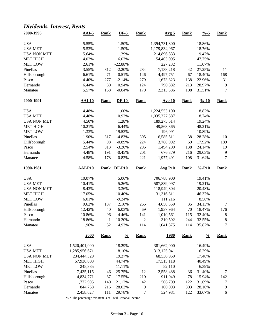### *Dividends, Interest, Rents*

| 2000-1996          | $AAI-5$                   | <b>Rank</b>  | $DF-5$           | <b>Rank</b>    | Avg <sub>5</sub>   | <b>Rank</b> | $\frac{9}{6} - 5$  | <b>Rank</b>      |
|--------------------|---------------------------|--------------|------------------|----------------|--------------------|-------------|--------------------|------------------|
| <b>USA</b>         | 5.55%                     |              | 1.50%            |                | 1,394,731,800      |             | 18.86%             |                  |
| <b>USA MET</b>     | 5.53%                     |              | 1.50%            |                | 1,179,834,967      |             | 18.76%             |                  |
| <b>USA NON MET</b> | 5.64%                     |              | 1.39%            |                | 214,896,833        |             | 19.47%             |                  |
| <b>MET HIGH</b>    | 14.02%                    |              | 6.03%            |                | 54,403,095         |             | 47.75%             |                  |
| <b>MET LOW</b>     | 2.61%                     |              | $-22.88%$        |                | 227,232            |             | 11.07%             |                  |
| Pinellas           | 3.55%                     | 312          | $-2.20%$         | 284            | 7,138,218          | 42          | 27.25%             | 11               |
| Hillsborough       | 6.61%                     | 71           | 0.51%            | 146            | 4,497,751          | 67          | 18.40%             | 168              |
| Pasco              | 4.40%                     | 277          | $-2.14%$         | 279            | 1,673,823          | 138         | 22.96%             | 31               |
| Hernando           | 6.44%                     | 80           | 0.94%            | 124            | 790,882            | 213         | 28.97%             | 9                |
| Manatee            | 5.57%                     | 158          | $-0.04%$         | 179            | 2,313,386          | 108         | 31.51%             | $\boldsymbol{7}$ |
| 2000-1991          | <b>AAI-10</b>             | <b>Rank</b>  | $DF-10$          | <b>Rank</b>    | <b>Avg 10</b>      | <b>Rank</b> | $\frac{9}{6} - 10$ | <b>Rank</b>      |
| <b>USA</b>         | 4.48%                     |              | 1.00%            |                | 1,224,553,100      |             | 18.82%             |                  |
| <b>USA MET</b>     | 4.48%                     |              | 0.92%            |                | 1,035,277,587      |             | 18.74%             |                  |
| <b>USA NON MET</b> | 4.50%                     |              | 1.28%            |                | 189,275,514        |             | 19.24%             |                  |
| <b>MET HIGH</b>    | 10.21%                    |              | 6.44%            |                | 49,568,865         |             | 48.21%             |                  |
| <b>MET LOW</b>     | 1.33%                     |              | $-19.53%$        |                | 196,091            |             | 10.89%             |                  |
| Pinellas           | 1.90%                     | 317          | $-4.83%$         | 305            | 6,585,511          | 38          | 28.28%             | 10               |
| Hillsborough       | 5.44%                     | 98           | $-0.89%$         | 224            | 3,768,992          | 69          | 17.92%             | 189              |
| Pasco              | 2.54%                     | 313          | $-3.20%$         | 295            | 1,494,209          | 138         | 24.14%             | 19               |
|                    | 4.48%                     | 191          | $-0.45%$         | 201            | 676,879            | 216         | 29.03%             | $\overline{9}$   |
| Hernando           |                           |              |                  |                |                    |             |                    |                  |
| Manatee            | 4.58%                     | 178          | $-0.82%$         | 221            | 1,977,491          | 108         | 31.64%             | 7                |
|                    |                           |              |                  |                |                    |             |                    |                  |
| 1990-1981          | <b>AAI-P10</b>            | <b>Rank</b>  | <b>DF-P10</b>    | <b>Rank</b>    | <b>Avg P10</b>     | <b>Rank</b> | $% -P10$           | <b>Rank</b>      |
| <b>USA</b>         | 10.07%                    |              | 5.06%            |                | 706,788,900        |             | 19.41%             |                  |
| <b>USA MET</b>     | 10.41%                    |              | 5.26%            |                | 587,839,097        |             | 19.21%             |                  |
| <b>USA NON MET</b> | 8.43%                     |              | 3.36%            |                | 118,949,804        |             | 20.48%             |                  |
| <b>MET HIGH</b>    | 17.05%                    |              | 10.40%           |                | 31,316,811         |             | 46.37%             |                  |
| <b>MET LOW</b>     | 6.01%                     |              | $-9.24%$         |                | 111,216            |             | 8.58%              |                  |
| Pinellas           | 9.62%                     | 187          | 2.10%            | 265            | 4,658,359          | 35          | 34.13%             | $\tau$           |
| Hillsborough       | 12.42%                    | 40           | 6.03%            | 69             | 1,937,964          | 70          | 18.47%             | 176              |
| Pasco              | 10.86%                    | 96           | 4.46%            | 141            | 1,010,561          | 115         | 32.40%             | 8                |
| Hernando           | 18.86%                    | $\mathbf{1}$ | 10.20%           | $\overline{c}$ | 310,592            | 244         | 32.55%             | $\,8\,$          |
| Manatee            | 11.96%                    | 52           | 4.93%            | 114            | 1,041,875          | 114         | 35.82%             | 7                |
|                    | 2000                      | <b>Rank</b>  | $\frac{0}{0}$    | Rank           | <u>1980</u>        | <b>Rank</b> | $\frac{0}{0}$      | <b>Rank</b>      |
| <b>USA</b>         | 1,520,401,000             |              | 18.29%           |                | 381,662,000        |             | 16.49%             |                  |
| <b>USA MET</b>     | 1,285,956,671             |              | 18.10%           |                | 313,125,041        |             | 16.29%             |                  |
| <b>USA NON MET</b> |                           |              | 19.37%           |                | 68,536,959         |             | 17.48%             |                  |
| <b>MET HIGH</b>    | 234,444,329<br>57,930,003 |              | 44.74%           |                | 17,515,118         |             | 40.49%             |                  |
|                    | 245,385                   |              |                  |                |                    |             | 6.39%              |                  |
| <b>MET LOW</b>     |                           |              | 11.11%           |                | 52,110             |             |                    |                  |
| Pinellas           | 7,435,115                 | 46           | 25.75%           | 12             | 2,558,488          | 36          | 31.40%             | 7                |
| Hillsborough       | 4,834,771                 | 67           | 17.55%           | 210            | 911,049            | 78          | 15.94%             | 142              |
| Pasco<br>Hernando  | 1,772,905<br>844,758      | 140<br>216   | 21.12%<br>28.03% | 42<br>9        | 506,709<br>100,093 | 122<br>303  | 31.69%<br>28.10%   | 7<br>9           |

% = The percentage this item is of Total Personal Income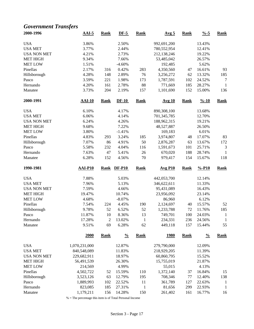## *Government Transfers*

| 2000-1996          | $AAI-5$              | <b>Rank</b>    | $DF-5$           | <b>Rank</b>        | Avg <sub>5</sub>  | <b>Rank</b> | $\frac{9}{6} - 5$  | <b>Rank</b>                  |
|--------------------|----------------------|----------------|------------------|--------------------|-------------------|-------------|--------------------|------------------------------|
| <b>USA</b>         | 3.86%                |                | 2.50%            |                    | 992,691,200       |             | 13.43%             |                              |
| <b>USA MET</b>     | 3.77%                |                | 2.44%            |                    | 780,552,954       |             | 12.41%             |                              |
| <b>USA NON MET</b> | 4.21%                |                | 2.73%            |                    | 212,138,246       |             | 19.22%             |                              |
| <b>MET HIGH</b>    | 9.34%                |                | 7.66%            |                    | 53,485,042        |             | 26.57%             |                              |
| <b>MET LOW</b>     | 1.51%                |                | $-4.60%$         |                    | 192,485           |             | 5.62%              |                              |
| Pinellas           | 2.17%                | 316            | 0.42%            | 283                | 4,350,560         | 47          | 16.61%             | 93                           |
| Hillsborough       | 4.28%                | 148            | 2.89%            | 76                 | 3,256,272         | 62          | 13.32%             | 185                          |
| Pasco              | 3.59%                | 221            | 1.98%            | 173                | 1,787,591         | 102         | 24.52%             | 7                            |
| Hernando           | 4.20%                | 161            | 2.78%            | 88                 | 771,669           | 185         | 28.27%             | $\mathbf{1}$                 |
| Manatee            | 3.73%                | 204            | 2.19%            | 157                | 1,101,690         | 152         | 15.00%             | 136                          |
| 2000-1991          | <b>AAI-10</b>        | <b>Rank</b>    | $DF-10$          | <b>Rank</b>        | <b>Avg 10</b>     | <b>Rank</b> | $\frac{9}{6} - 10$ | <b>Rank</b>                  |
| <b>USA</b>         | 6.10%                |                | 4.17%            |                    | 890,308,100       |             | 13.68%             |                              |
| <b>USA MET</b>     | 6.06%                |                | 4.14%            |                    | 701,345,785       |             | 12.70%             |                              |
| <b>USA NON MET</b> | 6.24%                |                | 4.26%            |                    | 188,962,315       |             | 19.21%             |                              |
| <b>MET HIGH</b>    | 9.68%                |                | 7.22%            |                    | 48,527,887        |             | 26.50%             |                              |
| <b>MET LOW</b>     | 3.80%                |                | $-1.41%$         |                    | 169,183           |             | 6.01%              |                              |
| Pinellas           | 4.83%                | 293            | 3.24%            | 185                | 3,974,807         | 48          | 17.07%             | 83                           |
| Hillsborough       | 7.07%                | 86             | 4.91%            | 50                 | 2,876,287         | 63          | 13.67%             | 172                          |
| Pasco              | 5.58%                | 232            | 4.04%            | 116                | 1,591,673         | 101         | 25.71%             | 3                            |
| Hernando           | 7.63%                | 47             | 5.41%            | 26                 | 670,020           | 188         | 28.74%             | $\mathbf{1}$                 |
| Manatee            | 6.28%                | 152            | 4.56%            | $70\,$             | 979,417           | 154         | 15.67%             | 118                          |
|                    |                      |                |                  |                    |                   |             |                    |                              |
|                    |                      |                |                  |                    |                   |             |                    |                              |
| 1990-1981          | <b>AAI-P10</b>       | <b>Rank</b>    | <b>DF-P10</b>    | <b>Rank</b>        | <b>Avg P10</b>    | Rank        | $% -P10$           | <b>Rank</b>                  |
| <b>USA</b>         | 7.88%                |                | 5.03%            |                    | 442,053,700       |             | 12.14%             |                              |
| <b>USA MET</b>     | 7.96%                |                | 5.13%            |                    | 346,622,611       |             | 11.33%             |                              |
| <b>USA NON MET</b> | 7.59%                |                | 4.66%            |                    | 95,431,089        |             | 16.43%             |                              |
| <b>MET HIGH</b>    | 19.47%               |                | 10.74%           |                    | 23,956,092        |             | 23.14%             |                              |
| <b>MET LOW</b>     | 4.68%                |                | $-8.07\%$        |                    | 86,960            |             | 6.12%              |                              |
| Pinellas           | 7.54%                | 224            | 4.45%            | 190                | 2,124,697         | 40          | 15.57%             | 52                           |
| Hillsborough       | 9.78%                | 52             | 6.52%            | 52                 | 1,233,788         | 72          | 11.76%             | 185                          |
| Pasco              | 11.87%               | 10             | 8.36%            | 13                 | 749,701           | 100         | 24.03%             | $\mathbf{1}$                 |
| Hernando           | 17.28%               | $\overline{c}$ | 13.02%           | $\,1$              | 234,331           | 236         | 24.56%             | $\mathbf{1}$                 |
| Manatee            | 9.51%                | 69             | 6.28%            | 62                 | 449,118           | 157         | 15.44%             | 55                           |
|                    | 2000                 | <b>Rank</b>    | $\frac{0}{0}$    | <b>Rank</b>        | <u>1980</u>       | <b>Rank</b> | $\frac{0}{0}$      | <b>Rank</b>                  |
| <b>USA</b>         | 1,070,231,000        |                | 12.87%           |                    | 279,790,000       |             | 12.09%             |                              |
| <b>USA MET</b>     | 840,548,089          |                | 11.83%           |                    | 218,929,205       |             | 11.39%             |                              |
| <b>USA NON MET</b> | 229,682,911          |                | 18.97%           |                    | 60,860,795        |             | 15.52%             |                              |
|                    |                      |                | 26.30%           |                    |                   |             | 21.87%             |                              |
| <b>MET HIGH</b>    | 56,491,539           |                |                  |                    | 15,755,019        |             |                    |                              |
| <b>MET LOW</b>     | 214,569              |                | 4.99%            |                    | 55,015            |             | 4.13%              |                              |
| Pinellas           | 4,502,722            | 52             | 15.59%           | 110                | 1,372,140         | 37          | 16.84%             | 15                           |
| Hillsborough       | 3,523,126            | 63             | 12.79%           | 195                | 708,346           | 77          | 12.40%             | 138                          |
| Pasco<br>Hernando  | 1,889,993<br>823,085 | 102<br>185     | 22.52%<br>27.31% | 11<br>$\mathbf{1}$ | 361,789<br>81,656 | 127<br>299  | 22.63%<br>22.93%   | $\mathbf{1}$<br>$\mathbf{1}$ |

% = The percentage this item is of Total Personal Income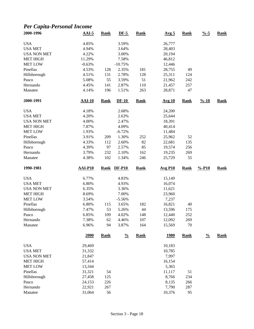## *Per Capita-Personal Income*

| 2000-1996                    | $AAI-5$          | Rank        | $DF-5$         | <b>Rank</b> | Avg <sub>5</sub> | <b>Rank</b> | $\frac{9}{6} - 5$  | <b>Rank</b> |
|------------------------------|------------------|-------------|----------------|-------------|------------------|-------------|--------------------|-------------|
| <b>USA</b>                   | 4.85%            |             | 3.59%          |             | 26,777           |             |                    |             |
| <b>USA MET</b>               | 4.94%            |             | 3.64%          |             | 28,403           |             |                    |             |
| <b>USA NON MET</b>           | 4.22%            |             | 3.00%          |             | 20,194           |             |                    |             |
| <b>MET HIGH</b>              | 11.29%           |             | 7.58%          |             | 46,812           |             |                    |             |
| <b>MET LOW</b>               | $-0.63%$         |             | $-10.75%$      |             | 12,446           |             |                    |             |
| Pinellas                     | 4.53%            | 128         | 2.35%          | 181         | 28,755           | 49          |                    |             |
| Hillsborough                 | 4.51%            | 131         | 2.78%          | 128         | 25,311           | 124         |                    |             |
| Pasco                        | 5.08%            | 55          | 3.59%          | 51          | 21,962           | 242         |                    |             |
| Hernando                     | 4.45%            | 141         | 2.87%          | 110         | 21,457           | 257         |                    |             |
| Manatee                      | 4.14%            | 196         | 1.51%          | 263         | 28,871           | 47          |                    |             |
| 2000-1991                    | $AAI-10$         | <b>Rank</b> | $DF-10$        | <b>Rank</b> | <b>Avg 10</b>    | <b>Rank</b> | $\frac{9}{6} - 10$ | <b>Rank</b> |
| <b>USA</b>                   | 4.18%            |             | 2.68%          |             | 24,200           |             |                    |             |
| <b>USA MET</b>               | 4.20%            |             | 2.63%          |             | 25,644           |             |                    |             |
| <b>USA NON MET</b>           | 4.00%            |             | 2.47%          |             | 18,391           |             |                    |             |
| <b>MET HIGH</b>              | 7.87%            |             | 4.09%          |             | 40,414           |             |                    |             |
| <b>MET LOW</b>               | 1.93%            |             | $-6.72%$       |             | 11,484           |             |                    |             |
| Pinellas                     | 3.91%            | 209         | 1.30%          | 252         | 25,962           | 52          |                    |             |
| Hillsborough                 | 4.33%            | 112         | 2.60%          | 82          | 22,681           | 135         |                    |             |
| Pasco                        | 4.39%            | 97          | 2.57%          | 85          | 19,574           | 256         |                    |             |
| Hernando                     | 3.79%            | 232         | 2.10%          | 162         | 19,235           | 269         |                    |             |
| Manatee                      | 4.38%            | 102         | 1.34%          | 246         | 25,729           | 55          |                    |             |
|                              |                  |             |                |             |                  |             |                    |             |
| 1990-1981                    | <b>AAI-P10</b>   | <b>Rank</b> | <b>DF-P10</b>  | <b>Rank</b> | <b>Avg P10</b>   | <b>Rank</b> | $% -P10$           | <b>Rank</b> |
|                              |                  |             |                |             |                  |             |                    |             |
| <b>USA</b><br><b>USA MET</b> | 6.77%<br>6.80%   |             | 4.83%<br>4.93% |             | 15,149<br>16,074 |             |                    |             |
| <b>USA NON MET</b>           | 6.35%            |             |                |             |                  |             |                    |             |
|                              |                  |             | 3.36%          |             | 11,621           |             |                    |             |
| <b>MET HIGH</b>              | 8.69%<br>3.54%   |             | 7.00%          |             | 23,960           |             |                    |             |
| <b>MET LOW</b>               |                  |             | $-5.56%$       |             | 7,237            |             |                    |             |
| Pinellas                     | 6.80%            | 115         | 3.65%          | 182         | 16,821           | $40\,$      |                    |             |
| Hillsborough                 | 7.47%            | 53          | 5.26%          | 44          | 13,596           | 175         |                    |             |
| Pasco<br>Hernando            | 6.85%<br>7.38%   | 109<br>62   | 4.02%<br>4.46% | 148<br>107  | 12,440<br>12,092 | 252<br>269  |                    |             |
| Manatee                      | 6.96%            | 94          | 3.87%          | 164         | 15,569           | 70          |                    |             |
|                              | 2000             | <b>Rank</b> | $\frac{0}{0}$  | <b>Rank</b> | <u>1980</u>      | <b>Rank</b> | $\frac{0}{0}$      | <b>Rank</b> |
| <b>USA</b>                   | 29,469           |             |                |             | 10,183           |             |                    |             |
| <b>USA MET</b>               | 31,332           |             |                |             | 10,785           |             |                    |             |
| <b>USA NON MET</b>           | 21,847           |             |                |             | 7,997            |             |                    |             |
| <b>MET HIGH</b>              | 57,414           |             |                |             | 16,154           |             |                    |             |
| <b>MET LOW</b>               | 13,344           |             |                |             | 5,365            |             |                    |             |
| Pinellas                     | 31,321           | 54          |                |             | 11,117           |             |                    |             |
|                              |                  |             |                |             |                  | 51          |                    |             |
| Hillsborough<br>Pasco        | 27,458           | 125         |                |             | 8,766            | 234         |                    |             |
| Hernando                     | 24,153<br>22,921 | 226<br>267  |                |             | 8,135<br>7,790   | 266<br>287  |                    |             |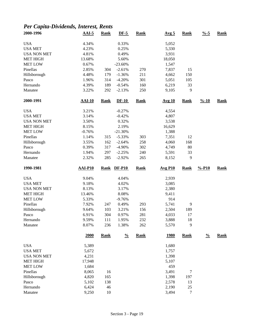## *Per Capita-Dividends, Interest, Rents*

| 2000-1996          | $AAI-5$        | <b>Rank</b> | $DF-5$        | <b>Rank</b> | Avg <sub>5</sub> | Rank        | $\frac{9}{6} - 5$  | <b>Rank</b> |
|--------------------|----------------|-------------|---------------|-------------|------------------|-------------|--------------------|-------------|
| <b>USA</b>         | 4.34%          |             | 0.33%         |             | 5,052            |             |                    |             |
| <b>USA MET</b>     | 4.23%          |             | 0.25%         |             | 5,330            |             |                    |             |
| <b>USA NON MET</b> | 4.81%          |             | 0.49%         |             | 3,931            |             |                    |             |
| <b>MET HIGH</b>    | 13.68%         |             | 5.60%         |             | 18,050           |             |                    |             |
| <b>MET LOW</b>     | 0.67%          |             | $-23.60%$     |             | 1,547            |             |                    |             |
| Pinellas           | 2.85%          | 304         | $-2.61%$      | 270         | 7,837            | 15          |                    |             |
| Hillsborough       | 4.48%          | 179         | $-1.36%$      | 211         | 4,662            | 150         |                    |             |
| Pasco              | 1.96%          | 314         | $-4.20%$      | 301         | 5,051            | 105         |                    |             |
| Hernando           | 4.39%          | 189         | $-0.54%$      | 160         | 6,219            | 33          |                    |             |
| Manatee            | 3.22%          | 292         | $-2.13%$      | 250         | 9,105            | 9           |                    |             |
| 2000-1991          | <b>AAI-10</b>  | <b>Rank</b> | <b>DF-10</b>  | <b>Rank</b> | <b>Avg 10</b>    | Rank        | $\frac{9}{6} - 10$ | <b>Rank</b> |
| <b>USA</b>         | 3.21%          |             | $-0.27%$      |             | 4,554            |             |                    |             |
| <b>USA MET</b>     | 3.14%          |             | $-0.42%$      |             | 4,807            |             |                    |             |
| <b>USA NON MET</b> | 3.50%          |             | 0.32%         |             | 3,538            |             |                    |             |
| <b>MET HIGH</b>    | 8.15%          |             | 2.19%         |             | 16,629           |             |                    |             |
| <b>MET LOW</b>     | $-0.76%$       |             | $-21.30%$     |             | 1,388            |             |                    |             |
| Pinellas           | 1.14%          | 315         | $-5.33%$      | 303         | 7,351            | 12          |                    |             |
| Hillsborough       | 3.55%          | 162         | $-2.64%$      | 258         | 4,060            | 168         |                    |             |
| Pasco              | 0.39%          | 317         | $-4.90%$      | 302         | 4,749            | 80          |                    |             |
| Hernando           | 1.94%          | 297         | $-2.25%$      | 240         | 5,591            | 33          |                    |             |
| Manatee            | 2.32%          | 285         | $-2.92%$      | 265         | 8,152            | 9           |                    |             |
|                    |                |             |               |             |                  |             |                    |             |
| 1990-1981          | <b>AAI-P10</b> | <b>Rank</b> | <b>DF-P10</b> | <b>Rank</b> | <b>Avg P10</b>   | <b>Rank</b> | $% -P10$           | <b>Rank</b> |
|                    |                |             |               |             |                  |             |                    |             |
| <b>USA</b>         | 9.04%          |             | 4.04%         |             | 2,939            |             |                    |             |
| <b>USA MET</b>     | 9.18%          |             | 4.02%         |             | 3,085            |             |                    |             |
| <b>USA NON MET</b> | 8.13%          |             | 3.17%         |             | 2,380            |             |                    |             |
| <b>MET HIGH</b>    | 13.46%         |             | 8.08%         |             | 9,411            |             |                    |             |
| <b>MET LOW</b>     | 5.33%          |             | $-9.76%$      |             | 914              |             |                    |             |
| Pinellas           | 7.92%          | 247         | 0.49%         | 293         | 5,741            | 9           |                    |             |
| Hillsborough       | 9.64%          | 103         | 3.21%         | 156         | 2,504            | 189         |                    |             |
| Pasco              | 6.91%          | 304         | 0.97%         | 281         | 4,033            | 17          |                    |             |
| Hernando           | 9.59%          | 111         | 1.95%         | 232         | 3,888            | 18          |                    |             |
| Manatee            | 8.07%          | 236         | 1.38%         | 262         | 5,570            | 9           |                    |             |
|                    | 2000           | <b>Rank</b> | $\frac{0}{0}$ | <b>Rank</b> | <u>1980</u>      | <b>Rank</b> | $\frac{0}{0}$      | <b>Rank</b> |
| <b>USA</b>         | 5,389          |             |               |             | 1,680            |             |                    |             |
| <b>USA MET</b>     | 5,672          |             |               |             | 1,757            |             |                    |             |
| <b>USA NON MET</b> | 4,231          |             |               |             | 1,398            |             |                    |             |
| <b>MET HIGH</b>    | 17,948         |             |               |             | 5,107            |             |                    |             |
| <b>MET LOW</b>     | 1,684          |             |               |             | 459              |             |                    |             |
| Pinellas           |                |             |               |             |                  | $\tau$      |                    |             |
| Hillsborough       | 8,065<br>4,820 | 16<br>165   |               |             | 3,491<br>1,398   | 197         |                    |             |
|                    |                |             |               |             |                  |             |                    |             |
| Pasco<br>Hernando  | 5,102<br>6,424 | 138<br>46   |               |             | 2,578<br>2,190   | 13<br>25    |                    |             |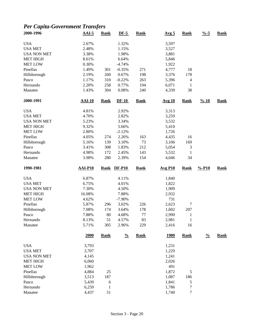## *Per Capita-Government Transfers*

| 2000-1996                    | $AAI-5$        | <b>Rank</b>       | $DF-5$         | <b>Rank</b> | Avg <sub>5</sub> | <b>Rank</b>              | $\frac{9}{6} - 5$  | <b>Rank</b> |
|------------------------------|----------------|-------------------|----------------|-------------|------------------|--------------------------|--------------------|-------------|
| <b>USA</b>                   | 2.67%          |                   | 1.32%          |             | 3,597            |                          |                    |             |
| <b>USA MET</b>               | 2.48%          |                   | 1.15%          |             | 3,527            |                          |                    |             |
| <b>USA NON MET</b>           | 3.38%          |                   | 1.98%          |             | 3,881            |                          |                    |             |
| <b>MET HIGH</b>              | 8.61%          |                   | 6.64%          |             | 5,846            |                          |                    |             |
| <b>MET LOW</b>               | 0.30%          |                   | $-4.74%$       |             | 1,922            |                          |                    |             |
| Pinellas                     | 1.49%          | 301               | $-0.35%$       | 271         | 4,777            | 18                       |                    |             |
| Hillsborough                 | 2.19%          | 260               | 0.67%          | 198         | 3,376            | 178                      |                    |             |
| Pasco                        | 1.17%          | 310               | $-0.22%$       | 263         | 5,396            | $\overline{\mathcal{A}}$ |                    |             |
| Hernando                     | 2.20%          | 258               | 0.77%          | 194         | 6,071            | $\mathbf{1}$             |                    |             |
| Manatee                      | 1.43%          | 304               | 0.08%          | 240         | 4,339            | 38                       |                    |             |
| 2000-1991                    | <b>AAI-10</b>  | <b>Rank</b>       | $DF-10$        | <b>Rank</b> | <b>Avg 10</b>    | <b>Rank</b>              | $\frac{9}{6} - 10$ | <b>Rank</b> |
| <b>USA</b>                   | 4.81%          |                   | 2.92%          |             | 3,313            |                          |                    |             |
| <b>USA MET</b>               | 4.70%          |                   | 2.82%          |             | 3,259            |                          |                    |             |
| <b>USA NON MET</b>           | 5.23%          |                   | 3.34%          |             | 3,532            |                          |                    |             |
| <b>MET HIGH</b>              | 9.32%          |                   | 5.66%          |             | 5,410            |                          |                    |             |
| <b>MET LOW</b>               | 2.80%          |                   | $-2.12%$       |             | 1,726            |                          |                    |             |
| Pinellas                     | 4.05%          | 274               | 2.26%          | 163         | 4,435            | 16                       |                    |             |
| Hillsborough                 | 5.16%          | 139               | 3.10%          | 73          | 3,106            | 169                      |                    |             |
| Pasco                        | 3.41%          | 308               | 1.83%          | 212         | 5,054            | $\mathfrak{Z}$           |                    |             |
| Hernando                     | 4.98%          | 172               | 2.45%          | 143         | 5,532            | $\mathbf{1}$             |                    |             |
| Manatee                      | 3.98%          | 280               | 2.39%          | 154         | 4,046            | 34                       |                    |             |
|                              |                |                   |                |             |                  |                          |                    |             |
| 1990-1981                    | <b>AAI-P10</b> | <b>Rank</b>       | <b>DF-P10</b>  | <b>Rank</b> | <b>Avg P10</b>   | <b>Rank</b>              | $% -P10$           | <b>Rank</b> |
|                              |                |                   |                |             |                  |                          |                    |             |
| <b>USA</b><br><b>USA MET</b> | 6.87%          |                   | 4.11%<br>4.01% |             | 1,840            |                          |                    |             |
| <b>USA NON MET</b>           | 6.75%          |                   | 4.50%          |             | 1,822            |                          |                    |             |
|                              | 7.30%          |                   |                |             | 1,909            |                          |                    |             |
| <b>MET HIGH</b>              | 16.08%         |                   | 7.88%          |             | 2,932            |                          |                    |             |
| <b>MET LOW</b>               | 4.62%          |                   | $-7.90%$       |             | 731              |                          |                    |             |
| Pinellas                     | 5.87%          | 296               | 3.02%          | 226         | 2,623            | $\tau$                   |                    |             |
| Hillsborough                 | 7.08%          | 174<br>80         | 3.64%          | 178         | 1,602            | 207<br>1                 |                    |             |
| Pasco<br>Hernando            | 7.88%<br>8.13% | 51                | 4.68%          | 77          | 2,990            | $\mathbf{1}$             |                    |             |
| Manatee                      | 5.71%          | 305               | 4.57%<br>2.96% | 83<br>229   | 2,981<br>2,416   | 16                       |                    |             |
|                              | 2000           | <b>Rank</b>       | $\frac{0}{0}$  | <b>Rank</b> | <u>1980</u>      | <b>Rank</b>              | $\frac{0}{0}$      | <b>Rank</b> |
| <b>USA</b>                   | 3,793          |                   |                |             | 1,231            |                          |                    |             |
| <b>USA MET</b>               | 3,707          |                   |                |             | 1,229            |                          |                    |             |
| <b>USA NON MET</b>           | 4,145          |                   |                |             | 1,241            |                          |                    |             |
| <b>MET HIGH</b>              | 6,060          |                   |                |             | 2,026            |                          |                    |             |
| <b>MET LOW</b>               | 1,962          |                   |                |             | 491              |                          |                    |             |
| Pinellas                     | 4,884          | 25                |                |             | 1,872            | $\mathfrak s$            |                    |             |
|                              |                |                   |                |             |                  |                          |                    |             |
| Hillsborough<br>Pasco        | 3,513<br>5,439 | 187               |                |             | 1,087<br>1,841   | 186                      |                    |             |
| Hernando                     | 6,259          | 6<br>$\mathbf{1}$ |                |             | 1,786            | $\mathfrak s$<br>7       |                    |             |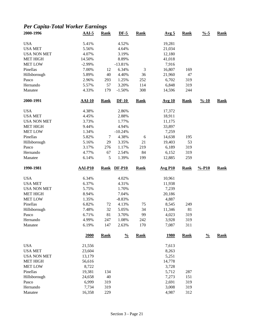## *Per Capita-Total Worker Earnings*

| 2000-1996          | $AAI-5$        | <b>Rank</b> | $DF-5$         | <b>Rank</b>    | Avg <sub>5</sub> | Rank        | $\frac{9}{6} - 5$  | Rank        |
|--------------------|----------------|-------------|----------------|----------------|------------------|-------------|--------------------|-------------|
| <b>USA</b>         | 5.41%          |             | 4.52%          |                | 19,281           |             |                    |             |
| <b>USA MET</b>     | 5.56%          |             | 4.64%          |                | 21,034           |             |                    |             |
| <b>USA NON MET</b> | 4.07%          |             | 3.19%          |                | 12,180           |             |                    |             |
| <b>MET HIGH</b>    | 14.50%         |             | 8.89%          |                | 41,018           |             |                    |             |
| <b>MET LOW</b>     | $-2.99%$       |             | $-13.81%$      |                | 7,916            |             |                    |             |
| Pinellas           | 7.00%          | 12          | 6.34%          | $\mathfrak{Z}$ | 16,807           | 169         |                    |             |
| Hillsborough       | 5.89%          | 40          | 4.40%          | 36             | 21,960           | 47          |                    |             |
| Pasco              | 2.96%          | 293         | 1.25%          | 252            | 6,702            | 319         |                    |             |
| Hernando           | 5.57%          | 57          | 3.20%          | 114            | 6,848            | 319         |                    |             |
| Manatee            | 4.33%          | 179         | $-1.50%$       | 308            | 14,596           | 244         |                    |             |
| 2000-1991          | $AAI-10$       | <b>Rank</b> | $DF-10$        | <b>Rank</b>    | <b>Avg 10</b>    | Rank        | $\frac{9}{6} - 10$ | <b>Rank</b> |
| <b>USA</b>         | 4.38%          |             | 2.86%          |                | 17,372           |             |                    |             |
| <b>USA MET</b>     | 4.45%          |             | 2.88%          |                | 18,911           |             |                    |             |
| <b>USA NON MET</b> | 3.73%          |             | 1.77%          |                | 11,175           |             |                    |             |
| <b>MET HIGH</b>    | 9.44%          |             | 4.94%          |                | 33,897           |             |                    |             |
| <b>MET LOW</b>     | 1.34%          |             | $-10.24%$      |                | 7,259            |             |                    |             |
| Pinellas           | 5.82%          | 7           | 4.38%          | $\sqrt{6}$     | 14,638           | 195         |                    |             |
| Hillsborough       | 5.16%          | 29          | 3.35%          | 21             | 19,403           | 53          |                    |             |
| Pasco              | 3.17%          | 276         | 1.17%          | 219            | 6,189            | 319         |                    |             |
| Hernando           | 4.77%          | 67          | 2.54%          | 84             | 6,152            | 319         |                    |             |
| Manatee            | 6.14%          | 5           | 1.39%          | 199            | 12,885           | 259         |                    |             |
| 1990-1981          | <b>AAI-P10</b> | <b>Rank</b> | <b>DF-P10</b>  | <b>Rank</b>    | <b>Avg P10</b>   | <b>Rank</b> | $% -P10$           | <b>Rank</b> |
| <b>USA</b>         | 6.34%          |             | 4.02%          |                | 10,961           |             |                    |             |
| <b>USA MET</b>     | 6.37%          |             | 4.31%          |                | 11,938           |             |                    |             |
| <b>USA NON MET</b> | 5.75%          |             | 1.70%          |                | 7,239            |             |                    |             |
| <b>MET HIGH</b>    | 8.94%          |             | 7.04%          |                | 20,186           |             |                    |             |
| <b>MET LOW</b>     | 1.35%          |             | $-8.83%$       |                | 4,887            |             |                    |             |
| Pinellas           | 6.82%          | 72          | 4.13%          | 75             | 8,545            | 249         |                    |             |
| Hillsborough       | 7.48%          | 32          | 5.05%          | 34             | 11,346           | 81          |                    |             |
| Pasco              |                |             |                |                |                  |             |                    |             |
|                    |                | 81          |                | 99             |                  |             |                    |             |
| Hernando           | 6.71%<br>4.99% | 247         | 3.70%<br>1.08% | 242            | 4,023<br>3,928   | 319<br>319  |                    |             |
| Manatee            | 6.19%          | 147         | 2.63%          | 170            | 7,087            | 311         |                    |             |
|                    | 2000           | <b>Rank</b> | $\frac{0}{0}$  | <b>Rank</b>    | <u>1980</u>      | <b>Rank</b> | $\frac{0}{0}$      | <b>Rank</b> |
| <b>USA</b>         | 21,556         |             |                |                | 7,613            |             |                    |             |
| <b>USA MET</b>     | 23,604         |             |                |                | 8,263            |             |                    |             |
| <b>USA NON MET</b> | 13,179         |             |                |                | 5,251            |             |                    |             |
| <b>MET HIGH</b>    | 56,616         |             |                |                | 14,778           |             |                    |             |
| <b>MET LOW</b>     | 8,722          |             |                |                | 3,728            |             |                    |             |
| Pinellas           | 19,381         | 134         |                |                | 5,712            | 287         |                    |             |
| Hillsborough       | 24,658         | 40          |                |                | 7,273            | 151         |                    |             |
| Pasco              | 6,999          | 319         |                |                | 2,691            | 319         |                    |             |
| Hernando           | 7,734          | 319         |                |                | 3,008            | 319         |                    |             |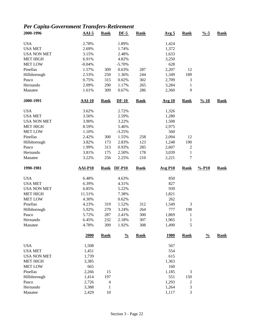# *Per Capita-Government Transfers-Retirement*

| 2000-1996                             | $AAI-5$        | <b>Rank</b>                    | $DF-5$        | <b>Rank</b> | Avg <sub>5</sub>      | <b>Rank</b>                  | $\frac{9}{6} - 5$  | <b>Rank</b> |
|---------------------------------------|----------------|--------------------------------|---------------|-------------|-----------------------|------------------------------|--------------------|-------------|
| <b>USA</b>                            | 2.78%          |                                | 1.89%         |             | 1,424                 |                              |                    |             |
| <b>USA MET</b>                        | 2.69%          |                                | 1.74%         |             | 1,372                 |                              |                    |             |
| <b>USA NON MET</b>                    | 3.15%          |                                | 2.48%         |             | 1,633                 |                              |                    |             |
| <b>MET HIGH</b>                       | 6.91%          |                                | 4.82%         |             | 3,250                 |                              |                    |             |
| <b>MET LOW</b>                        | $-0.04%$       |                                | $-5.70%$      |             | 628                   |                              |                    |             |
| Pinellas                              | 1.57%          | 309                            | 0.63%         | 287         | 2,207                 | 12                           |                    |             |
| Hillsborough                          | 2.53%          | 250                            | 1.36%         | 244         | 1,349                 | 189                          |                    |             |
| Pasco                                 | 0.75%          | 315                            | 0.02%         | 302         | 2,709                 | 3                            |                    |             |
| Hernando                              | 2.09%          | 290                            | 1.17%         | 265         | 3,284                 | 1                            |                    |             |
| Manatee                               | 1.61%          | 309                            | 0.67%         | 286         | 2,360                 | 9                            |                    |             |
| 2000-1991                             | <b>AAI-10</b>  | <b>Rank</b>                    | $DF-10$       | <b>Rank</b> | <b>Avg 10</b>         | <b>Rank</b>                  | $\frac{9}{6} - 10$ | <b>Rank</b> |
| <b>USA</b>                            | 3.62%          |                                | 2.72%         |             | 1,326                 |                              |                    |             |
| <b>USA MET</b>                        | 3.56%          |                                | 2.59%         |             | 1,280                 |                              |                    |             |
| <b>USA NON MET</b>                    | 3.90%          |                                | 3.22%         |             | 1,508                 |                              |                    |             |
| <b>MET HIGH</b>                       | 8.59%          |                                | 5.46%         |             | 2,975                 |                              |                    |             |
| <b>MET LOW</b>                        | 1.10%          |                                | $-3.25%$      |             | 560                   |                              |                    |             |
| Pinellas                              | 2.42%          | 300                            | 1.55%         | 258         | 2,094                 | 12                           |                    |             |
| Hillsborough                          | 3.82%          | 173                            | 2.83%         | 123         | 1,248                 | 190                          |                    |             |
| Pasco                                 | 1.99%          | 313                            | 0.93%         | 285         | 2,607                 | $\overline{c}$               |                    |             |
| Hernando                              | 3.81%          | 175                            | 2.50%         | 178         | 3,039                 | $\mathbf{1}$                 |                    |             |
| Manatee                               | 3.22%          | 256                            | 2.25%         | 210         | 2,221                 | 7                            |                    |             |
|                                       |                |                                |               |             |                       |                              |                    |             |
| 1990-1981                             | AAI-P10        | <b>Rank</b>                    | $DF-P10$      | <b>Rank</b> | $Avg$ P <sub>10</sub> | <b>Rank</b>                  | $% -P10$           | <b>Rank</b> |
| <b>USA</b>                            | 6.48%          |                                | 4.63%         |             | 850                   |                              |                    |             |
| <b>USA MET</b>                        | 6.39%          |                                | 4.31%         |             | 827                   |                              |                    |             |
| <b>USA NON MET</b>                    | 6.85%          |                                | 5.22%         |             | 939                   |                              |                    |             |
| <b>MET HIGH</b>                       | 11.51%         |                                | 7.38%         |             | 1,821                 |                              |                    |             |
| <b>MET LOW</b>                        | 4.30%          |                                | 0.62%         |             | 262                   |                              |                    |             |
| Pinellas                              | 4.23%          | 319                            | 1.52%         | 312         | 1,549                 | 3                            |                    |             |
| Hillsborough                          | 5.92%          | 279                            | 3.24%         | 264         | 777                   | 198                          |                    |             |
| Pasco                                 | 5.72%          | 287                            | 2.41%         | 300         | 1,869                 | $\mathbf{1}$                 |                    |             |
| Hernando                              | 6.45%          | 232                            | 2.18%         | 307         | 1,965                 | $\mathbf{1}$                 |                    |             |
| Manatee                               | 4.78%          | 309                            | 1.92%         | 308         | 1,490                 | 5                            |                    |             |
|                                       | 2000           | <b>Rank</b>                    | $\frac{0}{0}$ | <b>Rank</b> | <u>1980</u>           | <b>Rank</b>                  | $\frac{0}{0}$      | <b>Rank</b> |
| <b>USA</b>                            | 1,508          |                                |               |             | 567                   |                              |                    |             |
| <b>USA MET</b>                        | 1,451          |                                |               |             | 554                   |                              |                    |             |
|                                       |                |                                |               |             | 615                   |                              |                    |             |
| <b>USA NON MET</b><br><b>MET HIGH</b> | 1,739<br>3,385 |                                |               |             | 1,363                 |                              |                    |             |
| <b>MET LOW</b>                        | 665            |                                |               |             | 160                   |                              |                    |             |
| Pinellas                              |                |                                |               |             |                       |                              |                    |             |
|                                       | 2,266          | 15                             |               |             | 1,185<br>551          | 3                            |                    |             |
| Hillsborough                          | 1,414          | 197                            |               |             |                       | 150                          |                    |             |
| Pasco<br>Hernando                     | 2,726<br>3,388 | $\overline{4}$<br>$\mathbf{1}$ |               |             | 1,293<br>1,264        | $\overline{\mathbf{c}}$<br>3 |                    |             |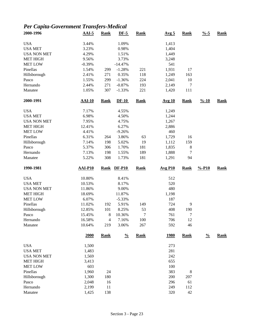## *Per Capita-Government Transfers-Medical*

| 2000-1996          | $AAI-5$        | <b>Rank</b>              | $DF-5$        | <b>Rank</b> | Avg <sub>5</sub> | <b>Rank</b>    | $\frac{0}{6}$ -5   | <b>Rank</b> |
|--------------------|----------------|--------------------------|---------------|-------------|------------------|----------------|--------------------|-------------|
| <b>USA</b>         | 3.44%          |                          | 1.09%         |             | 1,413            |                |                    |             |
| <b>USA MET</b>     | 3.23%          |                          | 0.98%         |             | 1,404            |                |                    |             |
| <b>USA NON MET</b> | 4.29%          |                          | 1.51%         |             | 1,449            |                |                    |             |
| <b>MET HIGH</b>    | 9.56%          |                          | 3.73%         |             | 3,248            |                |                    |             |
| <b>MET LOW</b>     | $-0.39%$       |                          | $-14.47%$     |             | 541              |                |                    |             |
| Pinellas           | 1.54%          | 299                      | $-1.28%$      | 221         | 1,931            | 17             |                    |             |
| Hillsborough       | 2.41%          | 271                      | 0.35%         | 118         | 1,249            | 163            |                    |             |
| Pasco              | 1.55%          | 299                      | $-1.36%$      | 224         | 2,041            | 10             |                    |             |
| Hernando           | 2.44%          | 271                      | $-0.87%$      | 193         | 2,149            | 7              |                    |             |
| Manatee            | 1.05%          | 307                      | $-1.33%$      | 221         | 1,420            | 111            |                    |             |
| 2000-1991          | $AAI-10$       | <b>Rank</b>              | $DF-10$       | <b>Rank</b> | <b>Avg 10</b>    | <b>Rank</b>    | $\frac{9}{6} - 10$ | <b>Rank</b> |
| <b>USA</b>         | 7.17%          |                          | 4.55%         |             | 1,249            |                |                    |             |
| <b>USA MET</b>     | 6.98%          |                          | 4.50%         |             | 1,244            |                |                    |             |
| <b>USA NON MET</b> | 7.95%          |                          | 4.75%         |             | 1,267            |                |                    |             |
| <b>MET HIGH</b>    | 12.41%         |                          | 6.27%         |             | 2,886            |                |                    |             |
| <b>MET LOW</b>     | 4.41%          |                          | $-9.26%$      |             | 460              |                |                    |             |
| Pinellas           | 6.31%          | 264                      | 3.86%         | 63          | 1,729            | 16             |                    |             |
| Hillsborough       | 7.14%          | 198                      | 5.02%         | 19          | 1,112            | 159            |                    |             |
| Pasco              | 5.37%          | 306                      | 1.70%         | 181         | 1,835            | 8              |                    |             |
| Hernando           | 7.13%          | 198                      | 1.55%         | 189         | 1,888            | $\tau$         |                    |             |
| Manatee            | 5.22%          | 308                      | 1.73%         | 181         | 1,291            | 94             |                    |             |
| 1990-1981          | <b>AAI-P10</b> |                          | Rank DF-P10   | <b>Rank</b> | <b>Avg P10</b>   | Rank           | $% -P10$           | <b>Rank</b> |
| <b>USA</b>         | 10.80%         |                          | 8.41%         |             | 512              |                |                    |             |
| <b>USA MET</b>     | 10.53%         |                          | 8.17%         |             | 520              |                |                    |             |
| <b>USA NON MET</b> | 11.86%         |                          | 9.00%         |             | 480              |                |                    |             |
| <b>MET HIGH</b>    | 18.69%         |                          | 11.87%        |             | 1,198            |                |                    |             |
| <b>MET LOW</b>     | 6.07%          |                          | $-5.33%$      |             | 187              |                |                    |             |
| Pinellas           | 11.02%         | 192                      | 5.91%         | 149         | 724              | $\overline{9}$ |                    |             |
| Hillsborough       | 12.85%         | 101                      | 8.25%         | 53          | 408              | 190            |                    |             |
| Pasco              | 15.45%         | 8                        | 10.36%        | 7           | 761              | 7              |                    |             |
| Hernando           | 16.58%         | $\overline{\mathcal{L}}$ | 7.16%         | 100         | 706              | 12             |                    |             |
| Manatee            | 10.64%         | 219                      | 3.06%         | 267         | 592              | 46             |                    |             |
|                    | 2000           | <b>Rank</b>              | $\frac{0}{0}$ | <b>Rank</b> | <u>1980</u>      | <b>Rank</b>    | $\frac{0}{0}$      | <b>Rank</b> |
| <b>USA</b>         | 1,500          |                          |               |             | 273              |                |                    |             |
| <b>USA MET</b>     | 1,483          |                          |               |             | 281              |                |                    |             |
| <b>USA NON MET</b> | 1,569          |                          |               |             | 242              |                |                    |             |
| <b>MET HIGH</b>    | 3,413          |                          |               |             | 655              |                |                    |             |
| <b>MET LOW</b>     | 603            |                          |               |             | 100              |                |                    |             |
| Pinellas           | 1,960          | 24                       |               |             | 383              | $\,8\,$        |                    |             |
| Hillsborough       | 1,300          | 180                      |               |             | 200              | 207            |                    |             |
| Pasco              | 2,048          | 16                       |               |             | 296              | 61             |                    |             |
| Hernando           | 2,199          | 11                       |               |             | 249              | 112            |                    |             |
| Manatee            | 1,425          | 138                      |               |             | 320              | 42             |                    |             |
|                    |                |                          |               |             |                  |                |                    |             |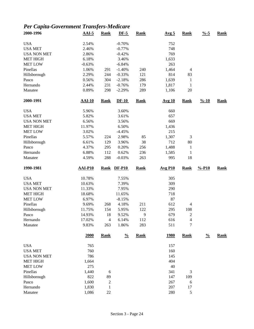## *Per Capita-Government Transfers-Medicare*

| 2000-1996          | $AAI-5$        | <b>Rank</b>    | $DF-5$        | <b>Rank</b> | Avg <sub>5</sub> | <b>Rank</b>    | $\frac{0}{6}$ -5   | <b>Rank</b> |
|--------------------|----------------|----------------|---------------|-------------|------------------|----------------|--------------------|-------------|
| <b>USA</b>         | 2.54%          |                | $-0.70%$      |             | 752              |                |                    |             |
| <b>USA MET</b>     | 2.46%          |                | $-0.77%$      |             | 748              |                |                    |             |
| <b>USA NON MET</b> | 2.86%          |                | $-0.42%$      |             | 769              |                |                    |             |
| <b>MET HIGH</b>    | 6.18%          |                | 3.46%         |             | 1,633            |                |                    |             |
| <b>MET LOW</b>     | $-0.63%$       |                | $-6.84%$      |             | 263              |                |                    |             |
| Pinellas           | 1.06%          | 291            | $-1.40%$      | 240         | 1,464            | $\overline{4}$ |                    |             |
| Hillsborough       | 2.29%          | 244            | $-0.33%$      | 121         | 814              | 83             |                    |             |
| Pasco              | 0.56%          | 304            | $-2.18%$      | 286         | 1,639            | 1              |                    |             |
| Hernando           | 2.44%          | 231            | $-0.76%$      | 179         | 1,817            | $\mathbf{1}$   |                    |             |
| Manatee            | 0.89%          | 298            | $-2.29%$      | 289         | 1,106            | $20\,$         |                    |             |
| 2000-1991          | <b>AAI-10</b>  | <b>Rank</b>    | $DF-10$       | <b>Rank</b> | <b>Avg 10</b>    | <b>Rank</b>    | $\frac{9}{6} - 10$ | <b>Rank</b> |
| <b>USA</b>         | 5.96%          |                | 3.60%         |             | 660              |                |                    |             |
| <b>USA MET</b>     | 5.82%          |                | 3.61%         |             | 657              |                |                    |             |
| <b>USA NON MET</b> | 6.56%          |                | 3.56%         |             | 669              |                |                    |             |
| <b>MET HIGH</b>    | 11.97%         |                | 6.50%         |             | 1,436            |                |                    |             |
| <b>MET LOW</b>     | 3.02%          |                | $-4.45%$      |             | 215              |                |                    |             |
| Pinellas           | 5.57%          | 224            | 2.98%         | 85          | 1,307            | $\mathfrak{Z}$ |                    |             |
| Hillsborough       | 6.61%          | 129            | 3.96%         | 38          | 712              | 80             |                    |             |
| Pasco              | 4.37%          | 295            | 0.20%         | 256         | 1,488            | $\mathbf{1}$   |                    |             |
| Hernando           | 6.88%          | 112            | 0.62%         | 236         | 1,585            | $\mathbf{1}$   |                    |             |
| Manatee            | 4.59%          | 288            | $-0.03%$      | 263         | 995              | 18             |                    |             |
| 1990-1981          | <b>AAI-P10</b> | <b>Rank</b>    | <b>DF-P10</b> | <b>Rank</b> | <b>Avg P10</b>   | <b>Rank</b>    | $% -P10$           | <b>Rank</b> |
| <b>USA</b>         | 10.78%         |                | 7.55%         |             | 305              |                |                    |             |
| <b>USA MET</b>     | 10.63%         |                | 7.39%         |             | 309              |                |                    |             |
| <b>USA NON MET</b> | 11.33%         |                | 7.95%         |             | 290              |                |                    |             |
| <b>MET HIGH</b>    | 18.68%         |                | 11.65%        |             | 718              |                |                    |             |
| <b>MET LOW</b>     | 6.97%          |                | $-8.15%$      |             | 87               |                |                    |             |
| Pinellas           | 9.69%          | 268            | 4.18%         | 211         | 612              | $\overline{4}$ |                    |             |
| Hillsborough       | 11.75%         | 154            | 5.95%         | 122         | 295              | 108            |                    |             |
| Pasco              | 14.93%         | 18             | 9.52%         | 9           | 679              | $\overline{2}$ |                    |             |
| Hernando           | 17.02%         | $\overline{4}$ | 6.14%         | 112         | 616              | $\overline{4}$ |                    |             |
| Manatee            | 9.83%          | 263            | 1.86%         | 283         | 511              | 7              |                    |             |
|                    | 2000           | <b>Rank</b>    | $\frac{0}{0}$ | <b>Rank</b> | <b>1980</b>      | <b>Rank</b>    | $\frac{0}{0}$      | <b>Rank</b> |
| <b>USA</b>         | 765            |                |               |             | 157              |                |                    |             |
| <b>USA MET</b>     | 760            |                |               |             | 160              |                |                    |             |
| <b>USA NON MET</b> | 786            |                |               |             | 145              |                |                    |             |
| <b>MET HIGH</b>    | 1,664          |                |               |             | 404              |                |                    |             |
| <b>MET LOW</b>     | 275            |                |               |             | 40               |                |                    |             |
| Pinellas           | 1,440          | 6              |               |             | 341              | 3              |                    |             |
| Hillsborough       | 822            | 89             |               |             | 147              | 109            |                    |             |
| Pasco              | 1,600          | $\overline{c}$ |               |             | 267              | 6              |                    |             |
| Hernando           | 1,830          | $\mathbf{1}$   |               |             | 207              | 17             |                    |             |
| Manatee            | 1,086          | 22             |               |             | 280              | $\sqrt{5}$     |                    |             |
|                    |                |                |               |             |                  |                |                    |             |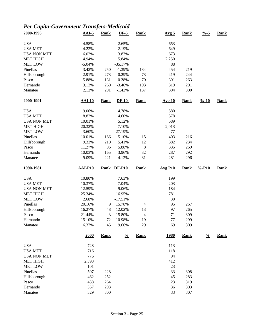# *Per Capita-Government Transfers-Medicaid*

| 2000-1996           | $AAI-5$          | <b>Rank</b> | $DF-5$          | Rank           | Avg <sub>5</sub>      | <b>Rank</b> | $\frac{9}{6} - 5$  | <b>Rank</b> |
|---------------------|------------------|-------------|-----------------|----------------|-----------------------|-------------|--------------------|-------------|
| <b>USA</b>          | 4.58%            |             | 2.65%           |                | 653                   |             |                    |             |
| <b>USA MET</b>      | 4.22%            |             | 2.19%           |                | 649                   |             |                    |             |
| <b>USA NON MET</b>  | 6.02%            |             | 3.83%           |                | 673                   |             |                    |             |
| <b>MET HIGH</b>     | 14.94%           |             | 5.84%           |                | 2,250                 |             |                    |             |
| <b>MET LOW</b>      | $-5.04%$         |             | $-35.17%$       |                | 88                    |             |                    |             |
| Pinellas            | 3.42%            | 250         | $-1.39%$        | 134            | 454                   | 219         |                    |             |
| Hillsborough        | 2.91%            | 273         | 0.29%           | 73             | 419                   | 244         |                    |             |
| Pasco               | 5.88%            | 131         | 0.38%           | 70             | 391                   | 263         |                    |             |
| Hernando            | 3.12%            | 260         | $-3.46%$        | 193            | 319                   | 291         |                    |             |
| Manatee             | 2.13%            | 291         | $-1.42%$        | 137            | 304                   | 300         |                    |             |
| 2000-1991           | $AAI-10$         | <b>Rank</b> | $DF-10$         | <b>Rank</b>    | <b>Avg 10</b>         | <b>Rank</b> | $\frac{9}{6} - 10$ | <b>Rank</b> |
| <b>USA</b>          | 9.06%            |             | 4.78%           |                | 580                   |             |                    |             |
| <b>USA MET</b>      | 8.82%            |             | 4.60%           |                | 578                   |             |                    |             |
| <b>USA NON MET</b>  | 10.01%           |             | 5.12%           |                | 589                   |             |                    |             |
| <b>MET HIGH</b>     | 20.32%           |             | 7.10%           |                | 2,013                 |             |                    |             |
| <b>MET LOW</b>      | 3.60%            |             | $-27.19%$       |                | 77                    |             |                    |             |
| Pinellas            | 10.01%           | 166         | 5.10%           | 15             | 403                   | 216         |                    |             |
| Hillsborough        | 9.33%            | 210         | 5.41%           | 12             | 382                   | 234         |                    |             |
| Pasco               | 11.27%           | 96          | 5.88%           | $\,$ 8 $\,$    | 335                   | 269         |                    |             |
| Hernando            | 10.03%           | 165         | 3.96%           | 32             | 287                   | 292         |                    |             |
| Manatee             | 9.09%            | 221         | 4.12%           | 31             | 281                   | 296         |                    |             |
| 1990-1981           | <b>AAI-P10</b>   | <b>Rank</b> | <b>DF-P10</b>   | <b>Rank</b>    | $Avg$ P <sub>10</sub> | <b>Rank</b> | $% -P10$           | <b>Rank</b> |
|                     |                  |             |                 |                |                       |             |                    |             |
|                     |                  |             |                 |                |                       |             |                    |             |
| <b>USA</b>          | 10.80%           |             | 7.63%           |                | 199                   |             |                    |             |
| <b>USA MET</b>      | 10.37%           |             | 7.04%           |                | 203                   |             |                    |             |
| <b>USA NON MET</b>  | 12.59%           |             | 9.06%           |                | 184                   |             |                    |             |
| <b>MET HIGH</b>     | 25.34%           |             | 16.95%          |                | 781                   |             |                    |             |
| <b>MET LOW</b>      | 2.68%            | 9           | $-17.51%$       |                | 30                    |             |                    |             |
| Pinellas            | 20.16%           |             | 15.78%          | 4              | 95                    | 267         |                    |             |
| Hillsborough        | 16.27%           | 48          | 12.02%          | 13             | 97                    | 265         |                    |             |
| Pasco               | 21.44%           | 3           | 15.80%          | $\overline{4}$ | 71                    | 309         |                    |             |
| Hernando<br>Manatee | 15.10%<br>16.37% | 72<br>45    | 10.98%<br>9.66% | 19<br>29       | $77 \,$<br>69         | 299<br>309  |                    |             |
|                     | 2000             | <b>Rank</b> | $\frac{0}{0}$   | <b>Rank</b>    | <u>1980</u>           | <b>Rank</b> | $\frac{0}{0}$      | <b>Rank</b> |
|                     |                  |             |                 |                |                       |             |                    |             |
| <b>USA</b>          | 728              |             |                 |                | 113                   |             |                    |             |
| <b>USA MET</b>      | 716              |             |                 |                | 118                   |             |                    |             |
| <b>USA NON MET</b>  | 776              |             |                 |                | 94                    |             |                    |             |
| <b>MET HIGH</b>     | 2,393            |             |                 |                | 412                   |             |                    |             |
| <b>MET LOW</b>      | 101              |             |                 |                | 23                    |             |                    |             |
| Pinellas            | 507              | 228         |                 |                | 33                    | 308         |                    |             |
| Hillsborough        | 462              | 252         |                 |                | 45                    | 283         |                    |             |
| Pasco<br>Hernando   | 438<br>357       | 264<br>293  |                 |                | 23<br>36              | 319<br>303  |                    |             |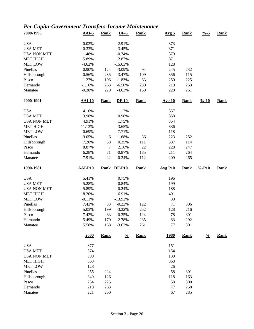# *Per Capita-Government Transfers-Income Maintenance*

| 2000-1996          | $AAI-5$        | <b>Rank</b> | $DF-5$        | <b>Rank</b> | Avg <sub>5</sub>      | <b>Rank</b> | $\frac{9}{6} - 5$  | <b>Rank</b> |
|--------------------|----------------|-------------|---------------|-------------|-----------------------|-------------|--------------------|-------------|
| <b>USA</b>         | 0.02%          |             | $-2.91%$      |             | 373                   |             |                    |             |
| <b>USA MET</b>     | $-0.33%$       |             | $-3.45%$      |             | 371                   |             |                    |             |
| <b>USA NON MET</b> | 1.48%          |             | $-0.74%$      |             | 379                   |             |                    |             |
| <b>MET HIGH</b>    | 5.89%          |             | 2.87%         |             | 871                   |             |                    |             |
| <b>MET LOW</b>     | $-4.62%$       |             | $-15.63%$     |             | 128                   |             |                    |             |
| Pinellas           | 0.90%          | 124         | $-3.09%$      | 94          | 245                   | 232         |                    |             |
| Hillsborough       | $-0.56%$       | 235         | $-3.47%$      | 109         | 356                   | 115         |                    |             |
| Pasco              | 1.27%          | 106         | $-1.83%$      | 63          | 250                   | 225         |                    |             |
| Hernando           | $-1.16%$       | 263         | $-6.50%$      | 230         | 219                   | 263         |                    |             |
| Manatee            | $-0.38%$       | 229         | $-4.63%$      | 159         | 220                   | 261         |                    |             |
| 2000-1991          | <b>AAI-10</b>  | <b>Rank</b> | $DF-10$       | <b>Rank</b> | <b>Avg 10</b>         | <b>Rank</b> | $\frac{9}{6} - 10$ | <b>Rank</b> |
| <b>USA</b>         | 4.16%          |             | 1.17%         |             | 357                   |             |                    |             |
| <b>USA MET</b>     | 3.98%          |             | 0.98%         |             | 358                   |             |                    |             |
| <b>USA NON MET</b> | 4.91%          |             | 1.75%         |             | 354                   |             |                    |             |
| <b>MET HIGH</b>    | 11.13%         |             | 3.65%         |             | 836                   |             |                    |             |
| <b>MET LOW</b>     | $-0.69%$       |             | $-7.71%$      |             | 118                   |             |                    |             |
| Pinellas           | 9.05%          | 6           | 1.68%         | 36          | 223                   | 252         |                    |             |
| Hillsborough       | 7.20%          | 38          | 0.35%         | 111         | 337                   | 114         |                    |             |
| Pasco              | 8.87%          | $\tau$      | 2.16%         | 22          | 228                   | 247         |                    |             |
| Hernando           | 6.28%          | 71          | $-0.87%$      | 185         | 211                   | 264         |                    |             |
| Manatee            | 7.91%          | $22\,$      | 0.34%         | 112         | 209                   | 265         |                    |             |
|                    |                |             |               |             |                       |             |                    |             |
| 1990-1981          | <b>AAI-P10</b> | <b>Rank</b> | <b>DF-P10</b> | <b>Rank</b> | $Avg$ P <sub>10</sub> | <b>Rank</b> | $% -P10$           | <b>Rank</b> |
| <b>USA</b>         | 5.41%          |             | 0.75%         |             | 196                   |             |                    |             |
| <b>USA MET</b>     | 5.28%          |             | 0.84%         |             | 199                   |             |                    |             |
| <b>USA NON MET</b> | 5.89%          |             | 0.24%         |             | 188                   |             |                    |             |
| <b>MET HIGH</b>    | 18.20%         |             | 6.91%         |             | 491                   |             |                    |             |
| <b>MET LOW</b>     | $-0.11%$       |             | $-13.92%$     |             | 39                    |             |                    |             |
| Pinellas           | 7.43%          | 83          | $-0.22%$      | 122         | 71                    | 306         |                    |             |
| Hillsborough       | 5.03%          | 199         | $-3.32%$      | 252         | 128                   | 216         |                    |             |
| Pasco              | 7.42%          | 83          | $-0.35%$      | 124         | 78                    | 301         |                    |             |
| Hernando           | 5.49%          | 170         | $-2.78%$      | 235         | 83                    | 292         |                    |             |
| Manatee            | 5.58%          | 168         | $-3.62%$      | 261         | 77                    | 301         |                    |             |
|                    | 2000           | <b>Rank</b> | $\frac{0}{0}$ | <b>Rank</b> | <u>1980</u>           | <b>Rank</b> | $\frac{0}{0}$      | <b>Rank</b> |
| <b>USA</b>         | 377            |             |               |             | 151                   |             |                    |             |
| <b>USA MET</b>     | 374            |             |               |             | 154                   |             |                    |             |
| <b>USA NON MET</b> | 390            |             |               |             | 139                   |             |                    |             |
| <b>MET HIGH</b>    | 863            |             |               |             | 363                   |             |                    |             |
| <b>MET LOW</b>     | 128            |             |               |             | 26                    |             |                    |             |
| Pinellas           | 255            |             |               |             | 58                    | 301         |                    |             |
|                    | 349            | 224         |               |             | 118                   |             |                    |             |
| Hillsborough       |                | 126         |               |             |                       | 163         |                    |             |
| Pasco<br>Hernando  | 254<br>218     | 225<br>263  |               |             | 58<br>77              | 300<br>268  |                    |             |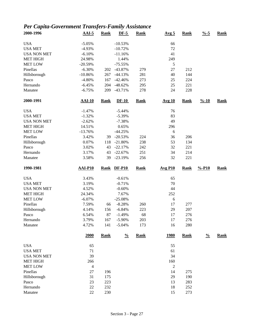# *Per Capita-Government Transfers-Family Assistance*

| 2000-1996          | $AAI-5$        | <b>Rank</b> | $DF-5$        | <b>Rank</b> | Avg <sub>5</sub> | <b>Rank</b> | $\frac{9}{6} - 5$  | <b>Rank</b> |
|--------------------|----------------|-------------|---------------|-------------|------------------|-------------|--------------------|-------------|
| <b>USA</b>         | $-5.05%$       |             | $-10.53%$     |             | 66               |             |                    |             |
| <b>USA MET</b>     | $-4.93%$       |             | $-10.72%$     |             | 72               |             |                    |             |
| <b>USA NON MET</b> | $-6.10%$       |             | $-11.16%$     |             | 41               |             |                    |             |
| <b>MET HIGH</b>    | 24.98%         |             | 1.44%         |             | 249              |             |                    |             |
| <b>MET LOW</b>     | $-20.59%$      |             | $-75.55%$     |             | 5                |             |                    |             |
| Pinellas           | $-6.30%$       | 202         | $-43.87%$     | 279         | 27               | 212         |                    |             |
| Hillsborough       | $-10.86%$      | 267         | $-44.13%$     | 281         | 40               | 144         |                    |             |
| Pasco              | $-4.80%$       | 167         | $-42.46%$     | 273         | 25               | 224         |                    |             |
| Hernando           | $-6.45%$       | 204         | $-48.62%$     | 295         | 25               | 221         |                    |             |
| Manatee            | $-6.75%$       | 209         | $-43.71%$     | 278         | 24               | 228         |                    |             |
| 2000-1991          | <b>AAI-10</b>  | <b>Rank</b> | $DF-10$       | <b>Rank</b> | <b>Avg 10</b>    | <b>Rank</b> | $\frac{9}{6} - 10$ | <b>Rank</b> |
| <b>USA</b>         | $-1.47%$       |             | $-5.44%$      |             | 76               |             |                    |             |
| <b>USA MET</b>     | $-1.32%$       |             | $-5.39%$      |             | 83               |             |                    |             |
| <b>USA NON MET</b> | $-2.62%$       |             | $-7.38%$      |             | 49               |             |                    |             |
| <b>MET HIGH</b>    | 14.51%         |             | 0.65%         |             | 296              |             |                    |             |
| <b>MET LOW</b>     | $-13.76%$      |             | $-44.25%$     |             | 6                |             |                    |             |
| Pinellas           | 3.42%          | 39          | $-20.53%$     | 224         | 36               | 206         |                    |             |
| Hillsborough       | 0.07%          | 118         | $-21.80%$     | 238         | 53               | 134         |                    |             |
| Pasco              | 3.02%          | 43          | $-22.17%$     | 242         | 32               | 221         |                    |             |
| Hernando           | 3.17%          | 43          | $-22.67%$     | 251         | 34               | 214         |                    |             |
| Manatee            | 3.58%          | 39          | $-23.19%$     | 256         | 32               | 221         |                    |             |
| 1990-1981          | <b>AAI-P10</b> | <b>Rank</b> | <b>DF-P10</b> | <b>Rank</b> | <b>Avg P10</b>   | <b>Rank</b> | $% -P10$           | <b>Rank</b> |
| <b>USA</b>         | 3.43%          |             | $-0.61%$      |             | 65               |             |                    |             |
| <b>USA MET</b>     | 3.19%          |             | $-0.71%$      |             | 70               |             |                    |             |
| <b>USA NON MET</b> | 4.52%          |             | $-0.60%$      |             | 44               |             |                    |             |
| <b>MET HIGH</b>    | 24.34%         |             | 7.67%         |             | 252              |             |                    |             |
| <b>MET LOW</b>     | $-6.07%$       |             | $-25.08%$     |             | 6                |             |                    |             |
| Pinellas           | 7.59%          | 66          | $-8.28%$      | 260         | 17               | 277         |                    |             |
| Hillsborough       | 4.14%          | 156         | $-6.84%$      | 223         | 29               | 207         |                    |             |
| Pasco              | 6.54%          | 87          | $-1.49%$      | 68          | 17               | 276         |                    |             |
| Hernando           | 3.79%          | 167         | $-5.90\%$     | 203         | 17               | 276         |                    |             |
| Manatee            | 4.72%          | 141         | $-5.04%$      | 173         | 16               | 280         |                    |             |
|                    | 2000           | <b>Rank</b> | $\frac{0}{0}$ | <b>Rank</b> | <u>1980</u>      | <b>Rank</b> | $\frac{0}{0}$      | <b>Rank</b> |
| <b>USA</b>         | 65             |             |               |             | 55               |             |                    |             |
| <b>USA MET</b>     | 71             |             |               |             | 61               |             |                    |             |
| <b>USA NON MET</b> | 39             |             |               |             | 34               |             |                    |             |
| <b>MET HIGH</b>    | 266            |             |               |             | 160              |             |                    |             |
| <b>MET LOW</b>     | $\overline{4}$ |             |               |             | 2                |             |                    |             |
| Pinellas           | 27             | 196         |               |             | 14               | 275         |                    |             |
| Hillsborough       |                | 175         |               |             | 29               | 190         |                    |             |
|                    | 31             |             |               |             |                  |             |                    |             |
| Pasco              | 23             | 223         |               |             | 13               | 283         |                    |             |
| Hernando           | 22             | 232         |               |             | 18               | 252         |                    |             |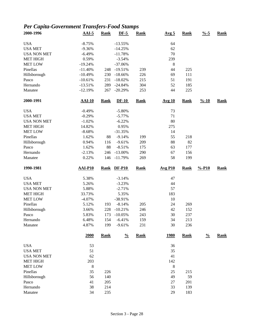# *Per Capita-Government Transfers-Food Stamps*

| 2000-1996                  | $AAI-5$        | <b>Rank</b> | $DF-5$               | <b>Rank</b> | Avg <sub>5</sub> | <b>Rank</b> | $\frac{9}{6} - 5$  | Rank        |
|----------------------------|----------------|-------------|----------------------|-------------|------------------|-------------|--------------------|-------------|
| <b>USA</b>                 | $-8.75%$       |             | $-13.55%$            |             | 64               |             |                    |             |
| <b>USA MET</b>             | $-9.36%$       |             | $-14.25%$            |             | 62               |             |                    |             |
| <b>USA NON MET</b>         | $-6.49%$       |             | $-11.78%$            |             | 70               |             |                    |             |
| <b>MET HIGH</b>            | 0.59%          |             | $-3.54%$             |             | 239              |             |                    |             |
| <b>MET LOW</b>             | $-19.24%$      |             | $-37.06%$            |             | 8                |             |                    |             |
| Pinellas                   | $-11.40%$      | 248         | $-19.51%$            | 239         | 44               | 225         |                    |             |
| Hillsborough               | $-10.49%$      | 230         | $-18.66%$            | 226         | 69               | 111         |                    |             |
| Pasco                      | $-10.61%$      | 231         | $-18.02%$            | 215         | 51               | 191         |                    |             |
| Hernando                   | $-13.51%$      | 289         | $-24.84%$            | 304         | 52               | 185         |                    |             |
| Manatee                    | $-12.19%$      | 267         | $-20.29%$            | 253         | 44               | 225         |                    |             |
| 2000-1991                  | <b>AAI-10</b>  | <b>Rank</b> | $DF-10$              | <b>Rank</b> | <b>Avg 10</b>    | <b>Rank</b> | $\frac{9}{6} - 10$ | <b>Rank</b> |
| <b>USA</b>                 | $-0.49%$       |             | $-5.80%$             |             | 73               |             |                    |             |
| <b>USA MET</b>             | $-0.29%$       |             | $-5.77%$             |             | 71               |             |                    |             |
| <b>USA NON MET</b>         | $-1.02%$       |             | $-6.22%$             |             | 80               |             |                    |             |
| <b>MET HIGH</b>            | 14.82%         |             | 0.95%                |             | 275              |             |                    |             |
| <b>MET LOW</b>             | $-8.68%$       |             | $-31.35%$            |             | 14               |             |                    |             |
| Pinellas                   | 1.62%          | 88          | $-9.14%$             | 199         | 55               | 218         |                    |             |
| Hillsborough               | 0.94%          | 116         | $-9.61%$             | 209         | 88               | 82          |                    |             |
| Pasco                      | 1.62%          | 88          | $-8.51%$             | 175         | 63               | 177         |                    |             |
| Hernando                   | $-2.13%$       | 246         | $-13.00%$            | 290         | 67               | 156         |                    |             |
| Manatee                    | 0.22%          | 146         | $-11.79%$            | 269         | 58               | 199         |                    |             |
| 1990-1981                  | <b>AAI-P10</b> | <b>Rank</b> | <b>DF-P10</b>        | <b>Rank</b> | <b>Avg P10</b>   | <b>Rank</b> | $% -P10$           | <b>Rank</b> |
|                            |                |             |                      |             |                  |             |                    |             |
| <b>USA</b>                 |                |             |                      |             |                  |             |                    |             |
| <b>USA MET</b>             | 5.38%          |             | $-3.14%$             |             | 47<br>44         |             |                    |             |
|                            | 5.26%          |             | $-3.23%$             |             | 57               |             |                    |             |
| <b>USA NON MET</b>         | 5.88%          |             | $-2.71%$             |             |                  |             |                    |             |
| <b>MET HIGH</b>            | 33.73%         |             | 5.35%<br>$-38.91%$   |             | 183              |             |                    |             |
| <b>MET LOW</b>             | $-4.07%$       |             |                      |             | 10               |             |                    |             |
| Pinellas                   | 5.12%          | 193<br>228  | $-8.14%$             | 205         | 24               | 269         |                    |             |
| Hillsborough               | 3.66%          |             | $-10.21%$            | 246         | 42               | 152         |                    |             |
| Pasco                      | 5.83%<br>6.48% | 173         | $-10.05%$            | 243         | 30               | 237         |                    |             |
| Hernando<br>Manatee        | 4.87%          | 154<br>199  | $-6.41%$<br>$-9.61%$ | 159<br>231  | 34<br>30         | 213<br>236  |                    |             |
|                            | 2000           | <b>Rank</b> | $\frac{0}{0}$        | <b>Rank</b> | <u>1980</u>      | <b>Rank</b> | $\frac{0}{0}$      | <b>Rank</b> |
| <b>USA</b>                 | 53             |             |                      |             | 36               |             |                    |             |
| <b>USA MET</b>             |                |             |                      |             | 35               |             |                    |             |
| <b>USA NON MET</b>         | 51<br>62       |             |                      |             | 41               |             |                    |             |
| <b>MET HIGH</b>            | 203            |             |                      |             | 142              |             |                    |             |
|                            |                |             |                      |             |                  |             |                    |             |
| <b>MET LOW</b><br>Pinellas | 8<br>35        |             |                      |             | 8<br>25          | 215         |                    |             |
|                            | 56             | 226         |                      |             | 49               | 59          |                    |             |
| Hillsborough               |                | 140         |                      |             |                  |             |                    |             |
| Pasco<br>Hernando          | 41<br>38       | 205<br>214  |                      |             | 27<br>33         | 201<br>139  |                    |             |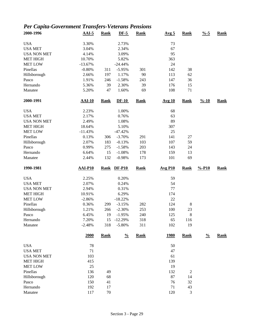# *Per Capita-Government Transfers-Veterans Pensions*

| 2000-1996          | $AAI-5$        | <b>Rank</b> | $DF-5$        | <b>Rank</b> | Avg <sub>5</sub>      | <b>Rank</b>    | $\frac{9}{6} - 5$  | <b>Rank</b> |
|--------------------|----------------|-------------|---------------|-------------|-----------------------|----------------|--------------------|-------------|
| <b>USA</b>         | 3.30%          |             | 2.73%         |             | 73                    |                |                    |             |
| <b>USA MET</b>     | 3.04%          |             | 2.34%         |             | 67                    |                |                    |             |
| <b>USA NON MET</b> | 4.14%          |             | 3.09%         |             | 95                    |                |                    |             |
| <b>MET HIGH</b>    | 10.70%         |             | 5.82%         |             | 363                   |                |                    |             |
| <b>MET LOW</b>     | $-13.67%$      |             | $-24.44%$     |             | 24                    |                |                    |             |
| Pinellas           | $-0.80%$       | 311         | $-5.95%$      | 301         | 142                   | 38             |                    |             |
| Hillsborough       | 2.66%          | 197         | 1.17%         | 90          | 113                   | 62             |                    |             |
| Pasco              | 1.91%          | 246         | $-1.58%$      | 243         | 147                   | 36             |                    |             |
| Hernando           | 5.36%          | 39          | 2.30%         | 39          | 176                   | 15             |                    |             |
| Manatee            | 5.20%          | 47          | 1.60%         | 69          | 108                   | 71             |                    |             |
| 2000-1991          | <b>AAI-10</b>  | <b>Rank</b> | $DF-10$       | <b>Rank</b> | <b>Avg 10</b>         | <b>Rank</b>    | $\frac{9}{6} - 10$ | <b>Rank</b> |
| <b>USA</b>         | 2.23%          |             | 1.00%         |             | 68                    |                |                    |             |
| <b>USA MET</b>     | 2.17%          |             | 0.76%         |             | 63                    |                |                    |             |
| <b>USA NON MET</b> | 2.49%          |             | 1.08%         |             | 89                    |                |                    |             |
| <b>MET HIGH</b>    | 18.64%         |             | 5.10%         |             | 307                   |                |                    |             |
| <b>MET LOW</b>     | $-11.43%$      |             | $-47.42%$     |             | 25                    |                |                    |             |
| Pinellas           | 0.13%          | 306         | $-3.70%$      | 291         | 141                   | $27\,$         |                    |             |
| Hillsborough       | 2.07%          | 183         | $-0.13%$      | 103         | 107                   | 59             |                    |             |
| Pasco              | 0.99%          | 275         | $-1.58%$      | 203         | 143                   | 24             |                    |             |
| Hernando           | 6.64%          | 15          | $-1.08%$      | 178         | 159                   | 13             |                    |             |
| Manatee            | 2.44%          | 132         | $-0.98%$      | 173         | 101                   | 69             |                    |             |
|                    |                |             |               |             |                       |                |                    |             |
| 1990-1981          | <b>AAI-P10</b> | <b>Rank</b> | <b>DF-P10</b> | <b>Rank</b> | $Avg$ P <sub>10</sub> | <b>Rank</b>    | $% -P10$           | <b>Rank</b> |
| <b>USA</b>         | 2.25%          |             | 0.20%         |             | 59                    |                |                    |             |
| <b>USA MET</b>     | 2.07%          |             | 0.24%         |             | 54                    |                |                    |             |
| <b>USA NON MET</b> | 2.94%          |             | 0.31%         |             | 77                    |                |                    |             |
| <b>MET HIGH</b>    | 10.91%         |             | 6.29%         |             | 174                   |                |                    |             |
| <b>MET LOW</b>     | $-2.86%$       |             | $-18.22%$     |             | 22                    |                |                    |             |
| Pinellas           | 0.36%          | 299         | $-3.15%$      | 282         | 124                   | $\,8\,$        |                    |             |
| Hillsborough       | 1.21%          | 266         | $-2.30%$      | 253         | 100                   | 23             |                    |             |
| Pasco              | 6.45%          | 19          | $-1.95%$      | 240         | 125                   | 8              |                    |             |
| Hernando           | 7.20%          | 15          | $-12.29%$     | 318         | 65                    | 116            |                    |             |
| Manatee            | $-2.48%$       | 318         | $-5.80%$      | 311         | 102                   | 19             |                    |             |
|                    | 2000           | <b>Rank</b> | $\frac{0}{0}$ | <b>Rank</b> | <u>1980</u>           | <b>Rank</b>    | $\frac{0}{0}$      | <b>Rank</b> |
| <b>USA</b>         | 78             |             |               |             | 50                    |                |                    |             |
| <b>USA MET</b>     | 71             |             |               |             | 47                    |                |                    |             |
| <b>USA NON MET</b> | 103            |             |               |             | 61                    |                |                    |             |
| <b>MET HIGH</b>    | 415            |             |               |             | 139                   |                |                    |             |
| <b>MET LOW</b>     | 25             |             |               |             | 19                    |                |                    |             |
| Pinellas           | 136            | 49          |               |             | 132                   | $\overline{c}$ |                    |             |
| Hillsborough       | 120            | 68          |               |             | 87                    | 14             |                    |             |
| Pasco              | 150            | 41          |               |             | 76                    | 32             |                    |             |
| Hernando           | 192            | 17          |               |             | 71                    | 43             |                    |             |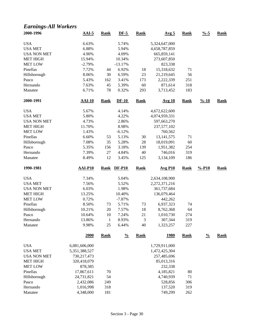### *Earnings-All Workers*

| 2000-1996                            | $AAI-5$                | <b>Rank</b>  | $DF-5$        | <b>Rank</b> | Avg <sub>5</sub>             | <b>Rank</b> | $\frac{0}{6}$ -5   | <b>Rank</b> |
|--------------------------------------|------------------------|--------------|---------------|-------------|------------------------------|-------------|--------------------|-------------|
| <b>USA</b>                           | 6.63%                  |              | 5.74%         |             | 5,324,647,000                |             |                    |             |
| <b>USA MET</b>                       | 6.88%                  |              | 5.94%         |             | 4,658,787,859                |             |                    |             |
| <b>USA NON MET</b>                   | 4.90%                  |              | 4.09%         |             | 665,859,141                  |             |                    |             |
| <b>MET HIGH</b>                      | 15.94%                 |              | 10.34%        |             | 273,607,850                  |             |                    |             |
| <b>MET LOW</b>                       | $-2.79%$               |              | $-13.17%$     |             | 823,338                      |             |                    |             |
| Pinellas                             | 7.72%                  | 44           | 6.92%         | 18          | 15,318,632                   | 71          |                    |             |
| Hillsborough                         | 8.06%                  | 30           | 6.59%         | 23          | 21,219,645                   | 56          |                    |             |
| Pasco                                | 5.43%                  | 162          | 3.41%         | 173         | 2,222,339                    | 251         |                    |             |
| Hernando                             | 7.63%                  | 45           | 5.39%         | 60          | 871,614                      | 318         |                    |             |
| Manatee                              | 6.71%                  | 78           | 0.32%         | 293         | 3,713,452                    | 183         |                    |             |
| 2000-1991                            | $AAI-10$               | <b>Rank</b>  | $DF-10$       | <b>Rank</b> | <b>Avg 10</b>                | <b>Rank</b> | $\frac{9}{6} - 10$ | <b>Rank</b> |
| <b>USA</b>                           | 5.67%                  |              | 4.14%         |             | 4,672,622,600                |             |                    |             |
| <b>USA MET</b>                       | 5.80%                  |              | 4.22%         |             | 4,074,959,331                |             |                    |             |
| <b>USA NON MET</b>                   | 4.73%                  |              | 2.86%         |             | 597,663,270                  |             |                    |             |
| <b>MET HIGH</b>                      | 11.70%                 |              | 8.98%         |             | 237,577,102                  |             |                    |             |
| <b>MET LOW</b>                       | 1.43%                  |              | $-6.12%$      |             | 760,562                      |             |                    |             |
| Pinellas                             | 6.60%                  | 53           | 5.13%         | 30          | 13, 141, 575                 | 71          |                    |             |
| Hillsborough                         | 7.08%                  | 35           | 5.28%         | 28          | 18,019,091                   | 60          |                    |             |
| Pasco                                | 5.35%                  | 156          | 3.18%         | 139         | 1,951,382                    | 254         |                    |             |
| Hernando                             | 7.39%                  | 27           | 4.84%         | 40          | 746,016                      | 319         |                    |             |
| Manatee                              | 8.49%                  | 12           | 3.45%         | 125         | 3,134,109                    | 186         |                    |             |
|                                      |                        |              |               |             |                              |             |                    |             |
| 1990-1981                            | <b>AAI-P10</b>         | <b>Rank</b>  | $DF-P10$      | <b>Rank</b> | <b>Avg P10</b>               | <b>Rank</b> | $% -P10$           | <b>Rank</b> |
| <b>USA</b>                           | 7.34%                  |              | 5.04%         |             | 2,634,108,900                |             |                    |             |
| <b>USA MET</b>                       | 7.56%                  |              | 5.52%         |             | 2,272,371,216                |             |                    |             |
| <b>USA NON MET</b>                   | 6.03%                  |              | 1.98%         |             | 361,737,684                  |             |                    |             |
| <b>MET HIGH</b>                      | 13.25%                 |              | 10.40%        |             | 136,079,464                  |             |                    |             |
| <b>MET LOW</b>                       | 0.72%                  |              | $-7.87%$      |             | 442,262                      |             |                    |             |
| Pinellas                             | 8.50%                  | 73           | 5.71%         | 73          | 6,937,323                    | 74          |                    |             |
| Hillsborough                         | 10.21%                 | 20           | 7.57%         | 18          | 8,762,368                    | 64          |                    |             |
| Pasco                                | 10.64%                 | 10           | 7.24%         | 21          | 1,010,730                    | 274         |                    |             |
| Hernando                             | 13.86%                 | $\mathbf{1}$ | 8.93%         | 3           | 307,344                      | 319         |                    |             |
| Manatee                              | 9.98%                  | 25           | 6.44%         | 40          | 1,323,257                    | 227         |                    |             |
|                                      | 2000                   | <b>Rank</b>  | $\frac{0}{0}$ | <b>Rank</b> | <u>1980</u>                  | Rank        | $\frac{0}{0}$      | <b>Rank</b> |
| <b>USA</b>                           |                        |              |               |             |                              |             |                    |             |
|                                      | 6,081,606,000          |              |               |             | 1,729,911,000                |             |                    |             |
| <b>USA MET</b><br><b>USA NON MET</b> | 5,351,388,527          |              |               |             | 1,472,425,304<br>257,485,696 |             |                    |             |
|                                      | 730,217,473            |              |               |             |                              |             |                    |             |
| <b>MET HIGH</b>                      | 320,418,079            |              |               |             | 85,013,316                   |             |                    |             |
| <b>MET LOW</b>                       | 878,385                |              |               |             | 232,338                      |             |                    |             |
| Pinellas                             | 17,867,611             | 70           |               |             | 4,185,821                    | 80          |                    |             |
| Hillsborough                         | 24,731,821             | 54           |               |             | 4,740,939                    | 71          |                    |             |
| Pasco<br>Hernando                    | 2,432,086<br>1,016,998 | 249<br>318   |               |             | 528,856<br>137,520           | 306<br>319  |                    |             |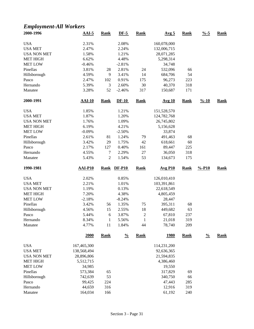## *Employment-All Workers*

| 2000-1996           | $AAI-5$          | <b>Rank</b>        | $DF-5$         | <b>Rank</b>        | Avg <sub>5</sub> | <b>Rank</b> | $\frac{9}{6} - 5$  | <b>Rank</b> |
|---------------------|------------------|--------------------|----------------|--------------------|------------------|-------------|--------------------|-------------|
| <b>USA</b>          | 2.31%            |                    | 2.08%          |                    | 160,078,000      |             |                    |             |
| <b>USA MET</b>      | 2.47%            |                    | 2.24%          |                    | 132,006,715      |             |                    |             |
| <b>USA NON MET</b>  | 1.58%            |                    | 1.21%          |                    | 28,071,285       |             |                    |             |
| <b>MET HIGH</b>     | 6.62%            |                    | 4.48%          |                    | 5,298,314        |             |                    |             |
| <b>MET LOW</b>      | $-0.46%$         |                    | $-2.81%$       |                    | 34,748           |             |                    |             |
| Pinellas            | 3.81%            | 28                 | 2.81%          | 24                 | 532,096          | 66          |                    |             |
| Hillsborough        | 4.59%            | 9                  | 3.41%          | 14                 | 684,706          | 54          |                    |             |
| Pasco               | 2.47%            | 102                | 0.91%          | 175                | 96,273           | 223         |                    |             |
| Hernando            | 5.39%            | 3                  | 2.60%          | 30                 | 40,370           | 318         |                    |             |
| Manatee             | 3.28%            | 52                 | $-2.46%$       | 317                | 150,687          | 171         |                    |             |
| 2000-1991           | $AAI-10$         | <b>Rank</b>        | $DF-10$        | Rank               | <b>Avg 10</b>    | <b>Rank</b> | $\frac{9}{6} - 10$ | <b>Rank</b> |
| <b>USA</b>          | 1.85%            |                    | 1.21%          |                    | 151,528,570      |             |                    |             |
| <b>USA MET</b>      | 1.87%            |                    | 1.20%          |                    | 124,782,768      |             |                    |             |
| <b>USA NON MET</b>  | 1.76%            |                    | 1.09%          |                    | 26,745,802       |             |                    |             |
| <b>MET HIGH</b>     | 6.19%            |                    | 4.21%          |                    | 5,156,628        |             |                    |             |
| <b>MET LOW</b>      | $-0.09%$         |                    | $-2.50%$       |                    | 33,874           |             |                    |             |
| Pinellas            | 2.61%            | 81                 | 1.24%          | 79                 | 491,463          | 68          |                    |             |
| Hillsborough        | 3.42%            | 29                 | 1.75%          | 42                 | 618,661          | 60          |                    |             |
| Pasco               | 2.17%            | 127                | 0.40%          | 161                | 89,447           | 225         |                    |             |
| Hernando            | 4.55%            | 7                  | 2.29%          | 27                 | 36,050           | 318         |                    |             |
| Manatee             | 5.43%            | $\overline{2}$     | 1.54%          | 53                 | 134,673          | 175         |                    |             |
|                     |                  |                    |                |                    |                  |             |                    |             |
| 1990-1981           | $AAI-P10$        | <b>Rank</b>        | <b>DF-P10</b>  | <b>Rank</b>        | <b>Avg P10</b>   | <b>Rank</b> | $% -P10$           | <b>Rank</b> |
|                     |                  |                    |                |                    |                  |             |                    |             |
| <b>USA</b>          | 2.02%            |                    | 0.85%          |                    | 126,010,410      |             |                    |             |
| <b>USA MET</b>      | 2.21%            |                    | 1.01%          |                    | 103,391,861      |             |                    |             |
| <b>USA NON MET</b>  | 1.19%            |                    | 0.13%          |                    | 22,618,549       |             |                    |             |
| <b>MET HIGH</b>     | 7.20%            |                    | 4.38%          |                    | 4,805,459        |             |                    |             |
| <b>MET LOW</b>      | $-2.18%$         |                    | $-8.24%$       |                    | 28,447           |             |                    |             |
| Pinellas            | 3.42%            | 56                 | 1.35%          | 75                 | 395,311          | 68          |                    |             |
| Hillsborough        | 4.56%<br>5.44%   | 15<br>6            | 2.55%          | 18                 | 449,682          | 63          |                    |             |
| Pasco               |                  |                    | 3.87%          | $\overline{2}$     | 67,810           | 237         |                    |             |
| Hernando<br>Manatee | 8.34%<br>4.77%   | $\mathbf{1}$<br>11 | 5.56%<br>1.84% | $\mathbf{1}$<br>44 | 21,018<br>78,740 | 319<br>209  |                    |             |
|                     | 2000             | <b>Rank</b>        | $\frac{0}{0}$  | <b>Rank</b>        | <u>1980</u>      | <b>Rank</b> | $\frac{0}{0}$      | <b>Rank</b> |
| <b>USA</b>          |                  |                    |                |                    | 114,231,200      |             |                    |             |
|                     | 167,465,300      |                    |                |                    |                  |             |                    |             |
| <b>USA MET</b>      | 138,568,494      |                    |                |                    | 92,636,365       |             |                    |             |
| <b>USA NON MET</b>  | 28,896,806       |                    |                |                    | 21,594,835       |             |                    |             |
| <b>MET HIGH</b>     | 5,512,715        |                    |                |                    | 4,386,460        |             |                    |             |
| <b>MET LOW</b>      | 34,985           |                    |                |                    | 19,550           |             |                    |             |
| Pinellas            | 573,384          | 65                 |                |                    | 317,829          | 69          |                    |             |
| Hillsborough        | 742,639          | 53                 |                |                    | 340,750          | 66          |                    |             |
| Pasco<br>Hernando   | 99,425<br>44,659 | 224<br>316         |                |                    | 47,443<br>12,916 | 285<br>319  |                    |             |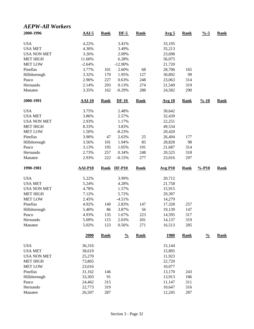#### *AEPW-All Workers*

| 2000-1996          | $AAI-5$          | <b>Rank</b> | $DF-5$        | <b>Rank</b> | Avg <sub>5</sub> | <b>Rank</b> | $\frac{0}{6}$ -5   | <b>Rank</b> |
|--------------------|------------------|-------------|---------------|-------------|------------------|-------------|--------------------|-------------|
| <b>USA</b>         | 4.22%            |             | 3.41%         |             | 33,195           |             |                    |             |
| <b>USA MET</b>     | 4.30%            |             | 3.49%         |             | 35,213           |             |                    |             |
| <b>USA NON MET</b> | 3.26%            |             | 2.09%         |             | 23,698           |             |                    |             |
| <b>MET HIGH</b>    | 11.60%           |             | 6.28%         |             | 56,075           |             |                    |             |
| <b>MET LOW</b>     | $-2.64%$         |             | $-12.90%$     |             | 21,720           |             |                    |             |
| Pinellas           | 3.77%            | 101         | 2.60%         | 68          | 28,706           | 165         |                    |             |
| Hillsborough       | 3.32%            | 170         | 1.95%         | 127         | 30,892           | 99          |                    |             |
| Pasco              | 2.90%            | 227         | 0.63%         | 248         | 23,063           | 314         |                    |             |
| Hernando           | 2.14%            | 293         | 0.13%         | 274         | 21,549           | 319         |                    |             |
| Manatee            | 3.35%            | 162         | $-0.29%$      | 288         | 24,582           | 290         |                    |             |
| 2000-1991          | <b>AAI-10</b>    | <b>Rank</b> | $DF-10$       | <b>Rank</b> | <b>Avg 10</b>    | <b>Rank</b> | $\frac{9}{6} - 10$ | <b>Rank</b> |
| <b>USA</b>         | 3.75%            |             | 2.48%         |             | 30,642           |             |                    |             |
| <b>USA MET</b>     | 3.86%            |             | 2.57%         |             | 32,439           |             |                    |             |
| <b>USA NON MET</b> | 2.93%            |             | 1.17%         |             | 22,251           |             |                    |             |
| <b>MET HIGH</b>    | 8.33%            |             | 3.83%         |             | 49,534           |             |                    |             |
| <b>MET LOW</b>     | 1.50%            |             | $-8.23%$      |             | 20,420           |             |                    |             |
| Pinellas           | 3.90%            | 47          | 2.63%         | 25          | 26,494           | 177         |                    |             |
| Hillsborough       | 3.56%            | 101         | 1.94%         | 85          | 28,828           | 98          |                    |             |
| Pasco              | 3.13%            | 195         | 1.05%         | 191         | 21,687           | 314         |                    |             |
| Hernando           | 2.73%            | 257         | 0.34%         | 248         | 20,525           | 318         |                    |             |
| Manatee            | 2.93%            | 222         | $-0.15%$      | 277         | 23,016           | 297         |                    |             |
|                    |                  |             |               |             |                  |             |                    |             |
| 1990-1981          | <b>AAI-P10</b>   | <b>Rank</b> | $DF-P10$      | <b>Rank</b> | <b>Avg P10</b>   | <b>Rank</b> | $% -P10$           | <b>Rank</b> |
| <b>USA</b>         | 5.22%            |             | 3.99%         |             | 20,712           |             |                    |             |
| <b>USA MET</b>     | 5.24%            |             | 4.28%         |             | 21,758           |             |                    |             |
| <b>USA NON MET</b> | 4.78%            |             | 1.57%         |             | 15,915           |             |                    |             |
| <b>MET HIGH</b>    | 7.12%            |             | 5.72%         |             | 29,397           |             |                    |             |
| <b>MET LOW</b>     | 2.45%            |             | $-4.51%$      |             | 14,279           |             |                    |             |
| Pinellas           | 4.92%            | 140         | 2.83%         | 147         | 17,328           | 257         |                    |             |
| Hillsborough       | 5.40%            | 86          | 3.87%         | 56          | 19,139           | 147         |                    |             |
| Pasco              | 4.93%            | 135         | 1.67%         | 223         | 14,595           | 317         |                    |             |
| Hernando           | 5.09%            | 115         | 2.03%         | 201         | 14,137           | 319         |                    |             |
| Manatee            | 5.02%            | 123         | 0.56%         | 271         | 16,513           | 285         |                    |             |
|                    | 2000             | <b>Rank</b> | $\frac{0}{0}$ | <b>Rank</b> | <u>1980</u>      | <b>Rank</b> | $\frac{0}{0}$      | <b>Rank</b> |
| <b>USA</b>         | 36,316           |             |               |             | 15,144           |             |                    |             |
| <b>USA MET</b>     | 38,619           |             |               |             | 15,895           |             |                    |             |
| <b>USA NON MET</b> | 25,270           |             |               |             | 11,923           |             |                    |             |
| <b>MET HIGH</b>    | 73,865           |             |               |             | 22,720           |             |                    |             |
| <b>MET LOW</b>     | 23,016           |             |               |             | 10,077           |             |                    |             |
| Pinellas           | 31,162           | 146         |               |             | 13,170           | 243         |                    |             |
| Hillsborough       | 33,303           | 91          |               |             | 13,913           | 186         |                    |             |
| Pasco              |                  |             |               |             | 11,147           |             |                    |             |
| Hernando           | 24,462<br>22,773 | 315<br>319  |               |             | 10,647           | 311<br>316  |                    |             |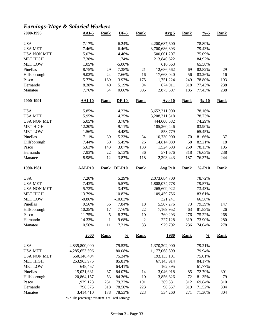# *Earnings-Wage & Salaried Workers*

| 2000-1996          | $AAI-5$              | <b>Rank</b>  | $DF-5$           | <b>Rank</b>      | <u>Avg 5</u>      | <b>Rank</b> | $\frac{0}{6} - 5$  | <b>Rank</b> |
|--------------------|----------------------|--------------|------------------|------------------|-------------------|-------------|--------------------|-------------|
| <b>USA</b>         | 7.17%                |              | 6.24%            |                  | 4,200,687,600     |             | 78.89%             |             |
| <b>USA MET</b>     | 7.46%                |              | 6.46%            |                  | 3,700,686,393     |             | 79.43%             |             |
| <b>USA NON MET</b> | 5.07%                |              | 4.46%            |                  | 500,001,207       |             | 75.09%             |             |
| <b>MET HIGH</b>    | 17.38%               |              | 11.74%           |                  | 213,840,622       |             | 84.92%             |             |
| <b>MET LOW</b>     | 1.05%                |              | $-5.00\%$        |                  | 610,563           |             | 65.58%             |             |
| Pinellas           | 8.75%                | 29           | 7.38%            | 21               | 12,686,562        | 69          | 82.82%             | 29          |
| Hillsborough       | 9.02%                | 24           | 7.66%            | 16               | 17,668,040        | 56          | 83.26%             | 16          |
| Pasco              | 5.77%                | 169          | 3.97%            | 175              | 1,751,224         | 249         | 78.80%             | 193         |
| Hernando           | 8.38%                | 40           | 5.19%            | 94               | 674,911           | 318         | 77.43%             | 238         |
| Manatee            | 7.76%                | 54           | 0.66%            | 305              | 2,875,507         | 185         | 77.43%             | 238         |
| 2000-1991          | $AAI-10$             | <b>Rank</b>  | $DF-10$          | <b>Rank</b>      | <b>Avg 10</b>     | <b>Rank</b> | $\frac{9}{6} - 10$ | <b>Rank</b> |
| <b>USA</b>         | 5.85%                |              | 4.23%            |                  | 3,652,311,900     |             | 78.16%             |             |
| <b>USA MET</b>     | 5.95%                |              | 4.25%            |                  | 3,208,311,318     |             | 78.73%             |             |
| <b>USA NON MET</b> | 5.05%                |              | 3.78%            |                  | 444,000,582       |             | 74.29%             |             |
| <b>MET HIGH</b>    | 12.20%               |              | 9.11%            |                  | 185,260,446       |             | 83.90%             |             |
| <b>MET LOW</b>     | 1.56%                |              | $-4.48%$         |                  | 558,779           |             | 65.45%             |             |
| Pinellas           | 7.11%                | 39           | 5.23%            | 34               | 10,730,900        | 70          | 81.66%             | 37          |
| Hillsborough       | 7.44%                | 30           | 5.45%            | 26               | 14,814,089        | 58          | 82.21%             | 18          |
| Pasco              | 5.63%                | 143          | 3.07%            | 183              | 1,524,693         | 250         | 78.13%             | 195         |
| Hernando           | 7.93%                | 22           | 5.13%            | 36               | 571,676           | 318         | 76.63%             | 238         |
| Manatee            | 8.98%                | 12           | 3.87%            | 118              | 2,393,443         | 187         | 76.37%             | 244         |
|                    |                      |              |                  |                  |                   |             |                    |             |
| 1990-1981          | <b>AAI-P10</b>       | <b>Rank</b>  | <b>DF-P10</b>    | <b>Rank</b>      | <b>Avg P10</b>    | Rank        | $% -P10$           | <b>Rank</b> |
| <b>USA</b>         | 7.20%                |              | 5.29%            |                  | 2,073,684,700     |             | 78.72%             |             |
| <b>USA MET</b>     | 7.43%                |              | 5.57%            |                  | 1,808,074,778     |             | 79.57%             |             |
| <b>USA NON MET</b> | 5.72%                |              | 3.47%            |                  | 265,609,922       |             | 73.43%             |             |
| <b>MET HIGH</b>    | 13.79%               |              | 10.82%           |                  | 109,459,756       |             | 83.61%             |             |
| <b>MET LOW</b>     | $-0.86%$             |              | $-10.03%$        |                  | 321,241           |             | 66.58%             |             |
| Pinellas           | 9.56%                | 36           | 7.84%            | 18               | 5,507,276         | 73          | 79.39%             | 147         |
| Hillsborough       | 10.25%               | 17           | 7.76%            | $22\,$           | 7,169,952         | 63          | 81.83%             | 26          |
| Pasco              | 11.75%               | 5            | 8.37%            | 10               | 760,293           | 276         | 75.22%             | 268         |
| Hernando           | 14.33%               | $\mathbf{1}$ | 9.68%            | $\boldsymbol{2}$ | 227,128           | 319         | 73.90%             | 280         |
| Manatee            | 10.56%               | 11           | 7.21%            | 33               | 979,702           | 236         | 74.04%             | 278         |
|                    | 2000                 | <b>Rank</b>  | $\frac{0}{0}$    | <b>Rank</b>      | <u>1980</u>       | <b>Rank</b> | $\frac{0}{0}$      | <b>Rank</b> |
| <b>USA</b>         | 4,835,800,000        |              | 79.52%           |                  | 1,370,202,000     |             | 79.21%             |             |
| <b>USA MET</b>     | 4,285,653,596        |              | 80.08%           |                  | 1,177,068,899     |             | 79.94%             |             |
| <b>USA NON MET</b> | 550,146,404          |              | 75.34%           |                  | 193,133,101       |             | 75.01%             |             |
| <b>MET HIGH</b>    | 253,963,975          |              | 85.81%           |                  | 67,143,914        |             | 84.17%             |             |
| <b>MET LOW</b>     | 648,457              |              | 64.41%           |                  | 162,395           |             | 61.77%             |             |
| Pinellas           | 15,021,631           | 67           | 84.07%           | 14               | 3,046,918         | 85          | 72.79%             | 301         |
| Hillsborough       | 20,864,157           | 53           | 84.36%           | 10               | 3,856,626         | 72          | 81.35%             | 79          |
| Pasco              | 1,929,123            | 251          | 79.32%           | 191              | 369,331           | 312         | 69.84%             | 310         |
| Hernando           |                      |              |                  |                  |                   |             |                    |             |
|                    |                      |              |                  |                  |                   |             |                    |             |
| Manatee            | 798,375<br>3,414,410 | 318<br>178   | 78.50%<br>78.53% | 223<br>223       | 98,357<br>534,260 | 319<br>271  | 71.52%<br>71.30%   | 304<br>304  |

% = The percentage this item is of Total Earnings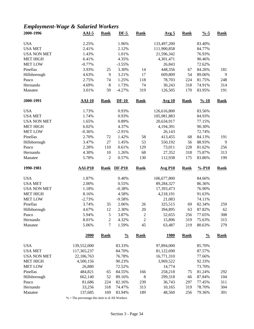# *Employment-Wage & Salaried Workers*

| 2000-1996             | $AAI-5$           | Rank             | $DF-5$           | <b>Rank</b>    | Avg <sub>5</sub>      | <b>Rank</b> | $\frac{9}{6} - 5$  | <b>Rank</b> |
|-----------------------|-------------------|------------------|------------------|----------------|-----------------------|-------------|--------------------|-------------|
| <b>USA</b>            | 2.25%             |                  | 1.96%            |                | 133,497,200           |             | 83.40%             |             |
| <b>USA MET</b>        | 2.41%             |                  | 2.12%            |                | 111,900,858           |             | 84.77%             |             |
| <b>USA NON MET</b>    | 1.43%             |                  | 1.01%            |                | 21,596,342            |             | 76.93%             |             |
| <b>MET HIGH</b>       | 6.41%             |                  | 4.35%            |                | 4,301,471             |             | 90.46%             |             |
| <b>MET LOW</b>        | $-0.77%$          |                  | $-3.55%$         |                | 26,843                |             | 72.62%             |             |
| Pinellas              | 3.93%             | 25               | 3.30%            | 14             | 448,356               | 67          | 84.26%             | 181         |
| Hillsborough          | 4.63%             | 9                | 3.21%            | 17             | 609,809               | 54          | 89.06%             | 9           |
| Pasco                 | 2.75%             | 74               | 1.25%            | 118            | 78,703                | 224         | 81.75%             | 248         |
| Hernando              | 4.69%             | $8\phantom{1}$   | 1.73%            | 74             | 30,243                | 318         | 74.91%             | 314         |
| Manatee               | 3.01%             | 59               | $-4.27%$         | 319            | 126,505               | 170         | 83.95%             | 191         |
| 2000-1991             | $AAI-10$          | <b>Rank</b>      | $DF-10$          | <b>Rank</b>    | <u>Avg 10</u>         | <b>Rank</b> | $\frac{9}{6} - 10$ | Rank        |
| <b>USA</b>            | 1.73%             |                  | 0.93%            |                | 126,616,800           |             | 83.56%             |             |
| <b>USA MET</b>        | 1.74%             |                  | 0.93%            |                | 105,981,883           |             | 84.93%             |             |
| <b>USA NON MET</b>    | 1.65%             |                  | 0.89%            |                | 20,634,917            |             | 77.15%             |             |
| <b>MET HIGH</b>       | 6.02%             |                  | 4.37%            |                | 4,194,391             |             | 90.30%             |             |
| <b>MET LOW</b>        | $-0.36%$          |                  | $-2.91%$         |                | 26,143                |             | 72.74%             |             |
| Pinellas              | 2.70%             | 72               | 1.42%            | 58             | 413,455               | 68          | 84.13%             | 191         |
|                       | 3.47%             | 27               | 1.45%            | 53             | 550,192               | 56          | 88.93%             | 9           |
| Hillsborough<br>Pasco | 2.28%             | 110              | 0.61%            | 129            | 73,011                | 228         | 81.62%             | 256         |
|                       |                   |                  |                  |                |                       |             |                    |             |
| Hernando              | 4.30%             | 10               | 1.26%            | 68             | 27,352                | 318         | 75.87%             | 313         |
| Manatee               | 5.78%             | $\mathfrak{2}$   | 0.57%            | 130            | 112,938               | 175         | 83.86%             | 199         |
| 1990-1981             | AAI-P10           | Rank             | <b>DF-P10</b>    | <b>Rank</b>    | $Avg$ P <sub>10</sub> | <b>Rank</b> | $% -P10$           | Rank        |
| <b>USA</b>            | 1.87%             |                  | 0.40%            |                | 106,677,800           |             | 84.66%             |             |
| <b>USA MET</b>        | 2.00%             |                  | 0.55%            |                | 89,284,327            |             | 86.36%             |             |
| <b>USA NON MET</b>    | 1.18%             |                  | $-0.38%$         |                | 17,393,473            |             | 76.90%             |             |
| <b>MET HIGH</b>       | 8.16%             |                  | 4.58%            |                | 4,218,191             |             | 91.63%             |             |
| <b>MET LOW</b>        | $-2.73%$          |                  | $-9.58%$         |                | 21,083                |             | 74.11%             |             |
| Pinellas              | 3.74%             | 35               | 2.06%            | 26             | 325,515               | 69          | 82.34%             | 259         |
| Hillsborough          | 4.67%             | 12               | 2.30%            | 20             | 394,895               | 63          | 87.82%             | 62          |
| Pasco                 | 5.94%             | 5                | 3.87%            | $\overline{2}$ | 52,655                | 256         | 77.65%             | 308         |
| Hernando              | 8.01%             | $\boldsymbol{2}$ | 4.32%            | $\sqrt{2}$     | 15,896                | 319         | 75.63%             | 315         |
| Manatee               | 5.06%             | $\tau$           | 1.59%            | 45             | 63,487                | 219         | 80.63%             | 279         |
|                       | 2000              | <b>Rank</b>      | $\frac{0}{0}$    | <b>Rank</b>    | <u>1980</u>           | <b>Rank</b> | $\frac{0}{0}$      | <b>Rank</b> |
| <b>USA</b>            | 139,552,000       |                  | 83.33%           |                | 97,894,000            |             | 85.70%             |             |
| <b>USA MET</b>        | 117,365,237       |                  | 84.70%           |                | 81,122,690            |             | 87.57%             |             |
| <b>USA NON MET</b>    | 22,186,763        |                  | 76.78%           |                | 16,771,310            |             | 77.66%             |             |
| <b>MET HIGH</b>       | 4,500,156         |                  | 90.23%           |                | 3,969,522             |             | 92.33%             |             |
|                       |                   |                  | 72.52%           |                | 14,774                |             | 73.70%             |             |
|                       |                   |                  |                  |                |                       |             |                    |             |
| <b>MET LOW</b>        | 26,880            |                  |                  |                |                       |             |                    |             |
| Pinellas              | 484,821           | 65               | 84.55%           | 166            | 258,218               | 75          | 81.24%             | 292         |
| Hillsborough          | 662,140           | 52               | 89.16%           | $\,$ 8 $\,$    | 299,318               | 66          | 87.84%             | 104         |
| Pasco                 | 81,686            | 224              | 82.16%           | 239            | 36,743                | 297         | 77.45%             | 311         |
| Hernando<br>Manatee   | 33,256<br>137,685 | 318<br>169       | 74.47%<br>83.94% | 313<br>189     | 10,165<br>48,560      | 319<br>256  | 78.70%<br>79.36%   | 304<br>301  |

 $\%$  = The percentage this item is of All Workers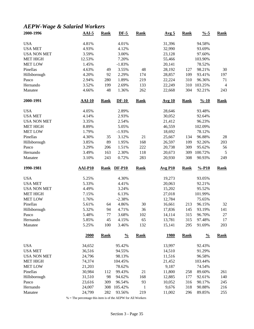# *AEPW-Wage & Salaried Workers*

| 2000-1996          | $AAI-5$        | <b>Rank</b> | $DF-5$        | <b>Rank</b>  | Avg <sub>5</sub> | <b>Rank</b> | $\frac{9}{6} - 5$  | <b>Rank</b>    |
|--------------------|----------------|-------------|---------------|--------------|------------------|-------------|--------------------|----------------|
| <b>USA</b>         | 4.81%          |             | 4.01%         |              | 31,396           |             | 94.58%             |                |
| <b>USA MET</b>     | 4.93%          |             | 4.12%         |              | 32,990           |             | 93.69%             |                |
| <b>USA NON MET</b> | 3.59%          |             | 3.00%         |              | 23,128           |             | 97.60%             |                |
| <b>MET HIGH</b>    | 12.53%         |             | 7.20%         |              | 55,466           |             | 103.90%            |                |
| <b>MET LOW</b>     | 1.45%          |             | $-1.83%$      |              | 20,141           |             | 78.52%             |                |
| Pinellas           | 4.63%          | 49          | 3.55%         | 48           | 28,192           | 127         | 98.21%             | 30             |
| Hillsborough       | 4.20%          | 92          | 2.29%         | 174          | 28,857           | 109         | 93.41%             | 197            |
| Pasco              | 2.94%          | 280         | 1.89%         | 219          | 22,224           | 310         | 96.36%             | 71             |
| Hernando           | 3.52%          | 199         | 2.69%         | 133          | 22,249           | 310         | 103.25%            | $\overline{4}$ |
| Manatee            | 4.66%          | 48          | 1.36%         | 262          | 22,668           | 304         | 92.21%             | 243            |
| 2000-1991          | $AAI-10$       | <b>Rank</b> | $DF-10$       | <b>Rank</b>  | <b>Avg 10</b>    | <b>Rank</b> | $\frac{9}{6} - 10$ | <b>Rank</b>    |
| <b>USA</b>         | 4.05%          |             | 2.89%         |              | 28,646           |             | 93.48%             |                |
| <b>USA MET</b>     | 4.14%          |             | 2.93%         |              | 30,052           |             | 92.64%             |                |
| <b>USA NON MET</b> | 3.35%          |             | 2.54%         |              | 21,412           |             | 96.23%             |                |
| <b>MET HIGH</b>    | 8.89%          |             | 5.05%         |              | 46,559           |             | 102.09%            |                |
| <b>MET LOW</b>     | 1.79%          |             | $-1.93%$      |              | 18,692           |             | 78.12%             |                |
| Pinellas           | 4.30%          | 35          | 3.12%         | 21           | 25,667           | 134         | 96.88%             | 28             |
| Hillsborough       | 3.85%          | 89          | 1.95%         | 168          | 26,597           | 109         | 92.26%             | 203            |
| Pasco              | 3.29%          | 206         | 1.51%         | 222          | 20,738           | 309         | 95.62%             | 56             |
| Hernando           | 3.49%          | 163         | 2.30%         | 118          | 20,673           | 309         | 100.72%            | $\sqrt{5}$     |
| Manatee            | 3.10%          | 243         | 0.72%         | 283          | 20,930           | 308         | 90.93%             | 249            |
|                    |                |             |               |              |                  |             |                    |                |
| 1990-1981          | <b>AAI-P10</b> | <b>Rank</b> | <b>DF-P10</b> | <b>Rank</b>  | <b>Avg P10</b>   | <b>Rank</b> | $% -P10$           | <b>Rank</b>    |
| <b>USA</b>         | 5.25%          |             | 4.30%         |              | 19,273           |             | 93.05%             |                |
| <b>USA MET</b>     | 5.33%          |             | 4.41%         |              | 20,063           |             | 92.21%             |                |
| <b>USA NON MET</b> | 4.49%          |             | 3.24%         |              | 15,202           |             | 95.52%             |                |
| <b>MET HIGH</b>    | 7.15%          |             | 6.13%         |              | 27,018           |             | 101.99%            |                |
| <b>MET LOW</b>     | 1.76%          |             | $-2.38%$      |              | 12,784           |             | 75.65%             |                |
| Pinellas           | 5.61%          | 64          | 4.86%         | 30           | 16,661           | 213         | 96.15%             | 32             |
| Hillsborough       | 5.32%          | 94          | 4.71%         | 36           | 17,836           | 145         | 93.19%             | 141            |
| Pasco              | 5.48%          | 77          | 3.68%         | 102          | 14,114           | 315         | 96.70%             | 27             |
| Hernando           | 5.85%          | 45          | 4.15%         | 65           | 13,781           | 315         | 97.48%             | 17             |
| Manatee            | 5.25%          | 100         | 3.46%         | 132          | 15,141           | 295         | 91.69%             | 203            |
|                    | 2000           | <b>Rank</b> | $\frac{0}{0}$ | <b>Rank</b>  | <u>1980</u>      | <b>Rank</b> | $\frac{0}{0}$      | <b>Rank</b>    |
| <b>USA</b>         | 34,652         |             | 95.42%        |              | 13,997           |             | 92.43%             |                |
| <b>USA MET</b>     | 36,516         |             | 94.55%        |              | 14,510           |             | 91.29%             |                |
| <b>USA NON MET</b> | 24,796         |             | 98.13%        |              | 11,516           |             | 96.58%             |                |
| <b>MET HIGH</b>    | 74,374         |             | 104.45%       |              | 21,452           |             | 103.44%            |                |
| <b>MET LOW</b>     | 21,203         |             | 78.62%        |              | 9,187            |             | 74.54%             |                |
| Pinellas           | 30,984         | 112         | 99.43%        | 21           | 11,800           | 258         | 89.60%             | 261            |
| Hillsborough       | 31,510         | 98          | 94.62%        | 168          | 12,885           | 177         | 92.61%             | 140            |
| Pasco              | 23,616         | 309         | 96.54%        | 93           | 10,052           | 316         | 90.17%             | 245            |
| Hernando           | 24,007         | 308         | 105.42%       | $\mathbf{1}$ | 9,676            | 318         | 90.88%             | 216            |
|                    |                |             |               |              |                  |             |                    |                |
| Manatee            | 24,799         | 282         | 93.56%        | 219          | 11,002           | 296         | 89.85%             | 255            |

% = The percentage this item is of the AEPW for All Workers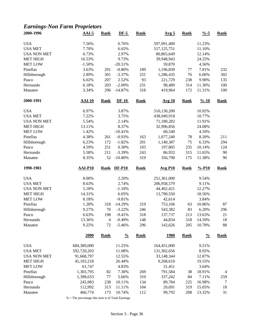## *Earnings-Non Farm Proprietors*

| 2000-1996          | $AAI-5$        | <b>Rank</b>    | $DF-5$        | <b>Rank</b> | Avg <sub>5</sub> | <b>Rank</b> | $\frac{9}{6} - 5$  | <b>Rank</b>    |
|--------------------|----------------|----------------|---------------|-------------|------------------|-------------|--------------------|----------------|
| <b>USA</b>         | 7.56%          |                | 6.76%         |             | 597,991,400      |             | 11.23%             |                |
| <b>USA MET</b>     | 7.70%          |                | 6.65%         |             | 517, 125, 751    |             | 11.10%             |                |
| <b>USA NON MET</b> | 6.73%          |                | 2.97%         |             | 80,865,649       |             | 12.14%             |                |
| <b>MET HIGH</b>    | 16.53%         |                | 9.73%         |             | 39,948,943       |             | 24.25%             |                |
| <b>MET LOW</b>     | $-1.50%$       |                | $-20.51%$     |             | 59,870           |             | 4.56%              |                |
| Pinellas           | 3.63%          | 291            | $-0.80%$      | 189         | 1,196,830        | 77          | 7.81%              | 232            |
| Hillsborough       | 2.89%          | 301            | $-3.37%$      | 251         | 1,286,435        | 76          | 6.06%              | 302            |
| Pasco              | 6.02%          | 207            | 2.52%         | 93          | 221,729          | 238         | 9.98%              | 135            |
| Hernando           | 6.18%          | 203            | $-2.09%$      | 231         | 98,489           | 314         | 11.30%             | 100            |
| Manatee            | 3.34%          | 296            | $-14.87%$     | 318         | 419,964          | 172         | 11.31%             | 100            |
| 2000-1991          | <b>AAI-10</b>  | <b>Rank</b>    | $DF-10$       | <b>Rank</b> | <b>Avg 10</b>    | <b>Rank</b> | $\frac{9}{6} - 10$ | <b>Rank</b>    |
| <b>USA</b>         | 6.97%          |                | 3.87%         |             | 510,130,200      |             | 10.92%             |                |
| <b>USA MET</b>     | 7.22%          |                | 3.75%         |             | 438,949,918      |             | 10.77%             |                |
| <b>USA NON MET</b> | 5.54%          |                | 2.14%         |             | 71,180,282       |             | 11.91%             |                |
| <b>MET HIGH</b>    | 13.11%         |                | 8.37%         |             | 32,996,856       |             | 24.08%             |                |
| <b>MET LOW</b>     | 1.42%          |                | $-10.41%$     |             | 60,540           |             | 4.59%              |                |
| Pinellas           | 4.38%          | 261            | $-0.93%$      | 163         | 1,077,240        | 78          | 8.20%              | 211            |
| Hillsborough       | 6.23%          | 172            | $-1.82%$      | 201         | 1,140,387        | 75          | 6.33%              | 294            |
| Pasco              | 4.59%          | 251            | 0.30%         | 103         | 197,805          | 235         | 10.14%             | 124            |
| Hernando           | 5.58%          | 211            | $-3.39%$      | 243         | 86,932           | 315         | 11.65%             | 90             |
| Manatee            | 8.35%          | 52             | $-10.80%$     | 319         | 356,798          | 175         | 11.38%             | 96             |
|                    |                |                |               |             |                  |             |                    |                |
| 1990-1981          | <b>AAI-P10</b> | <b>Rank</b>    | <b>DF-P10</b> | <b>Rank</b> | <b>Avg P10</b>   | <b>Rank</b> | $% -P10$           | <b>Rank</b>    |
| <b>USA</b>         | 8.00%          |                | 2.20%         |             | 251,361,000      |             | 9.54%              |                |
| <b>USA MET</b>     | 8.63%          |                | 2.74%         |             | 206,958,579      |             | 9.11%              |                |
| <b>USA NON MET</b> | 5.18%          |                | $-1.10%$      |             | 44,402,421       |             | 12.27%             |                |
| <b>MET HIGH</b>    | 14.31%         |                | 6.05%         |             | 13,790,550       |             | 18.56%             |                |
| <b>MET LOW</b>     | 0.18%          |                | $-9.81%$      |             | 42,614           |             | 3.84%              |                |
| Pinellas           | 1.28%          | 318            | $-14.29%$     | 319         | 753,106          | 63          | 10.86%             | 87             |
| Hillsborough       | 9.27%          | 70             | $-3.22%$      | 246         | 543,382          | 83          | 6.20%              | 296            |
| Pasco              | 6.63%          | 198            | $-9.41%$      | 318         | 137,737          | 213         | 13.63%             | 21             |
| Hernando           | 13.36%         | $\overline{4}$ | $-0.49%$      | 148         | 44,834           | 318         | 14.59%             | 18             |
| Manatee            | 9.25%          | 72             | $-5.46%$      | 296         | 142,626          | 205         | 10.78%             | 88             |
|                    | 2000           | <b>Rank</b>    | $\frac{0}{0}$ | <b>Rank</b> | <u>1980</u>      | <b>Rank</b> | $\frac{0}{0}$      | <b>Rank</b>    |
| <b>USA</b>         | 684,389,000    |                | 11.25%        |             | 164,451,000      |             | 9.51%              |                |
| <b>USA MET</b>     | 592,720,203    |                | 11.08%        |             | 131,302,656      |             | 8.92%              |                |
| <b>USA NON MET</b> | 91,668,797     |                | 12.55%        |             | 33,148,344       |             | 12.87%             |                |
| <b>MET HIGH</b>    | 45,103,218     |                | 26.44%        |             | 9,268,610        |             | 19.55%             |                |
| <b>MET LOW</b>     | 61,747         |                | 4.83%         |             | 31,451           |             | 3.64%              |                |
| Pinellas           | 1,303,795      | 82             | 7.30%         | 269         | 791,584          | 38          | 18.91%             | $\overline{4}$ |
| Hillsborough       | 1,398,633      | 77             | 5.66%         | 310         | 337,242          | 84          | 7.11%              | 259            |
| Pasco              | 245,983        | 238            | 10.11%        | 134         | 89,784           | 225         | 16.98%             | 7              |
| Hernando           | 112,992        | 313            | 11.11%        | 104         | 20,691           | 319         | 15.05%             | 18             |
| Manatee            | 466,774        | 173            | 10.74%        | 112         | 99,792           | 208         | 13.32%             | 31             |
|                    |                |                |               |             |                  |             |                    |                |

% = The percentage this item is of Total Earnings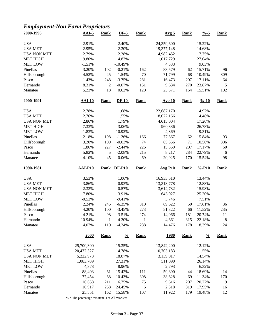## *Employment-Non Farm Proprietors*

| 2000-1996           | $AAI-5$          | <b>Rank</b>    | $DF-5$           | <b>Rank</b>  | Avg <sub>5</sub> | <b>Rank</b> | $\frac{9}{6} - 5$  | <b>Rank</b> |
|---------------------|------------------|----------------|------------------|--------------|------------------|-------------|--------------------|-------------|
| <b>USA</b>          | 2.91%            |                | 2.40%            |              | 24,359,600       |             | 15.22%             |             |
| <b>USA MET</b>      | 2.95%            |                | 2.30%            |              | 19,377,148       |             | 14.68%             |             |
| <b>USA NON MET</b>  | 2.79%            |                | 2.38%            |              | 4,982,452        |             | 17.75%             |             |
| <b>MET HIGH</b>     | 9.80%            |                | 4.83%            |              | 1,017,729        |             | 27.04%             |             |
| <b>MET LOW</b>      | $-1.51%$         |                | $-10.49%$        |              | 4,333            |             | 9.03%              |             |
| Pinellas            | 3.20%            | 102            | $-0.21%$         | 162          | 83,579           | 62          | 15.71%             | 96          |
| Hillsborough        | 4.52%            | 45             | 1.54%            | 70           | 71,799           | 68          | 10.49%             | 309         |
| Pasco               | 1.43%            | 248            | $-3.75%$         | 281          | 16,473           | 207         | 17.11%             | 64          |
| Hernando            | 8.31%            | $\mathfrak{2}$ | $-0.07%$         | 151          | 9,634            | 270         | 23.87%             | 5           |
| Manatee             | 5.23%            | 18             | 0.62%            | 120          | 23,371           | 164         | 15.51%             | 102         |
| 2000-1991           | $AAI-10$         | <b>Rank</b>    | $DF-10$          | <b>Rank</b>  | <b>Avg 10</b>    | <b>Rank</b> | $\frac{9}{6} - 10$ | <b>Rank</b> |
| <b>USA</b>          | 2.78%            |                | 1.68%            |              | 22,687,170       |             | 14.97%             |             |
| <b>USA MET</b>      | 2.76%            |                | 1.55%            |              | 18,072,166       |             | 14.48%             |             |
| <b>USA NON MET</b>  | 2.86%            |                | 1.79%            |              | 4,615,004        |             | 17.26%             |             |
| <b>MET HIGH</b>     | 7.33%            |                | 3.06%            |              | 960,836          |             | 26.78%             |             |
| <b>MET LOW</b>      | $-1.83%$         |                | $-10.92%$        |              | 4,369            |             | 9.31%              |             |
| Pinellas            | 2.18%            | 198            | $-1.36%$         | 166          | 77,867           | 62          | 15.84%             | 93          |
| Hillsborough        | 3.20%            | 109            | $-0.03%$         | 74           | 65,356           | 71          | 10.56%             | 306         |
| Pasco               | 1.86%            | 227            | $-2.44%$         | 226          | 15,359           | 207         | 17.17%             | 60          |
| Hernando            | 5.82%            | 5              | $-2.08%$         | 215          | 8,217            | 284         | 22.79%             | 6           |
|                     |                  | 45             | 0.06%            | 69           | 20,925           | 170         |                    | 98          |
| Manatee             | 4.10%            |                |                  |              |                  |             | 15.54%             |             |
| 1990-1981           | AAI-P10          | Rank           | <b>DF-P10</b>    | <b>Rank</b>  | <b>Avg P10</b>   | <b>Rank</b> | $% -P10$           | <b>Rank</b> |
| <b>USA</b>          | 3.53%            |                | 1.06%            |              | 16,933,510       |             | 13.44%             |             |
| <b>USA MET</b>      | 3.86%            |                | 0.93%            |              | 13,318,778       |             | 12.88%             |             |
| <b>USA NON MET</b>  | 2.32%            |                | 0.57%            |              | 3,614,732        |             | 15.98%             |             |
| <b>MET HIGH</b>     | 7.80%            |                | 3.91%            |              | 643,027          |             | 25.20%             |             |
| <b>MET LOW</b>      | $-0.53%$         |                | $-9.41%$         |              | 3,746            |             | 7.51%              |             |
| Pinellas            | 2.24%            | 245            | $-6.35%$         | 310          | 69,622           | 50          | 17.61%             | 36          |
| Hillsborough        | 4.20%            | 100            | $-3.45%$         | 273          | 51,822           | 66          | 11.52%             | 235         |
| Pasco               | 4.21%            | 98             | $-3.51%$         | 274          | 14,066           | 181         | 20.74%             | 11          |
| Hernando            | 10.94%           | $\mathbf{1}$   | 4.30%            | $\mathbf{1}$ | 4,661            | 315         | 22.18%             | $\,8\,$     |
| Manatee             | 4.07%            | 110            | $-4.24%$         | 288          | 14,476           | 178         | 18.39%             | 24          |
|                     | 2000             | <b>Rank</b>    | $\frac{0}{0}$    | <b>Rank</b>  | <u>1980</u>      | <b>Rank</b> | $\frac{0}{0}$      | <b>Rank</b> |
| <b>USA</b>          | 25,700,300       |                | 15.35%           |              | 13,842,200       |             | 12.12%             |             |
| <b>USA MET</b>      | 20,477,327       |                | 14.78%           |              | 10,703,183       |             | 11.55%             |             |
| <b>USA NON MET</b>  | 5,222,973        |                | 18.07%           |              | 3,139,017        |             | 14.54%             |             |
|                     |                  |                | 27.31%           |              | 511,090          |             | 26.14%             |             |
|                     |                  |                |                  |              |                  |             |                    |             |
| <b>MET HIGH</b>     | 1,083,709        |                |                  |              |                  |             |                    |             |
| <b>MET LOW</b>      | 4,378            |                | 8.96%            |              | 2,793            |             | 6.32%              |             |
| Pinellas            | 88,403           | 61             | 15.42%           | 111          | 59,390           | 44          | 18.69%             | 14          |
| Hillsborough        | 77,454           | 68             | 10.43%           | 308          | 38,628           | 69          | 11.34%             | 170         |
| Pasco               | 16,658           | 211            | 16.75%           | 75           | 9,616            | 207         | 20.27%             | 9           |
| Hernando<br>Manatee | 10,917<br>25,551 | 258<br>162     | 24.45%<br>15.58% | 6<br>107     | 2,318<br>11,922  | 319<br>179  | 17.95%<br>19.48%   | 16<br>12    |

 $\%$  = The percentage this item is of All Workers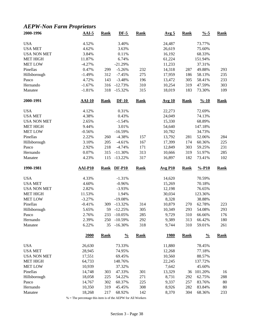## *AEPW-Non Farm Proprietors*

| 2000-1996           | $AAI-5$          | <b>Rank</b> | $DF-5$                 | <b>Rank</b> | Avg <sub>5</sub> | <b>Rank</b> | $\frac{9}{6} - 5$  | <b>Rank</b> |
|---------------------|------------------|-------------|------------------------|-------------|------------------|-------------|--------------------|-------------|
| <b>USA</b>          | 4.52%            |             | 3.40%                  |             | 24,487           |             | 73.77%             |             |
| <b>USA MET</b>      | 4.62%            |             | 3.63%                  |             | 26,619           |             | 75.60%             |             |
| <b>USA NON MET</b>  | 3.84%            |             | 0.11%                  |             | 16,192           |             | 68.33%             |             |
| <b>MET HIGH</b>     | 11.87%           |             | 6.74%                  |             | 61,224           |             | 151.94%            |             |
| <b>MET LOW</b>      | $-4.27%$         |             | $-21.29%$              |             | 11,233           |             | 37.31%             |             |
| Pinellas            | 0.47%            | 299         | $-5.26%$               | 232         | 14,318           | 287         | 49.88%             | 293         |
| Hillsborough        | $-1.49%$         | 312         | $-7.45%$               | 275         | 17,959           | 186         | 58.13%             | 235         |
| Pasco               | 4.72%            | 143         | $-3.48%$               | 196         | 13,472           | 305         | 58.41%             | 233         |
| Hernando            | $-1.67%$         | 316         | $-12.73%$              | 310         | 10,254           | 319         | 47.59%             | 303         |
| Manatee             | $-1.81%$         | 318         | $-15.32%$              | 315         | 18,019           | 183         | 73.30%             | 109         |
| 2000-1991           | $AAI-10$         | <b>Rank</b> | $DF-10$                | <b>Rank</b> | <b>Avg 10</b>    | <b>Rank</b> | $\frac{9}{6} - 10$ | <b>Rank</b> |
| <b>USA</b>          | 4.12%            |             | 0.31%                  |             | 22,273           |             | 72.69%             |             |
| <b>USA MET</b>      | 4.38%            |             | 0.43%                  |             | 24,049           |             | 74.13%             |             |
| <b>USA NON MET</b>  | 2.65%            |             | $-1.54%$               |             | 15,330           |             | 68.89%             |             |
| <b>MET HIGH</b>     | 9.44%            |             | 3.01%                  |             | 54,640           |             | 147.18%            |             |
| <b>MET LOW</b>      | $-0.56%$         |             | $-16.59%$              |             | 10,782           |             | 34.73%             |             |
| Pinellas            | 2.22%            | 260         | $-4.38%$               | 157         | 13,792           | 281         | 52.06%             | 284         |
| Hillsborough        | 3.10%            | 205         | $-4.61%$               | 167         | 17,399           | 174         | 60.36%             | 225         |
| Pasco               | 2.92%            | 218         | $-4.74%$               | 171         | 12,849           | 303         | 59.25%             | 231         |
| Hernando            | 0.07%            | 315         | $-11.30%$              | 313         | 10,666           | 319         | 51.97%             | 285         |
| Manatee             | 4.23%            | 115         | $-13.22%$              | 317         | 16,897           | 182         | 73.41%             | 102         |
|                     |                  |             |                        |             |                  |             |                    |             |
| 1990-1981           | <b>AAI-P10</b>   | <b>Rank</b> | <b>DF-P10</b>          | <b>Rank</b> | <b>Avg P10</b>   | <b>Rank</b> | $% -P10$           | <b>Rank</b> |
|                     |                  |             |                        |             |                  |             |                    |             |
| <b>USA</b>          | 4.33%            |             | $-1.31%$               |             | 14,620           |             | 70.59%             |             |
| <b>USA MET</b>      | 4.60%            |             | $-0.96%$               |             | 15,269           |             | 70.18%             |             |
| <b>USA NON MET</b>  | 2.82%            |             | $-3.93%$               |             | 12,198           |             | 76.65%             |             |
| <b>MET HIGH</b>     | 11.53%           |             | 1.94%                  |             | 30,034           |             | 123.36%            |             |
| <b>MET LOW</b>      | $-3.27%$         |             | $-19.08%$              |             | 8,328            |             | 38.88%             |             |
| Pinellas            | $-0.41%$         | 309         | $-13.32%$              | 314         | 10,879           | 270         | 62.78%             | 223         |
| Hillsborough        | 5.65%            | 59          | $-12.25%$              | 305         | 10,349           | 293         | 54.08%             | 293         |
| Pasco               | 2.76%            | 233         | $-10.05%$              | 285         | 9,729            | 310         | 66.66%             | 176         |
| Hernando<br>Manatee | 2.39%<br>6.22%   | 250<br>35   | $-10.59%$<br>$-16.30%$ | 292<br>318  | 9,389<br>9,744   | 313<br>310  | 66.42%<br>59.01%   | 180<br>261  |
|                     | 2000             | <b>Rank</b> | $\frac{0}{0}$          | <b>Rank</b> | <u>1980</u>      | <b>Rank</b> | $\frac{0}{0}$      | <b>Rank</b> |
|                     |                  |             |                        |             |                  |             |                    |             |
| <b>USA</b>          | 26,630           |             | 73.33%<br>74.95%       |             | 11,880           |             | 78.45%             |             |
| <b>USA MET</b>      | 28,945           |             |                        |             | 12,268           |             | 77.18%             |             |
| <b>USA NON MET</b>  | 17,551           |             | 69.45%                 |             | 10,560           |             | 88.57%             |             |
| <b>MET HIGH</b>     | 64,733           |             | 148.76%                |             | 22,245           |             | 137.72%            |             |
| <b>MET LOW</b>      | 10,939           |             | 37.32%                 |             | 7,642            |             | 45.60%             |             |
| Pinellas            | 14,748           | 303         | 47.33%                 | 301         | 13,329           | 36          | 101.20%            | 16          |
| Hillsborough        | 18,058           | 225         | 54.22%                 | 271         | 8,731            | 292         | 62.75%             | 288         |
| Pasco<br>Hernando   | 14,767<br>10,350 | 302<br>319  | 60.37%<br>45.45%       | 225<br>308  | 9,337<br>8,926   | 257<br>282  | 83.76%<br>83.84%   | 80<br>80    |

% = The percentage this item is of the AEPW for All Workers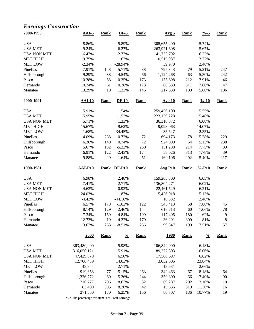## *Earnings-Construction*

| 2000-1996           | $AAI-5$           | <b>Rank</b> | $DF-5$         | <b>Rank</b> | Avg <sub>5</sub> | <b>Rank</b> | $\frac{9}{6} - 5$  | <b>Rank</b> |
|---------------------|-------------------|-------------|----------------|-------------|------------------|-------------|--------------------|-------------|
| <b>USA</b>          | 8.86%             |             | 5.89%          |             | 305,655,400      |             | 5.74%              |             |
| <b>USA MET</b>      | 9.24%             |             | 6.27%          |             | 263,921,608      |             | 5.67%              |             |
| <b>USA NON MET</b>  | 6.47%             |             | 2.77%          |             | 41,733,792       |             | 6.27%              |             |
| <b>MET HIGH</b>     | 19.75%            |             | 11.63%         |             | 10,515,987       |             | 13.77%             |             |
| <b>MET LOW</b>      | $-2.34%$          |             | $-28.94%$      |             | 39,970           |             | 2.46%              |             |
| Pinellas            | 7.91%             | 148         | 5.71%          | 38          | 797,343          | 79          | 5.21%              | 247         |
| Hillsborough        | 9.29%             | 88          | 4.54%          | 66          | 1,124,268        | 63          | 5.30%              | 242         |
| Pasco               | 10.38%            | 58          | 0.25%          | 173         | 175,698          | 212         | 7.91%              | 46          |
| Hernando            | 10.24%            | 61          | 0.28%          | 173         | 68,539           | 311         | 7.86%              | 47          |
| Manatee             | 13.29%            | 19          | 1.33%          | 146         | 217,538          | 189         | 5.86%              | 186         |
| 2000-1991           | $AAI-10$          | <b>Rank</b> | $DF-10$        | <b>Rank</b> | <b>Avg 10</b>    | <b>Rank</b> | $\frac{9}{6} - 10$ | <b>Rank</b> |
| <b>USA</b>          | 5.91%             |             | 1.54%          |             | 259,456,100      |             | 5.55%              |             |
| <b>USA MET</b>      | 5.95%             |             | 1.53%          |             | 223,139,228      |             | 5.48%              |             |
| <b>USA NON MET</b>  | 5.71%             |             | 1.33%          |             | 36,316,872       |             | 6.08%              |             |
| <b>MET HIGH</b>     | 15.67%            |             | 9.62%          |             | 9,098,063        |             | 14.07%             |             |
| <b>MET LOW</b>      | $-1.68%$          |             | $-34.45%$      |             | 35,547           |             | 2.35%              |             |
| Pinellas            | 4.09%             | 238         | 0.72%          | 72          | 694,173          | 78          | 5.28%              | 229         |
| Hillsborough        | 6.36%             | 149         | 0.74%          | 72          | 924,009          | 64          | 5.13%              | 238         |
| Pasco               | 5.67%             | 182         | $-5.32%$       | 250         | 151,288          | 214         | 7.75%              | 39          |
| Hernando            | 6.91%             | 122         | $-2.43%$       | 174         | 58,026           | 313         | 7.78%              | 39          |
| Manatee             | 9.88%             | 29          | 1.64%          | 51          | 169,106          | 202         | 5.40%              | 217         |
| 1990-1981           | <b>AAI-P10</b>    | <b>Rank</b> | <b>DF-P10</b>  | <b>Rank</b> | <b>Avg P10</b>   | <b>Rank</b> | $% -P10$           | <b>Rank</b> |
|                     |                   |             |                |             |                  |             |                    |             |
| <b>USA</b>          | 6.98%             |             | 2.48%          |             | 159,265,800      |             | 6.05%              |             |
| <b>USA MET</b>      | 7.41%             |             | 2.71%          |             | 136,804,271      |             | 6.02%              |             |
| <b>USA NON MET</b>  | 4.62%             |             | 0.92%          |             | 22,461,529       |             | 6.21%              |             |
| <b>MET HIGH</b>     | 24.03%            |             | 11.87%         |             | 5,426,018        |             | 15.13%             |             |
| <b>MET LOW</b>      | $-4.42%$          |             | $-44.18%$      |             | 16,332           |             | 2.46%              |             |
| Pinellas            | 6.57%             | 178         | $-1.62%$       | 122         | 545,413          | 68          | 7.86%              | 45          |
| Hillsborough        | 8.14%             | 129         | $-2.46%$       | 144         | 618,713          | 60          | 7.06%              | 78          |
| Pasco               | 7.34%             | 159         | $-4.84%$       | 199         | 117,405          | 180         | 11.62%             | 9           |
| Hernando            | 12.73%            | 19          | $-4.22%$       | 179         | 36,291           | 309         | 11.81%             | $\,8\,$     |
| Manatee             | 3.67%             | 253         | $-8.51%$       | 256         | 99,347           | 199         | 7.51%              | 57          |
|                     | 2000              | <b>Rank</b> | $\frac{0}{0}$  | <b>Rank</b> | <u>1980</u>      | <b>Rank</b> | $\frac{0}{0}$      | <b>Rank</b> |
| <b>USA</b>          | 363,480,000       |             | 5.98%          |             | 106,844,000      |             | 6.18%              |             |
| <b>USA MET</b>      | 316,050,121       |             | 5.91%          |             | 89,277,303       |             | 6.06%              |             |
| <b>USA NON MET</b>  | 47,429,879        |             | 6.50%          |             | 17,566,697       |             | 6.82%              |             |
| <b>MET HIGH</b>     | 12,706,439        |             | 14.63%         |             | 3,632,506        |             | 23.84%             |             |
| <b>MET LOW</b>      | 43,844            |             | 2.71%          |             | 18,631           |             | 2.66%              |             |
| Pinellas            | 919,658           | $77 \,$     | 5.15%          | 263         | 342,463          | 67          | 8.18%              | 64          |
| Hillsborough        | 1,326,772         | 60          | 5.36%          | 244         | 350,800          | 66          | 7.40%              | 90          |
|                     |                   |             |                |             |                  |             |                    |             |
|                     |                   |             |                |             |                  |             |                    |             |
| Pasco               | 210,777           | 206         | 8.67%          | 32          | 69,287           | 202         | 13.10%             | 10          |
| Hernando<br>Manatee | 83,400<br>271,850 | 305<br>180  | 8.20%<br>6.25% | 42<br>156   | 15,536<br>80,707 | 319<br>186  | 11.30%<br>10.77%   | 16<br>19    |

% = The percentage this item is of Total Earnings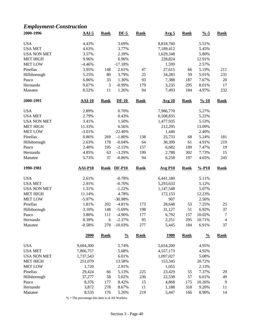## *Employment-Construction*

| 2000-1996           | $AAI-5$        | <b>Rank</b> | $DF-5$         | <b>Rank</b> | Avg <sub>5</sub> | <b>Rank</b> | $\frac{0}{6}$ -5   | <b>Rank</b>      |
|---------------------|----------------|-------------|----------------|-------------|------------------|-------------|--------------------|------------------|
| <b>USA</b>          | 4.43%          |             | 3.69%          |             | 8,818,760        |             | 5.51%              |                  |
| <b>USA MET</b>      | 4.63%          |             | 3.77%          |             | 7,189,412        |             | 5.45%              |                  |
| <b>USA NON MET</b>  | 3.57%          |             | 2.39%          |             | 1,629,348        |             | 5.80%              |                  |
| <b>MET HIGH</b>     | 9.96%          |             | 6.96%          |             | 228,824          |             | 12.91%             |                  |
| <b>MET LOW</b>      | $-4.46%$       |             | $-17.18%$      |             | 1,599            |             | 2.57%              |                  |
| Pinellas            | 3.95%          | 148         | 2.61%          | 47          | 27,615           | 66          | 5.19%              | 211              |
| Hillsborough        | 5.25%          | 80          | 3.79%          | 25          | 34,283           | 59          | 5.01%              | 231              |
| Pasco               | 6.86%          | 33          | 1.30%          | 93          | 7,388            | 187         | 7.67%              | 20               |
| Hernando            | 9.67%          | 3           | $-0.99%$       | 179         | 3,235            | 295         | 8.01%              | 17               |
| Manatee             | 8.52%          | 11          | 1.26%          | 94          | 7,493            | 184         | 4.97%              | 232              |
| 2000-1991           | $AAI-10$       | <b>Rank</b> | $DF-10$        | <b>Rank</b> | <b>Avg 10</b>    | <b>Rank</b> | $\frac{9}{6} - 10$ | <b>Rank</b>      |
| <b>USA</b>          | 2.89%          |             | 0.70%          |             | 7,986,770        |             | 5.27%              |                  |
| <b>USA MET</b>      | 2.79%          |             | 0.43%          |             | 6,508,835        |             | 5.22%              |                  |
| <b>USA NON MET</b>  | 3.41%          |             | 1.50%          |             | 1,477,935        |             | 5.53%              |                  |
| <b>MET HIGH</b>     | 11.33%         |             | 6.56%          |             | 212,295          |             | 13.09%             |                  |
| <b>MET LOW</b>      | $-3.01%$       |             | $-22.40%$      |             | 1,446            |             | 2.40%              |                  |
| Pinellas            | 0.86%          | 269         | $-1.80%$       | 138         | 25,733           | 68          | 5.24%              | 181              |
| Hillsborough        | 2.63%          | 178         | $-0.04%$       | 64          | 30,399           | 61          | 4.91%              | 219              |
| Pasco               | 2.40%          | 195         | $-2.15%$       | 157         | 6,682            | 189         | 7.47%              | 19               |
| Hernando            | 4.85%          | 63          | $-3.29%$       | 199         | 2,788            | 302         | 7.73%              | 15               |
| Manatee             | 5.73%          | 37          | $-0.86%$       | 94          | 6,258            | 197         | 4.65%              | 245              |
| 1990-1981           | <b>AAI-P10</b> | <b>Rank</b> | <b>DF-P10</b>  | <b>Rank</b> | <b>Avg P10</b>   | <b>Rank</b> | $% -P10$           | <b>Rank</b>      |
| <b>USA</b>          | 2.61%          |             | $-0.78%$       |             | 6,441,180        |             | 5.11%              |                  |
| <b>USA MET</b>      | 2.91%          |             | $-0.70%$       |             | 5,293,633        |             | 5.12%              |                  |
| <b>USA NON MET</b>  | 1.31%          |             | $-1.22%$       |             | 1,147,548        |             | 5.07%              |                  |
| <b>MET HIGH</b>     | 11.14%         |             | 4.78%          |             | 172,153          |             | 12.23%             |                  |
| <b>MET LOW</b>      | $-5.97%$       |             | $-30.98%$      |             | 907              |             | 2.56%              |                  |
| Pinellas            | 1.81%          | 202         | $-4.81%$       | 173         | 28,648           | 53          | 7.25%              | 25               |
| Hillsborough        | 3.10%          | 148         | $-5.69%$       | 198         | 31,127           | 51          | 6.92%              | 37               |
| Pasco               | 3.80%          | 111         | $-4.90%$       | 177         | 6,792            | 157         | 10.02%             | $\boldsymbol{7}$ |
| Hernando            | 8.39%          | 6           | $-2.37%$       | 95          | 2,251            | 295         | 10.71%             | $\overline{4}$   |
| Manatee             | $-0.58%$       | 278         | $-10.03%$      | 277         | 5,445            | 184         | 6.91%              | 37               |
|                     | 2000           | <b>Rank</b> | $\frac{0}{0}$  | <b>Rank</b> | <u>1980</u>      | <b>Rank</b> | $\frac{0}{0}$      | <b>Rank</b>      |
| <b>USA</b>          | 9,604,300      |             | 5.74%          |             | 5,654,200        |             | 4.95%              |                  |
| <b>USA MET</b>      | 7,866,757      |             | 5.68%          |             | 4,557,173        |             | 4.92%              |                  |
| <b>USA NON MET</b>  | 1,737,543      |             | 6.01%          |             | 1,097,027        |             | 5.08%              |                  |
| <b>MET HIGH</b>     | 251,070        |             | 13.58%         |             | 153,345          |             | 20.72%             |                  |
|                     |                |             | 2.91%          |             | 1,055            |             | 2.13%              |                  |
|                     |                |             |                |             |                  |             |                    |                  |
| <b>MET LOW</b>      | 1,720          |             |                |             |                  |             |                    |                  |
| Pinellas            | 29,424         | 66          | 5.13%          | 225         | 23,429           | 55          | 7.37%              | 29               |
| Hillsborough        | 37,277         | 58          | 5.02%          | 236         | 22,538           | 57          | 6.61%              | 49               |
| Pasco               | 8,376          | 177         | 8.42%          | 15          | 4,868            | 175         | 10.26%             | 9                |
| Hernando<br>Manatee | 3,872<br>8,535 | 278<br>176  | 8.67%<br>5.20% | 11<br>219   | 1,188<br>5,447   | 318<br>166  | 9.20%<br>8.90%     | 11<br>14         |

 $\%$  = The percentage this item is of All Workers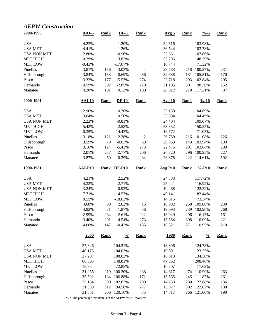### *AEPW-Construction*

| 2000-1996           | $AAI-5$          | <b>Rank</b> | $DF-5$               | <b>Rank</b>    | Avg <sub>5</sub> | <b>Rank</b> | $\frac{9}{6} - 5$  | <b>Rank</b> |
|---------------------|------------------|-------------|----------------------|----------------|------------------|-------------|--------------------|-------------|
| <b>USA</b>          | 4.23%            |             | 1.20%                |                | 34,516           |             | 103.98%            |             |
| <b>USA MET</b>      | 4.41%            |             | 1.26%                |                | 36,544           |             | 103.78%            |             |
| <b>USA NON MET</b>  | 2.80%            |             | $-0.96%$             |                | 25,561           |             | 107.86%            |             |
| <b>MET HIGH</b>     | 10.29%           |             | 3.82%                |                | 55,296           |             | 148.39%            |             |
| <b>MET LOW</b>      | $-0.43%$         |             | $-17.07%$            |                | 16,744           |             | 71.32%             |             |
| Pinellas            | 3.81%            | 136         | 3.03%                | 4              | 28,783           | 218         | 100.27%            | 231         |
| Hillsborough        | 3.84%            | 133         | 0.69%                | 86             | 32,688           | 131         | 105.81%            | 170         |
| Pasco               | 3.32%            | 177         | $-5.53%$             | 274            | 23,718           | 293         | 102.84%            | 205         |
| Hernando            | 0.59%            | 302         | $-2.85%$             | 220            | 21,195           | 301         | 98.36%             | 252         |
| Manatee             | 4.30%            | 101         | 0.12%                | 100            | 28,812           | 218         | 117.21%            | 87          |
| 2000-1991           | $AAI-10$         | <b>Rank</b> | $DF-10$              | <b>Rank</b>    | <b>Avg 10</b>    | <b>Rank</b> | $\frac{9}{6} - 10$ | <b>Rank</b> |
| <b>USA</b>          | 2.90%            |             | 0.36%                |                | 32,139           |             | 104.89%            |             |
| <b>USA MET</b>      | 3.04%            |             | 0.50%                |                | 33,894           |             | 104.49%            |             |
| <b>USA NON MET</b>  | 2.22%            |             | $-0.81%$             |                | 24,404           |             | 109.67%            |             |
| <b>MET HIGH</b>     | 5.42%            |             | 2.58%                |                | 53,352           |             | 150.55%            |             |
| <b>MET LOW</b>      | $-0.35%$         |             | $-14.43%$            |                | 16,572           |             | 71.05%             |             |
| Pinellas            | 3.18%            | 121         | 2.28%                | $\overline{2}$ | 26,780           | 216         | 101.08%            | 226         |
| Hillsborough        | 3.59%            | 79          | $-0.03%$             | 59             | 29,963           | 143         | 103.94%            | 199         |
| Pasco               | 3.16%            | 124         | $-5.42%$             | 273            | 22,475           | 291         | 103.64%            | 203         |
| Hernando            | 2.01%            | 257         | $-2.77%$             | 206            | 20,720           | 296         | 100.95%            | 227         |
| Manatee             | 3.87%            | 50          | 0.39%                | 34             | 26,378           | 222         | 114.61%            | 102         |
|                     |                  |             |                      |                |                  |             |                    |             |
| 1990-1981           | <b>AAI-P10</b>   | <b>Rank</b> | <b>DF-P10</b>        | <b>Rank</b>    | <b>Avg P10</b>   | <b>Rank</b> | $% -P10$           | <b>Rank</b> |
|                     |                  |             |                      |                |                  |             |                    |             |
| <b>USA</b>          | 4.21%            |             | 2.52%                |                | 24,383           |             | 117.72%            |             |
| <b>USA MET</b>      | 4.32%            |             | 2.71%                |                | 25,441           |             | 116.92%            |             |
| <b>USA NON MET</b>  | 3.24%            |             | 0.93%                |                | 19,468           |             | 122.32%            |             |
| <b>MET HIGH</b>     | 7.71%            |             | 4.53%                |                | 49,141           |             | 182.44%            |             |
| <b>MET LOW</b>      | 0.55%            |             | $-18.03%$            |                | 14,515           |             | 73.34%             |             |
| Pinellas            | 4.60%            | 98          | 2.62%                | 15             | 18,902           | 258         | 109.08%            | 230         |
| Hillsborough        | 4.92%            | 71          | 1.87%                | 36             | 19,693           | 239         | 102.90%            | 268         |
| Pasco               | 2.99%            | 234         | $-2.61%$             | 222            | 16,949           | 296         | 116.13%            | 161         |
| Hernando<br>Manatee | 3.40%<br>4.08%   | 201<br>147  | $-4.54%$<br>$-0.42%$ | 273<br>135     | 15,564<br>18,321 | 308<br>271  | 110.09%<br>110.95% | 221<br>210  |
|                     | 2000             | <b>Rank</b> | $\frac{0}{0}$        | <b>Rank</b>    | <u>1980</u>      | <b>Rank</b> | $\frac{0}{0}$      | <b>Rank</b> |
|                     |                  |             |                      |                |                  |             |                    |             |
| <b>USA</b>          | 37,846           |             | 104.21%              |                | 18,896           |             | 124.78%            |             |
| <b>USA MET</b>      | 40,175           |             | 104.03%              |                | 19,591           |             | 123.25%            |             |
| <b>USA NON MET</b>  | 27,297           |             | 108.02%              |                | 16,013           |             | 134.30%            |             |
| <b>MET HIGH</b>     | 60,395           |             | 148.81%              |                | 47,362           |             | 208.46%            |             |
| <b>MET LOW</b>      | 18,954           |             | 72.85%               |                | 10,707           |             | 77.62%             |             |
| Pinellas            | 31,255           | 219         | 100.30%              | 238            | 14,617           | 274         | 110.99%            | 263         |
| Hillsborough        | 35,592           | 134         | 106.88%              | 172            | 15,565           | 245         | 111.87%            | 261         |
| Pasco<br>Hernando   | 25,164<br>21,539 | 300<br>312  | 102.87%<br>94.58%    | 209<br>277     | 14,233<br>13,077 | 280<br>302  | 127.68%<br>122.82% | 136<br>180  |

% = The percentage this item is of the AEPW for All Workers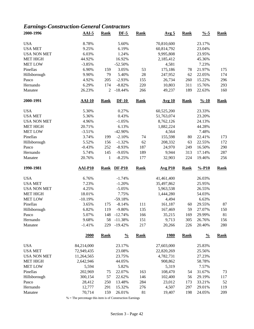## *Earnings-Construction-General Contractors*

| 2000-1996           | $AAI-5$           | <b>Rank</b>  | $DF-5$                 | <b>Rank</b> | <u>Avg 5</u>    | <b>Rank</b> | $\frac{9}{6} - 5$  | <b>Rank</b> |
|---------------------|-------------------|--------------|------------------------|-------------|-----------------|-------------|--------------------|-------------|
| <b>USA</b>          | 8.78%             |              | 5.60%                  |             | 70,810,600      |             | 23.17%             |             |
| <b>USA MET</b>      | 9.25%             |              | 6.19%                  |             | 60,814,792      |             | 23.04%             |             |
| <b>USA NON MET</b>  | 6.03%             |              | 1.24%                  |             | 9,995,808       |             | 23.95%             |             |
| <b>MET HIGH</b>     | 44.92%            |              | 16.92%                 |             | 2,185,412       |             | 45.36%             |             |
| <b>MET LOW</b>      | $-3.85%$          |              | $-52.50%$              |             | 4,581           |             | 7.23%              |             |
| Pinellas            | 6.90%             | 159          | 3.05%                  | 53          | 175,186         | 78          | 21.97%             | 175         |
| Hillsborough        | 9.90%             | 79           | 5.40%                  | 28          | 247,952         | 62          | 22.05%             | 174         |
| Pasco               | 4.92%             | 205          | $-2.93%$               | 155         | 26,734          | 260         | 15.22%             | 296         |
| Hernando            | 6.29%             | 174          | $-8.82%$               | 220         | 10,803          | 311         | 15.76%             | 293         |
| Manatee             | 26.23%            | 2            | $-18.44%$              | 266         | 49,237          | 189         | 22.63%             | 160         |
| 2000-1991           | $AAI-10$          | <b>Rank</b>  | $DF-10$                | <b>Rank</b> | <b>Avg 10</b>   | <b>Rank</b> | $\frac{9}{6} - 10$ | <b>Rank</b> |
| <b>USA</b>          | 5.30%             |              | 0.27%                  |             | 60,525,200      |             | 23.33%             |             |
| <b>USA MET</b>      | 5.36%             |              | 0.43%                  |             | 51,763,074      |             | 23.20%             |             |
| <b>USA NON MET</b>  | 4.96%             |              | $-1.05%$               |             | 8,762,126       |             | 24.13%             |             |
| <b>MET HIGH</b>     | 20.71%            |              | 6.13%                  |             | 1,882,224       |             | 44.28%             |             |
| <b>MET LOW</b>      | $-3.51%$          |              | -42.90%                |             | 4,564           |             | 7.48%              |             |
| Pinellas            | 3.74%             | 199          | $-2.10%$               | 74          | 155,598         | 80          | 22.41%             | 173         |
| Hillsborough        | 5.52%             | 156          | $-1.32%$               | 62          | 208,332         | 63          | 22.55%             | 172         |
| Pasco               | $-0.43%$          | 252          | $-8.93%$               | 187         | 24,970          | 249         | 16.50%             | 290         |
| Hernando            | 5.74%             | 145          | $-9.05%$               | 189         | 9,944           | 313         | 17.14%             | 287         |
| Manatee             | 20.76%            | $\mathbf{1}$ | $-8.25%$               | 177         | 32,903          | 224         | 19.46%             | 256         |
|                     |                   |              |                        |             |                 |             |                    |             |
| 1990-1981           | <b>AAI-P10</b>    | <b>Rank</b>  | <b>DF-P10</b>          | <b>Rank</b> | <b>Avg P10</b>  | <b>Rank</b> | $% -P10$           | <b>Rank</b> |
|                     |                   |              |                        |             |                 |             |                    |             |
| <b>USA</b>          | 6.76%             |              | $-1.74%$               |             | 41,461,400      |             | 26.03%             |             |
| <b>USA MET</b>      | 7.23%             |              | $-1.20%$               |             | 35,497,862      |             | 25.95%             |             |
| <b>USA NON MET</b>  | 4.25%             |              | $-5.05%$               |             | 5,963,538       |             | 26.55%             |             |
| <b>MET HIGH</b>     | 18.01%            |              | 7.75%                  |             | 1,444,280       |             | 54.03%             |             |
| <b>MET LOW</b>      | $-10.19%$         |              | $-59.18%$              |             | 4,494           |             | 6.63%              |             |
| Pinellas            | 3.65%             | 175          | $-8.14%$               | 111         | 161,187         | 60          | 29.55%             | 87          |
| Hillsborough        | 6.82%             | 119          | $-9.80%$               | 135         | 167,469         | 59          | 27.07%             | 150         |
| Pasco               | 5.07%             | 148          | $-12.74%$              | 166         | 35,215          | 169         | 29.99%             | 81          |
| Hernando<br>Manatee | 9.68%<br>$-1.41%$ | 58<br>229    | $-11.38%$<br>$-19.42%$ | 151<br>217  | 9,713<br>20,266 | 305<br>226  | 26.76%<br>20.40%   | 156<br>280  |
|                     | 2000              | <b>Rank</b>  | $\frac{0}{0}$          | <b>Rank</b> | <b>1980</b>     | <b>Rank</b> | $\frac{0}{0}$      | <b>Rank</b> |
| <b>USA</b>          | 84,214,000        |              | 23.17%                 |             | 27,603,000      |             | 25.83%             |             |
| <b>USA MET</b>      | 72,949,435        |              | 23.08%                 |             |                 |             | 25.56%             |             |
|                     |                   |              | 23.75%                 |             | 22,820,269      |             | 27.23%             |             |
| <b>USA NON MET</b>  | 11,264,565        |              |                        |             | 4,782,731       |             |                    |             |
| <b>MET HIGH</b>     | 2,642,946         |              | 44.05%                 |             | 908,862         |             | 58.78%             |             |
| <b>MET LOW</b>      | 5,594             |              | 5.82%                  |             | 5,319           |             | 7.57%              |             |
| Pinellas            | 202,969           | 75           | 22.07%                 | 163         | 108,470         | 54          | 31.67%             | 73          |
| Hillsborough        | 300,154           | 57           | 22.62%                 | 146         | 102,400         | 56          | 29.19%             | 117         |
| Pasco<br>Hernando   | 28,412<br>12,777  | 250<br>291   | 13.48%<br>15.32%       | 284<br>276  | 23,012<br>4,507 | 173<br>297  | 33.21%<br>29.01%   | 52<br>119   |

% = The percentage this item is of Construction Earnings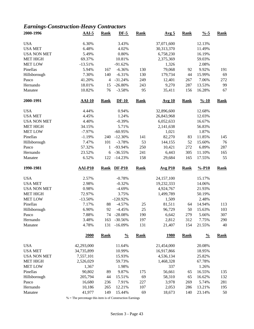## *Earnings-Construction-Heavy Contractors*

| 2000-1996           | $AAI-5$          | <b>Rank</b>    | $DF-5$           | <b>Rank</b> | Avg <sub>5</sub> | <b>Rank</b> | $\frac{9}{6} - 5$  | <b>Rank</b> |
|---------------------|------------------|----------------|------------------|-------------|------------------|-------------|--------------------|-------------|
| <b>USA</b>          | 6.30%            |                | 3.43%            |             | 37,071,600       |             | 12.13%             |             |
| <b>USA MET</b>      | 6.48%            |                | 4.02%            |             | 30,313,370       |             | 11.49%             |             |
| <b>USA NON MET</b>  | 5.49%            |                | 0.80%            |             | 6,758,230        |             | 16.19%             |             |
| <b>MET HIGH</b>     | 69.37%           |                | 10.81%           |             | 2,375,369        |             | 59.03%             |             |
| <b>MET LOW</b>      | $-13.51%$        |                | $-91.62%$        |             | 1,326            |             | 2.08%              |             |
| Pinellas            | 5.94%            | 167            | $-6.36%$         | 130         | 79,068           | 92          | 9.92%              | 191         |
| Hillsborough        | 7.30%            | 140            | $-6.31%$         | 130         | 179,734          | 44          | 15.99%             | 69          |
| Pasco               | 41.20%           | $\overline{4}$ | $-31.24%$        | 249         | 12,401           | 267         | 7.06%              | 272         |
| Hernando            | 18.01%           | 15             | $-26.80%$        | 243         | 9,270            | 287         | 13.53%             | 99          |
| Manatee             | 10.82%           | 76             | $-3.58%$         | 95          | 35,411           | 156         | 16.28%             | 67          |
| 2000-1991           | $AAI-10$         | <b>Rank</b>    | $DF-10$          | <b>Rank</b> | <b>Avg 10</b>    | <b>Rank</b> | $\frac{9}{6} - 10$ | <b>Rank</b> |
| <b>USA</b>          | 4.44%            |                | 0.94%            |             | 32,896,600       |             | 12.68%             |             |
| <b>USA MET</b>      | 4.45%            |                | 1.24%            |             | 26,843,968       |             | 12.03%             |             |
| <b>USA NON MET</b>  | 4.40%            |                | $-0.39%$         |             | 6,052,633        |             | 16.67%             |             |
| <b>MET HIGH</b>     | 34.15%           |                | 5.71%            |             | 2,141,638        |             | 56.83%             |             |
| <b>MET LOW</b>      | $-7.97%$         |                | $-60.95%$        |             | 1,021            |             | 1.87%              |             |
| Pinellas            | $-1.19%$         | 240            | $-12.30%$        | 141         | 82,270           | 83          | 11.85%             | 145         |
| Hillsborough        | 7.47%            | 101            | $-3.78%$         | 53          | 144,155          | 52          | 15.60%             | 76          |
| Pasco               | 57.32%           | 1              | -93.94%          | 250         | 10,421           | 272         | 6.89%              | 287         |
| Hernando            | 23.52%           | 6              | $-36.55%$        | 241         | 6,443            | 305         | 11.10%             | 165         |
| Manatee             | 6.52%            | 122            | $-14.23%$        | 158         | 29,684           | 165         | 17.55%             | 55          |
| 1990-1981           | <b>AAI-P10</b>   | <b>Rank</b>    | $DF-P10$         | <b>Rank</b> | <b>Avg P10</b>   | <b>Rank</b> | $% -P10$           | <b>Rank</b> |
| <b>USA</b>          | 2.57%            |                | $-0.78%$         |             | 24,157,100       |             | 15.17%             |             |
| <b>USA MET</b>      | 2.98%            |                | $-0.32%$         |             | 19,232,333       |             | 14.06%             |             |
| <b>USA NON MET</b>  | 0.98%            |                | $-4.69%$         |             | 4,924,767        |             | 21.93%             |             |
| <b>MET HIGH</b>     | 72.97%           |                | 3.75%            |             | 1,499,789        |             | 50.19%             |             |
| <b>MET LOW</b>      | $-13.50%$        |                | $-120.92%$       |             | 1,509            |             | 2.48%              |             |
| Pinellas            | 7.17%            | 88             | $-4.57%$         | 25          | 81,511           | 64          | 14.94%             | 113         |
| Hillsborough        | 6.90%            | 92             | $-4.45%$         | 25          | 96,729           | 50          | 15.63%             | 103         |
| Pasco               | 7.88%            | 74             | $-28.08%$        | 190         | 6,642            | 279         | 5.66%              | 307         |
| Hernando            | 3.48%            | 163            | $-30.56%$        | 197         | 2,812            | 312         | 7.75%              | 290         |
| Manatee             | 4.78%            | 131            | $-16.09%$        | 131         | 21,407           | 154         | 21.55%             | 40          |
|                     | 2000             | <b>Rank</b>    | $\frac{0}{0}$    | <b>Rank</b> | <u>1980</u>      | <b>Rank</b> | $\frac{0}{0}$      | <b>Rank</b> |
| <b>USA</b>          | 42,293,000       |                | 11.64%           |             | 21,454,000       |             | 20.08%             |             |
| <b>USA MET</b>      | 34,735,899       |                | 10.99%           |             | 16,917,866       |             | 18.95%             |             |
| <b>USA NON MET</b>  | 7,557,101        |                | 15.93%           |             | 4,536,134        |             | 25.82%             |             |
| <b>MET HIGH</b>     | 2,526,029        |                | 59.73%           |             | 1,468,328        |             | 67.78%             |             |
| <b>MET LOW</b>      | 1,367            |                | 1.98%            |             | 337              |             | 1.26%              |             |
| Pinellas            |                  |                |                  |             |                  |             |                    |             |
|                     |                  |                |                  |             |                  |             |                    |             |
|                     | 90,802           | 89             | 9.87%            | 175         | 56,661           | 65          | 16.55%             | 135         |
| Hillsborough        | 205,794          | 44             | 15.51%           | 69          | 58,310           | 65          | 16.62%             | 132         |
| Pasco               | 16,680           | 236            | 7.91%            | 227         | 3,978            | 269         | 5.74%              | 281         |
| Hernando<br>Manatee | 10,186<br>41,977 | 265<br>149     | 12.21%<br>15.44% | 107<br>69   | 2,053<br>18,673  | 286<br>140  | 13.21%<br>23.14%   | 195<br>50   |

% = The percentage this item is of Construction Earnings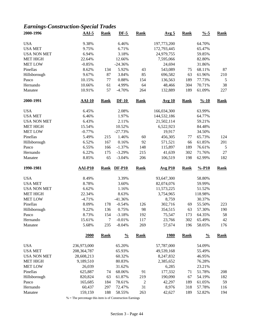# *Earnings-Construction-Special Trades*

| 2000-1996          | $AAI-5$       | <b>Rank</b> | $DF-5$        | <b>Rank</b>    | <u>Avg 5</u>          | <b>Rank</b> | $\frac{9}{6} - 5$  | <b>Rank</b> |
|--------------------|---------------|-------------|---------------|----------------|-----------------------|-------------|--------------------|-------------|
| <b>USA</b>         | 9.38%         |             | 6.46%         |                | 197,773,200           |             | 64.70%             |             |
| <b>USA MET</b>     | 9.75%         |             | 6.71%         |                | 172,793,445           |             | 65.47%             |             |
| <b>USA NON MET</b> | 6.94%         |             | 3.18%         |                | 24,979,755            |             | 59.85%             |             |
| <b>MET HIGH</b>    | 22.64%        |             | 12.66%        |                | 7,595,066             |             | 82.80%             |             |
| <b>MET LOW</b>     | $-0.85%$      |             | $-24.36%$     |                | 24,694                |             | 31.86%             |             |
| Pinellas           | 8.62%         | 134         | 5.92%         | 43             | 543,089               | 75          | 68.11%             | 87          |
| Hillsborough       | 9.67%         | 87          | 3.84%         | 85             | 696,582               | 63          | 61.96%             | 210         |
| Pasco              | 10.15%        | 77          | 0.88%         | 154            | 136,563               | 189         | 77.73%             | 5           |
| Hernando           | 10.66%        | 61          | 4.99%         | 64             | 48,466                | 304         | 70.71%             | 38          |
| Manatee            | 10.91%        | 57          | $-4.70%$      | 264            | 132,889               | 189         | 61.09%             | 227         |
| 2000-1991          | <b>AAI-10</b> | <b>Rank</b> | $DF-10$       | <b>Rank</b>    | <b>Avg 10</b>         | <b>Rank</b> | $\frac{9}{6} - 10$ | <b>Rank</b> |
| <b>USA</b>         | 6.45%         |             | 2.08%         |                | 166,034,300           |             | 63.99%             |             |
| <b>USA MET</b>     | 6.46%         |             | 1.97%         |                | 144,532,186           |             | 64.77%             |             |
| <b>USA NON MET</b> | 6.43%         |             | 2.11%         |                | 21,502,114            |             | 59.21%             |             |
| <b>MET HIGH</b>    | 15.54%        |             | 10.52%        |                | 6,522,923             |             | 84.48%             |             |
| <b>MET LOW</b>     | $-0.77%$      |             | $-27.73%$     |                | 19,917                |             | 34.50%             |             |
| Pinellas           | 5.49%         | 215         | 1.46%         | 60             | 456,305               | 77          | 65.73%             | 124         |
| Hillsborough       | 6.52%         | 167         | 0.16%         | 92             | 571,521               | 66          | 61.85%             | 201         |
| Pasco              | 6.55%         | 166         | $-1.37%$      | 148            | 115,897               | 189         | 76.61%             | 5           |
| Hernando           | 6.22%         | 175         | $-3.29%$      | 215            | 41,639                | 302         | 71.76%             | $27\,$      |
| Manatee            | 8.85%         | 65          | $-3.04%$      | 206            | 106,519               | 198         | 62.99%             | 182         |
| 1990-1981          | AAI-P10       | <b>Rank</b> | <b>DF-P10</b> | <b>Rank</b>    | $Avg$ P <sub>10</sub> | <b>Rank</b> | $% -P10$           | <b>Rank</b> |
| <b>USA</b>         | 8.49%         |             | 3.39%         |                | 93,647,300            |             | 58.80%             |             |
| <b>USA MET</b>     | 8.78%         |             | 3.60%         |                | 82,074,076            |             | 59.99%             |             |
| <b>USA NON MET</b> | 6.62%         |             | 1.16%         |                | 11,573,225            |             | 51.52%             |             |
| <b>MET HIGH</b>    | 22.34%        |             | 8.63%         |                | 3,754,965             |             | 118.98%            |             |
| <b>MET LOW</b>     | $-4.71%$      |             | $-41.36%$     |                | 8,759                 |             | 30.37%             |             |
| Pinellas           | 8.09%         | 178         | $-0.54%$      | 126            | 302,716               | 69          | 55.50%             | 223         |
| Hillsborough       | 9.22%         | 136         | 0.75%         | 98             | 354,515               | 63          | 57.30%             | 190         |
| Pasco              | 8.73%         | 154         | $-3.18%$      | 192            | 75,547                | 173         | 64.35%             | 58          |
| Hernando           | 15.61%        | 7           | $-0.01%$      | 117            | 23,766                | 302         | 65.49%             | 42          |
| Manatee            | 5.68%         | 235         | $-8.04%$      | 269            | 57,674                | 196         | 58.05%             | 176         |
|                    | 2000          | <b>Rank</b> | $\frac{0}{0}$ | <b>Rank</b>    | <u>1980</u>           | <b>Rank</b> | $\frac{0}{0}$      | <b>Rank</b> |
| <b>USA</b>         | 236,973,000   |             | 65.20%        |                | 57,787,000            |             | 54.09%             |             |
| <b>USA MET</b>     | 208, 364, 787 |             | 65.93%        |                | 49,539,168            |             | 55.49%             |             |
| <b>USA NON MET</b> | 28,608,213    |             | 60.32%        |                | 8,247,832             |             | 46.95%             |             |
| <b>MET HIGH</b>    | 9,189,510     |             | 80.83%        |                | 2,385,652             |             | 76.28%             |             |
| <b>MET LOW</b>     | 26,039        |             | 31.62%        |                | 6,285                 |             | 23.21%             |             |
| Pinellas           |               |             |               |                |                       |             |                    |             |
|                    | 625,887       | 74          | 68.06%        | 91             | 177,332               | 71          | 51.78%             | 208         |
| Hillsborough       | 820,824       | 63          | 61.87%        | 219            | 190,090               | 67          | 54.19%             | 182         |
| Pasco              | 165,685       | 184         | 78.61%        | $\overline{c}$ | 42,297                | 189         | 61.05%             | 59          |
| Hernando           | 60,437        | 297         | 72.47%        | 31             | 8,976                 | 318         | 57.78%             | 116         |
| Manatee            | 159,159       | 188         | 58.55%        | 263            | 42,627                | 189         | 52.82%             | 194         |

% = The percentage this item is of Construction Earnings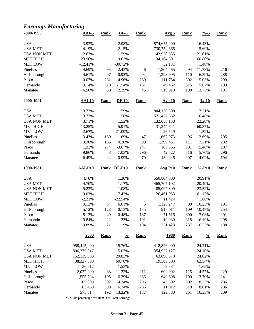## *Earnings-Manufacturing*

| 2000-1996                  | $AAI-5$           | <b>Rank</b> | $DF-5$            | <b>Rank</b>   | Avg <sub>5</sub>  | <b>Rank</b> | $\frac{0}{6}$ -5   | <b>Rank</b> |
|----------------------------|-------------------|-------------|-------------------|---------------|-------------------|-------------|--------------------|-------------|
| <b>USA</b>                 | 3.93%             |             | 2.08%             |               | 874,675,200       |             | 16.43%             |             |
| <b>USA MET</b>             | 4.19%             |             | 2.15%             |               | 730,754,665       |             | 15.69%             |             |
| <b>USA NON MET</b>         | 2.63%             |             | 1.59%             |               | 143,920,535       |             | 21.61%             |             |
| <b>MET HIGH</b>            | 23.96%            |             | 9.62%             |               | 34,164,501        |             | 60.86%             |             |
| <b>MET LOW</b>             | $-12.41%$         |             | $-30.72%$         |               | 32,131            |             | 1.48%              |             |
| Pinellas                   | 4.69%             | 95          | 2.43%             | 46            | 1,804,465         | 94          | 11.78%             | 216         |
| Hillsborough               | 4.61%             | 97          | 0.92%             | 94            | 1,398,995         | 110         | 6.59%              | 288         |
| Pasco                      | $-0.07%$          | 281         | $-4.96%$          | 260           | 111,754           | 302         | 5.03%              | 299         |
| Hernando                   | 9.14%             | 20          | $-1.54%$          | 187           | 49,462            | 316         | 5.67%              | 293         |
| Manatee                    | 6.50%             | 50          | 2.39%             | 46            | 510,019           | 198         | 13.73%             | 191         |
| 2000-1991                  | $AAI-10$          | <b>Rank</b> | $DF-10$           | <b>Rank</b>   | <b>Avg 10</b>     | <b>Rank</b> | $\frac{9}{6} - 10$ | <b>Rank</b> |
|                            |                   |             |                   |               |                   |             |                    |             |
| <b>USA</b>                 | 3.73%             |             | 1.59%             |               | 804,130,800       |             | 17.21%             |             |
| <b>USA MET</b>             | 3.73%             |             | 1.58%             |               | 671,472,662       |             | 16.48%             |             |
| <b>USA NON MET</b>         | 3.71%             |             | 1.52%             |               | 132,658,138       |             | 22.20%             |             |
| <b>MET HIGH</b>            | 13.25%            |             | 5.91%             |               | 31,244,541        |             | 60.37%             |             |
| <b>MET LOW</b>             | $-2.67%$          |             | $-21.09%$         |               | 26,549            |             | 1.52%              |             |
| Pinellas                   | 3.43%             | 160         | 1.69%             | 47            | 1,667,973         | 96          | 12.69%             | 205         |
| Hillsborough               | 3.36%             | 165         | 0.20%             | 99            | 1,299,461         | 111         | 7.21%              | 282         |
| Pasco                      | 1.32%             | 274         | $-3.67%$          | 247           | 106,865           | 301         | 5.48%              | 297         |
| Hernando                   | 9.86%             | $\,8\,$     | $-7.03%$          | 296           | 42,527            | 316         | 5.70%              | 296         |
| Manatee                    | 6.49%             | 42          | 0.99%             | 70            | 439,446           | 207         | 14.02%             | 194         |
|                            |                   |             |                   |               |                   |             |                    |             |
|                            |                   |             |                   |               |                   |             |                    |             |
| 1990-1981                  | $AAI-P10$         | <b>Rank</b> | <b>DF-P10</b>     | <b>Rank</b>   | <b>Avg P10</b>    | <b>Rank</b> | $% -P10$           | <b>Rank</b> |
| <b>USA</b>                 | 4.78%             |             | 1.20%             |               | 550,804,500       |             | 20.91%             |             |
| <b>USA MET</b>             | 4.70%             |             | 1.17%             |               | 465,707,192       |             | 20.49%             |             |
| <b>USA NON MET</b>         | 5.23%             |             | 1.08%             |               | 85,097,309        |             | 23.52%             |             |
| <b>MET HIGH</b>            | 19.03%            |             | 7.42%             |               | 26,461,953        |             | 61.17%             |             |
|                            |                   |             | $-22.54%$         |               |                   |             |                    |             |
| <b>MET LOW</b><br>Pinellas | $-2.21%$          |             |                   |               | 11,424            |             | 1.66%              |             |
|                            | 9.12%             | 34          | 6.01%             | $\mathfrak s$ | 1,126,247         | 98          | 16.23%             | 191         |
| Hillsborough               | 5.72%             | 128         | 0.13%             | 145           | 918,011           | 109         | 10.48%             | 254         |
| Pasco                      | 8.13%             | 49          | 0.48%             | 137           | 71,516            | 300         | 7.08%              | 291         |
| Hernando<br>Manatee        | 9.84%<br>9.89%    | 22<br>21    | $-1.33%$<br>1.19% | 191<br>104    | 19,039<br>221,423 | 318<br>237  | 6.19%<br>16.73%    | 298<br>188  |
|                            | 2000              | <b>Rank</b> | $\frac{0}{0}$     | <b>Rank</b>   | <u>1980</u>       | <b>Rank</b> | $\frac{0}{0}$      | <b>Rank</b> |
|                            |                   |             |                   |               |                   |             |                    |             |
| <b>USA</b>                 | 958,415,000       |             | 15.76%            |               | 418,826,000       |             | 24.21%             |             |
| <b>USA MET</b>             | 806,275,917       |             | 15.07%            |               | 354,927,127       |             | 24.10%             |             |
| <b>USA NON MET</b>         | 152,139,083       |             | 20.83%            |               | 63,898,873        |             | 24.82%             |             |
| <b>MET HIGH</b>            | 38,327,098        |             | 60.78%            |               | 19,583,393        |             | 62.54%             |             |
| <b>MET LOW</b>             | 36,512            |             | 1.53%             |               | 3,831             |             | 1.65%              |             |
| Pinellas                   | 2,022,200         | 88          | 11.32%            | 211           | 609,902           | 115         | 14.57%             | 229         |
| Hillsborough               | 1,555,734         | 105         | 6.29%             | 286           | 649,608           | 109         | 13.70%             | 241         |
| Pasco                      | 105,608           | 302         | 4.34%             | 296           | 43,502            | 302         | 8.23%              | 286         |
| Hernando<br>Manatee        | 63,460<br>575,014 | 309<br>192  | 6.24%<br>13.22%   | 286<br>187    | 11,012<br>122,380 | 318<br>261  | 8.01%<br>16.33%    | 286<br>209  |

% = The percentage this item is of Total Earnings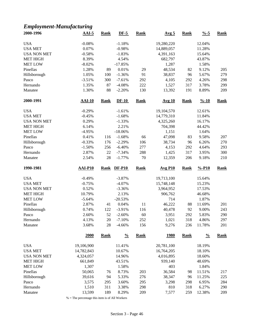#### *Employment-Manufacturing* **2000-1996 AAI-5 Rank DF-5 Rank Avg 5 Rank %-5 Rank** USA  $-0.08\%$   $-1.18\%$   $19,280,220$   $12.04\%$ USA MET  $0.07\%$   $-0.98\%$   $14,889,057$   $11.28\%$ USA NON MET -0.58% -1.83% -1.83% 4,391,163 15.64% MET HIGH 8.39% 8.39% 4.54% 682,797 43.87% MET LOW -8.02% -17.85% 1,287 1.58% Pinellas 1.28% 89 0.01% 29 48,534 82 9.12% 205 Hillsborough 1.05% 100 -1.36% 91 38,837 96 5.67% 279 Pasco -3.51% 300 -7.61% 292 4,105 292 4.26% 298 Hernando 1.35% 87 -4.08% 222 1,527 317 3.78% 299 Manatee 1.30% 88 -2.20% 130 13,392 191 8.89% 209 **2000-1991 AAI-10 Rank DF-10 Rank Avg 10 Rank %-10 Rank** USA  $-0.29\%$   $-1.61\%$   $19,104,570$   $12.61\%$ USA MET  $-0.45\%$   $-1.68\%$   $14,779,310$   $11.84\%$ USA NON MET 0.29% -1.33% 4,325,260 16.17% MET HIGH 6.14% 6.14% 2.21% 704,398 44.42% MET LOW  $-4.95\%$   $-18.06\%$   $1,151$   $1.64\%$ Pinellas 0.41% 116 -1.68% 66 47,098 83 9.58% 207 Hillsborough -0.33% 176 -2.29% 106 38,734 96 6.26% 270 Pasco -1.50% 256 -6.40% 277 4,153 292 4.64% 293 Hernando 2.87% 22 -7.34% 288 1,425 317 3.95% 300 Manatee 2.54% 28 -1.77% 70 12,359 206 9.18% 210 **1990-1981 AAI-P10 Rank DF-P10 Rank Avg P10 Rank %-P10 Rank** USA  $-0.49\%$   $-3.87\%$   $19,713,100$   $15.64\%$ USA MET  $-0.75\%$   $-4.07\%$   $15,748,148$   $15.23\%$

USA NON MET 0.52% -3.36% 3,964,952 17.53% MET HIGH 10.79% 2.13% 906,762 46.68% MET LOW 55.64% -20.53% 714 1.87%

USA 19,106,900 11.41% 20,781,100 18.19% USA MET 14,782,843 10.67% 16,764,205 18.10% USA NON MET 4,324,057 14.96% 4,016,895 18.60% MET HIGH 661,849 43.51% 939,140 48.69% MET LOW 1,307 1.58% 403 1.84%

Pinellas 2.87% 41 0.04% 11 46,222 88 11.69% 201 Hillsborough 0.74% 122 -3.91% 116 40,478 92 9.00% 243 Pasco 2.60% 52 -2.60% 60 3,951 292 5.83% 290 Hernando 4.13% 20 -7.10% 252 1,021 318 4.86% 297 Manatee 3.68% 28 -4.66% 156 9,276 236 11.78% 201

**2000 Rank % Rank 1980 Rank % Rank**

| $%$ = The percentage this item is of All Workers |  |  |  |
|--------------------------------------------------|--|--|--|
|--------------------------------------------------|--|--|--|

Pinellas 50,065 76 8.73% 203 36,584 98 11.51% 217 Hillsborough 39,616 94 5.33% 276 38,347 96 11.25% 225 Pasco 3,575 295 3.60% 295 3,298 298 6.95% 284 Hernando 1,510 311 3.38% 298 810 318 6.27% 290 Manatee 13,599 189 8.29% 209 7,577 259 12.38% 209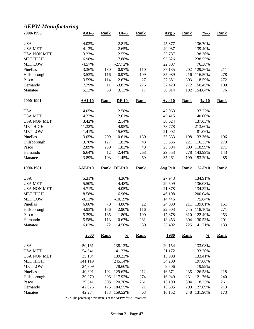## *AEPW-Manufacturing*

| 2000-1996           | $AAI-5$          | <b>Rank</b> | $DF-5$             | <b>Rank</b> | Avg <sub>5</sub> | <b>Rank</b> | $\frac{9}{6} - 5$      | <b>Rank</b> |
|---------------------|------------------|-------------|--------------------|-------------|------------------|-------------|------------------------|-------------|
| <b>USA</b>          | 4.02%            |             | 2.81%              |             | 45,377           |             | 136.70%                |             |
| <b>USA MET</b>      | 4.13%            |             | 2.65%              |             | 49,087           |             | 139.40%                |             |
| <b>USA NON MET</b>  | 3.23%            |             | 2.55%              |             | 32,787           |             | 138.36%                |             |
| <b>MET HIGH</b>     | 16.98%           |             | 7.88%              |             | 95,626           |             | 238.55%                |             |
| <b>MET LOW</b>      | $-4.57%$         |             | $-27.72%$          |             | 22,807           |             | 76.38%                 |             |
| Pinellas            | 3.36%            | 130         | 0.97%              | 110         | 37,135           |             | 202 129.36%            | 211         |
| Hillsborough        | 3.53%            | 116         | 0.97%              | 109         | 35,989           | 216         | 116.50%                | 278         |
| Pasco               | 3.59%            | 114         | 2.67%              | 27          | 27,351           | 303         | 118.59%                | 272         |
| Hernando            | 7.79%            | 11          | $-3.82%$           | 276         | 32,420           | 272         | 150.45%                | 100         |
| Manatee             | 5.12%            | 38          | 3.13%              | 17          | 38,014           | 192         | 154.64%                | 76          |
| 2000-1991           | <b>AAI-10</b>    | <b>Rank</b> | $DF-10$            | <b>Rank</b> | <b>Avg 10</b>    | <b>Rank</b> | $\frac{9}{6} - 10$     | <b>Rank</b> |
| <b>USA</b>          | 4.05%            |             | 2.58%              |             | 42,063           |             | 137.27%                |             |
| <b>USA MET</b>      | 4.22%            |             | 2.61%              |             | 45,415           |             | 140.00%                |             |
| <b>USA NON MET</b>  | 3.42%            |             | 2.14%              |             | 30,624           |             | 137.63%                |             |
| <b>MET HIGH</b>     | 11.32%           |             | 4.95%              |             | 78,778           |             | 213.60%                |             |
| <b>MET LOW</b>      | $-1.41%$         |             | $-15.67%$          |             | 21,002           |             | 81.06%                 |             |
| Pinellas            | 3.05%            | 209         | 0.61%              | 130         | 35,333           | 198         | 133.36%                | 196         |
| Hillsborough        | 3.70%            | 127         | 1.82%              | 48          | 33,536           | 221         | 116.33%                | 279         |
| Pasco               | 2.89%            | 230         | 1.82%              | 48          | 25,804           | 303         | 118.99%                | 271         |
| Hernando            | 6.64%            | 12          | $-2.44%$           | 268         | 29,553           | 278         | 143.99%                | 143         |
| Manatee             | 3.89%            | 103         | 1.45%              | 69          | 35,261           | 199         | 153.20%                | 85          |
|                     |                  |             |                    |             |                  |             |                        |             |
| 1990-1981           | <b>AAI-P10</b>   | <b>Rank</b> | <b>DF-P10</b>      | <b>Rank</b> | <b>Avg P10</b>   | <b>Rank</b> | $% -P10$               | <b>Rank</b> |
|                     |                  |             |                    |             |                  |             |                        |             |
| <b>USA</b>          | 5.31%            |             | 4.36%              |             | 27,943           |             | 134.91%                |             |
| <b>USA MET</b>      | 5.50%            |             | 4.48%              |             | 29,609           |             | 136.08%                |             |
| <b>USA NON MET</b>  | 4.71%            |             | 4.05%              |             | 21,378           |             | 134.32%                |             |
| <b>MET HIGH</b>     | 8.58%            |             | 6.96%              |             | 46,108           |             | 200.04%                |             |
| <b>MET LOW</b>      | $-0.13%$         |             | $-10.19%$          |             | 14,446           |             | 75.64%                 |             |
| Pinellas            | 6.06%            | 70          | 4.86%              | 22          | 24,089           | 211         | 139.01%                | 151         |
| Hillsborough        | 4.93%            | 186         | 2.90%              | 116         | 22,603           | 245         | 118.10%                | 271         |
| Pasco               | 5.39%            | 135         | 1.80%              | 190         | 17,878           | 310         | 122.49%                | 253         |
| Hernando<br>Manatee | 5.58%<br>6.03%   | 113<br>72   | $-0.67%$<br>4.56%  | 281<br>30   | 18,453<br>23,402 | 225         | 304 130.53%<br>141.71% | 201<br>133  |
|                     | 2000             | <b>Rank</b> | $\frac{0}{0}$      | <b>Rank</b> | <u>1980</u>      | <b>Rank</b> | $\frac{0}{0}$          | <b>Rank</b> |
| <b>USA</b>          | 50,161           |             | 138.12%            |             | 20,154           |             | 133.08%                |             |
| <b>USA MET</b>      |                  |             | 141.23%            |             |                  |             |                        |             |
| <b>USA NON MET</b>  | 54,541<br>35,184 |             |                    |             | 21,172           |             | 133.20%                |             |
|                     |                  |             | 139.23%<br>245.14% |             | 15,908           |             | 133.41%<br>197.66%     |             |
| <b>MET HIGH</b>     | 141,119          |             |                    |             | 34,200           |             |                        |             |
| <b>MET LOW</b>      | 24,709           |             | 78.60%             |             | 9,506            |             | 79.99%                 |             |
| Pinellas            | 40,391           |             | 192 129.62%        | 212         | 16,671           | 235         | 126.58%                | 218         |
| Hillsborough        | 39,270           | 206         | 117.92%            | 274         | 16,940           | 231         | 121.76%                | 240         |
| Pasco<br>Hernando   | 29,541<br>42,026 | 303<br>175  | 120.76%<br>184.55% | 261<br>21   | 13,190<br>13,595 | 304<br>299  | 118.33%<br>127.69%     | 261<br>213  |

% = The percentage this item is of the AEPW for All Workers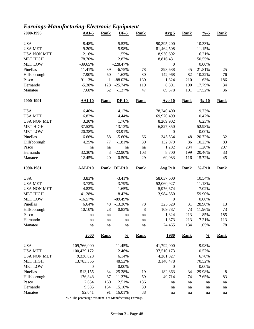# *Earnings-Manufacturing-Electronic Equipment*

| 2000-1996           | $AAI-5$          | <b>Rank</b> | $DF-5$           | <b>Rank</b> | Avg <sub>5</sub>      | <b>Rank</b> | $\frac{9}{6} - 5$  | <b>Rank</b> |
|---------------------|------------------|-------------|------------------|-------------|-----------------------|-------------|--------------------|-------------|
| <b>USA</b>          | 8.48%            |             | 5.52%            |             | 90,395,200            |             | 10.33%             |             |
| <b>USA MET</b>      | 9.20%            |             | 5.98%            |             | 81,464,508            |             | 11.15%             |             |
| <b>USA NON MET</b>  | 2.16%            |             | 1.55%            |             | 8,930,692             |             | 6.21%              |             |
| <b>MET HIGH</b>     | 78.70%           |             | 12.87%           |             | 8,816,431             |             | 50.55%             |             |
| <b>MET LOW</b>      | $-39.65%$        |             | $-228.47%$       |             | $\boldsymbol{0}$      |             | 0.00%              |             |
| Pinellas            | 11.41%           | 39          | $-6.75%$         | 78          | 393,638               | 45          | 21.81%             | 25          |
| Hillsborough        | 7.90%            | 60          | 1.63%            | 30          |                       |             | 10.22%             | 76          |
|                     |                  |             |                  |             | 142,968               | 82          |                    |             |
| Pasco               | 91.13%           | 1           | $-88.02%$        | 130         | 1,824                 | 210         | 1.63%              | 186         |
| Hernando            | $-5.38%$         | 128         | $-25.74%$        | 119         | 8,801                 | 190         | 17.79%             | 34          |
| Manatee             | 7.68%            | 62          | $-1.37%$         | 47          | 89,378                | 101         | 17.52%             | 36          |
| 2000-1991           | <b>AAI-10</b>    | <b>Rank</b> | $DF-10$          | <b>Rank</b> | Avg 10                | <b>Rank</b> | $\frac{9}{6} - 10$ | <b>Rank</b> |
| <b>USA</b>          | 6.46%            |             | 4.17%            |             | 78,240,400            |             | 9.73%              |             |
| <b>USA MET</b>      | 6.82%            |             | 4.44%            |             | 69,970,499            |             | 10.42%             |             |
| <b>USA NON MET</b>  | 3.30%            |             | 1.76%            |             | 8,269,902             |             | 6.23%              |             |
| <b>MET HIGH</b>     | 37.52%           |             | 13.13%           |             | 6,827,850             |             | 52.98%             |             |
| <b>MET LOW</b>      | $-20.38%$        |             | $-33.91%$        |             | $\boldsymbol{0}$      |             | 0.00%              |             |
| Pinellas            | 6.66%            | 58          | $-5.60%$         | 66          | 345,534               | 48          | 20.72%             | 32          |
| Hillsborough        | 4.25%            | 77          | $-1.81%$         | 39          | 132,979               | 86          | 10.23%             | 83          |
| Pasco               | na               | na          | na               | na          | 1,282                 | 234         | 1.20%              | 207         |
| Hernando            | 32.30%           | 3           | $-22.90%$        | 103         | 8,700                 | 199         | 20.46%             | 33          |
| Manatee             | 12.45%           | 20          | 0.50%            | 29          | 69,083                | 116         | 15.72%             | 45          |
|                     |                  |             |                  |             |                       |             |                    |             |
|                     |                  |             |                  |             |                       |             |                    |             |
| 1990-1981           | <b>AAI-P10</b>   | <b>Rank</b> | <b>DF-P10</b>    | <b>Rank</b> | $Avg$ P <sub>10</sub> | <b>Rank</b> | $% -P10$           | <b>Rank</b> |
| <b>USA</b>          | 3.83%            |             | $-3.41%$         |             | 58,037,600            |             | 10.54%             |             |
| <b>USA MET</b>      | 3.72%            |             | $-3.79%$         |             | 52,060,927            |             | 11.18%             |             |
| <b>USA NON MET</b>  | 4.82%            |             | $-1.65%$         |             |                       |             | 7.02%              |             |
|                     |                  |             | 8.42%            |             | 5,976,674             |             |                    |             |
| <b>MET HIGH</b>     | 41.28%           |             |                  |             | 3,984,850             |             | 59.90%             |             |
| <b>MET LOW</b>      | $-16.57%$        |             | $-89.49%$        |             | $\boldsymbol{0}$      |             | 0.00%              |             |
| Pinellas            | 6.64%            | 48          | $-13.36%$        | 78          | 325,529               | 31          | 28.90%             | 13          |
| Hillsborough        | 10.10%           | 28          | 0.83%            | 8           | 109,787               | 73          | 11.96%             | 73          |
| Pasco               | na               | na          | na               | na          | 1,324                 | 213         | 1.85%              | 185         |
| Hernando<br>Manatee | na<br>na         | na<br>na    | na<br>na         | na<br>na    | 1,373<br>24,465       | 213<br>134  | 7.21%<br>11.05%    | 113<br>78   |
|                     | <u>2000</u>      | <b>Rank</b> | $\frac{0}{0}$    | <b>Rank</b> | <u>1980</u>           | <b>Rank</b> | $\frac{0}{0}$      | <b>Rank</b> |
|                     |                  |             |                  |             |                       |             |                    |             |
| <b>USA</b>          | 109,766,000      |             | 11.45%           |             | 41,792,000            |             | 9.98%              |             |
| <b>USA MET</b>      | 100,429,172      |             | 12.46%           |             | 37,510,173            |             | 10.57%             |             |
| <b>USA NON MET</b>  | 9,336,828        |             | 6.14%            |             | 4,281,827             |             | 6.70%              |             |
| <b>MET HIGH</b>     | 13,783,356       |             | 48.52%           |             | 3,140,478             |             | 70.52%             |             |
| <b>MET LOW</b>      | $\boldsymbol{0}$ |             | 0.00%            |             | 0                     |             | 0.00%              |             |
| Pinellas            | 513,155          | 34          | 25.38%           | 19          | 182,863               | 34          | 29.98%             | 8           |
| Hillsborough        | 176,848          | 67          | 11.37%           | 59          | 49,714                | 74          | 7.65%              | 83          |
| Pasco               | 2,654            | 160         | 2.51%            | 136         | na                    | na          | na                 | na          |
| Hernando<br>Manatee | 9,585<br>92,041  | 154<br>91   | 15.10%<br>16.01% | 39<br>38    | na                    | na          | na                 | na          |

 $\%$  = The percentage this item is of Manufacturing Earnings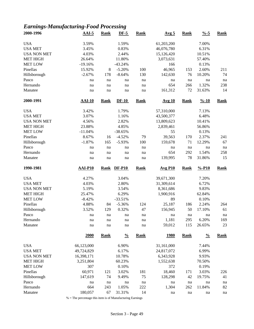# *Earnings-Manufacturing-Food Processing*

| 2000-1996           | $AAI-5$        | <b>Rank</b> | $DF-5$          | <b>Rank</b> | Avg <sub>5</sub> | <b>Rank</b> | $\frac{9}{6} - 5$  | <b>Rank</b> |
|---------------------|----------------|-------------|-----------------|-------------|------------------|-------------|--------------------|-------------|
| <b>USA</b>          | 3.59%          |             | 1.59%           |             | 61,203,200       |             | 7.00%              |             |
| <b>USA MET</b>      | 3.45%          |             | 0.83%           |             | 46,076,780       |             | 6.31%              |             |
| <b>USA NON MET</b>  | 4.03%          |             | 2.44%           |             | 15,126,420       |             | 10.51%             |             |
| <b>MET HIGH</b>     | 26.64%         |             | 11.80%          |             | 3,073,631        |             | 57.40%             |             |
| <b>MET LOW</b>      | $-19.16%$      |             | $-43.24%$       |             | 166              |             | 0.13%              |             |
| Pinellas            | 15.92%         | $8\,$       | $-5.20%$        | 100         | 46,965           | 153         | 2.60%              | 211         |
| Hillsborough        | $-2.67%$       | 178         | $-8.64%$        | 130         | 142,630          | 76          | 10.20%             | 74          |
| Pasco               | na             | na          | na              | na          | na               | na          | na                 | na          |
| Hernando            | na             | na          | na              | na          | 654              | 266         | 1.32%              | 238         |
| Manatee             | na             | na          | na              | na          | 161,312          | 72          | 31.63%             | 14          |
| 2000-1991           | $AAI-10$       | <b>Rank</b> | $DF-10$         | <b>Rank</b> | <b>Avg 10</b>    | <b>Rank</b> | $\frac{9}{6} - 10$ | <b>Rank</b> |
| <b>USA</b>          | 3.42%          |             | 1.79%           |             | 57,310,000       |             | 7.13%              |             |
| <b>USA MET</b>      | 3.07%          |             | 1.16%           |             | 43,500,377       |             | 6.48%              |             |
| <b>USA NON MET</b>  | 4.56%          |             | 2.82%           |             | 13,809,623       |             | 10.41%             |             |
| <b>MET HIGH</b>     | 23.88%         |             | 4.85%           |             |                  |             | 56.86%             |             |
| <b>MET LOW</b>      |                |             |                 |             | 2,839,461        |             |                    |             |
|                     | $-11.04%$      |             | $-38.65%$       |             | 55               |             | 0.13%              |             |
| Pinellas            | 8.67%          | 16          | $-4.52%$        | 79          | 39,563           | 170         | 2.37%              | 241         |
| Hillsborough        | $-1.87%$       | 165         | $-5.93%$        | 100         | 159,678          | 71          | 12.29%             | 67          |
| Pasco               | na             | na          | na              | na          | na               | na          | na                 | $\rm na$    |
| Hernando            | na             | na          | na              | na          | 654              | 292         | 1.54%              | 258         |
| Manatee             | na             | na          | na              | na          | 139,995          | 78          | 31.86%             | 15          |
| 1990-1981           | <b>AAI-P10</b> | <b>Rank</b> | <b>DF-P10</b>   | <b>Rank</b> | <b>Avg P10</b>   | <b>Rank</b> | $% -P10$           | <b>Rank</b> |
| <b>USA</b>          | 4.27%          |             | 3.04%           |             | 39,671,300       |             | 7.20%              |             |
| <b>USA MET</b>      | 4.03%          |             | 2.80%           |             | 31,309,614       |             | 6.72%              |             |
| <b>USA NON MET</b>  | 5.19%          |             | 3.54%           |             | 8,361,686        |             | 9.83%              |             |
| <b>MET HIGH</b>     | 25.47%         |             | 6.29%           |             | 1,900,916        |             | 62.84%             |             |
| <b>MET LOW</b>      | $-8.42%$       |             | $-33.51%$       |             |                  |             |                    |             |
| Pinellas            |                |             |                 |             |                  |             |                    |             |
|                     |                |             |                 |             | 89               |             | 0.10%              |             |
|                     | 4.88%          | 84          | $-5.36%$        | 124         | 25,187           | 186         | 2.24%              | 264         |
| Hillsborough        | 3.52%          | 129         | 0.32%           | 47          | 156,945          | 50          | 17.10%             | 61          |
| Pasco               | na             | na          | na              | na          | na               | na          | na                 | na          |
| Hernando<br>Manatee | na<br>na       | na<br>na    | na<br>$\rm na$  | na<br>na    | 1,181<br>59,012  | 295<br>115  | 6.20%<br>26.65%    | 169<br>23   |
|                     | 2000           | <b>Rank</b> | $\frac{0}{0}$   | <b>Rank</b> | <u>1980</u>      | <b>Rank</b> | $\frac{0}{0}$      | <b>Rank</b> |
|                     |                |             |                 |             |                  |             |                    |             |
| <b>USA</b>          | 66,123,000     |             | 6.90%           |             | 31,161,000       |             | 7.44%              |             |
| <b>USA MET</b>      | 49,724,829     |             | 6.17%           |             | 24,817,072       |             | 6.99%              |             |
| <b>USA NON MET</b>  | 16,398,171     |             | 10.78%          |             | 6,343,928        |             | 9.93%              |             |
| <b>MET HIGH</b>     | 3,251,804      |             | 60.23%          |             | 1,552,638        |             | 70.50%             |             |
| <b>MET LOW</b>      | 307            |             | 0.10%           |             | 372              |             | 0.19%              |             |
| Pinellas            | 60,971         | 121         | 3.02%           | 181         | 18,460           | 171         | 3.03%              | 226         |
| Hillsborough        | 147,619        | 74          | 9.49%           | 75          | 128,298          | 42          | 19.75%             | 41          |
| Pasco               | na             | na          | na              | na          | na               | na          | na                 | na          |
| Hernando<br>Manatee | 664<br>180,057 | 243<br>67   | 1.05%<br>31.31% | 222<br>14   | 1,304<br>na      | 262<br>na   | 11.84%<br>na       | 82<br>na    |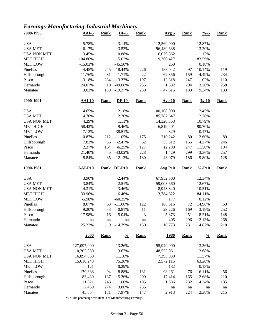### *Earnings-Manufacturing-Industrial Machinery*

| 2000-1996           | $AAI-5$         | <b>Rank</b>  | $DF-5$          | <b>Rank</b> | Avg <sub>5</sub> | <b>Rank</b> | $\frac{9}{6} - 5$  | <b>Rank</b> |
|---------------------|-----------------|--------------|-----------------|-------------|------------------|-------------|--------------------|-------------|
| <b>USA</b>          | 5.78%           |              | 3.14%           |             | 112,569,000      |             | 12.87%             |             |
| <b>USA MET</b>      | 6.17%           |              | 3.53%           |             | 96,489,638       |             | 13.20%             |             |
| <b>USA NON MET</b>  | 3.45%           |              | 0.88%           |             | 16,079,362       |             | 11.17%             |             |
| <b>MET HIGH</b>     | 104.86%         |              | 15.02%          |             | 9,266,427        |             | 83.59%             |             |
| <b>MET LOW</b>      | $-15.03%$       |              | $-45.50%$       |             | 250              |             | 0.18%              |             |
| Pinellas            | $-4.45%$        | 245          | $-18.44%$       | 226         | 183,042          | 97          | 10.14%             | 119         |
| Hillsborough        | 11.76%          | 31           | 1.71%           | $22\,$      | 62,856           | 159         | 4.49%              | 234         |
| Pasco               | $-3.18%$        | 234          | $-13.37%$       | 197         | 12,318           | 247         | 11.02%             | 110         |
| Hernando            | 24.07%          | 10           | -49.08%         | 255         | 1,582            | 294         | 3.20%              | 258         |
| Manatee             | 3.03%           | 139          | $-19.37%$       | 230         | 47,615           | 183         | 9.34%              | 133         |
| 2000-1991           | $AAI-10$        | <b>Rank</b>  | $DF-10$         | <b>Rank</b> | <b>Avg 10</b>    | <b>Rank</b> | $\frac{9}{6} - 10$ | <b>Rank</b> |
| <b>USA</b>          | 4.65%           |              | 2.18%           |             | 100,108,000      |             | 12.45%             |             |
| <b>USA MET</b>      | 4.70%           |              | 2.36%           |             | 85,787,647       |             | 12.78%             |             |
| <b>USA NON MET</b>  | 4.39%           |              | 1.11%           |             | 14,320,353       |             | 10.79%             |             |
| <b>MET HIGH</b>     | 58.42%          |              | 9.46%           |             | 6,819,401        |             | 90.70%             |             |
| <b>MET LOW</b>      | $-7.12%$        |              | $-38.51%$       |             | 329              |             | 0.17%              |             |
| Pinellas            | $-0.87%$        | 212          | $-11.05%$       | 175         | 210,242          | 80          | 12.60%             | 89          |
| Hillsborough        | 7.82%           | 55           | $-2.47%$        | 62          | 55,512           | 165         | 4.27%              | 246         |
| Pasco               | 2.37%           | 164          | $-6.25%$        | 127         | 12,288           | 247         | 11.50%             | 104         |
| Hernando            | 21.40%          | 5            | $-43.02%$       | 228         | 1,429            | 299         | 3.36%              | 257         |
| Manatee             | 8.84%           | 35           | $-12.13%$       | 180         | 43,079           | 186         | 9.80%              | 128         |
| 1990-1981           | <b>AAI-P10</b>  | <b>Rank</b>  | $DF-P10$        | <b>Rank</b> | <b>Avg P10</b>   | Rank        | $% -P10$           | <b>Rank</b> |
|                     |                 |              |                 |             |                  |             |                    |             |
|                     |                 |              |                 |             |                  |             |                    |             |
| <b>USA</b>          | 3.90%           |              | $-2.44%$        |             | 67,952,500       |             | 12.34%             |             |
| <b>USA MET</b>      | 3.84%           |              | $-2.51%$        |             | 59,008,660       |             | 12.67%             |             |
| <b>USA NON MET</b>  | 4.31%           |              | $-3.46%$        |             | 8,943,840        |             | 10.51%             |             |
| <b>MET HIGH</b>     | 33.96%          |              | 6.46%           |             | 3,784,622        |             | 84.11%             |             |
| <b>MET LOW</b>      | $-5.98%$        |              | $-60.35%$       |             | 177              |             | 0.12%              |             |
| Pinellas            | 8.07%           | 63           | $-11.06%$       | 122         | 168,516          | 72          | 14.96%             | 63          |
| Hillsborough        | 9.20%           | 53           | 0.81%           | 11          | 29,226           | 169         | 3.18%              | 252         |
| Pasco               | 17.98%          | 16           | 5.04%           | 3           | 5,873            | 251         | 8.21%              | 148         |
| Hernando<br>Manatee | na<br>25.22%    | $\,$ na<br>9 | na<br>$-14.79%$ | na<br>150   | 405<br>10,773    | 296<br>231  | 2.13%<br>4.87%     | 268<br>218  |
|                     | 2000            | <b>Rank</b>  | $\frac{0}{0}$   | <b>Rank</b> | <u>1980</u>      | <b>Rank</b> | $\frac{0}{0}$      | <b>Rank</b> |
|                     |                 |              |                 |             |                  |             |                    |             |
| <b>USA</b>          | 127,097,000     |              | 13.26%          |             | 55,949,000       |             | 13.36%             |             |
| <b>USA MET</b>      | 110,202,350     |              | 13.67%          |             | 48,553,061       |             | 13.68%             |             |
| <b>USA NON MET</b>  | 16,894,650      |              | 11.10%          |             | 7,395,939        |             | 11.57%             |             |
| <b>MET HIGH</b>     | 15,618,243      |              | 75.26%          |             | 2,572,115        |             | 63.28%             |             |
| <b>MET LOW</b>      | 121             |              | 0.29%           |             | 132              |             | 0.13%              |             |
| Pinellas            | 179,638         | 94           | 8.88%           | 131         | 98,261           | 76          | 16.11%             | 56          |
| Hillsborough        | 83,439          | 137          | 5.36%           | 200         | 17,414           | 165         | 2.68%              | 210         |
| Pasco               | 11,621          | 243          | 11.00%          | 105         | 1,886            | 232         | 4.34%              | 185         |
| Hernando<br>Manatee | 2,450<br>45,854 | 274<br>181   | 3.86%<br>7.97%  | 235<br>147  | na<br>2,913      | na<br>224   | na<br>2.38%        | na<br>215   |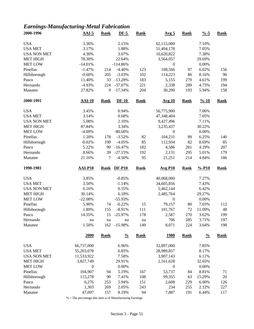### *Earnings-Manufacturing-Metal Fabrication*

| 2000-1996          | $AAI-5$          | <b>Rank</b> | $DF-5$        | <b>Rank</b> | Avg <sub>5</sub> | <b>Rank</b> | $\frac{9}{6} - 5$  | <b>Rank</b> |
|--------------------|------------------|-------------|---------------|-------------|------------------|-------------|--------------------|-------------|
| <b>USA</b>         | 3.36%            |             | 2.15%         |             | 62,115,000       |             | 7.10%              |             |
| <b>USA MET</b>     | 3.17%            |             | 1.88%         |             | 51,494,178       |             | 7.05%              |             |
| <b>USA NON MET</b> | 4.30%            |             | 3.07%         |             | 10,620,822       |             | 7.38%              |             |
| <b>MET HIGH</b>    | 78.30%           |             | 22.64%        |             | 3,564,057        |             | 29.69%             |             |
| <b>MET LOW</b>     | $-14.01%$        |             | $-114.86%$    |             | $\boldsymbol{0}$ |             | 0.00%              |             |
| Pinellas           | $-1.47%$         | 214         | $-4.46%$      | 123         | 108,566          | 97          | 6.02%              | 156         |
| Hillsborough       | $-0.60%$         | 205         | $-3.03%$      | 102         | 114,223          | 86          | 8.16%              | 96          |
| Pasco              | 11.40%           | 33          | $-13.28%$     | 183         | 5,155            | 279         | 4.61%              | 199         |
| Hernando           | $-4.93%$         | 224         | $-37.07%$     | 221         | 2,338            | 289         | 4.73%              | 194         |
| Manatee            | 27.82%           | 9           | $-17.34%$     | 204         | 30,290           | 193         | 5.94%              | 158         |
| 2000-1991          | $AAI-10$         | <b>Rank</b> | $DF-10$       | <b>Rank</b> | <b>Avg 10</b>    | <b>Rank</b> | $\frac{9}{6} - 10$ | <b>Rank</b> |
| <b>USA</b>         | 3.45%            |             | 0.94%         |             | 56,775,900       |             | 7.06%              |             |
| <b>USA MET</b>     | 3.14%            |             | 0.68%         |             | 47,348,404       |             | 7.05%              |             |
| <b>USA NON MET</b> | 5.08%            |             | 2.10%         |             | 9,427,496        |             | 7.11%              |             |
| <b>MET HIGH</b>    | 87.84%           |             | 3.34%         |             | 3,235,437        |             | 30.22%             |             |
| <b>MET LOW</b>     | $-4.09%$         |             | $-80.60%$     |             | $\boldsymbol{0}$ |             | 0.00%              |             |
| Pinellas           | 1.20%            | 178         | $-3.52%$      | 82          | 104,231          | 89          | 6.25%              | 140         |
| Hillsborough       | $-0.02%$         | 190         | $-4.05%$      | 85          | 112,934          | 82          | 8.69%              | 85          |
| Pasco              | 5.22%            | 99          | $-16.47%$     | 182         | 4,586            | 281         | 4.29%              | 207         |
| Hernando           | 8.66%            | 39          | $-27.15%$     | 192         | 2,131            | 295         | 5.01%              | 179         |
| Manatee            | 21.16%           | 7           | $-4.50%$      | 95          | 21,251           | 214         | 4.84%              | 186         |
|                    |                  |             |               |             |                  |             |                    |             |
| 1990-1981          | <b>AAI-P10</b>   | <b>Rank</b> | <b>DF-P10</b> | <b>Rank</b> | <b>Avg P10</b>   | <b>Rank</b> | $% -P10$           | <b>Rank</b> |
|                    |                  |             |               |             |                  |             |                    |             |
| <b>USA</b>         | 3.85%            |             | $-0.85%$      |             | 40,068,000       |             | 7.27%              |             |
| <b>USA MET</b>     | 3.50%            |             | $-1.14%$      |             | 34,605,856       |             | 7.43%              |             |
| <b>USA NON MET</b> | 6.16%            |             | 0.55%         |             | 5,462,144        |             | 6.42%              |             |
| <b>MET HIGH</b>    | 30.14%           |             | 6.18%         |             | 2,485,764        |             | 29.27%             |             |
| <b>MET LOW</b>     | $-22.08%$        |             | $-55.93%$     |             | $\boldsymbol{0}$ |             | 0.00%              |             |
| Pinellas           | 5.90%            | 74          | $-0.22%$      | 15          | 79,157           | 80          | 7.03%              | 112         |
| Hillsborough       | 1.89%            | 155         | $-8.91%$      | 111         | 101,767          | 72          | 11.09%             | 48          |
| Pasco              | 14.35%           | 15          | $-25.97%$     | 178         | 2,587            | 270         | 3.62%              | 199         |
| Hernando           | na               | na          | na            | na          | 706              | 285         | 3.71%              | 197         |
| Manatee            | 1.50%            | 162         | $-15.98%$     | 149         | 8,071            | 224         | 3.64%              | 198         |
|                    | 2000             | <b>Rank</b> | $\frac{0}{0}$ | <b>Rank</b> | <u>1980</u>      | <b>Rank</b> | $\frac{0}{0}$      | <b>Rank</b> |
| <b>USA</b>         | 66,737,000       |             | 6.96%         |             | 32,897,000       |             | 7.85%              |             |
| <b>USA MET</b>     | 55,203,078       |             | 6.85%         |             | 28,989,857       |             | 8.17%              |             |
| <b>USA NON MET</b> | 11,533,922       |             | 7.58%         |             | 3,907,143        |             | 6.11%              |             |
| <b>MET HIGH</b>    | 3,827,749        |             | 29.91%        |             | 2,161,628        |             | 32.65%             |             |
| <b>MET LOW</b>     | $\boldsymbol{0}$ |             | 0.00%         |             | $\boldsymbol{0}$ |             | 0.00%              |             |
| Pinellas           | 104,907          | 94          | 5.19%         | 167         | 53,737           | 84          | 8.81%              | 71          |
| Hillsborough       | 115,278          | 90          | 7.41%         | 108         | 99,355           | 63          | 15.29%             | 20          |
| Pasco              | 6,276            | 253         | 5.94%         | 151         | 2,608            | 229         | 6.00%              | 126         |
| Hernando           | 1,303            | 269         | 2.05%         | 243         | 234              | 255         | 2.12%              | 227         |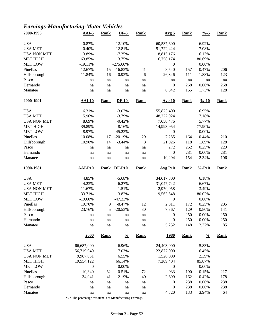### *Earnings-Manufacturing-Motor Vehicles*

| 2000-1996           | $AAI-5$          | <b>Rank</b> | $DF-5$          | <b>Rank</b> | <u>Avg 5</u>              | <b>Rank</b> | $\frac{9}{6} - 5$  | Rank        |
|---------------------|------------------|-------------|-----------------|-------------|---------------------------|-------------|--------------------|-------------|
| <b>USA</b>          | 0.87%            |             | $-12.10%$       |             | 60,537,600                |             | 6.92%              |             |
| <b>USA MET</b>      | 0.40%            |             | $-12.81%$       |             | 51,722,424                |             | 7.08%              |             |
| <b>USA NON MET</b>  | 3.89%            |             | $-7.35%$        |             |                           |             | 6.13%              |             |
| <b>MET HIGH</b>     |                  |             |                 |             | 8,815,176                 |             |                    |             |
|                     | 63.85%           |             | 13.75%          |             | 16,758,174                |             | 80.69%             |             |
| <b>MET LOW</b>      | $-19.11%$        |             | $-275.60%$      |             | $\theta$                  |             | 0.00%              |             |
| Pinellas            | 12.67%           | 15          | $-16.83%$       | 41          | 8,540                     | 157         | 0.47%              | 206         |
| Hillsborough        | 11.84%           | 16          | 0.93%           | 6           | 26,346                    | 111         | 1.88%              | 123         |
| Pasco               | na               | na          | na              | na          | na                        | na          | na                 | na          |
| Hernando            | na               | na          | na              | na          | $\boldsymbol{0}$          | 268         | 0.00%              | 268         |
| Manatee             | na               | na          | na              | na          | 8,842                     | 155         | 1.73%              | 128         |
| 2000-1991           | $AAI-10$         | <b>Rank</b> | $DF-10$         | <b>Rank</b> | <b>Avg 10</b>             | <b>Rank</b> | $\frac{9}{6} - 10$ | <b>Rank</b> |
| <b>USA</b>          | 6.31%            |             | $-3.07%$        |             | 55,873,400                |             | 6.95%              |             |
| <b>USA MET</b>      | 5.96%            |             | $-3.79%$        |             | 48,222,924                |             | 7.18%              |             |
| <b>USA NON MET</b>  | 8.69%            |             | $-0.42%$        |             | 7,650,476                 |             | 5.77%              |             |
| <b>MET HIGH</b>     | 39.89%           |             | 8.16%           |             | 14,993,954                |             | 77.90%             |             |
| <b>MET LOW</b>      | $-8.97%$         |             | $-45.23%$       |             | $\boldsymbol{0}$          |             | 0.00%              |             |
| Pinellas            | 10.08%           | 17          | $-20.19%$       | 29          | 7,285                     | 164         | 0.44%              | 210         |
| Hillsborough        | 10.90%           | 14          | $-3.44%$        | 8           | 21,926                    | 118         | 1.69%              | 128         |
| Pasco               | na               | na          | na              | na          | 272                       | 262         | 0.25%              | 229         |
| Hernando            | na               | na          | na              | na          | $\mathbf{0}$              | 281         | 0.00%              | 281         |
| Manatee             |                  |             |                 |             | 10,294                    | 154         | 2.34%              | 106         |
|                     | na               | na          | na              | na          |                           |             |                    |             |
|                     |                  |             |                 |             |                           |             |                    |             |
| 1990-1981           | <b>AAI-P10</b>   | <b>Rank</b> | $DF-P10$        | <b>Rank</b> | $Avg$ P <sub>10</sub>     | <b>Rank</b> | $% -P10$           | <b>Rank</b> |
| <b>USA</b>          | 4.85%            |             | $-5.68%$        |             | 34,017,800                |             | 6.18%              |             |
| <b>USA MET</b>      | 4.23%            |             | $-6.27%$        |             | 31,047,742                |             | 6.67%              |             |
| <b>USA NON MET</b>  | 11.67%           |             | $-1.51%$        |             | 2,970,058                 |             | 3.49%              |             |
| <b>MET HIGH</b>     | 33.71%           |             | 3.82%           |             | 9,563,548                 |             | 80.02%             |             |
| <b>MET LOW</b>      | $-19.60%$        |             | $-47.33%$       |             | $\boldsymbol{0}$          |             | 0.00%              |             |
| Pinellas            | 19.70%           | 9           | $-8.47%$        | 12          | 2,811                     | 172         | 0.25%              | 205         |
|                     |                  | 5           |                 |             |                           |             |                    |             |
| Hillsborough        | 23.76%<br>na     |             | $-20.53%$<br>na | 30          | 7,367                     | 129         | 0.80%              | 141         |
| Pasco               |                  | na          |                 | na          | $\boldsymbol{0}$          | 250         | 0.00%              | 250         |
| Hernando<br>Manatee | $\rm na$<br>na   | na<br>na    | $\rm na$<br>na  | na<br>na    | $\boldsymbol{0}$<br>5,252 | 250<br>148  | 0.00%<br>2.37%     | 250<br>85   |
|                     | 2000             | <b>Rank</b> | $\frac{0}{0}$   | <b>Rank</b> | <u>1980</u>               | <b>Rank</b> | $\frac{0}{0}$      | <b>Rank</b> |
|                     |                  |             |                 |             |                           |             |                    |             |
| <b>USA</b>          | 66,687,000       |             | 6.96%           |             | 24,403,000                |             | 5.83%              |             |
| <b>USA MET</b>      | 56,719,949       |             | 7.03%           |             | 22,877,000                |             | 6.45%              |             |
| <b>USA NON MET</b>  | 9,967,051        |             | 6.55%           |             | 1,526,000                 |             | 2.39%              |             |
| <b>MET HIGH</b>     | 19,554,122       |             | 66.14%          |             | 7,209,404                 |             | 85.87%             |             |
| <b>MET LOW</b>      | $\boldsymbol{0}$ |             | 0.00%           |             | $\boldsymbol{0}$          |             | 0.00%              |             |
| Pinellas            | 10,340           | 62          | 0.51%           | 72          | 933                       | 190         | 0.15%              | 217         |
| Hillsborough        | 34,041           | 41          | 2.19%           | 40          | 2,699                     | 162         | 0.42%              | 178         |
| Pasco               | na               | na          | na              | na          | $\boldsymbol{0}$          | 238         | 0.00%              | 238         |
| Hernando<br>Manatee | na<br>na         | na<br>na    | na<br>na        | na<br>na    | $\boldsymbol{0}$<br>4,820 | 238<br>133  | 0.00%<br>3.94%     | 238<br>64   |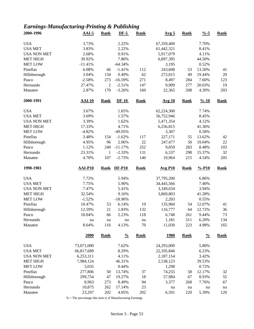### *Earnings-Manufacturing-Printing & Publishing*

| 2000-1996          | $AAI-5$        | <b>Rank</b>    | $DF-5$        | <b>Rank</b> | <u>Avg 5</u>   | <b>Rank</b> | $\frac{9}{6} - 5$  | <b>Rank</b> |
|--------------------|----------------|----------------|---------------|-------------|----------------|-------------|--------------------|-------------|
| <b>USA</b>         | 3.73%          |                | 2.22%         |             | 67,359,400     |             | 7.70%              |             |
| <b>USA MET</b>     | 3.83%          |                | 2.22%         |             | 61,442,321     |             | 8.41%              |             |
| <b>USA NON MET</b> | 2.68%          |                | 0.91%         |             | 5,917,079      |             | 4.11%              |             |
| <b>MET HIGH</b>    | 39.92%         |                | 7.86%         |             | 6,897,395      |             | 44.50%             |             |
| <b>MET LOW</b>     | $-11.41%$      |                | $-64.34%$     |             | 3,195          |             | 0.52%              |             |
| Pinellas           | 6.08%          | 66             | $-1.41%$      | 112         | 243,608        | 53          | 13.50%             | 41          |
| Hillsborough       | 3.94%          | 134            | 0.49%         | 62          | 272,015        | 49          | 19.44%             | 20          |
| Pasco              | $-2.58%$       | 273            | $-16.59%$     | 271         | 8,497          | 284         | 7.60%              | 123         |
| Hernando           | 27.47%         | $\overline{2}$ | $-2.51%$      | 147         | 9,909          | 277         | 20.03%             | 19          |
| Manatee            | 2.87%          | 170            | $-3.26%$      | 160         | 22,365         | 208         | 4.39%              | 203         |
| 2000-1991          | $AAI-10$       | <b>Rank</b>    | $DF-10$       | <b>Rank</b> | <b>Avg 10</b>  | <b>Rank</b> | $\frac{9}{6} - 10$ | <b>Rank</b> |
| <b>USA</b>         | 3.67%          |                | 1.65%         |             | 62,224,300     |             | 7.74%              |             |
| <b>USA MET</b>     | 3.69%          |                | 1.57%         |             | 56,752,946     |             | 8.45%              |             |
| <b>USA NON MET</b> | 3.39%          |                | 1.62%         |             | 5,471,354      |             | 4.12%              |             |
| <b>MET HIGH</b>    | 17.33%         |                | 4.71%         |             | 6,256,815      |             | 41.36%             |             |
| <b>MET LOW</b>     | $-4.82%$       |                | $-49.05%$     |             | 3,307          |             | 0.58%              |             |
| Pinellas           | 3.48%          | 154            | $-1.62%$      | 117         | 227,171        | 55          | 13.62%             | 42          |
| Hillsborough       | 4.95%          | 96             | 2.06%         | 22          | 247,477        | 50          | 19.04%             | 22          |
| Pasco              | 1.12%          | 240            | $-11.17%$     | 252         | 9,059          | 283         | 8.48%              | 103         |
| Hernando           | 23.31%         | $\mathbf{1}$   | $-2.33%$      | 131         | 6,537          | 298         | 15.37%             | 32          |
| Manatee            | 4.70%          | 107            | $-2.73%$      | 140         | 19,964         | 215         | 4.54%              | 205         |
|                    |                |                |               |             |                |             |                    |             |
| 1990-1981          | <b>AAI-P10</b> | <b>Rank</b>    | <b>DF-P10</b> | <b>Rank</b> | <b>Avg P10</b> | <b>Rank</b> | $% -P10$           | <b>Rank</b> |
|                    |                |                |               |             |                |             |                    |             |
| <b>USA</b>         | 7.72%          |                | 5.94%         |             | 37,795,200     |             | 6.86%              |             |
| <b>USA MET</b>     | 7.75%          |                | 5.90%         |             | 34,445,566     |             | 7.40%              |             |
| <b>USA NON MET</b> | 7.47%          |                | 5.41%         |             | 3,349,634      |             | 3.94%              |             |
| <b>MET HIGH</b>    | 32.54%         |                | 9.16%         |             | 3,869,803      |             | 41.28%             |             |
| <b>MET LOW</b>     | $-1.52%$       |                | $-18.96%$     |             | 2,203          |             | 0.55%              |             |
| Pinellas           | 10.47%         | 53             | 6.14%         | 19          | 135,960        | 54          | 12.07%             | 41          |
| Hillsborough       | 12.59%         | 21             | 1.83%         | 132         | 116,777        | 64          | 12.72%             | 36          |
| Pasco              | 10.04%         | 66             | 2.23%         | 118         | 6,748          | 261         | 9.44%              | 73          |
| Hernando           | na             | na             | na            | na          | 1,181          | 311         | 6.20%              | 134         |
| Manatee            | 8.64%          | 116            | 4.13%         | 70          | 11,030         | 223         | 4.98%              | 165         |
|                    | 2000           | <b>Rank</b>    | $\frac{0}{0}$ | <b>Rank</b> | <u>1980</u>    | <b>Rank</b> | $\frac{0}{0}$      | <b>Rank</b> |
| <b>USA</b>         | 73,071,000     |                | 7.62%         |             | 24,293,000     |             | 5.80%              |             |
| <b>USA MET</b>     | 66,817,689     |                | 8.29%         |             | 22,105,846     |             | 6.23%              |             |
| <b>USA NON MET</b> | 6,253,311      |                | 4.11%         |             | 2,187,154      |             | 3.42%              |             |
| <b>MET HIGH</b>    | 7,984,124      |                | 46.31%        |             | 2,538,123      |             | 39.53%             |             |
| <b>MET LOW</b>     | 3,035          |                | 0.44%         |             | 1,298          |             | 0.72%              |             |
| Pinellas           | 277,806        | 50             | 13.74%        | 37          | 74,255         | 58          | 12.17%             | 32          |
| Hillsborough       | 299,754        | 47             | 19.27%        | 18          | 57,984         | 67          | 8.93%              | 55          |
| Pasco              | 8,963          | 273            | 8.49%         | 94          | 3,377          | 268         | 7.76%              | 67          |
| Hernando           | 10,875         | 262            | 17.14%        | 23          | na             | na          | na                 | na          |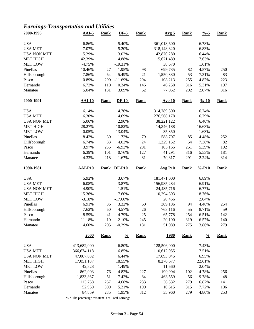### *Earnings-Transportation and Utilities*

| 2000-1996          | <b>AAI-5</b>   | <b>Rank</b> | $DF-5$        | <b>Rank</b> | Avg <sub>5</sub> | <b>Rank</b> | $\frac{9}{6} - 5$  | <b>Rank</b> |
|--------------------|----------------|-------------|---------------|-------------|------------------|-------------|--------------------|-------------|
| <b>USA</b>         | 6.86%          |             | 5.40%         |             | 361,018,600      |             | 6.78%              |             |
| <b>USA MET</b>     | 7.07%          |             | 5.20%         |             | 318,148,320      |             | 6.83%              |             |
| <b>USA NON MET</b> | 5.29%          |             | 3.02%         |             | 42,870,280       |             | 6.44%              |             |
| <b>MET HIGH</b>    | 42.39%         |             | 14.88%        |             | 15,671,489       |             | 17.63%             |             |
| <b>MET LOW</b>     | $-4.75%$       |             | $-19.31%$     |             | 38,670           |             | 1.61%              |             |
| Pinellas           | 10.46%         | 27          | 1.95%         | 98          | 699,735          | 82          | 4.57%              | 250         |
| Hillsborough       | 7.86%          | 64          | 5.49%         | 21          | 1,550,330        | 53          | 7.31%              | 83          |
| Pasco              | 0.89%          | 290         | $-11.69%$     | 294         | 108,213          | 255         | 4.87%              | 223         |
| Hernando           | 6.72%          | 110         | 0.34%         | 146         | 46,258           | 316         | 5.31%              | 197         |
| Manatee            | 5.04%          | 181         | 3.09%         | 62          | 77,052           | 292         | 2.07%              | 316         |
| 2000-1991          | $AAI-10$       | <b>Rank</b> | $DF-10$       | <b>Rank</b> | <b>Avg 10</b>    | <b>Rank</b> | $\frac{9}{6} - 10$ | <b>Rank</b> |
| <b>USA</b>         | 6.14%          |             | 4.76%         |             | 314,789,300      |             | 6.74%              |             |
| <b>USA MET</b>     | 6.30%          |             | 4.69%         |             | 276,568,178      |             | 6.79%              |             |
| <b>USA NON MET</b> | 5.06%          |             | 2.90%         |             | 38,221,122       |             | 6.40%              |             |
| MET HIGH           | 28.27%         |             | 10.82%        |             | 14,346,188       |             | 16.63%             |             |
| <b>MET LOW</b>     | 0.05%          |             | $-13.04%$     |             | 35,350           |             | 1.63%              |             |
| Pinellas           | 8.42%          | 30          | 1.72%         | 79          | 588,707          | 85          | 4.48%              | 252         |
| Hillsborough       | 6.74%          | 83          | 4.02%         | 24          | 1,329,152        | 54          | 7.38%              | 82          |
| Pasco              | 3.97%          | 235         | $-6.93%$      | 291         | 105,165          | 251         | 5.39%              | 192         |
| Hernando           | 6.39%          | 101         | 0.76%         | 127         | 41,291           | 316         | 5.53%              | 181         |
| Manatee            | 4.33%          | 218         | 1.67%         | 81          | 70,317           | 291         | 2.24%              | 314         |
| 1990-1981          | <b>AAI-P10</b> | <b>Rank</b> | <b>DF-P10</b> | <b>Rank</b> | <b>Avg P10</b>   | <b>Rank</b> | $% -P10$           | <b>Rank</b> |
| <b>USA</b>         | 5.92%          |             | 3.67%         |             | 181,471,000      |             | 6.89%              |             |
| <b>USA MET</b>     | 6.08%          |             | 3.87%         |             | 156,985,284      |             | 6.91%              |             |
| <b>USA NON MET</b> | 4.90%          |             | 1.51%         |             | 24,485,716       |             | 6.77%              |             |
| <b>MET HIGH</b>    | 15.36%         |             | 7.60%         |             | 10,294,393       |             | 18.76%             |             |
| <b>MET LOW</b>     | $-3.18%$       |             | $-17.60%$     |             | 20,466           |             | 2.04%              |             |
| Pinellas           | 6.91%          | 86          | 3.32%         | 60          | 309,186          | 94          | 4.46%              | 254         |
| Hillsborough       | 7.62%          | 60          | 4.57%         | 26          | 763,116          | 55          | 8.71%              | 59          |
| Pasco              | 8.59%          | 41          | 4.79%         | 25          | 65,778           | 254         | 6.51%              | 142         |
| Hernando           | 11.18%         | 10          | $-2.10%$      | 245         | 20,190           | 319         | 6.57%              | 140         |
| Manatee            | 4.60%          | 205         | $-0.29%$      | 181         | 51,089           | 275         | 3.86%              | 279         |
|                    | 2000           | <b>Rank</b> | $\frac{0}{0}$ | <b>Rank</b> | <u>1980</u>      | <b>Rank</b> | $\frac{0}{0}$      | <b>Rank</b> |
| <b>USA</b>         | 413,682,000    |             | 6.80%         |             | 128,506,000      |             | 7.43%              |             |
| <b>USA MET</b>     | 366, 674, 118  |             | 6.85%         |             | 110,612,955      |             | 7.51%              |             |
| <b>USA NON MET</b> | 47,007,882     |             | 6.44%         |             | 17,893,045       |             | 6.95%              |             |
| <b>MET HIGH</b>    | 17,051,187     |             | 18.55%        |             | 8,276,677        |             | 22.61%             |             |
| <b>MET LOW</b>     | 42,528         |             | 1.49%         |             | 11,660           |             | 2.04%              |             |
| Pinellas           | 862,003        | 76          | 4.82%         | 227         | 199,994          | 102         | 4.78%              | 256         |
| Hillsborough       | 1,833,867      | 51          | 7.42%         | 84          | 463,559          | 56          | 9.78%              | 48          |
| Pasco              | 113,758        | 257         | 4.68%         | 233         | 36,332           | 279         | 6.87%              | 141         |
| Hernando           | 52,950         | 309         | 5.21%         | 199         | 10,615           | 315         | 7.72%              | 106         |
| Manatee            | 84,859         | 285         | 1.95%         | 312         | 35,960           | 279         | 4.80%              | 253         |
|                    |                |             |               |             |                  |             |                    |             |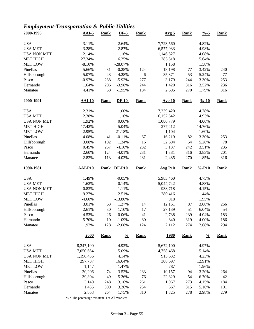# *Employment-Transportation & Public Utilities*

| 2000-1996          | $AAI-5$        | <b>Rank</b> | $DF-5$        | <b>Rank</b> | Avg <sub>5</sub> | <b>Rank</b> | $\frac{9}{6} - 5$  | <b>Rank</b> |
|--------------------|----------------|-------------|---------------|-------------|------------------|-------------|--------------------|-------------|
| <b>USA</b>         | 3.11%          |             | 2.64%         |             | 7,723,560        |             | 4.82%              |             |
| <b>USA MET</b>     | 3.28%          |             | 2.87%         |             | 6,577,033        |             | 4.98%              |             |
| <b>USA NON MET</b> | 2.14%          |             | 1.16%         |             | 1,146,527        |             | 4.08%              |             |
| <b>MET HIGH</b>    | 27.34%         |             | 6.25%         |             | 285,518          |             | 15.64%             |             |
| <b>MET LOW</b>     | $-8.10%$       |             | $-28.07%$     |             | 1,158            |             | 1.58%              |             |
| Pinellas           | 5.66%          | 31          | $-0.28%$      | 124         | 18,198           | 77          | 3.42%              | 240         |
| Hillsborough       | 5.07%          | 43          | 4.28%         | $\sqrt{6}$  | 35,871           | 53          | 5.24%              | 77          |
| Pasco              | $-0.97%$       | 288         | $-5.92%$      | 277         | 3,179            | 244         | 3.30%              | 253         |
| Hernando           | 1.64%          | 206         | $-3.98%$      | 244         | 1,420            | 316         | 3.52%              | 236         |
| Manatee            | 4.41%          | 58          | $-1.95%$      | 184         | 2,695            | 270         | 1.79%              | 316         |
| 2000-1991          | <b>AAI-10</b>  | <b>Rank</b> | $DF-10$       | <b>Rank</b> | <b>Avg 10</b>    | <b>Rank</b> | $\frac{9}{6} - 10$ | <b>Rank</b> |
| <b>USA</b>         | 2.31%          |             | 1.00%         |             | 7,239,420        |             | 4.78%              |             |
| <b>USA MET</b>     | 2.38%          |             | 1.16%         |             | 6,152,642        |             | 4.93%              |             |
| <b>USA NON MET</b> | 1.92%          |             | 0.06%         |             | 1,086,779        |             | 4.06%              |             |
| <b>MET HIGH</b>    | 17.42%         |             | 5.04%         |             | 277,412          |             | 14.76%             |             |
| <b>MET LOW</b>     | $-2.95%$       |             | $-21.18%$     |             | 1,104            |             | 1.60%              |             |
| Pinellas           | 4.08%          | 41          | $-0.11%$      | 67          | 16,219           | 82          | 3.30%              | 253         |
| Hillsborough       | 3.08%          | 102         | 1.34%         | 16          | 32,694           | 54          | 5.28%              | 78          |
| Pasco              | 0.45%          | 257         | $-4.10%$      | 232         | 3,137            | 242         | 3.51%              | 235         |
| Hernando           | 2.60%          | 124         | $-4.01%$      | 231         | 1,381            | 316         | 3.83%              | 201         |
| Manatee            | 2.82%          | 113         | $-4.03%$      | 231         | 2,485            | 270         | 1.85%              | 316         |
| 1990-1981          | <b>AAI-P10</b> | <b>Rank</b> | <b>DF-P10</b> | <b>Rank</b> | <b>Avg P10</b>   | <b>Rank</b> | $% -P10$           | <b>Rank</b> |
| <b>USA</b>         | 1.49%          |             | $-0.05%$      |             | 5,983,460        |             | 4.75%              |             |
| <b>USA MET</b>     | 1.62%          |             | 0.14%         |             | 5,044,742        |             | 4.88%              |             |
| <b>USA NON MET</b> | 0.83%          |             | $-1.11%$      |             | 938,718          |             | 4.15%              |             |
| <b>MET HIGH</b>    | 9.27%          |             | 2.51%         |             | 280,416          |             | 11.44%             |             |
| <b>MET LOW</b>     | $-4.60%$       |             | $-13.80%$     |             | 918              |             | 1.95%              |             |
| Pinellas           | 3.01%          | 63          | 1.27%         | 14          | 12,161           | 87          | 3.08%              | 266         |
| Hillsborough       | 2.61%          | 80          | 1.10%         | 17          | 27,139           | 51          | 6.04%              | 54          |
| Pasco              | 4.53%          | 26          | 0.06%         | 41          | 2,738            | 239         | 4.04%              | 183         |
| Hernando           | 5.70%          | 10          | $-1.09%$      | 80          | 840              | 319         | 4.00%              | 186         |
| Manatee            | 1.92%          | 128         | $-2.08%$      | 124         | 2,112            | 274         | 2.68%              | 294         |
|                    | 2000           | <b>Rank</b> | $\frac{0}{0}$ | <b>Rank</b> | <u>1980</u>      | <b>Rank</b> | $\frac{0}{0}$      | <b>Rank</b> |
| <b>USA</b>         | 8,247,100      |             | 4.92%         |             | 5,672,100        |             | 4.97%              |             |
| <b>USA MET</b>     | 7,050,664      |             | 5.09%         |             | 4,758,468        |             | 5.14%              |             |
| <b>USA NON MET</b> | 1,196,436      |             | 4.14%         |             | 913,632          |             | 4.23%              |             |
| <b>MET HIGH</b>    | 297,737        |             | 16.64%        |             | 308,697          |             | 12.91%             |             |
| <b>MET LOW</b>     | 1,147          |             | 1.47%         |             | 787              |             | 1.96%              |             |
| Pinellas           | 20,206         | 74          | 3.52%         | 233         | 10,157           | 94          | 3.20%              | 264         |
| Hillsborough       | 39,804         | 49          | 5.36%         | 76          | 22,829           | 54          | 6.70%              | 42          |
| Pasco              | 3,140          | 248         | 3.16%         | 261         | 1,967            | 273         | 4.15%              | 184         |
| Hernando           | 1,455          | 309         | 3.26%         | 254         | 667              | 315         | 5.16%              | 101         |
|                    | 2,863          | 264         | 1.75%         | 310         | 1,825            | 278         | 2.98%              | 279         |
| Manatee            |                |             |               |             |                  |             |                    |             |

 $\%$  = The percentage this item is of All Workers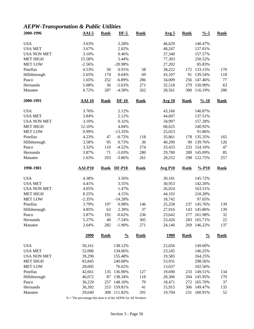### *AEPW-Transportation & Public Utilities*

| 2000-1996           | $AAI-5$          | <b>Rank</b> | $DF-5$               | Rank        | Avg <sub>5</sub> | <b>Rank</b> | $\frac{9}{6} - 5$  | <b>Rank</b> |
|---------------------|------------------|-------------|----------------------|-------------|------------------|-------------|--------------------|-------------|
| <b>USA</b>          | 3.63%            |             | 2.28%                |             | 46,629           |             | 140.47%            |             |
| <b>USA MET</b>      | 3.67%            |             | 2.02%                |             | 48,247           |             | 137.01%            |             |
| <b>USA NON MET</b>  | 3.10%            |             | 0.46%                |             | 37,340           |             | 157.57%            |             |
| <b>MET HIGH</b>     | 15.58%           |             | 5.44%                |             | 77,303           |             | 250.52%            |             |
| <b>MET LOW</b>      | $-2.56%$         |             | $-20.98%$            |             | 27,202           |             | 85.83%             |             |
| Pinellas            | 4.53%            | 50          | 0.91%                | 58          | 38,222           | 172         | 133.15%            | 170         |
| Hillsborough        | 2.65%            | 174         | 0.64%                | 69          | 43,107           | 91          | 139.54%            | 118         |
| Pasco               | 1.65%            | 252         | $-6.89%$             | 286         | 34,009           | 256         | 147.46%            | $77 \,$     |
| Hernando            | 5.08%            | 36          | $-5.63%$             | 271         | 32,518           | 279         | 150.90%            | 63          |
| Manatee             | 0.72%            | 287         | $-4.58%$             | 262         | 28,561           | 300         | 116.19%            | 280         |
| 2000-1991           | $AAI-10$         | <b>Rank</b> | $DF-10$              | <b>Rank</b> | <b>Avg 10</b>    | <b>Rank</b> | $\frac{9}{6} - 10$ | <b>Rank</b> |
| <b>USA</b>          | 3.76%            |             | 2.12%                |             | 43,166           |             | 140.87%            |             |
| <b>USA MET</b>      | 3.84%            |             | 2.12%                |             | 44,607           |             | 137.51%            |             |
| <b>USA NON MET</b>  | 3.10%            |             | 0.32%                |             | 34,997           |             | 157.28%            |             |
| <b>MET HIGH</b>     | 12.10%           |             | 4.84%                |             | 68,625           |             | 240.92%            |             |
| <b>MET LOW</b>      | 0.99%            |             | $-13.35%$            |             | 25,023           |             | 91.86%             |             |
| Pinellas            | 4.23%            | 47          | $-0.72%$             | 118         | 35,861           | 178         | 135.35%            | 165         |
| Hillsborough        | 3.58%            | 95          | 0.73%                | 36          | 40,290           | 90          | 139.76%            | 126         |
| Pasco               | 3.32%            | 110         | $-4.52%$             | 274         | 33,433           | 233         | 154.16%            | 47          |
| Hernando            | 3.87%            | 71          | $-5.03%$             | 280         | 29,780           | 289         | 145.09%            | 85          |
| Manatee             | 1.63%            | 293         | $-3.86%$             | 261         | 28,252           | 298         | 122.75%            | 257         |
| 1990-1981           | <b>AAI-P10</b>   | <b>Rank</b> | <b>DF-P10</b>        | <b>Rank</b> | <b>Avg P10</b>   | <b>Rank</b> | $% -P10$           | <b>Rank</b> |
|                     |                  |             |                      |             |                  |             |                    |             |
|                     |                  |             |                      |             |                  |             |                    |             |
| <b>USA</b>          | 4.38%            |             | 3.56%                |             | 30,181           |             | 145.72%            |             |
| <b>USA MET</b>      | 4.41%            |             | 3.55%                |             | 30,953           |             | 142.26%            |             |
| <b>USA NON MET</b>  | 4.05%            |             | 1.47%                |             | 26,024           |             | 163.51%            |             |
| <b>MET HIGH</b>     | 8.25%            |             | 4.15%                |             | 44,192           |             | 210.28%            |             |
| <b>MET LOW</b>      | $-2.35%$         |             | $-14.28%$            |             | 18,742           |             | 97.65%             |             |
| Pinellas            | 3.79%            | 197         | 0.98%                | 146         | 25,258           | 237         | 145.76%            | 139         |
| Hillsborough        | 4.85%            | 63          | 2.39%                | 37          | 27,916           | 143         | 145.86%            | 139         |
| Pasco               | 3.87%            | 192         | $-0.62%$             | 236         | 23,642           | 277         | 161.98%            | 32          |
| Hernando<br>Manatee | 5.27%<br>2.64%   | 40<br>282   | $-7.54%$<br>$-1.90%$ | 305<br>271  | 23,426<br>24,146 | 283<br>269  | 165.71%<br>146.22% | 22<br>137   |
|                     | 2000             | <b>Rank</b> | $\frac{0}{0}$        | <b>Rank</b> | <u>1980</u>      | <b>Rank</b> | $\frac{0}{0}$      | <b>Rank</b> |
|                     |                  |             |                      |             |                  |             |                    |             |
| <b>USA</b>          | 50,161           |             | 138.12%              |             | 22,656           |             | 149.60%            |             |
| <b>USA MET</b>      | 52,006           |             | 134.66%              |             | 23,245           |             | 146.25%            |             |
| <b>USA NON MET</b>  | 39,290           |             | 155.48%              |             | 19,585           |             | 164.25%            |             |
| <b>MET HIGH</b>     | 83,845           |             | 240.68%              |             | 53,931           |             | 298.56%            |             |
| <b>MET LOW</b>      | 28,605           |             | 76.62%               |             | 13,637           |             | 102.56%            |             |
| Pinellas            | 42,661           | 135         | 136.90%              | 127         | 19,690           | 233         | 149.51%            | 134         |
| Hillsborough        | 46,072           | 87          | 138.34%              | 118         | 20,306           | 204         | 145.95%            | 170         |
| Pasco               | 36,229           | 257         | 148.10%              | 70          | 18,471           | 272         | 165.70%            | 37          |
| Hernando<br>Manatee | 36,392<br>29,640 | 253<br>308  | 159.81%<br>111.82%   | 41<br>291   | 15,915<br>19,704 | 306<br>231  | 149.47%<br>160.91% | 135<br>52   |

% = The percentage this item is of the AEPW for All Workers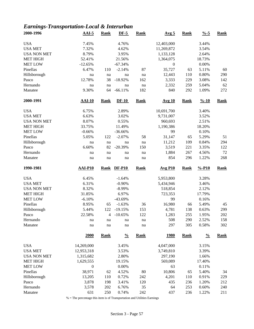### *Earnings-Transportation-Local & Interurban*

| 2000-1996           | $AAI-5$          | <b>Rank</b> | $DF-5$         | <b>Rank</b>         | Avg <sub>5</sub> | <b>Rank</b> | $\frac{9}{6} - 5$  | <b>Rank</b> |
|---------------------|------------------|-------------|----------------|---------------------|------------------|-------------|--------------------|-------------|
| <b>USA</b>          | 7.45%            |             | 4.76%          |                     | 12,403,000       |             | 3.44%              |             |
| <b>USA MET</b>      | 7.32%            |             | 4.62%          |                     | 11,269,872       |             | 3.54%              |             |
| <b>USA NON MET</b>  | 8.79%            |             | 3.95%          |                     | 1,133,128        |             | 2.64%              |             |
| <b>MET HIGH</b>     | 52.41%           |             | 21.56%         |                     | 1,364,075        |             | 18.73%             |             |
| <b>MET LOW</b>      | $-12.65%$        |             | $-67.34%$      |                     | $\boldsymbol{0}$ |             | $0.00\%$           |             |
| Pinellas            | 6.47%            | 110         | $-2.14%$       | 87                  | 35,727           | 63          | 5.11%              | 60          |
| Hillsborough        | na               | na          | na             | na                  | 12,443           | 110         | 0.80%              | 290         |
| Pasco               | 12.78%           | 38          | $-18.92%$      | 162                 | 3,333            | 229         | 3.08%              | 142         |
| Hernando            | na               | na          | na             | na                  | 2,332            | 259         | 5.04%              | 62          |
| Manatee             | 9.30%            | 64          | $-66.11%$      | 182                 | 840              | 292         | 1.09%              | 272         |
| 2000-1991           | <b>AAI-10</b>    | Rank        | $DF-10$        | <b>Rank</b>         | <b>Avg 10</b>    | <b>Rank</b> | $\frac{9}{6} - 10$ | <b>Rank</b> |
| <b>USA</b>          | 6.75%            |             | 2.89%          |                     | 10,691,700       |             | 3.40%              |             |
| <b>USA MET</b>      | 6.63%            |             | 3.02%          |                     | 9,731,007        |             | 3.52%              |             |
| <b>USA NON MET</b>  | 8.07%            |             | 0.55%          |                     | 960,693          |             | 2.51%              |             |
| <b>MET HIGH</b>     | 33.75%           |             | 11.49%         |                     | 1,190,386        |             | 18.20%             |             |
| <b>MET LOW</b>      | $-0.66%$         |             | $-36.66%$      |                     | 99               |             | 0.10%              |             |
| Pinellas            | 5.05%            | 122         | $-2.07%$       | 58                  | 31,147           | 65          | 5.29%              | 51          |
| Hillsborough        | na               | na          | na             | $\operatorname{na}$ | 11,212           | 109         | 0.84%              | 294         |
| Pasco               | 6.60%            | 82          | $-20.39%$      | 150                 | 3,519            | 221         | 3.35%              | 122         |
| Hernando            | na               | na          | na             | na                  | 1,884            | 267         | 4.56%              | 72          |
| Manatee             | na               | na          | na             | na                  | 854              | 296         | 1.22%              | 268         |
|                     |                  |             |                |                     |                  |             |                    |             |
| 1990-1981           | <b>AAI-P10</b>   | <b>Rank</b> | <b>DF-P10</b>  | <b>Rank</b>         | <b>Avg P10</b>   | <b>Rank</b> | $% -P10$           | <b>Rank</b> |
|                     |                  |             |                |                     |                  |             |                    |             |
| <b>USA</b>          | 6.45%            |             | $-1.64%$       |                     | 5,953,800        |             | 3.28%              |             |
| <b>USA MET</b>      | 6.31%            |             | $-0.90%$       |                     | 5,434,946        |             | 3.46%              |             |
| <b>USA NON MET</b>  | 8.32%            |             | $-8.99%$       |                     | 518,854          |             | 2.12%              |             |
| <b>MET HIGH</b>     | 31.85%           |             | 6.97%          |                     | 723,353          |             | 17.79%             |             |
| <b>MET LOW</b>      | $-6.10%$         |             | -43.69%        |                     | 99               |             | 0.16%              |             |
| Pinellas            | 8.95%            | 65          | $-1.63%$       | 36                  | 16,980           | 66          | 5.49%              | 45          |
| Hillsborough        | 5.44%            | 122         | $-19.15%$      | 153                 | 4,781            | 138         | 0.63%              | 299         |
| Pasco               | 22.58%           | 4           | $-10.65%$      | 122                 | 1,283            | 255         | 1.95%              | 202         |
| Hernando<br>Manatee | na<br>na         | na<br>na    | na<br>na       | na<br>na            | 508<br>297       | 290<br>305  | 2.52%<br>0.58%     | 158<br>302  |
|                     | 2000             | <b>Rank</b> | $\frac{0}{0}$  | <b>Rank</b>         | <u>1980</u>      | <b>Rank</b> | $\frac{0}{0}$      | <b>Rank</b> |
|                     |                  |             |                |                     |                  |             |                    |             |
| <b>USA</b>          | 14,269,000       |             | 3.45%          |                     | 4,047,000        |             | 3.15%              |             |
| <b>USA MET</b>      | 12,953,318       |             | 3.53%          |                     | 3,749,810        |             | 3.39%              |             |
| <b>USA NON MET</b>  | 1,315,682        |             | 2.80%          |                     | 297,190          |             | 1.66%              |             |
| <b>MET HIGH</b>     | 1,629,555        |             | 19.15%         |                     | 569,089          |             | 17.40%             |             |
| <b>MET LOW</b>      | $\boldsymbol{0}$ |             | 0.00%          |                     | 63               |             | 0.11%              |             |
| Pinellas            | 38,971           | 62          | 4.52%          | $80\,$              | 10,806           | 65          | 5.40%              | 34          |
| Hillsborough        | 13,205           | 110         | 0.72%          | 242                 | 4,201            | 110         | 0.91%              | 229         |
| Pasco               | 3,878            | 198         | 3.41%          | 120                 | 435              | 236         | 1.20%              | 212         |
| Hernando<br>Manatee | 3,578<br>631     | 202<br>250  | 6.76%<br>0.74% | 35<br>242           | 64<br>437        | 253<br>236  | 0.60%<br>1.22%     | 240<br>211  |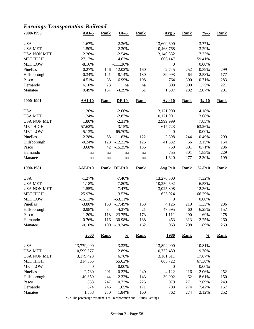### *Earnings-Transportation-Railroad*

| 2000-1996          | $AAI-5$          | <b>Rank</b> | $DF-5$        | <b>Rank</b> | Avg <sub>5</sub> | <b>Rank</b> | $\frac{0}{6}$ -5   | <b>Rank</b> |
|--------------------|------------------|-------------|---------------|-------------|------------------|-------------|--------------------|-------------|
| <b>USA</b>         | 1.67%            |             | $-2.36%$      |             | 13,609,600       |             | 3.77%              |             |
| <b>USA MET</b>     | 1.50%            |             | $-2.30%$      |             | 10,468,768       |             | 3.29%              |             |
| <b>USA NON MET</b> | 2.26%            |             | $-2.54%$      |             | 3,140,832        |             | 7.33%              |             |
| <b>MET HIGH</b>    | 27.17%           |             | 4.63%         |             | 606,147          |             | 59.41%             |             |
| <b>MET LOW</b>     | $-8.16%$         |             | $-111.36%$    |             | $\boldsymbol{0}$ |             | 0.00%              |             |
| Pinellas           | 0.27%            | 146         | $-12.02\%$    | 160         | 2,745            | 252         | 0.39%              | 299         |
| Hillsborough       | 0.34%            | 141         | $-8.14%$      | 130         | 39,993           | 64          | 2.58%              | 177         |
| Pasco              | 4.51%            | 38          | $-6.99%$      | 108         | 764              | 300         | 0.71%              | 283         |
| Hernando           | 6.10%            | 23          | na            | na          | 808              | 300         | 1.75%              | 221         |
| Manatee            | 0.49%            | 137         | $-4.29%$      | 61          | 1,597            | 282         | 2.07%              | 201         |
| 2000-1991          | $AAI-10$         | <b>Rank</b> | $DF-10$       | <b>Rank</b> | Avg 10           | <b>Rank</b> | $\frac{9}{6} - 10$ | <b>Rank</b> |
| <b>USA</b>         | 1.36%            |             | $-2.66%$      |             | 13,171,900       |             | 4.18%              |             |
| <b>USA MET</b>     | 1.24%            |             | $-2.87%$      |             | 10,171,901       |             | 3.68%              |             |
| <b>USA NON MET</b> | 1.80%            |             | $-2.31%$      |             | 2,999,999        |             | 7.85%              |             |
| <b>MET HIGH</b>    | 57.62%           |             | 3.15%         |             | 617,723          |             | 63.26%             |             |
| <b>MET LOW</b>     | $-5.13%$         |             | $-65.70%$     |             | $\boldsymbol{0}$ |             | 0.00%              |             |
| Pinellas           | 2.28%            | 58          | $-11.63%$     | 122         | 2,898            | 244         | 0.49%              | 299         |
| Hillsborough       | $-0.24%$         | 128         | $-12.23%$     | 126         | 41,832           | 66          | 3.15%              | 164         |
| Pasco              | 3.68%            | 42          | $-15.35%$     | 135         | 750              | 301         | 0.71%              | 286         |
| Hernando           |                  |             |               |             | 755              | 301         | 1.83%              | 229         |
| Manatee            | na<br>na         | na<br>na    | na<br>na      | na<br>na    | 1,620            | 277         | 2.30%              | 199         |
| 1990-1981          | $AAI-P10$        |             |               |             |                  |             |                    |             |
|                    |                  | <b>Rank</b> | <b>DF-P10</b> | <b>Rank</b> | <b>Avg P10</b>   | <b>Rank</b> | $% -P10$           | <b>Rank</b> |
| <b>USA</b>         | $-1.27%$         |             | $-7.40%$      |             | 13,276,500       |             | 7.32%              |             |
| <b>USA MET</b>     | $-1.18%$         |             | $-7.80%$      |             | 10,250,692       |             | 6.53%              |             |
| <b>USA NON MET</b> | $-1.55%$         |             | $-7.47%$      |             | 3,025,808        |             | 12.36%             |             |
| <b>MET HIGH</b>    | 25.97%           |             | 3.53%         |             | 625,024          |             | 66.29%             |             |
| <b>MET LOW</b>     | $-15.13%$        |             | $-53.11%$     |             | $\boldsymbol{0}$ |             | 0.00%              |             |
| Pinellas           | $-3.80%$         | 158         | $-17.49%$     | 153         | 4,126            | 219         | 1.33%              | 286         |
| Hillsborough       | 0.98%            | 84          | $-4.37%$      | 21          | 47,695           | 60          | 6.25%              | 157         |
| Pasco              | $-1.20%$         | 118         | $-23.75%$     | 173         | 1,111            | 290         | 1.69%              | 278         |
| Hernando           | $-0.76%$         | 116         | $-30.98%$     | 188         | 453              | 313         | 2.25%              | 260         |
| Manatee            | $-0.10%$         | 100         | $-19.24%$     | 162         | 963              | 298         | 1.89%              | 269         |
|                    | <b>2000</b>      | <b>Rank</b> | $\frac{0}{0}$ | <b>Rank</b> | <u>1980</u>      | <b>Rank</b> | $\frac{0}{0}$      | <b>Rank</b> |
| <b>USA</b>         | 13,779,000       |             | 3.33%         |             | 13,894,000       |             | 10.81%             |             |
| <b>USA MET</b>     | 10,599,577       |             | 2.89%         |             | 10,732,489       |             | 9.70%              |             |
| <b>USA NON MET</b> | 3,179,423        |             | 6.76%         |             | 3,161,511        |             | 17.67%             |             |
| <b>MET HIGH</b>    | 314,355          |             | 55.62%        |             | 665,722          |             | 67.38%             |             |
| <b>MET LOW</b>     | $\boldsymbol{0}$ |             | 0.00%         |             | $\boldsymbol{0}$ |             | 0.00%              |             |
| Pinellas           | 2,780            | 201         | 0.32%         | 240         | 4,122            | 216         | 2.06%              | 252         |
| Hillsborough       | 40,659           | 44          | 2.22%         | 143         | 39,902           | 62          | 8.61%              | 150         |
| Pasco              | 833              | 247         | 0.73%         | 225         | 979              | 271         | 2.69%              | 249         |
| Hernando           | 874              | 246         | 1.65%         | 171         | 788              | 274         | 7.42%              | 167         |
| Manatee            | 1,558            | 230         | 1.84%         | 160         | 762              | 274         | 2.12%              | 252         |
|                    |                  |             |               |             |                  |             |                    |             |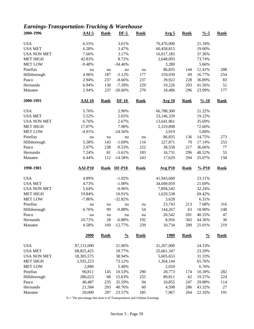### *Earnings-Transportation-Trucking & Warehouse*

| 2000-1996           | $AAI-5$          | <b>Rank</b> | $DF-5$                | <b>Rank</b> | Avg <sub>5</sub> | <b>Rank</b> | $\frac{0}{6} - 5$  | <b>Rank</b> |
|---------------------|------------------|-------------|-----------------------|-------------|------------------|-------------|--------------------|-------------|
| <b>USA</b>          | 6.55%            |             | 3.61%                 |             | 76,476,000       |             | 21.18%             |             |
| <b>USA MET</b>      | 6.28%            |             | 3.47%                 |             | 60,458,815       |             | 19.00%             |             |
| <b>USA NON MET</b>  | 7.66%            |             | 3.17%                 |             | 16,017,185       |             | 37.36%             |             |
| <b>MET HIGH</b>     | 42.83%           |             | 8.72%                 |             | 2,648,093        |             | 73.74%             |             |
| <b>MET LOW</b>      |                  |             |                       |             |                  |             |                    |             |
|                     | $-9.48%$         |             | $-34.46%$             |             | 3,280            |             | 5.66%              |             |
| Pinellas            | na               | na          | na                    | na          | 86,835           | 144         | 12.41%             | 288         |
| Hillsborough        | 4.96%            | 187         | $-3.12%$              | 177         | 259,939          | 69          | 16.77%             | 254         |
| Pasco               | 2.94%            | 237         | $-8.66%$              | 237         | 39,922           | 228         | 36.89%             | 83          |
| Hernando            | 6.94%            | 130         | $-7.39%$              | 229         | 19,226           | 293         | 41.56%             | 51          |
| Manatee             | 2.94%            | 237         | $-20.60%$             | 270         | 18,486           | 296         | 23.99%             | 177         |
| 2000-1991           | $AAI-10$         | <b>Rank</b> | $DF-10$               | <b>Rank</b> | <b>Avg 10</b>    | <b>Rank</b> | $\frac{9}{6} - 10$ | <b>Rank</b> |
| <b>USA</b>          | 5.76%            |             | 2.90%                 |             | 66,788,300       |             | 21.22%             |             |
| <b>USA MET</b>      | 5.52%            |             | 2.65%                 |             | 53,146,339       |             | 19.22%             |             |
| <b>USA NON MET</b>  | 6.76%            |             | 2.67%                 |             | 13,641,961       |             | 35.69%             |             |
| <b>MET HIGH</b>     | 17.07%           |             | 7.90%                 |             | 2,319,898        |             | 72.60%             |             |
| <b>MET LOW</b>      | $-4.91%$         |             | $-24.56%$             |             | 3,919            |             | 5.89%              |             |
| Pinellas            | na               | na          | na                    | na          | 86,835           | 136         | 14.75%             | 273         |
| Hillsborough        | 5.58%            | 143         | $-1.69%$              | 116         | 227,871          | 70          | 17.14%             | 253         |
| Pasco               | 2.07%            | 238         | $-9.53%$              | 222         | 38,558           | 217         | 36.66%             | $77 \,$     |
| Hernando            | 7.24%            | 81          | $-5.61%$              | 183         | 16,731           | 296         | 40.52%             | 55          |
| Manatee             | 6.44%            | 112         | $-14.58%$             | 243         | 17,629           | 294         | 25.07%             | 158         |
|                     |                  |             |                       |             |                  |             |                    |             |
|                     |                  |             |                       |             |                  |             |                    |             |
| 1990-1981           | $AAI-P10$        | <b>Rank</b> | <b>DF-P10</b>         | <b>Rank</b> | <b>Avg P10</b>   | <b>Rank</b> | $% -P10$           | <b>Rank</b> |
| <b>USA</b>          | 4.89%            |             | $-1.02%$              |             | 41,943,600       |             | 23.11%             |             |
| <b>USA MET</b>      | 4.73%            |             | $-1.00%$              |             | 34,049,059       |             | 21.69%             |             |
| <b>USA NON MET</b>  | 5.64%            |             | $-0.96%$              |             | 7,894,542        |             | 32.24%             |             |
| <b>MET HIGH</b>     | 19.84%           |             | 10.91%                |             | 1,629,538        |             | 69.42%             |             |
| <b>MET LOW</b>      | $-7.86%$         |             | $-32.82%$             |             | 3,628            |             | 6.31%              |             |
| Pinellas            | na               | na          | na                    | na          | 23,743           | 213         | 7.68%              | 316         |
|                     |                  | 99          |                       |             |                  |             |                    |             |
| Hillsborough        | 6.76%<br>na      | na          | $-0.88%$<br>na        | 54<br>na    | 144,267          | 63          | 18.90%             | 248<br>47   |
| Pasco               |                  |             |                       |             | 26,542           | 201         | 40.35%             |             |
| Hernando<br>Manatee | 10.71%<br>4.58%  | 28<br>169   | $-6.88%$<br>$-12.77%$ | 192<br>239  | 8,956<br>10,734  | 302<br>289  | 44.36%<br>21.01%   | 30<br>219   |
|                     | 2000             | <b>Rank</b> | $\frac{0}{0}$         | <b>Rank</b> | <u>1980</u>      | <b>Rank</b> | $\frac{0}{0}$      | <b>Rank</b> |
|                     |                  |             |                       |             |                  |             |                    |             |
| <b>USA</b>          | 87,131,000       |             | 21.06%                |             | 31,267,000       |             | 24.33%             |             |
| <b>USA MET</b>      | 68,825,425       |             | 18.77%                |             | 25,661,347       |             | 23.20%             |             |
| <b>USA NON MET</b>  | 18,305,575       |             | 38.94%                |             | 5,605,653        |             | 31.33%             |             |
| <b>MET HIGH</b>     | 2,935,223        |             | 73.12%                |             | 1,364,144        |             | 65.76%             |             |
| <b>MET LOW</b>      | 2,880            |             | 5.40%                 |             | 2,020            |             | 6.76%              |             |
| Pinellas            | 90,811           | 145         | 10.53%                | 290         | 20,773           | 174         | 10.39%             | 282         |
| Hillsborough        | 286,623          | 68          | 15.63%                | 255         | 89,811           | 62          | 19.37%             | 224         |
| Pasco               | 40,487           | 235         | 35.59%                | 94          | 10,855           | 247         | 29.88%             | 114         |
| Hernando<br>Manatee | 21,584<br>20,000 | 293<br>297  | 40.76%<br>23.57%      | 60<br>185   | 4,598<br>7,967   | 286<br>264  | 43.32%<br>22.16%   | 27<br>191   |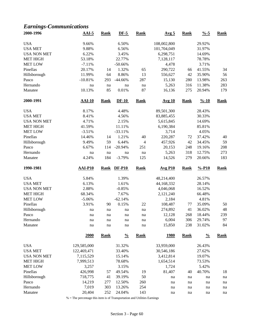### *Earnings-Communications*

|                     | $AAI-5$            | <b>Rank</b> | $DF-5$           | <b>Rank</b>    | Avg <sub>5</sub>        | <b>Rank</b> | $\frac{9}{6} - 5$  | <b>Rank</b>   |
|---------------------|--------------------|-------------|------------------|----------------|-------------------------|-------------|--------------------|---------------|
| <b>USA</b>          | 9.66%              |             | 6.50%            |                | 108,002,800             |             | 29.92%             |               |
| <b>USA MET</b>      | 9.88%              |             | 6.56%            |                | 101,704,049             |             | 31.97%             |               |
| <b>USA NON MET</b>  | 6.22%              |             | 3.45%            |                | 6,298,751               |             | 14.69%             |               |
| <b>MET HIGH</b>     | 53.18%             |             | 22.77%           |                | 7,128,117               |             | 78.78%             |               |
| <b>MET LOW</b>      | $-7.11%$           |             | $-50.66%$        |                | 4,478                   |             | 3.71%              |               |
| Pinellas            | 20.17%             | 14          | 1.32%            | 65             | 290,722                 | 66          | 41.55%             | 34            |
| Hillsborough        | 11.99%             | 64          | 8.86%            | 13             | 556,627                 | 42          | 35.90%             | 56            |
| Pasco               | $-10.81%$          | 293         | $-44.66%$        | 287            | 15,130                  | 280         | 13.98%             | 263           |
| Hernando            | na                 | na          | na               | na             | 5,263                   | 316         | 11.38%             | 283           |
| Manatee             | 10.13%             | 85          | 0.01%            | 87             | 16,136                  | 275         | 20.94%             | 179           |
| 2000-1991           | $AAI-10$           | <b>Rank</b> | $DF-10$          | <b>Rank</b>    | <b>Avg 10</b>           | <b>Rank</b> | $\frac{9}{6} - 10$ | <b>Rank</b>   |
| <b>USA</b>          | 8.17%              |             | 4.48%            |                | 89,501,300              |             | 28.43%             |               |
| <b>USA MET</b>      | 8.41%              |             | 4.56%            |                | 83,885,455              |             | 30.33%             |               |
| <b>USA NON MET</b>  | 4.71%              |             | 2.15%            |                | 5,615,845               |             | 14.69%             |               |
| <b>MET HIGH</b>     | 41.59%             |             | 11.11%           |                | 6,190,384               |             | 85.81%             |               |
| <b>MET LOW</b>      | $-3.51%$           |             | $-33.11%$        |                | 3,714                   |             | 4.05%              |               |
| Pinellas            | 14.46%             | 14          | 1.21%            | 40             | 220,287                 | 72          | 37.42%             | 40            |
| Hillsborough        | 9.49%              | 59          | 6.44%            | $\overline{4}$ | 457,926                 | 42          | 34.45%             | 59            |
| Pasco               | 6.67%              | 114         | $-20.94%$        | 251            | 20,153                  | 248         | 19.16%             | 208           |
| Hernando            | na                 | na          | na               | na             | 5,263                   | 318         | 12.75%             | 273           |
| Manatee             | 4.24%              | 184         | $-3.79%$         | 125            | 14,526                  | 279         | 20.66%             | 183           |
|                     |                    |             |                  |                |                         |             |                    |               |
| 1990-1981           | $AAI-P10$          | <b>Rank</b> | <b>DF-P10</b>    | <b>Rank</b>    | <b>Avg P10</b>          | <b>Rank</b> | $% -P10$           | <b>Rank</b>   |
|                     |                    |             |                  |                |                         |             |                    |               |
| <b>USA</b>          | 5.84%              |             | 1.39%            |                | 48,214,400              |             | 26.57%             |               |
| <b>USA MET</b>      | 6.13%              |             | 1.61%            |                | 44,168,332              |             | 28.14%             |               |
| <b>USA NON MET</b>  | 2.88%              |             | $-0.85%$         |                | 4,046,068               |             | 16.52%             |               |
| <b>MET HIGH</b>     | 68.34%             |             | 7.67%            |                | 2,121,240               |             | 66.48%             |               |
| <b>MET LOW</b>      | $-5.06%$           |             | $-62.14%$        |                | 2,184                   |             | 4.81%              |               |
| Pinellas            | 3.91%              | 90          | 0.15%            | 22             | 108,487                 | 77          | 35.09%             | 50            |
| Hillsborough        | na                 | na          | na               | na             | 274,892                 | 41          | 36.02%             | 48            |
| Pasco               | na                 | na          | na               | na             | 12,128                  | 268         | 18.44%             | 239           |
| Hernando<br>Manatee | na<br>na           | na<br>na    | na<br>na         | na<br>na       | 6,004<br>15,850         | 306<br>238  | 29.74%<br>31.02%   | 97<br>84      |
|                     | 2000               | <b>Rank</b> | $\frac{0}{0}$    | <b>Rank</b>    | <u>1980</u>             | <b>Rank</b> | $\frac{0}{0}$      | <b>Rank</b>   |
| <b>USA</b>          | 129,585,000        |             | 31.32%           |                | 33,959,000              |             | 26.43%             |               |
| <b>USA MET</b>      | 122,469,471        |             | 33.40%           |                |                         |             | 27.62%             |               |
| <b>USA NON MET</b>  | 7,115,529          |             | 15.14%           |                | 30,546,186<br>3,412,814 |             | 19.07%             |               |
| <b>MET HIGH</b>     | 7,999,513          |             | 78.68%           |                | 1,654,514               |             | 73.53%             |               |
| <b>MET LOW</b>      |                    |             |                  |                |                         |             |                    |               |
| Pinellas            | 3,257              | 57          | 3.15%<br>49.54%  |                | 1,724                   | 40          | 5.42%<br>40.70%    |               |
|                     | 426,998<br>718,775 |             |                  | 19             | 81,407<br>na            | na          | na                 | 18<br>na      |
| Hillsborough        |                    | 41          | 39.19%           | 50             |                         |             |                    |               |
| Pasco<br>Hernando   | 14,219<br>7,019    | 277<br>303  | 12.50%<br>13.26% | 260<br>254     | na<br>na                | na<br>na    | na<br>na           | $\,$ na<br>na |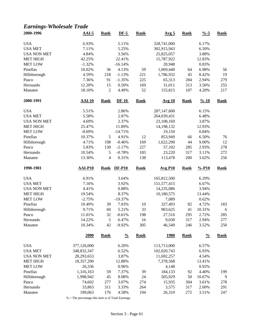### *Earnings-Wholesale Trade*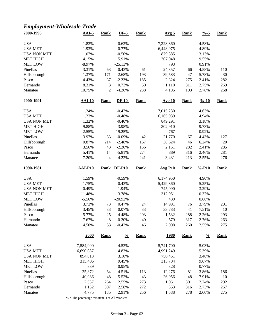### *Employment-Wholesale Trade*

| 2000-1996           | $AAI-5$        | <b>Rank</b>    | $DF-5$               | <b>Rank</b> | Avg <sub>5</sub> | <b>Rank</b> | $\frac{9}{6} - 5$  | <b>Rank</b> |
|---------------------|----------------|----------------|----------------------|-------------|------------------|-------------|--------------------|-------------|
| <b>USA</b>          | 1.82%          |                | 0.62%                |             | 7,328,360        |             | 4.58%              |             |
| <b>USA MET</b>      | 1.93%          |                | 0.77%                |             | 6,448,975        |             | 4.89%              |             |
| <b>USA NON MET</b>  | 1.07%          |                | $-0.50%$             |             | 879,385          |             | 3.13%              |             |
| <b>MET HIGH</b>     | 14.15%         |                | 5.91%                |             | 307,048          |             | 9.55%              |             |
| <b>MET LOW</b>      | $-8.97%$       |                | $-25.13%$            |             | 793              |             | 0.91%              |             |
| Pinellas            | 3.31%          | 63             | 0.43%                | 61          | 24,357           | 66          | 4.58%              | 110         |
| Hillsborough        | 1.37%          | 171            | $-2.68%$             | 193         | 39,583           | 47          | 5.78%              | 30          |
| Pasco               | 4.43%          | 37             | $-2.33%$             | 185         | 2,324            | 275         | 2.41%              | 282         |
| Hernando            | 8.31%          | $\mathfrak{Z}$ | 0.73%                | 50          | 1,110            | 311         | 2.75%              | 269         |
| Manatee             | 10.75%         | $\overline{c}$ | $-4.26%$             | 238         | 4,195            | 193         | 2.78%              | 268         |
|                     |                |                |                      |             |                  |             |                    |             |
| 2000-1991           | <b>AAI-10</b>  | <b>Rank</b>    | $DF-10$              | <b>Rank</b> | <b>Avg 10</b>    | <b>Rank</b> | $\frac{9}{6} - 10$ | <b>Rank</b> |
| <b>USA</b>          | 1.24%          |                | $-0.47%$             |             | 7,015,230        |             | 4.63%              |             |
| <b>USA MET</b>      | 1.23%          |                | $-0.48%$             |             | 6,165,939        |             | 4.94%              |             |
| <b>USA NON MET</b>  | 1.32%          |                | $-0.40%$             |             | 849,291          |             | 3.18%              |             |
| <b>MET HIGH</b>     | 9.88%          |                | 3.98%                |             | 302,910          |             | 9.73%              |             |
| <b>MET LOW</b>      | $-2.55%$       |                | $-19.25%$            |             | 767              |             | 0.92%              |             |
| Pinellas            | 3.97%          | 33             | $-0.09%$             | 42          | 21,770           | 67          | 4.43%              | 127         |
| Hillsborough        | 0.87%          | 214            | $-2.48%$             | 167         | 38,624           | 46          | 6.24%              | 20          |
| Pasco               | 3.56%          | 43             | $-2.30%$             | 156         | 2,151            | 282         | 2.41%              | 285         |
| Hernando            | 5.41%          | 14             | $-5.81%$             | 274         | 889              | 316         | 2.46%              | 281         |
| Manatee             | 7.20%          | 4              | $-4.22%$             | 241         | 3,431            | 213         | 2.55%              | 276         |
| 1990-1981           | <b>AAI-P10</b> | <b>Rank</b>    | <b>DF-P10</b>        | <b>Rank</b> | <b>Avg P10</b>   | <b>Rank</b> | $% -P10$           | <b>Rank</b> |
|                     |                |                |                      |             |                  |             |                    |             |
|                     |                |                |                      |             |                  |             |                    |             |
| <b>USA</b>          | 1.59%          |                | $-0.59%$             |             | 6,174,950        |             | 4.90%              |             |
| <b>USA MET</b>      | 1.75%          |                | $-0.43%$             |             | 5,429,860        |             | 5.25%              |             |
| <b>USA NON MET</b>  | 0.49%          |                | $-1.94%$             |             | 745,090          |             | 3.29%              |             |
| <b>MET HIGH</b>     | 11.48%         |                | 3.78%                |             | 312,951          |             | 10.37%             |             |
| <b>MET LOW</b>      | $-5.56%$       |                | $-20.92%$            |             | 439              |             | 0.66%              |             |
| Pinellas            | 3.73%          | 73             | 0.47%                | 24          | 14,991           | 76          | 3.79%              | 201         |
| Hillsborough        | 3.45%          | 83             | 0.07%                | 33          | 33,783           | 41          | 7.51%              | 10          |
| Pasco               | 5.77%          | 25             | $-4.48%$             | 203         | 1,532            | 288         | 2.26%              | 293         |
| Hernando<br>Manatee | 7.67%<br>4.50% | $\,8\,$<br>53  | $-0.30%$<br>$-0.42%$ | 40<br>46    | 579<br>2,008     | 317<br>260  | 2.76%<br>2.55%     | 263<br>275  |
|                     |                |                |                      |             |                  |             |                    |             |
|                     | 2000           | <b>Rank</b>    | $\frac{0}{0}$        | <b>Rank</b> | <u>1980</u>      | <b>Rank</b> | $\frac{0}{0}$      | <b>Rank</b> |
| <b>USA</b>          | 7,584,900      |                | 4.53%                |             | 5,741,700        |             | 5.03%              |             |
| <b>USA MET</b>      | 6,690,087      |                | 4.83%                |             | 4,991,249        |             | 5.39%              |             |
| <b>USA NON MET</b>  | 894,813        |                | 3.10%                |             | 750,451          |             | 3.48%              |             |
| <b>MET HIGH</b>     | 315,406        |                | 9.45%                |             | 313,704          |             | 9.67%              |             |
| <b>MET LOW</b>      | 839            |                | 0.95%                |             | 328              |             | 0.77%              |             |
| Pinellas            | 25,872         | 64             | 4.51%                | 113         | 12,276           | 81          | 3.86%              | 186         |
| Hillsborough        | 40,986         | 48             | 5.52%                | 43          | 26,956           | 48          | 7.91%              | 10          |
| Pasco               | 2,537          | 264            | 2.55%                | 273         | 1,061            | 301         | 2.24%              | 292         |
| Hernando            | 1,152          | 307            | 2.58%                | 272         | 353              | 316         | 2.73%              | 267         |

 $\%$  = The percentage this item is of All Workers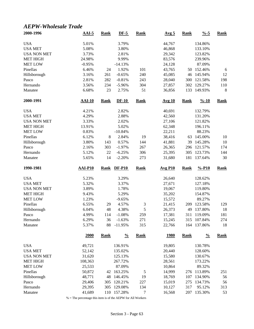#### *AEPW-Wholesale Trade*

| 2000-1996           | $AAI-5$          | <b>Rank</b> | $DF-5$                | <b>Rank</b> | Avg <sub>5</sub> | <b>Rank</b> | $\frac{9}{6} - 5$  | <b>Rank</b> |
|---------------------|------------------|-------------|-----------------------|-------------|------------------|-------------|--------------------|-------------|
| <b>USA</b>          | 5.01%            |             | 3.79%                 |             | 44,767           |             | 134.86%            |             |
| <b>USA MET</b>      | 5.08%            |             | 3.80%                 |             | 46,868           |             | 133.10%            |             |
| <b>USA NON MET</b>  | 3.73%            |             | 2.81%                 |             | 29,342           |             | 123.82%            |             |
| <b>MET HIGH</b>     | 24.98%           |             | 9.99%                 |             | 83,576           |             | 239.96%            |             |
| <b>MET LOW</b>      | $-0.95%$         |             | $-14.13%$             |             | 24,128           |             | 87.09%             |             |
| Pinellas            | 6.46%            | 24          | 1.92%                 | 101         | 43,765           | 50          | 152.46%            | 6           |
| Hillsborough        | 3.16%            | 261         | $-0.65%$              | 240         | 45,085           | 46          | 145.94%            | 12          |
| Pasco               | 2.81%            | 282         | $-0.81%$              | 243         | 28,040           | 300         | 121.58%            | 198         |
| Hernando            | 3.56%            | 234         | $-5.96%$              | 304         | 27,857           | 302         | 129.27%            | 110         |
| Manatee             | 6.68%            | 23          | 2.75%                 | 51          | 36,856           | 133         | 149.93%            | 8           |
| 2000-1991           | $AAI-10$         | <b>Rank</b> | $DF-10$               | <b>Rank</b> | <b>Avg 10</b>    | <b>Rank</b> | $\frac{9}{6} - 10$ | <b>Rank</b> |
| <b>USA</b>          | 4.21%            |             | 2.82%                 |             | 40,691           |             | 132.79%            |             |
| <b>USA MET</b>      | 4.29%            |             | 2.88%                 |             | 42,560           |             | 131.20%            |             |
| <b>USA NON MET</b>  | 3.33%            |             | 2.02%                 |             | 27,106           |             | 121.82%            |             |
| <b>MET HIGH</b>     | 13.91%           |             | 5.02%                 |             | 62,348           |             | 196.11%            |             |
| <b>MET LOW</b>      | 0.83%            |             | $-10.84%$             |             | 22,211           |             | 88.23%             |             |
| Pinellas            | 6.12%            | 8           | 2.84%                 | 19          | 38,416           | 63          | 145.00%            | 10          |
| Hillsborough        | 3.80%            | 143         | 0.57%                 | 144         | 41,881           | 39          | 145.28%            | 10          |
| Pasco               | 2.16%            | 303         | $-1.97%$              | 267         | 26,365           | 296         | 121.57%            | 174         |
| Hernando            | 5.12%            | 22          | $-6.25%$              | 306         | 25,395           | 305         | 123.73%            | 144         |
| Manatee             | 5.65%            | 14          | $-2.20%$              | 273         | 31,680           | 181         | 137.64%            | 30          |
|                     |                  |             |                       |             |                  |             |                    |             |
| 1990-1981           | <b>AAI-P10</b>   | <b>Rank</b> | $DF-P10$              | <b>Rank</b> | <b>Avg P10</b>   | <b>Rank</b> | $% -P10$           | <b>Rank</b> |
|                     |                  |             |                       |             |                  |             |                    |             |
| <b>USA</b>          | 5.23%            |             | 3.29%                 |             | 26,640           |             | 128.62%            |             |
| <b>USA MET</b>      | 5.32%            |             | 3.37%                 |             | 27,671           |             | 127.18%            |             |
| <b>USA NON MET</b>  | 3.89%            |             | 1.78%                 |             | 19,067           |             | 119.80%            |             |
| <b>MET HIGH</b>     | 9.43%            |             | 5.29%                 |             | 35,202           |             | 154.87%            |             |
| <b>MET LOW</b>      | 1.23%            |             | $-9.65%$              |             | 15,572           |             | 89.27%             |             |
| Pinellas            | 6.55%            | 29          | 4.57%                 | 3           | 21,415           | 209         | 123.58%            | 129         |
| Hillsborough        | 6.04%            | 48          | 4.38%                 | 5           | 26,373           | 49          | 137.80%            | 18          |
| Pasco               | 4.99%            | 114         | $-1.08%$              | 259         | 17,381           | 311         | 119.09%            | 181         |
| Hernando<br>Manatee | 6.29%<br>5.37%   | 36<br>88    | $-1.63%$<br>$-11.95%$ | 271<br>315  | 15,245<br>22,766 | 315<br>164  | 107.84%<br>137.86% | 274<br>18   |
|                     | 2000             | <b>Rank</b> | $\frac{0}{0}$         | <b>Rank</b> | <u>1980</u>      | <b>Rank</b> | $\frac{0}{0}$      | <b>Rank</b> |
|                     |                  |             |                       |             |                  |             |                    |             |
| <b>USA</b>          | 49,721           |             | 136.91%               |             | 19,805           |             | 130.78%            |             |
| <b>USA MET</b>      | 52,142           |             | 135.02%               |             | 20,440           |             | 128.60%            |             |
| <b>USA NON MET</b>  | 31,620           |             | 125.13%               |             | 15,580           |             | 130.67%            |             |
| <b>MET HIGH</b>     | 108,363          |             | 267.72%               |             | 28,561           |             | 173.22%            |             |
| <b>MET LOW</b>      | 25,533           |             | 87.09%                |             | 10,864           |             | 89.32%             |             |
| Pinellas            | 50,872           | 42          | 163.25%               | 5           | 14,999           | 276         | 113.89%            | 251         |
| Hillsborough        | 48,771           | 48          | 146.45%               | 19          | 18,769           | 107         | 134.90%            | 56          |
| Pasco<br>Hernando   | 29,406<br>29,395 | 305<br>305  | 120.21%<br>129.08%    | 227<br>134  | 15,019<br>10,127 | 275<br>317  | 134.73%<br>95.12%  | 56<br>313   |

% = The percentage this item is of the AEPW for All Workers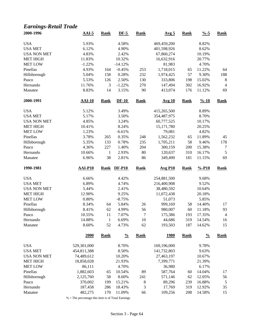### *Earnings-Retail Trade*

| 2000-1996<br>$AAI-5$<br><b>Rank</b><br><b>Rank</b><br>$DF-5$<br><b>Rank</b><br>Avg <sub>5</sub>                               | $\frac{0}{6}$ -5   | <b>Rank</b>          |
|-------------------------------------------------------------------------------------------------------------------------------|--------------------|----------------------|
| <b>USA</b><br>4.58%<br>5.93%<br>469,459,200                                                                                   | 8.82%              |                      |
| <b>USA MET</b><br>6.12%<br>4.90%<br>401,598,926                                                                               | 8.62%              |                      |
| <b>USA NON MET</b><br>4.83%<br>2.42%<br>67,860,274                                                                            | 10.19%             |                      |
| <b>MET HIGH</b><br>11.83%<br>10.32%<br>16,632,916                                                                             | 20.77%             |                      |
| <b>MET LOW</b><br>81,983<br>$-1.22%$<br>$-14.12%$                                                                             | 4.70%              |                      |
| Pinellas<br>4.93%<br>$-0.45%$<br>253<br>1,718,015<br>164<br>65                                                                | 11.22%             | 64                   |
| Hillsborough<br>5.04%<br>158<br>0.28%<br>232<br>1,974,425<br>57                                                               | 9.30%              | 188                  |
| 130<br>5.53%<br>126<br>2.50%<br>333,806<br>198<br>Pasco                                                                       | 15.02%             | 8                    |
| 270<br>11.76%<br>3<br>$-1.22%$<br>147,494<br>302<br>Hernando                                                                  | 16.92%             | $\overline{4}$       |
| 14<br>8.83%<br>3.15%<br>90<br>413,074<br>176<br>Manatee                                                                       | 11.12%             | 69                   |
| 2000-1991<br>$AAI-10$<br>$DF-10$<br><b>Rank</b><br><b>Rank</b><br><b>Rank</b><br><b>Avg 10</b>                                | $\frac{9}{6} - 10$ | <b>Rank</b>          |
| <b>USA</b><br>5.12%<br>3.49%<br>415,265,500                                                                                   | 8.89%              |                      |
| <b>USA MET</b><br>3.50%<br>5.17%<br>354,487,975                                                                               | 8.70%              |                      |
| 4.85%<br><b>USA NON MET</b><br>3.24%<br>60,777,525                                                                            | 10.17%             |                      |
| <b>MET HIGH</b><br>10.41%<br>8.24%<br>15,171,780                                                                              | 20.25%             |                      |
| <b>MET LOW</b><br>1.23%<br>$-6.61%$<br>79,081                                                                                 | 4.82%              |                      |
| Pinellas<br>3.78%<br>1,562,232<br>265<br>0.35%<br>248<br>65                                                                   | 11.89%             | 45                   |
| 235<br>5.35%<br>133<br>0.78%<br>1,705,211<br>58<br>Hillsborough                                                               | 9.46%              | 178                  |
| 4.36%<br>227<br>1.40%<br>204<br>300,159<br>200<br>Pasco                                                                       | 15.38%             | $\tau$               |
| 80<br>310<br>10.66%<br>$\mathbf{1}$<br>2.93%<br>120,637<br>Hernando                                                           | 16.17%             | $\sqrt{5}$           |
| 38<br>86<br>181<br>Manatee<br>6.96%<br>2.81%<br>349,490                                                                       | 11.15%             | 69                   |
|                                                                                                                               |                    |                      |
| 1990-1981<br><b>AAI-P10</b><br><b>DF-P10</b><br><b>Rank</b><br><b>Avg P10</b><br><b>Rank</b><br><b>Rank</b>                   | $% -P10$           | <b>Rank</b>          |
|                                                                                                                               |                    |                      |
| <b>USA</b><br>6.66%<br>4.42%<br>254,881,500                                                                                   | 9.68%              |                      |
| <b>USA MET</b><br>6.89%<br>4.74%<br>216,400,908                                                                               | 9.52%              |                      |
| <b>USA NON MET</b><br>5.44%<br>38,480,592<br>2.41%                                                                            | 10.64%             |                      |
| <b>MET HIGH</b><br>12.90%<br>9.25%<br>11,072,438                                                                              | 20.18%             |                      |
| <b>MET LOW</b><br>0.80%<br>$-8.75%$<br>51,073                                                                                 | 5.85%              |                      |
| Pinellas<br>8.34%<br>5.84%<br>26<br>58<br>64<br>999,169                                                                       | 14.40%             | 17                   |
| 62<br>56<br>Hillsborough<br>8.41%<br>4.99%<br>980,007<br>60                                                                   | 11.18%             | 93                   |
| $\tau$<br>10.55%<br>11<br>7.07%<br>175,386<br>193<br>Pasco                                                                    | 17.35%             | $\overline{4}$       |
| 10<br>14.88%<br>$\mathbf{1}$<br>6.69%<br>44,686<br>Hernando<br>319<br>8.60%<br>52<br>4.73%<br>62<br>Manatee<br>193,503<br>187 | 14.54%<br>14.62%   | 16<br>15             |
| 2000<br>$\frac{0}{0}$<br><b>Rank</b><br><u>1980</u><br><b>Rank</b><br><b>Rank</b>                                             | $\frac{0}{0}$      | <b>Rank</b>          |
|                                                                                                                               |                    |                      |
| <b>USA</b><br>529,301,000<br>8.70%<br>169,196,000                                                                             | 9.78%              |                      |
| <b>USA MET</b><br>8.50%<br>141,732,803<br>454,811,388                                                                         | 9.63%              |                      |
| 27,463,197<br><b>USA NON MET</b><br>74,489,612<br>10.20%                                                                      | 10.67%             |                      |
| 18,858,028<br>7,399,771<br><b>MET HIGH</b><br>21.93%                                                                          | 21.39%             |                      |
| <b>MET LOW</b><br>86,111<br>4.70%<br>36,980                                                                                   | 6.17%              |                      |
| Pinellas<br>1,882,603<br>89<br>587,764<br>65<br>10.54%<br>60                                                                  | 14.04%             | 17                   |
| Hillsborough<br>58<br>8.60%<br>571,146<br>2,125,760<br>241<br>62                                                              | 12.05%             | 56                   |
| 370,002<br>15.21%<br>8<br>89,296<br>Pasco<br>199<br>239<br>3<br>Hernando<br>187,458<br>18.43%<br>17,769<br>319<br>286         | 16.88%<br>12.92%   | $\mathfrak{S}$<br>35 |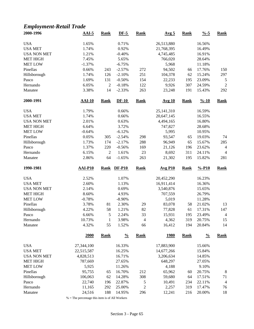### *Employment-Retail Trade*

| 2000-1996          | $AAI-5$        | <b>Rank</b>    | $DF-5$        | <b>Rank</b>      | Avg <sub>5</sub> | <b>Rank</b> | $\frac{9}{6} - 5$  | <b>Rank</b>      |
|--------------------|----------------|----------------|---------------|------------------|------------------|-------------|--------------------|------------------|
| <b>USA</b>         | 1.65%          |                | 0.71%         |                  | 26,513,880       |             | 16.56%             |                  |
| <b>USA MET</b>     | 1.74%          |                | 0.92%         |                  | 21,768,395       |             | 16.49%             |                  |
| <b>USA NON MET</b> | 1.21%          |                | $-0.40%$      |                  | 4,745,485        |             | 16.91%             |                  |
| <b>MET HIGH</b>    | 7.45%          |                | 5.65%         |                  | 766,020          |             | 28.64%             |                  |
| <b>MET LOW</b>     | $-1.37%$       |                | $-6.75%$      |                  | 5,968            |             | 11.18%             |                  |
| Pinellas           | 0.66%          | 243            | $-2.57%$      | 272              | 94,502           | 66          | 17.76%             | 150              |
| Hillsborough       | 1.74%          | 126            | $-2.10%$      | 251              | 104,378          | 62          | 15.24%             | 297              |
| Pasco              | 1.69%          | 131            | $-0.50%$      | 154              | 22,233           | 195         | 23.09%             | 5                |
| Hernando           | 6.05%          | $\mathfrak{2}$ | $-0.18%$      | 122              | 9,926            | 307         | 24.59%             | $\boldsymbol{2}$ |
| Manatee            | 3.38%          | 14             | $-2.33%$      | 263              | 23,248           | 191         | 15.43%             | 292              |
| 2000-1991          | $AAI-10$       | <b>Rank</b>    | $DF-10$       | <b>Rank</b>      | <b>Avg 10</b>    | <b>Rank</b> | $\frac{9}{6} - 10$ | <b>Rank</b>      |
| <b>USA</b>         | 1.79%          |                | 0.66%         |                  | 25,141,310       |             | 16.59%             |                  |
| <b>USA MET</b>     | 1.74%          |                | 0.66%         |                  | 20,647,145       |             | 16.55%             |                  |
| <b>USA NON MET</b> | 2.01%          |                | 0.63%         |                  | 4,494,165        |             | 16.80%             |                  |
| <b>MET HIGH</b>    | 6.64%          |                | 3.72%         |                  | 747,827          |             | 28.68%             |                  |
| <b>MET LOW</b>     | $-0.64%$       |                | $-6.12%$      |                  | 5,995            |             | 10.95%             |                  |
| Pinellas           | 0.05%          | 305            | $-2.54%$      | 298              | 93,547           | 65          | 19.03%             | 74               |
| Hillsborough       | 1.73%          | 174            | $-2.17%$      | 288              | 96,949           | 65          | 15.67%             | 285              |
| Pasco              | 1.37%          | 220            | $-0.56%$      | 169              | 21,126           | 196         | 23.62%             | $\overline{4}$   |
| Hernando           | 6.15%          | $\overline{2}$ | 1.61%         | 23               | 8,692            | 311         | 24.11%             | $\overline{4}$   |
| Manatee            | 2.86%          | 64             | $-1.65%$      | 263              | 21,302           | 195         | 15.82%             | 281              |
| 1990-1981          | <b>AAI-P10</b> | <b>Rank</b>    | <b>DF-P10</b> | <b>Rank</b>      | <b>Avg P10</b>   | <b>Rank</b> | $% -P10$           | <b>Rank</b>      |
|                    |                |                |               |                  |                  |             |                    |                  |
| <b>USA</b>         | 2.52%          |                | 1.07%         |                  | 20,452,290       |             | 16.23%             |                  |
| <b>USA MET</b>     | 2.60%          |                | 1.13%         |                  | 16,911,414       |             | 16.36%             |                  |
| <b>USA NON MET</b> | 2.14%          |                | 0.69%         |                  | 3,540,876        |             | 15.65%             |                  |
| <b>MET HIGH</b>    | 8.60%          |                | 4.93%         |                  | 707,559          |             | 26.79%             |                  |
| <b>MET LOW</b>     | $-0.78%$       |                | $-8.90\%$     |                  | 5,019            |             | 11.28%             |                  |
| Pinellas           | 3.78%          | 81             | 2.30%         | 29               | 83,078           | 58          | 21.02%             | 13               |
| Hillsborough       | 4.22%          | 58             | 1.21%         | 82               | 77,828           | 61          | 17.31%             | 147              |
| Pasco              | 6.66%          | 5              | 2.24%         | 33               | 15,931           | 195         | 23.49%             | $\overline{4}$   |
| Hernando           | 10.73%         | $\mathbf{1}$   | 3.98%         | 4                | 4,362            | 319         | 20.75%             | 15               |
| Manatee            | 4.32%          | 55             | 1.52%         | 66               | 16,412           | 194         | 20.84%             | 14               |
|                    | 2000           | <b>Rank</b>    | $\frac{0}{0}$ | <b>Rank</b>      | <u>1980</u>      | <b>Rank</b> | $\frac{0}{0}$      | <b>Rank</b>      |
| <b>USA</b>         | 27,344,100     |                | 16.33%        |                  | 17,883,900       |             | 15.66%             |                  |
| <b>USA MET</b>     | 22,515,587     |                | 16.25%        |                  | 14,677,266       |             | 15.84%             |                  |
| <b>USA NON MET</b> | 4,828,513      |                | 16.71%        |                  | 3,206,634        |             | 14.85%             |                  |
| <b>MET HIGH</b>    | 787,669        |                | 27.65%        |                  | 648,297          |             | 27.05%             |                  |
| <b>MET LOW</b>     | 5,925          |                | 11.26%        |                  | 4,188            |             | 9.10%              |                  |
| Pinellas           | 95,755         | 65             | 16.70%        | 212              | 65,962           | 60          | 20.75%             | $\boldsymbol{8}$ |
| Hillsborough       | 106,063        | 62             | 14.28%        | 308              | 59,680           | 64          | 17.51%             | 71               |
| Pasco              | 22,740         | 196            | 22.87%        | 5                | 10,491           | 234         | 22.11%             | $\overline{4}$   |
| Hernando           | 11,165         | 292            | 25.00%        | $\boldsymbol{2}$ | 2,257            | 319         | 17.47%             | 76               |
|                    |                |                |               |                  | 12,241           | 216         | 20.00%             | 18               |
| Manatee            | 24,516         | 188            | 14.95%        | 296              |                  |             |                    |                  |

 $\%$  = The percentage this item is of All Workers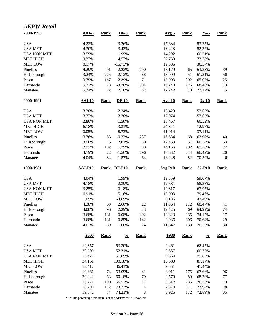| <b>AEPW-Retail</b> |               |             |               |                |                       |             |                  |               |
|--------------------|---------------|-------------|---------------|----------------|-----------------------|-------------|------------------|---------------|
| 2000-1996          | $AAI-5$       | <b>Rank</b> | $DF-5$        | <b>Rank</b>    | Avg <sub>5</sub>      | <b>Rank</b> | $\frac{0}{6}$ -5 | <b>Rank</b>   |
| <b>USA</b>         | 4.22%         |             | 3.26%         |                | 17,684                |             | 53.27%           |               |
| <b>USA MET</b>     | 4.30%         |             | 3.42%         |                | 18,423                |             | 52.32%           |               |
| <b>USA NON MET</b> | 3.59%         |             | 1.99%         |                | 14,292                |             | 60.31%           |               |
| <b>MET HIGH</b>    | 9.37%         |             | 4.57%         |                | 27,750                |             | 73.38%           |               |
| <b>MET LOW</b>     | 0.17%         |             | $-15.73%$     |                | 12,385                |             | 36.37%           |               |
| Pinellas           | 4.29%         | 91          | $-2.22%$      | 290            | 18,179                | 65          | 63.33%           | 39            |
| Hillsborough       | 3.24%         | 225         | 2.12%         | 88             | 18,909                | 51          | 61.21%           | 56            |
| Pasco              | 3.79%         | 147         | 2.39%         | 71             | 15,003                | 202         | 65.05%           | 25            |
| Hernando           | 5.22%         | 28          | $-3.70%$      | 304            | 14,740                | 226         | 68.40%           | 13            |
| Manatee            | 5.34%         | $22\,$      | 2.18%         | 82             | 17,742                | 79          | 72.17%           | $\mathfrak s$ |
| 2000-1991          | <b>AAI-10</b> | <b>Rank</b> | $DF-10$       | <b>Rank</b>    | <b>Avg 10</b>         | <b>Rank</b> | $% -10$          | <b>Rank</b>   |
| <b>USA</b>         | 3.28%         |             | 2.34%         |                | 16,429                |             | 53.62%           |               |
| <b>USA MET</b>     | 3.37%         |             | 2.38%         |                | 17,074                |             | 52.63%           |               |
| <b>USA NON MET</b> | 2.80%         |             | 1.56%         |                | 13,467                |             | 60.52%           |               |
| <b>MET HIGH</b>    | 6.18%         |             | 3.31%         |                | 24,341                |             | 72.97%           |               |
| <b>MET LOW</b>     | $-0.05%$      |             | $-8.73%$      |                | 11,914                |             | 37.11%           |               |
| Pinellas           | 3.76%         | 53          | $-0.22%$      | 237            | 16,684                | 68          | 62.97%           | 40            |
| Hillsborough       | 3.56%         | 76          | 2.01%         | 30             | 17,453                | 51          | 60.54%           | 63            |
| Pasco              | 2.97%         | 192         | 1.25%         | 99             | 14,156                | 202         | 65.28%           | $27\,$        |
| Hernando           | 4.19%         | 22          | $-1.56%$      | 296            | 13,632                | 244         | 66.42%           | $20\,$        |
| Manatee            | 4.04%         | 34          | 1.57%         | 64             | 16,248                | 82          | 70.59%           | 6             |
| 1990-1981          | AAI-P10       | <b>Rank</b> | <b>DF-P10</b> | <b>Rank</b>    | $Avg$ P <sub>10</sub> | <b>Rank</b> | $% -P10$         | <b>Rank</b>   |
| <b>USA</b>         | 4.04%         |             | 1.99%         |                | 12,359                |             | 59.67%           |               |
| <b>USA MET</b>     | 4.18%         |             | 2.39%         |                | 12,681                |             | 58.28%           |               |
| <b>USA NON MET</b> | 3.25%         |             | $-0.18%$      |                | 10,817                |             | 67.97%           |               |
| <b>MET HIGH</b>    | 6.91%         |             | 5.16%         |                | 19,003                |             | 79.46%           |               |
| <b>MET LOW</b>     | 1.05%         |             | $-4.69%$      |                | 9,186                 |             | 42.49%           |               |
| Pinellas           | 4.38%         | 63          | 2.66%         | 22             | 11,864                | 112         | 68.47%           | 41            |
| Hillsborough       | 4.00%         | 96          | 2.39%         | 33             | 12,425                | 69          | 64.92%           | 74            |
| Pasco              | 3.68%         | 131         | 0.08%         | 202            | 10,823                | 235         | 74.15%           | 17            |
| Hernando           | 3.68%         | 131         | 0.85%         | 142            | 9,986                 | 306         | 70.64%           | 29            |
| Manatee            | 4.07%         | 89          | 1.66%         | 74             | 11,647                | 133         | 70.53%           | 30            |
|                    | 2000          | <b>Rank</b> | $\frac{0}{0}$ | <b>Rank</b>    | <u>1980</u>           | <b>Rank</b> | $\frac{0}{0}$    | <b>Rank</b>   |
| <b>USA</b>         | 19,357        |             | 53.30%        |                | 9,461                 |             | 62.47%           |               |
| <b>USA MET</b>     | 20,200        |             | 52.31%        |                | 9,657                 |             | 60.75%           |               |
| <b>USA NON MET</b> | 15,427        |             | 61.05%        |                | 8,564                 |             | 71.83%           |               |
| <b>MET HIGH</b>    | 34,161        |             | 100.18%       |                | 15,680                |             | 87.17%           |               |
| <b>MET LOW</b>     | 13,417        |             | 36.41%        |                | 7,551                 |             | 41.44%           |               |
| Pinellas           | 19,661        | 74          | 63.09%        | 41             | 8,911                 | 175         | 67.66%           | 96            |
| Hillsborough       | 20,042        | 63          | 60.18%        | 79             | 9,570                 | 89          | 68.78%           | 77            |
| Pasco              | 16,271        | 199         | 66.52%        | 27             | 8,512                 | 235         | 76.36%           | 19            |
| Hernando           | 16,790        | 172         | 73.73%        | $\overline{4}$ | 7,873                 | 311         | 73.94%           | 28            |
| Manatee            | 19,672        | 74          | 74.21%        | 3              | 8,925                 | 172         | 72.89%           | 35            |

% = The percentage this item is of the AEPW for All Workers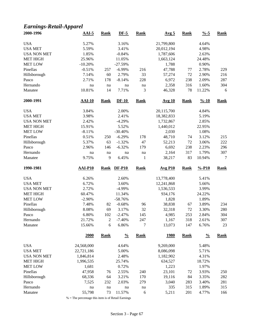### *Earnings-Retail-Apparel*

| 2000-1996           | $AAI-5$          | <b>Rank</b> | $DF-5$            | <b>Rank</b>  | Avg <sub>5</sub> | <b>Rank</b> | $\frac{9}{6} - 5$  | <b>Rank</b> |
|---------------------|------------------|-------------|-------------------|--------------|------------------|-------------|--------------------|-------------|
| <b>USA</b>          | 5.27%            |             | 3.16%             |              | 21,799,800       |             | 4.64%              |             |
| <b>USA MET</b>      | 5.59%            |             | 3.41%             |              | 20,012,194       |             | 4.98%              |             |
| <b>USA NON MET</b>  | 1.85%            |             | $-0.84%$          |              | 1,787,606        |             | 2.63%              |             |
| <b>MET HIGH</b>     | 25.96%           |             | 11.05%            |              | 1,663,124        |             | 24.48%             |             |
| <b>MET LOW</b>      | $-10.20%$        |             | $-27.59%$         |              | 1,788            |             | 0.90%              |             |
| Pinellas            | $-0.51%$         | 257         | $-6.99%$          | 216          | 47,788           | 77          | 2.78%              | 229         |
| Hillsborough        | 7.14%            | 60          | 2.79%             | 33           | 57,274           | 72          | 2.90%              | 216         |
| Pasco               | 2.71%            | 178         | $-8.14%$          | 228          | 6,972            | 238         | 2.09%              | 287         |
| Hernando            | na               | na          | na                | na           | 2,358            | 316         | 1.60%              | 304         |
| Manatee             | 10.81%           | 14          | 7.71%             | 3            | 46,328           | 78          | 11.22%             | 6           |
| 2000-1991           | <b>AAI-10</b>    | <b>Rank</b> | $DF-10$           | <b>Rank</b>  | <b>Avg 10</b>    | <b>Rank</b> | $\frac{9}{6} - 10$ | <b>Rank</b> |
| <b>USA</b>          | 3.84%            |             | 2.00%             |              | 20,115,700       |             | 4.84%              |             |
| <b>USA MET</b>      | 3.98%            |             | 2.41%             |              | 18,382,833       |             | 5.19%              |             |
| <b>USA NON MET</b>  | 2.42%            |             | $-4.29%$          |              | 1,732,867        |             | 2.85%              |             |
| <b>MET HIGH</b>     | 15.91%           |             | 5.52%             |              | 1,440,012        |             | 22.95%             |             |
| <b>MET LOW</b>      | $-8.11%$         |             | $-30.40%$         |              | 2,030            |             | 1.08%              |             |
| Pinellas            | 0.51%            | 250         | $-6.29%$          | 178          | 48,710           | 74          | 3.12%              | 215         |
| Hillsborough        | 5.37%            | 63          | $-1.32%$          | 47           | 52,213           | 72          | 3.06%              | 222         |
| Pasco               | 2.96%            | 146         | $-6.32%$          | 179          | 6,692            | 238         | 2.23%              | 296         |
| Hernando            | na               | $\,$ na     | $\,$ na           | na           | 2,164            | 317         | 1.79%              | 307         |
| Manatee             | 9.75%            | 9           | 6.45%             | $\mathbf{1}$ | 38,217           | 83          | 10.94%             | $\tau$      |
|                     |                  |             |                   |              |                  |             |                    |             |
| 1990-1981           | <b>AAI-P10</b>   | <b>Rank</b> | <b>DF-P10</b>     | <b>Rank</b>  | <b>Avg P10</b>   | <b>Rank</b> | $% -P10$           | <b>Rank</b> |
|                     |                  |             |                   |              |                  |             |                    |             |
| <b>USA</b>          | 6.26%            |             | 2.60%             |              | 13,778,400       |             | 5.41%              |             |
| <b>USA MET</b>      | 6.72%            |             | 3.60%             |              | 12,241,868       |             | 5.66%              |             |
| <b>USA NON MET</b>  | 2.72%            |             | $-4.99%$          |              | 1,536,533        |             | 3.99%              |             |
| <b>MET HIGH</b>     | 60.47%           |             | 11.34%            |              | 934,176          |             | 24.22%             |             |
| <b>MET LOW</b>      | $-2.90\%$        |             | $-58.76%$         |              | 1,828            |             | 1.89%              |             |
| Pinellas            | 7.48%            | 82          | $-0.68%$          | 96           | 38,838           | 67          | 3.89%              | 234         |
| Hillsborough        | 8.08%            | 69          | 3.17%             | 32           | 32,318           | 72          | 3.30%              | 280         |
| Pasco               | 6.80%            | 102         | $-2.47%$          | 145          | 4,985            | 253         | 2.84%              | 304         |
| Hernando<br>Manatee | 21.72%<br>15.66% | 2<br>6      | $-7.40%$<br>6.86% | 247<br>7     | 1,167<br>13,073  | 318<br>147  | 2.61%<br>6.76%     | 307<br>23   |
|                     | 2000             | <b>Rank</b> | $\frac{0}{0}$     | <b>Rank</b>  | <u>1980</u>      | <b>Rank</b> | $\frac{0}{0}$      | <b>Rank</b> |
|                     |                  |             |                   |              |                  |             |                    |             |
| <b>USA</b>          | 24,568,000       |             | 4.64%             |              | 9,269,000        |             | 5.48%              |             |
| <b>USA MET</b>      | 22,721,186       |             | 5.00%             |              | 8,086,098        |             | 5.71%              |             |
| <b>USA NON MET</b>  | 1,846,814        |             | 2.48%             |              | 1,182,902        |             | 4.31%              |             |
| <b>MET HIGH</b>     | 1,996,535        |             | 25.74%            |              | 634,527          |             | 18.72%             |             |
| <b>MET LOW</b>      | 1,681            |             | 0.72%             |              | 1,223            |             | 1.97%              |             |
| Pinellas            | 47,958           | 76          | 2.55%             | 240          | 23,101           | 72          | 3.93%              | 250         |
| Hillsborough        | 68,336           | 64          | 3.21%             | 170          | 19,116           | 84          | 3.35%              | 282         |
| Pasco               | 7,525            | 232         | 2.03%             | 279          | 3,040            | 283         | 3.40%              | 281         |
| Hernando<br>Manatee | na<br>55,798     | na<br>73    | na<br>11.57%      | na<br>6      | 335<br>5,211     | 315<br>201  | 1.89%<br>4.77%     | 315<br>166  |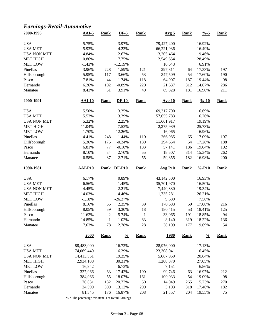### *Earnings-Retail-Automotive*

| 2000-1996                            | $AAI-5$          | <b>Rank</b>    | $DF-5$           | <b>Rank</b> | Avg <sub>5</sub> | <b>Rank</b> | $\frac{9}{6} - 5$  | <b>Rank</b> |
|--------------------------------------|------------------|----------------|------------------|-------------|------------------|-------------|--------------------|-------------|
| <b>USA</b>                           | 5.75%            |                | 3.97%            |             | 79,427,400       |             | 16.92%             |             |
| <b>USA MET</b>                       | 5.93%            |                | 4.23%            |             | 66,221,936       |             | 16.49%             |             |
| <b>USA NON MET</b>                   | 4.84%            |                | 2.67%            |             | 13,205,464       |             | 19.46%             |             |
| <b>MET HIGH</b>                      | 10.86%           |                | 7.75%            |             | 2,549,654        |             | 28.49%             |             |
| <b>MET LOW</b>                       | $-1.43%$         |                | $-12.19%$        |             | 16,643           |             | 6.91%              |             |
| Pinellas                             | 3.96%            | 228            | 1.59%            | 121         | 297,811          | 64          | 17.33%             | 197         |
| Hillsborough                         | 5.95%            | 117            | 3.66%            | 53          | 347,509          | 54          | 17.60%             | 190         |
| Pasco                                | 7.81%            | 44             | 1.74%            | 118         | 64,907           | 187         | 19.44%             | 98          |
| Hernando                             | 6.26%            | 102            | $-0.89%$         | 220         | 21,637           | 312         | 14.67%             | 286         |
| Manatee                              | 8.43%            | 31             | 3.91%            | 49          | 69,828           | 181         | 16.90%             | 211         |
| 2000-1991                            | $AAI-10$         | <b>Rank</b>    | $DF-10$          | <b>Rank</b> | <b>Avg 10</b>    | <b>Rank</b> | $\frac{9}{6} - 10$ | <b>Rank</b> |
| <b>USA</b>                           | 5.50%            |                | 3.35%            |             | 69,317,700       |             | 16.69%             |             |
| <b>USA MET</b>                       | 5.53%            |                | 3.39%            |             | 57,655,783       |             | 16.26%             |             |
| <b>USA NON MET</b>                   | 5.32%            |                | 2.25%            |             | 11,661,917       |             | 19.19%             |             |
| <b>MET HIGH</b>                      | 11.04%           |                | 7.53%            |             | 2,275,939        |             | 25.73%             |             |
| <b>MET LOW</b>                       | 1.70%            |                | $-12.26%$        |             | 16,065           |             | 6.96%              |             |
| Pinellas                             | 4.41%            | 248            | 1.44%            | 110         | 266,985          | 65          | 17.09%             | 197         |
| Hillsborough                         | 5.36%            | 175            | $-0.24%$         | 189         | 294,654          | 54          | 17.28%             | 188         |
| Pasco                                | 6.81%            | 77             | $-0.10%$         | 183         | 57,141           | 186         | 19.04%             | 102         |
| Hernando                             | 8.10%            | 34             | 2.70%            | 55          | 18,507           | 314         | 15.34%             | 262         |
| Manatee                              | 6.58%            | 87             | 2.71%            | 55          | 59,355           | 182         | 16.98%             | 200         |
|                                      |                  |                |                  |             |                  |             |                    |             |
| 1990-1981                            | <b>AAI-P10</b>   | <b>Rank</b>    | <b>DF-P10</b>    | <b>Rank</b> | <b>Avg P10</b>   | <b>Rank</b> | $% -P10$           | <b>Rank</b> |
|                                      |                  |                |                  |             |                  |             |                    |             |
| <b>USA</b>                           | 6.17%            |                | 0.89%            |             | 43,142,300       |             | 16.93%             |             |
| <b>USA MET</b>                       | 6.56%            |                | 1.45%            |             | 35,701,970       |             | 16.50%             |             |
| <b>USA NON MET</b>                   | 4.45%            |                | $-2.21%$         |             | 7,440,330        |             | 19.34%             |             |
| <b>MET HIGH</b>                      | 14.03%           |                | 4.46%            |             | 1,735,281        |             | 26.21%             |             |
| <b>MET LOW</b>                       | $-1.18%$         |                | $-26.37%$        |             | 9,689            |             | 7.56%              |             |
| Pinellas                             | 8.16%            | 55             | 2.35%            | 39          | 170,683          | 59          | 17.08%             | 216         |
| Hillsborough                         | 8.05%            | 59             | 3.30%            | 18          | 180,415          | 53          | 18.41%             | 125         |
| Pasco                                | 11.62%           | $\overline{c}$ | 5.74%            | 1           | 33,065           | 191         | 18.85%             | 94          |
| Hernando                             | 14.85%           | $\mathbf{1}$   | 1.02%            | 83          | 8,140            | 319         | 18.22%             | 136         |
| Manatee                              | 7.63%            | 78             | 2.78%            | 28          | 38,109           | 177         | 19.69%             | 54          |
|                                      | 2000             | <b>Rank</b>    | $\frac{0}{0}$    | <b>Rank</b> | <u>1980</u>      | <b>Rank</b> | $\frac{0}{0}$      | <b>Rank</b> |
|                                      |                  |                |                  |             |                  |             |                    |             |
| <b>USA</b>                           | 88,483,000       |                | 16.72%           |             | 28,976,000       |             | 17.13%<br>16.45%   |             |
| <b>USA MET</b><br><b>USA NON MET</b> | 74,069,449       |                | 16.29%           |             | 23,308,041       |             |                    |             |
|                                      | 14,413,551       |                | 19.35%           |             | 5,667,959        |             | 20.64%             |             |
| <b>MET HIGH</b>                      | 2,934,108        |                | 30.31%           |             | 1,208,870        |             | 27.05%             |             |
| <b>MET LOW</b>                       | 16,942           |                | 6.73%            |             | 7,151            |             | 6.86%              |             |
| Pinellas                             | 327,966          | 63             | 17.42%           | 190         | 99,746           | 63          | 16.97%             | 212         |
| Hillsborough                         | 384,066          | 55             | 18.07%           | 161         | 109,033          | 54          | 19.09%             | 98          |
| Pasco<br>Hernando                    | 76,831<br>24,599 | 182<br>309     | 20.77%<br>13.12% | 50<br>299   | 14,049<br>3,103  | 265<br>318  | 15.73%<br>17.46%   | 270<br>182  |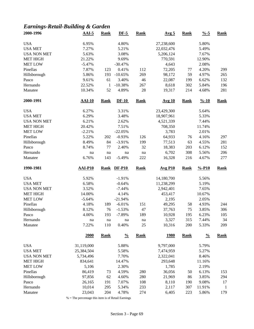### *Earnings-Retail-Building & Garden*

| 2000-1996           | $AAI-5$          | <b>Rank</b>  | $DF-5$         | <b>Rank</b> | Avg <sub>5</sub> | <b>Rank</b> | $\frac{0}{6}$ -5   | <b>Rank</b>        |
|---------------------|------------------|--------------|----------------|-------------|------------------|-------------|--------------------|--------------------|
| <b>USA</b>          | 6.95%            |              | 4.80%          |             | 27,238,600       |             | 5.80%              |                    |
| <b>USA MET</b>      | 7.27%            |              | 5.21%          |             | 22,032,476       |             | 5.49%              |                    |
| <b>USA NON MET</b>  | 5.63%            |              | 3.08%          |             | 5,206,124        |             | 7.67%              |                    |
| <b>MET HIGH</b>     | 21.22%           |              | 9.69%          |             | 770,591          |             | 12.90%             |                    |
| <b>MET LOW</b>      | $-5.47%$         |              | $-30.47%$      |             | 4,643            |             | 2.08%              |                    |
| Pinellas            | 7.87%            | 123          | 0.41%          | 112         | 72,205           | 77          | 4.20%              | 299                |
| Hillsborough        | 5.86%            | 193          | $-10.65%$      | 269         | 98,172           | 59          | 4.97%              | 265                |
| Pasco               | 9.61%            | 61           | 3.40%          | 46          | 22,087           | 199         | 6.62%              | 132                |
| Hernando            | 22.52%           | $\mathbf{1}$ | $-10.38%$      | 267         | 8,618            | 302         | 5.84%              | 196                |
| Manatee             | 10.34%           | 52           | 4.89%          | 28          | 19,317           | 214         | 4.68%              | 281                |
| 2000-1991           | <b>AAI-10</b>    | <b>Rank</b>  | $DF-10$        | <b>Rank</b> | Avg 10           | <b>Rank</b> | $\frac{9}{6} - 10$ | <b>Rank</b>        |
| <b>USA</b>          | 6.27%            |              | 3.31%          |             | 23,429,300       |             | 5.64%              |                    |
| <b>USA MET</b>      | 6.29%            |              | 3.48%          |             | 18,907,961       |             | 5.33%              |                    |
| <b>USA NON MET</b>  | 6.21%            |              | 2.62%          |             | 4,521,339        |             | 7.44%              |                    |
| <b>MET HIGH</b>     | 20.42%           |              | 7.51%          |             | 708,350          |             | 11.74%             |                    |
| <b>MET LOW</b>      | $-2.21%$         |              | $-22.05%$      |             | 3,783            |             | 2.01%              |                    |
| Pinellas            | 5.22%            | 202          | $-0.93%$       | 126         | 64,933           | 76          | 4.16%              | 297                |
| Hillsborough        | 8.49%            | 84           | $-3.91%$       | 199         | 77,513           | 63          | 4.55%              | 281                |
| Pasco               | 8.74%            | 77           | 2.40%          | 32          | 18,383           | 203         | 6.12%              | 152                |
| Hernando            | na               | na           | na             | na          | 6,702            | 308         | 5.56%              | 206                |
| Manatee             | 6.76%            | 143          | $-5.49%$       | 222         | 16,328           | 216         | 4.67%              | 277                |
|                     |                  |              |                |             |                  |             |                    |                    |
| 1990-1981           | <b>AAI-P10</b>   | <b>Rank</b>  | <b>DF-P10</b>  | <b>Rank</b> | <b>Avg P10</b>   | <b>Rank</b> | $% -P10$           | <b>Rank</b>        |
|                     |                  |              |                |             |                  |             |                    |                    |
| <b>USA</b>          | 5.92%            |              | $-1.91%$       |             | 14,180,700       |             | 5.56%              |                    |
| <b>USA MET</b>      | 6.58%            |              | $-0.64%$       |             | 11,238,299       |             | 5.19%              |                    |
| <b>USA NON MET</b>  | 3.52%            |              | $-7.44%$       |             | 2,942,401        |             | 7.65%              |                    |
| <b>MET HIGH</b>     | 14.00%           |              | 4.14%          |             | 453,417          |             | 10.67%             |                    |
| <b>MET LOW</b>      | $-5.64%$         |              | $-21.94%$      |             | 2,195            |             | 2.05%              |                    |
| Pinellas            | 4.18%            | 189          | $-6.01%$       | 151         | 49,295           | 58          | 4.93%              | 244                |
| Hillsborough        | 8.12%            | 76           | $-1.53%$       | 47          | 37,763           | 75          | 3.85%              | 306                |
| Pasco               | 4.00%            | 193          | $-7.89%$       | 189         | 10,928           | 195         | 6.23%              | 105                |
| Hernando<br>Manatee | na<br>7.22%      | na<br>110    | na<br>0.40%    | na<br>25    | 3,327<br>10,316  | 315<br>200  | 7.44%<br>5.33%     | 34<br>209          |
|                     | 2000             | <b>Rank</b>  | $\frac{0}{0}$  | <b>Rank</b> | <u>1980</u>      | <b>Rank</b> | $\frac{0}{0}$      | <b>Rank</b>        |
|                     |                  |              |                |             |                  |             |                    |                    |
| <b>USA</b>          | 31,119,000       |              | 5.88%          |             | 9,797,000        |             | 5.79%              |                    |
| <b>USA MET</b>      | 25,384,504       |              | 5.58%          |             | 7,474,959        |             | 5.27%              |                    |
| <b>USA NON MET</b>  | 5,734,496        |              | 7.70%          |             | 2,322,041        |             | 8.46%              |                    |
| <b>MET HIGH</b>     | 834,641          |              | 14.47%         |             | 293,648          |             | 11.16%             |                    |
| <b>MET LOW</b>      | 5,106            |              | 2.30%          |             | 1,785            |             | 2.19%              |                    |
| Pinellas            | 86,419           | 73           | 4.59%          | 280         | 36,056           | 50          | 6.13%              | 153                |
| Hillsborough        | 97,856           | 62           | 4.60%          | 280         | 21,969           | 86          | 3.85%              | 294                |
| Pasco<br>Hernando   | 26,165<br>10,014 | 191<br>295   | 7.07%<br>5.34% | 108<br>233  | 8,110<br>2,117   | 190<br>307  | 9.08%<br>11.91%    | 17<br>$\mathbf{1}$ |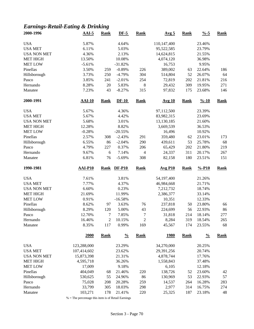### *Earnings-Retail-Eating & Drinking*

| 2000-1996           | $AAI-5$           | <b>Rank</b>           | $DF-5$           | <b>Rank</b>       | Avg <sub>5</sub> | <b>Rank</b> | $\frac{9}{6} - 5$  | <b>Rank</b> |
|---------------------|-------------------|-----------------------|------------------|-------------------|------------------|-------------|--------------------|-------------|
| <b>USA</b>          | 5.87%             |                       | 4.64%            |                   | 110,147,400      |             | 23.46%             |             |
| <b>USA MET</b>      | 6.11%             |                       | 5.03%            |                   | 95,522,585       |             | 23.79%             |             |
| <b>USA NON MET</b>  | 4.36%             |                       | 2.13%            |                   | 14,624,815       |             | 21.55%             |             |
| <b>MET HIGH</b>     | 13.50%            |                       | 10.08%           |                   | 4,074,120        |             | 36.98%             |             |
| <b>MET LOW</b>      | $-5.61%$          |                       | $-31.82%$        |                   | 16,753           |             | 9.95%              |             |
| Pinellas            | 3.50%             | 259                   | $-0.89%$         | 226               | 389,002          | 63          | 22.64%             | 186         |
| Hillsborough        | 3.73%             | 250                   | $-4.79%$         | 304               | 514,804          | 52          | 26.07%             | 64          |
| Pasco               | 3.85%             | 241                   | $-2.01%$         | 254               | 72,819           | 202         | 21.81%             | 216         |
| Hernando            | 8.28%             | 20                    | 5.83%            | 8                 | 29,432           | 309         | 19.95%             | 271         |
| Manatee             | 7.23%             | 43                    | $-8.27%$         | 315               | 97,832           | 175         | 23.68%             | 146         |
| 2000-1991           | <b>AAI-10</b>     | <b>Rank</b>           | $DF-10$          | <b>Rank</b>       | <b>Avg 10</b>    | <b>Rank</b> | $\frac{9}{6} - 10$ | <b>Rank</b> |
| <b>USA</b>          | 5.67%             |                       | 4.36%            |                   | 97,112,500       |             | 23.39%             |             |
| <b>USA MET</b>      | 5.67%             |                       | 4.42%            |                   | 83,982,315       |             | 23.69%             |             |
| <b>USA NON MET</b>  | 5.68%             |                       | 3.01%            |                   | 13,130,185       |             | 21.60%             |             |
| <b>MET HIGH</b>     | 12.28%            |                       | 8.82%            |                   | 3,669,539        |             | 36.53%             |             |
| <b>MET LOW</b>      | $-0.28%$          |                       | $-20.55%$        |                   | 16,496           |             | 10.92%             |             |
| Pinellas            | 2.57%             | 308                   | $-2.43%$         | 291               | 359,480          | 62          | 23.01%             | 173         |
| Hillsborough        | 6.55%             | 86                    | $-2.04%$         | 290               | 439,611          | 53          | 25.78%             | 68          |
| Pasco               | 4.79%             | 227                   | 0.37%            | 206               | 65,429           | 202         | 21.80%             | 219         |
| Hernando            | 9.67%             | $6\,$                 | 7.14%            | $\overline{4}$    | 24,337           | 311         | 20.17%             | 267         |
| Manatee             | 6.81%             | 76                    | $-5.69%$         | 308               | 82,158           | 180         | 23.51%             | 151         |
|                     |                   |                       |                  |                   |                  |             |                    |             |
| 1990-1981           | <b>AAI-P10</b>    | <b>Rank</b>           | <b>DF-P10</b>    | <b>Rank</b>       | <b>Avg P10</b>   | <b>Rank</b> | $% -P10$           | <b>Rank</b> |
|                     |                   |                       |                  |                   |                  |             |                    |             |
| <b>USA</b>          | 7.61%             |                       | 3.81%            |                   | 54,197,400       |             | 21.26%             |             |
| <b>USA MET</b>      | 7.77%             |                       | 4.37%            |                   | 46,984,668       |             | 21.71%             |             |
| <b>USA NON MET</b>  | 6.60%             |                       | 0.23%            |                   | 7,212,732        |             | 18.74%             |             |
| <b>MET HIGH</b>     | 21.69%            |                       | 11.99%           |                   | 2,386,377        |             | 33.14%             |             |
| <b>MET LOW</b>      | 0.91%             |                       | $-16.58%$        |                   | 10,351           |             | 12.33%             |             |
| Pinellas            | 8.62%             | 97                    | 3.63%            | 76                | 237,818          | 50          | 23.80%             | 66          |
| Hillsborough        | 8.29%             | 120                   | 5.00%            | 43                | 224,699          | 56          | 22.93%             | 86          |
| Pasco               | 12.70%            | 7                     | 7.85%            | 7                 | 31,818           | 214         | 18.14%             | 277         |
| Hernando<br>Manatee | 16.46%<br>8.35%   | $\overline{c}$<br>117 | 10.15%<br>0.99%  | $\sqrt{2}$<br>169 | 8,284<br>45,567  | 319<br>174  | 18.54%<br>23.55%   | 265<br>68   |
|                     | <b>2000</b>       | <b>Rank</b>           | $\frac{0}{0}$    | <b>Rank</b>       | <u>1980</u>      | <b>Rank</b> | $\frac{0}{0}$      | <b>Rank</b> |
|                     |                   |                       |                  |                   |                  |             |                    |             |
| <b>USA</b>          | 123,288,000       |                       | 23.29%           |                   | 34,270,000       |             | 20.25%             |             |
| <b>USA MET</b>      | 107,414,602       |                       | 23.62%           |                   | 29,391,256       |             | 20.74%             |             |
| <b>USA NON MET</b>  | 15,873,398        |                       | 21.31%           |                   | 4,878,744        |             | 17.76%             |             |
| <b>MET HIGH</b>     | 4,595,718         |                       | 36.26%           |                   | 1,558,843        |             | 37.48%             |             |
| <b>MET LOW</b>      | 17,009            |                       | 9.18%            |                   | 6,105            |             | 12.18%             |             |
| Pinellas            | 404,049           | 68                    | 21.46%           | 220               | 138,726          | 52          | 23.60%             | 42          |
| Hillsborough        | 530,625           | 55                    | 24.96%           | 86                | 130,969          | 53          | 22.93%             | 57          |
| Pasco               | 75,028            | 208                   | 20.28%           | 259               | 14,537           | 264         | 16.28%             | 283         |
| Hernando<br>Manatee | 33,799<br>103,271 | 305<br>178            | 18.03%<br>21.41% | 298<br>220        | 2,977<br>25,325  | 314<br>187  | 16.75%<br>23.18%   | 274<br>48   |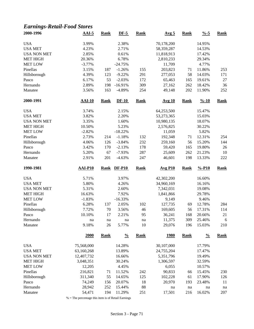### *Earnings-Retail-Food Stores*

| 2000-1996          | $AAI-5$          | <b>Rank</b> | $DF-5$           | <b>Rank</b> | Avg <sub>5</sub> | <b>Rank</b> | $\frac{9}{6} - 5$  | <b>Rank</b> |
|--------------------|------------------|-------------|------------------|-------------|------------------|-------------|--------------------|-------------|
| <b>USA</b>         | 3.99%            |             | 2.38%            |             | 70,178,200       |             | 14.95%             |             |
| <b>USA MET</b>     | 4.23%            |             | 2.71%            |             | 58,359,287       |             | 14.53%             |             |
| <b>USA NON MET</b> | 2.85%            |             | 0.61%            |             | 11,818,913       |             | 17.42%             |             |
| <b>MET HIGH</b>    | 20.36%           |             | 6.78%            |             | 2,810,233        |             | 29.34%             |             |
| <b>MET LOW</b>     | $-3.77%$         |             | $-24.75%$        |             | 11,709           |             | 4.77%              |             |
| Pinellas           | 3.15%            | 187         | $-1.26%$         | 155         | 203,823          | 71          | 11.86%             | 253         |
| Hillsborough       | 4.39%            | 123         | $-9.22%$         | 291         | 277,053          | 58          | 14.03%             | 171         |
| Pasco              | 6.17%            | 53          | $-2.03%$         | 172         | 65,463           | 165         | 19.61%             | $27\,$      |
| Hernando           | 2.89%            | 198         | $-16.91%$        | 309         | 27,162           | 262         | 18.42%             | 36          |
| Manatee            | 3.56%            | 163         | $-4.89%$         | 254         | 49,148           | 202         | 11.90%             | 252         |
| 2000-1991          | $AAI-10$         | <b>Rank</b> | $DF-10$          | <b>Rank</b> | <b>Avg 10</b>    | <b>Rank</b> | $\frac{9}{6} - 10$ | <b>Rank</b> |
| <b>USA</b>         | 3.74%            |             | 2.15%            |             | 64,253,500       |             | 15.47%             |             |
| <b>USA MET</b>     | 3.82%            |             | 2.20%            |             | 53,273,365       |             | 15.03%             |             |
| <b>USA NON MET</b> | 3.35%            |             | 1.60%            |             | 10,980,135       |             | 18.07%             |             |
| <b>MET HIGH</b>    | 10.50%           |             | 5.23%            |             | 2,576,825        |             | 30.22%             |             |
| <b>MET LOW</b>     | $-2.82%$         |             | $-18.22%$        |             | 11,059           |             | 5.82%              |             |
| Pinellas           | 2.73%            | 214         | $-1.18%$         | 132         | 192,348          | 71          | 12.31%             | 254         |
| Hillsborough       | 4.06%            | 126         | $-3.84%$         | 232         | 259,160          | 56          | 15.20%             | 144         |
| Pasco              | 3.42%            | 170         | $-2.13%$         | 178         | 59,420           | 165         | 19.80%             | 26          |
| Hernando           | 5.20%            | 67          | $-7.93%$         | 287         | 25,609           | 262         | 21.23%             | 10          |
| Manatee            | 2.91%            | 201         | $-4.63%$         | 247         | 46,601           | 198         | 13.33%             | 222         |
| 1990-1981          | <b>AAI-P10</b>   | <b>Rank</b> | <b>DF-P10</b>    | <b>Rank</b> | <b>Avg P10</b>   | <b>Rank</b> | $% -P10$           | <b>Rank</b> |
| <b>USA</b>         | 5.71%            |             | 3.97%            |             | 42,302,200       |             | 16.60%             |             |
| <b>USA MET</b>     | 5.80%            |             | 4.26%            |             | 34,960,169       |             | 16.16%             |             |
| <b>USA NON MET</b> | 5.31%            |             | 2.60%            |             | 7,342,031        |             | 19.08%             |             |
| <b>MET HIGH</b>    | 16.63%           |             | 7.92%            |             | 1,841,866        |             | 29.78%             |             |
| <b>MET LOW</b>     | $-1.83%$         |             | $-16.33%$        |             | 9,149            |             | 9.46%              |             |
| Pinellas           | 6.28%            | 137         | 2.05%            | 102         | 127,735          | 69          | 12.78%             | 284         |
| Hillsborough       | 7.72%            | $70\,$      | 3.56%            | 46          | 169,605          | 56          | 17.31%             | 114         |
| Pasco              | 10.10%           | 17          | 2.21%            | 95          | 36,241           | 168         | 20.66%             | 21          |
| Hernando           | na               | na          | na               | na          | 11,375           | 309         | 25.46%             | $\sqrt{6}$  |
| Manatee            | 9.18%            | 26          | 5.77%            | 10          | 29,076           | 196         | 15.03%             | 210         |
|                    | 2000             | <b>Rank</b> | $\frac{0}{0}$    | <b>Rank</b> | <u>1980</u>      | <b>Rank</b> | $\frac{0}{0}$      | <b>Rank</b> |
| <b>USA</b>         | 75,568,000       |             | 14.28%           |             | 30,107,000       |             | 17.79%             |             |
| <b>USA MET</b>     | 63,160,268       |             | 13.89%           |             | 24,755,204       |             | 17.47%             |             |
| <b>USA NON MET</b> | 12,407,732       |             | 16.66%           |             | 5,351,796        |             | 19.49%             |             |
| <b>MET HIGH</b>    | 3,048,351        |             | 30.24%           |             | 1,306,597        |             | 32.59%             |             |
| <b>MET LOW</b>     | 12,205           |             | 4.45%            |             | 6,055            |             | 10.57%             |             |
| Pinellas           | 216,821          | 71          | 11.52%           | 242         | 90,833           | 66          | 15.45%             | 230         |
| Hillsborough       | 311,340          | 55          | 14.65%           | 125         | 102,228          | 61          | 17.90%             | 126         |
| Pasco              | 74,249           | 156         | 20.07%           | 18          | 20,970           | 193         | 23.48%             | 11          |
| Hernando           |                  |             |                  |             |                  |             |                    |             |
|                    |                  |             |                  |             |                  |             |                    |             |
| Manatee            | 28,942<br>54,471 | 252<br>194  | 15.44%<br>11.29% | 88<br>251   | na<br>17,501     | na<br>216   | na<br>16.02%       | na<br>207   |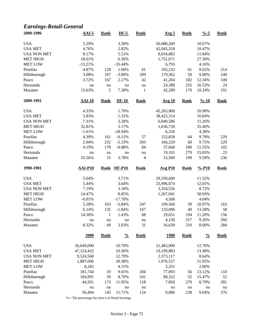### *Earnings-Retail-General*

| 2000-1996           | $AAI-5$        | <b>Rank</b> | $DF-5$        | <b>Rank</b>              | Avg <sub>5</sub> | <b>Rank</b> | $\frac{9}{6} - 5$  | <b>Rank</b> |
|---------------------|----------------|-------------|---------------|--------------------------|------------------|-------------|--------------------|-------------|
| <b>USA</b>          | 5.29%          |             | 3.30%         |                          | 50,080,200       |             | 10.67%             |             |
| <b>USA MET</b>      | 4.76%          |             | 2.82%         |                          | 42,045,318       |             | 10.47%             |             |
| <b>USA NON MET</b>  | 8.17%          |             | 5.51%         |                          | 8,034,882        |             | 11.84%             |             |
| <b>MET HIGH</b>     | 18.61%         |             | 6.30%         |                          | 1,751,671        |             | 27.50%             |             |
| <b>MET LOW</b>      | $-13.21%$      |             | $-35.44%$     |                          | 6,793            |             | 4.16%              |             |
| Pinellas            | 4.87%          | 128         | 1.60%         | 61                       | 165,232          | 61          | 9.62%              | 214         |
| Hillsborough        | 3.08%          | 197         | $-3.89%$      | 209                      | 179,362          | 59          | 9.08%              | 240         |
| Pasco               | 3.72%          | 167         | 2.27%         | 42                       | 41,204           | 182         | 12.34%             | 100         |
| Hernando            | na             | na          | na            | na                       | 24,388           | 255         | 16.53%             | 24          |
| Manatee             | 15.63%         | 5           | 7.38%         | $\mathbf{1}$             | 42,289           | 179         | 10.24%             | 191         |
| 2000-1991           | <b>AAI-10</b>  | <b>Rank</b> | $DF-10$       | <b>Rank</b>              | <b>Avg 10</b>    | <b>Rank</b> | $\frac{9}{6} - 10$ | <b>Rank</b> |
| <b>USA</b>          | 4.33%          |             | 1.70%         |                          | 45,265,900       |             | 10.90%             |             |
| <b>USA MET</b>      | 3.83%          |             | 1.31%         |                          | 38,425,314       |             | 10.84%             |             |
| <b>USA NON MET</b>  | 7.31%          |             | 3.28%         |                          | 6,840,586        |             | 11.26%             |             |
| <b>MET HIGH</b>     | 32.81%         |             | 5.17%         |                          | 1,636,728        |             | 35.49%             |             |
| <b>MET LOW</b>      | $-1.61%$       |             | $-28.94%$     |                          | 6,256            |             | 4.38%              |             |
| Pinellas            | 4.39%          | 161         | $-0.12%$      | 57                       | 152,858          | 64          | 9.78%              | 229         |
| Hillsborough        | 2.04%          | 232         | $-5.33%$      | 203                      | 166,229          | 60          | 9.75%              | 229         |
| Pasco               | 4.19%          | 170         | $-0.88%$      | 84                       | 37,668           | 189         | 12.55%             | 102         |
| Hernando            | na             | $\,$ na     | na            | na                       | 19,101           | 279         | 15.83%             | 23          |
| Manatee             | 10.26%         | 15          | 3.78%         | $\overline{\mathcal{L}}$ | 33,500           | 199         | 9.59%              | 236         |
| 1990-1981           | <b>AAI-P10</b> | <b>Rank</b> | <b>DF-P10</b> | <b>Rank</b>              | <b>Avg P10</b>   | <b>Rank</b> | $% -P10$           | <b>Rank</b> |
|                     |                |             |               |                          |                  |             |                    |             |
|                     |                |             |               |                          |                  |             |                    |             |
| <b>USA</b>          | 5.64%          |             | 3.71%         |                          | 29,350,600       |             | 11.52%             |             |
| <b>USA MET</b>      | 5.44%          |             | 3.64%         |                          | 25,996,074       |             | 12.01%             |             |
| <b>USA NON MET</b>  | 7.19%          |             | 3.18%         |                          | 3,354,526        |             | 8.72%              |             |
| <b>MET HIGH</b>     | 14.47%         |             | 8.85%         |                          | 1,267,041        |             | 50.93%             |             |
| <b>MET LOW</b>      | $-0.01%$       |             | $-17.70%$     |                          | 4,568            |             | 4.04%              |             |
| Pinellas            | 5.28%          | 163         | $-5.84%$      | 247                      | 109,560          | 59          | 10.97%             | 163         |
| Hillsborough        | 6.14%          | 135         | $-1.84%$      | 167                      | 133,096          | 49          | 13.58%             | 58          |
| Pasco               | 14.50%         | 1           | 1.43%         | 68                       | 19,651           | 194         | 11.20%             | 156         |
| Hernando<br>Manatee | na<br>8.32%    | na<br>49    | na<br>3.03%   | na<br>31                 | 4,136<br>16,639  | 317<br>210  | 9.26%<br>8.60%     | 260<br>284  |
|                     | 2000           | <b>Rank</b> | $\frac{0}{0}$ | <b>Rank</b>              | <u>1980</u>      | <b>Rank</b> | $\frac{0}{0}$      | <b>Rank</b> |
|                     |                |             |               |                          |                  |             |                    |             |
| <b>USA</b>          | 56,649,000     |             | 10.70%        |                          | 21,483,000       |             | 12.70%             |             |
| <b>USA MET</b>      | 47,124,432     |             | 10.36%        |                          | 19,109,883       |             | 13.48%             |             |
| <b>USA NON MET</b>  | 9,524,568      |             | 12.79%        |                          | 2,373,117        |             | 8.64%              |             |
| <b>MET HIGH</b>     | 1,887,696      |             | 30.38%        |                          | 1,076,527        |             | 31.95%             |             |
| <b>MET LOW</b>      | 8,282          |             | 4.15%         |                          | 2,331            |             | 2.80%              |             |
| Pinellas            | 181,744        | 59          | 9.65%         | 204                      | 77,093           | 56          | 13.12%             | 110         |
| Hillsborough        | 184,991        | 59          | 8.70%         | 241                      | 88,332           | 52          | 15.47%             | 52          |
| Pasco               | 44,201         | 173         | 11.95%        | 118                      | 7,850            | 270         | 8.79%              | 281         |
| Hernando<br>Manatee | na<br>56,494   | na<br>145   | na<br>11.71%  | na<br>124                | na<br>9,880      | na<br>238   | na<br>9.04%        | na<br>276   |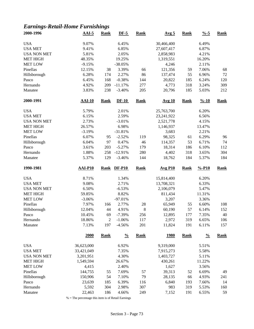### *Earnings-Retail-Home Furnishings*

| 2000-1996           | $AAI-5$         | <b>Rank</b>           | $DF-5$               | <b>Rank</b> | Avg <sub>5</sub> | <b>Rank</b> | $\frac{9}{6} - 5$  | <b>Rank</b> |
|---------------------|-----------------|-----------------------|----------------------|-------------|------------------|-------------|--------------------|-------------|
| <b>USA</b>          | 9.07%           |                       | 6.45%                |             | 30,466,400       |             | 6.49%              |             |
| <b>USA MET</b>      | 9.41%           |                       | 6.85%                |             | 27,607,417       |             | 6.87%              |             |
| <b>USA NON MET</b>  | 5.81%           |                       | 2.05%                |             | 2,858,983        |             | 4.21%              |             |
| <b>MET HIGH</b>     | 48.35%          |                       | 19.25%               |             | 1,319,551        |             | 16.20%             |             |
| <b>MET LOW</b>      | $-9.15%$        |                       | $-38.05%$            |             | 4,246            |             | 2.11%              |             |
| Pinellas            | 12.15%          | 38                    | 3.39%                | 66          | 121,356          | 59          | 7.06%              | 68          |
| Hillsborough        | 6.28%           | 174                   | 2.27%                | 86          | 137,474          | 55          | 6.96%              | 72          |
| Pasco               | 6.45%           | 168                   | $-0.38%$             | 144         | 20,822           | 185         | 6.24%              | 120         |
| Hernando            | 4.92%           | 209                   | $-11.17%$            | 277         | 4,773            | 318         | 3.24%              | 309         |
| Manatee             | 3.83%           | 238                   | $-3.40%$             | 205         | 20,796           | 185         | 5.03%              | 212         |
| 2000-1991           | <b>AAI-10</b>   | <b>Rank</b>           | $DF-10$              | <b>Rank</b> | <b>Avg 10</b>    | <b>Rank</b> | $\frac{9}{6} - 10$ | <b>Rank</b> |
| <b>USA</b>          | 5.79%           |                       | 2.01%                |             | 25,763,700       |             | 6.20%              |             |
| <b>USA MET</b>      | 6.15%           |                       | 2.59%                |             | 23,241,922       |             | 6.56%              |             |
| <b>USA NON MET</b>  | 2.73%           |                       | $-3.01%$             |             | 2,521,778        |             | 4.15%              |             |
| <b>MET HIGH</b>     | 26.57%          |                       | 6.98%                |             | 1,146,937        |             | 13.47%             |             |
| <b>MET LOW</b>      | $-3.19%$        |                       | $-31.81%$            |             | 3,683            |             | 2.21%              |             |
| Pinellas            | 6.07%           | 95                    | $-2.52%$             | 119         | 98,325           | 61          | 6.29%              | 96          |
|                     | 6.04%           | 97                    | 0.47%                | 46          | 114,357          | 53          | 6.71%              | 74          |
| Hillsborough        | 3.61%           | 203                   | $-5.27%$             | 179         |                  |             | 6.10%              | 112         |
| Pasco               |                 |                       |                      |             | 18,314           | 186         |                    |             |
| Hernando            | 1.88%           | 258                   | $-12.91%$            | 280         | 4,402            | 318         | 3.65%              | 304         |
| Manatee             | 5.37%           | 129                   | $-3.46%$             | 144         | 18,762           | 184         | 5.37%              | 184         |
| 1990-1981           | <b>AAI-P10</b>  | <b>Rank</b>           | <b>DF-P10</b>        | <b>Rank</b> | <b>Avg P10</b>   | <b>Rank</b> | $% -P10$           | <b>Rank</b> |
| <b>USA</b>          | 8.71%           |                       | 1.34%                |             | 15,814,400       |             | 6.20%              |             |
| <b>USA MET</b>      | 9.08%           |                       | 2.71%                |             | 13,708,321       |             | 6.33%              |             |
| <b>USA NON MET</b>  | 6.50%           |                       | $-6.53%$             |             | 2,106,079        |             | 5.47%              |             |
| <b>MET HIGH</b>     | 59.85%          |                       | 8.82%                |             | 811,434          |             | 11.31%             |             |
| <b>MET LOW</b>      | $-3.06%$        |                       | $-97.01%$            |             | 3,207            |             | 3.36%              |             |
| Pinellas            | 7.97%           | 166                   | 2.77%                | $28\,$      | 65,949           | 55          | 6.60%              | 108         |
| Hillsborough        | 12.04%          | 44                    | 4.91%                | $\,8\,$     | 60,190           | 57          | 6.14%              | 152         |
| Pasco               |                 |                       |                      |             |                  |             |                    |             |
|                     |                 | 69                    | $-7.39%$             |             |                  | 177         |                    | 40          |
|                     | 10.45%          |                       |                      | 256         | 12,895           |             | 7.35%              |             |
| Hernando<br>Manatee | 18.86%<br>7.13% | $\overline{c}$<br>197 | $-1.06%$<br>$-4.56%$ | 117<br>201  | 2,972<br>11,824  | 319<br>191  | 6.65%<br>6.11%     | 106<br>157  |
|                     | <b>2000</b>     | <b>Rank</b>           | $\frac{0}{0}$        | <b>Rank</b> | <u>1980</u>      | <b>Rank</b> | $\frac{0}{0}$      | <b>Rank</b> |
| <b>USA</b>          | 36,623,000      |                       | 6.92%                |             | 9,319,000        |             | 5.51%              |             |
| <b>USA MET</b>      | 33,421,049      |                       | 7.35%                |             | 7,915,273        |             | 5.58%              |             |
| <b>USA NON MET</b>  |                 |                       |                      |             |                  |             |                    |             |
|                     | 3,201,951       |                       | 4.30%                |             | 1,403,727        |             | 5.11%              |             |
| <b>MET HIGH</b>     | 1,549,594       |                       | 26.67%               |             | 430,261          |             | 11.22%             |             |
| <b>MET LOW</b>      | 4,415           |                       | 2.40%                |             | 1,627            |             | 3.56%              |             |
| Pinellas            | 144,755         | 55                    | 7.69%                | 57          | 39,313           | 52          | 6.69%              | 49          |
| Hillsborough        | 150,906         | 54                    | 7.10%                | 79          | 28,135           | 66          | 4.93%              | 241         |
| Pasco               | 23,639          | 185                   | 6.39%                | 116         | 6,840            | 193         | 7.66%              | 14          |
| Hernando<br>Manatee | 5,592<br>22,463 | 304<br>186            | 2.98%<br>4.66%       | 307<br>249  | 983<br>7,152     | 319<br>191  | 5.53%<br>6.55%     | 160<br>59   |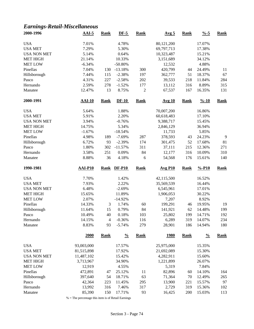### *Earnings-Retail-Miscellaneous*

| 2000-1996           | <b>AAI-5</b>     | <b>Rank</b>          | $DF-5$               | <b>Rank</b>    | Avg <sub>5</sub> | <b>Rank</b> | $\frac{9}{6} - 5$  | <b>Rank</b> |
|---------------------|------------------|----------------------|----------------------|----------------|------------------|-------------|--------------------|-------------|
| <b>USA</b>          | 7.01%            |                      | 4.78%                |                | 80,121,200       |             | 17.07%             |             |
| <b>USA MET</b>      | 7.29%            |                      | 5.30%                |                | 69,797,713       |             | 17.38%             |             |
| <b>USA NON MET</b>  | 5.14%            |                      | 0.64%                |                | 10,323,487       |             | 15.21%             |             |
| <b>MET HIGH</b>     | 21.14%           |                      | 10.33%               |                | 3,151,689        |             | 34.12%             |             |
| <b>MET LOW</b>      | $-6.34%$         |                      | $-50.80%$            |                | 12,532           |             | 4.88%              |             |
| Pinellas            | 7.04%            | 130                  | $-13.18%$            | 300            | 420,799          | 44          | 24.49%             | 11          |
| Hillsborough        | 7.44%            | 115                  | $-2.38%$             | 197            | 362,777          | 51          | 18.37%             | 67          |
| Pasco               | 4.31%            | 227                  | $-2.58%$             | 202            | 39,533           | 218         | 11.84%             | 284         |
| Hernando            | 2.59%            | 278                  | $-1.52%$             | 177            | 13,112           | 316         | 8.89%              | 315         |
| Manatee             | 12.47%           | 13                   | 8.75%                | $\overline{c}$ | 67,537           | 167         | 16.35%             | 131         |
| 2000-1991           | <b>AAI-10</b>    | <b>Rank</b>          | $DF-10$              | <b>Rank</b>    | <b>Avg 10</b>    | <b>Rank</b> | $\frac{9}{6} - 10$ | <b>Rank</b> |
| <b>USA</b>          | 5.64%            |                      | 1.88%                |                | 70,007,200       |             | 16.86%             |             |
| <b>USA MET</b>      | 5.91%            |                      | 2.20%                |                | 60,618,483       |             | 17.10%             |             |
| <b>USA NON MET</b>  | 3.94%            |                      | $-0.76%$             |                | 9,388,717        |             | 15.45%             |             |
| <b>MET HIGH</b>     | 14.75%           |                      | 5.34%                |                | 2,846,129        |             | 36.94%             |             |
| <b>MET LOW</b>      | $-1.67%$         |                      | $-18.54%$            |                | 11,733           |             | 5.85%              |             |
| Pinellas            | 4.98%            | 189                  | $-7.69%$             | 287            | 378,593          | 43          | 24.23%             | 9           |
| Hillsborough        | 6.72%            | 93                   | $-2.39%$             | 174            | 301,475          | 52          | 17.68%             | 81          |
| Pasco               | 1.80%            | 302                  | $-11.57%$            | 311            | 37,111           | 215         | 12.36%             | 271         |
| Hernando            | 3.58%            | 251                  | 0.09%                | 84             | 12,177           | 316         | 10.09%             | 310         |
| Manatee             | 8.88%            | 36                   | 4.18%                | 6              | 54,568           | 176         | 15.61%             | 140         |
|                     |                  |                      |                      |                |                  |             |                    |             |
| 1990-1981           | <b>AAI-P10</b>   | <b>Rank</b>          | <b>DF-P10</b>        | <b>Rank</b>    | <b>Avg P10</b>   | <b>Rank</b> | $% -P10$           | <b>Rank</b> |
|                     |                  |                      |                      |                |                  |             |                    |             |
| <b>USA</b>          | 7.70%            |                      | 1.42%                |                | 42,115,500       |             | 16.52%             |             |
| <b>USA MET</b>      | 7.93%            |                      | 2.22%                |                | 35,569,539       |             | 16.44%             |             |
| <b>USA NON MET</b>  | 6.48%            |                      | $-2.69%$             |                | 6,545,961        |             | 17.01%             |             |
| <b>MET HIGH</b>     | 15.65%           |                      | 11.89%               |                | 1,906,053        |             | 30.22%             |             |
| <b>MET LOW</b>      | 2.07%            |                      | $-14.92%$            |                | 7,207            |             | 8.92%              |             |
| Pinellas            | 14.33%           | 3                    | 1.74%                | 60             | 199,291          | 46          | 19.95%             | 19          |
| Hillsborough        | 11.64%           | 15                   | 0.79%                | 84             | 141,921          | 62          | 14.48%             | 199         |
| Pasco               | 10.49%           | 40                   | 0.18%                | 103            | 25,802           | 199         | 14.71%             | 192         |
| Hernando<br>Manatee | 14.15%<br>8.83%  | $\overline{4}$<br>93 | $-0.36%$<br>$-5.74%$ | 116<br>279     | 6,289<br>28,901  | 319<br>186  | 14.07%<br>14.94%   | 234<br>180  |
|                     | 2000             | <b>Rank</b>          | $\frac{0}{0}$        | <b>Rank</b>    | <u>1980</u>      | <b>Rank</b> | $\frac{0}{0}$      | <b>Rank</b> |
|                     |                  |                      |                      |                |                  |             |                    |             |
| <b>USA</b>          | 93,003,000       |                      | 17.57%               |                | 25,975,000       |             | 15.35%             |             |
| <b>USA MET</b>      | 81,515,898       |                      | 17.92%               |                | 21,692,089       |             | 15.30%             |             |
| <b>USA NON MET</b>  | 11,487,102       |                      | 15.42%               |                | 4,282,911        |             | 15.60%             |             |
| <b>MET HIGH</b>     | 3,713,967        |                      | 34.90%               |                | 1,221,899        |             | 26.07%             |             |
| <b>MET LOW</b>      | 12,919           |                      | 4.55%                |                | 5,319            |             | 7.84%              |             |
| Pinellas            | 472,891          | 47                   | 25.12%               | 11             | 82,896           | 60          | 14.10%             | 164         |
| Hillsborough        | 397,640          | 54                   | 18.71%               | 63             | 71,364           | 70          | 12.49%             | 265         |
| Pasco<br>Hernando   | 42,364<br>13,992 | 223<br>316           | 11.45%<br>7.46%      | 295<br>317     | 13,900<br>2,729  | 221<br>319  | 15.57%<br>15.36%   | 97<br>102   |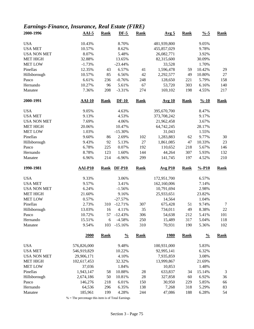### *Earnings-Finance, Insurance, Real Estate (FIRE)*

| 2000-1996                            | $AAI-5$                   | <b>Rank</b> | $DF-5$                | <b>Rank</b> | Avg <sub>5</sub>        | <b>Rank</b> | $\frac{9}{6} - 5$  | <b>Rank</b> |
|--------------------------------------|---------------------------|-------------|-----------------------|-------------|-------------------------|-------------|--------------------|-------------|
| <b>USA</b>                           | 10.43%                    |             | 8.70%                 |             | 481,939,800             |             | 9.05%              |             |
| <b>USA MET</b>                       | 10.57%                    |             | 8.62%                 |             | 455,857,029             |             | 9.78%              |             |
| <b>USA NON MET</b>                   | 8.07%                     |             | 5.48%                 |             | 26,082,771              |             | 3.92%              |             |
| <b>MET HIGH</b>                      | 32.88%                    |             | 13.65%                |             | 82,315,600              |             | 30.09%             |             |
| <b>MET LOW</b>                       | $-1.73%$                  |             | $-23.44%$             |             | 33,528                  |             | 1.70%              |             |
| Pinellas                             | 12.35%                    | 43          | 6.57%                 | 41          | 1,596,478               | 59          | 10.42%             | 29          |
| Hillsborough                         | 10.57%                    | 85          | 6.56%                 | 42          | 2,292,577               | 49          | 10.80%             | $27\,$      |
| Pasco                                | 6.61%                     | 236         | $-0.76%$              | 248         | 128,650                 | 221         | 5.79%              | 158         |
| Hernando                             | 10.27%                    | 96          | 5.61%                 | 67          | 53,720                  | 303         | 6.16%              | 140         |
| Manatee                              | 7.36%                     | 208         | $-3.31%$              | 274         | 169,102                 | 198         | 4.55%              | 217         |
| 2000-1991                            | <b>AAI-10</b>             | <b>Rank</b> | $DF-10$               | <b>Rank</b> | <b>Avg 10</b>           | <b>Rank</b> | $\frac{9}{6} - 10$ | <b>Rank</b> |
| <b>USA</b>                           | 9.05%                     |             | 4.63%                 |             | 395,670,700             |             | 8.47%              |             |
| <b>USA MET</b>                       | 9.13%                     |             | 4.53%                 |             | 373,708,242             |             | 9.17%              |             |
| <b>USA NON MET</b>                   | 7.69%                     |             | 4.06%                 |             | 21,962,458              |             | 3.67%              |             |
| <b>MET HIGH</b>                      | 20.06%                    |             | 10.47%                |             | 64,742,245              |             | 28.17%             |             |
| <b>MET LOW</b>                       | 1.03%                     |             | $-15.30%$             |             | 31,043                  |             | 1.55%              |             |
| Pinellas                             | 9.60%                     | 86          | 2.69%                 | 102         | 1,283,883               | 62          | 9.77%              | 30          |
| Hillsborough                         | 9.43%                     | 92          | 5.13%                 | 27          | 1,861,085               | 47          | 10.33%             | 23          |
| Pasco                                | 6.78%                     | 225         | 0.07%                 | 192         | 110,652                 | 218         | 5.67%              | 146         |
| Hernando                             | 8.78%                     | 123         | 1.60%                 | 144         | 44,264                  | 307         | 5.93%              | 132         |
| Manatee                              | 6.96%                     | 214         | $-6.96%$              | 299         | 141,745                 | 197         | 4.52%              | 210         |
|                                      |                           |             |                       |             |                         |             |                    |             |
| 1990-1981                            | <b>AAI-P10</b>            | <b>Rank</b> | <b>DF-P10</b>         | <b>Rank</b> | <b>Avg P10</b>          | <b>Rank</b> | $% -P10$           | <b>Rank</b> |
|                                      |                           |             |                       |             |                         |             |                    |             |
| <b>USA</b>                           | 9.33%                     |             | 3.06%                 |             | 172,951,700             |             | 6.57%              |             |
| <b>USA MET</b>                       | 9.57%                     |             | 3.41%                 |             | 162,160,006             |             | 7.14%              |             |
| <b>USA NON MET</b>                   | 6.24%                     |             | $-1.56%$              |             | 10,791,694              |             | 2.98%              |             |
| <b>MET HIGH</b>                      | 21.60%                    |             | 9.16%                 |             | 25,933,651              |             | 23.82%             |             |
| <b>MET LOW</b>                       | 0.57%                     |             | $-27.57%$             |             | 14,564                  |             | 1.04%              |             |
| Pinellas                             | 2.73%                     | 310         | $-12.71%$             | 307         | 675,428                 | 51          | 9.74%              | $\tau$      |
| Hillsborough                         | 13.03%                    | 16          | 4.11%                 | 35          | 734,011                 | 49          | 8.38%              | $22\,$      |
| Pasco                                | 10.72%                    | 57          | $-12.43%$             | 306         | 54,638                  | 212         | 5.41%              | 101         |
| Hernando<br>Manatee                  | 15.51%<br>9.54%           | 6<br>103    | $-4.58%$<br>$-15.16%$ | 250<br>310  | 15,489<br>70,931        | 317<br>190  | 5.04%<br>5.36%     | 118<br>102  |
|                                      | 2000                      | <b>Rank</b> | $\frac{0}{0}$         | <b>Rank</b> | <u>1980</u>             | <b>Rank</b> | $\frac{0}{0}$      | <b>Rank</b> |
| <b>USA</b>                           |                           |             | 9.48%                 |             |                         |             |                    |             |
|                                      | 576,826,000               |             |                       |             | 100,931,000             |             | 5.83%              |             |
| <b>USA MET</b><br><b>USA NON MET</b> | 546,919,829<br>29,906,171 |             | 10.22%<br>4.10%       |             | 92,995,141<br>7,935,859 |             | 6.32%<br>3.08%     |             |
| <b>MET HIGH</b>                      | 102,617,453               |             | 32.32%                |             | 13,999,867              |             | 21.69%             |             |
| <b>MET LOW</b>                       |                           |             | 1.84%                 |             |                         |             | 1.48%              |             |
|                                      | 37,036                    |             |                       |             | 10,853                  |             |                    |             |
| Pinellas                             | 1,943,147                 | 58          | 10.88%                | 28          | 633,837                 | 34          | 15.14%             | 3           |
| Hillsborough                         | 2,674,186                 | 50          | 10.81%                | $28\,$      | 327,858                 | 60          | 6.92%              | 36          |
| Pasco<br>Hernando                    | 146,276<br>64,536         | 218<br>296  | 6.01%<br>6.35%        | 150<br>138  | 30,950<br>7,268         | 229<br>318  | 5.85%<br>5.29%     | 66<br>83    |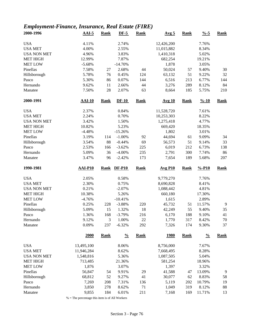### *Employment-Finance, Insurance, Real Estate (FIRE)*

| 2000-1996           | $AAI-5$        | <b>Rank</b>           | $DF-5$            | <b>Rank</b> | Avg <sub>5</sub> | <b>Rank</b> | $\frac{9}{6} - 5$  | <b>Rank</b> |
|---------------------|----------------|-----------------------|-------------------|-------------|------------------|-------------|--------------------|-------------|
| <b>USA</b>          | 4.11%          |                       | 2.74%             |             | 12,426,200       |             | 7.76%              |             |
| <b>USA MET</b>      | 4.00%          |                       | 2.55%             |             | 11,015,882       |             | 8.34%              |             |
| <b>USA NON MET</b>  | 4.96%          |                       | 3.83%             |             | 1,410,318        |             | 5.02%              |             |
| <b>MET HIGH</b>     | 12.99%         |                       | 7.87%             |             | 682,254          |             | 19.21%             |             |
| <b>MET LOW</b>      | $-5.68%$       |                       | $-14.70%$         |             | 1,878            |             | 3.05%              |             |
| Pinellas            | 7.58%          | 27                    | 2.68%             | 44          | 50,024           | 57          | 9.40%              | 30          |
|                     | 5.78%          | 76                    | 0.45%             | 124         | 63,132           | 51          | 9.22%              | 32          |
| Hillsborough        |                |                       |                   |             |                  |             |                    |             |
| Pasco               | 5.30%          | 86                    | 0.07%             | 144         | 6,516            | 213         | 6.77%              | 144         |
| Hernando            | 9.62%          | 11                    | 2.66%             | 44          | 3,276            | 289         | 8.12%              | 84          |
| Manatee             | 7.50%          | 28                    | 2.07%             | 63          | 8,664            | 185         | 5.75%              | 210         |
| 2000-1991           | <b>AAI-10</b>  | <b>Rank</b>           | $DF-10$           | <b>Rank</b> | <b>Avg 10</b>    | <b>Rank</b> | $\frac{9}{6} - 10$ | <b>Rank</b> |
| <b>USA</b>          | 2.37%          |                       | 0.84%             |             | 11,528,720       |             | 7.61%              |             |
| <b>USA MET</b>      | 2.24%          |                       | 0.70%             |             | 10,253,303       |             | 8.22%              |             |
| <b>USA NON MET</b>  | 3.42%          |                       | 1.50%             |             | 1,275,418        |             | 4.77%              |             |
| <b>MET HIGH</b>     | 10.82%         |                       | 5.23%             |             | 669,420          |             | 18.35%             |             |
| <b>MET LOW</b>      | $-4.48%$       |                       | $-15.26%$         |             | 1,802            |             | 3.01%              |             |
| Pinellas            | 3.19%          | 114                   | $-1.00%$          | 92          | 44,694           | 61          | 9.09%              | 34          |
| Hillsborough        | 3.54%          | 88                    | $-0.44%$          | 69          | 56,573           | 51          | 9.14%              | 33          |
| Pasco               | 2.53%          | 166                   | $-3.62%$          | 225         | 6,019            | 212         | 6.73%              | 138         |
| Hernando            | 5.09%          | 36                    | $-4.00%$          | 235         | 2,791            | 300         | 7.74%              | 86          |
| Manatee             | 3.47%          | 96                    | $-2.42%$          | 173         | 7,654            | 189         | 5.68%              | 207         |
|                     |                |                       |                   |             |                  |             |                    |             |
|                     |                |                       |                   |             |                  |             |                    |             |
| 1990-1981           | <b>AAI-P10</b> | <b>Rank</b>           | <b>DF-P10</b>     | <b>Rank</b> | <b>Avg P10</b>   | <b>Rank</b> | $% -P10$           | <b>Rank</b> |
| <b>USA</b>          | 2.05%          |                       | 0.58%             |             | 9,779,270        |             | 7.76%              |             |
| <b>USA MET</b>      | 2.30%          |                       | 0.75%             |             | 8,690,828        |             | 8.41%              |             |
| <b>USA NON MET</b>  | 0.21%          |                       | $-2.07%$          |             | 1,088,442        |             | 4.81%              |             |
| <b>MET HIGH</b>     | 10.38%         |                       | 5.26%             |             | 660,180          |             | 17.30%             |             |
| <b>MET LOW</b>      | $-4.76%$       |                       | $-10.41%$         |             |                  |             | 2.89%              |             |
| Pinellas            |                |                       |                   |             | 1,615            |             |                    |             |
|                     | 0.25%          | 228                   | $-3.88%$          | 220         | 45,732           | 51          | 11.57%             | 9           |
| Hillsborough        | 5.09%          | 15                    | 1.32%             | 18          | 42,249           | 55          | 9.40%              | 35          |
| Pasco               | 1.36%          | 168                   | $-3.79%$          | 216         | 6,170            | 188         | 9.10%              | 41          |
| Hernando<br>Manatee | 9.12%<br>0.09% | $\mathfrak{Z}$<br>237 | 1.00%<br>$-6.32%$ | 22<br>292   | 1,770<br>7,326   | 317<br>174  | 8.42%<br>9.30%     | 70<br>37    |
|                     | 2000           | <b>Rank</b>           | $\frac{0}{0}$     | <b>Rank</b> | <u>1980</u>      | <b>Rank</b> | $\frac{0}{0}$      | <b>Rank</b> |
|                     |                |                       |                   |             |                  |             |                    |             |
| <b>USA</b>          | 13,495,100     |                       | 8.06%             |             | 8,756,000        |             | 7.67%              |             |
| <b>USA MET</b>      | 11,946,284     |                       | 8.62%             |             | 7,668,495        |             | 8.28%              |             |
| <b>USA NON MET</b>  | 1,548,816      |                       | 5.36%             |             | 1,087,505        |             | 5.04%              |             |
| <b>MET HIGH</b>     | 713,485        |                       | 21.36%            |             | 581,254          |             | 18.96%             |             |
| <b>MET LOW</b>      | 1,876          |                       | 3.07%             |             | 1,397            |             | 3.32%              |             |
| Pinellas            | 56,847         | 54                    | 9.91%             | 29          | 41,588           | 47          | 13.09%             | 9           |
| Hillsborough        | 68,812         | 52                    | 9.27%             | 41          | 30,077           | 62          | 8.83%              | 58          |
| Pasco               | 7,269          | 208                   | 7.31%             | 136         | 5,119            | 202         | 10.79%             | 19          |
| Hernando<br>Manatee | 3,850<br>9,855 | 278<br>184            | 8.62%<br>6.01%    | 71<br>211   | 1,049<br>7,168   | 319<br>169  | 8.12%<br>11.71%    | 88<br>13    |

 $\%$  = The percentage this item is of All Workers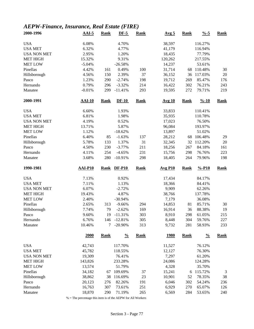### *AEPW-Finance, Insurance, Real Estate (FIRE)*

| 2000-1996           | $AAI-5$          | <b>Rank</b> | $DF-5$                 | Rank        | Avg <sub>5</sub>      | <b>Rank</b> | $\frac{9}{6} - 5$  | <b>Rank</b> |
|---------------------|------------------|-------------|------------------------|-------------|-----------------------|-------------|--------------------|-------------|
| <b>USA</b>          | 6.08%            |             | 4.70%                  |             | 38,597                |             | 116.27%            |             |
| <b>USA MET</b>      | 6.32%            |             | 4.77%                  |             | 41,179                |             | 116.94%            |             |
| <b>USA NON MET</b>  | 2.95%            |             | 1.20%                  |             | 18,435                |             | 77.79%             |             |
| <b>MET HIGH</b>     | 15.32%           |             | 9.31%                  |             | 120,262               |             | 217.55%            |             |
| <b>MET LOW</b>      | $-5.04%$         |             | $-26.58%$              |             | 14,237                |             | 53.61%             |             |
| Pinellas            | 4.42%            | 161         | 0.49%                  | 100         | 31,714                | 68          | 110.48%            | 30          |
| Hillsborough        | 4.56%            | 150         | 2.39%                  | 37          | 36,152                | 36          | 117.03%            | $20\,$      |
| Pasco               | 1.23%            | 290         | $-2.74%$               | 198         | 19,712                | 269         | 85.47%             | 176         |
| Hernando            | 0.79%            | 296         | $-3.32%$               | 214         | 16,422                | 302         | 76.21%             | 243         |
| Manatee             | $-0.01%$         | 299         | $-11.41%$              | 293         | 19,595                | 272         | 79.71%             | 219         |
| 2000-1991           | <b>AAI-10</b>    | <b>Rank</b> | $DF-10$                | <b>Rank</b> | <b>Avg 10</b>         | <b>Rank</b> | $\frac{9}{6} - 10$ | <b>Rank</b> |
| <b>USA</b>          | 6.60%            |             | 1.93%                  |             | 33,833                |             | 110.41%            |             |
| <b>USA MET</b>      | 6.81%            |             | 1.98%                  |             | 35,935                |             | 110.78%            |             |
| <b>USA NON MET</b>  | 4.19%            |             | 0.52%                  |             | 17,023                |             | 76.50%             |             |
| <b>MET HIGH</b>     | 13.71%           |             | 5.87%                  |             | 96,084                |             | 193.97%            |             |
| <b>MET LOW</b>      | 1.12%            |             | $-18.62%$              |             | 13,897                |             | 51.02%             |             |
| Pinellas            | 6.40%            | 85          | $-1.63%$               | 137         | 28,212                | 68          | 106.48%            | 29          |
| Hillsborough        | 5.78%            | 133         | 1.37%                  | 31          | 32,345                | 32          | 112.20%            | 20          |
| Pasco               | 4.50%            | 230         | $-3.77%$               | 211         | 18,256                | 267         | 84.18%             | 161         |
| Hernando            | 4.11%            | 254         | $-4.65%$               | 231         | 15,756                | 298         | 76.76%             | 223         |
| Manatee             | 3.68%            | 280         | $-10.91%$              | 298         | 18,405                | 264         | 79.96%             | 198         |
|                     |                  |             |                        |             |                       |             |                    |             |
| 1990-1981           | <b>AAI-P10</b>   | <b>Rank</b> | <b>DF-P10</b>          | <b>Rank</b> | $Avg$ P <sub>10</sub> | <b>Rank</b> | $% -P10$           | <b>Rank</b> |
|                     |                  |             |                        |             |                       |             |                    |             |
| <b>USA</b>          | 7.13%            |             | 0.92%                  |             | 17,434                |             | 84.17%             |             |
| <b>USA MET</b>      | 7.11%            |             | 1.13%                  |             | 18,366                |             | 84.41%             |             |
| <b>USA NON MET</b>  | 6.07%            |             | $-2.72%$               |             | 9,909                 |             | 62.26%             |             |
| <b>MET HIGH</b>     | 19.43%           |             | 4.87%                  |             | 38,766                |             | 137.78%            |             |
| <b>MET LOW</b>      | 2.40%            |             | $-30.94%$              |             | 7,179                 |             | 36.08%             |             |
| Pinellas            | 2.65%            | 313         | $-9.66%$               | 294         | 14,853                | 81          | 85.71%             | 30          |
| Hillsborough        | 7.74%            | 79          | $-2.62%$               | 169         | 16,914                | 36          | 88.38%             | 19          |
| Pasco               | 9.60%            | 19          | $-11.31%$              | 303         | 8,910                 | 298         | 61.05%             | 215         |
| Hernando<br>Manatee | 6.76%<br>10.46%  | 146<br>7    | $-12.81%$<br>$-20.90%$ | 305<br>313  | 8,448<br>9,732        | 304<br>281  | 59.76%<br>58.93%   | 227<br>233  |
|                     | 2000             | <b>Rank</b> | $\frac{0}{0}$          | <b>Rank</b> | <u>1980</u>           | <b>Rank</b> | $\frac{0}{0}$      | <b>Rank</b> |
|                     |                  |             |                        |             |                       |             |                    |             |
| <b>USA</b>          | 42,743           |             | 117.70%                |             | 11,527                |             | 76.12%             |             |
| <b>USA MET</b>      | 45,782           |             | 118.55%                |             | 12,127                |             | 76.30%             |             |
| <b>USA NON MET</b>  | 19,309           |             | 76.41%                 |             | 7,297                 |             | 61.20%             |             |
| <b>MET HIGH</b>     | 143,826          |             | 233.28%                |             | 24,086                |             | 124.28%            |             |
| <b>MET LOW</b>      | 13,574           |             | 51.79%                 |             | 4,328                 |             | 35.70%             |             |
| Pinellas            | 34,182           | 67          | 109.69%                | 37          | 15,241                | 6           | 115.72%            | 3           |
| Hillsborough        | 38,862           | 38          | 116.69%                | 23          | 10,901                | 52          | 78.35%             | 38          |
| Pasco<br>Hernando   | 20,123<br>16,763 | 276<br>307  | 82.26%<br>73.61%       | 191<br>251  | 6,046<br>6,929        | 302<br>270  | 54.24%<br>65.07%   | 236<br>126  |

% = The percentage this item is of the AEPW for All Workers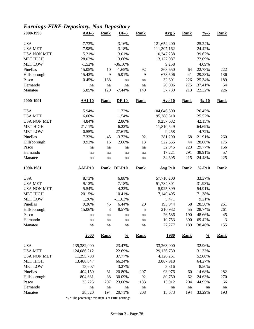# *Earnings-FIRE-Depository, Non Depository*

| 2000-1996           | $AAI-5$        | <b>Rank</b> | $DF-5$        | <b>Rank</b> | Avg <sub>5</sub> | <b>Rank</b> | $\frac{9}{6} - 5$  | <b>Rank</b>    |
|---------------------|----------------|-------------|---------------|-------------|------------------|-------------|--------------------|----------------|
| <b>USA</b>          | 7.73%          |             | 3.16%         |             | 121,654,400      |             | 25.24%             |                |
| <b>USA MET</b>      | 7.98%          |             | 3.18%         |             | 111,307,162      |             | 24.42%             |                |
| <b>USA NON MET</b>  | 5.21%          |             | 3.01%         |             | 10,347,238       |             | 39.67%             |                |
| <b>MET HIGH</b>     | 28.02%         |             | 13.66%        |             | 13,127,087       |             | 72.09%             |                |
| <b>MET LOW</b>      | $-1.52%$       |             | $-36.10%$     |             | 9,258            |             | 4.09%              |                |
| Pinellas            | 15.05%         | 10          | $-1.65%$      | 92          | 363,650          | 64          | 22.78%             | 222            |
| Hillsborough        | 15.42%         | 9           | 5.91%         | 9           | 673,506          | 41          | 29.38%             | 136            |
| Pasco               | 0.45%          | 188         | na            | na          | 32,601           | 226         | 25.34%             | 189            |
| Hernando            | na             | na          | na            | na          | 20,096           | 275         | 37.41%             | 54             |
| Manatee             | 5.85%          | 129         | $-7.44%$      | 149         | 37,739           | 213         | 22.32%             | 226            |
| 2000-1991           | $AAI-10$       | <b>Rank</b> | $DF-10$       | <b>Rank</b> | <b>Avg 10</b>    | <b>Rank</b> | $\frac{9}{6} - 10$ | <b>Rank</b>    |
| <b>USA</b>          | 5.94%          |             | 1.72%         |             | 104,646,500      |             | 26.45%             |                |
| <b>USA MET</b>      | 6.06%          |             | 1.54%         |             | 95,388,818       |             | 25.52%             |                |
| <b>USA NON MET</b>  | 4.84%          |             | 2.86%         |             | 9,257,682        |             | 42.15%             |                |
| <b>MET HIGH</b>     | 21.11%         |             | 6.22%         |             | 11,810,549       |             | 64.69%             |                |
| <b>MET LOW</b>      | $-0.55%$       |             | $-27.61%$     |             | 9,258            |             | 4.72%              |                |
| Pinellas            | 7.32%          | 45          | $-3.72%$      | 92          | 281,290          | 68          | 21.91%             | 260            |
| Hillsborough        | 9.93%          | 16          | 2.66%         | 13          | 522,555          | 44          | 28.08%             | 175            |
| Pasco               | na             | na          | na            | na          | 32,945           | 223         | 29.77%             | 156            |
| Hernando            | $\rm na$       | na          | na            | na          | 17,221           | 291         | 38.91%             | 57             |
| Manatee             | na             | na          | na            | na          | 34,695           | 215         | 24.48%             | 225            |
|                     |                |             |               |             |                  |             |                    |                |
| 1990-1981           | <b>AAI-P10</b> | <b>Rank</b> | $DF-P10$      | <b>Rank</b> | <b>Avg P10</b>   | <b>Rank</b> | $% -P10$           | <b>Rank</b>    |
|                     |                |             |               |             |                  |             |                    |                |
| <b>USA</b>          | 8.73%          |             | 6.88%         |             | 57,710,200       |             | 33.37%             |                |
| <b>USA MET</b>      | 9.12%          |             | 7.18%         |             | 51,784,301       |             | 31.93%             |                |
| <b>USA NON MET</b>  | 5.54%          |             | 4.22%         |             | 5,925,899        |             | 54.91%             |                |
| <b>MET HIGH</b>     | 20.15%         |             | 10.41%        |             | 7,140,495        |             | 71.38%             |                |
| <b>MET LOW</b>      | 1.26%          |             | $-11.63%$     |             | 5,471            |             | 9.21%              |                |
| Pinellas            | 9.36%          | 45          | 6.44%         | $20\,$      | 193,044          | 58          | 28.58%             | 261            |
| Hillsborough        | 15.06%         | 3           | 8.57%         | 5           | 210,932          | 55          | 28.74%             | 261            |
| Pasco               | na             | na          | na            | na          | 26,586           | 190         | 48.66%             | 45             |
| Hernando<br>Manatee | na<br>na       | na<br>na    | na<br>na      | na<br>na    | 10,753<br>27,277 | 300<br>189  | 69.42%<br>38.46%   | 3<br>155       |
|                     | 2000           | <b>Rank</b> | $\frac{0}{0}$ | <b>Rank</b> | <u>1980</u>      | <b>Rank</b> | $\frac{0}{0}$      | <b>Rank</b>    |
|                     |                |             |               |             |                  |             |                    |                |
| <b>USA</b>          | 135,382,000    |             | 23.47%        |             | 33,263,000       |             | 32.96%             |                |
| <b>USA MET</b>      | 124,086,212    |             | 22.69%        |             | 29,136,739       |             | 31.33%             |                |
| <b>USA NON MET</b>  | 11,295,788     |             | 37.77%        |             | 4,126,261        |             | 52.00%             |                |
| <b>MET HIGH</b>     | 13,488,047     |             | 66.24%        |             | 3,887,918        |             | 64.27%             |                |
| <b>MET LOW</b>      | 13,607         |             | 3.27%         |             | 3,816            |             | 8.50%              |                |
| Pinellas            | 404,150        | 61          | 20.80%        | 207         | 93,076           | 60          | 14.68%             | 282            |
| Hillsborough        | 804,681        | 38          | 30.09%        | 92          | 80,750           | 62          | 24.63%             | 270            |
| Pasco<br>Hernando   | 33,725<br>na   | 207<br>na   | 23.06%<br>na  | 183<br>na   | 13,912<br>na     | 204<br>na   | 44.95%<br>na       | 66<br>$\rm na$ |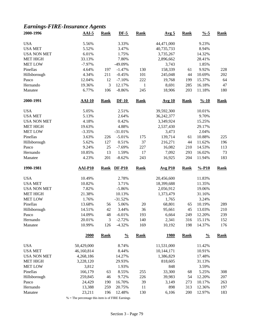### *Earnings-FIRE-Insurance Agents*

| 2000-1996           | $AAI-5$          | <b>Rank</b> | $DF-5$           | <b>Rank</b>  | Avg <sub>5</sub> | <b>Rank</b> | $\frac{9}{6} - 5$  | <b>Rank</b> |
|---------------------|------------------|-------------|------------------|--------------|------------------|-------------|--------------------|-------------|
| <b>USA</b>          | 5.56%            |             | 3.33%            |              | 44,471,000       |             | 9.23%              |             |
| <b>USA MET</b>      | 5.52%            |             | 3.47%            |              | 40,735,733       |             | 8.94%              |             |
| <b>USA NON MET</b>  | 6.01%            |             | 1.75%            |              | 3,735,267        |             | 14.32%             |             |
| <b>MET HIGH</b>     | 33.13%           |             | 7.80%            |              | 2,896,662        |             | 28.41%             |             |
| <b>MET LOW</b>      | $-7.97%$         |             | -49.09%          |              | 3,743            |             | 1.85%              |             |
| Pinellas            | 4.64%            | 197         | $-1.47%$         | 130          | 158,339          | 61          | 9.92%              | 228         |
| Hillsborough        | 4.34%            | 211         | $-0.45%$         | 101          | 245,048          | 44          | 10.69%             | 202         |
| Pasco               | 12.04%           | 12          | $-7.10%$         | 222          | 19,768           | 199         | 15.37%             | 64          |
| Hernando            | 19.36%           | 3           | 12.17%           | $\mathbf{1}$ | 8,691            | 285         | 16.18%             | 47          |
| Manatee             | 6.77%            | 106         | $-8.86%$         | 245          | 18,906           | 203         | 11.18%             | 180         |
| 2000-1991           | <b>AAI-10</b>    | <b>Rank</b> | $DF-10$          | <b>Rank</b>  | <b>Avg 10</b>    | <b>Rank</b> | $\frac{9}{6} - 10$ | <b>Rank</b> |
| <b>USA</b>          | 5.05%            |             | 2.51%            |              | 39,592,300       |             | 10.01%             |             |
| <b>USA MET</b>      | 5.13%            |             | 2.64%            |              | 36, 242, 377     |             | 9.70%              |             |
| <b>USA NON MET</b>  | 4.18%            |             | 0.42%            |              | 3,349,924        |             | 15.25%             |             |
| MET HIGH            | 19.63%           |             | 4.88%            |              | 2,537,430        |             | 29.17%             |             |
| <b>MET LOW</b>      | $-3.35%$         |             | $-31.01%$        |              | 3,473            |             | 2.04%              |             |
| Pinellas            | 3.63%            | 226         | $-5.01%$         | 175          | 139,714          | 61          | 10.88%             | 225         |
|                     |                  |             |                  |              |                  |             |                    |             |
| Hillsborough        | 5.62%            | 127         | 0.51%            | 37           | 216,271          | 44          | 11.62%             | 196         |
| Pasco               | 9.24%            | 25          | $-7.69%$         | 227          | 16,082           | 210         | 14.53%             | 113         |
| Hernando            | 10.85%           | 13          | 1.59%            | 17           | 7,092            | 293         | 16.02%             | 73          |
| Manatee             | 4.23%            | 201         | $-8.62%$         | 243          | 16,925           | 204         | 11.94%             | 183         |
| 1990-1981           | <b>AAI-P10</b>   | <b>Rank</b> | <b>DF-P10</b>    | <b>Rank</b>  | <b>Avg P10</b>   | <b>Rank</b> | $% -P10$           | <b>Rank</b> |
| <b>USA</b>          | 10.49%           |             | 2.78%            |              | 20,456,600       |             | 11.83%             |             |
| <b>USA MET</b>      | 10.82%           |             | 3.71%            |              | 18,399,688       |             | 11.35%             |             |
| <b>USA NON MET</b>  | 7.82%            |             | $-5.86%$         |              | 2,056,912        |             | 19.06%             |             |
| <b>MET HIGH</b>     | 21.38%           |             | 10.13%           |              | 1,373,479        |             | 31.16%             |             |
| <b>MET LOW</b>      | 1.76%            |             | $-31.52%$        |              | 1,765            |             | 3.24%              |             |
| Pinellas            | 13.68%           | 56          | 5.06%            | $20\,$       | 68,801           | 65          | 10.19%             | 289         |
| Hillsborough        | 14.51%           | 42          | 3.44%            | 36           | 95,661           | 45          | 13.03%             | 210         |
| Pasco               | 14.09%           | 48          | $-6.01%$         | 193          | 6,664            | 249         | 12.20%             | 239         |
| Hernando            | 20.01%           | 3           | $-2.72%$         | 140          | 2,341            | 316         | 15.11%             | 152         |
| Manatee             | 10.99%           | 126         | $-4.32%$         | 169          | 10,192           | 198         | 14.37%             | 176         |
|                     | 2000             | <b>Rank</b> | $\frac{0}{0}$    | <b>Rank</b>  | <u>1980</u>      | <b>Rank</b> | $\frac{0}{0}$      | <b>Rank</b> |
| <b>USA</b>          | 50,429,000       |             | 8.74%            |              | 11,531,000       |             | 11.42%             |             |
| <b>USA MET</b>      | 46,160,814       |             | 8.44%            |              | 10,144,171       |             | 10.91%             |             |
| <b>USA NON MET</b>  | 4,268,186        |             | 14.27%           |              | 1,386,829        |             | 17.48%             |             |
| <b>MET HIGH</b>     | 3,228,120        |             | 29.93%           |              | 818,605          |             | 31.13%             |             |
| <b>MET LOW</b>      | 3,812            |             | 1.93%            |              | 848              |             | 3.59%              |             |
| Pinellas            | 166,179          | 63          | 8.55%            | 255          | 33,300           | 68          | 5.25%              | 308         |
| Hillsborough        | 259,845          | 46          | 9.72%            | 226          | 39,983           | 54          | 12.20%             | 207         |
|                     | 24,429           |             |                  |              | 3,149            |             |                    |             |
| Pasco               |                  | 190         | 16.70%           | 39           | 898              | 273         | 10.17%             | 263         |
| Hernando<br>Manatee | 13,388<br>23,211 | 259<br>196  | 20.75%<br>12.48% | 11<br>130    | 6,106            | 313<br>200  | 12.36%<br>12.97%   | 197<br>183  |
|                     |                  |             |                  |              |                  |             |                    |             |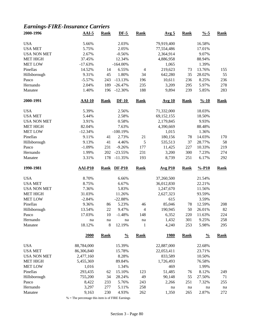### *Earnings-FIRE-Insurance Carriers*

| 2000-1996           | $AAI-5$        | <b>Rank</b> | $DF-5$         | <b>Rank</b>              | Avg <sub>5</sub> | <b>Rank</b> | $\frac{9}{6} - 5$  | <b>Rank</b> |
|---------------------|----------------|-------------|----------------|--------------------------|------------------|-------------|--------------------|-------------|
| <b>USA</b>          | 5.66%          |             | 2.03%          |                          | 79,919,400       |             | 16.58%             |             |
| <b>USA MET</b>      | 5.75%          |             | 2.05%          |                          | 77,554,486       |             | 17.01%             |             |
| <b>USA NON MET</b>  | 2.67%          |             | $-0.56%$       |                          | 2,364,914        |             | 9.07%              |             |
| <b>MET HIGH</b>     | 37.45%         |             | 12.34%         |                          | 4,886,958        |             | 88.94%             |             |
| <b>MET LOW</b>      | $-17.63%$      |             | $-164.00\%$    |                          | 1,065            |             | 1.39%              |             |
| Pinellas            | 14.52%         | 14          | 6.55%          | $\overline{4}$           | 219,623          | 73          | 13.76%             | 155         |
| Hillsborough        | 9.31%          | 45          | 1.80%          | 34                       | 642,280          | 35          | 28.02%             | 55          |
| Pasco               | $-5.57%$       | 243         | $-13.13%$      | 196                      | 10,611           | 236         | 8.25%              | 236         |
| Hernando            | 2.04%          | 189         | $-26.47%$      | 235                      | 3,209            | 295         | 5.97%              | 278         |
| Manatee             | 1.40%          | 196         | $-12.30%$      | 188                      | 9,894            | 239         | 5.85%              | 283         |
| 2000-1991           | <b>AAI-10</b>  | <b>Rank</b> | $DF-10$        | <b>Rank</b>              | <b>Avg 10</b>    | <b>Rank</b> | $\frac{9}{6} - 10$ | <b>Rank</b> |
| <b>USA</b>          | 5.39%          |             | 2.56%          |                          | 71,332,000       |             | 18.03%             |             |
| <b>USA MET</b>      | 5.44%          |             | 2.58%          |                          | 69,152,155       |             | 18.50%             |             |
| <b>USA NON MET</b>  | 3.91%          |             | 0.58%          |                          | 2,179,845        |             | 9.93%              |             |
| <b>MET HIGH</b>     | 82.04%         |             | 7.63%          |                          | 4,390,669        |             | 88.48%             |             |
| <b>MET LOW</b>      | $-12.34%$      |             | $-100.19%$     |                          | 1,015            |             | 1.36%              |             |
| Pinellas            | 9.11%          | 41          | 2.73%          | 21                       | 180,156          | 78          | 14.03%             | 170         |
| Hillsborough        | 9.13%          | 41          | 4.46%          | 5                        | 535,513          | 37          | 28.77%             | 58          |
| Pasco               | $-1.09%$       | 231         | $-9.26%$       | 177                      | 11,425           | 227         | 10.33%             | 219         |
| Hernando            | 1.99%          | 202         | $-23.55%$      | 231                      | 3,200            | 300         | 7.23%              | 274         |
| Manatee             | 3.31%          | 178         | $-11.35%$      | 193                      | 8,739            | 251         | 6.17%              | 292         |
| 1990-1981           | <b>AAI-P10</b> | <b>Rank</b> | <b>DF-P10</b>  | <b>Rank</b>              | <b>Avg P10</b>   | <b>Rank</b> | $% -P10$           | <b>Rank</b> |
| <b>USA</b>          | 8.70%          |             | 6.66%          |                          | 37,260,500       |             | 21.54%             |             |
| <b>USA MET</b>      | 8.75%          |             | 6.67%          |                          | 36,012,830       |             | 22.21%             |             |
| <b>USA NON MET</b>  | 7.36%          |             | 5.83%          |                          | 1,247,670        |             | 11.56%             |             |
| <b>MET HIGH</b>     | 31.03%         |             | 11.26%         |                          | 2,627,323        |             | 93.59%             |             |
| <b>MET LOW</b>      | $-2.84%$       |             | $-22.88%$      |                          | 615              |             | 3.59%              |             |
| Pinellas            | 9.36%          | 86          | 5.23%          | 46                       | 85,046           | 78          | 12.59%             | 208         |
| Hillsborough        | 13.54%         | 22          | 9.47%          | $\overline{\mathcal{L}}$ | 190,945          | 50          | 26.01%             | 82          |
| Pasco               | 17.03%         | 10          | $-1.48%$       | 148                      | 6,352            | 220         | 11.63%             | 224         |
|                     |                |             |                |                          |                  |             |                    |             |
| Hernando<br>Manatee | na<br>18.12%   | na<br>8     | na<br>12.19%   | na<br>$\mathbf{1}$       | 1,432<br>4,240   | 301<br>253  | 9.25%<br>5.98%     | 258<br>295  |
|                     | 2000           | <b>Rank</b> | $\frac{0}{0}$  | <b>Rank</b>              | <u>1980</u>      | <b>Rank</b> | $\frac{0}{0}$      | Rank        |
|                     |                |             |                |                          |                  |             |                    |             |
|                     |                |             |                |                          |                  |             |                    |             |
| <b>USA</b>          | 88,784,000     |             | 15.39%         |                          | 22,887,000       |             | 22.68%             |             |
| <b>USA MET</b>      | 86,306,840     |             | 15.78%         |                          | 22,053,411       |             | 23.71%             |             |
| <b>USA NON MET</b>  | 2,477,160      |             | 8.28%          |                          | 833,589          |             | 10.50%             |             |
| <b>MET HIGH</b>     | 5,455,369      |             | 89.84%         |                          | 1,726,493        |             | 76.58%             |             |
| <b>MET LOW</b>      | 1,016          |             | 1.34%          |                          | 469              |             | 1.99%              |             |
| Pinellas            | 293,435        | 62          | 15.10%         | 123                      | 51,485           | 76          | 8.12%              | 249         |
| Hillsborough        | 755,200        | 34          | 28.24%         | 49                       | 90,148           | 55          | 27.50%             | 71          |
| Pasco               | 8,422          | 233         | 5.76%          | 243                      | 2,266            | 251         | 7.32%              | 255         |
| Hernando<br>Manatee | 3,297<br>9,163 | 277<br>230  | 5.11%<br>4.93% | 258<br>262               | na<br>1,350      | na<br>265   | na<br>2.87%        | na<br>272   |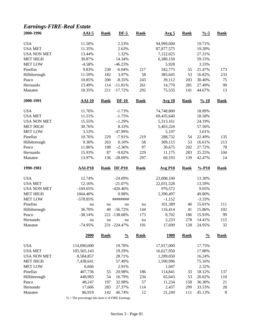### *Earnings-FIRE-Real Estate*

| 2000-1996          | $AAI-5$       | <b>Rank</b> | $DF-5$        | <b>Rank</b> | Avg <sub>5</sub>      | <b>Rank</b> | $% -5$               | <b>Rank</b> |
|--------------------|---------------|-------------|---------------|-------------|-----------------------|-------------|----------------------|-------------|
| <b>USA</b>         | 11.50%        |             | 2.53%         |             | 94,999,600            |             | 19.71%               |             |
| <b>USA MET</b>     | 11.35%        |             | 2.63%         |             | 87, 877, 575          |             | 19.28%               |             |
| <b>USA NON MET</b> | 13.44%        |             | 1.32%         |             | 7,122,025             |             | 27.31%               |             |
| <b>MET HIGH</b>    | 30.87%        |             | 14.34%        |             | 6,380,150             |             | 59.15%               |             |
| <b>MET LOW</b>     | $-4.58%$      |             | $-46.23%$     |             | 5,928                 |             | 3.33%                |             |
| Pinellas           | 9.83%         | 230         | $-6.04%$      | 217         | 342,775               | 55          | 21.47%               | 173         |
| Hillsborough       | 11.59%        | 182         | 3.97%         | 58          | 385,645               | 53          | 16.82%               | 233         |
| Pasco              | 10.85%        | 200         | $-8.35%$      | 243         | 39,112                | 203         | 30.40%               | 75          |
| Hernando           | 13.49%        | 114         | $-11.81%$     | 261         | 14,770                | 281         | 27.49%               | 99          |
| Manatee            | 10.35%        | 211         | $-17.72%$     | 292         | 75,535                | 141         | 44.67%               | 13          |
| 2000-1991          | <b>AAI-10</b> | <b>Rank</b> | $DF-10$       | <b>Rank</b> | Avg 10                | <b>Rank</b> | $\frac{9}{6} - 10$   | <b>Rank</b> |
| <b>USA</b>         | 11.76%        |             | $-1.73%$      |             | 74,748,800            |             | 18.89%               |             |
| <b>USA MET</b>     | 11.51%        |             | $-1.75%$      |             | 69,435,640            |             | 18.58%               |             |
| <b>USA NON MET</b> | 15.55%        |             | $-1.29%$      |             | 5,313,161             |             | 24.19%               |             |
| <b>MET HIGH</b>    | 30.76%        |             | 8.33%         |             | 5,403,226             |             | 57.56%               |             |
| <b>MET LOW</b>     | 3.53%         |             | -47.99%       |             | 5,197                 |             | 3.01%                |             |
| Pinellas           | 10.76%        | 229         | $-7.91%$      | 219         | 288,732               | 54          | 22.49%               | 135         |
| Hillsborough       | 9.30%         | 263         | 0.10%         | 58          | 309,115               | 53          | 16.61%               | 213         |
| Pasco              | 11.86%        | 198         | $-2.36%$      | 97          | 30,675                | 202         | 27.72%               | 78          |
| Hernando           | 15.93%        | 87          | $-9.02%$      | 229         | 11,175                | 283         | 25.25%               | 104         |
| Manatee            | 13.97%        | 136         | $-28.09%$     | 297         | 60,193                | 139         | 42.47%               | 14          |
| 1990-1981          | AAI-P10       | <b>Rank</b> | <b>DF-P10</b> | <b>Rank</b> | $Avg$ P <sub>10</sub> | <b>Rank</b> | $%$ -P <sub>10</sub> | <b>Rank</b> |
|                    |               |             |               |             |                       |             |                      |             |
| <b>USA</b>         | 12.74%        |             | $-24.09%$     |             | 23,008,100            |             | 13.30%               |             |
| <b>USA MET</b>     | 12.16%        |             | $-21.07%$     |             | 22,031,528            |             | 13.59%               |             |
| <b>USA NON MET</b> | $-169.65%$    |             | $-420.46%$    |             | 976,572               |             | 9.05%                |             |
| <b>MET HIGH</b>    | 1664.40%      |             | 0.98%         |             | 2,390,497             |             | 49.80%               |             |
| <b>MET LOW</b>     | $-578.85%$    |             | ########      |             | $-1,152$              |             | $-3.33%$             |             |
| Pinellas           | na            | na          | na            | na          | 101,389               | 46          | 15.01%               | 111         |
| Hillsborough       | 36.70%        | 40          | $-56.72%$     | 144         | 116,414               | 41          | 15.86%               | 102         |
| Pasco              | $-38.14%$     |             | 221 -138.68%  | 173         | 8,702                 | 186         | 15.93%               | 99          |
| Hernando           | na            | $\,$ na     | na            | na          | 2,233                 | 278         | 14.41%               | 115         |
| Manatee            | $-74.95%$     |             | 231 -224.47%  | 191         | 17,699                | 128         | 24.95%               | 32          |
|                    | <b>2000</b>   | <b>Rank</b> | $\frac{0}{0}$ | <b>Rank</b> | <u>1980</u>           | <b>Rank</b> | $\frac{0}{0}$        | <b>Rank</b> |
| <b>USA</b>         | 114,090,000   |             | 19.78%        |             | 17,917,000            |             | 17.75%               |             |
| <b>USA MET</b>     | 105,505,143   |             | 19.29%        |             | 16,627,950            |             | 17.88%               |             |
| <b>USA NON MET</b> | 8,584,857     |             | 28.71%        |             | 1,289,050             |             | 16.24%               |             |
| <b>MET HIGH</b>    | 7,438,641     |             | 57.49%        |             | 1,590,996             |             | 75.16%               |             |
| <b>MET LOW</b>     | 6,666         |             | 2.91%         |             | 1,047                 |             | 2.32%                |             |
| Pinellas           | 407,736       | 55          | 20.98%        | 186         | 114,841               | 33          | 18.12%               | 137         |
| Hillsborough       | 448,983       | 54          | 16.79%        | 234         | 65,643                | 53          | 20.02%               | 110         |
| Pasco              | 48,247        | 197         | 32.98%        | 57          | 11,234                | 158         | 36.30%               | 21          |
| Hernando           | 17,666        | 283         | 27.37%        | 114         | 2,437                 | 299         | 33.53%               | 28          |
|                    |               | 142         |               | 12          | 21,249                | 111         | 45.13%               | 8           |
| Manatee            | 86,919        |             | 46.74%        |             |                       |             |                      |             |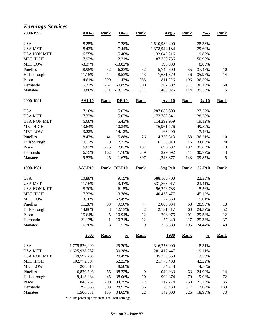#### *Earnings-Services*

| 2000-1996          | $AAI-5$        | <b>Rank</b> | $DF-5$        | <b>Rank</b>      | Avg <sub>5</sub> | <b>Rank</b> | $\frac{0}{6}$ -5   | <b>Rank</b> |
|--------------------|----------------|-------------|---------------|------------------|------------------|-------------|--------------------|-------------|
| <b>USA</b>         | 8.25%          |             | 7.28%         |                  | 1,510,989,400    |             | 28.38%             |             |
| <b>USA MET</b>     | 8.42%          |             | 7.44%         |                  | 1,378,944,184    |             | 29.60%             |             |
| <b>USA NON MET</b> | 6.55%          |             | 5.48%         |                  | 132,045,216      |             | 19.83%             |             |
| <b>MET HIGH</b>    | 17.93%         |             | 12.21%        |                  | 87,378,756       |             | 50.93%             |             |
| <b>MET LOW</b>     | $-3.37%$       |             | $-13.82%$     |                  | 193,980          |             | 8.03%              |             |
| Pinellas           | 8.95%          | 52          | 6.23%         | 52               | 5,740,600        | 55          | 37.47%             | 10          |
| Hillsborough       | 11.15%         | 14          | 8.53%         | 13               | 7,631,879        | 46          | 35.97%             | 14          |
| Pasco              | 4.61%          | 290         | 1.47%         | 255              | 811,226          | 196         | 36.50%             | 11          |
| Hernando           | 5.32%          | 267         | $-0.89%$      | 300              | 262,802          | 311         | 30.15%             | 60          |
| Manatee            | 0.88%          | 311         | $-13.12%$     | 311              | 1,468,926        | 144         | 39.56%             | 5           |
| 2000-1991          | $AAI-10$       | <b>Rank</b> | $DF-10$       | <b>Rank</b>      | <b>Avg 10</b>    | <b>Rank</b> | $\frac{9}{6} - 10$ | Rank        |
| <b>USA</b>         | 7.18%          |             | 5.07%         |                  | 1,287,082,800    |             | 27.55%             |             |
| <b>USA MET</b>     | 7.23%          |             | 5.02%         |                  | 1,172,782,841    |             | 28.78%             |             |
| <b>USA NON MET</b> | 6.68%          |             | 5.43%         |                  | 114,299,959      |             | 19.12%             |             |
| <b>MET HIGH</b>    | 13.64%         |             | 10.34%        |                  | 76,961,476       |             | 49.59%             |             |
| <b>MET LOW</b>     | 3.22%          |             | $-14.12%$     |                  | 163,400          |             | 7.46%              |             |
| Pinellas           | 8.47%          | 41          | 5.88%         | 26               | 4,758,313        | 58          | 36.21%             | 10          |
| Hillsborough       | 10.12%         | 19          | 7.72%         | $\boldsymbol{7}$ | 6,135,018        | 46          | 34.05%             | $20\,$      |
| Pasco              | 6.07%          | 225         | 2.83%         | 197              | 695,697          | 197         | 35.65%             | 13          |
| Hernando           | 6.75%          | 162         | 1.70%         | 249              | 229,692          | 311         | 30.79%             | 43          |
| Manatee            | 9.53%          | 25          | $-1.67%$      | 307              | 1,248,877        | 143         | 39.85%             | 5           |
|                    |                |             |               |                  |                  |             |                    |             |
| 1990-1981          | <b>AAI-P10</b> | <b>Rank</b> | <b>DF-P10</b> | <b>Rank</b>      | <b>Avg P10</b>   | <b>Rank</b> | $% -P10$           | <b>Rank</b> |
| <b>USA</b>         | 10.88%         |             | 9.15%         |                  | 588,160,700      |             | 22.33%             |             |
| <b>USA MET</b>     | 11.16%         |             | 9.47%         |                  | 531,863,917      |             | 23.41%             |             |
| <b>USA NON MET</b> | 8.30%          |             | 6.15%         |                  | 56,296,783       |             | 15.56%             |             |
| <b>MET HIGH</b>    | 17.32%         |             | 13.78%        |                  | 40,438,477       |             | 45.12%             |             |
| <b>MET LOW</b>     | 3.16%          |             | $-7.45%$      |                  | 72,360           |             | 5.01%              |             |
| Pinellas           | 11.28%         | 93          | 9.56%         | 44               | 2,005,034        | 63          | 28.90%             | 13          |
| Hillsborough       | 14.86%         | 8           | 12.73%        | $\overline{2}$   | 2,131,317        | 60          | 24.32%             | 52          |
| Pasco              | 15.64%         | 5           | 10.94%        | 12               | 296,976          | 201         | 29.38%             | 12          |
| Hernando           | 21.13%         | 1           | 10.71%        | 12               | 77,840           | 317         | 25.33%             | 37          |
| Manatee            | 16.28%         | 3           | 11.57%        | 9                | 323,383          | 195         | 24.44%             | 49          |
|                    | 2000           | <b>Rank</b> | $\frac{0}{0}$ | <b>Rank</b>      | <u>1980</u>      | <b>Rank</b> | $\frac{0}{0}$      | <b>Rank</b> |
| <b>USA</b>         | 1,775,526,000  |             | 29.20%        |                  | 316,773,000      |             | 18.31%             |             |
| <b>USA MET</b>     | 1,625,928,762  |             | 30.38%        |                  | 281,417,447      |             | 19.11%             |             |
| <b>USA NON MET</b> | 149,597,238    |             | 20.49%        |                  | 35, 355, 553     |             | 13.73%             |             |
| <b>MET HIGH</b>    | 102,772,387    |             | 52.23%        |                  | 21,778,488       |             | 42.22%             |             |
| <b>MET LOW</b>     | 200,816        |             | 8.50%         |                  | 34,248           |             | 4.56%              |             |
| Pinellas           | 6,829,596      | 55          | 38.22%        | 9                | 1,042,983        | 63          | 24.92%             | 14          |
| Hillsborough       | 9,413,864      | 45          | 38.06%        | 10               | 902,374          | 70          | 19.03%             | $72\,$      |
| Pasco              | 846,232        | 200         | 34.79%        | 22               | 112,274          | 258         | 21.23%             | 35          |
| Hernando           | 294,636        | 308         | 28.97%        | 86               | 23,430           | 317         | 17.04%             | 139         |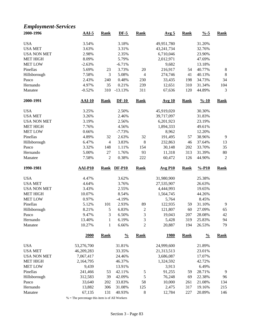### *Employment-Services*

| 2000-1996           | $AAI-5$          | <b>Rank</b>    | $DF-5$           | Rank               | Avg <sub>5</sub> | <b>Rank</b> | $\frac{0}{6}$ -5   | <b>Rank</b>    |
|---------------------|------------------|----------------|------------------|--------------------|------------------|-------------|--------------------|----------------|
| <b>USA</b>          | 3.54%            |                | 3.18%            |                    | 49,951,780       |             | 31.20%             |                |
| <b>USA MET</b>      | 3.63%            |                | 3.31%            |                    | 43,241,734       |             | 32.76%             |                |
| <b>USA NON MET</b>  | 2.98%            |                | 2.35%            |                    | 6,710,046        |             | 23.90%             |                |
| <b>MET HIGH</b>     | 8.09%            |                | 5.79%            |                    | 2,012,971        |             | 47.69%             |                |
| <b>MET LOW</b>      | $-2.63%$         |                | $-6.71%$         |                    | 9,682            |             | 13.18%             |                |
| Pinellas            | 5.69%            | 23             | 3.73%            | 20                 | 216,917          | 54          | 40.77%             | $\,8\,$        |
| Hillsborough        | 7.58%            | 3              | 5.08%            | $\overline{4}$     | 274,746          | 41          | 40.13%             | $\,8\,$        |
| Pasco               | 2.43%            | 240            | 0.48%            | 230                | 33,435           | 198         | 34.73%             | 34             |
| Hernando            | 4.97%            | 35             | 0.21%            | 239                | 12,651           | 310         | 31.34%             | 104            |
| Manatee             | $-0.52%$         | 310            | $-13.13%$        | 311                | 67,636           | 120         | 44.89%             | 3              |
| 2000-1991           | $AAI-10$         | <b>Rank</b>    | $DF-10$          | <b>Rank</b>        | <b>Avg 10</b>    | <b>Rank</b> | $\frac{9}{6} - 10$ | <b>Rank</b>    |
| <b>USA</b>          | 3.25%            |                | 2.50%            |                    | 45,919,020       |             | 30.30%             |                |
| <b>USA MET</b>      | 3.26%            |                | 2.46%            |                    | 39,717,097       |             | 31.83%             |                |
| <b>USA NON MET</b>  | 3.19%            |                | 2.56%            |                    | 6,201,923        |             | 23.19%             |                |
| <b>MET HIGH</b>     | 7.76%            |                | 4.56%            |                    | 1,894,333        |             | 49.61%             |                |
| <b>MET LOW</b>      | 0.66%            |                | $-7.73%$         |                    | 8,962            |             | 12.20%             |                |
| Pinellas            | 4.89%            | 32             | 2.63%            | 32                 | 191,495          | 57          | 38.96%             | 9              |
| Hillsborough        | 6.47%            | $\overline{4}$ | 3.83%            | 8                  | 232,863          | 46          | 37.64%             | 13             |
| Pasco               | 3.32%            | 148            | 1.11%            | 154                | 30,148           | 202         | 33.70%             | 35             |
| Hernando            | 5.00%            | 27             | 1.76%            | 93                 | 11,318           | 313         | 31.39%             | 80             |
| Manatee             | 7.58%            | $\overline{2}$ | 0.38%            | 222                | 60,472           | 126         | 44.90%             | $\overline{2}$ |
| 1990-1981           | <b>AAI-P10</b>   | <b>Rank</b>    | <b>DF-P10</b>    | <b>Rank</b>        | <b>Avg P10</b>   | <b>Rank</b> | $% -P10$           | <b>Rank</b>    |
| <b>USA</b>          | 4.47%            |                | 3.62%            |                    | 31,980,900       |             | 25.38%             |                |
| <b>USA MET</b>      | 4.64%            |                | 3.76%            |                    | 27,535,907       |             | 26.63%             |                |
| <b>USA NON MET</b>  | 3.43%            |                | 2.55%            |                    | 4,444,993        |             | 19.65%             |                |
| <b>MET HIGH</b>     | 10.07%           |                | 8.54%            |                    | 1,564,745        |             | 44.26%             |                |
| <b>MET LOW</b>      | 0.97%            |                | $-4.19%$         |                    | 5,764            |             | 8.45%              |                |
| Pinellas            | 5.12%            | 101            | 2.93%            | 89                 | 122,935          | 59          | 31.10%             | 9              |
| Hillsborough        | 8.21%            | 5              | 6.83%            | $\overline{c}$     | 121,807          | 60          | 27.09%             | 65             |
| Pasco               | 9.47%            | 3              | 6.50%            | 3                  | 19,043           | 207         | 28.08%             | 42             |
| Hernando            | 13.40%           | $\mathbf{1}$   | 6.19%            | $\sqrt{3}$         | 5,428            | 319         | 25.83%             | 94             |
| Manatee             | 10.27%           | $\mathbf{1}$   | 6.66%            | $\overline{c}$     | 20,887           | 194         | 26.53%             | 79             |
|                     | <b>2000</b>      | <b>Rank</b>    | $\frac{0}{0}$    | <b>Rank</b>        | <u>1980</u>      | <b>Rank</b> | $\frac{0}{0}$      | <b>Rank</b>    |
| <b>USA</b>          | 53,276,700       |                | 31.81%           |                    | 24,999,600       |             | 21.89%             |                |
| <b>USA MET</b>      | 46,209,283       |                | 33.35%           |                    | 21,313,513       |             | 23.01%             |                |
| <b>USA NON MET</b>  | 7,067,417        |                | 24.46%           |                    | 3,686,087        |             | 17.07%             |                |
| <b>MET HIGH</b>     | 2,164,795        |                | 46.37%           |                    | 1,324,592        |             | 42.72%             |                |
| <b>MET LOW</b>      | 9,439            |                | 13.91%           |                    | 3,913            |             | 6.49%              |                |
| Pinellas            | 241,466          | 53             | 42.11%           | 5                  | 91,255           | 59          | 28.71%             | 9              |
| Hillsborough        | 312,583          | 39             | 42.09%           | 5                  | 76,248           | 69          | 22.38%             | 96             |
|                     |                  |                |                  |                    |                  |             |                    |                |
|                     |                  |                |                  |                    |                  |             |                    |                |
| Pasco               | 33,640           | 202            | 33.83%           | 58                 | 10,000           | 261         | 21.08%             | 134            |
| Hernando<br>Manatee | 13,882<br>67,135 | 306<br>131     | 31.08%<br>40.93% | 125<br>$\,$ 8 $\,$ | 2,475<br>12,784  | 317<br>227  | 19.16%<br>20.89%   | 215<br>146     |

 $\%$  = The percentage this item is of All Workers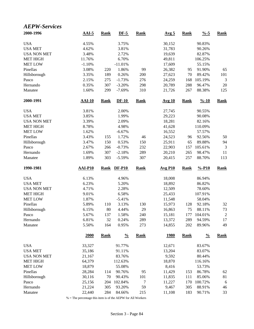#### *AEPW-Services*

| 2000-1996           | $AAI-5$          | <b>Rank</b> | $DF-5$            | <b>Rank</b> | Avg 5            | <b>Rank</b> | $\frac{9}{6} - 5$  | <b>Rank</b>    |
|---------------------|------------------|-------------|-------------------|-------------|------------------|-------------|--------------------|----------------|
| <b>USA</b>          | 4.55%            |             | 3.75%             |             | 30,152           |             | 90.83%             |                |
| <b>USA MET</b>      | 4.62%            |             | 3.81%             |             | 31,783           |             | 90.26%             |                |
| <b>USA NON MET</b>  | 3.48%            |             | 2.72%             |             | 19,639           |             | 82.87%             |                |
| <b>MET HIGH</b>     | 11.76%           |             | 6.70%             |             | 49,811           |             | 106.25%            |                |
| <b>MET LOW</b>      | $-1.10%$         |             | $-11.01%$         |             | 17,609           |             | 55.15%             |                |
| Pinellas            | 3.08%            | 220         | 1.86%             | 99          | 26,382           | 95          | 91.90%             | 65             |
| Hillsborough        | 3.35%            | 189         | 0.26%             | 200         | 27,623           | 70          | 89.42%             | 101            |
| Pasco               | 2.15%            | 275         | $-1.73%$          | 276         | 24,259           | 168         | 105.19%            | 3              |
| Hernando            | 0.35%            | 307         | $-3.20%$          | 298         | 20,789           | 288         | 96.47%             | $20\,$         |
| Manatee             | 1.60%            | 299         | $-7.69%$          | 310         | 21,726           | 267         | 88.38%             | 125            |
| 2000-1991           | <b>AAI-10</b>    | <b>Rank</b> | $DF-10$           | <b>Rank</b> | <b>Avg 10</b>    | <b>Rank</b> | $\frac{9}{6} - 10$ | <b>Rank</b>    |
| <b>USA</b>          | 3.81%            |             | 2.00%             |             | 27,745           |             | 90.55%             |                |
| <b>USA MET</b>      | 3.85%            |             | 1.99%             |             | 29,223           |             | 90.08%             |                |
| <b>USA NON MET</b>  | 3.39%            |             | 2.09%             |             | 18,281           |             | 82.16%             |                |
| <b>MET HIGH</b>     | 8.78%            |             | 4.98%             |             | 41,628           |             | 110.09%            |                |
| <b>MET LOW</b>      | 1.62%            |             | $-6.67%$          |             | 16,552           |             | 57.57%             |                |
| Pinellas            | 3.43%            | 155         | 1.72%             | 46          | 24,523           | 96          | 92.56%             | 50             |
| Hillsborough        | 3.47%            | 150         | 0.53%             | 150         | 25,911           | 65          | 89.88%             | 94             |
| Pasco               | 2.67%            | 266         | $-0.73%$          | 232         | 22,903           | 157         | 105.61%            | 3              |
| Hernando            | 1.69%            | 307         | $-2.18%$          | 289         | 20,210           | 265         | 98.47%             | 11             |
| Manatee             | 1.89%            | 303         | $-5.59%$          | 307         | 20,415           | 257         | 88.70%             | 113            |
|                     |                  |             |                   |             |                  |             |                    |                |
| 1990-1981           | $AAI-P10$        | <b>Rank</b> | <b>DF-P10</b>     | <b>Rank</b> | <b>Avg P10</b>   | <b>Rank</b> | $% -P10$           | <b>Rank</b>    |
|                     |                  |             |                   |             |                  |             |                    |                |
| <b>USA</b>          | 6.13%            |             | 4.96%             |             | 18,008           |             | 86.94%             |                |
| <b>USA MET</b>      | 6.23%            |             | 5.20%             |             | 18,892           |             | 86.82%             |                |
| <b>USA NON MET</b>  | 4.71%            |             | 2.28%             |             | 12,509           |             | 78.60%             |                |
| <b>MET HIGH</b>     | 9.01%            |             | 6.58%             |             | 25,433           |             | 107.91%            |                |
| <b>MET LOW</b>      | 1.87%            |             | $-5.41%$          |             | 11,548           |             | 58.04%             |                |
| Pinellas            | 5.89%            | 110         | 3.13%             | 130         | 15,973           | 128         | 92.18%             | 32             |
| Hillsborough        | 6.15%            | 80          | 4.44%             | 29          | 16,863           | 75          | 88.11%             | 73             |
| Pasco               | 5.67%            | 137         | 1.58%             | 240         | 15,181           | 177         | 104.01%            | $\overline{c}$ |
| Hernando<br>Manatee | 6.81%<br>5.50%   | 32<br>164   | 0.24%<br>0.95%    | 289<br>273  | 13,372<br>14,855 | 289<br>202  | 94.59%<br>89.96%   | 17<br>49       |
|                     | 2000             | <b>Rank</b> | $\frac{0}{0}$     | <b>Rank</b> | <u>1980</u>      | <b>Rank</b> | $\frac{0}{0}$      | <b>Rank</b>    |
| <b>USA</b>          |                  |             |                   |             | 12,671           |             | 83.67%             |                |
|                     | 33,327           |             | 91.77%            |             |                  |             |                    |                |
| <b>USA MET</b>      | 35,186           |             | 91.11%            |             | 13,204           |             | 83.07%             |                |
| <b>USA NON MET</b>  | 21,167           |             | 83.76%            |             | 9,592            |             | 80.44%             |                |
| <b>MET HIGH</b>     | 64,379           |             | 112.63%           |             | 18,870           |             | 116.16%            |                |
| <b>MET LOW</b>      | 18,879           |             | 55.08%            |             | 8,416            |             | 53.73%             |                |
| Pinellas            | 28,284           | 114         | 90.76%            | 95          | 11,429           | 153         | 86.78%             | 62             |
| Hillsborough        | 30,116           | 70          | 90.43%            | 101         | 11,835           | 111         | 85.06%             | 81             |
| Pasco<br>Hernando   | 25,156<br>21,224 | 204<br>305  | 102.84%<br>93.20% | 7<br>59     | 11,227<br>9,467  | 170<br>305  | 100.72%<br>88.91%  | 6<br>46        |

% = The percentage this item is of the AEPW for All Workers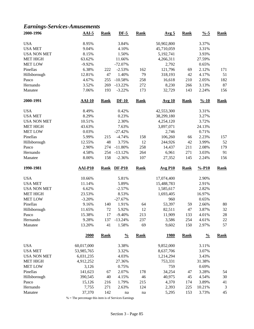#### *Earnings-Services-Amusements*

| 2000-1996          | $AAI-5$        | <b>Rank</b> | $DF-5$        | <b>Rank</b> | Avg <sub>5</sub> | <b>Rank</b> | $\frac{9}{6} - 5$  | <b>Rank</b> |
|--------------------|----------------|-------------|---------------|-------------|------------------|-------------|--------------------|-------------|
| <b>USA</b>         | 8.95%          |             | 3.84%         |             | 50,902,800       |             | 3.37%              |             |
| <b>USA MET</b>     | 9.04%          |             | 4.10%         |             | 45,710,059       |             | 3.31%              |             |
| <b>USA NON MET</b> | 8.15%          |             | 1.50%         |             | 5,192,741        |             | 3.93%              |             |
| <b>MET HIGH</b>    | 63.62%         |             | 11.66%        |             | 4,266,311        |             | 27.59%             |             |
| <b>MET LOW</b>     | $-9.92%$       |             | $-72.07%$     |             | 2,792            |             | 0.65%              |             |
| Pinellas           | 6.38%          | 222         | $-2.53%$      | 162         | 121,796          | 69          | 2.12%              | 171         |
| Hillsborough       | 12.81%         | 47          | 1.40%         | 79          | 318,193          | 42          | 4.17%              | 51          |
| Pasco              | 4.67%          | 255         | $-10.58%$     | 258         | 16,618           | 210         | 2.05%              | 182         |
| Hernando           | 3.52%          | 269         | $-13.22%$     | 272         | 8,230            | 266         | 3.13%              | 87          |
| Manatee            | 7.06%          | 193         | $-3.22%$      | 173         | 32,729           | 143         | 2.24%              | 156         |
| 2000-1991          | $AAI-10$       | <b>Rank</b> | $DF-10$       | <b>Rank</b> | <b>Avg 10</b>    | <b>Rank</b> | $\frac{9}{6} - 10$ | <b>Rank</b> |
| <b>USA</b>         | 8.49%          |             | 0.42%         |             | 42,553,300       |             | 3.31%              |             |
| <b>USA MET</b>     | 8.29%          |             | 0.23%         |             | 38,299,180       |             | 3.27%              |             |
| <b>USA NON MET</b> | 10.51%         |             | 2.30%         |             | 4,254,120        |             | 3.72%              |             |
| MET HIGH           | 43.63%         |             | 7.63%         |             | 3,897,071        |             | 24.13%             |             |
| <b>MET LOW</b>     | 0.03%          |             | $-27.42%$     |             | 2,746            |             | 0.71%              |             |
| Pinellas           | 5.99%          | 215         | $-4.74%$      | 158         | 106,260          | 66          | 2.23%              | 157         |
| Hillsborough       | 12.55%         | 48          | 3.75%         | 12          | 244,926          | 42          | 3.99%              | 52          |
| Pasco              | 2.90%          | 274         | $-11.80%$     | 258         | 14,437           | 211         | 2.08%              | 179         |
| Hernando           | 4.58%          | 254         | $-13.12%$     | 264         | 6,961            | 271         | 3.03%              | 91          |
| Manatee            | 8.00%          | 158         | $-2.36%$      | 107         | 27,352           | 145         | 2.24%              | 156         |
| 1990-1981          | <b>AAI-P10</b> | <b>Rank</b> | <b>DF-P10</b> | <b>Rank</b> | <b>Avg P10</b>   | <b>Rank</b> | $% -P10$           | <b>Rank</b> |
| <b>USA</b>         | 10.66%         |             | 5.81%         |             | 17,074,400       |             | 2.90%              |             |
| <b>USA MET</b>     | 11.14%         |             | 5.89%         |             | 15,488,783       |             | 2.91%              |             |
| <b>USA NON MET</b> | 6.62%          |             | $-2.57%$      |             | 1,585,617        |             | 2.82%              |             |
| <b>MET HIGH</b>    | 23.53%         |             | 8.53%         |             | 1,693,405        |             | 16.97%             |             |
| <b>MET LOW</b>     | $-3.20%$       |             | $-27.67%$     |             | 960              |             | 0.65%              |             |
| Pinellas           | 9.16%          | 140         | 1.91%         | 64          | 53,397           | 59          | 2.66%              | 80          |
| Hillsborough       | 11.65%         | 72          | 5.92%         | 12          | 82,511           | 47          | 3.87%              | 32          |
| Pasco              | 15.38%         | 17          | $-9.40%$      | 213         | 11,909           | 133         | 4.01%              | 28          |
| Hernando           | 9.28%          | 137         | $-13.24%$     | 237         | 3,586            | 254         | 4.61%              | $22\,$      |
| Manatee            | 13.20%         | 41          | 1.58%         | 69          | 9,602            | 150         | 2.97%              | 57          |
|                    | 2000           | <b>Rank</b> | $\frac{0}{0}$ | <b>Rank</b> | <b>1980</b>      | <b>Rank</b> | $\frac{0}{0}$      | <b>Rank</b> |
| <b>USA</b>         | 60,017,000     |             | 3.38%         |             | 9,852,000        |             | 3.11%              |             |
| <b>USA MET</b>     | 53,985,765     |             | 3.32%         |             | 8,637,706        |             | 3.07%              |             |
| <b>USA NON MET</b> | 6,031,235      |             | 4.03%         |             | 1,214,294        |             | 3.43%              |             |
| <b>MET HIGH</b>    | 4,912,252      |             | 27.36%        |             | 753,331          |             | 31.38%             |             |
| <b>MET LOW</b>     | 3,126          |             | 0.75%         |             | 759              |             | 0.69%              |             |
| Pinellas           | 141,623        | 67          | 2.07%         | 178         | 34,254           | 47          | 3.28%              | 54          |
| Hillsborough       | 390,545        | 40          | 4.15%         | 46          | 40,975           | 45          | 4.54%              | 30          |
| Pasco              | 15,126         | 216         | 1.79%         | 215         | 4,370            | 174         | 3.89%              | 41          |
| Hernando           | 7,755          | 271         | 2.63%         | 124         | 2,393            | 225         | 10.21%             | 3           |
| Manatee            | 37,370         | 142         | na            | na          | 5,295            | 153         | 3.73%              | 45          |
|                    |                |             |               |             |                  |             |                    |             |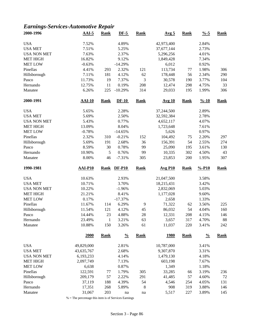# *Earnings-Services-Automotive Repair*

| 2000-1996           | $AAI-5$          | Rank                | $DF-5$         | <b>Rank</b> | Avg <sub>5</sub> | <b>Rank</b> | $\frac{9}{6} - 5$  | <b>Rank</b> |
|---------------------|------------------|---------------------|----------------|-------------|------------------|-------------|--------------------|-------------|
| <b>USA</b>          | 7.52%            |                     | 4.89%          |             | 42,973,400       |             | 2.84%              |             |
| <b>USA MET</b>      | 7.51%            |                     | 5.25%          |             | 37,677,144       |             | 2.73%              |             |
| <b>USA NON MET</b>  | 7.63%            |                     | 2.37%          |             | 5,296,256        |             | 4.01%              |             |
| <b>MET HIGH</b>     | 16.82%           |                     | 9.12%          |             | 1,849,428        |             | 7.34%              |             |
| <b>MET LOW</b>      | $-0.63%$         |                     | $-14.29%$      |             | 6,012            |             | 0.92%              |             |
| Pinellas            | 4.41%            | 293                 | 2.32%          | 121         | 113,734          | 77          | 1.98%              | 306         |
| Hillsborough        | 7.11%            | 181                 | 4.12%          | 62          | 178,448          | 56          | 2.34%              | 290         |
| Pasco               | 11.73%           | 19                  | 7.37%          | 3           | 30,578           | 190         | 3.77%              | 104         |
| Hernando            | 12.75%           | 11                  | 0.19%          | 208         | 12,474           | 298         | 4.75%              | 33          |
| Manatee             | 6.26%            | 225                 | $-10.29%$      | 314         | 29,033           | 195         | 1.99%              | 306         |
| 2000-1991           | <b>AAI-10</b>    | Rank                | $DF-10$        | <b>Rank</b> | <b>Avg 10</b>    | <b>Rank</b> | $\frac{9}{6} - 10$ | <b>Rank</b> |
| <b>USA</b>          | 5.65%            |                     | 2.28%          |             | 37,244,500       |             | 2.89%              |             |
| <b>USA MET</b>      | 5.69%            |                     | 2.50%          |             | 32,592,384       |             | 2.78%              |             |
| <b>USA NON MET</b>  | 5.43%            |                     | 0.77%          |             | 4,652,117        |             | 4.07%              |             |
| <b>MET HIGH</b>     | 13.09%           |                     | 8.04%          |             | 1,723,648        |             | 7.61%              |             |
| <b>MET LOW</b>      | $-0.78%$         |                     | $-14.65%$      |             | 5,626            |             | 0.97%              |             |
| Pinellas            | 2.32%            | 310                 | $-0.21%$       | 152         | 104,492          | 75          | 2.20%              | 297         |
|                     | 5.69%            | 191                 | 2.68%          | 36          |                  | 54          | 2.55%              | 274         |
| Hillsborough        |                  |                     |                | 99          | 156,391          |             |                    |             |
| Pasco               | 8.59%            | 30                  | 0.78%          |             | 25,090           | 195         | 3.61%              | 130         |
| Hernando            | 10.90%           | 5                   | 0.76%          | 99          | 10,335           | 302         | 4.50%              | 43          |
| Manatee             | 8.00%            | 46                  | $-7.31%$       | 305         | 23,853           | 200         | 1.95%              | 307         |
| 1990-1981           | <b>AAI-P10</b>   | <b>Rank</b>         | <b>DF-P10</b>  | <b>Rank</b> | <b>Avg P10</b>   | <b>Rank</b> | $% -P10$           | <b>Rank</b> |
| <b>USA</b>          | 10.63%           |                     | 2.93%          |             | 21,047,500       |             | 3.58%              |             |
| <b>USA MET</b>      | 10.71%           |                     | 3.70%          |             | 18,215,431       |             | 3.42%              |             |
| <b>USA NON MET</b>  | 10.22%           |                     | $-1.96%$       |             | 2,832,069        |             | 5.03%              |             |
|                     |                  |                     |                |             |                  |             |                    |             |
| <b>MET HIGH</b>     | 21.21%           |                     | 8.41%          |             | 1,177,028        |             | 9.60%              |             |
| <b>MET LOW</b>      | 0.17%            |                     | $-17.37%$      |             | 2,658            |             | 1.33%              |             |
| Pinellas            | 11.67%           | 114                 | 6.29%          | 9           | 71,322           | 62          | 3.56%              | 225         |
| Hillsborough        | 11.54%           | 121                 | 4.12%          | 45          | 86,032           | 54          | 4.04%              | 160         |
| Pasco               | 14.44%           | 23                  |                |             |                  | 208         |                    | 146         |
| Hernando            | 23.49%           |                     | 4.88%          | 28          | 12,331           |             | 4.15%              |             |
| Manatee             | 10.88%           | $\mathbf{1}$<br>150 | 3.21%<br>3.26% | 63<br>61    | 3,657<br>11,037  | 317<br>220  | 4.70%<br>3.41%     | 88<br>242   |
|                     | <b>2000</b>      | <b>Rank</b>         | $\frac{0}{0}$  | <b>Rank</b> | <u>1980</u>      | <b>Rank</b> | $\frac{0}{0}$      | <b>Rank</b> |
| <b>USA</b>          | 49,829,000       |                     | 2.81%          |             | 10,787,000       |             | 3.41%              |             |
| <b>USA MET</b>      | 43,635,767       |                     | 2.68%          |             | 9,307,870        |             | 3.31%              |             |
| <b>USA NON MET</b>  |                  |                     |                |             | 1,479,130        |             |                    |             |
|                     | 6,193,233        |                     | 4.14%          |             |                  |             | 4.18%              |             |
| <b>MET HIGH</b>     | 2,097,749        |                     | 7.13%          |             | 603,198          |             | 7.67%              |             |
| <b>MET LOW</b>      | 6,638            |                     | 0.87%          |             | 1,349            |             | 1.18%              |             |
| Pinellas            | 122,591          | $77 \,$             | 1.79%          | 305         | 33,285           | 66          | 3.19%              | 236         |
| Hillsborough        | 209,179          | 57                  | 2.22%          | 291         | 41,485           | 57          | 4.60%              | $72\,$      |
| Pasco               | 37,119           | 188                 | 4.39%          | 54          | 4,546            | 254         | 4.05%              | 131         |
| Hernando<br>Manatee | 17,351<br>31,067 | 268<br>203          | 5.89%<br>na    | 8<br>na     | 908<br>5,517     | 319<br>227  | 3.88%<br>3.89%     | 146<br>145  |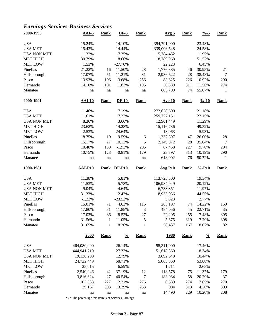# *Earnings-Services-Business Services*

| 2000-1996          | $AAI-5$           | <b>Rank</b>         | $DF-5$           | <b>Rank</b>   | Avg <sub>5</sub> | <b>Rank</b> | $\frac{9}{6} - 5$  | <b>Rank</b>    |
|--------------------|-------------------|---------------------|------------------|---------------|------------------|-------------|--------------------|----------------|
| <b>USA</b>         | 15.24%            |                     | 14.10%           |               | 354,791,000      |             | 23.48%             |                |
| <b>USA MET</b>     | 15.43%            |                     | 14.44%           |               | 339,006,548      |             | 24.58%             |                |
| <b>USA NON MET</b> | 11.32%            |                     | 7.35%            |               | 15,784,452       |             | 11.95%             |                |
| <b>MET HIGH</b>    | 30.79%            |                     | 18.66%           |               | 18,789,968       |             | 51.57%             |                |
| <b>MET LOW</b>     | 1.53%             |                     | $-27.70%$        |               | 22,223           |             | 6.45%              |                |
| Pinellas           | 21.22%            | 16                  | 11.50%           | 28            | 1,776,885        | 46          | 30.95%             | 21             |
| Hillsborough       | 17.07%            | 51                  | 11.21%           | 31            | 2,936,622        | 28          | 38.48%             | $\overline{7}$ |
| Pasco              | 13.93%            | 106                 | $-3.68%$         | 256           | 88,625           | 226         | 10.92%             | 290            |
| Hernando           | 14.10%            | 101                 | 1.82%            | 195           | 30,389           | 311         | 11.56%             | 274            |
| Manatee            | na                | na                  | na               | na            | 803,709          | 74          | 55.07%             | $\mathbf{1}$   |
| 2000-1991          | $AAI-10$          | <b>Rank</b>         | $DF-10$          | <b>Rank</b>   | <b>Avg 10</b>    | <b>Rank</b> | $\frac{9}{6} - 10$ | <b>Rank</b>    |
| <b>USA</b>         | 11.46%            |                     | 7.19%            |               | 272,628,600      |             | 21.18%             |                |
| <b>USA MET</b>     | 11.61%            |                     | 7.37%            |               | 259,727,151      |             | 22.15%             |                |
| <b>USA NON MET</b> | 8.36%             |                     | 3.66%            |               | 12,901,449       |             | 11.29%             |                |
| <b>MET HIGH</b>    | 23.62%            |                     | 14.28%           |               | 15,116,736       |             | 49.32%             |                |
| <b>MET LOW</b>     | 2.53%             |                     | $-24.64%$        |               | 18,063           |             | 5.93%              |                |
| Pinellas           | 18.75%            | 10                  | 9.59%            | $\sqrt{6}$    | 1,237,397        | 47          | 26.00%             | 28             |
| Hillsborough       | 15.17%            | 27                  | 10.12%           | 5             | 2,149,972        | 28          | 35.04%             | 7              |
| Pasco              | 10.48%            | 139                 | $-1.93%$         | 205           | 67,458           | 227         | 9.70%              | 294            |
| Hernando           | 10.75%            | 128                 | $-0.81%$         | 179           | 23,397           | 313         | 10.19%             | 290            |
| Manatee            | na                | $\operatorname{na}$ | na               | na            | 618,902          | 76          | 50.72%             | -1             |
|                    |                   |                     |                  |               |                  |             |                    |                |
| 1990-1981          | $AAI-P10$         | <b>Rank</b>         | <b>DF-P10</b>    | <b>Rank</b>   | <b>Avg P10</b>   | <b>Rank</b> | $% -P10$           | <b>Rank</b>    |
|                    |                   |                     |                  |               |                  |             |                    |                |
| <b>USA</b>         | 11.38%            |                     | 5.81%            |               | 113,723,300      |             | 19.34%             |                |
| <b>USA MET</b>     | 11.53%            |                     | 5.78%            |               | 106,984,949      |             | 20.12%             |                |
| <b>USA NON MET</b> | 9.04%             |                     | 4.64%            |               | 6,738,351        |             | 11.97%             |                |
| <b>MET HIGH</b>    | 31.33%            |                     | 12.47%           |               | 8,933,036        |             | 44.55%             |                |
| <b>MET LOW</b>     | $-1.22%$          |                     | $-23.52%$        |               | 5,823            |             | 2.77%              |                |
| Pinellas           | 15.01%            | 71                  | 4.63%            | 115           | 285,197          | 74          | 14.22%             | 169            |
| Hillsborough       | 17.80%            | 31                  | 11.88%           | $\mathfrak 3$ | 484,056          | 45          | 22.71%             | 35             |
| Pasco              | 17.03%            | 36                  | 8.52%            | $27\,$        | 22,205           | 255         | 7.48%              | 305            |
| Hernando           | 31.56%            | $\mathbf{1}$        | 11.05%           | 5             | 5,675            | 319         | 7.29%              | 308            |
| Manatee            | 31.65%            | 1                   | 18.36%           | 1             | 58,437           | 167         | 18.07%             | 82             |
|                    | 2000              | <b>Rank</b>         | $\frac{0}{0}$    | <b>Rank</b>   | <u>1980</u>      | <b>Rank</b> | $\frac{0}{0}$      | <b>Rank</b>    |
|                    |                   |                     |                  |               |                  |             |                    |                |
| <b>USA</b>         | 464,080,000       |                     | 26.14%           |               | 55,311,000       |             | 17.46%             |                |
| <b>USA MET</b>     | 444,941,710       |                     | 27.37%<br>12.79% |               | 51,618,360       |             | 18.34%             |                |
| <b>USA NON MET</b> | 19,138,290        |                     |                  |               | 3,692,640        |             | 10.44%             |                |
| <b>MET HIGH</b>    | 24,722,449        |                     | 58.71%           |               | 5,065,860        |             | 53.88%             |                |
| <b>MET LOW</b>     | 25,015            |                     | 6.59%            |               | 1,711            |             | 2.65%              |                |
| Pinellas           | 2,540,046         | 42                  | 37.19%           | 12            | 118,578          | 75          | 11.37%             | 179            |
| Hillsborough       | 3,816,624         | $27\,$              | 40.54%           | 7             | 183,084          | 58          | 20.29%             | 37             |
| Pasco<br>Hernando  | 103,333<br>39,167 | 227<br>303          | 12.21%<br>13.29% | 276<br>253    | 8,589<br>984     | 274<br>313  | 7.65%<br>4.20%     | 270<br>309     |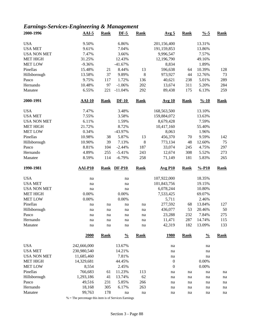# *Earnings-Services-Engineering & Management*

| 2000-1996           | $AAI-5$          | <b>Rank</b> | $DF-5$           | <b>Rank</b> | Avg <sub>5</sub> | <b>Rank</b> | $\frac{9}{6} - 5$  | <b>Rank</b> |
|---------------------|------------------|-------------|------------------|-------------|------------------|-------------|--------------------|-------------|
| <b>USA</b>          | 9.50%            |             | 6.86%            |             | 201,156,400      |             | 13.31%             |             |
| <b>USA MET</b>      | 9.61%            |             | 7.04%            |             | 191,159,853      |             | 13.86%             |             |
| <b>USA NON MET</b>  | 7.47%            |             | 3.66%            |             | 9,996,547        |             | 7.57%              |             |
| <b>MET HIGH</b>     | 31.25%           |             | 12.43%           |             | 12,196,790       |             | 49.16%             |             |
| <b>MET LOW</b>      | $-9.36%$         |             | $-41.67%$        |             | 8,834            |             | 1.89%              |             |
| Pinellas            | 15.48%           | 21          | 8.44%            | 13          | 596,638          | 64          | 10.39%             | 128         |
| Hillsborough        | 13.58%           | 37          | 9.89%            | $\,8\,$     | 973,927          | 44          | 12.76%             | 73          |
| Pasco               | 9.75%            | 117         | 1.72%            | 136         | 40,621           | 238         | 5.01%              | 289         |
| Hernando            | 10.48%           | 97          | $-1.06%$         | 202         | 13,674           | 311         | 5.20%              | 284         |
| Manatee             | 6.55%            | 221         | $-11.04%$        | 292         | 89,438           | 175         | 6.13%              | 259         |
| 2000-1991           | $AAI-10$         | <b>Rank</b> | $DF-10$          | <b>Rank</b> | <b>Avg 10</b>    | <b>Rank</b> | $\frac{9}{6} - 10$ | <b>Rank</b> |
| <b>USA</b>          | 7.47%            |             | 3.48%            |             | 168,563,500      |             | 13.10%             |             |
| <b>USA MET</b>      | 7.55%            |             | 3.58%            |             | 159,884,072      |             | 13.63%             |             |
| <b>USA NON MET</b>  | 6.11%            |             | 1.59%            |             | 8,679,428        |             | 7.59%              |             |
| <b>MET HIGH</b>     | 21.72%           |             | 8.72%            |             | 10,417,160       |             | 55.40%             |             |
| <b>MET LOW</b>      | 0.34%            |             | -43.97%          |             | 8,063            |             | 1.96%              |             |
| Pinellas            | 10.98%           | 38          | 5.87%            | 13          | 456,370          | 70          | 9.59%              | 142         |
| Hillsborough        | 10.90%           | 39          | 7.13%            | $\,8\,$     | 773,134          | 48          | 12.60%             | 75          |
| Pasco               | 8.81%            | 104         | $-2.44%$         | 187         | 33,074           | 245         | 4.75%              | 297         |
| Hernando            | 4.89%            | 255         | $-5.41%$         | 243         | 12,674           | 308         | 5.52%              | 273         |
| Manatee             | 8.59%            | 114         | $-6.79%$         | 258         | 71,149           | 181         | 5.83%              | 265         |
|                     | $AAI-P10$        | <b>Rank</b> | <b>DF-P10</b>    | <b>Rank</b> | <b>Avg P10</b>   | <b>Rank</b> | $% -P10$           |             |
| 1990-1981           |                  |             |                  |             |                  |             |                    | <b>Rank</b> |
|                     |                  |             |                  |             |                  |             |                    |             |
| <b>USA</b>          | na               |             | na               |             | 107,922,000      |             | 18.35%             |             |
| <b>USA MET</b>      | na               |             | na               |             | 101,843,756      |             | 19.15%             |             |
| <b>USA NON MET</b>  | na               |             | na               |             | 6,078,244        |             | 10.80%             |             |
| <b>MET HIGH</b>     | 0.00%            |             | 0.00%            |             | 7,533,425        |             | 69.07%             |             |
| <b>MET LOW</b>      | 0.00%            |             | 0.00%            |             | 5,711            |             | 2.46%              |             |
| Pinellas            | na               | na          | na               | na          | 277,592          | 68          | 13.84%             | 127         |
| Hillsborough        | na               | na          | na               | na          | 436,077          | 53          | 20.46%             | 50          |
| Pasco               | na               | na          | na               | na          | 23,288           | 232         | 7.84%              | 275         |
| Hernando<br>Manatee | na<br>na         | na<br>na    | na<br>na         | na<br>na    | 11,471<br>42,319 | 287<br>182  | 14.74%<br>13.09%   | 115<br>133  |
|                     | 2000             | <b>Rank</b> | $\frac{0}{0}$    | <b>Rank</b> | <u>1980</u>      | <b>Rank</b> | $\frac{0}{0}$      | <b>Rank</b> |
| <b>USA</b>          | 242,666,000      |             | 13.67%           |             | na               |             | na                 |             |
| <b>USA MET</b>      | 230,980,540      |             | 14.21%           |             | na               |             | na                 |             |
| <b>USA NON MET</b>  | 11,685,460       |             | 7.81%            |             | na               |             | na                 |             |
| <b>MET HIGH</b>     | 14,329,681       |             | 44.45%           |             | $\boldsymbol{0}$ |             | 0.00%              |             |
| <b>MET LOW</b>      |                  |             | 2.45%            |             | $\boldsymbol{0}$ |             | 0.00%              |             |
| Pinellas            | 8,554<br>766,683 | 61          |                  |             | na               | na          | na                 | na          |
| Hillsborough        | 1,293,186        | 41          | 11.23%<br>13.74% | 113<br>62   | na               | na          | na                 | na          |
|                     |                  |             | 5.85%            |             | na               | na          | na                 | na          |
| Pasco<br>Hernando   | 49,516<br>18,168 | 231<br>305  | 6.17%            | 266<br>263  | na               | na          | na                 | na          |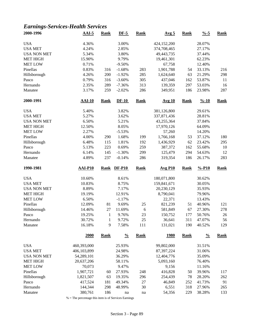# *Earnings-Services-Health Services*

| 2000-1996          | $AAI-5$        | <b>Rank</b>  | $DF-5$        | <b>Rank</b> | Avg <sub>5</sub> | <b>Rank</b> | $\frac{9}{6} - 5$  | <b>Rank</b> |
|--------------------|----------------|--------------|---------------|-------------|------------------|-------------|--------------------|-------------|
| <b>USA</b>         | 4.36%          |              | 3.00%         |             | 424,152,200      |             | 28.07%             |             |
| <b>USA MET</b>     | 4.24%          |              | 2.85%         |             | 374,708,465      |             | 27.17%             |             |
| <b>USA NON MET</b> | 5.34%          |              | 3.80%         |             | 49,443,735       |             | 37.44%             |             |
| <b>MET HIGH</b>    | 15.90%         |              | 9.79%         |             | 19,461,301       |             | 62.23%             |             |
| <b>MET LOW</b>     | 0.71%          |              | $-9.50%$      |             | 67,758           |             | 12.40%             |             |
| Pinellas           | 0.83%          | 316          | $-1.68%$      | 283         | 1,901,788        | 54          | 33.13%             | 216         |
| Hillsborough       | 4.26%          | 200          | $-1.92%$      | 285         | 1,624,640        | 63          | 21.29%             | 298         |
| Pasco              | 0.79%          | 316          | $-3.60%$      | 305         | 437,046          | 162         | 53.87%             | 11          |
| Hernando           | 2.35%          | 289          | $-7.36%$      | 313         | 139,359          | 297         | 53.03%             | 16          |
| Manatee            | 3.17%          | 259          | $-2.02%$      | 286         | 349,951          | 186         | 23.98%             | 287         |
| 2000-1991          | <b>AAI-10</b>  | <b>Rank</b>  | $DF-10$       | <b>Rank</b> | <b>Avg 10</b>    | <b>Rank</b> | $\frac{9}{6} - 10$ | <b>Rank</b> |
| <b>USA</b>         | 5.40%          |              | 3.82%         |             | 381,126,800      |             | 29.61%             |             |
| <b>USA MET</b>     | 5.27%          |              | 3.62%         |             | 337,871,436      |             | 28.81%             |             |
| <b>USA NON MET</b> | 6.50%          |              | 5.21%         |             | 43,255,364       |             | 37.84%             |             |
| <b>MET HIGH</b>    | 12.50%         |              | 8.05%         |             | 17,970,126       |             | 64.09%             |             |
| <b>MET LOW</b>     | 2.27%          |              | $-5.53%$      |             | 57,260           |             | 14.20%             |             |
| Pinellas           | 4.00%          | 290          | 1.68%         | 199         | 1,766,168        | 53          | 37.12%             | 180         |
| Hillsborough       | 6.48%          | 115          | 1.81%         | 192         | 1,436,929        | 62          | 23.42%             | 295         |
| Pasco              | 5.13%          | 223          | 0.69%         | 259         | 387,372          | 162         | 55.68%             | 10          |
| Hernando           | 6.14%          | 145          | $-1.30%$      | 299         | 125,479          | 294         | 54.63%             | 12          |
| Manatee            | 4.89%          | 237          | $-0.14%$      | 286         | 319,354          | 186         | 26.17%             | 283         |
|                    |                |              |               |             |                  |             |                    |             |
| 1990-1981          | <b>AAI-P10</b> | <b>Rank</b>  | <b>DF-P10</b> | <b>Rank</b> | <b>Avg P10</b>   | <b>Rank</b> | $% -P10$           | <b>Rank</b> |
| <b>USA</b>         | 10.60%         |              | 8.61%         |             | 180,071,800      |             | 30.62%             |             |
| <b>USA MET</b>     | 10.83%         |              | 8.75%         |             | 159,841,671      |             | 30.05%             |             |
| <b>USA NON MET</b> | 8.89%          |              | 7.17%         |             | 20,230,129       |             | 35.93%             |             |
| <b>MET HIGH</b>    | 19.19%         |              | 12.91%        |             | 8,790,041        |             | 79.96%             |             |
| <b>MET LOW</b>     | 6.50%          |              | $-1.17%$      |             | 22,371           |             | 13.43%             |             |
| Pinellas           | 12.09%         | 81           | 9.69%         | 25          | 821,239          | 51          | 40.96%             | 121         |
| Hillsborough       | 14.46%         | 27           | 11.69%        | 6           | 581,849          | 67          | 27.30%             | 278         |
| Pasco              | 19.25%         | $\mathbf{1}$ | 9.76%         | 23          | 150,752          | 177         | 50.76%             | 26          |
| Hernando           | 30.72%         | $\mathbf{1}$ | 9.72%         | 25          | 36,641           | 311         | 47.07%             | 56          |
| Manatee            | 16.18%         | 9            | 7.58%         | 111         | 131,021          | 190         | 40.52%             | 129         |
|                    | <b>2000</b>    | <b>Rank</b>  | $\frac{0}{0}$ | <b>Rank</b> | <u>1980</u>      | <b>Rank</b> | $\frac{0}{0}$      | <b>Rank</b> |
| <b>USA</b>         | 460,393,000    |              | 25.93%        |             | 99,802,000       |             | 31.51%             |             |
| <b>USA MET</b>     | 406,103,899    |              | 24.98%        |             | 87,397,224       |             | 31.06%             |             |
| <b>USA NON MET</b> | 54,289,101     |              | 36.29%        |             | 12,404,776       |             | 35.09%             |             |
| <b>MET HIGH</b>    | 20,637,206     |              | 58.11%        |             | 5,093,160        |             | 76.40%             |             |
| <b>MET LOW</b>     | 70,073         |              | 9.47%         |             | 9,156            |             | 11.16%             |             |
| Pinellas           | 1,907,721      | 60           | 27.93%        | 248         | 416,828          | 50          | 39.96%             | 117         |
| Hillsborough       | 1,821,507      | 63           | 19.35%        | 296         | 254,439          | 78          | 28.20%             | 262         |
| Pasco              | 417,524        | 181          | 49.34%        | 27          | 46,849           | 252         | 41.73%             | 91          |
| Hernando           | 144,344        | 298          | 48.99%        | 30          | 6,551            | 318         | 27.96%             | 265         |
| Manatee            | 380,761        | 186          | na            | na          | 54,356           | 229         | 38.28%             | 133         |
|                    |                |              |               |             |                  |             |                    |             |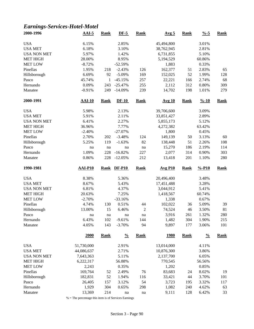# *Earnings-Services-Hotel-Motel*

| 2000-1996           | $AAI-5$         | <b>Rank</b>  | $DF-5$               | <b>Rank</b>    | Avg <sub>5</sub> | <b>Rank</b> | $\frac{9}{6} - 5$  | <b>Rank</b> |
|---------------------|-----------------|--------------|----------------------|----------------|------------------|-------------|--------------------|-------------|
| <b>USA</b>          | 6.15%           |              | 2.85%                |                | 45,494,800       |             | 3.01%              |             |
| <b>USA MET</b>      | 6.18%           |              | 3.10%                |                | 38,762,945       |             | 2.81%              |             |
| <b>USA NON MET</b>  | 5.97%           |              | 1.42%                |                | 6,731,855        |             | 5.10%              |             |
| <b>MET HIGH</b>     | 28.00%          |              | 8.95%                |                | 5,194,529        |             | 60.86%             |             |
| <b>MET LOW</b>      | $-8.72%$        |              | $-52.59%$            |                | 1,883            |             | 0.33%              |             |
| Pinellas            | 1.95%           | 218          | $-2.43%$             | 126            | 162,377          | 51          | 2.83%              | 65          |
| Hillsborough        | 6.69%           | 92           | $-5.09%$             | 169            | 152,025          | 52          | 1.99%              | 128         |
| Pasco               | 45.74%          | $\mathbf{1}$ | $-45.15%$            | 257            | 22,221           | 166         | 2.74%              | 68          |
| Hernando            | 0.09%           | 243          | $-25.47%$            | 255            | 2,112            | 312         | 0.80%              | 309         |
| Manatee             | $-0.91%$        | 249          | $-14.09%$            | 239            | 14,702           | 198         | 1.01%              | 279         |
| 2000-1991           | $AAI-10$        | <b>Rank</b>  | $DF-10$              | <b>Rank</b>    | Avg 10           | <b>Rank</b> | $\frac{9}{6} - 10$ | <b>Rank</b> |
| <b>USA</b>          | 5.98%           |              | 2.13%                |                | 39,706,600       |             | 3.09%              |             |
| <b>USA MET</b>      | 5.91%           |              | 2.11%                |                | 33,851,427       |             | 2.89%              |             |
| <b>USA NON MET</b>  | 6.41%           |              | 2.27%                |                | 5,855,173        |             | 5.12%              |             |
| <b>MET HIGH</b>     | 36.96%          |              | 7.77%                |                | 4,272,382        |             | 63.42%             |             |
| <b>MET LOW</b>      | $-2.40%$        |              | $-27.07%$            |                | 1,800            |             | 0.45%              |             |
| Pinellas            | 2.70%           | 202          | $-3.48%$             | 124            | 149,139          | 50          | 3.13%              | 60          |
| Hillsborough        | 5.25%           | 119          | $-1.63%$             | 82             | 138,448          | 51          | 2.26%              | 108         |
| Pasco               | na              | na           | na                   | na             | 15,270           | 186         | 2.19%              | 114         |
| Hernando            | 1.09%           | 228          | $-16.82%$            | 227            | 2,077            | 314         | 0.90%              | 303         |
| Manatee             | 0.86%           | 228          | $-12.05%$            | 212            | 13,418           | 201         | 1.10%              | 280         |
|                     | <b>AAI-P10</b>  | <b>Rank</b>  | $DF-P10$             | <b>Rank</b>    | <b>Avg P10</b>   | <b>Rank</b> | $% -P10$           | <b>Rank</b> |
| 1990-1981           |                 |              |                      |                |                  |             |                    |             |
|                     |                 |              |                      |                |                  |             |                    |             |
| <b>USA</b>          | 8.38%           |              | 5.36%                |                | 20,496,400       |             | 3.48%              |             |
| <b>USA MET</b>      | 8.67%           |              | 5.43%                |                | 17,451,488       |             | 3.28%              |             |
| <b>USA NON MET</b>  | 6.81%           |              | 4.37%                |                | 3,044,912        |             | 5.41%              |             |
| <b>MET HIGH</b>     | 20.63%          |              | 7.25%                |                | 1,418,567        |             | 60.74%             |             |
| <b>MET LOW</b>      | $-2.70%$        |              | $-33.16%$            |                | 1,338            |             | 0.67%              |             |
| Pinellas            | 4.74%           | 130          | 0.51%                | 44             | 102,022          | 36          | 5.09%              | 39          |
| Hillsborough        | 13.00%          | 15           | 6.46%                | $\overline{c}$ | 74,524           | 46          | 3.50%              | 81          |
| Pasco               | na              | na           | na                   | na             | 3,916            | 261         | 1.32%              | 280         |
| Hernando<br>Manatee | 6.43%<br>4.05%  | 102<br>143   | $-9.61%$<br>$-3.70%$ | 144<br>94      | 1,482<br>9,897   | 304<br>177  | 1.90%<br>3.06%     | 215<br>101  |
|                     | 2000            | <b>Rank</b>  | $\frac{0}{0}$        | <b>Rank</b>    | <u>1980</u>      | <b>Rank</b> | $\frac{0}{0}$      | <b>Rank</b> |
| <b>USA</b>          | 51,730,000      |              | 2.91%                |                | 13,014,000       |             | 4.11%              |             |
| <b>USA MET</b>      | 44,086,637      |              |                      |                |                  |             |                    |             |
| <b>USA NON MET</b>  |                 |              | 2.71%                |                | 10,876,300       |             | 3.86%              |             |
|                     | 7,643,363       |              | 5.11%                |                | 2,137,700        |             | 6.05%              |             |
| <b>MET HIGH</b>     | 6,222,317       |              | 56.88%               |                | 770,545          |             | 56.56%             |             |
| <b>MET LOW</b>      | 2,243           |              | 0.35%                |                | 1,202            |             | 0.85%              |             |
| Pinellas            | 169,764         | 52           | 2.49%                | 76             | 83,683           | 24          | 8.02%              | 19          |
| Hillsborough        | 182,831         | 52           | 1.94%                | 116            | 33,421           | 44          | 3.70%              | 101         |
| Pasco<br>Hernando   | 26,405<br>1,929 | 157<br>304   | 3.12%<br>0.65%       | 54<br>298      | 3,723<br>1,082   | 195<br>240  | 3.32%<br>4.62%     | 117<br>63   |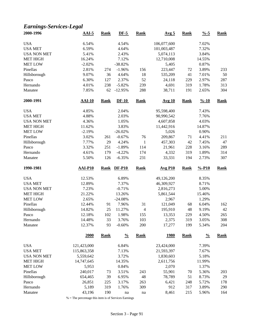# *Earnings-Services-Legal*

| 2000-1996          | $AAI-5$         | <b>Rank</b> | $DF-5$         | <b>Rank</b>    | Avg <sub>5</sub> | <b>Rank</b> | $\frac{9}{6} - 5$  | <b>Rank</b> |
|--------------------|-----------------|-------------|----------------|----------------|------------------|-------------|--------------------|-------------|
| <b>USA</b>         | 6.54%           |             | 4.54%          |                | 106,077,600      |             | 7.02%              |             |
| <b>USA MET</b>     | 6.59%           |             | 4.64%          |                | 101,003,487      |             | 7.32%              |             |
| <b>USA NON MET</b> | 5.41%           |             | 2.43%          |                | 5,074,113        |             | 3.84%              |             |
| <b>MET HIGH</b>    | 16.24%          |             | 7.12%          |                | 12,710,008       |             | 14.55%             |             |
| <b>MET LOW</b>     | $-2.02%$        |             | $-38.82%$      |                | 5,405            |             | 0.87%              |             |
| Pinellas           | 2.81%           | 274         | $-1.96%$       | 156            | 223,447          | 72          | 3.89%              | 233         |
| Hillsborough       | 9.07%           | 36          | 4.64%          | 18             | 535,209          | 41          | 7.01%              | 50          |
| Pasco              | 6.30%           | 127         | 2.37%          | 52             | 24,118           | 229         | 2.97%              | 287         |
| Hernando           | 4.01%           | 238         | $-5.82%$       | 239            | 4,691            | 319         | 1.78%              | 313         |
| Manatee            | 7.85%           | 62          | $-12.95%$      | 288            | 38,711           | 191         | 2.65%              | 304         |
| 2000-1991          | <b>AAI-10</b>   | <b>Rank</b> | $DF-10$        | <b>Rank</b>    | <b>Avg 10</b>    | <b>Rank</b> | $\frac{9}{6} - 10$ | <b>Rank</b> |
| <b>USA</b>         | 4.85%           |             | 2.04%          |                | 95,598,400       |             | 7.43%              |             |
| <b>USA MET</b>     | 4.88%           |             | 2.03%          |                | 90,990,542       |             | 7.76%              |             |
| <b>USA NON MET</b> | 4.36%           |             | 1.05%          |                | 4,607,858        |             | 4.03%              |             |
| <b>MET HIGH</b>    | 11.62%          |             | 3.83%          |                | 11,442,916       |             | 14.87%             |             |
| <b>MET LOW</b>     | $-2.19%$        |             | $-26.02%$      |                | 5,026            |             | 0.90%              |             |
| Pinellas           | 3.02%           | 261         | $-0.67%$       | 76             | 209,867          | 71          | 4.41%              | 211         |
| Hillsborough       | 7.77%           | 29          | 4.24%          | $\mathbf{1}$   | 457,303          | 42          | 7.45%              | 47          |
| Pasco              | 3.32%           | 251         | $-1.89%$       | 114            | 21,961           | 228         | 3.16%              | 289         |
| Hernando           | 4.61%           | 179         | $-4.22%$       | 174            | 4,332            | 319         | 1.89%              | 314         |
| Manatee            | 5.50%           | 126         | $-6.35%$       | 231            | 33,331           | 194         | 2.73%              | 307         |
|                    |                 |             |                |                |                  |             |                    |             |
| 1990-1981          | <b>AAI-P10</b>  | <b>Rank</b> | $DF-P10$       | <b>Rank</b>    | <b>Avg P10</b>   | <b>Rank</b> | $% -P10$           | <b>Rank</b> |
|                    |                 |             |                |                |                  |             |                    |             |
| <b>USA</b>         | 12.53%          |             | 6.89%          |                | 49,126,200       |             | 8.35%              |             |
| <b>USA MET</b>     | 12.89%          |             | 7.37%          |                | 46,309,927       |             | 8.71%              |             |
| <b>USA NON MET</b> | 7.23%           |             | $-0.71%$       |                | 2,816,273        |             | 5.00%              |             |
| <b>MET HIGH</b>    | 21.22%          |             | 13.26%         |                | 5,861,544        |             | 15.46%             |             |
| <b>MET LOW</b>     | 2.65%           |             | $-24.08%$      |                | 2,967            |             | 1.29%              |             |
| Pinellas           | 12.44%          | 91          | 7.96%          | 31             | 121,049          | 68          | 6.04%              | 162         |
| Hillsborough       | 14.82%          | 25          | 11.27%         | $\overline{4}$ | 195,910          | 48          | 9.19%              | 42          |
| Pasco              | 12.18%          | 102         | 1.98%          | 155            | 13,353           | 229         | 4.50%              | 265         |
| Hernando           | 14.48%          | 33          | 3.76%          | 103            | 2,375            | 319         | 3.05%              | 308         |
| Manatee            | 12.37%          | 93          | $-0.60%$       | 200            | 17,277           | 199         | 5.34%              | 204         |
|                    | 2000            | <b>Rank</b> | $\frac{0}{0}$  | <b>Rank</b>    | <u>1980</u>      | <b>Rank</b> | $\frac{0}{0}$      | Rank        |
| <b>USA</b>         | 121,423,000     |             | 6.84%          |                | 23,424,000       |             | 7.39%              |             |
|                    | 115,863,358     |             |                |                |                  |             |                    |             |
| <b>USA MET</b>     |                 |             | 7.13%          |                | 21,593,397       |             | 7.67%              |             |
| <b>USA NON MET</b> | 5,559,642       |             | 3.72%          |                | 1,830,603        |             | 5.18%              |             |
| <b>MET HIGH</b>    | 14,747,645      |             | 14.35%         |                | 2,611,756        |             | 11.99%             |             |
| <b>MET LOW</b>     | 5,953           |             | 0.84%          |                | 2,070            |             | 1.37%              |             |
| Pinellas           | 240,017         | 73          | 3.51%          | 243            | 55,901           | 70          | 5.36%              | 203         |
| Hillsborough       | 654,465         | 39          | 6.95%          | 48             | 78,789           | 51          | 8.73%              | 29          |
| Pasco<br>Hernando  | 26,851<br>5,189 | 225<br>319  | 3.17%<br>1.76% | 263<br>309     | 6,421<br>912     | 248<br>317  | 5.72%<br>3.89%     | 178<br>290  |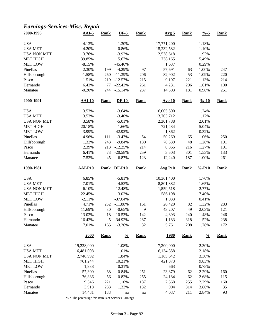#### *Earnings-Services-Misc. Repair*

| 2000-1996          | $AAI-5$        | <b>Rank</b> | $DF-5$        | <b>Rank</b>         | Avg <sub>5</sub> | <b>Rank</b> | $\frac{0}{6}$ -5   | <b>Rank</b> |
|--------------------|----------------|-------------|---------------|---------------------|------------------|-------------|--------------------|-------------|
| <b>USA</b>         | 4.13%          |             | $-1.30%$      |                     | 17,771,200       |             | 1.18%              |             |
| <b>USA MET</b>     | 4.20%          |             | $-0.86%$      |                     | 15,232,582       |             | 1.10%              |             |
| <b>USA NON MET</b> | 3.76%          |             | $-3.92%$      |                     | 2,538,618        |             | 1.92%              |             |
| <b>MET HIGH</b>    | 39.85%         |             | 5.67%         |                     | 738,165          |             | 5.49%              |             |
| <b>MET LOW</b>     | $-8.15%$       |             | $-45.46%$     |                     | 1,637            |             | 0.29%              |             |
| Pinellas           | 2.30%          | 199         | $-4.29%$      | 97                  | 57,691           | 63          | 1.00%              | 247         |
| Hillsborough       | $-1.58%$       | 260         | $-11.39%$     | 206                 | 82,902           | 53          | 1.09%              | 220         |
| Pasco              | 1.51%          | 219         | $-12.57%$     | 215                 | 9,197            | 221         | 1.13%              | 214         |
| Hernando           | 6.43%          | 77          | $-22.42%$     | 261                 | 4,231            | 296         | 1.61%              | 100         |
| Manatee            | $-0.20%$       | 244         | $-15.14%$     | 237                 | 14,303           | 181         | 0.98%              | 251         |
| 2000-1991          | <b>AAI-10</b>  | <b>Rank</b> | $DF-10$       | <b>Rank</b>         | Avg 10           | <b>Rank</b> | $\frac{9}{6} - 10$ | <b>Rank</b> |
| <b>USA</b>         | 3.53%          |             | $-3.64%$      |                     | 16,005,500       |             | 1.24%              |             |
| <b>USA MET</b>     | 3.53%          |             | $-3.40%$      |                     | 13,703,712       |             | 1.17%              |             |
| <b>USA NON MET</b> | 3.58%          |             | $-5.01%$      |                     | 2,301,788        |             | 2.01%              |             |
| <b>MET HIGH</b>    | 20.18%         |             | 1.66%         |                     | 721,434          |             | 5.04%              |             |
| <b>MET LOW</b>     | $-3.99\%$      |             | $-42.92%$     |                     | 1,362            |             | 0.32%              |             |
| Pinellas           | 4.96%          | 111         | $-3.47%$      | 54                  | 50,269           | 65          | 1.06%              | 250         |
| Hillsborough       | 1.32%          | 243         | $-9.84%$      | 180                 | 78,339           | 48          | 1.28%              | 191         |
| Pasco              | 2.39%          | 213         | $-12.25%$     | 214                 | 8,865            | 216         | 1.27%              | 191         |
| Hernando           | 6.41%          | 73          | $-20.58%$     | 259                 | 3,503            | 301         | 1.53%              | 133         |
| Manatee            | 7.52%          | 45          | $-6.87%$      | 123                 | 12,240           | 187         | 1.00%              | 261         |
| 1990-1981          | <b>AAI-P10</b> | <b>Rank</b> | <b>DF-P10</b> | <b>Rank</b>         | <b>Avg P10</b>   | <b>Rank</b> | $% -P10$           | <b>Rank</b> |
| <b>USA</b>         | 6.85%          |             | $-5.81%$      |                     | 10,361,400       |             | 1.76%              |             |
| <b>USA MET</b>     | 7.01%          |             | $-4.53%$      |                     | 8,801,882        |             | 1.65%              |             |
| <b>USA NON MET</b> | 6.10%          |             | $-12.48%$     |                     | 1,559,518        |             | 2.77%              |             |
| <b>MET HIGH</b>    | 22.45%         |             | 3.02%         |                     | 586,198          |             | 7.40%              |             |
| <b>MET LOW</b>     | $-2.11%$       |             | $-37.04%$     |                     | 1,033            |             | 0.41%              |             |
| Pinellas           | 4.71%          | 232         | $-11.88%$     | 161                 | 26,420           | 82          | 1.32%              | 283         |
| Hillsborough       | 11.69%         | 30          | $-0.65%$      | 9                   | 43,207           | 49          | 2.03%              | 121         |
| Pasco              | 13.02%         | 18          | $-10.53%$     | 142                 | 4,393            | 240         | 1.48%              | 246         |
| Hernando           | 16.42%         | 5           | $-34.92%$     | 287                 | 1,183            | 318         | 1.52%              | 238         |
| Manatee            | 7.01%          | 165         | $-3.26%$      | 32                  | 5,761            | 208         | 1.78%              | 172         |
|                    | <b>2000</b>    | <b>Rank</b> | $\frac{0}{0}$ | <b>Rank</b>         | <u>1980</u>      | <b>Rank</b> | $\frac{0}{0}$      | <b>Rank</b> |
| <b>USA</b>         | 19,228,000     |             | 1.08%         |                     | 7,300,000        |             | 2.30%              |             |
| <b>USA MET</b>     | 16,481,008     |             | 1.01%         |                     | 6,134,358        |             | 2.18%              |             |
| <b>USA NON MET</b> | 2,746,992      |             | 1.84%         |                     | 1,165,642        |             | 3.30%              |             |
| <b>MET HIGH</b>    | 761,244        |             | 10.21%        |                     | 421,873          |             | 9.83%              |             |
| MET LOW            | 1,988          |             | 0.31%         |                     | 663              |             | 0.75%              |             |
| Pinellas           | 57,309         | 68          | 0.84%         | 251                 | 23,879           | 62          | 2.29%              | 160         |
| Hillsborough       | 76,886         | 56          | 0.82%         | 255                 | 24,184           | 62          | 2.68%              | 115         |
| Pasco              | 9,346          | 221         | 1.10%         | 187                 | 2,568            | 255         | 2.29%              | 160         |
| Hernando           | 3,918          | 283         | 1.33%         | 132                 | 904              | 314         | 3.86%              | 35          |
|                    |                |             |               |                     | 4,037            | 211         |                    |             |
| Manatee            | 14,431         | 183         | na            | $\operatorname{na}$ |                  |             | 2.84%              | 93          |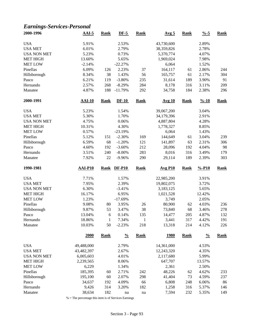# *Earnings-Services-Personal*

| 2000-1996           | $AAI-5$         | <b>Rank</b>  | <b>DF-5</b>   | <b>Rank</b>                | Avg <sub>5</sub> | <b>Rank</b> | $\frac{0}{6}$ -5   | <b>Rank</b> |
|---------------------|-----------------|--------------|---------------|----------------------------|------------------|-------------|--------------------|-------------|
| <b>USA</b>          | 5.91%           |              | 2.53%         |                            | 43,730,600       |             | 2.89%              |             |
| <b>USA MET</b>      | 6.01%           |              | 2.79%         |                            | 38,359,826       |             | 2.78%              |             |
| <b>USA NON MET</b>  | 5.23%           |              | 0.73%         |                            | 5,370,774        |             | 4.07%              |             |
| <b>MET HIGH</b>     | 13.60%          |              | 5.65%         |                            | 1,969,024        |             | 7.98%              |             |
| <b>MET LOW</b>      | $-2.14%$        |              | $-22.27%$     |                            | 6,064            |             | 1.52%              |             |
| Pinellas            | 6.09%           | 126          | 2.23%         | 37                         | 164,117          | 61          | 2.86%              | 244         |
| Hillsborough        | 8.34%           | 38           | 1.43%         | 56                         | 165,757          | 61          | 2.17%              | 304         |
| Pasco               | 6.21%           | 119          | $-3.80%$      | 235                        | 31,614           | 189         | 3.90%              | 91          |
| Hernando            | 2.57%           | 268          | $-8.29%$      | 284                        | 8,178            | 316         | 3.11%              | 209         |
| Manatee             | 4.87%           | 188          | $-11.79%$     | 292                        | 34,758           | 184         | 2.38%              | 296         |
| 2000-1991           | <b>AAI-10</b>   | <b>Rank</b>  | $DF-10$       | <b>Rank</b>                | <b>Avg 10</b>    | <b>Rank</b> | $\frac{9}{6} - 10$ | <b>Rank</b> |
| <b>USA</b>          | 5.23%           |              | 1.54%         |                            | 39,067,200       |             | 3.04%              |             |
| <b>USA MET</b>      | 5.30%           |              | 1.70%         |                            | 34,179,396       |             | 2.91%              |             |
| <b>USA NON MET</b>  | 4.75%           |              | 0.06%         |                            | 4,887,804        |             | 4.28%              |             |
| <b>MET HIGH</b>     | 10.31%          |              | 4.30%         |                            | 1,778,327        |             | 8.85%              |             |
| <b>MET LOW</b>      | 0.57%           |              | $-23.19%$     |                            | 6,064            |             | 1.43%              |             |
| Pinellas            | 5.12%           | 151          | $-2.30%$      | 169                        | 144,649          | 61          | 3.04%              | 239         |
| Hillsborough        | 6.59%           | 68           | $-1.20%$      | 121                        | 141,897          | 63          | 2.31%              | 306         |
| Pasco               | 4.60%           | 192          | $-3.60%$      | 212                        | 28,096           | 192         | 4.04%              | 98          |
| Hernando            | 3.51%           | 240          | $-8.00\%$     | 283                        | 8,016            | 316         | 3.49%              | 179         |
| Manatee             | 7.92%           | 22           | $-9.96%$      | 290                        | 29,114           | 189         | 2.39%              | 303         |
| 1990-1981           | <b>AAI-P10</b>  | <b>Rank</b>  | <b>DF-P10</b> | <b>Rank</b>                | <b>Avg P10</b>   | <b>Rank</b> | $% -P10$           | <b>Rank</b> |
| <b>USA</b>          | 7.71%           |              | 1.57%         |                            | 22,985,200       |             | 3.91%              |             |
| <b>USA MET</b>      | 7.95%           |              | 2.39%         |                            | 19,802,075       |             | 3.72%              |             |
| <b>USA NON MET</b>  | 6.30%           |              | $-3.41%$      |                            | 3,183,125        |             | 5.65%              |             |
| <b>MET HIGH</b>     | 16.17%          |              | 6.95%         |                            | 1,021,528        |             | 12.42%             |             |
| <b>MET LOW</b>      | 1.23%           |              | $-17.69%$     |                            | 3,749            |             | 2.05%              |             |
| Pinellas            | 9.08%           | 80           | 3.95%         | 26                         | 80,900           | 62          | 4.03%              | 236         |
| Hillsborough        | 9.87%           | 53           | 3.47%         | 38                         | 73,840           | 68          | 3.46%              | 278         |
| Pasco               | 13.04%          | 6            | 0.14%         | 135                        | 14,477           | 205         | 4.87%              | 132         |
| Hernando            | 18.86%          | $\mathbf{1}$ | 7.34%         | $\,1$                      | 3,441            | 317         | 4.42%              | 191         |
| Manatee             | 10.03%          | 50           | $-2.23%$      | 218                        | 13,318           | 214         | 4.12%              | 226         |
|                     | <b>2000</b>     | <b>Rank</b>  | $\frac{0}{0}$ | <b>Rank</b>                | <u>1980</u>      | <b>Rank</b> | $\frac{0}{0}$      | <b>Rank</b> |
| <b>USA</b>          | 49,488,000      |              | 2.79%         |                            | 14,361,000       |             | 4.53%              |             |
| <b>USA MET</b>      | 43,482,397      |              | 2.67%         |                            | 12,243,320       |             | 4.35%              |             |
| <b>USA NON MET</b>  | 6,005,603       |              | 4.01%         |                            | 2,117,680        |             | 5.99%              |             |
| <b>MET HIGH</b>     | 2,239,565       |              | 8.06%         |                            | 647,707          |             | 13.57%             |             |
| <b>MET LOW</b>      | 6,229           |              | 1.34%         |                            | 2,361            |             | 2.50%              |             |
| Pinellas            | 185,395         | 60           | 2.71%         | 242                        | 48,226           | 62          | 4.62%              | 233         |
|                     |                 |              |               |                            |                  |             |                    |             |
|                     |                 |              |               |                            |                  |             |                    |             |
| Hillsborough        | 195,100         | 60           | 2.07%         | 298                        | 41,404           | 73          | 4.59%              | 237         |
| Pasco               | 34,637          | 192          | 4.09%         | 66                         | 6,808            | 248         | 6.06%              | 86          |
| Hernando<br>Manatee | 9,426<br>38,634 | 314<br>182   | 3.20%<br>na   | 182<br>$\operatorname{na}$ | 1,258<br>7,594   | 316<br>232  | 5.37%<br>5.35%     | 146<br>149  |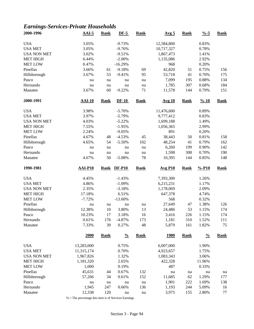# *Earnings-Services-Private Households*

| 2000-1996           | <b>AAI-5</b>    | <b>Rank</b> | $DF-5$            | <b>Rank</b> | Avg <sub>5</sub> | <b>Rank</b> | $\frac{9}{6} - 5$  | <b>Rank</b>   |
|---------------------|-----------------|-------------|-------------------|-------------|------------------|-------------|--------------------|---------------|
| <b>USA</b>          | 3.05%           |             | $-9.73%$          |             | 12,584,800       |             | 0.83%              |               |
| <b>USA MET</b>      | 3.05%           |             | $-9.76%$          |             | 10,717,327       |             | 0.78%              |               |
| <b>USA NON MET</b>  | 3.02%           |             | $-9.51%$          |             | 1,867,473        |             | 1.41%              |               |
| <b>MET HIGH</b>     | 6.44%           |             | $-2.00\%$         |             | 1,135,086        |             | 2.92%              |               |
| <b>MET LOW</b>      | 0.47%           |             | $-16.29%$         |             | 968              |             | 0.20%              |               |
| Pinellas            | 3.66%           | 61          | $-9.18%$          | 69          | 42,820           | 51          | 0.75%              | 156           |
| Hillsborough        | 3.67%           | 53          | $-9.41%$          | 95          | 53,718           | 41          | 0.70%              | 175           |
| Pasco               | na              | na          | na                | na          | 7,099            | 195         | 0.88%              | 134           |
| Hernando            | na              | na          | na                | na          | 1,785            | 307         | 0.68%              | 184           |
| Manatee             | 3.67%           | 60          | $-9.22%$          | 71          | 11,578           | 144         | 0.79%              | 151           |
| 2000-1991           | <b>AAI-10</b>   | <b>Rank</b> | $DF-10$           | <b>Rank</b> | <b>Avg 10</b>    | <b>Rank</b> | $\frac{9}{6} - 10$ | <b>Rank</b>   |
| <b>USA</b>          | 3.98%           |             | $-5.70%$          |             | 11,476,600       |             | 0.89%              |               |
| <b>USA MET</b>      | 3.97%           |             | $-5.79%$          |             | 9,777,412        |             | 0.83%              |               |
| <b>USA NON MET</b>  | 4.03%           |             | $-5.22%$          |             | 1,699,188        |             | 1.49%              |               |
| MET HIGH            | 7.55%           |             | $-1.95%$          |             | 1,056,365        |             | 2.99%              |               |
| <b>MET LOW</b>      | 2.24%           |             | $-9.05%$          |             | 891              |             | 0.20%              |               |
| Pinellas            | 4.67%           | 48          | $-4.53%$          | 45          | 38,443           | 50          | 0.81%              | 158           |
| Hillsborough        | 4.65%           | 54          | $-5.50%$          | 102         | 48,254           | 41          | 0.79%              | 162           |
| Pasco               | na              | na          | na                | na          | 6,260            | 199         | 0.90%              | 142           |
| Hernando            |                 |             |                   | na          | 1,598            | 308         | 0.70%              | 190           |
| Manatee             | na<br>4.67%     | na<br>50    | na<br>$-5.08%$    | 78          | 10,395           | 144         | 0.85%              | 148           |
| 1990-1981           | <b>AAI-P10</b>  | <b>Rank</b> | <b>DF-P10</b>     | <b>Rank</b> | <b>Avg P10</b>   | <b>Rank</b> | $% -P10$           | <b>Rank</b>   |
| <b>USA</b>          | 4.45%           |             | $-1.43%$          |             | 7,393,300        |             | 1.26%              |               |
| <b>USA MET</b>      | 4.86%           |             | $-1.09%$          |             | 6,215,231        |             | 1.17%              |               |
| <b>USA NON MET</b>  | 2.35%           |             | $-3.18%$          |             | 1,178,069        |             | 2.09%              |               |
| <b>MET HIGH</b>     | 17.18%          |             | 6.51%             |             | 647,378          |             | 4.74%              |               |
| <b>MET LOW</b>      | $-7.72%$        |             | $-13.60%$         |             | 568              |             | 0.32%              |               |
| Pinellas            |                 |             |                   |             | 27,649           |             | 1.38%              | 126           |
|                     | na              | na          | na                | na          |                  | 47          |                    |               |
| Hillsborough        | 12.38%          | 10          | 3.80%             | 13          | 24,486           | 53          | 1.15%              | 174           |
| Pasco               | 10.23%          | 17          | 3.18%             | 16          | 3,416            | 226         | 1.15%              | 174           |
| Hernando<br>Manatee | 0.61%<br>7.33%  | 176<br>39   | $-4.87%$<br>0.27% | 173<br>48   | 1,181<br>5,879   | 310<br>161  | 1.52%<br>1.82%     | 111<br>75     |
|                     | 2000            | <b>Rank</b> | $\frac{0}{0}$     | <b>Rank</b> | <u>1980</u>      | <b>Rank</b> | $\frac{0}{0}$      | <b>Rank</b>   |
| <b>USA</b>          | 13,283,000      |             | 0.75%             |             | 6,007,000        |             | 1.90%              |               |
| <b>USA MET</b>      | 11,315,174      |             | 0.70%             |             | 4,923,657        |             | 1.75%              |               |
| <b>USA NON MET</b>  | 1,967,826       |             | 1.32%             |             | 1,083,343        |             | 3.06%              |               |
|                     | 1,181,320       |             |                   |             | 422,328          |             | 11.96%             |               |
| <b>MET HIGH</b>     |                 |             | 2.65%             |             |                  |             |                    |               |
| <b>MET LOW</b>      | 1,000<br>45,631 |             | 0.19%             |             | 487              |             | 0.33%              |               |
| Pinellas            |                 | 44          | 0.67%             | 132         | na               | na          | na                 | na            |
|                     |                 |             |                   |             |                  |             |                    |               |
| Hillsborough        | 57,266          | 34          | 0.61%             | 152         | 11,685           | 62          | 1.29%              | 177           |
| Pasco               | na              | na          | na                | na          | 1,901            | 222         | 1.69%              | 138           |
| Hernando<br>Manatee | 1,945<br>12,338 | 247<br>120  | 0.66%<br>na       | 136<br>na   | 1,193<br>3,975   | 244<br>155  | 5.09%<br>2.80%     | 16<br>$77 \,$ |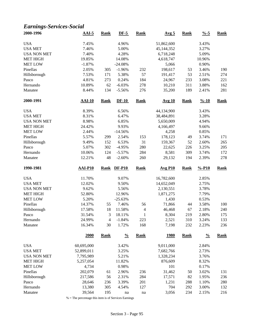#### *Earnings-Services-Social*

| 2000-1996          | $AAI-5$          | <b>Rank</b>    | $DF-5$        | <b>Rank</b>              | Avg <sub>5</sub> | <b>Rank</b> | $\frac{9}{6} - 5$  | <b>Rank</b> |
|--------------------|------------------|----------------|---------------|--------------------------|------------------|-------------|--------------------|-------------|
| <b>USA</b>         | 7.45%            |                | 4.96%         |                          | 51,862,600       |             | 3.43%              |             |
| <b>USA MET</b>     | 7.46%            |                | 5.00%         |                          | 45,144,352       |             | 3.27%              |             |
| <b>USA NON MET</b> | 7.40%            |                | 4.28%         |                          | 6,718,248        |             | 5.09%              |             |
| <b>MET HIGH</b>    | 19.85%           |                | 14.08%        |                          | 4,618,747        |             | 10.96%             |             |
| <b>MET LOW</b>     | $-1.87%$         |                | $-24.08%$     |                          | 5,066            |             | 0.90%              |             |
| Pinellas           | 2.05%            | 305            | $-1.96%$      | 232                      | 198,617          | 53          | 3.46%              | 190         |
| Hillsborough       | 7.53%            | 171            | 5.38%         | 57                       | 191,417          | 53          | 2.51%              | 274         |
| Pasco              | 4.81%            | 273            | 0.24%         | 184                      | 24,967           | 233         | 3.08%              | 221         |
| Hernando           | 10.89%           | 62             | $-6.03%$      | 278                      | 10,210           | 311         | 3.88%              | 162         |
| Manatee            | 8.44%            | 134            | $-5.56%$      | 276                      | 35,200           | 189         | 2.41%              | 281         |
| 2000-1991          | $AAI-10$         | <b>Rank</b>    | $DF-10$       | <b>Rank</b>              | Avg 10           | <b>Rank</b> | $\frac{9}{6} - 10$ | <b>Rank</b> |
| <b>USA</b>         | 8.39%            |                | 6.56%         |                          | 44,134,900       |             | 3.43%              |             |
| <b>USA MET</b>     | 8.31%            |                | 6.47%         |                          | 38,484,891       |             | 3.28%              |             |
| <b>USA NON MET</b> | 8.98%            |                | 6.85%         |                          | 5,650,009        |             | 4.94%              |             |
| <b>MET HIGH</b>    | 24.42%           |                | 9.93%         |                          | 4,166,497        |             | 9.66%              |             |
| <b>MET LOW</b>     | 2.44%            |                | $-14.56%$     |                          | 4,258            |             | 0.85%              |             |
| Pinellas           | 5.57%            | 299            | 2.54%         | 153                      | 178,123          | 49          | 3.74%              | 171         |
| Hillsborough       | 9.49%            | 152            | 6.53%         | 31                       | 159,367          | 52          | 2.60%              | 265         |
| Pasco              | 5.07%            | 302            | $-4.95%$      | 280                      | 22,625           | 226         | 3.25%              | 205         |
| Hernando           | 10.06%           | 124            | $-5.57%$      | 284                      | 8,581            | 309         | 3.74%              | 172         |
| Manatee            | 12.21%           | 48             | $-2.60%$      | 260                      | 29,132           | 194         | 2.39%              | 278         |
| 1990-1981          | <b>AAI-P10</b>   | <b>Rank</b>    | $DF-P10$      | <b>Rank</b>              | <b>Avg P10</b>   | <b>Rank</b> | $% -P10$           | <b>Rank</b> |
| <b>USA</b>         | 11.70%           |                | 9.07%         |                          | 16,782,600       |             | 2.85%              |             |
| <b>USA MET</b>     | 12.02%           |                | 9.50%         |                          | 14,652,049       |             | 2.75%              |             |
| <b>USA NON MET</b> | 9.62%            |                | 5.56%         |                          | 2,130,551        |             | 3.78%              |             |
| <b>MET HIGH</b>    | 52.80%           |                | 12.96%        |                          | 1,871,275        |             | 7.79%              |             |
| <b>MET LOW</b>     | 5.20%            |                | $-25.63%$     |                          | 1,430            |             | 0.53%              |             |
| Pinellas           | 14.37%           | 55             | 7.46%         | 56                       | 71,866           | 44          | 3.58%              | 100         |
| Hillsborough       | 17.58%           | 18             | 11.58%        | $\overline{\mathcal{L}}$ | 46,468           | 67          | 2.18%              | 240         |
| Pasco              | 31.54%           | 3              | 18.11%        | $\mathbf{1}$             | 8,304            | 219         | 2.80%              | 175         |
| Hernando           | 24.99%           | $\overline{4}$ | $-1.84%$      | 223                      | 2,521            | 310         | 3.24%              | 133         |
| Manatee            | 16.34%           | 30             | 1.72%         | 168                      | 7,198            | 232         | 2.23%              | 236         |
|                    | 2000             | <b>Rank</b>    | $\frac{0}{0}$ | <b>Rank</b>              | <b>1980</b>      | <b>Rank</b> | $\frac{0}{0}$      | <b>Rank</b> |
| <b>USA</b>         | 60,695,000       |                | 3.42%         |                          | 9,011,000        |             | 2.84%              |             |
| <b>USA MET</b>     | 52,899,011       |                | 3.25%         |                          | 7,682,766        |             | 2.73%              |             |
| <b>USA NON MET</b> | 7,795,989        |                | 5.21%         |                          | 1,328,234        |             | 3.76%              |             |
| <b>MET HIGH</b>    | 5,257,054        |                | 11.82%        |                          | 876,609          |             | 8.32%              |             |
| <b>MET LOW</b>     | 4,734            |                | 0.98%         |                          | 101              |             | 0.17%              |             |
| Pinellas           | 202,079          | 61             | 2.96%         | 236                      | 31,462           | 50          | 3.02%              | 131         |
| Hillsborough       | 217,586          | 56             | 2.31%         | 284                      | 17,571           | 82          | 1.95%              | 236         |
| Pasco              | 28,646           | 236            | 3.39%         | 201                      | 1,231            | 288         | 1.10%              | 280         |
| Hernando           |                  |                |               |                          |                  |             |                    |             |
|                    |                  |                |               |                          |                  |             |                    |             |
| Manatee            | 13,380<br>39,564 | 305<br>195     | 4.54%<br>na   | 127<br>na                | 704<br>3,056     | 292<br>234  | 3.00%<br>2.15%     | 132<br>216  |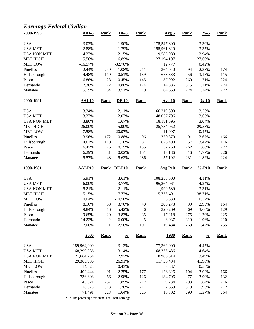# *Earnings-Federal Civilian*

| 2000-1996                    | $AAI-5$                    | <b>Rank</b>       | $DF-5$         | <b>Rank</b>       | Avg <sub>5</sub> | <b>Rank</b> | $\frac{9}{6} - 5$  | <b>Rank</b> |
|------------------------------|----------------------------|-------------------|----------------|-------------------|------------------|-------------|--------------------|-------------|
| <b>USA</b>                   | 3.03%                      |                   | 1.90%          |                   | 175,547,800      |             | 3.30%              |             |
| <b>USA MET</b>               | 2.88%                      |                   | 1.79%          |                   | 155,961,820      |             | 3.35%              |             |
| <b>USA NON MET</b>           | 4.27%                      |                   | 2.15%          |                   | 19,585,980       |             | 2.94%              |             |
| <b>MET HIGH</b>              | 15.56%                     |                   | 6.89%          |                   | 27,194,107       |             | 27.60%             |             |
| <b>MET LOW</b>               | $-16.57%$                  |                   | $-32.70%$      |                   | 12,777           |             | 0.42%              |             |
| Pinellas                     | 2.44%                      | 249               | $-1.08%$       | 211               | 364,040          | 94          | 2.38%              | 174         |
| Hillsborough                 | 4.48%                      | 119               | 0.51%          | 139               | 673,833          | 56          | 3.18%              | 115         |
| Pasco                        | 6.86%                      | 28                | 0.45%          | 145               | 37,992           | 260         | 1.71%              | 224         |
| Hernando                     | 7.36%                      | 22                | 0.80%          | 124               | 14,886           | 315         | 1.71%              | 224         |
| Manatee                      | 5.19%                      | 84                | 3.51%          | 19                | 64,653           | 224         | 1.74%              | 222         |
| 2000-1991                    | <b>AAI-10</b>              | <b>Rank</b>       | $DF-10$        | <b>Rank</b>       | <b>Avg 10</b>    | <b>Rank</b> | $\frac{9}{6} - 10$ | <b>Rank</b> |
| <b>USA</b>                   | 3.34%                      |                   | 2.11%          |                   | 166,219,300      |             | 3.56%              |             |
| <b>USA MET</b>               | 3.27%                      |                   | 2.07%          |                   | 148,037,706      |             | 3.63%              |             |
| <b>USA NON MET</b>           | 3.86%                      |                   | 1.67%          |                   | 18,181,595       |             | 3.04%              |             |
| <b>MET HIGH</b>              | 26.00%                     |                   | 5.90%          |                   | 25,784,952       |             | 29.53%             |             |
| <b>MET LOW</b>               | $-7.58%$                   |                   | $-20.97%$      |                   | 11,997           |             | 0.45%              |             |
| Pinellas                     | 3.96%                      | 172               | 0.88%          | 96                | 350,370          | 91          | 2.67%              | 166         |
| Hillsborough                 | 4.67%                      | 110               | 1.10%          | 81                | 625,498          | 57          | 3.47%              | 116         |
| Pasco                        | 6.47%                      | 26                | 0.15%          | 135               | 32,768           | 262         | 1.68%              | 227         |
| Hernando                     | 6.29%                      | 31                | 0.02%          | 151               | 13,186           | 316         | 1.77%              | 226         |
| Manatee                      | 5.57%                      | 48                | $-5.62%$       | 286               | 57,192           | 231         | 1.82%              | 224         |
| 1990-1981                    | <b>AAI-P10</b>             | <b>Rank</b>       | <b>DF-P10</b>  | <b>Rank</b>       | <b>Avg P10</b>   | <b>Rank</b> | $% -P10$           | <b>Rank</b> |
| <b>USA</b>                   | 5.91%                      |                   | 3.61%          |                   | 108,255,500      |             | 4.11%              |             |
| <b>USA MET</b>               | 6.00%                      |                   | 3.77%          |                   | 96,264,961       |             | 4.24%              |             |
| <b>USA NON MET</b>           | 5.21%                      |                   | 2.11%          |                   | 11,990,539       |             | 3.31%              |             |
| <b>MET HIGH</b>              | 15.15%                     |                   | 7.72%          |                   | 15,735,491       |             | 38.71%             |             |
| <b>MET LOW</b>               | 0.04%                      |                   | $-10.50%$      |                   | 6,530            |             | 0.57%              |             |
| Pinellas                     | 8.16%                      | 38                |                |                   |                  |             |                    | 164         |
|                              |                            |                   |                |                   |                  |             |                    |             |
|                              |                            |                   | 3.70%          | 40                | 203,273          | 99          | 2.93%              |             |
| Hillsborough                 | 9.84%                      | 16                | 5.42%          | 6                 | 320,269          | 69          | 3.66%              | 129         |
| Pasco                        | 9.65%                      | 20                | 3.83%          | 35                | 17,218           | 275         | 1.70%              | 225         |
| Hernando<br>Manatee          | 14.22%<br>17.06%           | 2<br>$\mathbf{1}$ | 6.00%<br>2.56% | $\sqrt{5}$<br>107 | 6,037<br>19,434  | 319<br>269  | 1.96%<br>1.47%     | 210<br>255  |
|                              | 2000                       | <b>Rank</b>       | $\frac{0}{0}$  | Rank              | <u>1980</u>      | <b>Rank</b> | $\frac{0}{0}$      | <b>Rank</b> |
|                              |                            |                   |                |                   |                  |             |                    |             |
| <b>USA</b><br><b>USA MET</b> | 189,964,000<br>168,299,236 |                   | 3.12%          |                   | 77,362,000       |             | 4.47%<br>4.64%     |             |
|                              |                            |                   | 3.14%          |                   | 68,375,486       |             |                    |             |
| <b>USA NON MET</b>           | 21,664,764                 |                   | 2.97%          |                   | 8,986,514        |             | 3.49%              |             |
| <b>MET HIGH</b>              | 29,365,906                 |                   | 26.91%         |                   | 11,736,494       |             | 41.98%             |             |
| <b>MET LOW</b>               | 14,528                     |                   | 0.43%          |                   | 3,337            |             | 0.55%              |             |
| Pinellas                     | 402,444                    | 91                | 2.25%          | 177               | 126,326          | 104         | 3.02%              | 166         |
| Hillsborough                 | 736,608                    | 56                | 2.98%          | 126               | 184,706          | 77          | 3.90%              | 132         |
| Pasco                        | 45,021                     | 257               | 1.85%          | 212               | 9,734            | 293         | 1.84%              | 216         |
| Hernando<br>Manatee          | 18,078<br>71,491           | 313<br>223        | 1.78%<br>1.64% | 217<br>225        | 2,659<br>10,302  | 319<br>290  | 1.93%<br>1.37%     | 212<br>264  |

% = The percentage this item is of Total Earnings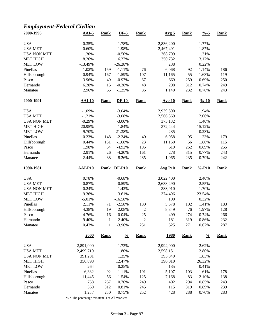# *Employment-Federal Civilian*

| 2000-1996           | $AAI-5$         | <b>Rank</b>                  | $DF-5$            | <b>Rank</b>       | Avg <sub>5</sub> | <b>Rank</b> | $\frac{9}{6} - 5$  | <b>Rank</b> |
|---------------------|-----------------|------------------------------|-------------------|-------------------|------------------|-------------|--------------------|-------------|
| <b>USA</b>          | $-0.35%$        |                              | $-1.78%$          |                   | 2,836,200        |             | 1.77%              |             |
| <b>USA MET</b>      | $-0.60%$        |                              | $-1.98%$          |                   | 2,467,491        |             | 1.87%              |             |
| <b>USA NON MET</b>  | 1.30%           |                              | $-0.50%$          |                   | 368,709          |             | 1.31%              |             |
| <b>MET HIGH</b>     | 18.26%          |                              | 6.37%             |                   | 350,732          |             | 13.17%             |             |
|                     |                 |                              |                   |                   |                  |             |                    |             |
| <b>MET LOW</b>      | $-13.49%$       |                              | $-26.28%$         |                   | 238              |             | 0.22%              |             |
| Pinellas            | 1.02%           | 159                          | $-1.11%$          | 76                | 6,068            | 92          | 1.14%              | 186         |
| Hillsborough        | 0.94%           | 167                          | $-1.59%$          | 107               | 11,165           | 55          | 1.63%              | 119         |
| Pasco               | 3.96%           | 49                           | $-0.97%$          | 67                | 669              | 259         | 0.69%              | 250         |
| Hernando            | 6.28%           | 15                           | $-0.38%$          | 48                | 298              | 312         | 0.74%              | 249         |
| Manatee             | 2.96%           | 65                           | $-1.25%$          | 86                | 1,140            | 232         | 0.76%              | 243         |
| 2000-1991           | $AAI-10$        | <b>Rank</b>                  | $DF-10$           | <b>Rank</b>       | <b>Avg 10</b>    | <b>Rank</b> | $\frac{9}{6} - 10$ | <b>Rank</b> |
| <b>USA</b>          | $-1.09%$        |                              | $-3.04%$          |                   | 2,939,500        |             | 1.94%              |             |
| <b>USA MET</b>      | $-1.21%$        |                              | $-3.08%$          |                   | 2,566,369        |             | 2.06%              |             |
| <b>USA NON MET</b>  | $-0.29%$        |                              | $-3.00\%$         |                   | 373,132          |             | 1.40%              |             |
| <b>MET HIGH</b>     | 20.95%          |                              | 1.84%             |                   | 372,444          |             | 15.12%             |             |
| <b>MET LOW</b>      | $-9.70%$        |                              | $-21.38%$         |                   | 235              |             | 0.23%              |             |
| Pinellas            | 0.23%           | 148                          | $-2.24%$          | 40                | 6,058            | 95          | 1.23%              | 179         |
| Hillsborough        | 0.44%           | 131                          | $-1.68%$          | 23                | 11,160           | 56          | 1.80%              | 115         |
| Pasco               | 1.98%           | 54                           | $-4.92%$          | 195               | 619              | 262         | 0.69%              | 255         |
| Hernando            | 2.91%           | 26                           | $-4.20%$          | 161               | 278              | 315         | 0.77%              | 243         |
| Manatee             | 2.44%           | 38                           | $-8.26%$          | 285               | 1,065            | 235         | 0.79%              | 242         |
|                     |                 |                              |                   |                   |                  |             |                    |             |
| 1990-1981           | <b>AAI-P10</b>  | <b>Rank</b>                  | <b>DF-P10</b>     | <b>Rank</b>       | <b>Avg P10</b>   | <b>Rank</b> | $% -P10$           | <b>Rank</b> |
|                     |                 |                              |                   |                   |                  |             |                    |             |
| <b>USA</b>          | 0.78%           |                              | $-0.68%$          |                   | 3,022,400        |             | 2.40%              |             |
| <b>USA MET</b>      | 0.87%           |                              | $-0.59%$          |                   | 2,638,490        |             | 2.55%              |             |
| <b>USA NON MET</b>  | 0.24%           |                              | $-1.42%$          |                   | 383,910          |             | 1.70%              |             |
| <b>MET HIGH</b>     | 9.36%           |                              | 3.61%             |                   | 374,496          |             | 23.54%             |             |
| <b>MET LOW</b>      | $-5.01%$        |                              | $-16.58%$         |                   | 190              |             | 0.32%              |             |
| Pinellas            | 2.11%           | 71                           | $-2.58%$          | 180               |                  | 102         | 1.41%              | 183         |
|                     |                 | 19                           |                   |                   | 5,578            | 76          |                    |             |
| Hillsborough        | 4.38%           |                              | 2.08%             | $\overline{c}$    | 8,849            |             | 1.97%              | 128         |
| Pasco               | 4.76%           | 16                           | 0.04%             | 25                | 499              | 274         | 0.74%              | 266         |
| Hernando<br>Manatee | 9.40%<br>10.43% | $\mathbf{1}$<br>$\mathbf{1}$ | 2.40%<br>$-3.96%$ | $\sqrt{2}$<br>251 | 181<br>525       | 319<br>271  | 0.86%<br>0.67%     | 232<br>287  |
|                     | 2000            | <b>Rank</b>                  | $\frac{0}{0}$     | <b>Rank</b>       | <u>1980</u>      | <b>Rank</b> | $\frac{0}{0}$      | <b>Rank</b> |
|                     |                 |                              |                   |                   |                  |             |                    |             |
| <b>USA</b>          | 2,891,000       |                              | 1.73%             |                   | 2,994,000        |             | 2.62%              |             |
| <b>USA MET</b>      | 2,499,719       |                              | 1.80%             |                   | 2,598,151        |             | 2.80%              |             |
| <b>USA NON MET</b>  | 391,281         |                              | 1.35%             |                   | 395,849          |             | 1.83%              |             |
| <b>MET HIGH</b>     | 350,898         |                              | 12.47%            |                   | 390,010          |             | 26.32%             |             |
| <b>MET LOW</b>      | 264             |                              | 0.25%             |                   | 135              |             | 0.41%              |             |
| Pinellas            | 6,382           | 92                           | 1.11%             | 191               | 5,107            | 103         | 1.61%              | 178         |
| Hillsborough        | 11,445          | 56                           | 1.54%             | 125               | 7,168            | 83          | 2.10%              | 138         |
| Pasco               | 758             | 257                          | 0.76%             | 249               | 402              | 294         | 0.85%              | 243         |
| Hernando<br>Manatee | 360<br>1,237    | 312<br>230                   | 0.81%<br>0.75%    | 245<br>252        | 115<br>428       | 319<br>288  | 0.89%<br>0.70%     | 239<br>283  |

 $\%$  = The percentage this item is of All Workers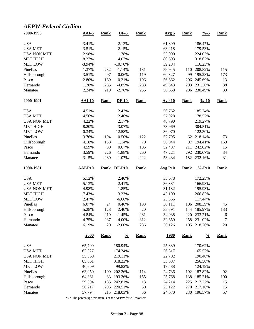#### *AEPW-Federal Civilian*

| 2000-1996           | $AAI-5$          | <b>Rank</b> | $DF-5$             | <b>Rank</b> | Avg <sub>5</sub>      | <b>Rank</b> | $\frac{9}{6} - 5$  | <b>Rank</b> |
|---------------------|------------------|-------------|--------------------|-------------|-----------------------|-------------|--------------------|-------------|
| <b>USA</b>          | 3.41%            |             | 2.13%              |             | 61,899                |             | 186.47%            |             |
| <b>USA MET</b>      | 3.51%            |             | 2.15%              |             | 63,218                |             | 179.53%            |             |
| <b>USA NON MET</b>  | 2.98%            |             | 1.78%              |             | 53,090                |             | 224.03%            |             |
| <b>MET HIGH</b>     | 8.27%            |             | 4.07%              |             | 80,593                |             | 318.62%            |             |
| <b>MET LOW</b>      | $-3.94%$         |             | $-10.70%$          |             | 39,284                |             | 116.23%            |             |
| Pinellas            | 1.37%            | 282         | $-1.14%$           | 181         | 59,945                | 110         | 208.82%            | 115         |
| Hillsborough        | 3.51%            | 97          | 0.06%              | 119         | 60,327                | 99          | 195.28%            | 173         |
| Pasco               | 2.80%            | 169         | 0.21%              | 106         | 56,662                | 206         | 245.69%            | 13          |
| Hernando            | 1.28%            | 285         | $-4.85%$           | 288         | 49,843                | 293         | 231.30%            | 38          |
| Manatee             | 2.24%            | 219         | $-2.76%$           | 255         | 56,658                | 206         | 230.49%            | 39          |
| 2000-1991           | <b>AAI-10</b>    | Rank        | $DF-10$            | <b>Rank</b> | Avg 10                | <b>Rank</b> | $\frac{9}{6} - 10$ | <b>Rank</b> |
| <b>USA</b>          | 4.51%            |             | 2.43%              |             | 56,762                |             | 185.24%            |             |
| <b>USA MET</b>      | 4.56%            |             | 2.46%              |             | 57,928                |             | 178.57%            |             |
| <b>USA NON MET</b>  | 4.22%            |             | 2.17%              |             | 48,790                |             | 219.27%            |             |
| <b>MET HIGH</b>     | 8.20%            |             | 3.07%              |             | 73,969                |             | 304.51%            |             |
| <b>MET LOW</b>      | 0.34%            |             | $-12.58%$          |             | 36,070                |             | 122.30%            |             |
| Pinellas            | 3.76%            | 194         | 0.50%              | 122         | 57,795                | 62          | 218.14%            | 73          |
| Hillsborough        | 4.18%            | 138         | 1.14%              | 70          | 56,044                | 97          | 194.41%            | 169         |
| Pasco               | 4.59%            | 80          | 0.67%              | 105         | 52,487                | 211         | 242.02%            | 15          |
| Hernando            | 3.59%            | 226         | $-1.88%$           | 260         | 47,221                | 292         | 230.07%            | 34          |
| Manatee             | 3.15%            | 280         | $-1.07%$           | 222         | 53,434                | 182         | 232.16%            | 31          |
|                     |                  |             |                    |             |                       |             |                    |             |
| 1990-1981           | AAI-P10          | <b>Rank</b> | <b>DF-P10</b>      | <b>Rank</b> | $Avg$ P <sub>10</sub> | <b>Rank</b> | $% -P10$           | <b>Rank</b> |
| <b>USA</b>          | 5.12%            |             | 2.40%              |             | 35,678                |             | 172.25%            |             |
| <b>USA MET</b>      | 5.13%            |             | 2.41%              |             | 36,331                |             | 166.98%            |             |
| <b>USA NON MET</b>  | 4.98%            |             | 1.85%              |             | 31,182                |             | 195.93%            |             |
| <b>MET HIGH</b>     |                  |             | 3.23%              |             | 43,109                |             | 266.82%            |             |
|                     | 7.43%            |             |                    |             |                       |             |                    |             |
| <b>MET LOW</b>      | 2.47%            |             | $-6.66%$           |             | 23,366                |             | 117.44%            |             |
| Pinellas            | 6.07%            | 24          | 0.46%              | 193         | 36,111                | 106         | 208.39%            | 45          |
| Hillsborough        | 5.28%            | 128         | 2.40%              | 20          | 35,591                | 144         | 185.97%            | 133         |
| Pasco               | 4.84%            | 219         | $-1.45%$           | 281         | 34,038                | 220         | 233.21%            | 6           |
| Hernando            | 4.75%            | 237         | $-4.00%$           | 312         | 32,659                |             | 258 231.02%        | $\tau$      |
| Manatee             | 6.19%            | 20          | $-2.00\%$          | 286         | 36,126                | 105         | 218.76%            | 20          |
|                     | 2000             | <b>Rank</b> | $\frac{0}{0}$      | <b>Rank</b> | <u>1980</u>           | <b>Rank</b> | $\frac{0}{0}$      | <b>Rank</b> |
| <b>USA</b>          | 65,709           |             | 180.94%            |             |                       |             | 170.62%            |             |
|                     |                  |             |                    |             | 25,839                |             |                    |             |
| <b>USA MET</b>      | 67,327           |             | 174.34%<br>219.11% |             | 26,317                |             | 165.57%            |             |
| <b>USA NON MET</b>  | 55,369           |             |                    |             | 22,702                |             | 190.40%            |             |
| <b>MET HIGH</b>     | 85,661           |             | 318.22%            |             | 33,587                |             | 256.50%            |             |
| <b>MET LOW</b>      | 40,609           |             | 99.82%             |             | 17,488                |             | 124.19%            |             |
| Pinellas            | 63,059           | 109         | 202.36%            | 114         | 24,736                | 192         | 187.82%            | 92          |
| Hillsborough        | 64,361           | 83          | 193.26%            | 155         | 25,768                | 138         | 185.21%            | 100         |
| Pasco               | 59,394           | 185         | 242.81%            | 13          | 24,214                | 225         | 217.22%            | 15          |
| Hernando<br>Manatee | 50,217<br>57,794 | 296<br>215  | 220.51%<br>218.03% | 50<br>56    | 23,122<br>24,070      | 270<br>230  | 217.16%<br>196.57% | 15<br>57    |

% = The percentage this item is of the AEPW for All Workers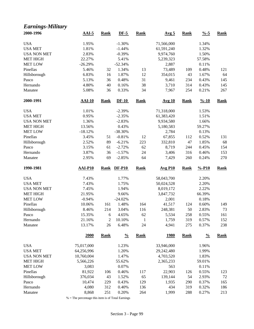#### *Earnings-Military*

| 2000-1996          | $AAI-5$                  | <b>Rank</b> | $DF-5$          | <b>Rank</b>        | Avg <sub>5</sub> | <b>Rank</b> | $\frac{0}{6}$ -5   | <b>Rank</b> |
|--------------------|--------------------------|-------------|-----------------|--------------------|------------------|-------------|--------------------|-------------|
| <b>USA</b>         | 1.95%                    |             | $-1.30%$        |                    | 71,566,000       |             | 1.34%              |             |
| <b>USA MET</b>     | 1.81%                    |             | $-1.44%$        |                    | 61,591,240       |             | 1.32%              |             |
| <b>USA NON MET</b> | 2.83%                    |             | $-0.39%$        |                    | 9,974,760        |             | 1.50%              |             |
| <b>MET HIGH</b>    | 22.27%                   |             | 5.41%           |                    | 5,239,323        |             | 57.58%             |             |
| <b>MET LOW</b>     | $-26.29%$                |             | $-52.34%$       |                    | 2,887            |             | 0.11%              |             |
| Pinellas           | 5.46%                    | 32          | 1.34%           | 13                 | 73,489           | 109         | 0.48%              | 121         |
| Hillsborough       | 6.83%                    | 16          | 1.87%           | 12                 | 354,015          | 43          | 1.67%              | 64          |
| Pasco              | 5.13%                    | 36          | 0.48%           | 31                 | 9,461            | 234         | 0.43%              | 145         |
| Hernando           | 4.80%                    | 40          | 0.16%           | 38                 | 3,710            | 314         | 0.43%              | 145         |
| Manatee            | 5.08%                    | 36          | 0.33%           | 34                 | 7,967            | 254         | 0.21%              | 267         |
| 2000-1991          | <b>AAI-10</b>            | <b>Rank</b> | $DF-10$         | <b>Rank</b>        | <b>Avg 10</b>    | <b>Rank</b> | $\frac{9}{6} - 10$ | <b>Rank</b> |
| <b>USA</b>         | 1.01%                    |             | $-2.39%$        |                    | 71,318,000       |             | 1.53%              |             |
| <b>USA MET</b>     | 0.95%                    |             | $-2.35%$        |                    | 61,383,420       |             | 1.51%              |             |
| <b>USA NON MET</b> | 1.36%                    |             | $-2.83%$        |                    | 9,934,580        |             | 1.66%              |             |
| <b>MET HIGH</b>    | 13.56%                   |             | 0.43%           |                    | 5,180,583        |             | 59.27%             |             |
| <b>MET LOW</b>     | $-18.12%$                |             | $-38.30%$       |                    | 2,784            |             | 0.13%              |             |
| Pinellas           | 3.45%                    | 51          | $-0.81%$        | 12                 | 67,855           | 112         | 0.52%              | 131         |
| Hillsborough       | 2.52%                    | 89          | $-6.21%$        | 223                | 332,810          | 47          | 1.85%              | 68          |
| Pasco              | 3.15%                    | 61          | $-2.72%$        | 62                 | 8,719            | 244         | 0.45%              | 154         |
| Hernando           | 3.87%                    | 36          | $-1.57%$        | 24                 | 3,406            | 316         | 0.46%              | 153         |
| Manatee            | 2.95%                    | 69          | $-2.85%$        | 64                 | 7,429            | 260         | 0.24%              | 270         |
|                    |                          |             |                 |                    |                  |             |                    |             |
| 1990-1981          | $AAI-P10$                | <b>Rank</b> | $DF-P10$        | <b>Rank</b>        | <b>Avg P10</b>   | <b>Rank</b> | $% -P10$           | <b>Rank</b> |
|                    |                          |             |                 |                    |                  |             |                    |             |
| <b>USA</b>         | 7.43%                    |             | 1.77%           |                    | 58,043,700       |             | 2.20%              |             |
| <b>USA MET</b>     | 7.43%                    |             | 1.75%           |                    | 50,024,528       |             | 2.20%              |             |
| <b>USA NON MET</b> | 7.45%                    |             | 1.94%           |                    | 8,019,172        |             | 2.22%              |             |
| <b>MET HIGH</b>    | 21.95%                   |             | 9.66%           |                    | 3,847,732        |             | 66.39%             |             |
| <b>MET LOW</b>     | $-0.94%$                 |             | $-24.02%$       |                    | 2,001            |             | 0.18%              |             |
| Pinellas           | 10.06%                   | 161         | 1.48%           | 164                | 41,517           | 124         | 0.60%              | 149         |
| Hillsborough       | 8.46%                    | 214         | 3.04%           | 116                | 248,381          | 50          | 2.83%              | 73          |
| Pasco<br>Hernando  | 15.35%                   | 6           | 4.65%           | 62                 | 5,534            | 258         | 0.55%              | 161         |
| Manatee            | 21.16%<br>13.17%         | 2<br>26     | 10.10%<br>6.48% | $\mathbf{1}$<br>24 | 1,759<br>4,941   | 319<br>275  | 0.57%<br>0.37%     | 152<br>238  |
|                    | 2000                     | <b>Rank</b> | $\frac{0}{0}$   | <b>Rank</b>        | <u>1980</u>      | <b>Rank</b> | $\frac{0}{0}$      | <b>Rank</b> |
| <b>USA</b>         | 75,017,000               |             | 1.23%           |                    | 33,946,000       |             | 1.96%              |             |
|                    |                          |             |                 |                    |                  |             | 1.99%              |             |
| <b>USA MET</b>     | 64,256,996<br>10,760,004 |             | 1.20%           |                    | 29,242,480       |             |                    |             |
| <b>USA NON MET</b> |                          |             | 1.47%           |                    | 4,703,520        |             | 1.83%              |             |
| <b>MET HIGH</b>    | 5,566,226                |             | 55.62%          |                    | 2,365,233        |             | 59.01%             |             |
| <b>MET LOW</b>     | 3,083                    |             | 0.07%           |                    | 563              |             | 0.11%              |             |
| Pinellas           | 81,922                   | 106         | 0.46%           | 117                | 22,903           | 126         | 0.55%              | 123         |
| Hillsborough       | 376,034                  | 43          | 1.52%           | 65                 | 139,144          | 54          | 2.93%              | 72          |
| Pasco<br>Hernando  | 10,474<br>4,080          | 229<br>312  | 0.43%<br>0.40%  | 129<br>136         | 1,935<br>434     | 290<br>319  | 0.37%<br>0.32%     | 165<br>186  |

% = The percentage this item is of Total Earnings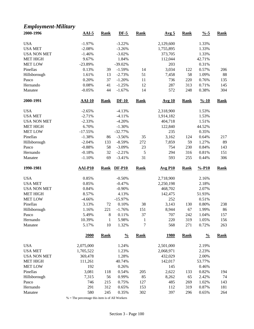#### *Employment-Military*

| 2000-1996           | $AAI-5$         | <b>Rank</b>        | $DF-5$         | <b>Rank</b>                    | Avg <sub>5</sub> | <b>Rank</b> | $\frac{0}{6}$ -5   | <b>Rank</b> |
|---------------------|-----------------|--------------------|----------------|--------------------------------|------------------|-------------|--------------------|-------------|
| <b>USA</b>          | $-1.97%$        |                    | $-3.22%$       |                                | 2,129,600        |             | 1.33%              |             |
| <b>USA MET</b>      | $-2.08%$        |                    | $-3.26%$       |                                | 1,755,895        |             | 1.33%              |             |
| <b>USA NON MET</b>  | $-1.46%$        |                    | $-3.02%$       |                                | 373,705          |             | 1.33%              |             |
| <b>MET HIGH</b>     | 9.67%           |                    | 1.84%          |                                | 112,044          |             | 42.71%             |             |
| <b>MET LOW</b>      | $-23.89%$       |                    | $-39.02%$      |                                | 203              |             | 0.31%              |             |
| Pinellas            | 0.13%           | 39                 | $-1.59%$       | 14                             | 3,034            | 122         | 0.57%              | 206         |
| Hillsborough        | 1.61%           | 13                 | $-2.73%$       | 51                             | 7,458            | 58          | 1.09%              | 88          |
| Pasco               | 0.20%           | 37                 | $-1.20%$       | 11                             | 736              | 220         | 0.76%              | 135         |
| Hernando            | 0.08%           | 41                 | $-1.25%$       | 12                             | 287              | 313         | 0.71%              | 145         |
| Manatee             | $-0.05%$        | 44                 | $-1.67%$       | 14                             | 572              | 248         | 0.38%              | 304         |
| 2000-1991           | <b>AAI-10</b>   | <b>Rank</b>        | $DF-10$        | <b>Rank</b>                    | <b>Avg 10</b>    | <b>Rank</b> | $\frac{9}{6} - 10$ | <b>Rank</b> |
| <b>USA</b>          | $-2.65%$        |                    | $-4.13%$       |                                | 2,318,900        |             | 1.53%              |             |
| <b>USA MET</b>      | $-2.71%$        |                    | $-4.11%$       |                                | 1,914,182        |             | 1.53%              |             |
| <b>USA NON MET</b>  | $-2.33%$        |                    | $-4.20%$       |                                | 404,718          |             | 1.51%              |             |
| <b>MET HIGH</b>     | 6.70%           |                    | $-1.30%$       |                                | 122,840          |             | 44.52%             |             |
| <b>MET LOW</b>      | $-17.55%$       |                    | $-32.77%$      |                                | 235              |             | 0.35%              |             |
| Pinellas            | $-1.38%$        | 86                 | $-3.56%$       | 35                             | 3,162            | 124         | 0.64%              | 217         |
| Hillsborough        | $-2.04%$        | 133                | $-8.59%$       | 272                            | 7,859            | 59          | 1.27%              | 89          |
| Pasco               | $-0.88%$        | 58                 | $-3.09%$       | 23                             | 754              | 230         | 0.84%              | 143         |
| Hernando            | $-0.18%$        | 32                 | $-2.21%$       | 5                              | 294              | 316         | 0.81%              | 151         |
| Manatee             | $-1.10%$        | 69                 | $-3.41%$       | 31                             | 593              | 255         | 0.44%              | 306         |
|                     |                 |                    |                |                                |                  |             |                    |             |
| 1990-1981           | <b>AAI-P10</b>  | <b>Rank</b>        | <b>DF-P10</b>  | <b>Rank</b>                    | <b>Avg P10</b>   | <b>Rank</b> | $% -P10$           | <b>Rank</b> |
|                     |                 |                    |                |                                |                  |             |                    |             |
| <b>USA</b>          | 0.85%           |                    | $-0.50%$       |                                | 2,718,900        |             | 2.16%              |             |
| <b>USA MET</b>      | 0.85%           |                    | $-0.47%$       |                                | 2,250,198        |             | 2.18%              |             |
| <b>USA NON MET</b>  | 0.84%           |                    | $-0.90%$       |                                | 468,702          |             | 2.07%              |             |
| <b>MET HIGH</b>     | 8.57%           |                    | 4.13%          |                                | 142,475          |             | 51.93%             |             |
| <b>MET LOW</b>      | $-4.66%$        |                    | $-15.97%$      |                                | 252              |             | 0.51%              |             |
| Pinellas            | 3.13%           | 72                 | 0.10%          | 38                             | 3,143            | 130         | 0.80%              | 238         |
| Hillsborough        | 1.16%           | 221                | $-1.76%$       | 151                            | 8,944            | 67          | 1.99%              | 86          |
| Pasco               | 5.49%           | 8                  | 0.11%          | 37                             | 707              | 242         | 1.04%              | 157         |
| Hernando<br>Manatee | 10.39%<br>5.17% | $\mathbf{1}$<br>10 | 5.98%<br>1.32% | $\mathbf{1}$<br>$\overline{7}$ | 220<br>568       | 319<br>271  | 1.05%<br>0.72%     | 156<br>263  |
|                     | <b>2000</b>     | <b>Rank</b>        | $\frac{0}{0}$  | <b>Rank</b>                    | <u>1980</u>      | <b>Rank</b> | $\frac{0}{0}$      | <b>Rank</b> |
| <b>USA</b>          |                 |                    |                |                                |                  |             | 2.19%              |             |
|                     | 2,075,000       |                    | 1.24%          |                                | 2,501,000        |             |                    |             |
| <b>USA MET</b>      | 1,705,522       |                    | 1.23%          |                                | 2,068,971        |             | 2.23%              |             |
| <b>USA NON MET</b>  | 369,478         |                    | 1.28%          |                                | 432,029          |             | 2.00%              |             |
| <b>MET HIGH</b>     | 111,261         |                    | 40.74%         |                                | 142,017          |             | 53.77%             |             |
| <b>MET LOW</b>      | 192             |                    | 0.26%          |                                | 145              |             | 0.46%              |             |
| Pinellas            | 3,081           | 118                | 0.54%          | 205                            | 2,622            | 133         | 0.82%              | 194         |
| Hillsborough        | 7,315           | 56                 | 0.99%          | 85                             | 8,262            | 65          | 2.42%              | 74          |
| Pasco<br>Hernando   | 746<br>291      | 215<br>312         | 0.75%<br>0.65% | 127<br>153                     | 485<br>112       | 269<br>319  | 1.02%<br>0.87%     | 143<br>181  |

 $\%$  = The percentage this item is of All Workers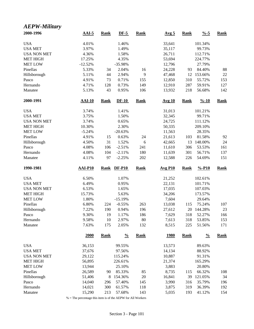#### *AEPW-Military* **2000-1996 AAI-5 Rank DF-5 Rank Avg 5 Rank %-5 Rank** USA 101.34% 1.46% 33,641 101.34% USA MET 3.97% 1.49% 35,117 99.73% USA NON MET 4.36% 1.58% 26,711 112.71% MET HIGH 17.25% 4.35% 53,694 224.77% MET LOW 12.52% -12.52% -35.98% 12,796 27.79% Pinellas 5.33% 34 2.04% 16 24,228 93 84.40% 88 Hillsborough 5.11% 44 2.94% 9 47,468 12 153.66% 22 Pasco 4.91% 73 0.71% 155 12,850 310 55.72% 153 Hernando 4.71% 128 0.73% 149 12,910 287 59.91% 127 Manatee 5.13% 43 0.95% 106 13,932 218 56.68% 142 **2000-1991 AAI-10 Rank DF-10 Rank Avg 10 Rank %-10 Rank** USA 3.74% 1.41% 31,013 101.21% USA MET 3.75% 1.50% 32,345 99.71% USA NON MET 3.74% 0.65% 24,725 111.12% MET HIGH 10.30% 2.30% 50,335 209.10% MET LOW  $-5.24\%$   $-20.63\%$   $11,563$   $28.35\%$ Pinellas 4.91% 15 0.63% 24 21,613 103 81.58% 92 Hillsborough 4.50% 31 1.52% 6 42,665 13 148.00% 24 Pasco 4.08% 106 -2.51% 241 11,610 306 53.53% 161 Hernando 4.08% 104 -2.11% 180 11,639 301 56.71% 137 Manatee 4.11% 97 -2.25% 202 12,588 226 54.69% 151 **1990-1981 AAI-P10 Rank DF-P10 Rank Avg P10 Rank %-P10 Rank** USA 6.50% 1.07% 21,252 102.61% USA MET 6.49% 0.95% 22,131 101.71% USA NON MET 6.53% 1.65% 17,035 107.03% MET HIGH 15.73% 5.63% 34,206 173.57% MET LOW 1.80% -15.19% 7,604 29.64% Pinellas 6.80% 224 -0.55% 263 13,038 115 75.24% 107 Hillsborough 7.22% 190 0.94% 196 27,612 20 144.28% 23 Pasco 9.30% 19 1.17% 186 7,629 318 52.27% 166 Hernando 9.58% 10 2.97% 80 7,613 318 53.85% 153 Manatee 7.63% 175 2.05% 132 8,515 225 51.56% 171 **2000 Rank % Rank 1980 Rank % Rank** USA 36,153 99.55% 13,573 89.63% USA MET 37,676 97.56% 14,134 88.92% USA NON MET 29,122 115.24% 10,887 91.31% MET HIGH 56,895 226.61% 21,374 165.29% MET LOW 13,944 25.10% 3,883 20.80% Pinellas 26,589 90 85.33% 85 8,735 115 66.32% 108 Hillsborough 51,406 8 154.36% 20 16,841 39 121.05% 34 Pasco 14,040 296 57.40% 145 3,990 316 35.79% 196 Hernando 14,021 300 61.57% 118 3,875 319 36.39% 192 Manatee 15,290 213 57.68% 143 5,035 193 41.12% 154

% = The percentage this item is of the AEPW for All Workers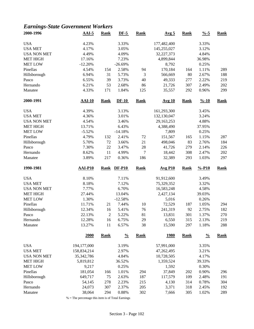# *Earnings-State Government Workers*

| 2000-1996           | $AAI-5$          | <b>Rank</b>    | $DF-5$         | <b>Rank</b>      | Avg <sub>5</sub> | <b>Rank</b> | $\frac{9}{6} - 5$  | <b>Rank</b> |
|---------------------|------------------|----------------|----------------|------------------|------------------|-------------|--------------------|-------------|
| <b>USA</b>          | 4.23%            |                | 3.33%          |                  | 177,482,400      |             | 3.33%              |             |
| <b>USA MET</b>      | 4.17%            |                | 3.05%          |                  | 145,255,027      |             | 3.12%              |             |
| <b>USA NON MET</b>  | 4.49%            |                | 4.09%          |                  | 32,227,373       |             | 4.84%              |             |
| <b>MET HIGH</b>     | 17.16%           |                | 7.23%          |                  | 4,899,844        |             | 36.98%             |             |
| <b>MET LOW</b>      | $-12.20%$        |                | $-26.69%$      |                  | 8,792            |             | 0.25%              |             |
| Pinellas            | 4.54%            | 154            | 2.58%          | 94               | 170,184          | 164         | 1.11%              | 289         |
| Hillsborough        | 6.94%            | 31             | 5.73%          | 3                | 566,669          | 80          | 2.67%              | 188         |
| Pasco               | 6.55%            | 39             | 3.73%          | 40               | 49,333           | 277         | 2.22%              | 219         |
| Hernando            | 6.21%            | 53             | 2.68%          | 86               | 21,726           | 307         | 2.49%              | 202         |
| Manatee             | 4.33%            | 171            | 1.84%          | 125              | 35,557           | 292         | 0.96%              | 299         |
| 2000-1991           | <b>AAI-10</b>    | <b>Rank</b>    | $DF-10$        | <b>Rank</b>      | <b>Avg 10</b>    | <b>Rank</b> | $\frac{9}{6} - 10$ | <b>Rank</b> |
| <b>USA</b>          | 4.39%            |                | 3.13%          |                  | 161,293,300      |             | 3.45%              |             |
| <b>USA MET</b>      | 4.36%            |                | 3.01%          |                  | 132,130,047      |             | 3.24%              |             |
| <b>USA NON MET</b>  | 4.54%            |                | 3.46%          |                  | 29,163,253       |             | 4.88%              |             |
| <b>MET HIGH</b>     | 13.71%           |                | 6.43%          |                  | 4,388,490        |             | 37.95%             |             |
| <b>MET LOW</b>      | $-5.52%$         |                | $-14.18%$      |                  | 7,809            |             | 0.25%              |             |
| Pinellas            | 4.79%            | 132            | 2.41%          | 72               | 151,567          | 165         | 1.15%              | 287         |
| Hillsborough        | 5.70%            | 72             | 3.66%          | 21               | 498,046          | 83          | 2.76%              | 184         |
| Pasco               | 7.30%            | 22             | 3.47%          | $28\,$           | 41,726           | 279         | 2.14%              | 226         |
| Hernando            | 8.62%            | $11\,$         | 4.99%          | $\boldsymbol{7}$ | 18,442           | 308         | 2.47%              | 202         |
| Manatee             | 3.89%            | 217            | 0.36%          | 186              | 32,389           | 293         | 1.03%              | 297         |
| 1990-1981           | <b>AAI-P10</b>   | <b>Rank</b>    | <b>DF-P10</b>  | <b>Rank</b>      | <b>Avg P10</b>   | <b>Rank</b> | $% -P10$           | <b>Rank</b> |
| <b>USA</b>          | 8.10%            |                | 7.11%          |                  | 91,912,600       |             | 3.49%              |             |
| <b>USA MET</b>      | 8.18%            |                | 7.12%          |                  | 75,329,352       |             | 3.32%              |             |
| <b>USA NON MET</b>  | 7.77%            |                | 6.70%          |                  | 16,583,248       |             | 4.58%              |             |
| <b>MET HIGH</b>     | 27.44%           |                | 13.04%         |                  | 2,427,134        |             | 39.03%             |             |
| <b>MET LOW</b>      | 1.30%            |                | $-12.58%$      |                  | 5,016            |             | 0.26%              |             |
| Pinellas            | 11.71%           | 21             | 7.44%          | 10               | 72,529           | 187         | 1.05%              | 294         |
| Hillsborough        | 12.34%           | 16             | 5.41%          | 76               | 241,319          | 92          | 2.75%              | 182         |
| Pasco               | 22.13%           | $\overline{2}$ | 5.22%          | 81               | 13,831           | 301         | 1.37%              | 270         |
| Hernando            | 12.28%           | 16             | 6.75%          | 29               | 6,550            | 315         | 2.13%              | 219         |
| Manatee             | 13.27%           | 11             | 6.57%          | 38               | 15,590           | 297         | 1.18%              | 288         |
|                     | 2000             | <b>Rank</b>    | $\frac{0}{0}$  | <b>Rank</b>      | <u>1980</u>      | <b>Rank</b> | $\frac{0}{0}$      | <b>Rank</b> |
| <b>USA</b>          | 194,177,000      |                | 3.19%          |                  | 57,991,000       |             | 3.35%              |             |
| <b>USA MET</b>      | 158,834,214      |                | 2.97%          |                  | 47,262,495       |             | 3.21%              |             |
| <b>USA NON MET</b>  | 35, 342, 786     |                | 4.84%          |                  | 10,728,505       |             | 4.17%              |             |
| <b>MET HIGH</b>     | 5,819,812        |                | 36.52%         |                  | 1,359,524        |             | 39.33%             |             |
| <b>MET LOW</b>      | 9,217            |                | 0.25%          |                  | 1,592            |             | 0.30%              |             |
| Pinellas            | 181,054          | 166            | 1.01%          | 294              | 37,849           | 202         | 0.90%              | 296         |
| Hillsborough        | 649,717          | 75             | 2.63%          | 187              | 117,579          | 109         | 2.48%              | 191         |
| Pasco               |                  |                |                |                  |                  |             |                    |             |
|                     |                  |                |                |                  |                  |             |                    |             |
|                     | 54,145           | 278            | 2.23%          | 215              | 4,130            | 314         | 0.78%              | 304         |
| Hernando<br>Manatee | 24,073<br>38,064 | 307<br>294     | 2.37%<br>0.88% | 205<br>302       | 3,371<br>7,666   | 318<br>305  | 2.45%<br>1.02%     | 192<br>289  |

% = The percentage this item is of Total Earnings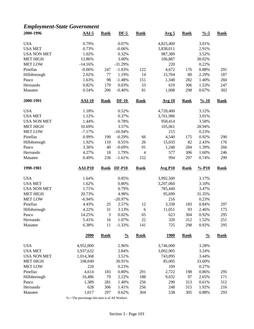# *Employment-State Government*

| 2000-1996          | $AAI-5$        | <b>Rank</b> | $DF-5$        | <b>Rank</b> | Avg <sub>5</sub> | <b>Rank</b> | $\frac{9}{6} - 5$  | <b>Rank</b> |
|--------------------|----------------|-------------|---------------|-------------|------------------|-------------|--------------------|-------------|
| <b>USA</b>         | 0.79%          |             | 0.07%         |             | 4,825,400        |             | 3.01%              |             |
| <b>USA MET</b>     | 0.73%          |             | $-0.06%$      |             | 3,838,011        |             | 2.91%              |             |
| <b>USA NON MET</b> | 1.02%          |             | 0.32%         |             | 987,389          |             | 3.52%              |             |
| <b>MET HIGH</b>    | 13.86%         |             | 3.00%         |             | 106,887          |             | 30.02%             |             |
| <b>MET LOW</b>     | $-14.16%$      |             | $-31.29%$     |             | 220              |             | 0.22%              |             |
| Pinellas           | $-0.06%$       | 247         | $-1.03%$      | 122         | 4,672            | 176         | 0.88%              | 291         |
| Hillsborough       | 2.02%          | 77          | 1.19%         | 14          | 15,704           | 80          | 2.29%              | 187         |
| Pasco              | 1.63%          | 98          | $-1.48%$      | 151         | 1,348            | 282         | 1.40%              | 260         |
| Hernando           | 0.82%          | 179         | 0.03%         | 53          | 619              | 306         | 1.53%              | 247         |
| Manatee            | 0.54%          | 206         | $-0.40%$      | 81          | 1,008            | 298         | 0.67%              | 302         |
| 2000-1991          | <b>AAI-10</b>  | <b>Rank</b> | $DF-10$       | <b>Rank</b> | <b>Avg 10</b>    | <b>Rank</b> | $\frac{9}{6} - 10$ | <b>Rank</b> |
| <b>USA</b>         | 1.18%          |             | 0.52%         |             | 4,720,400        |             | 3.12%              |             |
| <b>USA MET</b>     | 1.12%          |             | 0.37%         |             | 3,761,986        |             | 3.01%              |             |
| <b>USA NON MET</b> | 1.44%          |             | 0.78%         |             | 958,414          |             | 3.58%              |             |
| <b>MET HIGH</b>    | 10.69%         |             | 3.57%         |             | 105,061          |             | 28.94%             |             |
| <b>MET LOW</b>     | $-7.17%$       |             | $-16.94%$     |             | 215              |             | 0.23%              |             |
| Pinellas           | 0.99%          | 190         | $-0.29%$      | 66          | 4,540            | 175         | 0.92%              | 290         |
| Hillsborough       | 1.92%          | 110         | 0.55%         | 26          | 15,035           | 82          | 2.43%              | 176         |
| Pasco              | 3.36%          | 40          | $-0.69%$      | 91          | 1,248            | 284         | 1.39%              | 266         |
| Hernando           | 4.27%          | 18          | 1.79%         | 4           | 577              | 306         | 1.60%              | 246         |
| Manatee            | 0.49%          | 236         | $-1.61%$      | 152         | 994              | 297         | 0.74%              | 299         |
| 1990-1981          | <b>AAI-P10</b> | <b>Rank</b> | <b>DF-P10</b> | <b>Rank</b> | <b>Avg P10</b>   | <b>Rank</b> | $% -P10$           | <b>Rank</b> |
| <b>USA</b>         | 1.64%          |             | 0.85%         |             | 3,992,500        |             | 3.17%              |             |
| <b>USA MET</b>     | 1.62%          |             | 0.80%         |             | 3,207,060        |             | 3.10%              |             |
| <b>USA NON MET</b> | 1.71%          |             | 0.79%         |             | 785,440          |             | 3.47%              |             |
| <b>MET HIGH</b>    | 20.73%         |             | 4.98%         |             | 95,699           |             | 31.35%             |             |
| <b>MET LOW</b>     | $-6.94%$       |             | $-20.97%$     |             | 216              |             | 0.23%              |             |
| Pinellas           | 4.43%          | 25          | 2.57%         | 12          | 3,338            | 183         | 0.84%              | 297         |
| Hillsborough       | 4.22%          | 31          | 3.13%         | $\sqrt{6}$  | 11,051           | 93          | 2.46%              | 175         |
| Pasco              | 14.25%         | 3           | 0.02%         | 65          | 623              | 304         | 0.92%              | 295         |
| Hernando           | 5.41%          | 16          | 1.07%         | $22\,$      | 320              | 312         | 1.52%              | 251         |
| Manatee            | 6.38%          | 11          | $-1.33%$      | 141         | 725              | 298         | 0.92%              | 295         |
|                    | 2000           | <b>Rank</b> | $\frac{0}{0}$ | <b>Rank</b> | <u>1980</u>      | <b>Rank</b> | $\frac{0}{0}$      | <b>Rank</b> |
| <b>USA</b>         | 4,952,000      |             | 2.96%         |             | 3,746,000        |             | 3.28%              |             |
| <b>USA MET</b>     | 3,937,632      |             | 2.84%         |             | 3,002,905        |             | 3.24%              |             |
| <b>USA NON MET</b> | 1,014,368      |             | 3.51%         |             | 743,095          |             | 3.44%              |             |
| <b>MET HIGH</b>    | 108,049        |             | 30.91%        |             | 85,005           |             | 33.60%             |             |
| <b>MET LOW</b>     | 220            |             | 0.23%         |             | 109              |             | 0.27%              |             |
| Pinellas           | 4,614          | 183         | 0.80%         | 291         | 2,722            | 198         | 0.86%              | 295         |
| Hillsborough       | 16,486         | 79          | 2.22%         | 188         | 9,032            | 97          | 2.65%              | 171         |
| Pasco              | 1,389          | 281         | 1.40%         | 256         | 290              | 313         | 0.61%              | 312         |
| Hernando           | 628            | 306         | 1.41%         | 256         | 248              | 315         | 1.92%              | 216         |
| Manatee            | 1,017          | 297         | 0.62%         | 304         | 538              | 305         | 0.88%              | 293         |
|                    |                |             |               |             |                  |             |                    |             |

 $\%$  = The percentage this item is of All Workers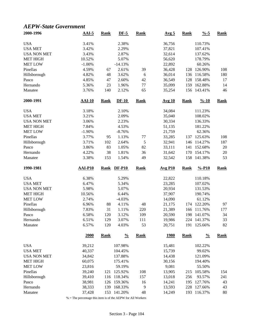#### *AEPW-State Government*

| 2000-1996           | $AAI-5$          | <b>Rank</b> | $DF-5$             | <b>Rank</b> | Avg <sub>5</sub> | <b>Rank</b> | $\frac{9}{6} - 5$      | <b>Rank</b> |
|---------------------|------------------|-------------|--------------------|-------------|------------------|-------------|------------------------|-------------|
| <b>USA</b>          | 3.41%            |             | 2.38%              |             | 36,756           |             | 110.73%                |             |
| <b>USA MET</b>      | 3.42%            |             | 2.29%              |             | 37,821           |             | 107.41%                |             |
| <b>USA NON MET</b>  | 3.43%            |             | 2.87%              |             | 32,614           |             | 137.62%                |             |
| <b>MET HIGH</b>     | 10.52%           |             | 5.07%              |             | 56,620           |             | 178.79%                |             |
| <b>MET LOW</b>      | $-1.00%$         |             | $-14.13%$          |             | 22,892           |             | 60.26%                 |             |
| Pinellas            | 4.59%            | 67          | 2.61%              | 39          | 36,428           | 128         | 126.90%                | 108         |
| Hillsborough        | 4.82%            | 48          | 3.62%              | 6           | 36,014           | 136         | 116.58%                | 180         |
| Pasco               | 4.85%            | 47          | 2.60%              | 42          | 36,549           | 128         | 158.48%                | 17          |
| Hernando            | 5.36%            | 23          | 1.96%              | $77 \,$     | 35,099           | 159         | 162.88%                | 14          |
| Manatee             | 3.76%            | 140         | 2.12%              | 65          | 35,254           | 156         | 143.41%                | 46          |
| 2000-1991           | <b>AAI-10</b>    | <b>Rank</b> | $DF-10$            | <b>Rank</b> | <b>Avg 10</b>    | <b>Rank</b> | $\frac{9}{6} - 10$     | <b>Rank</b> |
| <b>USA</b>          | 3.18%            |             | 2.10%              |             | 34,084           |             | 111.23%                |             |
| <b>USA MET</b>      | 3.21%            |             | 2.09%              |             | 35,040           |             | 108.02%                |             |
| <b>USA NON MET</b>  | 3.06%            |             | 2.23%              |             | 30,334           |             | 136.33%                |             |
| <b>MET HIGH</b>     | 7.84%            |             | 4.53%              |             | 51,135           |             | 181.22%                |             |
| <b>MET LOW</b>      | $-1.90\%$        |             | $-8.76%$           |             | 21,759           |             | 62.36%                 |             |
| Pinellas            | 3.77%            | 95          | 1.13%              | 77          | 33,285           | 137         | 125.63%                | 108         |
| Hillsborough        | 3.71%            | 102         | 2.64%              | 5           | 32,941           | 146         | 114.27%                | 187         |
| Pasco               | 3.86%            | 83          | 1.05%              | 82          | 33,111           | 141         | 152.68%                | $20\,$      |
| Hernando            | 4.22%            | 38          | 1.81%              | 36          | 31,642           | 170         | 154.17%                | $20\,$      |
| Manatee             | 3.38%            | 153         | 1.54%              | 49          | 32,542           | 158         | 141.38%                | 53          |
|                     |                  |             |                    |             |                  |             |                        |             |
| 1990-1981           | <b>AAI-P10</b>   | <b>Rank</b> | <b>DF-P10</b>      | <b>Rank</b> | <b>Avg P10</b>   | <b>Rank</b> | $% -P10$               | <b>Rank</b> |
|                     |                  |             |                    |             |                  |             |                        |             |
| <b>USA</b>          | 6.38%            |             | 5.29%              |             | 22,822           |             | 110.18%                |             |
| <b>USA MET</b>      | 6.47%            |             | 5.34%              |             | 23,285           |             | 107.02%                |             |
| <b>USA NON MET</b>  | 5.98%            |             | 5.07%              |             | 20,934           |             | 131.53%                |             |
| <b>MET HIGH</b>     | 10.56%           |             | 6.44%              |             | 37,907           |             | 190.74%                |             |
| <b>MET LOW</b>      | 2.74%            |             | $-4.03%$           |             | 14,090           |             | 61.12%                 |             |
| Pinellas            | 6.96%            | 88          | 4.11%              | 48          | 21,175           | 174         | 122.20%                | 97          |
| Hillsborough        | 7.83%            | 31          | 1.11%              | 220         | 21,389           | 166         | 111.76%                | 177         |
| Pasco               | 6.58%            | 120         | 3.12%              | 109         | 20,590           | 198         | 141.07%                | 34          |
| Hernando<br>Manatee | 6.51%<br>6.57%   | 129<br>120  | 3.07%<br>4.03%     | 111<br>53   | 19,986<br>20,751 | 191         | 224 141.37%<br>125.66% | 33<br>82    |
|                     | 2000             | <b>Rank</b> | $\frac{0}{0}$      | <b>Rank</b> | <u>1980</u>      | <b>Rank</b> | $\frac{0}{0}$          | <b>Rank</b> |
|                     |                  |             |                    |             |                  |             |                        |             |
| <b>USA</b>          | 39,212           |             | 107.98%            |             | 15,481           |             | 102.22%                |             |
| <b>USA MET</b>      | 40,337           |             | 104.45%            |             | 15,739           |             | 99.02%                 |             |
| <b>USA NON MET</b>  | 34,842           |             | 137.88%            |             | 14,438           |             | 121.09%                |             |
| <b>MET HIGH</b>     | 60,075           |             | 175.41%            |             | 30,156           |             | 194.40%                |             |
| <b>MET LOW</b>      | 23,816           |             | 59.19%             |             | 9,081            |             | 55.50%                 |             |
| Pinellas            | 39,240           |             | 121 125.92%        | 108         | 13,905           | 215         | 105.58%                | 154         |
| Hillsborough        | 39,410           | 116         | 118.34%            | 157         | 13,018           | 256         | 93.57%                 | 241         |
| Pasco<br>Hernando   | 38,981<br>38,333 | 126<br>139  | 159.36%<br>168.33% | 16<br>9     | 14,241<br>13,593 | 195<br>228  | 127.76%<br>127.66%     | 43<br>43    |

% = The percentage this item is of the AEPW for All Workers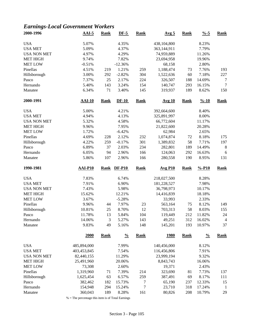# *Earnings-Local Government Workers*

| 2000-1996          | $AAI-5$        | <b>Rank</b> | $DF-5$        | <b>Rank</b> | Avg <sub>5</sub> | <b>Rank</b> | $\frac{9}{6} - 5$  | <b>Rank</b>    |
|--------------------|----------------|-------------|---------------|-------------|------------------|-------------|--------------------|----------------|
| <b>USA</b>         | 5.07%          |             | 4.35%         |             | 438,104,800      |             | 8.23%              |                |
| <b>USA MET</b>     | 5.09%          |             | 4.37%         |             | 363,144,911      |             | 7.79%              |                |
| <b>USA NON MET</b> | 4.97%          |             | 4.29%         |             | 74,959,889       |             | 11.26%             |                |
| <b>MET HIGH</b>    | 9.74%          |             | 7.82%         |             | 23,694,958       |             | 19.96%             |                |
| <b>MET LOW</b>     | $-0.51%$       |             | $-12.36%$     |             | 68,158           |             | 2.80%              |                |
| Pinellas           | 4.51%          | 219         | 1.21%         | 259         | 1,188,474        | 73          | 7.76%              | 193            |
| Hillsborough       | 3.00%          | 292         | $-2.82%$      | 304         | 1,522,636        | 60          | 7.18%              | 227            |
| Pasco              | 7.37%          | 25          | 2.17%         | 224         | 326,507          | 188         | 14.69%             | $\tau$         |
| Hernando           | 5.40%          | 143         | 3.24%         | 154         | 140,747          | 293         | 16.15%             | $\overline{7}$ |
| Manatee            | 6.34%          | 71          | 3.40%         | 145         | 319,937          | 189         | 8.62%              | 150            |
| 2000-1991          | $AAI-10$       | <b>Rank</b> | $DF-10$       | <b>Rank</b> | <b>Avg 10</b>    | <b>Rank</b> | $\frac{9}{6} - 10$ | <b>Rank</b>    |
| <b>USA</b>         | 5.00%          |             | 4.21%         |             | 392,664,600      |             | 8.40%              |                |
| <b>USA MET</b>     | 4.94%          |             | 4.13%         |             | 325,891,997      |             | 8.00%              |                |
| <b>USA NON MET</b> | 5.32%          |             | 4.58%         |             | 66,772,604       |             | 11.17%             |                |
| <b>MET HIGH</b>    | 9.96%          |             | 7.95%         |             | 21,822,600       |             | 20.28%             |                |
| <b>MET LOW</b>     | 1.72%          |             | $-6.42%$      |             | 62,984           |             | 2.65%              |                |
| Pinellas           | 4.69%          | 228         | 2.12%         | 232         | 1,074,874        | 72          | 8.18%              | 175            |
|                    |                |             |               |             |                  |             |                    |                |
| Hillsborough       | 4.22%          | 259         | $-0.17%$      | 301         | 1,389,832        | 58          | 7.71%              | 197            |
| Pasco              | 6.89%          | 37          | 2.03%         | 234         | 282,801          | 189         | 14.49%             | 8              |
| Hernando           | 6.05%          | 94          | 2.96%         | 166         | 124,063          | 292         | 16.63%             | 6              |
| Manatee            | 5.86%          | 107         | 2.96%         | 166         | 280,558          | 190         | 8.95%              | 131            |
| 1990-1981          | <b>AAI-P10</b> | <b>Rank</b> | <b>DF-P10</b> | <b>Rank</b> | <b>Avg P10</b>   | <b>Rank</b> | $% -P10$           | <b>Rank</b>    |
| <b>USA</b>         | 7.83%          |             | 6.74%         |             | 218,027,500      |             | 8.28%              |                |
| <b>USA MET</b>     | 7.91%          |             | 6.90%         |             | 181,228,527      |             | 7.98%              |                |
| <b>USA NON MET</b> | 7.43%          |             | 5.98%         |             | 36,798,973       |             | 10.17%             |                |
| <b>MET HIGH</b>    | 15.62%         |             | 12.21%        |             | 14,416,839       |             | 18.18%             |                |
| <b>MET LOW</b>     | 3.67%          |             | $-5.28%$      |             | 33,993           |             | 2.33%              |                |
| Pinellas           | 9.96%          | 44          | 7.97%         | 23          | 563,164          | 75          | 8.12%              | 149            |
| Hillsborough       | 10.81%         | 25          | 8.70%         | 12          | 703,313          | 58          | 8.03%              | 155            |
| Pasco              | 11.78%         | 13          | 5.84%         | 104         | 119,449          | 212         | 11.82%             | 24             |
| Hernando           | 14.06%         | 3           | 5.27%         | 143         | 49,251           | 312         | 16.02%             | $\overline{4}$ |
| Manatee            | 9.83%          | 49          | 5.16%         | 148         | 145,201          | 193         | 10.97%             | 37             |
|                    | 2000           | <b>Rank</b> | $\frac{0}{0}$ | <b>Rank</b> | <u>1980</u>      | <b>Rank</b> | $\frac{0}{0}$      | <b>Rank</b>    |
| <b>USA</b>         | 485,894,000    |             | 7.99%         |             | 140,456,000      |             | 8.12%              |                |
| <b>USA MET</b>     | 403,453,845    |             | 7.54%         |             | 116,456,806      |             | 7.91%              |                |
| <b>USA NON MET</b> | 82,440,155     |             | 11.29%        |             | 23,999,194       |             | 9.32%              |                |
| <b>MET HIGH</b>    | 25,491,960     |             | 20.06%        |             | 8,843,743        |             | 16.06%             |                |
| <b>MET LOW</b>     | 73,308         |             | 2.60%         |             | 19,371           |             | 2.43%              |                |
| Pinellas           | 1,319,960      | 71          | 7.39%         | 214         | 323,690          | 81          | 7.73%              | 137            |
| Hillsborough       | 1,625,454      | 63          | 6.57%         | 259         | 387,491          | 69          | 8.17%              | 111            |
| Pasco              | 382,462        | 182         | 15.73%        | 7           | 65,190           | 237         | 12.33%             | 15             |
| Hernando           | 154,948        | 294         | 15.24%        | 7           | 23,710           | 318         | 17.24%             | $\mathbf{1}$   |
| Manatee            | 360,043        | 189         | 8.28%         | 161         | 80,826           | 208         | 10.79%             | 29             |
|                    |                |             |               |             |                  |             |                    |                |

% = The percentage this item is of Total Earnings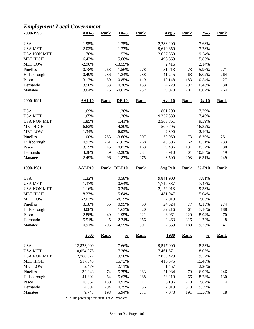# *Employment-Local Government*

| 2000-1996           | $AAI-5$        | <b>Rank</b> | $DF-5$          | <b>Rank</b> | Avg <sub>5</sub> | <b>Rank</b> | $\frac{9}{6} - 5$  | <b>Rank</b>    |
|---------------------|----------------|-------------|-----------------|-------------|------------------|-------------|--------------------|----------------|
| <b>USA</b>          | 1.95%          |             | 1.75%           |             | 12,288,200       |             | 7.68%              |                |
| <b>USA MET</b>      | 2.02%          |             | 1.77%           |             | 9,610,650        |             | 7.28%              |                |
| <b>USA NON MET</b>  | 1.70%          |             | 1.52%           |             | 2,677,550        |             | 9.54%              |                |
| <b>MET HIGH</b>     | 6.42%          |             | 5.66%           |             | 498,663          |             | 15.85%             |                |
| <b>MET LOW</b>      | $-2.90%$       |             | $-13.55%$       |             | 2,416            |             | 2.14%              |                |
| Pinellas            | 0.78%          | 268         | $-1.56%$        | 278         | 31,713           | 73          | 5.96%              | 271            |
| Hillsborough        | 0.49%          | 286         | $-1.84%$        | 288         | 41,245           | 63          | 6.02%              | 264            |
| Pasco               | 3.17%          | 50          | 0.85%           | 119         | 10,148           | 183         | 10.54%             | $27\,$         |
| Hernando            | 3.50%          | 33          | 0.36%           | 153         | 4,223            | 297         | 10.46%             | 30             |
| Manatee             | 3.64%          | 26          | $-0.62%$        | 232         | 9,078            | 201         | 6.02%              | 264            |
| 2000-1991           | <b>AAI-10</b>  | <b>Rank</b> | $DF-10$         | <b>Rank</b> | <b>Avg 10</b>    | <b>Rank</b> | $\frac{9}{6} - 10$ | <b>Rank</b>    |
| <b>USA</b>          | 1.69%          |             | 1.36%           |             | 11,801,200       |             | 7.79%              |                |
| <b>USA MET</b>      | 1.65%          |             | 1.26%           |             | 9,237,339        |             | 7.40%              |                |
| <b>USA NON MET</b>  | 1.85%          |             | 1.41%           |             | 2,563,861        |             | 9.59%              |                |
| <b>MET HIGH</b>     | 6.62%          |             | 4.80%           |             | 500,705          |             | 16.32%             |                |
| <b>MET LOW</b>      |                |             |                 |             | 2,390            |             |                    |                |
|                     | $-1.34%$       |             | $-6.93%$        |             |                  |             | 2.10%              |                |
| Pinellas            | 1.00%          | 253         | $-3.60%$        | 307         | 30,959           | 73          | 6.30%              | 251            |
| Hillsborough        | 0.93%          | 261         | $-1.63%$        | 268         | 40,306           | 62          | 6.51%              | 233            |
| Pasco               | 3.19%          | 45          | 0.03%           | 163         | 9,406            | 191         | 10.52%             | 30             |
| Hernando            | 3.28%          | 39          | $-2.20%$        | 284         | 3,910            | 301         | 10.85%             | 19             |
| Manatee             | 2.49%          | 96          | $-1.87%$        | 275         | 8,500            | 203         | 6.31%              | 249            |
| 1990-1981           | <b>AAI-P10</b> | <b>Rank</b> | <b>DF-P10</b>   | <b>Rank</b> | <b>Avg P10</b>   | <b>Rank</b> | $% -P10$           | <b>Rank</b>    |
| <b>USA</b>          | 1.32%          |             | 0.58%           |             | 9,841,900        |             | 7.81%              |                |
| <b>USA MET</b>      | 1.37%          |             | 0.64%           |             | 7,719,887        |             | 7.47%              |                |
| <b>USA NON MET</b>  | 1.16%          |             | 0.24%           |             | 2,122,013        |             | 9.38%              |                |
| <b>MET HIGH</b>     | 8.23%          |             | 5.64%           |             | 481,947          |             | 15.04%             |                |
| <b>MET LOW</b>      | $-2.03%$       |             | $-8.19%$        |             | 2,019            |             | 2.03%              |                |
| Pinellas            | 3.18%          | 35          | 0.99%           | 33          | 24,324           | 77          | 6.15%              | 274            |
| Hillsborough        | 3.08%          | 44          | 1.63%           | 20          | 32,216           | 61          | 7.16%              | 188            |
| Pasco               | 2.88%          | 49          | $-1.95%$        | 221         | 6,061            | 220         | 8.94%              | 70             |
| Hernando            | 5.51%          | 5           | $-2.74%$        | 256         | 2,463            | 316         | 11.72%             | $8\phantom{1}$ |
| Manatee             | 0.91%          | 206         | $-4.55%$        | 301         | 7,659            | 188         | 9.73%              | 41             |
|                     | 2000           | <b>Rank</b> | $\frac{0}{0}$   | <b>Rank</b> | <u>1980</u>      | <b>Rank</b> | $\frac{0}{0}$      | <b>Rank</b>    |
|                     |                |             |                 |             |                  |             |                    |                |
|                     |                |             |                 |             |                  |             |                    |                |
| <b>USA</b>          | 12,823,000     |             | 7.66%           |             | 9,517,000        |             | 8.33%              |                |
| <b>USA MET</b>      | 10,054,978     |             | 7.26%           |             | 7,461,571        |             | 8.05%              |                |
| <b>USA NON MET</b>  | 2,768,022      |             | 9.58%           |             | 2,055,429        |             | 9.52%              |                |
| <b>MET HIGH</b>     | 517,043        |             | 15.73%          |             | 418,375          |             | 15.48%             |                |
| <b>MET LOW</b>      | 2,479          |             | 2.11%           |             | 1,457            |             | 2.20%              |                |
| Pinellas            | 32,943         | 74          | 5.75%           | 283         | 21,984           | 79          | 6.92%              | 246            |
| Hillsborough        | 41,802         | 64          | 5.63%           | 288         | 28,219           | 66          | 8.28%              | 130            |
| Pasco               | 10,862         | 180         | 10.92%          | 17          | 6,106            | 210         | 12.87%             | $\overline{4}$ |
| Hernando<br>Manatee | 4,597<br>9,748 | 294<br>198  | 10.29%<br>5.94% | 36<br>271   | 2,013<br>7,073   | 318<br>191  | 15.59%<br>11.56%   | 1<br>18        |

 $\%$  = The percentage this item is of All Workers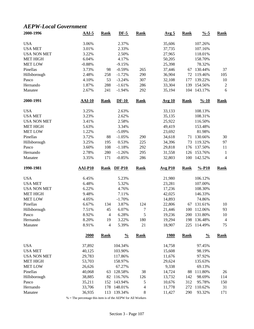#### *AEPW-Local Government*

| 2000-1996           | $AAI-5$          | <b>Rank</b> | $DF-5$             | <b>Rank</b>     | Avg <sub>5</sub> | <b>Rank</b> | $\frac{9}{6} - 5$  | <b>Rank</b>          |
|---------------------|------------------|-------------|--------------------|-----------------|------------------|-------------|--------------------|----------------------|
| <b>USA</b>          | 3.06%            |             | 2.37%              |                 | 35,606           |             | 107.26%            |                      |
| <b>USA MET</b>      | 3.01%            |             | 2.33%              |                 | 37,735           |             | 107.16%            |                      |
| <b>USA NON MET</b>  | 3.22%            |             | 2.50%              |                 | 27,965           |             | 118.01%            |                      |
| <b>MET HIGH</b>     | 6.04%            |             | 4.17%              |                 | 50,205           |             | 158.70%            |                      |
| <b>MET LOW</b>      | $-0.88%$         |             | $-9.15%$           |                 | 25,398           |             | 78.32%             |                      |
| Pinellas            | 3.73%            | 98          | $-0.59%$           | 265             | 37,446           | 67          | 130.44%            | 37                   |
| Hillsborough        | 2.48%            | 258         | $-1.72%$           | 290             | 36,904           | 72          | 119.46%            | 105                  |
| Pasco               | 4.10%            | 53          | $-3.24%$           | 307             | 32,108           | 177         | 139.22%            | 10                   |
| Hernando            | 1.87%            | 288         | $-1.61%$           | 286             | 33,304           | 139         | 154.56%            | $\overline{c}$       |
| Manatee             | 2.67%            | 241         | $-1.94%$           | 292             | 35,194           | 104         | 143.17%            | 6                    |
| 2000-1991           | <b>AAI-10</b>    | <b>Rank</b> | $DF-10$            | <b>Rank</b>     | <b>Avg 10</b>    | <b>Rank</b> | $\frac{9}{6} - 10$ | <b>Rank</b>          |
| <b>USA</b>          | 3.25%            |             | 2.63%              |                 | 33,133           |             | 108.13%            |                      |
| <b>USA MET</b>      | 3.23%            |             | 2.62%              |                 | 35,135           |             | 108.31%            |                      |
| <b>USA NON MET</b>  | 3.41%            |             | 2.58%              |                 | 25,922           |             | 116.50%            |                      |
| <b>MET HIGH</b>     | 5.63%            |             | 3.34%              |                 | 49,419           |             | 153.48%            |                      |
| <b>MET LOW</b>      | 1.22%            |             | $-5.09%$           |                 | 23,692           |             | 81.98%             |                      |
| Pinellas            | 3.72%            | 88          | $-1.05%$           | 290             | 34,618           | 71          | 130.66%            | 30                   |
| Hillsborough        | 3.25%            | 195         | 0.53%              | 225             | 34,396           | 73          | 119.32%            | 97                   |
| Pasco               | 3.60%            | 108         | $-1.18%$           | 292             | 29,818           | 176         | 137.50%            | 11                   |
| Hernando            | 2.78%            | 280         | $-1.26%$           | 295             | 31,558           | 126         | 153.76%            | 1                    |
| Manatee             | 3.35%            | 171         | $-0.85%$           | 286             | 32,803           | 100         | 142.52%            | $\overline{4}$       |
|                     |                  |             |                    |                 |                  |             |                    |                      |
| 1990-1981           | <b>AAI-P10</b>   | <b>Rank</b> | <b>DF-P10</b>      | <b>Rank</b>     | <b>Avg P10</b>   | <b>Rank</b> | $% -P10$           | <b>Rank</b>          |
|                     |                  |             |                    |                 |                  |             |                    |                      |
| <b>USA</b>          | 6.45%            |             | 5.23%              |                 | 21,980           |             | 106.12%            |                      |
| <b>USA MET</b>      | 6.48%            |             | 5.32%              |                 | 23,281           |             | 107.00%            |                      |
| <b>USA NON MET</b>  | 6.22%            |             | 4.76%              |                 | 17,236           |             | 108.30%            |                      |
| <b>MET HIGH</b>     | 9.48%            |             | 7.11%              |                 | 42,025           |             | 146.33%            |                      |
| <b>MET LOW</b>      | 4.05%            |             | $-1.70%$           |                 | 14,893           |             | 74.86%             |                      |
| Pinellas            | 6.67%            | 134         | 3.87%              | 124             | 22,806           | 67          | 131.61%            | 10                   |
| Hillsborough        | 7.51%            | 45          | 6.07%              | 7               | 21,446           | 100         | 112.06%            | 93                   |
| Pasco               | 8.92%            | 4           | 6.28%              | 5               | 19,236           | 200         | 131.80%            | 10                   |
| Hernando<br>Manatee | 8.20%<br>8.91%   | 19<br>4     | 3.22%<br>5.39%     | 180<br>21       | 19,294<br>18,907 | 198<br>225  | 136.48%<br>114.49% | $\overline{4}$<br>75 |
|                     | 2000             | <b>Rank</b> | $\frac{0}{0}$      | <b>Rank</b>     | <u>1980</u>      | <b>Rank</b> | $\frac{0}{0}$      | <b>Rank</b>          |
|                     |                  |             |                    |                 |                  |             |                    |                      |
| <b>USA</b>          | 37,892           |             | 104.34%            |                 | 14,758           |             | 97.45%             |                      |
| <b>USA MET</b>      | 40,125           |             | 103.90%            |                 | 15,608           |             | 98.19%<br>97.92%   |                      |
| <b>USA NON MET</b>  | 29,783           |             | 117.86%            |                 | 11,676           |             |                    |                      |
| <b>MET HIGH</b>     | 53,703           |             | 158.97%            |                 | 29,624           |             | 135.63%            |                      |
| <b>MET LOW</b>      | 26,626           |             | 67.27%             |                 | 9,338            |             | 69.13%             |                      |
| Pinellas            | 40,068           | 63          | 128.58%            | 38              | 14,724           | 88          | 111.80%            | 26                   |
| Hillsborough        | 38,885           | 82          | 116.76%            | 126             | 13,732           | 142         | 98.69%             | 114                  |
| Pasco<br>Hernando   | 35,211<br>33,706 | 152<br>178  | 143.94%<br>148.01% | $\sqrt{5}$<br>4 | 10,676<br>11,778 | 312<br>272  | 95.78%<br>110.62%  | 150<br>31            |

% = The percentage this item is of the AEPW for All Workers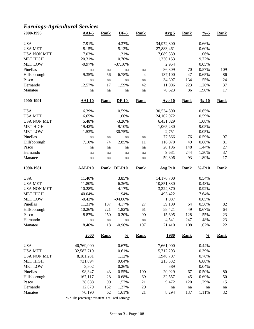# *Earnings-Agricultural Services*

| 2000-1996          | $AAI-5$        | <b>Rank</b> | $DF-5$        | <b>Rank</b> | Avg <sub>5</sub> | <b>Rank</b> | $\frac{0}{6}$ -5   | <b>Rank</b> |
|--------------------|----------------|-------------|---------------|-------------|------------------|-------------|--------------------|-------------|
| <b>USA</b>         | 7.91%          |             | 4.37%         |             | 34,972,800       |             | 0.66%              |             |
| <b>USA MET</b>     | 8.15%          |             | 5.13%         |             | 27,883,461       |             | 0.60%              |             |
| <b>USA NON MET</b> | 7.03%          |             | 1.31%         |             | 7,089,339        |             | 1.06%              |             |
| <b>MET HIGH</b>    | 20.31%         |             | 10.70%        |             | 1,230,153        |             | 9.72%              |             |
| <b>MET LOW</b>     | $-0.97%$       |             | $-37.10%$     |             | 2,954            |             | 0.05%              |             |
| Pinellas           | na             | na          | na            | na          | 86,809           | 70          | 0.57%              | 109         |
| Hillsborough       | 9.35%          | 56          | 6.78%         | 4           | 137,100          | 47          | 0.65%              | 86          |
| Pasco              | na             | na          | na            | na          | 34,397           | 134         | 1.55%              | 24          |
| Hernando           | 12.57%         | 17          | 1.59%         | 42          | 11,006           | 223         | 1.26%              | 37          |
| Manatee            | na             | na          | na            | na          | 70,623           | 86          | 1.90%              | 17          |
| 2000-1991          | $AAI-10$       | <b>Rank</b> | $DF-10$       | <b>Rank</b> | <b>Avg 10</b>    | <b>Rank</b> | $\frac{9}{6} - 10$ | <b>Rank</b> |
| <b>USA</b>         | 6.39%          |             | 0.59%         |             | 30,534,800       |             | 0.65%              |             |
| <b>USA MET</b>     | 6.65%          |             | 1.66%         |             | 24,102,972       |             | 0.59%              |             |
| <b>USA NON MET</b> | 5.48%          |             | $-3.26%$      |             | 6,431,829        |             | 1.08%              |             |
| <b>MET HIGH</b>    | 19.42%         |             | 9.10%         |             | 1,065,230        |             | 9.05%              |             |
| <b>MET LOW</b>     | $-1.53%$       |             | $-30.75%$     |             | 2,751            |             | 0.05%              |             |
| Pinellas           | na             | na          | na            | na          | 77,566           | 76          | 0.59%              | 97          |
| Hillsborough       | 7.10%          | 74          | 2.85%         | 11          | 118,070          | 49          | 0.66%              | 81          |
| Pasco              | na             | na          | na            | na          | 28,196           | 148         | 1.44%              | $27\,$      |
| Hernando           |                |             |               |             | 9,681            | 244         | 1.30%              | 37          |
| Manatee            | na<br>na       | na<br>na    | na<br>na      | na<br>na    | 59,306           | 93          | 1.89%              | 17          |
| 1990-1981          | <b>AAI-P10</b> | <b>Rank</b> | $DF-P10$      | <b>Rank</b> | <b>Avg P10</b>   | <b>Rank</b> | $% -P10$           | <b>Rank</b> |
|                    |                |             |               |             |                  |             |                    |             |
| <b>USA</b>         | 11.40%         |             | 3.85%         |             | 14,176,700       |             | 0.54%              |             |
| <b>USA MET</b>     | 11.80%         |             | 6.36%         |             | 10,851,830       |             | 0.48%              |             |
| <b>USA NON MET</b> | 10.28%         |             | $-4.17%$      |             | 3,324,870        |             | 0.92%              |             |
| <b>MET HIGH</b>    | 40.04%         |             | 11.94%        |             | 493,422          |             | 7.64%              |             |
| <b>MET LOW</b>     | $-0.43%$       |             | $-94.06%$     |             | 1,087            |             | 0.05%              |             |
| Pinellas           | 11.31%         | 187         | 4.17%         | 27          | 39,109           | 64          | 0.56%              | 82          |
| Hillsborough       | 10.26%         | 221         | 1.82%         | 61          | 58,421           | 49          | 0.67%              | 64          |
| Pasco              | 8.87%          | 250         | 0.20%         | 90          | 15,695           | 128         | 1.55%              | 23          |
| Hernando           | na             | na          | $\rm na$      | na          | 4,541            | 247         | 1.48%              | 23          |
| Manatee            | 18.46%         | 18          | $-0.96%$      | 107         | 21,410           | 108         | 1.62%              | $22\,$      |
|                    | 2000           | <b>Rank</b> | $\frac{0}{0}$ | <b>Rank</b> | <u>1980</u>      | <b>Rank</b> | $\frac{0}{0}$      | <b>Rank</b> |
| <b>USA</b>         | 40,769,000     |             | 0.67%         |             | 7,661,000        |             | 0.44%              |             |
| <b>USA MET</b>     | 32,587,719     |             | 0.61%         |             | 5,712,293        |             | 0.39%              |             |
| <b>USA NON MET</b> | 8,181,281      |             | 1.12%         |             | 1,948,707        |             | 0.76%              |             |
| <b>MET HIGH</b>    | 731,094        |             | 9.04%         |             | 213,332          |             | 6.88%              |             |
| <b>MET LOW</b>     | 3,502          |             | 0.26%         |             | 589              |             | 0.04%              |             |
| Pinellas           | 98,347         | 43          | 0.55%         | 100         | 20,929           | 67          | 0.50%              | 80          |
| Hillsborough       | 167,117        | 28          | 0.68%         | 69          | 32,557           | 45          | 0.69%              | 50          |
| Pasco              | 38,088         | 90          | 1.57%         | 21          | 9,472            | 120         | 1.79%              | 15          |
| Hernando           | 12,879         | 152         | 1.27%         | 29          | na               | na          | na                 | $\,$ na     |
| Manatee            | 70,190         | 62          | 1.61%         | 21          | 8,294            | 137         | 1.11%              | 32          |
|                    |                |             |               |             |                  |             |                    |             |

% = The percentage this item is of Total Earnings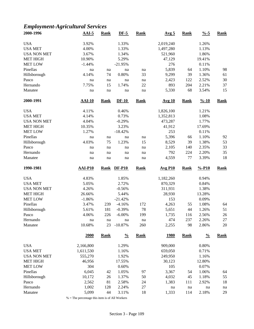# *Employment-Agricultural Services*

| 2000-1996          | $AAI-5$        | <b>Rank</b> | $DF-5$        | <b>Rank</b>         | Avg <sub>5</sub> | <b>Rank</b> | $\frac{9}{6} - 5$  | <b>Rank</b> |
|--------------------|----------------|-------------|---------------|---------------------|------------------|-------------|--------------------|-------------|
| <b>USA</b>         | 3.92%          |             | 1.33%         |                     | 2,019,240        |             | 1.26%              |             |
| <b>USA MET</b>     | 4.00%          |             | 1.33%         |                     | 1,497,280        |             | 1.13%              |             |
| <b>USA NON MET</b> | 3.67%          |             | 1.34%         |                     | 521,960          |             | 1.86%              |             |
| <b>MET HIGH</b>    | 10.90%         |             | 5.29%         |                     | 47,129           |             | 19.41%             |             |
| <b>MET LOW</b>     | $-1.44%$       |             | $-21.95%$     |                     | 276              |             | 0.11%              |             |
| Pinellas           | na             | na          | na            | na                  | 5,839            | 64          | 1.10%              | 98          |
| Hillsborough       | 4.14%          | 74          | 0.80%         | 33                  | 9,299            | 39          | 1.36%              | 61          |
| Pasco              | na             | na          | na            | na                  | 2,423            | 122         | 2.52%              | 30          |
| Hernando           | 7.75%          | 15          | 1.74%         | 22                  | 893              | 204         | 2.21%              | 37          |
| Manatee            |                |             |               |                     | 5,330            | 68          | 3.54%              | 15          |
|                    | na             | na          | na            | na                  |                  |             |                    |             |
| 2000-1991          | <b>AAI-10</b>  | <b>Rank</b> | $DF-10$       | <b>Rank</b>         | <b>Avg 10</b>    | <b>Rank</b> | $\frac{9}{6} - 10$ | <b>Rank</b> |
| <b>USA</b>         | 4.11%          |             | 0.46%         |                     | 1,826,100        |             | 1.21%              |             |
| <b>USA MET</b>     | 4.14%          |             | 0.73%         |                     | 1,352,813        |             | 1.08%              |             |
| <b>USA NON MET</b> | 4.04%          |             | $-0.29%$      |                     | 473,287          |             | 1.77%              |             |
| <b>MET HIGH</b>    | 10.35%         |             | 3.23%         |                     | 41,912           |             | 17.69%             |             |
| <b>MET LOW</b>     | 1.27%          |             | $-18.42%$     |                     | 253              |             | 0.11%              |             |
| Pinellas           | na             | na          | na            | na                  | 5,396            | 66          | 1.10%              | 92          |
| Hillsborough       | 4.03%          | 75          | 1.23%         | 15                  | 8,529            | 39          | 1.38%              | 53          |
| Pasco              | na             | na          | na            | na                  | 2,105            | 140         | 2.35%              | 33          |
| Hernando           | na             | na          | na            | na                  | 792              | 224         | 2.20%              | 35          |
| Manatee            | na             | na          | na            | na                  | 4,559            | 77          | 3.39%              | 18          |
| 1990-1981          | <b>AAI-P10</b> | <b>Rank</b> | <b>DF-P10</b> | <b>Rank</b>         | <b>Avg P10</b>   | <b>Rank</b> | $% -P10$           | <b>Rank</b> |
|                    |                |             |               |                     |                  |             |                    |             |
|                    |                |             |               |                     |                  |             |                    |             |
| <b>USA</b>         | 4.83%          |             | 1.85%         |                     | 1,182,260        |             | 0.94%              |             |
| <b>USA MET</b>     | 5.05%          |             | 2.72%         |                     | 870,329          |             | 0.84%              |             |
| <b>USA NON MET</b> | 4.26%          |             | $-0.56%$      |                     | 311,931          |             | 1.38%              |             |
| <b>MET HIGH</b>    | 26.66%         |             | 5.44%         |                     | 28,930           |             | 13.28%             |             |
| <b>MET LOW</b>     | $-1.86%$       |             | $-21.42%$     |                     | 153              |             | 0.09%              |             |
| Pinellas           | 3.47%          | 239         | $-4.16%$      | 172                 | 4,263            | 55          | 1.08%              | 64          |
| Hillsborough       | 5.61%          | 181         | $-0.39%$      | 78                  | 5,651            | 44          | 1.26%              | 51          |
| Pasco              | 4.06%          | 226         | $-6.00\%$     | 199                 | 1,735            | 116         | 2.56%              | 26          |
| Hernando           | $\rm na$       | na          | na            | $\operatorname{na}$ | 474              | 237         | 2.26%              | $27\,$      |
| Manatee            | 10.68%         | 23          | $-10.87%$     | 260                 | 2,255            | 98          | 2.86%              | $20\,$      |
|                    | 2000           | <b>Rank</b> | $\frac{0}{0}$ | <b>Rank</b>         | <u>1980</u>      | <b>Rank</b> | $\frac{0}{0}$      | <b>Rank</b> |
| <b>USA</b>         | 2,166,800      |             | 1.29%         |                     | 909,000          |             | 0.80%              |             |
| <b>USA MET</b>     | 1,611,530      |             | 1.16%         |                     | 659,050          |             | 0.71%              |             |
| <b>USA NON MET</b> | 555,270        |             | 1.92%         |                     | 249,950          |             | 1.16%              |             |
| <b>MET HIGH</b>    | 46,956         |             | 17.55%        |                     | 30,123           |             | 12.80%             |             |
| <b>MET LOW</b>     | 304            |             | 0.60%         |                     | 105              |             | 0.07%              |             |
| Pinellas           | 6,045          | 42          | 1.05%         | 97                  | 3,367            | 54          | 1.06%              | 64          |
| Hillsborough       | 10,172         | $26\,$      | 1.37%         | 50                  | 4,032            | 45          | 1.18%              | 55          |
| Pasco              | 2,562          | 81          | 2.58%         | 24                  | 1,383            | 111         | 2.92%              | 18          |
| Hernando           | 1,002          | 128         | 2.24%         | 27<br>18            | na               | na          | na                 | na          |

 $\%$  = The percentage this item is of All Workers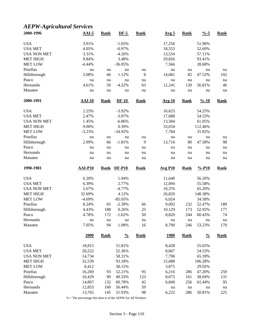# *AEPW-Agricultural Services*

| 2000-1996           | $AAI-5$          | <b>Rank</b> | $DF-5$           | <b>Rank</b> | Avg <sub>5</sub> | <b>Rank</b> | $\frac{0}{6}$ -5   | <b>Rank</b> |
|---------------------|------------------|-------------|------------------|-------------|------------------|-------------|--------------------|-------------|
| <b>USA</b>          | 3.91%            |             | $-1.65%$         |             | 17,256           |             | 51.98%             |             |
| <b>USA MET</b>      | 4.05%            |             | $-0.97%$         |             | 18,553           |             | 52.69%             |             |
| <b>USA NON MET</b>  | 3.31%            |             | $-4.26%$         |             | 13,534           |             | 57.11%             |             |
| <b>MET HIGH</b>     | 9.84%            |             | 3.48%            |             | 29,826           |             | 93.41%             |             |
| <b>MET LOW</b>      | $-4.44%$         |             | $-36.05%$        |             | 7,566            |             | 28.68%             |             |
| Pinellas            | na               | na          | na               | na          | na               | na          | na                 | na          |
| Hillsborough        | 5.08%            | 46          | 1.12%            | 8           | 14,681           | 82          | 47.52%             | 102         |
| Pasco               | na               | na          | na               | na          | na               | na          | na                 | na          |
| Hernando            | 4.61%            | 59          | $-4.22%$         | 63          | 12,241           | 120         | 56.81%             | 46          |
| Manatee             | na               | na          | na               | na          | na               | na          | na                 | na          |
| 2000-1991           | $AAI-10$         | <b>Rank</b> | $DF-10$          | <b>Rank</b> | <b>Avg 10</b>    | <b>Rank</b> | $\frac{9}{6} - 10$ | <b>Rank</b> |
| <b>USA</b>          | 2.25%            |             | $-3.92%$         |             | 16,625           |             | 54.25%             |             |
| <b>USA MET</b>      | 2.47%            |             | $-3.07%$         |             | 17,688           |             | 54.53%             |             |
| <b>USA NON MET</b>  | 1.45%            |             | $-6.86%$         |             | 13,584           |             | 61.05%             |             |
| <b>MET HIGH</b>     | 9.00%            |             | 0.39%            |             | 33,034           |             | 112.46%            |             |
| <b>MET LOW</b>      | $-3.23%$         |             | $-34.92%$        |             | 7,784            |             | 31.82%             |             |
| Pinellas            |                  |             |                  |             | na               |             |                    |             |
| Hillsborough        | na<br>2.99%      | na<br>66    | na<br>$-1.81%$   | na<br>9     | 13,716           | na<br>80    | na<br>47.58%       | na<br>98    |
| Pasco               |                  |             |                  |             |                  |             |                    |             |
|                     | na               | na          | na               | na          | na               | na          | na                 | na          |
| Hernando            | na               | na          | na               | na          | na               | na          | na                 | na          |
| Manatee             | na               | na          | na               | na          | na               | na          | na                 | na          |
| 1990-1981           | <b>AAI-P10</b>   | <b>Rank</b> | $DF-P10$         | <b>Rank</b> | <b>Avg P10</b>   | <b>Rank</b> | $% -P10$           | <b>Rank</b> |
| <b>USA</b>          | 6.20%            |             | 1.04%            |             | 11,640           |             | 56.20%             |             |
| <b>USA MET</b>      | 6.39%            |             | 2.77%            |             | 12,094           |             | 55.58%             |             |
| <b>USA NON MET</b>  | 5.67%            |             | $-4.77%$         |             | 10,376           |             | 65.20%             |             |
| <b>MET HIGH</b>     | 32.69%           |             | 4.12%            |             | 26,820           |             | 148.38%            |             |
| <b>MET LOW</b>      | $-4.69%$         |             | $-85.05%$        |             | 6,024            |             | 34.58%             |             |
| Pinellas            | 8.24%            | 65          | $-2.39%$         | 66          | 9,092            | 232         | 52.47%             | 189         |
| Hillsborough        | 4.43%            | 188         | 0.26%            | 25          | 10,129           | 173         | 52.92%             | 177         |
| Pasco               | 4.78%            | 172         | $-1.62%$         | 50          | 8,820            | 244         | 60.43%             | 74          |
| Hernando            | na               | na          | na               | na          | na               | na          | na                 | $\,$ na     |
| Manatee             | 7.05%            | 94          | 1.08%            | 16          | 8,790            | 246         | 53.23%             | 170         |
|                     | 2000             | <b>Rank</b> | $\frac{0}{0}$    | <b>Rank</b> | <u>1980</u>      | <b>Rank</b> | $\frac{0}{0}$      | <b>Rank</b> |
| <b>USA</b>          | 18,815           |             | 51.81%           |             | 8,428            |             | 55.65%             |             |
| <b>USA MET</b>      | 20,222           |             | 52.36%           |             | 8,667            |             | 54.53%             |             |
| <b>USA NON MET</b>  | 14,734           |             | 58.31%           |             | 7,796            |             | 65.39%             |             |
| <b>MET HIGH</b>     | 32,539           |             | 93.18%           |             | 15,688           |             | 106.28%            |             |
| <b>MET LOW</b>      | 8,412            |             | 30.15%           |             | 3,875            |             | 29.92%             |             |
| Pinellas            |                  |             |                  |             |                  | 286         | 47.20%             | 259         |
|                     |                  |             |                  |             |                  |             |                    |             |
|                     | 16,269           | 93          | 52.21%           | 95          | 6,216            |             |                    |             |
| Hillsborough        | 16,429           | 90          | 49.33%           | 123         | 8,075            | 161         | 58.04%             | 131         |
| Pasco               | 14,867           | 132         | 60.78%           | 42          | 6,849            | 256         | 61.44%             | 95          |
| Hernando<br>Manatee | 12,853<br>13,765 | 160<br>145  | 56.44%<br>51.93% | 59<br>98    | na<br>6,222      | na<br>286   | na<br>50.81%       | na<br>225   |

% = The percentage this item is of the AEPW for All Workers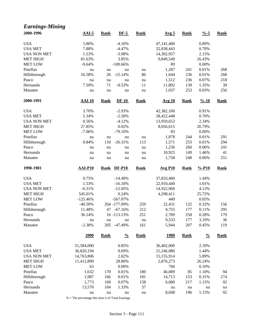| <b>Earnings-Mining</b> |                |             |               |             |                  |             |                    |             |
|------------------------|----------------|-------------|---------------|-------------|------------------|-------------|--------------------|-------------|
| 2000-1996              | $AAI-5$        | <b>Rank</b> | $DF-5$        | <b>Rank</b> | Avg <sub>5</sub> | <b>Rank</b> | $\frac{9}{6} - 5$  | <b>Rank</b> |
| <b>USA</b>             | 5.80%          |             | $-4.10%$      |             | 47,141,400       |             | 0.89%              |             |
| <b>USA MET</b>         | 7.88%          |             | $-4.47%$      |             | 32,838,443       |             | 0.70%              |             |
| <b>USA NON MET</b>     | 1.53%          |             | $-3.08%$      |             | 14,302,957       |             | 2.15%              |             |
| <b>MET HIGH</b>        | 81.63%         |             | 3.85%         |             | 9,849,549        |             | 26.43%             |             |
| <b>MET LOW</b>         | $-9.64%$       |             | $-100.66%$    |             | 89               |             | 0.00%              |             |
| Pinellas               | na             | na          | na            | na          | 1,287            | 241         | 0.01%              | 268         |
| Hillsborough           | 16.58%         | 26          | $-15.14%$     | 86          | 1,644            | 236         | 0.01%              | 268         |
| Pasco                  | na             | na          | na            | na          | 1,512            | 236         | 0.07%              | 218         |
| Hernando               | 7.59%          | 71          | $-0.53%$      | 11          | 11,802           | 139         | 1.35%              | 39          |
| Manatee                | na             | na          | na            | na          | 1,037            | 253         | 0.03%              | 256         |
| 2000-1991              | $AAI-10$       | <b>Rank</b> | $DF-10$       | <b>Rank</b> | <b>Avg 10</b>    | <b>Rank</b> | $\frac{9}{6} - 10$ | <b>Rank</b> |
| <b>USA</b>             | 3.70%          |             | $-2.93%$      |             | 42,382,100       |             | 0.91%              |             |
| <b>USA MET</b>         | 5.34%          |             | $-2.50%$      |             | 28,422,448       |             | 0.70%              |             |
| <b>USA NON MET</b>     | 0.56%          |             | $-4.12%$      |             | 13,959,652       |             | 2.34%              |             |
| <b>MET HIGH</b>        | 27.85%         |             | 0.02%         |             | 8,056,615        |             | 26.79%             |             |
| <b>MET LOW</b>         | $-7.06%$       |             | $-79.10%$     |             | 83               |             | 0.00%              |             |
| Pinellas               | na             | na          | na            | na          | 1,878            | 244         | 0.01%              | 291         |
| Hillsborough           | 0.84%          | 110         | $-26.31%$     | 113         | 1,571            | 253         | 0.01%              | 294         |
| Pasco                  | na             | na          | na            | na          | 1,236            | 260         | 0.06%              | 241         |
| Hernando               | na             | na          | na            | na          | 10,925           | 149         | 1.46%              | 41          |
| Manatee                | na             | na          | na            | na          | 1,758            | 248         | 0.06%              | 251         |
| 1990-1981              | <b>AAI-P10</b> | <b>Rank</b> | <b>DF-P10</b> | <b>Rank</b> | <b>Avg P10</b>   | <b>Rank</b> | $% -P10$           | <b>Rank</b> |
| <b>USA</b>             | 0.75%          |             | $-14.49%$     |             | 37,833,400       |             | 1.44%              |             |
| <b>USA MET</b>         | 1.53%          |             | $-16.10%$     |             | 22,910,440       |             | 1.01%              |             |
| <b>USA NON MET</b>     | $-0.31%$       |             | $-12.05%$     |             | 14,922,960       |             | 4.13%              |             |
| MET HIGH               | 545.01%        |             | 0.24%         |             | 4,298,411        |             | 25.72%             |             |
| <b>MET LOW</b>         | $-125.46%$     |             | $-567.07%$    |             | 449              |             | 0.05%              |             |
| Pinellas               | $-40.50%$      |             | 264 -177.09%  | 259         | 22,431           | 122         | 0.32%              | 156         |
| Hillsborough           | 11.48%         |             | 47 -67.16%    | 212         | 9,755            | 177         | 0.11%              | 295         |
| Pasco                  | 36.14%         |             | 16 -113.13%   | 251         | 2,789            | 258         | 0.28%              | 179         |
| Hernando               | na             | $\,$ na     | na            | na          | 9,533            | 177         | 3.10%              | 36          |
| Manatee                | $-2.38%$       |             | 205 -47.49%   | 161         | 5,944            | 207         | 0.45%              | 119         |
|                        | 2000           | <b>Rank</b> | $\frac{0}{0}$ | <b>Rank</b> | <u>1980</u>      | <b>Rank</b> | $\frac{0}{0}$      | <b>Rank</b> |
| <b>USA</b>             | 51,584,000     |             | 0.85%         |             | 36,402,000       |             | 2.10%              |             |
| <b>USA MET</b>         | 36,820,194     |             | 0.69%         |             | 21,246,086       |             | 1.44%              |             |
| <b>USA NON MET</b>     | 14,763,806     |             | 2.02%         |             | 15,155,914       |             | 5.89%              |             |
| <b>MET HIGH</b>        | 11,412,899     |             | 28.80%        |             | 2,876,273        |             | 26.24%             |             |
| <b>MET LOW</b>         | 63             |             | 0.00%         |             | 760              |             | 0.10%              |             |
| Pinellas               | 1,632          | 170         | 0.01%         | 180         | 46,089           | 85          | 1.10%              | 94          |
| Hillsborough           | 1,987          | 166         | 0.01%         | 181         | 14,713           | 153         | 0.31%              | 274         |
| Pasco                  | 1,773          | 169         | 0.07%         | 158         | 6,080            | 217         | 1.15%              | 92          |
| Hernando               | 13,570         | 104         | 1.33%         | 37          | na               | na          | na                 | na          |
| Manatee                | na             | na          | na            | na          | 8,608            | 196         | 1.15%              | 92          |

% = The percentage this item is of Total Earnings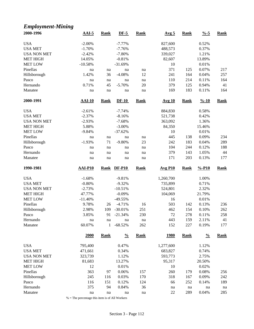#### *Employment-Mining*

| 2000-1996           | $AAI-5$            | <b>Rank</b>              | $DF-5$        | <b>Rank</b> | Avg <sub>5</sub> | <b>Rank</b> | $\frac{9}{6} - 5$  | <b>Rank</b> |
|---------------------|--------------------|--------------------------|---------------|-------------|------------------|-------------|--------------------|-------------|
| <b>USA</b>          | $-2.00\%$          |                          | $-7.77%$      |             | 827,600          |             | 0.52%              |             |
| <b>USA MET</b>      | $-1.70%$           |                          | $-7.76%$      |             | 488,573          |             | 0.37%              |             |
| <b>USA NON MET</b>  | $-2.42%$           |                          | $-7.80%$      |             | 339,027          |             | 1.21%              |             |
| <b>MET HIGH</b>     | 14.05%             |                          | $-0.81%$      |             | 82,607           |             | 13.89%             |             |
| <b>MET LOW</b>      | $-10.58%$          |                          | $-31.69%$     |             | 10               |             | 0.01%              |             |
| Pinellas            | na                 | na                       | na            | na          | 371              | 125         | 0.07%              | 217         |
| Hillsborough        | 1.42%              | 36                       | $-4.08%$      | 12          | 241              | 164         | 0.04%              | 257         |
| Pasco               | na                 | na                       | na            | na          | 110              | 214         | 0.11%              | 164         |
| Hernando            | 0.71%              | 45                       | $-5.70%$      | 20          | 379              | 125         | 0.94%              | 41          |
| Manatee             | na                 | na                       | na            | na          | 169              | 183         | 0.11%              | 164         |
| 2000-1991           | $AAI-10$           | <b>Rank</b>              | $DF-10$       | <b>Rank</b> | <b>Avg 10</b>    | <b>Rank</b> | $\frac{9}{6} - 10$ | <b>Rank</b> |
| <b>USA</b>          | $-2.61%$           |                          | $-7.74%$      |             | 884,830          |             | 0.58%              |             |
| <b>USA MET</b>      | $-2.37%$           |                          | $-8.16%$      |             | 521,738          |             | 0.42%              |             |
| <b>USA NON MET</b>  | $-2.93%$           |                          | $-7.68%$      |             | 363,092          |             | 1.36%              |             |
| <b>MET HIGH</b>     | 5.88%              |                          | $-3.00\%$     |             | 84,350           |             | 15.46%             |             |
| <b>MET LOW</b>      | $-9.84%$           |                          | $-37.62%$     |             | 10               |             | 0.01%              |             |
| Pinellas            |                    |                          |               |             | 445              |             | 0.09%              |             |
|                     | na                 | na                       | na            | na          | 242              | 138         |                    | 234         |
| Hillsborough        | $-1.93%$           | 71                       | $-9.80%$      | 23          |                  | 183         | 0.04%              | 289         |
| Pasco               | na                 | na                       | na            | na          | 104              | 244         | 0.12%              | 188         |
| Hernando            | na                 | na                       | na            | na          | 379              | 143         | 1.05%              | 44          |
| Manatee             | $\rm na$           | na                       | na            | na          | 171              | 203         | 0.13%              | 177         |
| 1990-1981           | <b>AAI-P10</b>     | <b>Rank</b>              | <b>DF-P10</b> | <b>Rank</b> | <b>Avg P10</b>   | <b>Rank</b> | $% -P10$           | <b>Rank</b> |
|                     |                    |                          |               |             |                  |             |                    |             |
| <b>USA</b>          | $-1.68%$           |                          | $-9.81%$      |             | 1,260,700        |             | 1.00%              |             |
| <b>USA MET</b>      | $-0.80%$           |                          | $-9.32%$      |             | 735,899          |             | 0.71%              |             |
| <b>USA NON MET</b>  | $-2.73%$           |                          | $-10.51%$     |             | 524,801          |             | 2.32%              |             |
| <b>MET HIGH</b>     | 47.77%             |                          | $-0.09%$      |             | 104,069          |             | 21.79%             |             |
| <b>MET LOW</b>      | $-11.40%$          |                          | $-49.55%$     |             | 16               |             | 0.01%              |             |
| Pinellas            | 9.78%              | 26                       | $-4.71%$      | 16          | 503              | 142         | 0.13%              | 236         |
|                     | 2.98%              | 109                      | $-30.01%$     | 251         | 462              | 154         | 0.10%              | 262         |
| Hillsborough        | 3.85%              | 91                       | $-21.34%$     | 230         | 72               | 278         | 0.11%              | 258         |
| Pasco               |                    |                          | na            |             | 443              |             |                    |             |
| Hernando<br>Manatee | $\rm na$<br>60.07% | $\operatorname{na}$<br>1 | $-68.52%$     | na<br>262   | 152              | 159<br>227  | 2.11%<br>0.19%     | 41<br>177   |
|                     | 2000               | <b>Rank</b>              | $\frac{0}{0}$ | <b>Rank</b> | <u>1980</u>      | <b>Rank</b> | $\frac{0}{0}$      | <b>Rank</b> |
|                     |                    |                          |               |             |                  |             |                    |             |
| <b>USA</b>          | 795,400            |                          | 0.47%         |             | 1,277,600        |             | 1.12%              |             |
| <b>USA MET</b>      | 471,661            |                          | 0.34%         |             | 683,827          |             | 0.74%              |             |
| <b>USA NON MET</b>  | 323,739            |                          | 1.12%         |             | 593,773          |             | 2.75%              |             |
| <b>MET HIGH</b>     | 81,683             |                          | 13.27%        |             | 95,317           |             | 20.50%             |             |
| <b>MET LOW</b>      | 12                 |                          | 0.01%         |             | 10               |             | 0.02%              |             |
| Pinellas            | 363                | 97                       | 0.06%         | 157         | 260              | 179         | 0.08%              | 256         |
| Hillsborough        | 245                | 116                      | 0.03%         | 170         | 318              | 167         | 0.09%              | 242         |
| Pasco               | 116                | 151                      | 0.12%         | 124         | 66               | 252         | 0.14%              | 189         |
| Hernando<br>Manatee | 375<br>na          | 94<br>na                 | 0.84%<br>na   | 36<br>na    | na<br>22         | na<br>289   | na<br>0.04%        | na<br>285   |

 $\%$  = The percentage this item is of All Workers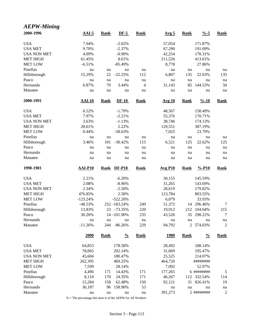| <b>AEPW-Mining</b> |               |             |               |             |                       |             |                    |                  |
|--------------------|---------------|-------------|---------------|-------------|-----------------------|-------------|--------------------|------------------|
| 2000-1996          | $AAI-5$       | <b>Rank</b> | $DF-5$        | <b>Rank</b> | Avg <sub>5</sub>      | <b>Rank</b> | $\frac{0}{6}$ -5   | <b>Rank</b>      |
| <b>USA</b>         | 7.94%         |             | $-2.02%$      |             | 57,054                |             | 171.87%            |                  |
| <b>USA MET</b>     | 9.70%         |             | $-2.37%$      |             | 67,290                |             | 191.09%            |                  |
| <b>USA NON MET</b> | 4.09%         |             | $-0.90%$      |             | 42,254                |             | 178.31%            |                  |
| <b>MET HIGH</b>    | 61.45%        |             | 8.61%         |             | 211,526               |             | 413.61%            |                  |
| <b>MET LOW</b>     | $-6.51%$      |             | $-85.49%$     |             | 8,778                 |             | 27.86%             |                  |
| Pinellas           | na            | na          | na            | na          | na                    | na          | na                 | na               |
| Hillsborough       | 15.29%        | 22          | $-22.25%$     | 112         | 6,807                 | 135         | 22.03%             | 135              |
| Pasco              | na            | na          | na            | na          | na                    | na          | na                 | na               |
| Hernando           | 6.87%         | 70          | 3.44%         | 4           | 31,143                | 85          | 144.53%            | 50               |
| Manatee            | na            | na          | na            | na          | na                    | na          | na                 | na               |
| 2000-1991          | <b>AAI-10</b> | <b>Rank</b> | $DF-10$       | <b>Rank</b> | <b>Avg 10</b>         | <b>Rank</b> | $\frac{9}{6} - 10$ | <b>Rank</b>      |
| <b>USA</b>         | 6.52%         |             | $-1.79%$      |             | 48,567                |             | 158.49%            |                  |
| <b>USA MET</b>     | 7.97%         |             | $-2.21%$      |             | 55,376                |             | 170.71%            |                  |
| <b>USA NON MET</b> | 3.63%         |             | $-1.13%$      |             | 38,746                |             | 174.13%            |                  |
| <b>MET HIGH</b>    | 28.61%        |             | 2.22%         |             | 129,551               |             | 387.19%            |                  |
| <b>MET LOW</b>     | 0.44%         |             | $-58.63%$     |             | 7,025                 |             | 23.79%             |                  |
| Pinellas           | na            | na          | na            | na          | na                    | na          | na                 | na               |
| Hillsborough       | 3.46%         | 101         | $-30.42%$     | 115         | 6,521                 | 125         | 22.62%             | 125              |
| Pasco              | na            | na          | na            | na          | na                    | na          | na                 | na               |
| Hernando           | na            | na          | na            | na          | na                    | na          | na                 | na               |
| Manatee            | na            | na          | na            | na          | na                    | na          | na                 | na               |
| 1990-1981          | AAI-P10       | <b>Rank</b> | <b>DF-P10</b> | <b>Rank</b> | $Avg$ P <sub>10</sub> | <b>Rank</b> | $% -P10$           | <b>Rank</b>      |
| <b>USA</b>         | 2.21%         |             | $-6.20%$      |             | 30,155                |             | 145.59%            |                  |
| <b>USA MET</b>     | 2.08%         |             | $-8.96%$      |             | 31,265                |             | 143.69%            |                  |
| <b>USA NON MET</b> | 2.34%         |             | $-2.50%$      |             | 28,619                |             | 179.82%            |                  |
| <b>MET HIGH</b>    | 476.85%       |             | 2.58%         |             | 123,784               |             | 803.55%            |                  |
| <b>MET LOW</b>     | $-123.24%$    |             | $-522.20%$    |             | 6,079                 |             | 33.93%             |                  |
| Pinellas           | $-48.53%$     |             | 252 -183.24%  | 249         | 51,372                |             | 14 296.46%         | 7                |
| Hillsborough       | 13.83%        |             | 23 -73.35%    | 220         | 19,912                |             | 212 104.04%        | 215              |
| Pasco              | 30.20%        |             | 14 -101.90%   | 235         | 43,526                | 35          | 298.22%            | 7                |
| Hernando           | na            | na          | na            | na          | na                    | na          | na                 | na               |
| Manatee            | $-11.26%$     | 244         | $-86.26%$     | 229         | 94,792                |             | 2 574.03%          | 2                |
|                    | 2000          | <b>Rank</b> | $\frac{0}{0}$ | <b>Rank</b> | <u>1980</u>           | <b>Rank</b> | $\frac{0}{0}$      | <b>Rank</b>      |
| <b>USA</b>         | 64,853        |             | 178.58%       |             | 28,492                |             | 188.14%            |                  |
| <b>USA MET</b>     | 78,065        |             | 202.14%       |             | 31,069                |             | 195.47%            |                  |
| <b>USA NON MET</b> | 45,604        |             | 180.47%       |             | 25,525                |             | 214.07%            |                  |
| <b>MET HIGH</b>    | 262,395       |             | 469.25%       |             | 464,720               |             | ########           |                  |
| <b>MET LOW</b>     | 7,599         |             | 28.14%        |             | 7,092                 |             | 52.97%             |                  |
| Pinellas           | 4,496         | 171         | 14.43%        | 171         | 177,265               |             | 6 ########         | 5                |
| Hillsborough       | 8,110         | 170         | 24.35%        | 171         | 46,267                | 112         | 332.54%            | 114              |
| Pasco              | 15,284        | 158         | 62.48%        | 150         | 92,121                | 31          | 826.41%            | 19               |
| Hernando           | 36,187        | 96          | 158.90%       | 53          | na                    | na          | na                 | na               |
| Manatee            | na            | na          | na            | na          | 391,273               |             | 2 ########         | $\boldsymbol{2}$ |

% = The percentage this item is of the AEPW for All Workers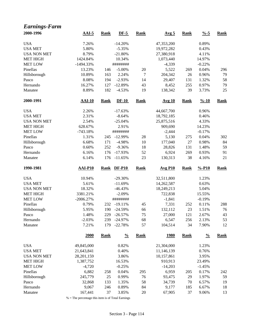| <b>Earnings-Farm</b> |               |             |               |             |                  |             |                    |             |
|----------------------|---------------|-------------|---------------|-------------|------------------|-------------|--------------------|-------------|
| 2000-1996            | $AAI-5$       | <b>Rank</b> | $DF-5$        | <b>Rank</b> | Avg <sub>5</sub> | <b>Rank</b> | $\frac{0}{6}$ -5   | <b>Rank</b> |
| <b>USA</b>           | 7.26%         |             | $-14.20%$     |             | 47,353,200       |             | 0.89%              |             |
| <b>USA MET</b>       | 5.80%         |             | $-5.35%$      |             | 19,972,282       |             | 0.43%              |             |
| <b>USA NON MET</b>   | 8.79%         |             | $-21.80%$     |             | 27,380,918       |             | 4.11%              |             |
| <b>MET HIGH</b>      | 1424.84%      |             | 10.34%        |             | 1,073,440        |             | 14.97%             |             |
| <b>MET LOW</b>       | $-1494.33%$   |             | ########      |             | $-4,339$         |             | $-0.22%$           |             |
| Pinellas             | 13.23%        | 146         | $-5.00\%$     | 20          | 5,522            | 269         | 0.04%              | 296         |
| Hillsborough         | 10.89%        | 163         | 2.24%         | 7           | 204,342          | 26          | 0.96%              | 79          |
| Pasco                | 8.08%         | 194         | $-2.93%$      | 14          | 29,407           | 131         | 1.32%              | 58          |
| Hernando             | 16.27%        | 127         | $-12.89%$     | 43          | 8,452            | 255         | 0.97%              | 79          |
| Manatee              | 8.89%         | 182         | $-4.53%$      | 19          | 138,342          | 39          | 3.73%              | 25          |
| 2000-1991            | <b>AAI-10</b> | <b>Rank</b> | $DF-10$       | <b>Rank</b> | <b>Avg 10</b>    | <b>Rank</b> | $\frac{9}{6} - 10$ | <b>Rank</b> |
| <b>USA</b>           | 2.26%         |             | $-17.63%$     |             | 44,667,700       |             | 0.96%              |             |
| <b>USA MET</b>       | 2.31%         |             | $-8.64%$      |             | 18,792,185       |             | 0.46%              |             |
| <b>USA NON MET</b>   | 2.54%         |             | $-25.04%$     |             | 25,875,516       |             | 4.33%              |             |
| <b>MET HIGH</b>      | 628.67%       |             | 2.91%         |             | 909,690          |             | 14.23%             |             |
| <b>MET LOW</b>       | $-743.18%$    |             | ########      |             | $-2,444$         |             | $-0.17%$           |             |
| Pinellas             | 1.31%         | 245         | $-12.99%$     | 28          | 5,130            | 275         | 0.04%              | 302         |
| Hillsborough         | 6.68%         | 171         | $-4.98%$      | 10          | 177,040          | 27          | 0.98%              | 84          |
| Pasco                | 0.60%         | 252         | $-9.36%$      | 18          | 28,826           | 131         | 1.48%              | 59          |
| Hernando             | 6.16%         | 176         | $-17.93%$     | 52          | 6,924            | 269         | 0.93%              | 91          |
| Manatee              | 6.14%         | 176         | $-11.65%$     | 23          | 130,313          | 38          | 4.16%              | 21          |
| 1990-1981            | $AAI-P10$     | Rank        | <b>DF-P10</b> | <b>Rank</b> | <b>Avg P10</b>   | <b>Rank</b> | $% -P10$           | <b>Rank</b> |
| <b>USA</b>           | 10.94%        |             | $-29.30%$     |             | 32,511,800       |             | 1.23%              |             |
| <b>USA MET</b>       | 5.61%         |             | $-11.69%$     |             | 14,262,587       |             | 0.63%              |             |
| <b>USA NON MET</b>   | 18.32%        |             | $-46.43%$     |             | 18,249,213       |             | 5.04%              |             |
| <b>MET HIGH</b>      | 3381.21%      |             | $-2.09%$      |             | 722,838          |             | 15.55%             |             |
| <b>MET LOW</b>       | $-2006.27%$   |             | ########      |             | $-1,841$         |             | $-0.19%$           |             |
| Pinellas             | 0.79%         | 232         | $-19.11%$     | 45          | 7,331            | 252         | 0.11%              | 288         |
| Hillsborough         | 5.95%         | 190         | $-24.59%$     | 66          | 132,112          | 23          | 1.51%              | 76          |
| Pasco                | 1.48%         | 229         | $-26.57%$     | 75          | 27,000           | 121         | 2.67%              | 43          |
| Hernando             | $-2.03%$      | 239         | $-24.97%$     | 68          | 6,547            | 256         | 2.13%              | 53          |
| Manatee              | 7.21%         | 179         | $-22.78%$     | 57          | 104,514          | 34          | 7.90%              | 12          |
|                      | 2000          | <b>Rank</b> | $\frac{0}{0}$ | <b>Rank</b> | <b>1980</b>      | <b>Rank</b> | $\frac{0}{0}$      | <b>Rank</b> |
| <b>USA</b>           | 49,845,000    |             | 0.82%         |             | 21,304,000       |             | 1.23%              |             |
| <b>USA MET</b>       | 21,643,841    |             | 0.40%         |             | 11,146,139       |             | 0.76%              |             |
| <b>USA NON MET</b>   | 28,201,159    |             | 3.86%         |             | 10,157,861       |             | 3.95%              |             |
| <b>MET HIGH</b>      | 1,387,752     |             | 16.53%        |             | 910,913          |             | 23.49%             |             |
| <b>MET LOW</b>       | $-4,720$      |             | $-0.25%$      |             | $-14,203$        |             | $-1.45%$           |             |
| Pinellas             | 6,882         | 258         | 0.04%         | 295         | 6,959            | 205         | 0.17%              | 242         |
| Hillsborough         | 245,779       | 25          | 0.99%         | 76          | 93,475           | 29          | 1.97%              | 59          |
| Pasco                | 32,868        | 133         | 1.35%         | 58          | 34,739           | 70          | 6.57%              | 19          |
| Hernando             | 9,067         | 246         | 0.89%         | 84          | 9,177            | 185         | 6.67%              | 18          |
| Manatee              | 167,441       | 37          | 3.85%         | $20\,$      | 67,905           | 37          | 9.06%              | 13          |

% = The percentage this item is of Total Earnings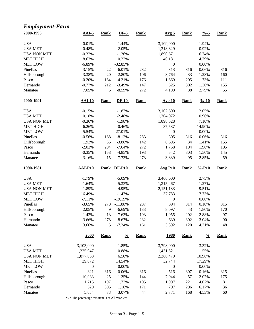# *Employment-Farm*

| 2000-1996                         | $AAI-5$              | <b>Rank</b> | $DF-5$                 | <b>Rank</b> | Avg <sub>5</sub> | <b>Rank</b> | $\frac{9}{6} - 5$  | <b>Rank</b> |
|-----------------------------------|----------------------|-------------|------------------------|-------------|------------------|-------------|--------------------|-------------|
| <b>USA</b>                        | $-0.01%$             |             | $-1.44%$               |             | 3,109,000        |             | 1.94%              |             |
| <b>USA MET</b>                    | 0.48%                |             | $-2.05%$               |             | 1,218,329        |             | 0.92%              |             |
| <b>USA NON MET</b>                | $-0.32%$             |             | $-1.36%$               |             | 1,890,671        |             | 6.74%              |             |
| <b>MET HIGH</b>                   | 8.63%                |             | 0.22%                  |             | 40,181           |             | 14.79%             |             |
| <b>MET LOW</b>                    | $-6.89%$             |             | $-32.85%$              |             | $\boldsymbol{0}$ |             | 0.00%              |             |
| Pinellas                          | 3.15%                | 22          | $-6.01%$               | 232         | 313              | 316         | 0.06%              | 316         |
| Hillsborough                      | 3.38%                | $20\,$      | $-2.80%$               | 106         | 8,764            | 33          | 1.28%              | 160         |
| Pasco                             | $-0.20%$             | 164         | $-4.21%$               | 176         | 1,669            | 205         | 1.73%              | 111         |
| Hernando                          | $-0.77%$             | 212         | $-3.49%$               | 147         | 525              | 302         | 1.30%              | 155         |
| Manatee                           | 7.05%                | 5           | $-8.59%$               | 272         | 4,199            | 88          | 2.79%              | 55          |
| 2000-1991                         | $AAI-10$             | <b>Rank</b> | $DF-10$                | <b>Rank</b> | <b>Avg 10</b>    | <b>Rank</b> | $\frac{9}{6} - 10$ | <b>Rank</b> |
| <b>USA</b>                        | $-0.15%$             |             | $-1.87%$               |             | 3,102,600        |             | 2.05%              |             |
| <b>USA MET</b>                    | 0.18%                |             | $-2.48%$               |             | 1,204,072        |             | 0.96%              |             |
| <b>USA NON MET</b>                | $-0.36%$             |             | $-1.98%$               |             | 1,898,528        |             | 7.10%              |             |
| <b>MET HIGH</b>                   | 6.26%                |             | $-0.46%$               |             | 37,537           |             | 14.90%             |             |
| <b>MET LOW</b>                    | $-5.54%$             |             | $-27.01%$              |             | $\boldsymbol{0}$ |             | 0.00%              |             |
| Pinellas                          | $-0.56%$             | 168         | $-8.12%$               | 283         | 305              | 316         | 0.06%              | 316         |
| Hillsborough                      | 1.92%                | 35          | $-3.86%$               | 142         | 8,695            | 34          | 1.41%              | 155         |
| Pasco                             | $-2.03%$             | 294         | $-7.64%$               | 272         | 1,768            | 194         | 1.98%              | 105         |
| Hernando                          | $-0.35%$             | 158         | $-4.85%$               | 193         | 542              | 303         | 1.50%              | 145         |
| Manatee                           | 3.16%                | 15          | $-7.73%$               | 273         | 3,839            | 95          | 2.85%              | 59          |
|                                   |                      |             |                        |             |                  |             |                    |             |
| 1990-1981                         | <b>AAI-P10</b>       | <b>Rank</b> | <b>DF-P10</b>          | <b>Rank</b> | <b>Avg P10</b>   | <b>Rank</b> | $% -P10$           | <b>Rank</b> |
|                                   |                      |             |                        |             |                  |             |                    |             |
| <b>USA</b><br><b>USA MET</b>      | $-1.79%$             |             | $-5.09%$               |             | 3,466,600        |             | 2.75%              |             |
| <b>USA NON MET</b>                | $-1.64%$             |             | $-5.33%$<br>$-4.95%$   |             | 1,315,467        |             | 1.27%<br>9.51%     |             |
|                                   | $-1.89%$             |             |                        |             | 2,151,133        |             |                    |             |
| <b>MET HIGH</b><br><b>MET LOW</b> | 16.49%               |             | $-1.47%$               |             | 37,783           |             | 17.73%             |             |
| Pinellas                          | $-7.11%$<br>$-3.65%$ | 278         | $-19.19%$<br>$-11.88%$ | 287         | 0<br>394         | 314         | 0.00%              |             |
|                                   |                      | 9           |                        |             |                  | 43          | 0.10%              | 315         |
| Hillsborough                      | 2.05%                | 13          | $-6.69%$               | 133         | 8,097            |             | 1.80%              | 170         |
| Pasco<br>Hernando                 | 1.42%                |             | $-7.63%$               | 193<br>232  | 1,955<br>639     | 202         | 2.88%              | 97<br>90    |
| Manatee                           | $-3.66%$<br>3.66%    | 278<br>5    | $-8.67%$<br>$-7.24%$   | 161         | 3,392            | 302<br>120  | 3.04%<br>4.31%     | 48          |
|                                   | 2000                 | <b>Rank</b> | $\frac{0}{0}$          | <b>Rank</b> | <u>1980</u>      | <b>Rank</b> | $\frac{0}{0}$      | <b>Rank</b> |
| <b>USA</b>                        | 3,103,000            |             | 1.85%                  |             | 3,798,000        |             | 3.32%              |             |
| <b>USA MET</b>                    | 1,225,947            |             | 0.88%                  |             | 1,431,521        |             | 1.55%              |             |
| <b>USA NON MET</b>                | 1,877,053            |             | 6.50%                  |             | 2,366,479        |             | 10.96%             |             |
|                                   |                      |             |                        |             | 32,744           |             | 17.29%             |             |
| <b>MET HIGH</b><br><b>MET LOW</b> | 39,072               |             | 14.54%                 |             |                  |             |                    |             |
|                                   | $\boldsymbol{0}$     |             | 0.00%                  |             | $\boldsymbol{0}$ |             | 0.00%              |             |
| Pinellas                          | 321                  | 316         | 0.06%                  | 316         | 516              | 307         | 0.16%              | 315         |
| Hillsborough                      | 10,033               | 25          | 1.35%                  | 144         | 7,044            | 57          | 2.07%              | 175         |
| Pasco<br>Hernando                 | 1,715<br>520         | 197<br>305  | 1.72%<br>1.16%         | 105<br>171  | 1,907<br>797     | 221<br>296  | 4.02%<br>6.17%     | 81<br>36    |

 $\%$  = The percentage this item is of All Workers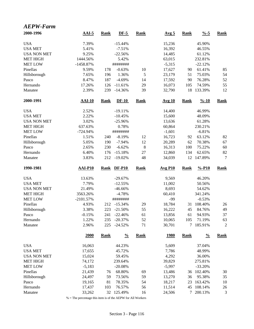| <b>AEPW-Farm</b>   |                |             |               |             |                  |             |                    |                |
|--------------------|----------------|-------------|---------------|-------------|------------------|-------------|--------------------|----------------|
| 2000-1996          | $AAI-5$        | <b>Rank</b> | $DF-5$        | <b>Rank</b> | Avg <sub>5</sub> | <b>Rank</b> | $\frac{0}{6}$ -5   | <b>Rank</b>    |
| <b>USA</b>         | 7.39%          |             | $-15.44%$     |             | 15,236           |             | 45.90%             |                |
| <b>USA MET</b>     | 5.41%          |             | $-7.51%$      |             | 16,392           |             | 46.55%             |                |
| <b>USA NON MET</b> | 9.25%          |             | $-22.56%$     |             | 14,485           |             | 61.12%             |                |
| <b>MET HIGH</b>    | 1444.56%       |             | 5.42%         |             | 63,015           |             | 232.81%            |                |
| <b>MET LOW</b>     | $-1458.87%$    |             | ########      |             | $-5,315$         |             | $-22.12%$          |                |
| Pinellas           | 9.59%          | 178         | $-0.63%$      | 10          | 17,627           | 90          | 61.41%             | 85             |
| Hillsborough       | 7.65%          | 196         | 1.36%         | 5           | 23,179           | 51          | 75.03%             | 54             |
| Pasco              | 8.47%          | 187         | $-4.69%$      | 14          | 17,592           | 90          | 76.28%             | 52             |
| Hernando           | 17.26%         | 126         | $-11.61%$     | 29          | 16,073           | 105         | 74.59%             | 55             |
| Manatee            | 2.39%          | 239         | $-14.36%$     | 39          | 32,790           | 18          | 133.39%            | 12             |
| 2000-1991          | <b>AAI-10</b>  | <b>Rank</b> | $DF-10$       | <b>Rank</b> | <b>Avg 10</b>    | <b>Rank</b> | $\frac{9}{6} - 10$ | <b>Rank</b>    |
| <b>USA</b>         | 2.52%          |             | $-19.11%$     |             | 14,400           |             | 46.99%             |                |
| <b>USA MET</b>     | 2.22%          |             | $-10.45%$     |             | 15,600           |             | 48.09%             |                |
| <b>USA NON MET</b> | 3.02%          |             | $-25.96%$     |             | 13,636           |             | 61.28%             |                |
| <b>MET HIGH</b>    | 637.63%        |             | 0.78%         |             | 60,864           |             | 230.21%            |                |
| <b>MET LOW</b>     | $-724.94%$     |             | ########      |             | $-1,601$         |             | $-6.81%$           |                |
| Pinellas           | 1.51%          | 240         | $-8.19%$      | 12          | 16,723           | 92          | 63.12%             | 82             |
| Hillsborough       | 5.05%          | 190         | $-7.94%$      | 12          | 20,289           | 62          | 70.38%             | 67             |
| Pasco              | 2.65%          | 230         | $-6.62%$      | $\,$ 8 $\,$ | 16,313           | 100         | 75.22%             | 60             |
| Hernando           | 6.40%          | 176         | $-15.18%$     | 27          | 12,860           | 134         | 62.65%             | 82             |
| Manatee            | 3.83%          | 212         | $-19.02%$     | 48          | 34,039           | 12          | 147.89%            | 7              |
| 1990-1981          | <b>AAI-P10</b> | <b>Rank</b> | <b>DF-P10</b> | <b>Rank</b> | <b>Avg P10</b>   | <b>Rank</b> | $% -P10$           | <b>Rank</b>    |
| <b>USA</b>         | 13.63%         |             | $-29.67%$     |             | 9,569            |             | 46.20%             |                |
| <b>USA MET</b>     | 7.79%          |             | $-12.55%$     |             | 11,002           |             | 50.56%             |                |
| <b>USA NON MET</b> | 21.49%         |             | $-46.66%$     |             | 8,693            |             | 54.62%             |                |
| <b>MET HIGH</b>    | 3563.26%       |             | $-4.78%$      |             | 60,410           |             | 341.24%            |                |
| <b>MET LOW</b>     | $-2101.57%$    |             | ########      |             | $-99$            |             | $-0.53%$           |                |
| Pinellas           | 4.93%          |             | 212 -15.34%   | 29          | 18,784           |             | 31 108.40%         | 26             |
| Hillsborough       | 3.38%          |             | 223 -21.50%   | 55          | 16,222           | 45          | 84.76%             | 49             |
| Pasco              | $-0.15%$       | 241         | $-22.46%$     | 61          | 13,856           | 61          | 94.93%             | 37             |
| Hernando           | 1.22%          | 235         | $-20.37%$     | 52          | 10,065           | 105         | 71.19%             | 63             |
| Manatee            | 2.96%          | 225         | $-24.52%$     | 71          | 30,701           | 7           | 185.91%            | $\overline{2}$ |
|                    | 2000           | <b>Rank</b> | $\frac{0}{0}$ | <b>Rank</b> | <u>1980</u>      | <b>Rank</b> | $\frac{0}{0}$      | <b>Rank</b>    |
| <b>USA</b>         | 16,063         |             | 44.23%        |             | 5,609            |             | 37.04%             |                |
| <b>USA MET</b>     | 17,655         |             | 45.72%        |             | 7,786            |             | 48.99%             |                |
| <b>USA NON MET</b> | 15,024         |             | 59.45%        |             | 4,292            |             | 36.00%             |                |
| <b>MET HIGH</b>    | 74,172         |             | 239.64%       |             | 39,829           |             | 275.81%            |                |
| <b>MET LOW</b>     | $-5,183$       |             | $-20.08%$     |             | $-5,997$         |             | $-33.20%$          |                |
| Pinellas           | 21,439         | 76          | 68.80%        | 69          | 13,486           | 36          | 102.40%            | 30             |
| Hillsborough       | 24,497         | 59          | 73.56%        | 59          | 13,270           | 36          | 95.38%             | 35             |
| Pasco              | 19,165         | 81          | 78.35%        | 54          | 18,217           | 23          | 163.42%            | 10             |
| Hernando           | 17,437         | 103         | 76.57%        | 56          | 11,514           | 45          | 108.14%            | 26             |
| Manatee            | 33,262         | 32          | 125.49%       | 16          | 24,506           | 7           | 200.13%            | $\mathfrak{Z}$ |

% = The percentage this item is of the AEPW for All Workers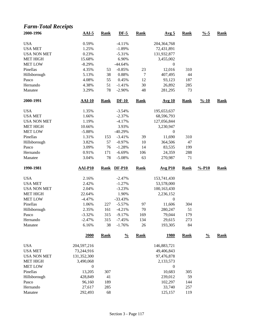#### *Farm-Total Receipts*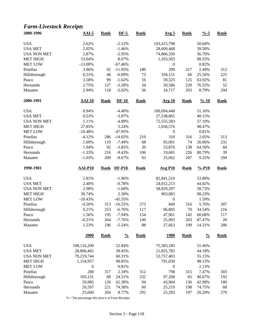#### *Farm-Livestock Receipts*

| 2000-1996           | $AAI-5$          | <b>Rank</b> | $DF-5$          | <b>Rank</b> | Avg <sub>5</sub> | <b>Rank</b> | $\frac{9}{6} - 5$  | <b>Rank</b> |
|---------------------|------------------|-------------|-----------------|-------------|------------------|-------------|--------------------|-------------|
| <b>USA</b>          | 2.62%            |             | $-2.12%$        |             | 103,415,798      |             | 50.60%             |             |
| <b>USA MET</b>      | 2.02%            |             | $-1.46%$        |             | 28,609,468       |             | 39.50%             |             |
| <b>USA NON MET</b>  | 2.87%            |             | $-2.95%$        |             | 74,806,330       |             | 56.70%             |             |
| <b>MET HIGH</b>     | 53.04%           |             | 8.07%           |             | 1,103,503        |             | 98.55%             |             |
| <b>MET LOW</b>      | $-13.00\%$       |             | $-67.46%$       |             | $\boldsymbol{0}$ |             | 0.82%              |             |
| Pinellas            | 3.96%            | 92          | $-11.95%$       | 180         | 299              | 317         | 2.49%              | 312         |
| Hillsborough        | 6.51%            | 46          | $-6.09%$        | 73          | 104,151          | 66          | 25.56%             | 225         |
| Pasco               | 3.58%            | 99          | $-1.62%$        | 16          | 59,525           | 125         | 63.92%             | 81          |
| Hernando            | 2.75%            | 127         | $-3.28%$        | 34          | 20,586           | 220         | 76.55%             | 52          |
| Manatee             | 2.94%            | 118         | $-5.02%$        | 56          | 24,717           | 203         | 8.79%              | 294         |
| 2000-1991           | $AAI-10$         | <b>Rank</b> | $DF-10$         | <b>Rank</b> | <b>Avg 10</b>    | <b>Rank</b> | $\frac{9}{6} - 10$ | <b>Rank</b> |
| <b>USA</b>          | 0.94%            |             | $-4.40%$        |             | 100,094,448      |             | 51.16%             |             |
| <b>USA MET</b>      | 0.53%            |             | $-3.87%$        |             | 27,538,865       |             | 40.15%             |             |
| <b>USA NON MET</b>  | 1.11%            |             | $-4.89%$        |             | 72,555,583       |             | 57.10%             |             |
| <b>MET HIGH</b>     | 27.85%           |             | 5.24%           |             | 1,058,576        |             | 98.47%             |             |
| <b>MET LOW</b>      | $-10.48%$        |             | $-47.95%$       |             | $\boldsymbol{0}$ |             | 0.81%              |             |
| Pinellas            | $-4.12%$         | 286         | $-14.65%$       | 219         | 310              | 316         | 2.65%              | 313         |
| Hillsborough        | 1.09%            | 119         | $-7.49%$        | 68          | 95,001           | 74          | 26.06%             | 231         |
| Pasco               | 1.94%            | 92          | $-3.85%$        | 20          | 53,876           | 138         | 64.50%             | 84          |
| Hernando            | $-1.33%$         | 216         | $-9.43%$        | 106         | 19,681           | 226         | 80.79%             | 39          |
| Manatee             | $-1.03%$         | 209         | $-8.67%$        | 93          | 25,062           | 207         | 9.25%              | 294         |
| 1990-1981           | <b>AAI-P10</b>   | <b>Rank</b> | $DF-P10$        | <b>Rank</b> | <b>Avg P10</b>   | <b>Rank</b> | $% -P10$           | <b>Rank</b> |
| <b>USA</b>          | 2.81%            |             | $-1.06%$        |             | 82,841,510       |             | 53.88%             |             |
| <b>USA MET</b>      | 2.40%            |             | $-0.78%$        |             | 24,012,213       |             | 44.82%             |             |
| <b>USA NON MET</b>  | 2.98%            |             | $-1.60%$        |             | 58,829,297       |             | 58.73%             |             |
| <b>MET HIGH</b>     | 30.74%           |             | 2.30%           |             | 903,083          |             | 98.23%             |             |
| <b>MET LOW</b>      | $-10.43%$        |             | $-45.55%$       |             | $\boldsymbol{0}$ |             | 1.59%              |             |
| Pinellas            | $-4.50%$         | 313         | $-16.25%$       | 273         | 669              | 316         | 5.76%              | 307         |
| Hillsborough        | 0.21%            | 253         | $-6.76%$        | 117         | 96,805           | 70          | 34.54%             | 216         |
| Pasco               | 1.56%            | 195         | $-7.94%$        | 154         | 47,961           | 142         | 60.68%             | 117         |
| Hernando            | $-0.21%$         | 264         | $-7.76%$        | 149         | 25,903           | 203         | 87.47%             | $20\,$      |
| Manatee             | 1.53%            | 196         | $-5.54%$        | 88          | 27,663           | 199         | 14.31%             | 286         |
|                     | 2000             | <b>Rank</b> | $\frac{0}{0}$   | <b>Rank</b> | <u>1980</u>      | <b>Rank</b> | $\frac{0}{0}$      | <b>Rank</b> |
|                     |                  |             |                 |             |                  |             |                    |             |
|                     |                  |             |                 |             |                  |             |                    |             |
| <b>USA</b>          | 108,116,209      |             | 52.84%          |             | 75,583,185       |             | 51.46%             |             |
| <b>USA MET</b>      | 28,896,465       |             | 39.45%          |             | 21,825,782       |             | 44.18%             |             |
| <b>USA NON MET</b>  | 79,219,744       |             | 60.31%          |             | 53,757,403       |             | 55.15%             |             |
| <b>MET HIGH</b>     | 1,154,957        |             | 98.85%          |             | 791,030          |             | 98.13%             |             |
| <b>MET LOW</b>      | $\boldsymbol{0}$ |             | 0.81%           |             | $\boldsymbol{0}$ |             | 2.13%              |             |
| Pinellas            | 288              | 317         | 2.18%           | 312         | 798              | 315         | 7.47%              | 303         |
| Hillsborough        | 105,131          | 68          | 24.51%          | 232         | 97,208           | 65          | 40.67%             | 192         |
| Pasco               | 59,985           | 126         | 62.38%          | 94          | 43,964           | 136         | 42.98%             | 180         |
| Hernando<br>Manatee | 20,597<br>25,660 | 221<br>204  | 74.58%<br>8.77% | 60<br>292   | 25,219<br>25,283 | 198<br>197  | 74.75%<br>20.20%   | 68<br>270   |

% = The percentage this item is of Farm Receipts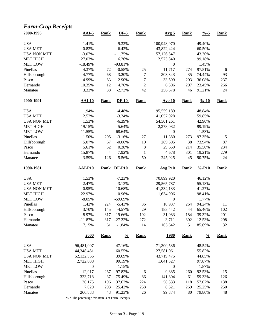# *Farm-Crop Receipts*

| 2000-1996          | $AAI-5$          | <b>Rank</b>    | $DF-5$        | <b>Rank</b>  | Avg <sub>5</sub> | <b>Rank</b> | $\frac{9}{6} - 5$  | <b>Rank</b> |
|--------------------|------------------|----------------|---------------|--------------|------------------|-------------|--------------------|-------------|
| <b>USA</b>         | $-1.41%$         |                | $-9.32%$      |              | 100,948,970      |             | 49.40%             |             |
| <b>USA MET</b>     | 0.82%            |                | $-6.42%$      |              | 43,822,424       |             | 60.50%             |             |
| <b>USA NON MET</b> | $-3.07%$         |                | $-11.75%$     |              | 57,126,547       |             | 43.30%             |             |
| <b>MET HIGH</b>    | 27.03%           |                | 6.26%         |              | 2,573,840        |             | 99.18%             |             |
| <b>MET LOW</b>     | $-18.49%$        |                | $-93.81%$     |              | $\boldsymbol{0}$ |             | 1.45%              |             |
| Pinellas           | 4.37%            | 72             | $-0.58%$      | 25           | 11,717           | 274         | 97.51%             | 6           |
| Hillsborough       | 4.77%            | 68             | 3.20%         | 7            | 303,343          | 35          | 74.44%             | 93          |
| Pasco              | 4.99%            | 63             | 2.90%         | 7            | 33,599           | 203         | 36.08%             | 237         |
| Hernando           | 10.35%           | 12             | 4.76%         | $\sqrt{2}$   | 6,306            | 297         | 23.45%             | 266         |
| Manatee            | 3.33%            | 88             | $-2.73%$      | 42           | 256,578          | 46          | 91.21%             | 24          |
| 2000-1991          | $AAI-10$         | <b>Rank</b>    | $DF-10$       | <b>Rank</b>  | Avg 10           | <b>Rank</b> | $\frac{9}{6} - 10$ | <b>Rank</b> |
| <b>USA</b>         | 1.94%            |                | $-4.48%$      |              | 95,559,189       |             | 48.84%             |             |
| <b>USA MET</b>     | 2.52%            |                | $-3.34%$      |              | 41,057,928       |             | 59.85%             |             |
| <b>USA NON MET</b> | 1.53%            |                | $-6.39%$      |              | 54,501,261       |             | 42.90%             |             |
| MET HIGH           | 19.15%           |                | 5.64%         |              | 2,378,032        |             | 99.19%             |             |
| <b>MET LOW</b>     | $-11.55%$        |                | $-68.64%$     |              | $\boldsymbol{0}$ |             | 1.53%              |             |
| Pinellas           | 1.50%            | 205            | $-3.16%$      | 27           | 11,380           | 273         | 97.35%             | $\sqrt{5}$  |
| Hillsborough       | 5.07%            | 67             | $-0.06%$      | 10           | 269,505          | 38          | 73.94%             | 87          |
| Pasco              | 5.61%            | 52             | 0.38%         | $\,$ 8 $\,$  | 29,659           | 214         | 35.50%             | 234         |
| Hernando           | 15.87%           | $\overline{4}$ | 7.92%         | $\mathbf{1}$ | 4,678            | 301         | 19.21%             | 279         |
| Manatee            | 3.59%            | 126            | $-5.56%$      | 50           | 245,925          | 45          | 90.75%             | 24          |
|                    |                  |                |               |              |                  |             |                    |             |
| 1990-1981          | <b>AAI-P10</b>   | <b>Rank</b>    | <b>DF-P10</b> | Rank         | <b>Avg P10</b>   | <b>Rank</b> | $% -P10$           | <b>Rank</b> |
|                    |                  |                |               |              |                  |             |                    |             |
| <b>USA</b>         | 1.53%            |                | $-7.23%$      |              | 70,899,920       |             | 46.12%             |             |
| <b>USA MET</b>     | 2.47%            |                | $-3.13%$      |              | 29,565,787       |             | 55.18%             |             |
| <b>USA NON MET</b> | 0.95%            |                | $-10.68%$     |              | 41,334,133       |             | 41.27%             |             |
| <b>MET HIGH</b>    | 22.97%           |                | 0.96%         |              | 1,634,906        |             | 98.41%             |             |
| <b>MET LOW</b>     | $-8.05%$         |                | -59.69%       |              | $\boldsymbol{0}$ |             | 1.77%              |             |
| Pinellas           | 1.42%            | 224            | $-5.43%$      | 36           | 10,937           | 264         | 94.24%             | 11          |
| Hillsborough       | 3.70%            | 145            | $-4.57%$      | 29           | 183,442          | 44          | 65.46%             | 102         |
| Pasco              | $-8.97\%$        | 317            | $-19.66%$     | 192          | 31,083           | 184         | 39.32%             | 201         |
| Hernando           | $-11.87%$        | 317            | $-27.32%$     | 272          | 3,711            | 302         | 12.53%             | 298         |
| Manatee            | 7.15%            | 61             | $-1.84%$      | 14           | 165,642          | 51          | 85.69%             | 32          |
|                    | <b>2000</b>      | <b>Rank</b>    | $\frac{0}{0}$ | <b>Rank</b>  | <u>1980</u>      | <b>Rank</b> | $\frac{0}{0}$      | <b>Rank</b> |
| <b>USA</b>         | 96,481,007       |                | 47.16%        |              | 71,300,536       |             | 48.54%             |             |
| <b>USA MET</b>     | 44,348,451       |                | 60.55%        |              | 27,581,061       |             | 55.82%             |             |
| <b>USA NON MET</b> | 52,132,556       |                | 39.69%        |              | 43,719,475       |             | 44.85%             |             |
| <b>MET HIGH</b>    | 2,722,808        |                | 99.19%        |              | 1,641,327        |             | 97.87%             |             |
| <b>MET LOW</b>     | $\boldsymbol{0}$ |                | 1.15%         |              | $\boldsymbol{0}$ |             | 1.87%              |             |
| Pinellas           | 12,917           | 267            | 97.82%        | 6            | 9,885            | 260         | 92.53%             | 15          |
| Hillsborough       | 323,718          | 37             | 75.49%        | 86           | 141,804          | 61          | 59.33%             | 126         |
| Pasco              | 36,175           | 196            | 37.62%        | 224          | 58,333           | 118         | 57.02%             | 138         |
| Hernando           | 7,020            | 293            | 25.42%        | 258          | 8,521            | 269         | 25.25%             | 250         |

% = The percentage this item is of Farm Receipts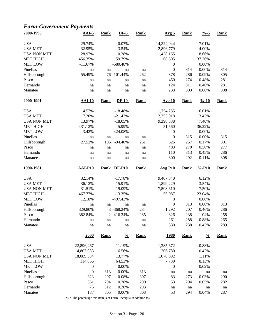# *Farm-Government Payments*

| 2000-1996          | $AAI-5$          | <b>Rank</b> | $DF-5$        | <b>Rank</b> | Avg <sub>5</sub> | <b>Rank</b> | $\frac{0}{6}$ -5   | <b>Rank</b> |
|--------------------|------------------|-------------|---------------|-------------|------------------|-------------|--------------------|-------------|
| <b>USA</b>         | 29.74%           |             | $-0.07%$      |             | 14,324,944       |             | 7.01%              |             |
| <b>USA MET</b>     | 32.95%           |             | $-3.54%$      |             | 2,896,779        |             | 4.00%              |             |
| <b>USA NON MET</b> | 28.97%           |             | 0.28%         |             | 11,428,165       |             | 8.66%              |             |
| <b>MET HIGH</b>    | 456.35%          |             | 59.79%        |             | 68,505           |             | 37.26%             |             |
| <b>MET LOW</b>     | $-11.67%$        |             | $-580.48%$    |             | $\boldsymbol{0}$ |             | 0.00%              |             |
| Pinellas           | na               | na          | na            | na          | $\boldsymbol{0}$ | 314         | 0.00%              | 314         |
| Hillsborough       | 55.49%           |             | 76 -101.44%   | 262         | 378              | 286         | 0.09%              | 305         |
| Pasco              | na               | na          | na            | na          | 450              | 274         | 0.48%              | 281         |
| Hernando           | na               | na          | na            | na          | 124              | 311         | 0.46%              | 281         |
| Manatee            | na               | na          | na            | na          | 233              | 303         | 0.08%              | 308         |
| 2000-1991          | $AAI-10$         | <b>Rank</b> | $DF-10$       | <b>Rank</b> | <b>Avg 10</b>    | <b>Rank</b> | $\frac{9}{6} - 10$ | <b>Rank</b> |
| <b>USA</b>         | 14.57%           |             | $-18.48%$     |             | 11,754,255       |             | 6.01%              |             |
| <b>USA MET</b>     | 17.20%           |             | $-21.43%$     |             | 2,355,918        |             | 3.43%              |             |
| <b>USA NON MET</b> | 13.97%           |             | $-18.05%$     |             | 9,398,338        |             | 7.40%              |             |
| <b>MET HIGH</b>    | 431.12%          |             | 5.99%         |             | 51,560           |             | 36.22%             |             |
| <b>MET LOW</b>     | $-3.42%$         |             | $-424.08%$    |             | $\boldsymbol{0}$ |             | 0.00%              |             |
| Pinellas           | na               | na          | na            | na          | $\boldsymbol{0}$ | 315         | 0.00%              | 315         |
| Hillsborough       | 27.53%           | 106         | $-94.40%$     | 261         | 626              | 257         | 0.17%              | 301         |
| Pasco              | na               | na          | na            | na          | 483              | 270         | 0.58%              | 277         |
| Hernando           | na               | na          | na            | na          | 110              | 313         | 0.45%              | 286         |
| Manatee            | na               | na          | na            | na          | 300              | 292         | 0.11%              | 308         |
| 1990-1981          | <b>AAI-P10</b>   | <b>Rank</b> | <b>DF-P10</b> | <b>Rank</b> | <b>Avg P10</b>   | <b>Rank</b> | $% -P10$           | <b>Rank</b> |
|                    |                  |             |               |             |                  |             |                    |             |
| <b>USA</b>         | 32.14%           |             | $-17.78%$     |             | 9,407,840        |             | 6.12%              |             |
| <b>USA MET</b>     | 36.12%           |             | $-15.91%$     |             | 1,899,229        |             | 3.54%              |             |
| <b>USA NON MET</b> | 31.51%           |             | $-19.09%$     |             | 7,508,610        |             | 7.50%              |             |
| <b>MET HIGH</b>    | 467.77%          |             | $-13.35%$     |             | 55,087           |             | 23.04%             |             |
| <b>MET LOW</b>     | 12.18%           |             | -497.43%      |             | $\boldsymbol{0}$ |             | 0.00%              |             |
| Pinellas           | na               | na          | na            | na          | $\boldsymbol{0}$ | 313         | 0.00%              | 313         |
| Hillsborough       | 329.80%          |             | 3 - 368.24%   | 284         | 1,292            | 207         | 0.46%              | 286         |
| Pasco              | 382.84%          |             | 2 -416.34%    | 285         | 826              | 238         | 1.04%              | 258         |
| Hernando           | na               | na          | na            | na          | 261              | 288         | 0.88%              | 265         |
| Manatee            | na               | na          | na            | na          | 830              | 238         | 0.43%              | 289         |
|                    | 2000             | <b>Rank</b> | $\frac{0}{0}$ | <b>Rank</b> | <u>1980</u>      | <b>Rank</b> | $\frac{0}{0}$      | <b>Rank</b> |
| <b>USA</b>         | 22,896,467       |             | 11.19%        |             | 1,285,672        |             | 0.88%              |             |
| <b>USA MET</b>     | 4,807,083        |             | 6.56%         |             | 206,780          |             | 0.42%              |             |
| <b>USA NON MET</b> | 18,089,384       |             | 13.77%        |             | 1,078,892        |             | 1.11%              |             |
| <b>MET HIGH</b>    | 114,066          |             | 64.53%        |             | 7,730            |             | 8.13%              |             |
| <b>MET LOW</b>     | $\boldsymbol{0}$ |             | 0.00%         |             | $\boldsymbol{0}$ |             | 0.02%              |             |
| Pinellas           | $\boldsymbol{0}$ | 313         | 0.00%         | 313         | na               | na          | na                 | na          |
| Hillsborough       | 323              | 297         | 0.08%         | 307         | 83               | 273         | 0.03%              | 290         |
| Pasco              | 361              | 294         | 0.38%         | 290         | 53               | 294         | 0.05%              | 282         |
| Hernando           | 76               | 312         | 0.28%         | 293         | na               | na          | na                 | na          |
|                    | 187              | 305         | 0.06%         | 308         | 53               | 294         | 0.04%              | 287         |
| Manatee            |                  |             |               |             |                  |             |                    |             |

% = The percentage this item is of Farm Receipts (in addition to)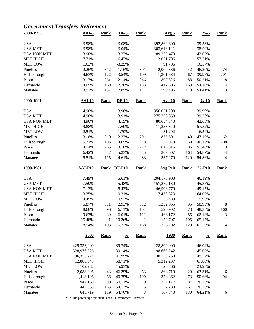### *Government Transfers-Retirement*

| 2000-1996          | $AAI-5$        | <b>Rank</b>  | $DF-5$        | <b>Rank</b>  | Avg <sub>5</sub> | <b>Rank</b> | $\frac{0}{6}$ -5   | <b>Rank</b>      |
|--------------------|----------------|--------------|---------------|--------------|------------------|-------------|--------------------|------------------|
| <b>USA</b>         | 3.98%          |              | 3.08%         |              | 392,869,600      |             | 39.58%             |                  |
| <b>USA MET</b>     | 3.98%          |              | 3.04%         |              | 303,616,121      |             | 38.90%             |                  |
| <b>USA NON MET</b> | 3.98%          |              | 3.23%         |              | 89,253,479       |             | 42.07%             |                  |
| <b>MET HIGH</b>    | 7.71%          |              | 6.47%         |              | 12,051,706       |             | 57.71%             |                  |
| <b>MET LOW</b>     | 1.63%          |              | $-3.25%$      |              | 91,706           |             | 16.57%             |                  |
| Pinellas           | 2.26%          | 312          | 1.16%         | 301          | 2,009,836        | 42          | 46.20%             | 74               |
| Hillsborough       | 4.63%          | 122          | 3.54%         | 109          | 1,301,684        | 67          | 39.97%             | 201              |
| Pasco              | 3.17%          | 261          | 2.14%         | 246          | 897,526          | 88          | 50.21%             | 18               |
| Hernando           | 4.09%          | 169          | 2.78%         | 183          | 417,506          | 163         | 54.10%             | $\overline{4}$   |
| Manatee            | 3.92%          | 187          | 2.89%         | 171          | 599,406          | 118         | 54.41%             | 3                |
| 2000-1991          | $AAI-10$       | <b>Rank</b>  | $DF-10$       | <b>Rank</b>  | <b>Avg 10</b>    | <b>Rank</b> | $\frac{9}{6} - 10$ | <b>Rank</b>      |
| <b>USA</b>         | 4.90%          |              | 3.96%         |              | 356,031,200      |             | 39.99%             |                  |
| <b>USA MET</b>     | 4.90%          |              | 3.91%         |              | 275,376,858      |             | 39.26%             |                  |
| <b>USA NON MET</b> | 4.90%          |              | 4.15%         |              | 80,654,343       |             | 42.68%             |                  |
| <b>MET HIGH</b>    | 9.88%          |              | 7.60%         |              | 11,238,340       |             | 57.52%             |                  |
| <b>MET LOW</b>     | 2.51%          |              | $-1.70%$      |              | 81,292           |             | 16.54%             |                  |
| Pinellas           | 3.18%          | 310          | 2.22%         | 291          | 1,875,591        | 40          | 47.19%             | 62               |
| Hillsborough       | 5.71%          | 103          | 4.65%         | 78           | 1,154,979        | 68          | 40.16%             | 208              |
| Pasco              | 4.14%          | 265          | 3.16%         | 222          | 819,315          | 85          | 51.48%             | 13               |
| Hernando           | 6.42%          | 37           | 5.23%         | 35           | 367,607          | 164         | 54.87%             | $\overline{4}$   |
| Manatee            | 5.51%          | 115          | 4.61%         | 83           | 537,270          | 120         | 54.86%             | 4                |
| 1990-1981          | <b>AAI-P10</b> | <b>Rank</b>  | <b>DF-P10</b> | <b>Rank</b>  | <b>Avg P10</b>   | <b>Rank</b> | $% -P10$           | <b>Rank</b>      |
| <b>USA</b>         | 7.49%          |              | 5.61%         |              | 204,178,900      |             | 46.19%             |                  |
| <b>USA MET</b>     | 7.59%          |              | 5.48%         |              | 157,272,130      |             | 45.37%             |                  |
| <b>USA NON MET</b> | 7.13%          |              | 5.43%         |              | 46,906,770       |             | 49.15%             |                  |
| <b>MET HIGH</b>    | 13.25%         |              | 10.21%        |              | 7,438,823        |             | 64.07%             |                  |
| <b>MET LOW</b>     | 4.45%          |              | 0.93%         |              | 36,483           |             | 15.98%             |                  |
| Pinellas           | 5.87%          | 311          | 2.93%         | 312          | 1,252,055        | 35          | 58.93%             | $\boldsymbol{8}$ |
| Hillsborough       | 8.60%          | 96           | 6.11%         | 104          | 596,902          | 73          | 48.38%             | 160              |
| Pasco              | 9.63%          | 39           | 6.01%         | 111          | 466,172          | 85          | 62.18%             | 3                |
| Hernando           | 15.48%         | $\mathbf{1}$ | 10.36%        | $\mathbf{1}$ | 152,707          | 195         | 65.17%             | 1                |
| Manatee            | 8.54%          | 103          | 5.27%         | 188          | 276,202          | 128         | 61.50%             | 4                |
|                    | <b>2000</b>    | <b>Rank</b>  | $\frac{0}{0}$ | <b>Rank</b>  | <u>1980</u>      | <b>Rank</b> | $\frac{0}{0}$      | <b>Rank</b>      |
| <b>USA</b>         | 425,333,000    |              | 39.74%        |              | 128,802,000      |             | 46.04%             |                  |
| <b>USA MET</b>     | 328,976,226    |              | 39.14%        |              | 98,663,242       |             | 45.07%             |                  |
| <b>USA NON MET</b> | 96,356,774     |              | 41.95%        |              | 30,138,758       |             | 49.52%             |                  |
| <b>MET HIGH</b>    | 12,800,343     |              | 58.71%        |              | 5,312,237        |             | 67.80%             |                  |
| <b>MET LOW</b>     | 102,282        |              | 15.93%        |              | 20,866           |             | 23.93%             |                  |
| Pinellas           | 2,088,805      | 43           | 46.39%        | 63           | 868,710          | 29          | 63.31%             | 6                |
| Hillsborough       | 1,418,106      | 66           | 40.25%        | 199          | 358,862          | 73          | 50.66%             | 94               |
| Pasco              | 947,160        | 90           | 50.11%        | 19           | 254,177          | 87          | 70.26%             | 1                |
| Hernando           | 445,553        | 163          | 54.13%        | 5            | 57,783           | 261         | 70.76%             | 1                |
| Manatee            | 645,719        | 119          | 54.76%        | 3            | 167,843          | 130         | 64.21%             | 6                |
|                    |                |              |               |              |                  |             |                    |                  |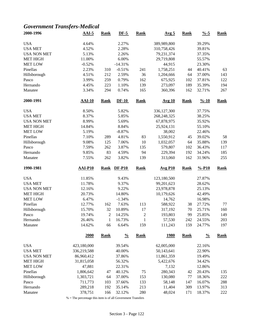### *Government Transfers-Medical*

| 2000-1996          | $AAI-5$        | <b>Rank</b>    | $DF-5$        | <b>Rank</b>    | Avg <sub>5</sub> | <b>Rank</b> | $\frac{9}{6} - 5$  | <b>Rank</b> |
|--------------------|----------------|----------------|---------------|----------------|------------------|-------------|--------------------|-------------|
| <b>USA</b>         | 4.64%          |                | 2.27%         |                | 389,989,800      |             | 39.29%             |             |
| <b>USA MET</b>     | 4.52%          |                | 2.28%         |                | 310,758,426      |             | 39.81%             |             |
| <b>USA NON MET</b> | 5.13%          |                | 2.26%         |                | 79,231,374       |             | 37.35%             |             |
| <b>MET HIGH</b>    | 11.00%         |                | 6.00%         |                | 29,719,808       |             | 55.57%             |             |
| <b>MET LOW</b>     | $-0.52%$       |                | $-14.31%$     |                | 44,915           |             | 23.30%             |             |
| Pinellas           | 2.23%          | 310            | $-0.51%$      | 241            | 1,758,251        | 44          | 40.41%             | 63          |
| Hillsborough       | 4.51%          | 212            | 2.59%         | 36             | 1,204,666        | 64          | 37.00%             | 143         |
| Pasco              | 3.99%          | 259            | 0.79%         | 162            | 675,925          | 102         | 37.81%             | 122         |
| Hernando           | 4.45%          | 223            | 1.10%         | 139            | 273,097          | 189         | 35.39%             | 194         |
| Manatee            | 3.34%          | 294            | 0.74%         | 165            | 360,396          | 162         | 32.71%             | 267         |
| 2000-1991          | <b>AAI-10</b>  | <b>Rank</b>    | $DF-10$       | <b>Rank</b>    | <b>Avg 10</b>    | <b>Rank</b> | $\frac{9}{6} - 10$ | <b>Rank</b> |
| <b>USA</b>         | 8.50%          |                | 5.82%         |                | 336,127,300      |             | 37.75%             |             |
| <b>USA MET</b>     | 8.37%          |                | 5.85%         |                | 268,248,325      |             | 38.25%             |             |
| <b>USA NON MET</b> | 8.99%          |                | 5.69%         |                | 67,878,975       |             | 35.92%             |             |
| <b>MET HIGH</b>    | 14.84%         |                | 8.84%         |                | 25,924,131       |             | 55.10%             |             |
| <b>MET LOW</b>     | 5.19%          |                | $-8.87%$      |                | 38,002           |             | 22.46%             |             |
| Pinellas           | 7.10%          | 289            | 4.81%         | 83             | 1,550,912        | 45          | 39.02%             | 58          |
| Hillsborough       | 9.08%          | 125            | 7.06%         | 10             | 1,032,057        | 64          | 35.88%             | 139         |
| Pasco              | 7.59%          | 262            | 3.87%         | 135            | 579,807          | 102         | 36.43%             | 117         |
| Hernando           | 9.85%          | 83             | 4.59%         | 94             | 229,394          | 192         | 34.24%             | 185         |
| Manatee            | 7.55%          | 262            | 3.82%         | 139            | 313,060          | 162         | 31.96%             | 255         |
|                    |                |                |               |                |                  |             |                    |             |
| 1990-1981          | <b>AAI-P10</b> | <b>Rank</b>    | <b>DF-P10</b> | <b>Rank</b>    | <b>Avg P10</b>   | <b>Rank</b> | $% -P10$           | <b>Rank</b> |
| <b>USA</b>         | 11.85%         |                | 9.43%         |                | 123,180,500      |             | 27.87%             |             |
| <b>USA MET</b>     | 11.78%         |                | 9.37%         |                | 99,201,623       |             | 28.62%             |             |
| <b>USA NON MET</b> | 12.16%         |                | 9.22%         |                | 23,978,878       |             | 25.13%             |             |
| <b>MET HIGH</b>    | 20.73%         |                | 14.80%        |                | 10,179,626       |             | 42.49%             |             |
| <b>MET LOW</b>     | 6.47%          |                | $-1.34%$      |                | 14,762           |             | 16.98%             |             |
| Pinellas           | 12.77%         | 162            | 7.63%         | 113            | 588,922          | 38          | 27.72%             | 77          |
| Hillsborough       | 15.70%         | 32             | 10.89%        | 17             | 317,192          | 70          | 25.71%             | 160         |
| Pasco              | 19.74%         | $\overline{2}$ | 14.25%        | $\overline{c}$ | 193,803          | 99          | 25.85%             | 149         |
| Hernando           | 26.46%         | $\mathbf{1}$   | 16.73%        | $\mathbf{1}$   | 57,530           | 242         | 24.55%             | 203         |
| Manatee            | 14.62%         | 66             | 6.64%         | 159            | 111,243          | 159         | 24.77%             | 197         |
|                    | 2000           | <b>Rank</b>    | $\frac{0}{0}$ | <b>Rank</b>    | <u>1980</u>      | <b>Rank</b> | $\frac{0}{0}$      | <b>Rank</b> |
| <b>USA</b>         | 423,180,000    |                | 39.54%        |                | 62,005,000       |             | 22.16%             |             |
| <b>USA MET</b>     | 336,219,588    |                | 40.00%        |                | 50,143,641       |             | 22.90%             |             |
| <b>USA NON MET</b> | 86,960,412     |                | 37.86%        |                | 11,861,359       |             | 19.49%             |             |
| <b>MET HIGH</b>    | 31,815,058     |                | 56.32%        |                | 5,422,676        |             | 34.42%             |             |
| <b>MET LOW</b>     | 47,881         |                | 22.31%        |                | 7,132            |             | 12.86%             |             |
| Pinellas           | 1,806,642      | 47             | 40.12%        | 75             | 280,343          | 42          | 20.43%             | 135         |
| Hillsborough       | 1,303,721      | 64             | 37.00%        | 153            | 130,080          | 77          | 18.36%             | 222         |
| Pasco              | 711,773        | 103            | 37.66%        | 133            | 58,148           | 147         | 16.07%             | 288         |
| Hernando           | 289,218        | 192            | 35.14%        | 213            | 11,404           | 309         | 13.97%             | 313         |
| Manatee            | 378,751        | 166            | 32.12%        | 280            | 48,024           | 171         | 18.37%             | 222         |
|                    |                |                |               |                |                  |             |                    |             |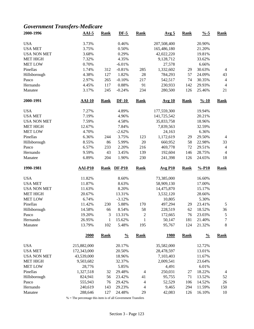### *Government Transfers-Medicare*

| 2000-1996          | $AAI-5$        | <b>Rank</b>  | $DF-5$        | <b>Rank</b>    | Avg <sub>5</sub> | <b>Rank</b> | $\frac{9}{6} - 5$  | <b>Rank</b>    |
|--------------------|----------------|--------------|---------------|----------------|------------------|-------------|--------------------|----------------|
| <b>USA</b>         | 3.73%          |              | 0.46%         |                | 207,508,400      |             | 20.90%             |                |
| <b>USA MET</b>     | 3.75%          |              | 0.50%         |                | 165,486,180      |             | 21.20%             |                |
| <b>USA NON MET</b> | 3.68%          |              | 0.29%         |                | 42,022,220       |             | 19.81%             |                |
| <b>MET HIGH</b>    | 7.32%          |              | 4.35%         |                | 9,128,712        |             | 33.62%             |                |
| <b>MET LOW</b>     | 0.70%          |              | $-6.01%$      |                | 27,578           |             | 6.66%              |                |
| Pinellas           | 1.74%          | 312          | $-0.81%$      | 285            | 1,332,602        | 29          | 30.63%             | $\overline{4}$ |
| Hillsborough       | 4.38%          | 127          | 1.82%         | 28             | 784,293          | 57          | 24.09%             | 43             |
| Pasco              | 2.97%          | 265          | $-0.10%$      | 217            | 542,517          | 74          | 30.35%             | $\overline{4}$ |
| Hernando           | 4.45%          | 117          | 0.88%         | 91             | 230,933          | 142         | 29.93%             | $\overline{4}$ |
| Manatee            | 3.17%          | 245          | $-0.24%$      | 234            | 280,500          | 126         | 25.46%             | 21             |
| 2000-1991          | <b>AAI-10</b>  | <b>Rank</b>  | $DF-10$       | <b>Rank</b>    | <b>Avg 10</b>    | <b>Rank</b> | $\frac{9}{6} - 10$ | <b>Rank</b>    |
| <b>USA</b>         | 7.27%          |              | 4.89%         |                | 177,559,300      |             | 19.94%             |                |
| <b>USA MET</b>     | 7.19%          |              | 4.96%         |                | 141,725,542      |             | 20.21%             |                |
| <b>USA NON MET</b> | 7.59%          |              | 4.58%         |                | 35,833,758       |             | 18.96%             |                |
| <b>MET HIGH</b>    | 12.67%         |              | 7.84%         |                | 7,839,563        |             | 32.59%             |                |
| <b>MET LOW</b>     | 4.70%          |              | $-2.62%$      |                | 24,163           |             | 6.36%              |                |
| Pinellas           | 6.36%          | 244          | 3.75%         | 123            | 1,172,619        | 29          | 29.50%             | $\overline{4}$ |
| Hillsborough       | 8.55%          | 86           | 5.99%         | 20             | 660,952          | 58          | 22.98%             | 33             |
| Pasco              | 6.57%          | 233          | 2.20%         | 216            | 469,778          | 72          | 29.51%             | $\overline{4}$ |
| Hernando           | 9.59%          | 43           | 3.45%         | 139            | 192,604          | 146         | 28.75%             | $\overline{4}$ |
| Manatee            | 6.89%          | 204          | 1.90%         | 230            | 241,398          | 126         | 24.65%             | 18             |
| 1990-1981          | <b>AAI-P10</b> | <b>Rank</b>  | <b>DF-P10</b> | <b>Rank</b>    | <b>Avg P10</b>   | <b>Rank</b> | $% -P10$           | <b>Rank</b>    |
| <b>USA</b>         | 11.82%         |              | 8.60%         |                | 73,385,000       |             | 16.60%             |                |
| <b>USA MET</b>     | 11.87%         |              | 8.63%         |                | 58,909,130       |             | 17.00%             |                |
| <b>USA NON MET</b> | 11.63%         |              | 8.20%         |                | 14,475,870       |             | 15.17%             |                |
| <b>MET HIGH</b>    | 20.67%         |              | 13.31%        |                | 3,532,120        |             | 28.66%             |                |
| <b>MET LOW</b>     | 6.74%          |              | $-3.12%$      |                | 10,805           |             | 5.30%              |                |
| Pinellas           | 11.42%         | 230          | 5.88%         | 170            | 497,294          | 29          | 23.41%             | $\sqrt{5}$     |
| Hillsborough       | 14.58%         | 66           | 8.54%         | 58             | 228,519          | 62          | 18.52%             | 36             |
| Pasco              | 19.20%         | 3            | 13.31%        | $\overline{c}$ | 172,665          | 76          | 23.03%             | 5              |
| Hernando           | 26.95%         | $\mathbf{1}$ | 15.62%        | $\mathbf{1}$   | 50,147           | 181         | 21.40%             | 7              |
| Manatee            | 13.79%         | 102          | 5.48%         | 195            | 95,767           | 124         | 21.32%             | $8\,$          |
|                    | 2000           | <b>Rank</b>  | $\frac{0}{0}$ | <b>Rank</b>    | <u>1980</u>      | <b>Rank</b> | $\frac{0}{0}$      | <b>Rank</b>    |
| <b>USA</b>         | 215,882,000    |              | 20.17%        |                | 35,582,000       |             | 12.72%             |                |
| <b>USA MET</b>     | 172,343,000    |              | 20.50%        |                | 28,478,597       |             | 13.01%             |                |
| <b>USA NON MET</b> | 43,539,000     |              | 18.96%        |                | 7,103,403        |             | 11.67%             |                |
| <b>MET HIGH</b>    | 9,503,682      |              | 32.37%        |                | 2,009,541        |             | 23.64%             |                |
| <b>MET LOW</b>     | 28,776         |              | 5.85%         |                | 4,491            |             | 6.01%              |                |
| Pinellas           | 1,327,518      | 32           | 29.48%        | $\overline{4}$ | 250,031          | 27          | 18.22%             | 4              |
| Hillsborough       | 824,941        | 56           | 23.42%        | 41             | 95,755           | 71          | 13.52%             | 52             |
| Pasco              | 555,943        | 76           | 29.42%        | 4              | 52,529           | 106         | 14.52%             | 26             |
| Hernando           | 240,619        | 143          | 29.23%        | $\overline{4}$ | 9,465            | 294         | 11.59%             | 150            |
| Manatee            | 288,646        | 127          | 24.48%        | 29             | 42,083           | 126         | 16.10%             | 10             |
|                    |                |              |               |                |                  |             |                    |                |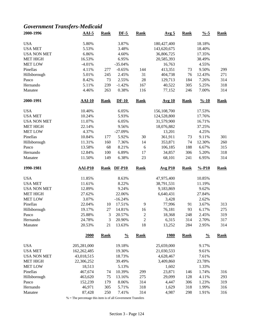### *Government Transfers-Medicaid*

| 2000-1996             | $AAI-5$          | <b>Rank</b> | $DF-5$           | <b>Rank</b>          | Avg <sub>5</sub> | <b>Rank</b> | $\frac{9}{6} - 5$  | <b>Rank</b> |
|-----------------------|------------------|-------------|------------------|----------------------|------------------|-------------|--------------------|-------------|
| <b>USA</b>            | 5.80%            |             | 3.87%            |                      | 180,427,400      |             | 18.18%             |             |
| <b>USA MET</b>        | 5.53%            |             | 3.48%            |                      | 143,620,675      |             | 18.40%             |             |
| <b>USA NON MET</b>    | 6.86%            |             | 4.60%            |                      | 36,806,725       |             | 17.35%             |             |
| <b>MET HIGH</b>       | 16.53%           |             | 6.95%            |                      | 20,585,393       |             | 38.49%             |             |
| <b>MET LOW</b>        | $-4.01%$         |             | $-35.04%$        |                      | 16,763           |             | 4.55%              |             |
| Pinellas              | 4.11%            | 277         | $-0.65%$         | 144                  | 413,351          | 73          | 9.50%              | 299         |
| Hillsborough          | 5.01%            | 245         | 2.45%            | 31                   | 404,738          | 76          | 12.43%             | 271         |
| Pasco                 | 8.42%            | 73          | 2.55%            | 28                   | 129,713          | 184         | 7.26%              | 314         |
| Hernando              | 5.11%            | 239         | $-1.42%$         | 167                  | 40,522           | 305         | 5.25%              | 318         |
| Manatee               | 4.46%            | 263         | 0.38%            | 116                  | 77,152           | 246         | 7.00%              | 314         |
|                       |                  |             |                  |                      |                  |             |                    |             |
| 2000-1991             | $AAI-10$         | <b>Rank</b> | $DF-10$          | <b>Rank</b>          | <b>Avg 10</b>    | <b>Rank</b> | $\frac{9}{6} - 10$ | <b>Rank</b> |
| <b>USA</b>            | 10.40%           |             | 6.05%            |                      | 156,108,700      |             | 17.53%             |             |
| <b>USA MET</b>        | 10.24%           |             | 5.93%            |                      | 124,528,800      |             | 17.76%             |             |
| <b>USA NON MET</b>    | 11.07%           |             | 6.05%            |                      | 31,579,900       |             | 16.71%             |             |
| <b>MET HIGH</b>       | 22.14%           |             | 9.56%            |                      | 18,076,882       |             | 37.25%             |             |
| <b>MET LOW</b>        | 4.37%            |             | $-27.09%$        |                      | 13,201           |             | 4.25%              |             |
| Pinellas              | 10.84%           | 177         | 5.92%            | 30                   | 361,911          | 73          | 9.11%              | 301         |
| Hillsborough          | 11.31%           | 160         | 7.36%            | 14                   | 353,871          | 74          | 12.30%             | 260         |
| Pasco                 | 13.58%           | 68          | 8.21%            | 6                    | 106,185          | 188         | 6.67%              | 315         |
| Hernando              | 12.84%           | 100         | 6.89%            | 17                   | 34,857           | 306         | 5.20%              | 318         |
| Manatee               | 11.50%           | 149         | 6.38%            | 23                   | 68,101           | 241         | 6.95%              | 314         |
|                       |                  |             |                  |                      |                  |             |                    |             |
| 1990-1981             | <b>AAI-P10</b>   | <b>Rank</b> | <b>DF-P10</b>    | <b>Rank</b>          | <b>Avg P10</b>   | <b>Rank</b> | $% -P10$           | <b>Rank</b> |
|                       |                  |             |                  |                      |                  |             |                    |             |
| <b>USA</b>            | 11.85%           |             | 8.63%            |                      | 47,975,400       |             | 10.85%             |             |
| <b>USA MET</b>        | 11.61%           |             | 8.22%            |                      | 38,791,531       |             | 11.19%             |             |
| <b>USA NON MET</b>    | 12.89%           |             | 9.24%            |                      | 9,183,869        |             | 9.62%              |             |
| <b>MET HIGH</b>       | 27.62%           |             | 22.06%           |                      | 6,640,431        |             | 27.84%             |             |
| <b>MET LOW</b>        | 3.07%            |             | $-16.24%$        |                      | 3,428            |             | 2.62%              |             |
| Pinellas              | 22.04%           | 10          | 17.51%           | 9                    | 77,996           | 91          | 3.67%              | 313         |
|                       | 19.17%           | 27          | 14.81%           |                      |                  | 93          | 6.17%              | 275         |
| Hillsborough<br>Pasco | 25.88%           | 3           | 20.57%           | 16<br>$\overline{c}$ | 76,181<br>18,368 | 248         | 2.45%              | 319         |
|                       |                  |             |                  |                      |                  |             |                    |             |
| Hernando<br>Manatee   | 24.78%<br>20.53% | 3<br>21     | 20.90%<br>13.63% | $\sqrt{2}$<br>18     | 6,315<br>13,252  | 314<br>284  | 2.70%<br>2.95%     | 317<br>314  |
|                       | 2000             | <b>Rank</b> | $\frac{0}{0}$    | <b>Rank</b>          | <u>1980</u>      | <b>Rank</b> | $\frac{0}{0}$      | <b>Rank</b> |
|                       |                  |             |                  |                      |                  |             |                    |             |
| <b>USA</b>            | 205,281,000      |             | 19.18%           |                      | 25,659,000       |             | 9.17%              |             |
| <b>USA MET</b>        | 162,262,485      |             | 19.30%           |                      | 21,030,533       |             | 9.61%              |             |
| <b>USA NON MET</b>    | 43,018,515       |             | 18.73%           |                      | 4,628,467        |             | 7.61%              |             |
| <b>MET HIGH</b>       | 22,306,252       |             | 39.49%           |                      | 3,409,860        |             | 23.78%             |             |
| <b>MET LOW</b>        | 18,513           |             | 5.13%            |                      | 1,602            |             | 1.33%              |             |
| Pinellas              | 467,674          | 74          | 10.39%           | 299                  | 23,871           | 146         | 1.74%              | 316         |
| Hillsborough          | 463,620          | 75          | 13.16%           | 275                  | 29,099           | 128         | 4.11%              | 293         |
| Pasco                 | 152,239          | 179         | 8.06%            | 314                  | 4,447            | 306         | 1.23%              | 319         |
| Hernando<br>Manatee   | 46,971<br>87,428 | 305<br>250  | 5.71%<br>7.41%   | 318<br>314           | 1,629<br>4,987   | 318<br>298  | 1.99%<br>1.91%     | 316<br>316  |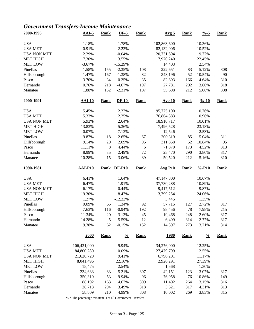### *Government Transfers-Income Maintenance*

| 2000-1996          | $AAI-5$          | <b>Rank</b>   | $DF-5$         | <b>Rank</b> | Avg <sub>5</sub> | <b>Rank</b> | $% -5$             | <b>Rank</b> |
|--------------------|------------------|---------------|----------------|-------------|------------------|-------------|--------------------|-------------|
| <b>USA</b>         | 1.18%            |               | $-1.78%$       |             | 102,863,600      |             | 10.36%             |             |
| <b>USA MET</b>     | 0.91%            |               | $-2.23%$       |             | 82,132,006       |             | 10.52%             |             |
| <b>USA NON MET</b> | 2.29%            |               | $-0.04%$       |             | 20,731,594       |             | 9.77%              |             |
| <b>MET HIGH</b>    | 7.30%            |               | 3.55%          |             | 7,970,240        |             | 22.45%             |             |
| <b>MET LOW</b>     | $-3.67%$         |               | $-15.29%$      |             | 14,403           |             | 2.54%              |             |
| Pinellas           | 1.58%            | 155           | $-2.35%$       | 108         | 222,651          | 83          | 5.12%              | 308         |
| Hillsborough       | 1.47%            | 167           | $-1.38%$       | 82          | 343,196          | 52          | 10.54%             | 90          |
| Pasco              | 3.70%            | 34            | 0.25%          | 35          | 82,893           | 166         | 4.64%              | 310         |
| Hernando           | 0.76%            | 218           | $-4.67%$       | 197         | 27,781           | 292         | 3.60%              | 318         |
| Manatee            | 1.88%            | 132           | $-2.31%$       | 107         | 55,698           | 212         | 5.06%              | 308         |
| 2000-1991          | $AAI-10$         | <b>Rank</b>   | $DF-10$        | <b>Rank</b> | <u>Avg 10</u>    | <b>Rank</b> | $\frac{9}{6} - 10$ | <b>Rank</b> |
| <b>USA</b>         | 5.45%            |               | 2.37%          |             | 95,775,100       |             | 10.76%             |             |
| <b>USA MET</b>     | 5.33%            |               | 2.25%          |             | 76,864,383       |             | 10.96%             |             |
| <b>USA NON MET</b> | 5.93%            |               | 2.64%          |             | 18,910,717       |             | 10.01%             |             |
| <b>MET HIGH</b>    | 13.83%           |               | 5.36%          |             | 7,496,528        |             | 23.18%             |             |
| <b>MET LOW</b>     | 0.07%            |               | $-7.13%$       |             | 12,546           |             | 2.53%              |             |
| Pinellas           | 9.87%            | 18            | 2.65%          | 67          | 200,319          | 85          | 5.04%              | 311         |
| Hillsborough       | 9.14%            | 29            | 2.09%          | 95          | 311,858          | 52          | 10.84%             | 95          |
| Pasco              | 11.11%           | $\,8\,$       | 4.44%          | 6           | 71,870           | 173         | 4.52%              | 313         |
| Hernando           | 8.99%            | 35            | 2.49%          | 72          | 25,470           | 290         | 3.80%              | 317         |
| Manatee            | 10.28%           | 15            | 3.06%          | 39          | 50,520           | 212         | 5.16%              | 310         |
| 1990-1981          | <b>AAI-P10</b>   | <b>Rank</b>   | <b>DF-P10</b>  | <b>Rank</b> | <b>Avg P10</b>   | <b>Rank</b> | $% -P10$           | <b>Rank</b> |
| <b>USA</b>         | 6.41%            |               | 1.64%          |             | 47,147,800       |             | 10.67%             |             |
| <b>USA MET</b>     | 6.47%            |               | 1.91%          |             | 37,730,288       |             | 10.89%             |             |
| <b>USA NON MET</b> | 6.17%            |               | 0.44%          |             | 9,417,512        |             | 9.87%              |             |
| <b>MET HIGH</b>    | 19.30%           |               | 8.47%          |             | 3,799,254        |             | 24.06%             |             |
| <b>MET LOW</b>     | 1.27%            |               | $-12.33%$      |             | 3,445            |             | 1.35%              |             |
| Pinellas           | 9.09%            | 65            | 1.34%          | 92          | 57,715           | 127         | 2.72%              | 317         |
| Hillsborough       | 7.63%            | 116           | $-0.94%$       | 192         | 98,456           | 78          | 7.98%              | 215         |
| Pasco              | 11.34%           | 20            | 3.13%          | 45          | 19,468           | 248         | 2.60%              | 317         |
| Hernando           | 14.28%           | $\mathfrak s$ | 5.59%          | 12          | 6,499            | 314         | 2.77%              | 317         |
| Manatee            | 9.38%            | 62            | $-0.15%$       | 152         | 14,397           | 273         | 3.21%              | 314         |
|                    | 2000             | <b>Rank</b>   | $\frac{0}{0}$  | <b>Rank</b> | <u>1980</u>      | <b>Rank</b> | $\frac{0}{0}$      | <b>Rank</b> |
| <b>USA</b>         | 106,421,000      |               | 9.94%          |             | 34,276,000       |             | 12.25%             |             |
| <b>USA MET</b>     | 84,800,280       |               | 10.09%         |             | 27,479,799       |             | 12.55%             |             |
| <b>USA NON MET</b> | 21,620,720       |               | 9.41%          |             | 6,796,201        |             | 11.17%             |             |
| <b>MET HIGH</b>    | 8,041,496        |               | 22.16%         |             | 2,926,291        |             | 27.39%             |             |
| <b>MET LOW</b>     | 15,475           |               | 2.54%          |             | 1,568            |             | 1.30%              |             |
| Pinellas           | 234,633          | 83            | 5.21%          | 307         | 42,151           | 123         | 3.07%              | 317         |
| Hillsborough       | 350,319          | 53            | 9.94%          | 96          | 76,958           | 76          | 10.86%             | 149         |
|                    | 88,192           | 163           |                | 309         |                  |             |                    |             |
| Pasco<br>Hernando  |                  |               | 4.67%          |             | 11,402           | 264         | 3.15%              | 316         |
|                    |                  |               |                |             |                  |             |                    |             |
| Manatee            | 28,713<br>58,809 | 294<br>210    | 3.49%<br>4.99% | 318<br>308  | 3,521<br>10,002  | 317<br>269  | 4.31%<br>3.83%     | 313<br>315  |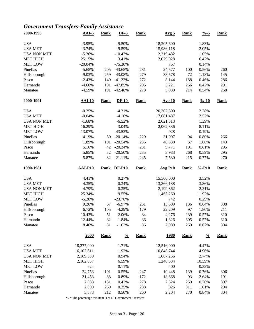### *Government Transfers-Family Assistance*

| 2000-1996          | $AAI-5$         | <b>Rank</b> | $DF-5$        | <b>Rank</b>       | Avg <sub>5</sub>     | <b>Rank</b>        | $\frac{9}{6} - 5$  | <b>Rank</b>        |
|--------------------|-----------------|-------------|---------------|-------------------|----------------------|--------------------|--------------------|--------------------|
| <b>USA</b>         | $-3.95%$        |             | $-9.50%$      |                   | 18,205,600           |                    | 1.83%              |                    |
| <b>USA MET</b>     | $-3.74%$        |             | $-9.59%$      |                   | 15,986,118           |                    | 2.05%              |                    |
| <b>USA NON MET</b> | $-5.36%$        |             | $-10.47%$     |                   | 2,219,482            |                    | 1.05%              |                    |
| <b>MET HIGH</b>    | 25.15%          |             | 3.41%         |                   | 2,079,028            |                    | 6.42%              |                    |
| <b>MET LOW</b>     | $-20.04%$       |             | $-75.30%$     |                   | 757                  |                    | 0.14%              |                    |
| Pinellas           | $-5.68%$        | 205         | $-43.68%$     | 281               | 24,577               | 100                | 0.56%              | 260                |
| Hillsborough       | $-9.03%$        | 259         | -43.08%       | 279               | 38,578               | 72                 | 1.18%              | 145                |
| Pasco              | $-2.43%$        | 149         | $-41.22%$     | 272               | 8,144                | 188                | 0.46%              | 286                |
| Hernando           | $-4.60%$        | 191         | $-47.85%$     | 295               | 3,221                | 266                | 0.42%              | 291                |
| Manatee            | $-4.59%$        | 191         | $-42.48%$     | 278               | 5,980                | 214                | 0.54%              | 268                |
| 2000-1991          | <b>AAI-10</b>   | <b>Rank</b> | $DF-10$       | <b>Rank</b>       | <b>Avg 10</b>        | <b>Rank</b>        | $\frac{9}{6} - 10$ | <b>Rank</b>        |
| <b>USA</b>         | $-0.25%$        |             | $-4.31%$      |                   | 20,302,800           |                    | 2.28%              |                    |
| <b>USA MET</b>     | $-0.04%$        |             | $-4.16%$      |                   | 17,681,487           |                    | 2.52%              |                    |
| <b>USA NON MET</b> | $-1.68%$        |             | $-6.52%$      |                   | 2,621,313            |                    | 1.39%              |                    |
| <b>MET HIGH</b>    | 16.29%          |             | 3.04%         |                   | 2,062,836            |                    | 8.11%              |                    |
| <b>MET LOW</b>     | $-13.07%$       |             | $-43.53%$     |                   | 928                  |                    | 0.19%              |                    |
| Pinellas           | 4.19%           | 50          | $-20.14%$     | 229               | 31,907               | 94                 | 0.80%              | 266                |
| Hillsborough       | 1.89%           | 101         | $-20.54%$     | 235               | 48,330               | 67                 | 1.68%              | 143                |
| Pasco              | 5.16%           | 42          | $-20.34%$     | 231               | 9,771                | 191                | 0.61%              | 295                |
| Hernando           | 5.85%           | 32          | $-20.50%$     | 235               | 3,983                | 268                | 0.59%              | 295                |
| Manatee            | 5.87%           | 32          | $-21.11%$     | 245               | 7,530                | 215                | 0.77%              | 270                |
|                    |                 |             |               |                   |                      | <b>Rank</b>        | $% -P10$           |                    |
| 1990-1981          | <b>AAI-P10</b>  | <b>Rank</b> | <b>DF-P10</b> | <b>Rank</b>       | <b>Avg P10</b>       |                    |                    | <b>Rank</b>        |
|                    |                 |             |               |                   |                      |                    |                    |                    |
| <b>USA</b>         | 4.41%           |             | 0.27%         |                   | 15,566,000           |                    | 3.52%              |                    |
| <b>USA MET</b>     | 4.35%           |             | 0.34%         |                   | 13,366,138           |                    | 3.86%              |                    |
| <b>USA NON MET</b> | 4.79%           |             | $-0.35%$      |                   | 2,199,862            |                    | 2.31%              |                    |
| <b>MET HIGH</b>    | 25.34%          |             | 9.55%         |                   | 1,465,260            |                    | 11.92%             |                    |
| <b>MET LOW</b>     | $-5.20%$        |             | $-23.78%$     |                   | 742                  |                    | 0.29%              |                    |
| Pinellas           | 9.26%           | 67          | $-6.97%$      | 251               | 13,509               | 136                | 0.64%              | 308                |
| Hillsborough       | 6.72%           | 105         | $-4.29%$      | 179               | 22,209               | 97                 | 1.80%              | 211                |
| Pasco              | 10.43%          | 51          | 2.06%         | 34                | 4,276                | 239                | 0.57%              | 310                |
| Hernando           | 12.44%<br>8.46% | 32<br>81    | 1.84%         | 36                | 1,326                | 305                | 0.57%              | 310                |
| Manatee            | 2000            | <b>Rank</b> | $-1.62%$      | 86<br><b>Rank</b> | 2,989<br><u>1980</u> | 269<br><b>Rank</b> | 0.67%              | 304<br><b>Rank</b> |
|                    |                 |             | $\frac{0}{0}$ |                   |                      |                    | $\frac{0}{0}$      |                    |
| <b>USA</b>         | 18,277,000      |             | 1.71%         |                   | 12,516,000           |                    | 4.47%              |                    |
| <b>USA MET</b>     | 16,107,611      |             | 1.92%         |                   | 10,848,744           |                    | 4.96%              |                    |
| <b>USA NON MET</b> | 2,169,389       |             | 0.94%         |                   | 1,667,256            |                    | 2.74%              |                    |
| <b>MET HIGH</b>    | 2,102,057       |             | 6.59%         |                   | 1,240,534            |                    | 10.59%             |                    |
| <b>MET LOW</b>     | 624             |             | 0.11%         |                   | 400                  |                    | 0.33%              |                    |
| Pinellas           | 24,753          | 101         | 0.55%         | 247               | 10,448               | 139                | 0.76%              | 306                |
| Hillsborough       | 31,453          | 88          | 0.89%         | 172               | 18,668               | 93                 | 2.64%              | 191                |
| Pasco              | 7,883           | 181         | 0.42%         | 278               | 2,524                | 259                | 0.70%              | 307                |
| Hernando           | 2,890           | 269         | 0.35%         | 288               | 826                  | 311                | 1.01%              | 294                |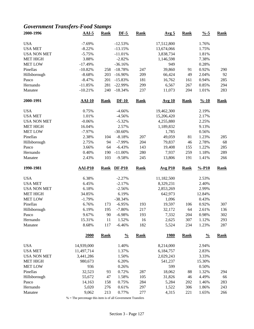### *Government Transfers-Food Stamps*

| 2000-1996          | $AAI-5$        | <b>Rank</b> | $DF-5$        | <b>Rank</b> | Avg <sub>5</sub> | <b>Rank</b> | $\frac{9}{6} - 5$  | <b>Rank</b> |
|--------------------|----------------|-------------|---------------|-------------|------------------|-------------|--------------------|-------------|
| <b>USA</b>         | $-7.69%$       |             | $-12.53%$     |             | 17,512,800       |             | 1.76%              |             |
| <b>USA MET</b>     | $-8.22%$       |             | $-13.15%$     |             | 13,674,066       |             | 1.75%              |             |
| <b>USA NON MET</b> | $-5.75%$       |             | $-11.01%$     |             | 3,838,734        |             | 1.81%              |             |
| <b>MET HIGH</b>    | 3.88%          |             | $-2.82%$      |             | 1,146,598        |             | 7.38%              |             |
| <b>MET LOW</b>     | $-17.49%$      |             | $-36.16%$     |             | 949              |             | 0.28%              |             |
| Pinellas           | $-10.82%$      | 258         | $-18.78%$     | 247         | 39,860           | 91          | 0.92%              | 290         |
| Hillsborough       | $-8.68%$       | 203         | $-16.90%$     | 209         | 66,424           | 49          | 2.04%              | 92          |
| Pasco              | $-8.47%$       | 201         | $-15.83%$     | 181         | 16,762           | 161         | 0.94%              | 285         |
| Hernando           | $-11.85%$      | 281         | $-22.99%$     | 299         | 6,567            | 267         | 0.85%              | 294         |
| Manatee            | $-10.21%$      | 240         | $-18.34%$     | 237         | 11,073           | 204         | 1.01%              | 283         |
| 2000-1991          | $AAI-10$       | Rank        | $DF-10$       | <b>Rank</b> | <b>Avg 10</b>    | <b>Rank</b> | $\frac{9}{6} - 10$ | <b>Rank</b> |
| <b>USA</b>         | 0.75%          |             | $-4.66%$      |             | 19,462,300       |             | 2.19%              |             |
| <b>USA MET</b>     | 1.01%          |             | $-4.56%$      |             | 15,206,420       |             | 2.17%              |             |
| <b>USA NON MET</b> | $-0.06%$       |             | $-5.32%$      |             | 4,255,880        |             | 2.25%              |             |
| <b>MET HIGH</b>    | 16.04%         |             | 2.57%         |             | 1,189,832        |             | 9.13%              |             |
| <b>MET LOW</b>     | $-7.97%$       |             | $-30.60%$     |             | 1,785            |             | 0.56%              |             |
| Pinellas           | 2.38%          | 104         | $-8.18%$      | 207         | 49,059           | 81          | 1.23%              | 285         |
| Hillsborough       | 2.75%          | 94          | $-7.99%$      | 204         | 79,837           | 46          | 2.78%              | 68          |
| Pasco              | 3.66%          | 64          | $-6.43%$      | 143         | 19,408           | 155         | 1.22%              | 285         |
|                    | 0.40%          | 190         | $-11.00%$     | 280         | 7,937            | 259         | 1.18%              | 289         |
| Hernando           |                |             |               |             |                  |             |                    |             |
| Manatee            | 2.43%          | 103         | $-9.58%$      | 245         | 13,806           | 191         | 1.41%              | 266         |
| 1990-1981          | <b>AAI-P10</b> | <b>Rank</b> | <b>DF-P10</b> | <b>Rank</b> | <b>Avg P10</b>   | <b>Rank</b> | $% -P10$           | <b>Rank</b> |
| <b>USA</b>         | 6.38%          |             | $-2.27%$      |             | 11,182,500       |             | 2.53%              |             |
| <b>USA MET</b>     | 6.45%          |             | $-2.17%$      |             | 8,329,231        |             | 2.40%              |             |
| <b>USA NON MET</b> | 6.18%          |             | $-2.56%$      |             | 2,853,269        |             | 2.99%              |             |
| <b>MET HIGH</b>    | 34.85%         |             | 6.19%         |             | 642,973          |             | 12.84%             |             |
| <b>MET LOW</b>     | $-1.79%$       |             | $-38.34%$     |             | 1,096            |             | 0.43%              |             |
| Pinellas           | 6.76%          | 173         | $-6.95%$      | 193         | 19,597           | 106         | 0.92%              | 307         |
| Hillsborough       | 6.19%          | 195         | $-7.80%$      | 217         | 32,172           | 64          | 2.61%              | 136         |
| Pasco              | 9.67%          | 90          | $-6.98%$      | 193         | 7,332            | 204         | 0.98%              | 302         |
| Hernando           | 15.31%         | 11          | 1.52%         | 16          | 2,625            | 307         | 1.12%              | 293         |
| Manatee            | 8.68%          | 117         | $-6.46%$      | 182         | 5,524            | 234         | 1.23%              | 287         |
|                    | <b>2000</b>    | <b>Rank</b> | $\frac{0}{0}$ | <b>Rank</b> | <u>1980</u>      | <b>Rank</b> | $\frac{0}{0}$      | <b>Rank</b> |
| <b>USA</b>         | 14,939,000     |             | 1.40%         |             | 8,214,000        |             | 2.94%              |             |
| <b>USA MET</b>     | 11,497,714     |             | 1.37%         |             | 6,184,757        |             | 2.83%              |             |
| <b>USA NON MET</b> | 3,441,286      |             | 1.50%         |             | 2,029,243        |             | 3.33%              |             |
| <b>MET HIGH</b>    | 980,673        |             | 6.20%         |             | 541,237          |             | 15.30%             |             |
| <b>MET LOW</b>     | 936            |             | 0.26%         |             | 599              |             | 0.50%              |             |
| Pinellas           | 32,523         | 93          | 0.72%         | 287         | 18,062           | 88          | 1.32%              | 294         |
| Hillsborough       | 55,672         | 47          | 1.58%         | 105         | 31,826           | 46          | 4.49%              | 66          |
| Pasco              | 14,163         | 158         | 0.75%         | 284         | 5,284            | 202         | 1.46%              | 283         |
| Hernando           | 5,020          | 276         | 0.61%         | 297         | 1,522            | 306         | 1.86%              | 243         |
|                    |                |             |               |             |                  |             |                    |             |
| Manatee            | 9,062          | 213         | 0.77%         | 277         | 4,315            | 221         | 1.65%              | 266         |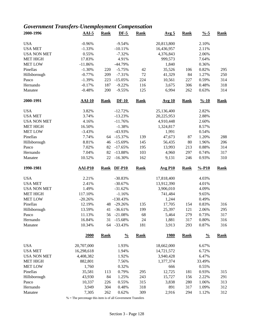### *Government Transfers-Unemployment Compensation*

| 2000-1996           | $AAI-5$          | <b>Rank</b> | $DF-5$                 | <b>Rank</b> | Avg <sub>5</sub> | <b>Rank</b> | $\frac{9}{6} - 5$  | <b>Rank</b> |
|---------------------|------------------|-------------|------------------------|-------------|------------------|-------------|--------------------|-------------|
| <b>USA</b>          | $-0.96%$         |             | $-9.54%$               |             | 20,813,800       |             | 2.10%              |             |
| <b>USA MET</b>      | $-1.33%$         |             | $-10.11%$              |             | 16,436,957       |             | 2.11%              |             |
| <b>USA NON MET</b>  | 0.55%            |             | $-7.32%$               |             | 4,376,843        |             | 2.06%              |             |
| <b>MET HIGH</b>     | 17.83%           |             | 4.91%                  |             | 999,573          |             | 7.64%              |             |
| <b>MET LOW</b>      | $-11.86%$        |             | $-44.79%$              |             | 1,840            |             | 0.36%              |             |
| Pinellas            | $-1.30%$         | 220         | $-5.75%$               | 42          | 35,526           | 106         | 0.82%              | 295         |
| Hillsborough        | $-0.77%$         | 209         | $-7.31%$               | $72\,$      | 41,329           | 84          | 1.27%              | 250         |
| Pasco               | $-1.39%$         | 223         | $-15.05%$              | 224         | 10,561           | 227         | 0.59%              | 314         |
| Hernando            | $-0.17%$         | 187         | $-9.22%$               | 116         | 3,675            | 306         | 0.48%              | 318         |
| Manatee             | $-0.48%$         | 200         | $-9.55%$               | 125         | 6,994            | 262         | 0.63%              | 314         |
| 2000-1991           | <b>AAI-10</b>    | <b>Rank</b> | $DF-10$                | <b>Rank</b> | <b>Avg 10</b>    | <b>Rank</b> | $\frac{9}{6} - 10$ | <b>Rank</b> |
| <b>USA</b>          | 3.82%            |             | $-12.72%$              |             | 25,136,400       |             | 2.82%              |             |
| <b>USA MET</b>      | 3.74%            |             | $-13.23%$              |             | 20,225,953       |             | 2.88%              |             |
| <b>USA NON MET</b>  | 4.16%            |             | $-11.76%$              |             | 4,910,448        |             | 2.60%              |             |
| <b>MET HIGH</b>     | 16.50%           |             | $-1.38%$               |             | 1,324,817        |             | 8.57%              |             |
| <b>MET LOW</b>      | $-3.43%$         |             | -43.93%                |             | 1,991            |             | 0.54%              |             |
| Pinellas            | 7.74%            | 64          | $-15.37%$              | 139         | 47,673           | 87          | 1.20%              | 288         |
| Hillsborough        | 8.81%            | 46          | $-15.69%$              | 145         | 56,435           | 80          | 1.96%              | 206         |
| Pasco               | 7.02%            | 82          | $-17.65%$              | 195         | 13,993           | 213         | 0.88%              | 314         |
| Hernando            | 7.04%            | 82          | $-13.88%$              | 103         | 4,960            | 297         | 0.74%              | 317         |
| Manatee             | 10.52%           | 22          | $-16.30%$              | 162         | 9,131            | 246         | 0.93%              | 310         |
| 1990-1981           | <b>AAI-P10</b>   | <b>Rank</b> | <b>DF-P10</b>          | <b>Rank</b> | <b>Avg P10</b>   | <b>Rank</b> | $% -P10$           | <b>Rank</b> |
| <b>USA</b>          | 2.21%            |             | $-30.83%$              |             | 17,818,400       |             | 4.03%              |             |
|                     |                  |             |                        |             |                  |             | 4.01%              |             |
|                     |                  |             |                        |             |                  |             |                    |             |
| <b>USA MET</b>      | 2.41%            |             | $-30.67%$              |             | 13,912,390       |             |                    |             |
| <b>USA NON MET</b>  | 1.49%            |             | $-31.62%$              |             | 3,906,010        |             | 4.09%              |             |
| <b>MET HIGH</b>     | 117.10%          |             | $-1.16%$               |             | 741,484          |             | 9.65%              |             |
| <b>MET LOW</b>      | $-20.26%$        |             | $-130.43%$             |             | 1,244            |             | 0.49%              |             |
| Pinellas            | 12.19%           | 48          | $-29.26%$              | 135         | 17,705           | 154         | 0.83%              | 316         |
| Hillsborough        | 13.59%           | 41          | $-36.61%$              | 199         | 25,397           | 121         | 2.06%              | 295         |
| Pasco               | 11.13%           | 56          | $-21.08%$              | 68          | 5,464            | 279         | 0.73%              | 317         |
| Hernando<br>Manatee | 16.84%<br>10.34% | 31<br>64    | $-15.68%$<br>$-33.43%$ | 24<br>181   | 1,881<br>3,913   | 317<br>293  | 0.80%<br>0.87%     | 316<br>316  |
|                     | 2000             | <b>Rank</b> | $\frac{0}{0}$          | <b>Rank</b> | <u>1980</u>      | <b>Rank</b> | $\frac{0}{0}$      | <b>Rank</b> |
|                     |                  |             |                        |             |                  |             |                    |             |
| <b>USA</b>          | 20,707,000       |             | 1.93%                  |             | 18,662,000       |             | 6.67%              |             |
| <b>USA MET</b>      | 16,298,618       |             | 1.94%                  |             | 14,721,572       |             | 6.72%              |             |
| <b>USA NON MET</b>  | 4,408,382        |             | 1.92%                  |             | 3,940,428        |             | 6.47%              |             |
| <b>MET HIGH</b>     | 882,801          |             | 7.56%                  |             | 1,377,374        |             | 33.49%             |             |
| <b>MET LOW</b>      | 1,760            |             | 0.32%                  |             | 666              |             | 0.55%              |             |
| Pinellas            | 35,581           | 113         | 0.79%                  | 295         | 12,725           | 181         | 0.93%              | 315         |
| Hillsborough        | 43,930           | 84          | 1.25%                  | 243         | 15,727           | 156         | 2.22%              | 291         |
| Pasco               | 10,337           | 226         | 0.55%                  | 315         | 3,838            | 280         | 1.06%              | 313         |
| Hernando<br>Manatee | 3,949<br>7,305   | 304<br>262  | 0.48%<br>0.62%         | 318<br>309  | 891<br>2,916     | 317<br>294  | 1.09%<br>1.12%     | 312<br>312  |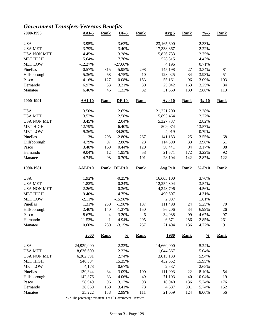### *Government Transfers-Veterans Benefits*

| 2000-1996           | $AAI-5$          | <b>Rank</b>         | $DF-5$               | <b>Rank</b> | Avg <sub>5</sub> | <b>Rank</b> | $\frac{9}{6} - 5$  | <b>Rank</b> |
|---------------------|------------------|---------------------|----------------------|-------------|------------------|-------------|--------------------|-------------|
| <b>USA</b>          | 3.95%            |                     | 3.63%                |             | 23,165,600       |             | 2.33%              |             |
| <b>USA MET</b>      | 3.79%            |                     | 3.40%                |             | 17,338,867       |             | 2.22%              |             |
| <b>USA NON MET</b>  | 4.45%            |                     | 3.28%                |             | 5,826,733        |             | 2.75%              |             |
| <b>MET HIGH</b>     | 15.64%           |                     | 7.76%                |             | 528,315          |             | 14.43%             |             |
| <b>MET LOW</b>      | $-12.27%$        |                     | $-27.66%$            |             | 4,196            |             | 0.71%              |             |
| Pinellas            | $-0.57%$         | 315                 | $-5.95%$             | 298         | 145,198          | 27          | 3.34%              | 81          |
| Hillsborough        | 5.36%            | 68                  | 4.75%                | 10          | 128,025          | 34          | 3.93%              | 51          |
| Pasco               | 4.16%            | 127                 | 0.08%                | 153         | 55,161           | 96          | 3.09%              | 103         |
| Hernando            | 6.97%            | 33                  | 3.21%                | 30          | 25,042           | 163         | 3.25%              | 84          |
| Manatee             | 6.46%            | 46                  | 1.33%                | 82          | 31,560           | 139         | 2.86%              | 113         |
| 2000-1991           | $AAI-10$         | <b>Rank</b>         | $DF-10$              | <b>Rank</b> | <b>Avg 10</b>    | <b>Rank</b> | $\frac{9}{6} - 10$ | <b>Rank</b> |
| <b>USA</b>          | 3.50%            |                     | 2.65%                |             | 21,221,200       |             | 2.38%              |             |
| <b>USA MET</b>      | 3.52%            |                     | 2.58%                |             | 15,893,464       |             | 2.27%              |             |
| <b>USA NON MET</b>  | 3.45%            |                     | 2.04%                |             | 5,327,737        |             | 2.82%              |             |
| <b>MET HIGH</b>     | 12.79%           |                     | 6.40%                |             | 509,074          |             | 13.57%             |             |
| <b>MET LOW</b>      | $-9.36%$         |                     | $-34.80%$            |             | 4,019            |             | 0.79%              |             |
| Pinellas            | 1.13%            | 298                 | $-2.80%$             | 267         | 141,183          | 25          | 3.55%              | 68          |
| Hillsborough        | 4.79%            | 97                  | 2.86%                | 28          | 114,390          | 33          | 3.98%              | 51          |
| Pasco               | 3.48%            | 169                 | 0.44%                | 120         | 50,441           | 94          | 3.17%              | 98          |
| Hernando            | 9.04%            | 12                  | 1.95%                | 58          | 21,571           | 172         | 3.22%              | 92          |
| Manatee             | 4.74%            | 98                  | 0.70%                | 101         | 28,104           | 142         | 2.87%              | 122         |
| 1990-1981           | <b>AAI-P10</b>   | <b>Rank</b>         | <b>DF-P10</b>        | <b>Rank</b> | <b>Avg P10</b>   | Rank        | $% -P10$           | <b>Rank</b> |
|                     |                  |                     |                      |             |                  |             |                    |             |
|                     |                  |                     |                      |             |                  |             |                    |             |
| <b>USA</b>          | 1.92%            |                     | $-0.25%$             |             | 16,603,100       |             | 3.76%              |             |
| <b>USA MET</b>      | 1.82%            |                     | $-0.24%$             |             | 12,254,304       |             | 3.54%              |             |
| <b>USA NON MET</b>  | 2.26%            |                     | $-0.36%$             |             | 4,348,796        |             | 4.56%              |             |
| <b>MET HIGH</b>     | 9.40%            |                     | 4.75%                |             | 490,507          |             | 14.31%             |             |
| <b>MET LOW</b>      | $-2.11%$         |                     | $-15.98%$            |             | 2,987            |             | 1.81%              |             |
| Pinellas            | 1.31%            | 230                 | $-1.98%$             | 187         | 111,498          | 24          | 5.25%              | 70          |
| Hillsborough        | 2.40%            | 140                 | $-1.37%$             | 150         | 86,206           | 34          | 6.99%              | 26          |
| Pasco               | 8.67%            | $\overline{4}$      | 3.20%                | 6           | 34,988           | 99          | 4.67%              | 97          |
| Hernando<br>Manatee | 11.53%<br>0.60%  | $\mathbf{1}$<br>280 | $-4.94%$<br>$-3.15%$ | 295<br>257  | 6,671<br>21,404  | 286<br>136  | 2.85%<br>4.77%     | 261<br>91   |
|                     | 2000             | <b>Rank</b>         | $\frac{0}{0}$        | <b>Rank</b> | <u>1980</u>      | <b>Rank</b> | $\frac{0}{0}$      | <b>Rank</b> |
|                     |                  |                     |                      |             |                  |             |                    |             |
| <b>USA</b>          | 24,939,000       |                     | 2.33%                |             | 14,660,000       |             | 5.24%              |             |
| <b>USA MET</b>      | 18,636,609       |                     | 2.22%                |             | 11,044,867       |             | 5.04%              |             |
| <b>USA NON MET</b>  | 6,302,391        |                     | 2.74%                |             | 3,615,133        |             | 5.94%              |             |
| <b>MET HIGH</b>     | 546,384          |                     | 15.35%               |             | 432,552          |             | 15.95%             |             |
| <b>MET LOW</b>      | 4,178            |                     | 0.67%                |             | 2,537            |             | 2.65%              |             |
| Pinellas            | 139,344          | 34                  | 3.09%                | 100         | 111,093          | 22          | 8.10%              | 54          |
| Hillsborough        | 142,876          | 33                  | 4.06%                | 49          | 71,103           | 40          | 10.04%             | 19          |
| Pasco               | 58,949           | 96                  | 3.12%                | 98          | 18,940           | 136         | 5.24%              | 176         |
| Hernando<br>Manatee | 28,060<br>35,222 | 160<br>138          | 3.41%<br>2.99%       | 78<br>111   | 4,687<br>21,059  | 301<br>124  | 5.74%<br>8.06%     | 152<br>56   |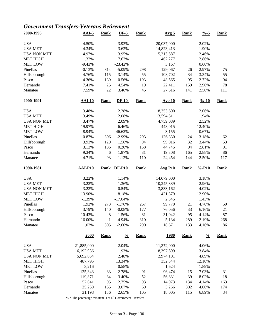### *Government Transfers-Veterans Retirement*

| 2000-1996                            | $AAI-5$          | <b>Rank</b>         | $DF-5$               | <b>Rank</b> | Avg <sub>5</sub> | <b>Rank</b> | $\frac{9}{6} - 5$  | <b>Rank</b> |
|--------------------------------------|------------------|---------------------|----------------------|-------------|------------------|-------------|--------------------|-------------|
| <b>USA</b>                           | 4.50%            |                     | 3.93%                |             | 20,037,000       |             | 2.02%              |             |
| <b>USA MET</b>                       | 4.34%            |                     | 3.62%                |             | 14,823,413       |             | 1.90%              |             |
| <b>USA NON MET</b>                   | 4.97%            |                     | 3.95%                |             | 5,213,587        |             | 2.46%              |             |
| <b>MET HIGH</b>                      | 11.32%           |                     | 7.63%                |             | 462,277          |             | 12.86%             |             |
| <b>MET LOW</b>                       | $-9.43%$         |                     | $-23.42%$            |             | 3,167            |             | 0.60%              |             |
| Pinellas                             | $-0.13%$         | 314                 | $-5.09%$             | 298         | 129,067          | 26          | 2.97%              | 75          |
| Hillsborough                         | 4.76%            | 115                 | 3.14%                | 55          | 108,702          | 34          | 3.34%              | 55          |
| Pasco                                | 4.36%            | 139                 | 0.56%                | 193         | 48,565           | 95          | 2.72%              | 94          |
| Hernando                             | 7.41%            | 25                  | 4.54%                | 19          | 22,411           | 159         | 2.90%              | 78          |
| Manatee                              | 7.59%            | 22                  | 3.46%                | 45          | 27,516           | 141         | 2.50%              | 111         |
| 2000-1991                            | <b>AAI-10</b>    | <b>Rank</b>         | $DF-10$              | <b>Rank</b> | <b>Avg 10</b>    | <b>Rank</b> | $\frac{9}{6} - 10$ | <b>Rank</b> |
| <b>USA</b>                           | 3.48%            |                     | 2.28%                |             | 18,353,600       |             | 2.06%              |             |
| <b>USA MET</b>                       | 3.49%            |                     | 2.08%                |             | 13,594,511       |             | 1.94%              |             |
| <b>USA NON MET</b>                   | 3.47%            |                     | 2.09%                |             | 4,759,089        |             | 2.52%              |             |
| <b>MET HIGH</b>                      | 19.97%           |                     | 6.46%                |             | 443,015          |             | 12.40%             |             |
| <b>MET LOW</b>                       | $-8.94%$         |                     | $-46.62%$            |             | 3,155            |             | 0.67%              |             |
| Pinellas                             | 0.87%            | 306                 | $-2.99%$             | 293         | 126,330          | 24          | 3.18%              | 62          |
| Hillsborough                         | 3.93%            | 129                 | 1.56%                | 94          | 99,016           | 32          | 3.44%              | 53          |
| Pasco                                | 3.13%            | 186                 | 0.20%                | 158         | 44,745           | 94          | 2.81%              | 91          |
| Hernando                             | 9.34%            | $\sqrt{6}$          | 1.87%                | 81          | 19,308           | 165         | 2.88%              | 86          |
| Manatee                              | 4.71%            | 93                  | 1.12%                | 110         | 24,454           | 144         | 2.50%              | 117         |
|                                      |                  |                     |                      |             |                  |             |                    |             |
| 1990-1981                            | <b>AAI-P10</b>   | <b>Rank</b>         | <b>DF-P10</b>        | <b>Rank</b> | <b>Avg P10</b>   | <b>Rank</b> | $% -P10$           | <b>Rank</b> |
|                                      |                  |                     |                      |             |                  |             |                    |             |
| <b>USA</b>                           | 3.22%            |                     | 1.14%                |             | 14,079,000       |             | 3.18%              |             |
| <b>USA MET</b>                       | 3.22%            |                     | 1.36%                |             | 10,245,839       |             | 2.96%              |             |
| <b>USA NON MET</b>                   | 3.22%            |                     | 0.54%                |             | 3,833,162        |             | 4.02%              |             |
| <b>MET HIGH</b>                      | 13.90%           |                     | 8.18%                |             | 421,379          |             | 12.90%             |             |
| <b>MET LOW</b>                       | $-1.39%$         |                     | $-17.04%$            |             | 2,345            |             | 1.43%              |             |
| Pinellas                             | 1.92%            | 273                 | $-1.76%$             | 267         | 99,770           | 21          | 4.70%              | 59          |
| Hillsborough                         | 3.79%            | 140                 | $-0.08%$             | 177         | 76,056           | 33          | 6.16%              | 21          |
| Pasco                                | 10.43%           | 8                   | 1.56%                | 81          | 31,042           | 95          | 4.14%              | 87          |
| Hernando<br>Manatee                  | 16.00%<br>1.02%  | $\mathbf{1}$<br>305 | $-4.94%$<br>$-2.60%$ | 310<br>290  | 5,134<br>18,671  | 289<br>133  | 2.19%<br>4.16%     | 268<br>86   |
|                                      | 2000             | <b>Rank</b>         | $\frac{0}{0}$        | <b>Rank</b> | <u>1980</u>      | <b>Rank</b> | $\frac{0}{0}$      | <b>Rank</b> |
| <b>USA</b>                           | 21,885,000       |                     | 2.04%                |             | 11,372,000       |             | 4.06%              |             |
|                                      |                  |                     | 1.93%                |             |                  |             |                    |             |
| <b>USA MET</b><br><b>USA NON MET</b> | 16,192,936       |                     | 2.48%                |             | 8,397,899        |             | 3.84%<br>4.89%     |             |
|                                      | 5,692,064        |                     |                      |             | 2,974,101        |             |                    |             |
| <b>MET HIGH</b>                      | 487,795          |                     | 13.34%               |             | 352,344          |             | 12.10%             |             |
| <b>MET LOW</b>                       | 3,216            |                     | 0.58%                |             | 1,624            |             | 1.89%              |             |
| Pinellas                             | 125,343          | 33                  | 2.78%                | 91          | 96,474           | 15          | 7.03%              | 31          |
| Hillsborough                         | 119,871          | 34                  | 3.40%                | 52          | 56,831           | 39          | 8.02%              | 18          |
| Pasco<br>Hernando                    | 52,041<br>25,250 | 95<br>155           | 2.75%<br>3.07%       | 93<br>69    | 14,973<br>3,266  | 134<br>302  | 4.14%<br>4.00%     | 163<br>174  |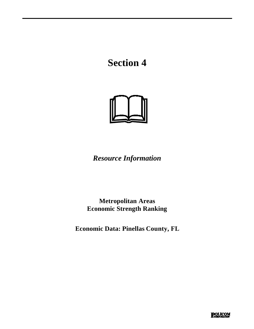# **Section 4**



*Resource Information*

**Metropolitan Areas Economic Strength Ranking**

**Economic Data: Pinellas County, FL**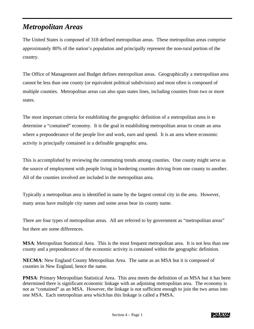### *Metropolitan Areas*

The United States is composed of 318 defined metropolitan areas. These metropolitan areas comprise approximately 80% of the nation's population and principally represent the non-rural portion of the country.

The Office of Management and Budget defines metropolitan areas. Geographically a metropolitan area cannot be less than one county (or equivalent political subdivision) and most often is composed of multiple counties. Metropolitan areas can also span states lines, including counties from two or more states.

The most important criteria for establishing the geographic definition of a metropolitan area is to determine a "contained" economy. It is the goal in establishing metropolitan areas to create an area where a preponderance of the people live and work, earn and spend. It is an area where economic activity is principally contained in a definable geographic area.

This is accomplished by reviewing the commuting trends among counties. One county might serve as the source of employment with people living in bordering counties driving from one county to another. All of the counties involved are included in the metropolitan area.

Typically a metropolitan area is identified in name by the largest central city in the area. However, many areas have multiple city names and some areas bear its county name.

There are four types of metropolitan areas. All are referred to by government as "metropolitan areas" but there are some differences.

**MSA**: Metropolitan Statistical Area. This is the most frequent metropolitan area. It is not less than one county and a preponderance of the economic activity is contained within the geographic definition.

**NECMA**: New England County Metropolitan Area. The same as an MSA but it is composed of counties in New England, hence the name.

**PMSA**: Primary Metropolitan Statistical Area. This area meets the definition of an MSA but it has been determined there is significant economic linkage with an adjoining metropolitan area. The economy is not as "contained" as an MSA. However, the linkage is not sufficient enough to join the two areas into one MSA. Each metropolitan area which has this linkage is called a PMSA.

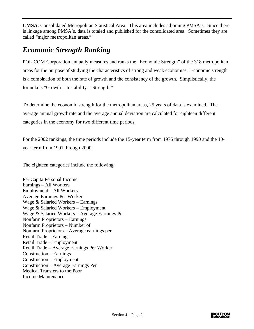**CMSA**: Consolidated Metropolitan Statistical Area. This area includes adjoining PMSA's. Since there is linkage among PMSA's, data is totaled and published for the consolidated area. Sometimes they are called "major metropolitan areas."

### *Economic Strength Ranking*

POLICOM Corporation annually measures and ranks the "Economic Strength" of the 318 metropolitan areas for the purpose of studying the characteristics of strong and weak economies. Economic strength is a combination of both the rate of growth and the consistency of the growth. Simplistically, the formula is "Growth – Instability = Strength."

To determine the economic strength for the metropolitan areas, 25 years of data is examined. The average annual growth rate and the average annual deviation are calculated for eighteen different categories in the economy for two different time periods.

For the 2002 rankings, the time periods include the 15-year term from 1976 through 1990 and the 10 year term from 1991 through 2000.

The eighteen categories include the following:

Per Capita Personal Income Earnings – All Workers Employment – All Workers Average Earnings Per Worker Wage & Salaried Workers – Earnings Wage & Salaried Workers – Employment Wage & Salaried Workers – Average Earnings Per Nonfarm Proprietors – Earnings Nonfarm Proprietors – Number of Nonfarm Proprietors – Average earnings per Retail Trade – Earnings Retail Trade – Employment Retail Trade – Average Earnings Per Worker Construction – Earnings Construction – Employment Construction – Average Earnings Per Medical Transfers to the Poor Income Maintenance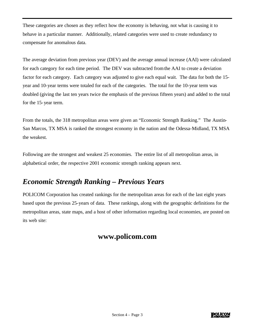These categories are chosen as they reflect how the economy is behaving, not what is causing it to behave in a particular manner. Additionally, related categories were used to create redundancy to compensate for anomalous data.

The average deviation from previous year (DEV) and the average annual increase (AAI) were calculated for each category for each time period. The DEV was subtracted from the AAI to create a deviation factor for each category. Each category was adjusted to give each equal wait. The data for both the 15 year and 10-year terms were totaled for each of the categories. The total for the 10-year term was doubled (giving the last ten years twice the emphasis of the previous fifteen years) and added to the total for the 15-year term.

From the totals, the 318 metropolitan areas were given an "Economic Strength Ranking." The Austin-San Marcos, TX MSA is ranked the strongest economy in the nation and the Odessa-Midland, TX MSA the weakest.

Following are the strongest and weakest 25 economies. The entire list of all metropolitan areas, in alphabetical order, the respective 2001 economic strength ranking appears next.

### *Economic Strength Ranking – Previous Years*

POLICOM Corporation has created rankings for the metropolitan areas for each of the last eight years based upon the previous 25-years of data. These rankings, along with the geographic definitions for the metropolitan areas, state maps, and a host of other information regarding local economies, are posted on its web site:

### **www.policom.com**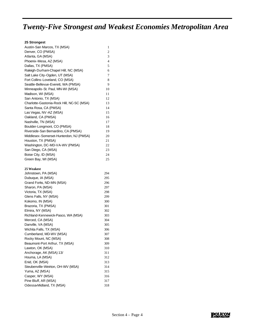# *Twenty-Five Strongest and Weakest Economies Metropolitan Area*

| 25 Strongest                              |    |
|-------------------------------------------|----|
| Austin-San Marcos, TX (MSA)               | 1  |
| Denver, CO (PMSA)                         | 2  |
| Atlanta, GA (MSA)                         | 3  |
| Phoenix-Mesa, AZ (MSA)                    | 4  |
| Dallas, TX (PMSA)                         | 5  |
| Raleigh-Durham-Chapel Hill, NC (MSA)      | 6  |
| Salt Lake City-Ogden, UT (MSA)            | 7  |
| Fort Collins-Loveland, CO (MSA)           | 8  |
| Seattle-Bellevue-Everett, WA (PMSA)       | 9  |
| Minneapolis-St. Paul, MN-WI (MSA)         | 10 |
| Madison, WI (MSA)                         | 11 |
| San Antonio, TX (MSA)                     | 12 |
| Charlotte-Gastonia-Rock Hill, NC-SC (MSA) | 13 |
| Santa Rosa, CA (PMSA)                     | 14 |

| Las Vegas, NV-AZ (MSA)                  | 15 |
|-----------------------------------------|----|
| Oakland, CA (PMSA)                      | 16 |
| Nashville, TN (MSA)                     | 17 |
| Boulder-Longmont, CO (PMSA)             | 18 |
| Riverside-San Bernardino, CA (PMSA)     | 19 |
| Middlesex-Somerset-Hunterdon, NJ (PMSA) | 20 |
| Houston, TX (PMSA)                      | 21 |
| Washington, DC-MD-VA-WV (PMSA)          | 22 |
| San Diego, CA (MSA)                     | 23 |
| Boise City, ID (MSA)                    | 24 |
|                                         |    |

Green Bay, WI (MSA) 25

#### **25 Weakest**

| 294 |
|-----|
| 295 |
| 296 |
| 297 |
| 298 |
| 299 |
| 300 |
| 301 |
| 302 |
| 303 |
| 304 |
| 305 |
| 306 |
| 307 |
| 308 |
| 309 |
| 310 |
| 311 |
| 312 |
| 313 |
| 314 |
| 315 |
| 316 |
| 317 |
| 318 |
|     |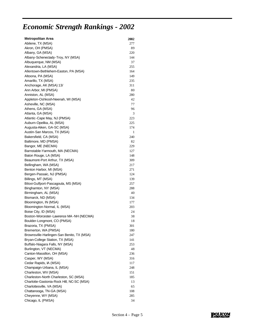# *Economic Strength Rankings - 2002*

| <b>Metropolitan Area</b>                   | <b>2002</b> |
|--------------------------------------------|-------------|
| Abilene, TX (MSA)                          | 277         |
| Akron, OH (PMSA)                           | 89          |
| Albany, GA (MSA)                           | 220         |
| Albany-Schenectady-Troy, NY (MSA)          | 144         |
| Albuquerque, NM (MSA)                      | 37          |
| Alexandria, LA (MSA)                       | 255         |
| Allentown-Bethlehem-Easton, PA (MSA)       | 164         |
| Altoona, PA (MSA)                          | 149         |
| Amarillo, TX (MSA)                         | 235         |
| Anchorage, AK (MSA) 13/                    | 311         |
| Ann Arbor, MI (PMSA)                       | 80          |
| Anniston, AL (MSA)                         | 280         |
| Appleton-Oshkosh-Neenah, WI (MSA)          | 42          |
| Asheville, NC (MSA)                        | 77          |
| Athens, GA (MSA)                           | 96          |
| Atlanta, GA (MSA)                          | 3           |
| Atlantic-Cape May, NJ (PMSA)               | 223         |
| Auburn-Opelika, AL (MSA)                   | 225         |
| Augusta-Aiken, GA-SC (MSA)                 | 174         |
| Austin-San Marcos, TX (MSA)                | 1           |
| Bakersfield, CA (MSA)                      | 240         |
| Baltimore, MD (PMSA)                       | 82          |
| Bangor, ME (NECMA)                         | 229         |
| Barnstable-Yarmouth, MA (NECMA)            | 127         |
| Baton Rouge, LA (MSA)                      | 148         |
| Beaumont-Port Arthur, TX (MSA)             | 309         |
| Bellingham, WA (MSA)                       | 217         |
| Benton Harbor, MI (MSA)                    | 271         |
| Bergen-Passaic, NJ (PMSA)                  | 124         |
| Billings, MT (MSA)                         | 139         |
| Biloxi-Gulfport-Pascagoula, MS (MSA)       | 257         |
| Binghamton, NY (MSA)                       | 288         |
| Birmingham, AL (MSA)                       | 40          |
| Bismarck, ND (MSA)                         | 134         |
| Bloomington, IN (MSA)                      | 177         |
| Bloomington-Normal, IL (MSA)               | 203         |
| Boise City, ID (MSA)                       | 24          |
| Boston-Worcester-Lawrence MA-NH (NECMA)    | 38          |
| Boulder-Longmont, CO (PMSA)                | 18          |
| Brazoria, TX (PMSA)                        | 301         |
| Bremerton, WA (PMSA)                       | 180         |
| Brownsville-Harlingen-San Benito, TX (MSA) | 247         |
| Bryan-College Station, TX (MSA)            | 141         |
| Buffalo-Niagara Falls, NY (MSA)            | 253         |
| Burlington, VT (NECMA)                     | 48          |
| Canton-Massillon, OH (MSA)                 | 236         |
| Casper, WY (MSA)                           | 316         |
| Cedar Rapids, IA (MSA)                     | 117         |
| Champaign-Urbana, IL (MSA)                 | 248         |
| Charleston, WV (MSA)                       | 151         |
| Charleston-North Charleston, SC (MSA)      | 185         |
| Charlotte-Gastonia-Rock Hill, NC-SC (MSA)  | 13          |
| Charlottesville, VA (MSA)                  | 65          |
| Chattanooga, TN-GA (MSA)                   | 108         |
| Cheyenne, WY (MSA)                         | 285         |
| Chicago, IL (PMSA)                         | 34          |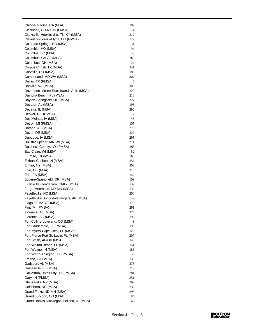| Chico-Paradise, CA (MSA)                  | 187 |
|-------------------------------------------|-----|
| Cincinnati, OH-KY-IN (PMSA)               | 74  |
| Clarksville-Hopkinsville, TN-KY (MSA)     | 212 |
| Cleveland-Lorain-Elyria, OH (PMSA)        | 122 |
| Colorado Springs, CO (MSA)                | 54  |
| Columbia, MO (MSA)                        | 91  |
| Columbia, SC (MSA)                        | 44  |
| Columbus, GA-AL (MSA)                     | 160 |
| Columbus, OH (MSA)                        | 26  |
| Corpus Christi, TX (MSA)                  | 241 |
| Corvallis, OR (MSA)                       | 183 |
| Cumberland, MD-WV (MSA)                   | 307 |
| Dallas, TX (PMSA)                         | 5   |
| Danville, VA (MSA)                        | 305 |
| Davenport-Moline-Rock Island, IA-IL (MSA) | 228 |
| Daytona Beach, FL (MSA)                   | 218 |
| Dayton-Springfield, OH (MSA)              | 227 |
| Decatur, AL (MSA)                         | 196 |
| Decatur, IL (MSA)                         | 292 |
| Denver, CO (PMSA)                         | 2   |
| Des Moines, IA (MSA)                      | 43  |
| Detroit, MI (PMSA)                        | 105 |
| Dothan, AL (MSA)                          | 273 |
| Dover, DE (MSA)                           | 226 |
| Dubuque, IA (MSA)                         | 295 |
| Duluth-Superior, MN-WI (MSA)              | 211 |
| Dutchess County, NY (PMSA)                | 263 |
| Eau Claire, WI (MSA)                      | 52  |
| El Paso, TX (MSA)                         | 169 |
| Elkhart-Goshen, IN (MSA)                  | 254 |
| Elmira, NY (MSA)                          | 302 |
| Enid, OK (MSA)                            | 313 |
| Erie, PA (MSA)                            | 142 |
| Eugene-Springfield, OR (MSA)              | 109 |
| Evansville-Henderson, IN-KY (MSA)         | 132 |
| Fargo-Moorhead, ND-MN (MSA)               | 133 |
| Fayetteville, NC (MSA)                    | 200 |
| Fayetteville-Springdale-Rogers, AR (MSA)  | 49  |
| Flagstaff, AZ-UT (MSA)                    | 178 |
| Flint, MI (PMSA)                          | 291 |
| Florence, AL (MSA)                        | 274 |
| Florence, SC (MSA)                        | 192 |
| Fort Collins-Loveland, CO (MSA)           | 8   |
| Fort Lauderdale, FL (PMSA)                | 193 |
| Fort Myers-Cape Coral, FL (MSA)           | 120 |
| Fort Pierce-Port St. Lucie, FL (MSA)      | 207 |
| Fort Smith, AR-OK (MSA)                   | 145 |
| Fort Walton Beach, FL (MSA)               | 154 |
| Fort Wayne, IN (MSA)                      | 186 |
| Fort Worth-Arlington, TX (PMSA)           | 30  |
| Fresno, CA (MSA)                          | 130 |
| Gadsden, AL (MSA)                         | 275 |
| Gainesville, FL (MSA)                     | 119 |
| Galveston-Texas City, TX (PMSA)           | 284 |
| Gary, IN (PMSA)                           | 251 |
| Glens Falls, NY (MSA)                     | 299 |
| Goldsboro, NC (MSA)                       | 239 |
| Grand Forks, ND-MN (MSA)                  | 296 |
| Grand Junction, CO (MSA)                  | 86  |
| Grand Rapids-Muskegon-Holland, MI (MSA)   | 46  |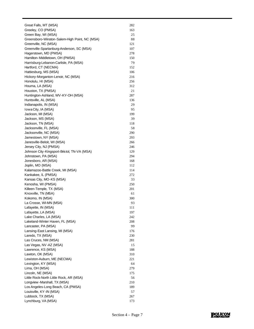| Great Falls, MT (MSA)                         | 282 |
|-----------------------------------------------|-----|
| Greeley, CO (PMSA)                            | 163 |
| Green Bay, WI (MSA)                           | 25  |
| Greensboro-Winston-Salem-High Point, NC (MSA) | 88  |
| Greenville, NC (MSA)                          | 121 |
| Greenville-Spartanburg-Anderson, SC (MSA)     | 107 |
| Hagerstown, MD (PMSA)                         | 278 |
| Hamilton-Middletown, OH (PMSA)                | 150 |
| Harrisburg-Lebanon-Carlisle, PA (MSA)         | 79  |
| Hartford, CT (NECMA)                          | 152 |
| Hattiesburg, MS (MSA)                         | 106 |
| Hickory-Morganton-Lenoir, NC (MSA)            | 216 |
| Honolulu, HI (MSA)                            | 256 |
| Houma, LA (MSA)                               | 312 |
| Houston, TX (PMSA)                            | 21  |
| Huntington-Ashland, WV-KY-OH (MSA)            | 287 |
| Huntsville, AL (MSA)                          | 136 |
| Indianapolis, IN (MSA)                        | 29  |
| Iowa City, IA (MSA)                           | 95  |
| Jackson, MI (MSA)                             | 199 |
| Jackson, MS (MSA)                             | 39  |
| Jackson, TN (MSA)                             | 118 |
| Jacksonville, FL (MSA)                        | 58  |
| Jacksonville, NC (MSA)                        | 290 |
| Jamestown, NY (MSA)                           | 293 |
| Janesville-Beloit, WI (MSA)                   | 266 |
| Jersey City, NJ (PMSA)                        | 246 |
| Johnson City-Kingsport-Bristol, TN-VA (MSA)   | 129 |
| Johnstown, PA (MSA)                           | 294 |
| Jonesboro, AR (MSA)                           | 168 |
|                                               |     |
| Joplin, MO (MSA)                              | 112 |
| Kalamazoo-Battle Creek, MI (MSA)              | 114 |
| Kankakee, IL (PMSA)                           | 272 |
| Kansas City, MO-KS (MSA)                      | 33  |
| Kenosha, WI (PMSA)                            | 250 |
| Killeen-Temple, TX (MSA)                      | 201 |
| Knoxville, TN (MSA)                           | 61  |
| Kokomo, IN (MSA)                              | 300 |
| La Crosse, WI-MN (MSA)                        | 93  |
| Lafayette, IN (MSA)                           | 111 |
| Lafayette, LA (MSA)                           | 197 |
| Lake Charles, LA (MSA)                        | 242 |
| Lakeland-Winter Haven, FL (MSA)               | 208 |
| Lancaster, PA (MSA)                           | 99  |
| Lansing-East Lansing, MI (MSA)                | 176 |
| Laredo, TX (MSA)                              | 230 |
| Las Cruces, NM (MSA)                          | 281 |
| Las Vegas, NV-AZ (MSA)                        | 15  |
| Lawrence, KS (MSA)                            | 188 |
| Lawton, OK (MSA)                              | 310 |
| Lewiston-Auburn, ME (NECMA)                   | 221 |
| Lexington, KY (MSA)                           | 64  |
| Lima, OH (MSA)                                | 279 |
| Lincoln, NE (MSA)                             | 175 |
| Little Rock-North Little Rock, AR (MSA)       | 56  |
| Longview - Marshall, TX (MSA)                 | 210 |
| Los Angeles-Long Beach, CA (PMSA)             | 189 |
| Louisville, KY-IN (MSA)                       | 57  |
| Lubbock, TX (MSA)                             | 267 |
| Lynchburg, VA (MSA)                           | 173 |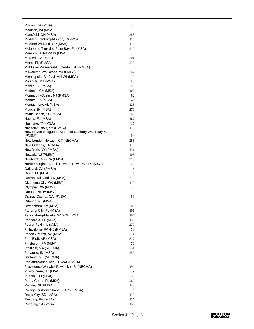| Macon, GA (MSA)                                     | 90  |
|-----------------------------------------------------|-----|
| Madison, WI (MSA)                                   | 11  |
| Mansfield, OH (MSA)                                 | 283 |
| McAllen-Edinburg-Mission, TX (MSA)                  | 116 |
| Medford-Ashland, OR (MSA)                           | 113 |
| Melbourne-Titusville-Palm Bay, FL (MSA)             | 219 |
| Memphis, TN-AR-MS (MSA)                             | 47  |
| Merced, CA (MSA)                                    | 304 |
| Miami, FL (PMSA)                                    | 233 |
| Middlesex-Somerset-Hunterdon, NJ (PMSA)             | 20  |
| Milwaukee-Waukesha, WI (PMSA)                       | 67  |
| Minneapolis-St. Paul, MN-WI (MSA)                   | 10  |
| Missoula, MT (MSA)                                  | 85  |
| Mobile, AL (MSA)                                    | 81  |
| Modesto, CA (MSA)                                   | 102 |
| Monmouth-Ocean, NJ (PMSA)                           | 92  |
| Monroe, LA (MSA)                                    | 249 |
| Montgomery, AL (MSA)                                | 125 |
| Muncie, IN (MSA)                                    | 276 |
| Myrtle Beach, SC (MSA)                              | 60  |
| Naples, FL (MSA)                                    | 167 |
| Nashville, TN (MSA)                                 | 17  |
| Nassau-Suffolk, NY (PMSA)                           | 128 |
| New Haven-Bridgeport-Stamford-Danbury-Waterbury, CT |     |
| (PMSA)                                              | 94  |
| New London-Norwich, CT (NECMA)                      | 286 |
| New Orleans, LA (MSA)                               | 126 |
| New York, NY (PMSA)                                 | 131 |
| Newark, NJ (PMSA)                                   | 103 |
| Newburgh, NY -PA (PMSA)                             | 215 |
| Norfolk-Virginia Beach-Newport News, VA-NC (MSA)    | 73  |
| Oakland, CA (PMSA)                                  | 16  |
| Ocala, FL (MSA)                                     | 71  |
| Odessa-Midland, TX (MSA)                            | 318 |
| Oklahoma City, OK (MSA)                             | 110 |
| Olympia, WA (PMSA)                                  | 55  |
| Omaha, NE-IA (MSA)                                  | 35  |
| Orange County, CA (PMSA)                            | 51  |
| Orlando, FL (MSA)                                   | 27  |
| Owensboro, KY (MSA)                                 | 206 |
| Panama City, FL (MSA)                               | 191 |
| Parkersburg-Marietta, WV-OH (MSA)                   | 162 |
| Pensacola, FL (MSA)                                 | 159 |
| Peoria-Pekin, IL (MSA)                              | 270 |
| Philadelphia, PA-NJ (PMSA)                          | 53  |
| Phoenix-Mesa, AZ (MSA)                              | 4   |
| Pine Bluff, AR (MSA)                                | 317 |
| Pittsburgh, PA (MSA)                                | 70  |
| Pittsfield, MA (NECMA)                              | 231 |
| Pocatello, ID (MSA)                                 | 259 |
| Portland, ME (NECMA)                                | 78  |
| Portland-Vancouver, OR-WA (PMSA)                    | 28  |
| Providence-Warwick-Pawtucket, RI (NECMA)            | 194 |
| Provo-Orem, UT (MSA)                                | 59  |
| Pueblo, CO (MSA)                                    | 238 |
| Punta Gorda, FL (MSA)                               | 265 |
| Racine, WI (PMSA)                                   | 143 |
| Raleigh-Durham-Chapel Hill, NC (MSA)                | 6   |
| Rapid City, SD (MSA)                                | 140 |
| Reading, PA (MSA)                                   | 137 |
| Redding, CA (MSA)                                   | 158 |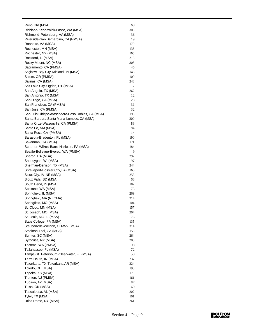| Reno, NV (MSA)                                   | 68  |
|--------------------------------------------------|-----|
| Richland-Kennewick-Pasco, WA (MSA)               | 303 |
| Richmond-Petersburg, VA (MSA)                    | 36  |
| Riverside-San Bernardino, CA (PMSA)              | 19  |
| Roanoke, VA (MSA)                                | 170 |
| Rochester, MN (MSA)                              | 138 |
| Rochester, NY (MSA)                              | 165 |
| Rockford, IL (MSA)                               | 213 |
| Rocky Mount, NC (MSA)                            | 308 |
| Sacramento, CA (PMSA)                            | 45  |
| Saginaw-Bay City-Midland, MI (MSA)               | 146 |
| Salem, OR (PMSA)                                 | 100 |
| Salinas, CA (MSA)                                | 243 |
| Salt Lake City-Ogden, UT (MSA)                   | 7   |
| San Angelo, TX (MSA)                             | 262 |
| San Antonio, TX (MSA)                            | 12  |
| San Diego, CA (MSA)                              | 23  |
| San Francisco, CA (PMSA)                         | 31  |
| San Jose, CA (PMSA)                              | 32  |
| San Luis Obispo-Atascadero-Paso Robles, CA (MSA) | 198 |
| Santa Barbara-Santa Maria-Lompoc, CA (MSA)       | 209 |
| Santa Cruz-Watsonville, CA (PMSA)                | 83  |
| Santa Fe, NM (MSA)                               | 84  |
| Santa Rosa, CA (PMSA)                            | 14  |
| Sarasota-Bradenton, FL (MSA)                     | 190 |
| Savannah, GA (MSA)                               | 171 |
| Scranton-Wilkes-Barre-Hazleton, PA (MSA)         | 184 |
| Seattle-Bellevue-Everett, WA (PMSA)              | 9   |
| Sharon, PA (MSA)                                 | 297 |
| Sheboygan, WI (MSA)                              | 97  |
| Sherman-Denison, TX (MSA)                        | 244 |
| Shreveport-Bossier City, LA (MSA)                | 166 |
| Sioux City, IA - NE (MSA)                        | 258 |
| Sioux Falls, SD (MSA)                            | 63  |
| South Bend, IN (MSA)                             | 182 |
| Spokane, WA (MSA)                                | 75  |
| Springfield, IL (MSA)                            | 269 |
| Springfield, MA (NECMA)                          | 214 |
| Springfield, MO (MSA)                            | 104 |
| St. Cloud, MN (MSA)                              | 157 |
| St. Joseph, MO (MSA)                             | 204 |
| St. Louis, MO-IL (MSA)                           | 76  |
| State College, PA (MSA)                          | 135 |
| Steubenville-Weirton, OH-WV (MSA)                | 314 |
| Stockton-Lodi, CA (MSA)                          | 153 |
| Sumter, SC (MSA)                                 | 264 |
| Syracuse, NY (MSA)                               | 205 |
| Tacoma, WA (PMSA)                                | 98  |
| Tallahassee, FL (MSA)                            | 72  |
| Tampa-St. Petersburg-Clearwater, FL (MSA)        | 50  |
| Terre Haute, IN (MSA)                            | 237 |
| Texarkana, TX-Texarkana AR (MSA)                 | 224 |
| Toledo, OH (MSA)                                 | 195 |
| Topeka, KS (MSA)                                 | 179 |
| Trenton, NJ (PMSA)                               | 161 |
| Tucson, AZ (MSA)                                 | 87  |
| Tulsa, OK (MSA)                                  | 69  |
| Tuscaloosa, AL (MSA)                             | 202 |
| Tyler, TX (MSA)                                  | 101 |
| Utica-Rome, NY (MSA)                             | 261 |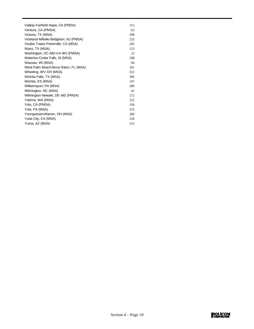| Vallejo-Fairfield-Napa, CA (PMSA)       | 115 |
|-----------------------------------------|-----|
| Ventura, CA (PMSA)                      | 62  |
| Victoria, TX (MSA)                      | 298 |
| Vineland-Millville-Bridgeton, NJ (PMSA) | 232 |
| Visalia-Tulare-Porterville, CA (MSA)    | 245 |
| Waco, TX (MSA)                          | 123 |
| Washington, DC-MD-VA-WV (PMSA)          | 22  |
| Waterloo-Cedar Falls, IA (MSA)          | 268 |
| Wausau, WI (MSA)                        | 66  |
| West Palm Beach-Boca Raton, FL (MSA)    | 181 |
| Wheeling, WV-OH (MSA)                   | 252 |
| Wichita Falls, TX (MSA)                 | 306 |
| Wichita, KS (MSA)                       | 147 |
| Williamsport, PA (MSA)                  | 289 |
| Wilmington, NC (MSA)                    | 41  |
| Wilmington-Newark, DE-MD (PMSA)         | 172 |
| Yakima, WA (MSA)                        | 222 |
| Yolo, CA (PMSA)                         | 156 |
| York, PA (MSA)                          | 155 |
| Youngstown Warren, OH (MSA)             | 260 |
| Yuba City, CA (MSA)                     | 234 |
| Yuma, AZ (MSA)                          | 315 |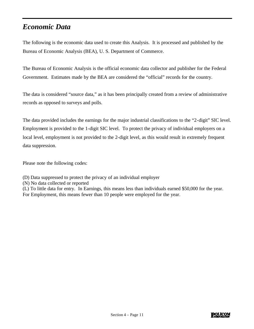### *Economic Data*

The following is the economic data used to create this Analysis. It is processed and published by the Bureau of Economic Analysis (BEA), U. S. Department of Commerce.

The Bureau of Economic Analysis is the official economic data collector and publisher for the Federal Government. Estimates made by the BEA are considered the "official" records for the country.

The data is considered "source data," as it has been principally created from a review of administrative records as opposed to surveys and polls.

The data provided includes the earnings for the major industrial classifications to the "2-digit" SIC level. Employment is provided to the 1-digit SIC level. To protect the privacy of individual employers on a local level, employment is not provided to the 2-digit level, as this would result in extremely frequent data suppression.

Please note the following codes:

- (D) Data suppressed to protect the privacy of an individual employer
- (N) No data collected or reported
- (L) To little data for entry. In Earnings, this means less than individuals earned \$50,000 for the year. For Employment, this means fewer than 10 people were employed for the year.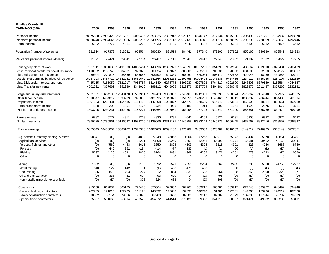| <b>Pinellas County, FL</b><br><b>EARNINGS (000)</b> | 2000           | 1999              | 1998                                         | 1997        | 1996              | 1995              | 1994        | 1993     | 1992        | 1991     | 1990        | 1989     | 1988     | 1987     |
|-----------------------------------------------------|----------------|-------------------|----------------------------------------------|-------------|-------------------|-------------------|-------------|----------|-------------|----------|-------------|----------|----------|----------|
| Personal income                                     | 28875630       | 26990423          | 26515267                                     | 25060415    | 23553925          | 22386913 21021171 |             | 20540147 | 19317134    | 18575100 | 18306493    | 17727791 | 15784937 | 14798878 |
| Nonfarm personal income                             | 28868748       | 26984646          | 26510356                                     | 25055206    | 23549095          | 22383118          | 21017131    | 20536045 | 19311614    | 18568869 | 18299693    | 17720809 | 15778063 | 14792446 |
| Farm income                                         | 6882           | 5777              | 4911                                         | 5209        | 4830              | 3795              | 4040        | 4102     | 5520        | 6231     | 6800        | 6982     | 6874     | 6432     |
| Population (number of persons)                      | 921914         | 917379            | 913032                                       | 904564      | 896030            | 891519            | 884441      | 877340   | 872202      | 867902   | 856166      | 840880   | 829541   | 824223   |
| Per capita personal income (dollars)                | 31321          | 29421             | 29041                                        | 27704       | 26287             | 25111             | 23768       | 23412    | 22148       | 21402    | 21382       | 21082    | 19029    | 17955    |
| Earnings by place of work                           | 17867611       | 16301638          | 15191603                                     | 14088414    | 13143896          | 12321970          | 11549298    | 10927251 | 10351393    | 9672676  | 9439567     | 8899698  | 8375431  | 7705429  |
| less: Personal contrb. for social insurance         | 1190122        | 1108743           | 1034201                                      | 972328      | 909024            | 867077            | 805801      | 752789   | 708636      | 670883   | 634503      | 612913   | 554177   | 488817   |
| plus: Adjustment for residence                      | 260304         | 274815            | 485559                                       | 545556      | 606792            | 609339            | 556261      | 530034   | 505479      | 462662   | 429048      | 448950   | 432853   | 405917   |
| equals: Net earnings by place of residence          | 16937793       | 15467710          | 14642961                                     |             | 13661642 12841664 | 12064232          | 11299758    | 10704496 | 10148236    | 9464455  | 9234112     | 8735735  | 8254107  | 7622529  |
| plus: Dividends, interest, and rent                 | 7435115        | 7165052           | 7521017                                      | 7055757     | 6514149           | 6275776           | 5893237     | 6207892  | 5764517     | 6022600  | 6248506     | 6379569  | 5153564  | 4944167  |
| plus: Transfer payments                             | 4502722        | 4357661           | 4351289                                      | 4343016     | 4198112           | 4046905           | 3828176     | 3627759  | 3404381     | 3088045  | 2823875     | 2612487  | 2377266  | 2232182  |
| Wage and salary disbursements                       | 15021631       | 13614188          | 12643178                                     | 11558911    | 10594903          | 9880002           | 9240463     | 8712359  | 8293290     | 7750074  | 7573062     | 7154640  | 6722977  | 6241025  |
| Other labor income                                  | 1538047        | 1454019           | 1393989                                      | 1375050     | 1401895           | 1348091           | 1354356     | 1246253  | 1143461     | 1058711  | 1008002     | 906744   | 814403   | 761694   |
| Proprietors' income                                 | 1307933        | 1233431           | 1154436                                      | 1154453     | 1147098           | 1093877           | 954479      | 968639   | 914642      | 863891   | 858503      | 838314   | 838051   | 702710   |
| Farm proprietors' income                            | 4138           | 3200              | 1951                                         | 2176        | 1734              | 926               | 1185        | 914      | 2300        | 1951     | 1922        | 2575     | 3577     | 3711     |
| Nonfarm proprietors' income                         | 1303795        | 1230231           | 1152485                                      | 1152277     | 1145364           | 1092951           | 953294      | 967725   | 912342      | 861940   | 856581      | 835739   | 834474   | 698999   |
| Farm earnings                                       | 6882           | 5777              | 4911                                         | 5209        | 4830              | 3795              | 4040        | 4102     | 5520        | 6231     | 6800        | 6982     | 6874     | 6432     |
| Nonfarm earnings                                    |                | 17860729 16295861 | 15186692                                     | 14083205    | 13139066          | 12318175 11545258 |             | 10923149 | 10345873    | 9666445  | 9432767     | 8892716  | 8368557  | 7698997  |
| Private earnings                                    | 15875349       |                   | 14458004 13388102 12375376 11487783 10691108 |             |                   |                   | 9976782     | 9433639  | 8920982     | 8310669  | 8149612     | 7740925  | 7305149  | 6722051  |
| Ag. services, forestry, fishing, & other            | 98347          | (D)               | (D)                                          | 84832       | 77248             | 73053             | 74904       | 77263    | 68911       | 65972    | 60404       | 55178    | 48851    | 45791    |
| Agricultural services                               | (D)            | (D)               | (D)                                          | 81221       | 73898             | 70249             | 70401       | 72958    | 65693       | 61671    | 55581       | 50412    | 43163    | 39041    |
| Forestry, fishing, and other                        | (D)            | 4560              | 4443                                         | 3611        | 3350              | 2804              | 4503        | 4305     | 3218        | 4301     | 4823        | 4766     | 5688     | 6750     |
| Forestry                                            | (D)            | 440               | 352                                          | $-194$      | $-414$            | $-77$             | 135         | (L)      | (L)         | 50       | (L)         | (L)      | (D)      | 81       |
| Fishing                                             | 5737           | 4120              | 4091                                         | 3805        | 3764              | 2881              | 4368        | 4266     | 3176        | 4251     | 4779        | 4723     | (D)      | 6669     |
| Other                                               | $\overline{0}$ | $\mathbf 0$       | $\mathbf 0$                                  | $\mathbf 0$ | 0                 | 0                 | $\mathbf 0$ | 0        | $\mathbf 0$ | 0        | $\mathbf 0$ | 0        | $\Omega$ | $\Omega$ |
| Mining                                              | 1632           | (D)               | (D)                                          | 1136        | 1092              | 1579              | 2651        | 2204     | 2267        | 2465     | 5286        | 5510     | 24759    | 12727    |
| Metal mining                                        | $-148$         | $-127$            | $-142$                                       | $-51$       | (L)               | $-493$            | $-471$      | $-408$   | $\mathbf 0$ | 0        | (L)         | (L)      | (L)      | (L)      |
| Coal mining                                         | 886            | 878               | 703                                          | 277         | 312               | 804               | 835         | 638      | 964         | 1198     | 2860        | 2890     | 3320     | 271      |
| Oil and gas extraction                              | (D)            | 338               | 481                                          | 604         | 493               | 600               | (D)         | (D)      | 795         | (D)      | (D)         | (D)      | (D)      | (D)      |
| Nonmetallic minerals, except fuels                  | (D)            | (D)               | (D)                                          | 306         | 324               | 668               | (D)         | (D)      | 508         | (D)      | (D)         | (D)      | (D)      | (D)      |
| Construction                                        | 919658         | 862834            | 805185                                       | 728476      | 670564            | 628832            | 607765      | 589215   | 565280      | 563917   | 624746      | 639962   | 648492   | 634948   |
| General building contractors                        | 202969         | 191015            | 172225                                       | 161128      | 148592            | 145688            | 139338      | 140740   | 131981      | 122301   | 144266      | 173236   | 194519   | 187668   |
| Heavy construction contractors                      | 90802          | 80154             | 79666                                        | 76820       | 67900             | 68630             | 89301       | 89112    | 89289       | 91029    | 109006      | 117044   | 98737    | 94089    |
| Special trade contractors                           | 625887         | 591665            | 553294                                       | 490528      | 454072            | 414514            | 379126      | 359363   | 344010      | 350587   | 371474      | 349682   | 355236   | 353191   |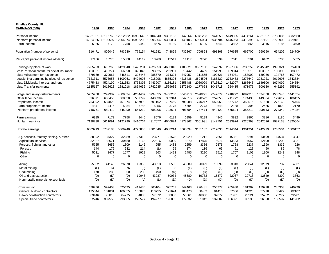| <b>Pinellas County, FL</b><br><b>EARNINGS (000)</b> | 1986        | 1985        | 1984        | 1983     | 1982     | 1981        | 1980        | 1979    | 1978    | 1977        | 1976        | 1975        | 1974        | 1973     |
|-----------------------------------------------------|-------------|-------------|-------------|----------|----------|-------------|-------------|---------|---------|-------------|-------------|-------------|-------------|----------|
| Personal income                                     | 14031921    | 13116769    | 12212632    | 10995640 | 10104040 | 9391193     | 8147064     | 6941293 | 5941550 | 5149885     | 4414261     | 4031007     | 3732086     | 3332680  |
| Nonfarm personal income                             | 14024936    | 13109597    | 12204874    | 10986200 | 10095364 | 9385004     | 8140105     | 6936094 | 5936704 | 5146053     | 4410395     | 4027191     | 3728900     | 3329181  |
| Farm income                                         | 6985        | 7172        | 7758        | 9440     | 8676     | 6189        | 6959        | 5199    | 4846    | 3832        | 3866        | 3816        | 3186        | 3499     |
|                                                     |             |             |             |          |          |             |             |         |         |             |             |             |             |          |
| Population (number of persons)                      | 816471      | 806046      | 793630      | 779154   | 761982   | 748829      | 732867      | 709893  | 691368  | 676635      | 669700      | 660590      | 654206      | 624709   |
| Per capita personal income (dollars)                | 17186       | 16273       | 15388       | 14112    | 13260    | 12541       | 11117       | 9778    | 8594    | 7611        | 6591        | 6102        | 5705        | 5335     |
| Earnings by place of work                           | 7205723     | 6618263     | 6129548     | 5420204  | 4926353  | 4653013     | 4185821     | 3667130 | 3147597 | 2697806     | 2230259     | 2045842     | 1990324     | 824163   |
| less: Personal contrb. for social insurance         | 463601      | 415274      | 366098      | 322046   | 293925   | 261991      | 216442      | 184459  | 151996  | 129314      | 110519      | 103857      | 102395      | 88801    |
| plus: Adjustment for residence                      | 379189      | 370967      | 346511      | 306448   | 285670   | 274304      | 247057      | 211855  | 190621  | 164971      | 153900      | 139236      | 124766      | 107472   |
| equals: Net earnings by place of residence          | 7121311     | 6573956     | 6109961     | 5404606  | 4918098  | 4665326     | 4216436     | 3694526 | 3186222 | 2733463     | 2273640     | 2081221     | 2012695     | 842834   |
| plus: Dividends, interest, and rent                 | 4775453     | 4524190     | 4221653     | 3736398  | 3443907  | 3156181     | 2558488     | 2069099 | 1713610 | 1462007     | 1268646     | 1149606     | 1074099     | 934654   |
| plus: Transfer payments                             | 2135157     | 2018623     | 1881018     | 1854636  | 1742035  | 1569686     | 1372140     | 1177668 | 1041718 | 954415      | 871975      | 800180      | 645292      | 555192   |
| Wage and salary disbursements                       | 5755760     | 5299982     | 4809824     | 4254407  | 3794855  | 3466230     | 3046918     | 2628291 | 2242677 | 1918292     | 1697310     | 1594330     | 1586545     | 441554   |
| Other labor income                                  | 696871      | 633453      | 568650      | 507799   | 440336   | 389314      | 342815      | 298592  | 252855  | 211772      | 174433      | 149884      | 127617      | 106155   |
| Proprietors' income                                 | 753092      | 684828      | 751074      | 657998   | 691162   | 797469      | 796088      | 740247  | 652065  | 567742      | 358516      | 301628      | 276162      | 276454   |
| Farm proprietors' income                            | 4341        | 4416        | 5084        | 6788     | 5956     | 3775        | 4504        | 2773    | 2643    | 2138        | 2304        | 2485        | 1820        | 2170     |
| Nonfarm proprietors' income                         | 748751      | 680412      | 745990      | 651210   | 685206   | 793694      | 791584      | 737474  | 649422  | 565604      | 356212      | 299143      | 274342      | 274284   |
| Farm earnings                                       | 6985        | 7172        | 7758        | 9440     | 8676     | 6189        | 6959        | 5199    | 4846    | 3832        | 3866        | 3816        | 3186        | 3499     |
| Nonfarm earnings                                    | 7198738     | 6611091     | 6121790     | 5410764  | 4917677  | 4646824     | 4178862     | 3661931 | 3142751 | 2693974     | 2226393     | 2042026     | 1987138     | 1820664  |
| Private earnings                                    | 6303219     | 5789183     | 5369240     | 4725856  | 4301649  | 4088214     | 3668094     | 3181187 | 2712030 | 2314044     | 1901951     | 1742929     | 1733504     | 1600157  |
| Ag. services, forestry, fishing, & other            | 38592       | 37327       | 32289       | 27310    | 23771    | 21578       | 20929       | 21211   | 17651   | 15351       | 16294       | 13499       | 14534       | 13947    |
| Agricultural services                               | 32827       | 33671       | 30480       | 25168    | 22816    | 20090       | 18270       | 17875   | 15076   | 13583       | 14057       | 12109       | 13202       | 13021    |
| Forestry, fishing, and other                        | 5765        | 3656        | 1809        | 2142     | 955      | 1488        | 2659        | 3336    | 2575    | 1768        | 2237        | 1390        | 1332        | 926      |
| Forestry                                            | 144         | 179         | 232         | 214      | (L)      | 65          | 174         | 116     | 63      | 61          | 128         | 90          | 89          | 78       |
| Fishing                                             | 5621        | 3477        | 1577        | 1928     | 963      | 1423        | 2485        | 3220    | 2512    | 1707        | 2109        | 1300        | 1243        | 848      |
| Other                                               | $\mathbf 0$ | $\mathbf 0$ | $\mathbf 0$ | 0        | $\Omega$ | $\mathbf 0$ | $\mathbf 0$ | 0       | 0       | $\mathbf 0$ | $\mathbf 0$ | $\mathbf 0$ | $\mathbf 0$ | $\Omega$ |
| Mining                                              | -5362       | 41145       | 26570       | 19360    | 43813    | 50505       | 46089       | 20099   | 15699   | 23343       | 20841       | 12679       | 8787        | 4331     |
| Metal mining                                        | (L)         | $-64$       | $-76$       | (L)      | (L)      | 53          | (L)         | (L)     | (L)     | (L)         | (L)         | (L)         | (L)         | (L)      |
| Coal mining                                         | 178         | 288         | 350         | 282      | 490      | (D)         | (D)         | (D)     | (D)     | (D)         | (D)         | (D)         | (D)         | (D)      |
| Oil and gas extraction                              | (D)         | (D)         | (D)         | 19048    | 43237    | 50034       | 45680       | 19782   | 15377   | 22967       | 20718       | 12549       | 8309        | 3863     |
| Nonmetallic minerals, except fuels                  | (D)         | (D)         | (D)         | (L)      | (L)      | (D)         | (D)         | (D)     | (D)     | (D)         | (D)         | (D)         | (D)         | (D)      |
| Construction                                        | 630736      | 597403      | 525495      | 411480   | 365104   | 375767      | 342463      | 296481  | 256377  | 205938      | 181982      | 179278      | 245303      | 246290   |
| General building contractors                        | 195044      | 181831      | 166855      | 133070   | 113755   | 121624      | 108470      | 88483   | 81418   | 67666       | 61923       | 57998       | 86429       | 82107    |
| Heavy construction contractors                      | 83446       | 78016       | 64775       | 54833    | 57072    | 58088       | 56661       | 46056   | 37072   | 31951       | 26521       | 25252       | 25277       | 22281    |
| Special trade contractors                           | 352246      | 337556      | 293865      | 223577   | 194277   | 196055      | 177332      | 161942  | 137887  | 106321      | 93538       | 96028       | 133597      | 141902   |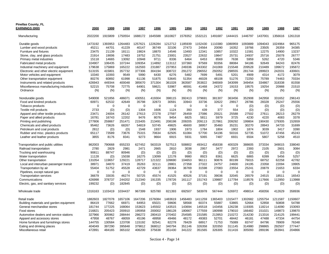| <b>Pinellas County, FL</b><br><b>EARNINGS (000)</b> | 2000        | 1999        | 1998        | 1997        | 1996        | 1995        | 1994        | 1993        | 1992    | 1991        | 1990        | 1989        | 1988        | 1987     |
|-----------------------------------------------------|-------------|-------------|-------------|-------------|-------------|-------------|-------------|-------------|---------|-------------|-------------|-------------|-------------|----------|
| Manufacturing                                       | 2022200     | 1915809     | 1750554     | 1688172     | 1645588     | 1610827     | 1578352     | 1532121     | 1491687 | 1444415     | 1446797     | 1437001     | 1356616     | 1261318  |
| Durable goods                                       | 1473192     | 393953      | 1264483     | 1257621     | 226284      | 1212712     | 1185939     | 1152430     | 1110380 | 1080959     | 1093889     | 1094043     | 024964      | 965175   |
| Lumber and wood products                            | 45211       | 44701       | 41229       | 40147       | 36749       | 32106       | 27473       | 24564       | 20090   | 16352       | 19766       | 23505       | 26359       | 34385    |
| Furniture and fixtures                              | 23475       | 21139       | 18111       | 19824       | 18870       | 14546       | 13493       | 12341       | 10857   | 10322       | 11581       | 12275       | 14900       | 13237    |
| Stone, clay, and glass products                     | 21914       | 19006       | 17483       | 19752       | 21751       | 23001       | 23527       | 22632       | 19847   | 25731       | 24937       | 25716       | 25078       | 26777    |
| Primary metal industries                            | 15118       | 14665       | 13092       | 10948       | 9711        | 8336        | 6464        | 6453        | 8569    | 7638        | 5959        | 5262        | 4720        | 5346     |
| Fabricated metal products                           | 104907      | 106435      | 107244      | 109354      | 114892      | 113112      | 107360      | 97569       | 93356   | 88084       | 94186       | 92649       | 94243       | 82476    |
| Industrial machinery and equipment                  | 179638      | 175869      | 165222      | 162593      | 231887      | 237953      | 249336      | 243302      | 241069  | 215548      | 209528      | 210489      | 199672      | 195872   |
| Electronic and other electric equipment             | 513155      | 415801      | 357732      | 377306      | 304194      | 308722      | 291272      | 296552      | 292052  | 298555      | 281744      | 289923      | 242031      | 430601   |
| Motor vehicles and equipment                        | 10340       | 10393       | 9549        | 5990        | 6430        | 6276        | 5482        | 7699        | 5491    | 5201        | 4909        | 4314        | 4172        | 3079     |
| Other transportation equipment                      | 80276       | 60892       | 61998       | 61136       | 51875       | 53645       | 51354       | 46028       | 48108   | 51276       | 72250       | 75789       | 74463       | 70334    |
| Instruments and related products                    | 426943      | 449344      | 400048      | 385670      | 371304      | 361028      | 363587      | 353822      | 346569  | 343099      | 349454      | 334867      | 318338      | 81558    |
| Miscellaneous manufacturing industries              | 52215       | 75708       | 72775       | 64901       | 58621       | 53987       | 46591       | 41468       | 24372   | 19153       | 19575       | 19254       | 20988       | 21510    |
| Ordnance                                            | (N)         | (N)         | (N)         | (N)         | (N)         | (N)         | (N)         | (N)         | (N)     | (N)         | (N)         | (N)         | (N)         | (N)      |
| Nondurable goods                                    | 549008      | 521856      | 486071      | 430551      | 419304      | 398115      | 392413      | 379691      | 381307  | 363456      | 352908      | 342958      | 331652      | 296143   |
| Food and kindred products                           | 60971       | 62532       | 42649       | 35798       | 32873       | 30591       | 33943       | 33736       | 32622   | 29917       | 28786       | 28328       | 25247       | 25556    |
| Tobacco products                                    | $\mathbf 0$ | $\mathbf 0$ | $\mathbf 0$ | $\mathbf 0$ | $\mathbf 0$ | $\mathbf 0$ | $\mathbf 0$ | $\mathbf 0$ | 0       | $\mathbf 0$ | (D)         | (D)         | (D)         | (D)      |
| Textile mill products                               | 2733        | (D)         | (D)         | 1304        | 1606        | 1124        | 393         | 439         | 377     | 554         | (D)         | (D)         | (D)         | (D)      |
| Apparel and other textile products                  | 23471       | 24004       | 26142       | 27613       | 27278       | 27597       | 26459       | 27086       | 25521   | 25588       | 27502       | 27611       | 28213       | 26279    |
| Paper and allied products                           | 16781       | 16743       | 12202       | 9476        | 8076        | 9454        | 6825        | 5811        | 5979    | 3725        | 4230        | 4220        | 4083        | 3378     |
| Printing and publishing                             | 277806      | 259867      | 251471      | 215405      | 213491      | 208198      | 209205      | 209113      | 217861  | 209292      | 199804      | 190430      | 179305      | 152659   |
| Chemicals and allied products                       | 95462       | 73626       | 68267       | 54819       | 53745       | 49825       | 46600       | 38957       | 35460   | 35231       | 30270       | 28943       | 34733       | 31699    |
| Petroleum and coal products                         | 2812        | (D)         | (D)         | 1548        | 1937        | 1906        | 1973        | 1784        | 1804    | 1902        | 1874        | 3039        | 3417        | 3390     |
| Rubber and misc. plastics products                  | 65117       | 73589       | 73676       | 75315       | 70634       | 62505       | 61084       | 57700       | 54196   | 50316       | 52735       | 51072       | 47456       | 45243    |
| Leather and leather products                        | 3855        | 8176        | 8341        | 9273        | 9664        | 6915        | 5931        | 5065        | 7487    | 6931        | 6504        | 5807        | 5258        | 4510     |
| Transportation and public utilities                 | 862003      | 790668      | 655233      | 627452      | 563319      | 527513      | 508802      | 493412      | 458338  | 400329      | 388605      | 373334      | 349015      | 338040   |
| Railroad transportation                             | 2780        | 2829        | 2981        | 2471        | 2665        | 2810        | 3038        | 2957        | 3477    | 2972        | 2393        | 2105        | 2601        | 3084     |
| Trucking and warehousing                            | 90811       | 88747       | 80946       | (D)         | (D)         | (D)         | (D)         | (D)         | (D)     | (D)         | (D)         | (D)         | (D)         | (D)      |
| Water transportation                                | 11128       | (D)         | 15038       | 16275       | 13099       | 12178       | 9980        | 8923        | 8361    | 6625        | 6865        | 6399        | 5456        | 5257     |
| Other transportation                                | 131054      | 119657      | 129221      | 128717      | 121322      | 109690      | 104653      | 96111       | 90876   | 80199       | 76015       | 68752       | 62258       | 42782    |
| Local and interurban passenger transit              | 38971       | 34870       | 37419       | 35263       | 32111       | 28801       | 27358       | 27322       | 24757   | 24600       | 24195       | 23358       | 22094       | 19905    |
| Transportation by air                               | 55404       | 51752       | 45528       | 42729       | 43637       | 39364       | 36769       | 31598       | 27083   | 23554       | 25241       | 20879       | 21653       | 6334     |
| Pipelines, except natural gas                       | $\mathbf 0$ | $\mathbf 0$ | $\mathbf 0$ | $\Omega$    | $\mathbf 0$ | $\mathbf 0$ | $\mathbf 0$ | 0           | 0       | $\Omega$    | $\mathbf 0$ | $\mathbf 0$ | $\mathbf 0$ | $\Omega$ |
| <b>Transportation services</b>                      | 36679       | 33035       | 46274       | 50725       | 45574       | 41525       | 40526       | 37191       | 39036   | 32045       | 26579       | 24515       | 18511       | 16543    |
| Communications                                      | 426998      | 378737      | 244202      | 212340      | 191335      | 178726      | 161117      | 151743      | 139887  | 117784      | 118576      | 117666      | 112950      | 113988   |
| Electric, gas, and sanitary services                | 199232      | (D)         | 182845      | (D)         | (D)         | (D)         | (D)         | (D)         | (D)     | (D)         | (D)         | (D)         | (D)         | (D)      |
| Wholesale trade                                     | 1316163     | 1103419     | 1034437     | 967399      | 925780      | 821393      | 692507      | 583978      | 567444  | 526972      | 498014      | 458356      | 412629      | 358936   |
| Retail trade                                        | 1882603     | 1827078     | 1657106     | 1647206     | 1576084     | 1483619     | 1456483     | 1411259     | 1365403 | 1315477     | 1302682     | 1255754     | 1211587     | 1150607  |
| Building materials and garden equipment             | 86419       | 77662       | 66971       | 64953       | 65021       | 59606       | 58568       | 60374       | 55887   | 53865       | 52664       | 52858       | 50808       | 54788    |
| General merchandise stores                          | 181744      | 177225      | 168064      | 153623      | 145502      | 143515      | 143694      | 145518      | 143456  | 126238      | 119305      | 118214      | 114090      | 153093   |
| Food stores                                         | 216821      | 205423      | 200910      | 195958      | 200002      | 186128      | 180667      | 177559      | 180998  | 179010      | 166482      | 151021      | 149873      | 139870   |
| Automotive dealers and service stations             | 327966      | 305962      | 288444      | 286272      | 280410      | 270402      | 254585      | 231585      | 213953  | 210272      | 214230      | 213316      | 214125      | 199441   |
| Apparel and accessory stores                        | 47958       | 48767       | 48059       | 45196       | 48958       | 49466       | 48172       | 49383       | 52701   | 48442       | 46181       | 47488       | 47334       | 44754    |
| Home furniture and furnishings stores               | 144755      | 130584      | 123708      | 115192      | 92541       | 82278       | 78429       | 68917       | 71753   | 75089       | 83747       | 84796       | 78909       | 76348    |
| Eating and drinking places                          | 404049      | 397290      | 395848      | 379812      | 368012      | 340794      | 351146      | 326358      | 320350  | 311145      | 314980      | 298865      | 292507      | 277447   |
| Miscellaneous retail                                | 472891      | 484165      | 365102      | 406200      | 375638      | 351430      | 341222      | 351565      | 326305  | 311416      | 305093      | 289196      | 263941      | 204866   |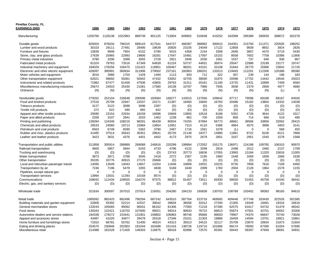| <b>Pinellas County, FL</b><br><b>EARNINGS (000)</b> | 1986        | 1985        | 1984        | 1983     | 1982        | 1981        | 1980        | 1979        | 1978        | 1977     | 1976        | 1975        | 1974        | 1973        |
|-----------------------------------------------------|-------------|-------------|-------------|----------|-------------|-------------|-------------|-------------|-------------|----------|-------------|-------------|-------------|-------------|
| Manufacturing                                       | 1205766     | 1128138     | 1022963     | 889739   | 801125      | 713004      | 609902      | 516648      | 410252      | 342068   | 295389      | 280559      | 288672      | 262278      |
| Durable goods                                       | 926504      | 876034      | 796315      | 689143   | 617541      | 544727      | 466387      | 388992      | 300610      | 244351   | 215793      | 211371      | 220505      | 198252      |
| Lumber and wood products                            | 30103       | 29111       | 27491       | 28495    | 19639       | 20826       | 23105       | 24049       | 17122       | 12858    | 9839        | 8652        | 3924        | 2826        |
| Furniture and fixtures                              | 10839       | 9699        | 7954        | 6152     | 5790        | 5015        | 4358        | 2154        | 3308        | 2646     | 3857        | 4470        | 5719        | 5430        |
| Stone, clay, and glass products                     | 27639       | 25965       | 22993       | 19806    | 16281       | 17047       | 15481       | 17097       | 15102       | 8558     | 7602        | 7758        | 10386       | 11806       |
| Primary metal industries                            | 3780        | 3290        | 3399        | 3055     | 2728        | 2921        | 2846        | 2030        | 1561        | 1037     | 737         | 646         | 936         | 867         |
| Fabricated metal products                           | 81324       | 79763       | 73516       | 67349    | 64839       | 61224       | 53737       | 44831       | 36974       | 29347    | 22986       | 23199       | 23177       | 19747       |
| Industrial machinery and equipment                  | 184029      | 178256      | 156475      | 131422   | 118951      | 100467      | 98261       | 43101       | 33108       | 31844    | 26770       | 25996       | 23842       | 21726       |
| Electronic and other electric equipment             | 426097      | 395991      | 360834      | 311906   | 279002      | 237161      | 182863      | 188201      | 132013      | 119493   | 112201      | 112306      | 120388      | 99380       |
| Motor vehicles and equipment                        | 3016        | 2880        | 1703        | 1429     | 1494        | 1113        | 933         | 712         | 322         | 307      | 239         | 144         | 196         | 183         |
| Other transportation equipment                      | 62021       | 58692       | 55061       | 50942    | 47432       | 53052       | 42705       | 38690       | 31975       | 20598    | 17752       | 14442       | 19540       | 25023       |
| Instruments and related products                    | 71982       | 67477       | 61459       | 47506    | 43805       | 29763       | 31311       | 20161       | 21190       | 13725    | 11431       | 10899       | 7409        | 6584        |
| Miscellaneous manufacturing industries              | 25674       | 24910       | 25430       | 21081    | 17580       | 16138       | 10787       | 7966        | 7935        | 3938     | 2379        | 2859        | 4977        | 4680        |
| Ordnance                                            | (N)         | (N)         | (N)         | (N)      | (N)         | (N)         | (N)         | (N)         | (N)         | (N)      | (N)         | (N)         | (L)         | $\Omega$    |
| Nondurable goods                                    | 279262      | 252104      | 226648      | 200596   | 183584      | 168277      | 143515      | 127656      | 109642      | 97717    | 79596       | 69188       | 68167       | 64026       |
| Food and kindred products                           | 27516       | 25799       | 22947       | 22037    | 24271       | 21387       | 18460       | 16840       | 16783       | 20486    | 15182       | 13804       | 14332       | 14038       |
| Tobacco products                                    | 3127        | 3122        | 3098        | 3096     | 2287        | (D)         | (D)         | (D)         | (D)         | (D)      | (D)         | (D)         | (D)         | (D)         |
| Textile mill products                               | 372         | 622         | 590         | 892      | 642         | (D)         | (D)         | (D)         | (D)         | (D)      | (D)         | (D)         | (D)         | (D)         |
| Apparel and other textile products                  | 25690       | 23154       | 22634       | 18159    | 16996       | 15849       | 13955       | 10518       | 8188        | 5352     | 4726        | 3644        | 4122        | 4317        |
| Paper and allied products                           | 2269        | 3107        | 2841        | 2033     | 1462        | 1238        | 962         | 700         | 1059        | 859      | 714         | 666         | 519         | 490         |
| Printing and publishing                             | 139284      | 124346      | 108216      | 98281    | 86439       | 80834       | 74255       | 67894       | 56773       | 48661    | 38566       | 33856       | 32062       | 28415       |
| Chemicals and allied products                       | 29533       | 24060       | 19713       | 15984    | 13654       | 12851       | 7313        | 6110        | 5386        | 4864     | 4575        | 3998        | 3403        | 3141        |
| Petroleum and coal products                         | 6563        | 6749        | 6590        | 5362     | 3790        | 2467        | 1716        | 1561        | 1078        | (L)      | $\mathbf 0$ | 0           | 568         | 455         |
| Rubber and misc. plastics products                  | 41485       | 37514       | 35643       | 30351    | 29641       | 26726       | 21148       | 18377       | 14980       | 11861    | 8722        | 8106        | 8121        | 7868        |
| Leather and leather products                        | 3423        | 3631        | 4376        | 4401     | 4402        | 4173        | 2975        | 2678        | 2801        | 3167     | 2951        | 1545        | 1578        | 1568        |
| Transportation and public utilities                 | 311858      | 305914      | 288889      | 269089   | 246816      | 220299      | 199994      | 172552      | 155175      | 136971   | 124188      | 109785      | 106310      | 90970       |
| Railroad transportation                             | 4600        | 5857        | 5844        | 5243     | 4733        | 4796        | 4122        | 3299        | 2816        | 2498     | 2512        | 2460        | 2137        | 1709        |
| Trucking and warehousing                            | (D)         | (D)         | (D)         | (D)      | (D)         | 23743       | 20773       | 18636       | 17055       | 13993    | 13184       | 11320       | 15816       | 11005       |
| Water transportation                                | 3973        | 3971        | 3788        | 3045     | 2418        | 2272        | 2367        | 2195        | 1960        | 1548     | 1659        | 1658        | 1666        | 1638        |
| Other transportation                                | 35335       | 33776       | 30915       | 27170    | 26666       | (D)         | (D)         | (D)         | (D)         | (D)      | (D)         | (D)         | (D)         | (D)         |
| Local and interurban passenger transit              | 14095       | 13549       | 14043       | 13657    | 13254       | 11646       | 10806       | 10031       | 10225       | 8735     | 7858        | 7616        | 7169        | 6460        |
| Transportation by air                               | 7246        | 7196        | 5479        | 3355     | 4838        | 5169        | 3440        | 2099        | 1760        | 2004     | 2128        | 1964        | 1578        | 1155        |
| Pipelines, except natural gas                       | $\mathbf 0$ | $\mathbf 0$ | $\mathbf 0$ | $\Omega$ | $\mathbf 0$ | $\mathbf 0$ | $\mathbf 0$ | $\mathbf 0$ | $\mathbf 0$ | $\Omega$ | $\mathbf 0$ | $\mathbf 0$ | $\mathbf 0$ | $\mathbf 0$ |
| <b>Transportation services</b>                      | 13994       | 13031       | 11393       | 10158    | 8574        | (D)         | (D)         | (D)         | (D)         | (D)      | (D)         | (D)         | (D)         | (D)         |
| Communications                                      | 109042      | 112434      | 109555      | 104270   | 97575       | 88812       | 81407       | 73011       | 65930       | 58930    | 51053       | 45758       | 41540       | 36441       |
| Electric, gas, and sanitary services                | (D)         | (D)         | (D)         | (D)      | (D)         | (D)         | (D)         | (D)         | (D)         | (D)      | (D)         | (D)         | (D)         | (D)         |
| Wholesale trade                                     | 321634      | 300097      | 267015      | 237914   | 216051      | 204280      | 184133      | 160838      | 130703      | 108789   | 103402      | 99383       | 98165       | 84610       |
| Retail trade                                        | 1085092     | 982425      | 882496      | 790294   | 687242      | 643510      | 587764      | 523716      | 469565      | 409446   | 377748      | 333435      | 322526      | 301585      |
| Building materials and garden equipment             | 52808       | 55392       | 52214       | 42537    | 39042       | 39834       | 36056       | 32012       | 27294       | 21305    | 19349       | 19481       | 19316       | 16818       |
| General merchandise stores                          | 133243      | 105065      | 95092       | 90031    | 86162       | 81306       | 77093       | 71218       | 67395       | 62575    | 61617       | 54732       | 51479       | 48342       |
| Food stores                                         | 130343      | 122421      | 116702      | 107600   | 99021       | 94014       | 90833       | 76722       | 66813       | 55874    | 47501       | 42701       | 40052       | 33306       |
| Automotive dealers and service stations             | 184338      | 179272      | 153441      | 131901   | 109802      | 106963      | 99746       | 95666       | 89003       | 79907    | 74370       | 66647       | 70740       | 73028       |
| Apparel and accessory stores                        | 43487       | 41020       | 34977       | 29478    | 26318       | 27346       | 23101       | 21303       | 19886       | 16459    | 14594       | 13701       | 18921       | 15861       |
| Home furniture and furnishings stores               | 71910       | 66781       | 55762       | 51400    | 46524       | 43313       | 39313       | 34515       | 32117       | 25709    | 23870       | 20834       | 21873       | 21604       |
| Eating and drinking places                          | 254575      | 230946      | 202903      | 191044   | 163498      | 151416      | 138726      | 119710      | 101666      | 89174    | 78050       | 67390       | 61054       | 57695       |
| Miscellaneous retail                                | 214388      | 181528      | 171405      | 146303   | 116875      | 99318       | 82896       | 72570       | 65391       | 58443    | 58397       | 47949       | 39091       | 34931       |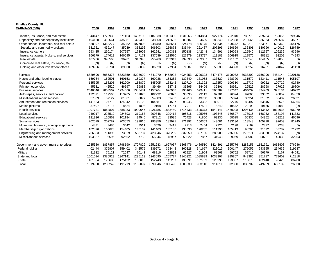| <b>Pinellas County, FL</b>                |         |         |         |         |         |         |         |         |         |         |         |         |         |         |
|-------------------------------------------|---------|---------|---------|---------|---------|---------|---------|---------|---------|---------|---------|---------|---------|---------|
| <b>EARNINGS (000)</b>                     | 2000    | 1999    | 1998    | 1997    | 1996    | 1995    | 1994    | 1993    | 1992    | 1991    | 1990    | 1989    | 1988    | 1987    |
| Finance, insurance, and real estate       | 1943147 | 1773938 | 1671163 | 1407103 | 1187038 | 1091300 | 1031065 | 1014864 | 927174  | 792040  | 789778  | 759734  | 769056  | 699546  |
| Depository and nondepository institutions | 404150  | 410661  | 435881  | 329300  | 238258  | 212636  | 206587  | 194689  | 188340  | 192398  | 219566  | 236363  | 245687  | 245371  |
| Other finance, insurance, and real estate | 1538997 | 1363277 | 1235282 | 1077803 | 948780  | 878664  | 824478  | 820175  | 738834  | 599642  | 570212  | 523371  | 523369  | 454175  |
| Security and commodity brokers            | 531721  | 439147  | 435039  | 358296  | 306303  | 256878  | 235444  | 221437  | 207296  | 150629  | 136301  | 130796  | 140019  | 126749  |
| Insurance carriers                        | 293435  | 260174  | 207957  | 173908  | 162641  | 150313  | 150138  | 142348  | 134591  | 126053  | 125540  | 112757  | 106236  | 93996   |
| Insurance agents, brokers, and services   | 166179  | 174612  | 166695  | 147171  | 137039  | 133570  | 127979  | 123797  | 113183  | 106915  | 118576  | 98912   | 93209   | 74993   |
| Real estate                               | 407736  | 398563  | 336261  | 315346  | 255969  | 259949  | 239830  | 269387  | 233126  | 171152  | 156543  | 164155  | 159858  | (D)     |
| Combined real estate, insurance, etc.     | (N)     | (N)     | (N)     | (N)     | (N)     | (N)     | (N)     | (N)     | (N)     | (N)     | (N)     | (N)     | (N)     | (D)     |
| Holding and other investment offices      | 139926  | 90781   | 89330   | 83082   | 86828   | 77954   | 71087   | 63206   | 50638   | 44893   | 33252   | 16751   | 24047   | 41428   |
| Services                                  | 6829596 | 6085373 | 5723359 | 5223600 | 4841070 | 4452992 | 4024253 | 3729323 | 3474478 | 3199082 | 3033300 | 2756096 | 2484144 | 2220138 |
| Hotels and other lodging places           | 169764  | 162501  | 160153  | 159377  | 160088  | 154262  | 132340  | 131053  | 133529  | 128320  | 131572  | 123411  | 111545  | 105197  |
| Personal services                         | 185395  | 168205  | 162200  | 158879  | 145905  | 138242  | 129710  | 131392  | 117250  | 109310  | 113732  | 99922   | 100729  | 92740   |
| Private households                        | 45631   | 42520   | 46597   | 39888   | 39466   | 38742   | 35895   | 34406   | 32301   | 28981   | 29529   | 28998   | 27922   | 26806   |
| <b>Business services</b>                  | 2540046 | 2003567 | 1794566 | 388481  | 1157764 | 976948  | 790160  | 679411  | 565382  | 477647  | 464039  | 394909  | 323134  | 346232  |
| Auto repair, services, and parking        | 122591  | 119560  | 113765  | 109820  | 102932  | 98823   | 95595   | 93113   | 92701   | 96024   | 97866   | 93582   | 90852   | 84850   |
| Miscellaneous repair services             | 57309   | 57127   | 61061   | 58877   | 54083   | 51483   | 45918   | 43758   | 38003   | 35074   | 35951   | 31562   | 30402   | 26331   |
| Amusement and recreation services         | 141623  | 127712  | 124942  | 110122  | 104581  | 104537  | 93945   | 83382   | 89013   | 82746   | 80497   | 63645   | 56675   | 56864   |
| Motion pictures                           | 37407   | 26114   | 18624   | 21893   | 19168   | 17754   | 17911   | 17521   | 18240   | 19542   | 20192   | 19135   | 14982   | (D)     |
| <b>Health services</b>                    | 1907721 | 1864807 | 1888983 | 1920645 | 1926785 | 1833480 | 714433  | 625373  | 549441  | 430008  | 298436  | 143842  | 014638  | 896079  |
| Legal services                            | 240017  | 223512  | 224693  | 219163  | 209848  | 209412  | 195816  | 195966  | 193345  | 186897  | 178915  | 168932  | 158197  | 141333  |
| <b>Educational services</b>               | 121936  | 110862  | 101184  | 94540   | 87812   | 83535   | 76423   | 71850   | 63230   | 58625   | 55336   | 54352   | 53219   | 46096   |
| Social services                           | 202079  | 202787  | 203053  | 191810  | 193356  | 182971  | 171992  | 156362  | 143681  | 133136  | 118548  | 105718  | 92653   | 81245   |
| Museums, botanical, zoological gardens    | 4831    | 3485    | 3442    | 3511    | 3529    | 3411    | 2913    | 2454    | 2226    | 2198    | 2169    | 2377    | 2238    | (D)     |
| Membership organizations                  | 182876  | 165623  | 154405  | 145107  | 141463  | 135136  | 138830  | 128235  | 111290  | 105419  | 98265   | 91622   | 83782   | 71932   |
| Engineering and management services       | 766683  | 711395  | 573029  | 503737  | 428346  | 375289  | 332050  | 307180  | 289903  | 276086  | 275271  | 283368  | 274137  | (N)     |
| Miscellaneous services                    | 103687  | 95596   | 92662   | 97750   | 65944   | 48967   | 50322   | 27867   | 34943   | 29069   | 32982   | 50721   | 49039   | 232263  |
| Government and government enterprises     | 1985380 | 1837857 | 1798590 | 1707829 | 1651283 | 1627067 | 1568476 | 489510  | 424891  | 355776  | 283155  | 1151791 | 1063408 | 976946  |
| Federal, civilian                         | 402444  | 375807  | 359402  | 342575  | 339972  | 358448  | 360228  | 341657  | 323016  | 300147  | 275059  | 243895  | 234639  | 219587  |
| Military                                  | 81922   | 75121   | 72047   | 70141   | 68216   | 62892   | 62927   | 61954   | 63568   | 59762   | 58716   | 56179   | 49167   | 44541   |
| State and local                           | 1501014 | 1386929 | 1367141 | 1295113 | 1243095 | 1205727 | 1145321 | 1085899 | 038307  | 995867  | 949380  | 851717  | 779602  | 712818  |
| <b>State</b>                              | 181054  | 178680  | 175422  | 163016  | 152749  | 145237  | 13669   | 132789  | 126996  | 123037  | 113678  | 102448  | 93420   | 86288   |
| Local                                     | 1319960 | 1208249 | 1191719 | 1132097 | 1090346 | 1060490 | 1008630 | 953110  | 911311  | 872830  | 835702  | 749269  | 686182  | 626530  |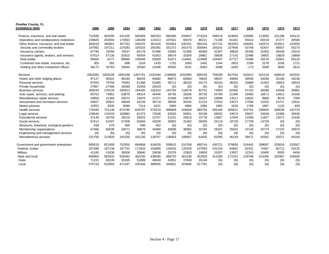| <b>Pinellas County, FL</b><br>EARNINGS (000) | 1986    | 1985    | 1984    | 1983    | 1982    | 1981   | 1980    | 1979   | 1978    | 1977    | 1976   | 1975   | 1974   | 1973   |
|----------------------------------------------|---------|---------|---------|---------|---------|--------|---------|--------|---------|---------|--------|--------|--------|--------|
|                                              |         |         |         |         |         |        |         |        |         |         |        |        |        |        |
| Finance, insurance, and real estate          | 712838  | 563295  | 631325  | 582909  | 585333  | 660465 | 633837  | 574324 | 498319  | 424604  | 239095 | 213093 | 201188 | 194115 |
| Depository and nondepository institutions    | 228820  | 202694  | 173563  | 146439  | 124313  | 107621 | 93076   | 80221  | 71188   | 61341   | 55014  | 50519  | 47277  | 40560  |
| Other finance, insurance, and real estate    | 484018  | 360601  | 457762  | 436470  | 461020  | 552844 | 540761  | 494103 | 427131  | 363263  | 184081 | 162574 | 153911 | 153555 |
| Security and commodity brokers               | 197082  | 197211  | 224283  | 193316  | 291091  | 331372 | 341473  | 300844 | 255241  | 227606  | 53746  | 62407  | 48507  | 50273  |
| Insurance carriers                           | 87795   | 78256   | 70537   | 64178   | 57486   | 53682  | 51485   | 46369  | 42307   | 39828   | 35356  | 32403  | 28438  | 23019  |
| Insurance agents, brokers, and services      | 67014   | 57130   | 52610   | 45934   | 41053   | 38574  | 33300   | 29861  | 26838   | 27142   | 22488  | 19902  | 18829  | 16808  |
| Real estate                                  | 95650   | $-6171$ | 88990   | 105948  | 55659   | 91871  | 114841  | 124990 | 104497  | 67727   | 70396  | 43576  | 52661  | 59120  |
| Combined real estate, insurance, etc.        | 305     | 392     | 698     | 1534    | 1435    | 1752   | 1693    | 1402   | 1344    | 2653    | 2268   | 2278   | 1636   | 1721   |
| Holding and other investment offices         | 36172   | 33783   | 20644   | 25560   | 14296   | 35593  | $-2031$ | -9363  | $-3096$ | $-1693$ | $-173$ | 2008   | 3840   | 2614   |
| Services                                     | 2002065 | 1833439 | 1692198 | 1497761 | 1332394 | 198806 | 1042983 | 895318 | 758289  | 647534  | 543012 | 501218 | 448019 | 402031 |
| Hotels and other lodging places              | 97127   | 90322   | 89183   | 88203   | 94682   | 88973  | 83683   | 76645  | 58037   | 49956   | 39939  | 34058  | 35190  | 34236  |
| Personal services                            | 87555   | 79756   | 70092   | 61368   | 53395   | 49712  | 48226   | 45174  | 40244   | 36202   | 33888  | 31354  | 29824  | 28543  |
| Private households                           | 27867   | 27466   | 28369   | 25459   | 26429   | (D)    | (D)     | (D)    | (D)     | (D)     | (D)    | (D)    | (D)    | (D)    |
| <b>Business services</b>                     | 308244  | 276134  | 245913  | 194405  | 156163  | 142794 | 118578  | 92751  | 74953   | 62492   | 47152  | 49288  | 42649  | 35881  |
| Auto repair, services, and parking           | 80752   | 74952   | 63870   | 49314   | 40446   | 36735  | 33285   | 30735  | 25780   | 21306   | 19483  | 16671  | 14912  | 14166  |
| Miscellaneous repair services                | 25855   | 21384   | 25072   | 23670   | 21371   | 22599  | 23879   | 18537  | 16698   | 13517   | 10632  | 9969   | 8576   | 7359   |
| Amusement and recreation services            | 54827   | 50922   | 49048   | 43139   | 39719   | 38630  | 34254   | 31224  | 27910   | 24072   | 17556  | 15202  | 15727  | 13541  |
| Motion pictures                              | 10352   | 9330    | 8089    | 7314    | 6321    | 5083   | 4866    | 3384   | 1983    | 1626    | 1769   | 1887   | 1125   | 928    |
| Health services                              | 776340  | 721136  | 674790  | 629797  | 570519  | 486809 | 416828  | 360754 | 305185  | 265821  | 222701 | 199405 | 168536 | 142733 |
| Legal services                               | 128540  | 115243  | 100882  | 81373   | 73536   | 63535  | 55901   | 50199  | 48592   | 43674   | 35647  | 34549  | 31080  | 26936  |
| <b>Educational services</b>                  | 37140   | 30759   | 28216   | 26025   | 22707   | 21231  | 19514   | 15778  | 13857   | 12344   | 11959  | 11827  | 13071  | 12436  |
| Social services                              | 67612   | 61597   | 57308   | 55094   | 42928   | 35952  | 31462   | 26059  | 24119   | 18729   | 17709  | 14729  | (N)    | (N)    |
| Museums, botanical, zoological gardens       | 638     | 576     | 565     | 586     | 402     | (D)    | (D)     | (D)    | (D)     | (D)     | (D)    | (D)    | (D)    | (D)    |
| Membership organizations                     | 67466   | 60036   | 58471   | 49878   | 44069   | 40838  | 36992   | 32784  | 29337   | 25632   | 22140  | 20774  | 27232  | 26970  |
| Engineering and management services          | (N)     | (N)     | (N)     | (N)     | (N)     | (N)    | (N)     | (N)    | (N)     | (N)     | (N)    | (N)    | (N)    | (N)    |
| Miscellaneous services                       | 231750  | 213826  | 192330  | 162136  | 139707  | 138403 | 106907  | 81835  | 62095   | 46159   | 39471  | 42561  | 42071  | 40164  |
| Government and government enterprises        | 895519  | 821908  | 752550  | 684908  | 616028  | 558610 | 510768  | 480744 | 430721  | 379930  | 324442 | 299097 | 253634 | 220507 |
| Federal, civilian                            | 207399  | 197138  | 187752  | 171833  | 150895  | 144532 | 126326  | 107955 | 101234  | 94842   | 82431  | 74367  | 60712  | 54125  |
| Military                                     | 41165   | 41838   | 38306   | 30840   | 29038   | 25376  | 22903   | 19859  | 15207   | 13557   | 12243  | 10465  | 9935   | 9456   |
| State and local                              | 646955  | 582932  | 526492  | 482235  | 436095  | 388702 | 361539  | 352930 | 314280  | 271531  | 229768 | 214265 | 182987 | 156926 |
| <b>State</b>                                 | 71231   | 60239   | 55195   | 51899   | 48040   | 42851  | 37849   | 35149  | (N)     | (N)     | (N)    | (N)    | (N)    | (N)    |
| Local                                        | 575724  | 522693  | 471297  | 430336  | 388055  | 345851 | 323690  | 317781 | (N)     | (N)     | (N)    | (N)    | (N)    | (N)    |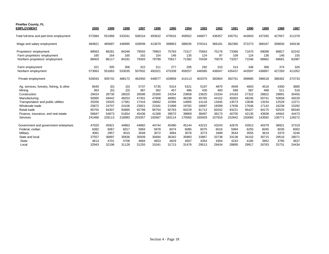| <b>Pinellas County, FL</b><br><b>EMPLOYMENT</b> | 2000   | 1999   | 1998   | 1997   | 1996   | 1995   | 1994   | 1993   | 1992   | 1991   | 1990   | 1989   | 1988   | 1987   |
|-------------------------------------------------|--------|--------|--------|--------|--------|--------|--------|--------|--------|--------|--------|--------|--------|--------|
| Total full-time and part-time employment        | 573384 | 551968 | 533341 | 508154 | 493632 | 475616 | 459552 | 446877 | 436357 | 435751 | 443943 | 437265 | 427657 | 411378 |
| Wage and salary employment                      | 484821 | 465687 | 448995 | 428599 | 413679 | 399853 | 388035 | 376314 | 366181 | 362385 | 372273 | 368167 | 358830 | 349136 |
| Proprietors' employment                         | 88563  | 86281  | 84346  | 79555  | 79953  | 75763  | 71517  | 70563  | 70176  | 73366  | 71670  | 69098  | 68827  | 62242  |
| Farm proprietors' employment                    | 160    | 164    | 165    | 162    | 154    | 146    | 135    | 124    | 97     | 109    | 124    | 136    | 146    | 155    |
| Nonfarm proprietors' employment                 | 88403  | 86117  | 84181  | 79393  | 79799  | 75617  | 71382  | 70439  | 70079  | 73257  | 71546  | 68962  | 68681  | 62087  |
| Farm employment                                 | 321    | 305    | 306    | 322    | 311    | 277    | 295    | 292    | 310    | 314    | 346    | 368    | 374    | 326    |
| Nonfarm employment                              | 573063 | 551663 | 533035 | 507832 | 493321 | 475339 | 459257 | 446585 | 436047 | 435437 | 443597 | 436897 | 427283 | 411052 |
| Private employment                              | 526043 | 505742 | 488172 | 462950 | 448577 | 429859 | 414113 | 403370 | 392804 | 392761 | 399685 | 396518 | 388362 | 373733 |
| Ag. services, forestry, fishing, & other        | 6045   | (D)    | (D)    | 5737   | 5735   | 5314   | 5321   | 5197   | 4870   | 4949   | 4603   | 4516   | 4300   | 3885   |
| Mining                                          | 363    | (D)    | (D)    | 387    | 362    | 457    | 486    | 430    | 483    | 589    | 587    | 468    | 511    | 516    |
| Construction                                    | 29424  | 28730  | 28025  | 26596  | 25300  | 24254  | 23858  | 23625  | 23334  | 24183  | 27322  | 28822  | 29891  | 30455  |
| Manufacturing                                   | 50065  | 49442  | 48253  | 47301  | 47608  | 46991  | 46338  | 45765  | 44152  | 45063  | 48246  | 50741  | 50658  | 49229  |
| Transportation and public utilities             | 20206  | 19325  | 17381  | 17416  | 16662  | 15394  | 14665  | 14118  | 13445  | 13573  | 13636  | 13234  | 12528  | 12271  |
| Wholesale trade                                 | 25872  | 24707  | 24106  | 23921  | 23181  | 21999  | 19782  | 18097  | 18399  | 17636  | 17646  | 17142  | 16236  | 15292  |
| Retail trade                                    | 95755  | 94307  | 93895  | 92799  | 95754  | 92763  | 93229  | 91712  | 92032  | 93221  | 95427  | 94175  | 92525  | 89340  |
| Finance, insurance, and real estate             | 56847  | 54873  | 51654  | 45436  | 41308  | 39573  | 39869  | 38497  | 38173  | 40705  | 42135  | 43838  | 44942  | 44473  |
| Services                                        | 241466 | 228113 | 218983 | 203357 | 192667 | 183114 | 170565 | 165929 | 157916 | 152842 | 150083 | 143582 | 136771 | 128272 |
| Government and government enterprises           | 47020  | 45921  | 44863  | 44882  | 44744  | 45480  | 45144  | 43215  | 43243  | 42676  | 43912  | 40379  | 38921  | 37319  |
| Federal, civilian                               | 6382   | 6067   | 6017   | 5894   | 5978   | 6074   | 6085   | 6075   | 6016   | 5994   | 6255   | 6045   | 6035   | 6002   |
| Military                                        | 3081   | 2957   | 3010   | 3049   | 3072   | 3064   | 3076   | 3273   | 3489   | 3544   | 3555   | 3619   | 3370   | 3246   |
| State and local                                 | 37557  | 36897  | 35836  | 35939  | 35694  | 36342  | 35983  | 33867  | 33738  | 33138  | 34102  | 30715  | 29516  | 28071  |
| <b>State</b>                                    | 4614   | 4701   | 4708   | 4684   | 4653   | 4629   | 4507   | 4354   | 4304   | 4243   | 4185   | 3952   | 3785   | 3637   |
| Local                                           | 32943  | 32196  | 31128  | 31255  | 31041  | 31713  | 31476  | 29513  | 29434  | 28895  | 29917  | 26763  | 25731  | 24434  |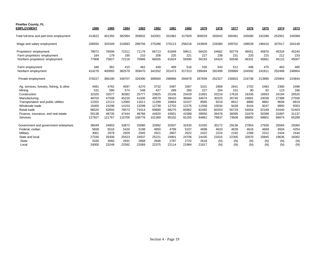| <b>Pinellas County, FL</b><br><b>EMPLOYMENT</b>                                                                                                                                                                  | 1986                                                                        | 1985                                                                        | 1984                                                                        | 1983                                                                        | 1982                                                                        | 1981                                                                       | 1980                                                                       | 1979                                                                      | 1978                                                                      | 1977                                                                     | 1976                                                                    | 1975                                                                    | 1974                                                                     | 1973                                                                     |
|------------------------------------------------------------------------------------------------------------------------------------------------------------------------------------------------------------------|-----------------------------------------------------------------------------|-----------------------------------------------------------------------------|-----------------------------------------------------------------------------|-----------------------------------------------------------------------------|-----------------------------------------------------------------------------|----------------------------------------------------------------------------|----------------------------------------------------------------------------|---------------------------------------------------------------------------|---------------------------------------------------------------------------|--------------------------------------------------------------------------|-------------------------------------------------------------------------|-------------------------------------------------------------------------|--------------------------------------------------------------------------|--------------------------------------------------------------------------|
|                                                                                                                                                                                                                  |                                                                             |                                                                             |                                                                             |                                                                             |                                                                             |                                                                            |                                                                            |                                                                           |                                                                           |                                                                          |                                                                         |                                                                         |                                                                          |                                                                          |
| Total full-time and part-time employment                                                                                                                                                                         | 414622                                                                      | 401355                                                                      | 382994                                                                      | 359932                                                                      | 342001                                                                      | 331962                                                                     | 317829                                                                     | 300029                                                                    | 283042                                                                    | 260481                                                                   | 245090                                                                  | 242286                                                                  | 252951                                                                   | 249389                                                                   |
| Wage and salary employment                                                                                                                                                                                       | 336550                                                                      | 325349                                                                      | 310683                                                                      | 288756                                                                      | 275288                                                                      | 270113                                                                     | 258218                                                                     | 243609                                                                    | 228380                                                                    | 209702                                                                   | 198539                                                                  | 196410                                                                  | 207617                                                                   | 204149                                                                   |
| Proprietors' employment<br>Farm proprietors' employment<br>Nonfarm proprietors' employment                                                                                                                       | 78072<br>164<br>77908                                                       | 76006<br>179<br>75827                                                       | 72311<br>195<br>72116                                                       | 71176<br>210<br>70966                                                       | 66713<br>208<br>66505                                                       | 61849<br>225<br>61624                                                      | 59611<br>221<br>59390                                                      | 56420<br>227<br>56193                                                     | 54662<br>238<br>54424                                                     | 50779<br>231<br>50548                                                    | 46551<br>220<br>46331                                                   | 45876<br>215<br>45661                                                   | 45334<br>212<br>45122                                                    | 45240<br>233<br>45007                                                    |
| Farm employment<br>Nonfarm employment                                                                                                                                                                            | 346<br>414276                                                               | 362<br>400993                                                               | 415<br>382579                                                               | 462<br>359470                                                               | 449<br>341552                                                               | 489<br>331473                                                              | 516<br>317313                                                              | 535<br>299494                                                             | 543<br>282499                                                             | 512<br>259969                                                            | 498<br>244592                                                           | 475<br>241811                                                           | 463<br>252488                                                            | 485<br>248904                                                            |
| Private employment                                                                                                                                                                                               | 378227                                                                      | 366190                                                                      | 348707                                                                      | 326390                                                                      | 308560                                                                      | 298966                                                                     | 284878                                                                     | 267939                                                                    | 252327                                                                    | 230833                                                                   | 216738                                                                  | 213985                                                                  | 225904                                                                   | 223844                                                                   |
| Ag. services, forestry, fishing, & other<br>Mining<br>Construction<br>Manufacturing<br>Transportation and public utilities<br>Wholesale trade<br>Retail trade<br>Finance, insurance, and real estate<br>Services | 4481<br>531<br>32325<br>48703<br>12202<br>15400<br>86520<br>50138<br>127927 | 4762<br>580<br>32577<br>47508<br>12113<br>15298<br>82850<br>48735<br>121767 | 4597<br>574<br>30382<br>45220<br>12060<br>14153<br>78572<br>47444<br>115705 | 4270<br>548<br>25777<br>41930<br>11611<br>13298<br>73414<br>46766<br>108776 | 3732<br>427<br>23825<br>40579<br>11289<br>12739<br>69680<br>44920<br>101369 | 3487<br>289<br>25106<br>39410<br>10664<br>12702<br>68275<br>43931<br>95102 | 3367<br>260<br>23429<br>36584<br>10157<br>12276<br>65962<br>41588<br>91255 | 3101<br>227<br>21891<br>34674<br>9585<br>11558<br>62492<br>39550<br>84861 | 2908<br>204<br>20219<br>30225<br>9219<br>10034<br>60203<br>39478<br>79837 | 2641<br>151<br>17618<br>26740<br>8812<br>9438<br>55729<br>36095<br>73609 | 2702<br>90<br>16336<br>24801<br>8880<br>9104<br>54054<br>31879<br>68892 | 2483<br>62<br>16933<br>24039<br>8862<br>9247<br>52169<br>30389<br>69801 | 2380<br>123<br>24194<br>27388<br>9658<br>9950<br>53440<br>31897<br>66874 | 2496<br>166<br>26525<br>27556<br>8919<br>9353<br>52403<br>31137<br>65289 |
| Government and government enterprises<br>Federal, civilian<br>Military<br>State and local<br><b>State</b><br>Local                                                                                               | 36049<br>5658<br>3061<br>27330<br>3330<br>24000                             | 34803<br>5516<br>2979<br>26308<br>3060<br>23248                             | 33872<br>5420<br>2929<br>25523<br>2931<br>22592                             | 33080<br>5198<br>2945<br>24937<br>2868<br>22069                             | 32992<br>4850<br>2921<br>25221<br>2846<br>22375                             | 32507<br>4799<br>2807<br>24901<br>2787<br>22114                            | 32435<br>5107<br>2622<br>24706<br>2722<br>21984                            | 31555<br>4698<br>2422<br>24435<br>2618<br>21817                           | 30172<br>4633<br>2224<br>23315<br>(N)<br>(N)                              | 29136<br>4639<br>2192<br>22305<br>(N)<br>(N)                             | 27854<br>4616<br>2268<br>20970<br>(N)<br>(N)                            | 27826<br>4669<br>2312<br>20845<br>(N)<br>(N)                            | 26584<br>4504<br>2444<br>19636<br>(N)<br>(N)                             | 25060<br>4254<br>2444<br>18362<br>(N)<br>(N)                             |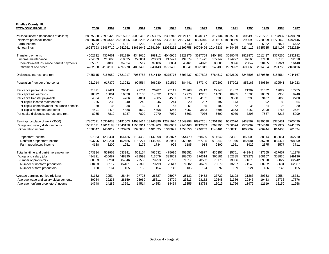| <b>Pinellas County, FL</b><br><b>ECONOMIC PROFILE</b> | 2000     | 1999     | 1998     | 1997     | 1996              | 1995              | 1994     | 1993                                         | 1992     | 1991     | 1990                       | 1989    | 1988     | 1987     |
|-------------------------------------------------------|----------|----------|----------|----------|-------------------|-------------------|----------|----------------------------------------------|----------|----------|----------------------------|---------|----------|----------|
| Personal income (thousands of dollars)                | 28875630 | 26990423 | 26515267 |          |                   |                   |          | 25060415 23553925 22386913 21021171 20540147 | 19317134 |          | 18575100 18306493 17727791 |         | 15784937 | 14798878 |
| Nonfarm personal income                               | 28868748 | 26984646 | 26510356 | 25055206 | 23549095          | 22383118 21017131 |          | 20536045                                     | 19311614 | 18568869 | 18299693 17720809          |         | 15778063 | 14792446 |
| Farm income                                           | 6882     | 5777     | 4911     | 5209     | 4830              | 3795              | 4040     | 4102                                         | 5520     | 6231     | 6800                       | 6982    | 6874     | 6432     |
| Net earnings                                          | 16937793 | 15467710 | 14642961 |          | 13661642 12841664 | 12064232 11299758 |          | 10704496                                     | 10148236 | 9464455  | 9234112                    | 8735735 | 8254107  | 7622529  |
| Transfer payments                                     | 4502722  | 4357661  | 4351289  | 4343016  | 4198112           | 4046905           | 3828176  | 3627759                                      | 3404381  | 3088045  | 2823875                    | 2612487 | 2377266  | 2232182  |
| Income maintenance                                    | 234633   | 218663   | 219395   | 220001   | 220563            | 217421            | 194674   | 181475                                       | 172142   | 124227   | 97165                      | 77458   | 66176    | 52618    |
| Unemployment insurance benefit payments               | 35581    | 34803    | 34624    | 35517    | 37106             | 38034             | 45461    | 74973                                        | 86806    | 53826    | 28047                      | 20405   | 19324    | 16448    |
| Retirement and other                                  | 4232508  | 4104195  | 4097270  | 4087498  | 3940443           | 3791450           | 3588041  | 3371311                                      | 3145433  | 2909992  | 2698663                    | 2514624 | 2291766  | 2163116  |
| Dividends, interest, and rent                         | 7435115  | 7165052  | 7521017  | 7055757  | 6514149           | 6275776           | 5893237  | 6207892                                      | 5764517  | 6022600  | 6248506                    | 6379569 | 5153564  | 4944167  |
| Population (number of persons)                        | 921914   | 917379   | 913032   | 904564   | 896030            | 891519            | 884441   | 877340                                       | 872202   | 867902   | 856166                     | 840880  | 829541   | 824223   |
| Per capita personal income                            | 31321    | 29421    | 29041    | 27704    | 26287             | 25111             | 23768    | 23412                                        | 22148    | 21402    | 21382                      | 21082   | 19029    | 17955    |
| Per capita net earnings                               | 18372    | 16861    | 16038    | 15103    | 14332             | 13532             | 12776    | 12201                                        | 11635    | 10905    | 10785                      | 10389   | 9950     | 9248     |
| Per capita transfer payments                          | 4884     | 4750     | 4766     | 4801     | 4685              | 4539              | 4328     | 4135                                         | 3903     | 3558     | 3298                       | 3107    | 2866     | 2708     |
| Per capita income maintenance                         | 255      | 238      | 240      | 243      | 246               | 244               | 220      | 207                                          | 197      | 143      | 113                        | 92      | 80       | 64       |
| Per capita unemployment insurance benefits            | 39       | 38       | 38       | 39       | 41                | 43                | 51       | 85                                           | 100      | 62       | 33                         | 24      | 23       | 20       |
| Per capita retirement and other                       | 4591     | 4474     | 4488     | 4519     | 4398              | 4253              | 4057     | 3843                                         | 3606     | 3353     | 3152                       | 2990    | 2763     | 2624     |
| Per capita dividends, interest, and rent              | 8065     | 7810     | 8237     | 7800     | 7270              | 7039              | 6663     | 7076                                         | 6609     | 6939     | 7298                       | 7587    | 6213     | 5999     |
| Earnings by place of work (\$000)                     | 17867611 | 16301638 | 15191603 | 14088414 | 13143896          | 12321970          | 11549298 | 10927251                                     | 10351393 | 9672676  | 9439567                    | 8899698 | 8375431  | 7705429  |
| Wage and salary disbursements                         | 15021631 | 13614188 | 12643178 | 11558911 | 10594903          | 9880002           | 9240463  | 8712359                                      | 8293290  | 7750074  | 7573062                    | 7154640 | 6722977  | 6241025  |
| Other labor income                                    | 1538047  | 1454019  | 1393989  | 1375050  | 1401895           | 1348091           | 1354356  | 1246253                                      | 1143461  | 1058711  | 1008002                    | 906744  | 814403   | 761694   |
| Proprietors' income                                   | 1307933  | 1233431  | 1154436  | 1154453  | 1147098           | 1093877           | 954479   | 968639                                       | 914642   | 863891   | 858503                     | 838314  | 838051   | 702710   |
| Nonfarm proprietors' income                           | 1303795  | 1230231  | 1152485  | 1152277  | 1145364           | 1092951           | 953294   | 967725                                       | 912342   | 861940   | 856581                     | 835739  | 834474   | 698999   |
| Farm proprietors' income                              | 4138     | 3200     | 1951     | 2176     | 1734              | 926               | 1185     | 914                                          | 2300     | 1951     | 1922                       | 2575    | 3577     | 3711     |
| Total full-time and part-time employment              | 573384   | 551968   | 533341   | 508154   | 493632            | 475616            | 459552   | 446877                                       | 436357   | 435751   | 443943                     | 437265  | 427657   | 411378   |
| Wage and salary jobs                                  | 484821   | 465687   | 448995   | 428599   | 413679            | 399853            | 388035   | 376314                                       | 366181   | 362385   | 372273                     | 368167  | 358830   | 349136   |
| Number of proprietors                                 | 88563    | 86281    | 84346    | 79555    | 79953             | 75763             | 71517    | 70563                                        | 70176    | 73366    | 71670                      | 69098   | 68827    | 62242    |
| Number of nonfarm proprietors                         | 88403    | 86117    | 84181    | 79393    | 79799             | 75617             | 71382    | 70439                                        | 70079    | 73257    | 71546                      | 68962   | 68681    | 62087    |
| Number of farm proprietors                            | 160      | 164      | 165      | 162      | 154               | 146               | 135      | 124                                          | 97       | 109      | 124                        | 136     | 146      | 155      |
| Average earnings per job (dollars)                    | 31162    | 29534    | 28484    | 27725    | 26627             | 25907             | 25132    | 24452                                        | 23722    | 22198    | 21263                      | 20353   | 19584    | 18731    |
| Average wage and salary disbursements                 | 30984    | 29235    | 28159    | 26969    | 25611             | 24709             | 23813    | 23152                                        | 22648    | 21386    | 20343                      | 19433   | 18736    | 17876    |
| Average nonfarm proprietors' income                   | 14748    | 14286    | 13691    | 14514    | 14353             | 14454             | 13355    | 13738                                        | 13019    | 11766    | 11972                      | 12119   | 12150    | 11258    |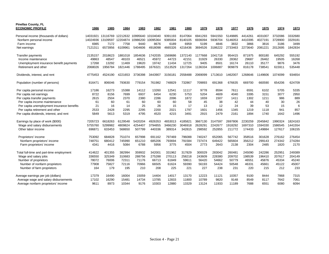| <b>Pinellas County, FL</b><br><b>ECONOMIC PROFILE</b> | 1986     | 1985     | 1984     | 1983     | 1982     | 1981    | 1980    | 1979    | 1978    | 1977    | 1976    | 1975    | 1974    | 1973    |
|-------------------------------------------------------|----------|----------|----------|----------|----------|---------|---------|---------|---------|---------|---------|---------|---------|---------|
| Personal income (thousands of dollars)                | 14031921 | 13116769 | 12212632 | 10995640 | 10104040 | 9391193 | 8147064 | 6941293 | 5941550 | 5149885 | 4414261 | 4031007 | 3732086 | 3332680 |
| Nonfarm personal income                               | 14024936 | 13109597 | 12204874 | 10986200 | 10095364 | 9385004 | 8140105 | 6936094 | 5936704 | 5146053 | 4410395 | 4027191 | 3728900 | 3329181 |
| Farm income                                           | 6985     | 7172     | 7758     | 9440     | 8676     | 6189    | 6959    | 5199    | 4846    | 3832    | 3866    | 3816    | 3186    | 3499    |
| Net earnings                                          | 7121311  | 6573956  | 6109961  | 5404606  | 4918098  | 4665326 | 4216436 | 3694526 | 3186222 | 2733463 | 2273640 | 2081221 | 2012695 | 1842834 |
| Transfer payments                                     | 2135157  | 2018623  | 1881018  | 1854636  | 1742035  | 1569686 | 1372140 | 1177668 | 1041718 | 954415  | 871975  | 800180  | 645292  | 555192  |
| Income maintenance                                    | 49863    | 48547    | 48103    | 46521    | 45972    | 44723   | 42151   | 31929   | 26330   | 28362   | 29687   | 26462   | 19505   | 16268   |
| Unemployment insurance benefit payments               | 17268    | 13292    | 11469    | 19620    | 19742    | 11434   | 12725   | 9405    | 8501    | 16174   | 26110   | 35177   | 9876    | 3476    |
| Retirement and other                                  | 2068026  | 1956784  | 1821446  | 1788495  | 1676321  | 1513529 | 1317264 | 1136334 | 1006887 | 909879  | 816178  | 738541  | 615911  | 535448  |
| Dividends, interest, and rent                         | 4775453  | 4524190  | 4221653  | 3736398  | 3443907  | 315618  | 2558488 | 2069099 | 1713610 | 1462007 | 1268646 | 1149606 | 1074099 | 934654  |
| Population (number of persons)                        | 816471   | 806046   | 793630   | 779154   | 761982   | 748829  | 732867  | 709893  | 691368  | 676635  | 669700  | 660590  | 654206  | 624709  |
| Per capita personal income                            | 17186    | 16273    | 15388    | 14112    | 13260    | 12541   | 11117   | 9778    | 8594    | 7611    | 6591    | 6102    | 5705    | 5335    |
| Per capita net earnings                               | 8722     | 8156     | 7699     | 6937     | 6454     | 6230    | 5753    | 5204    | 4609    | 4040    | 3395    | 3151    | 3077    | 2950    |
| Per capita transfer payments                          | 2615     | 2504     | 2370     | 2380     | 2286     | 2096    | 1872    | 1659    | 1507    | 1411    | 1302    | 1211    | 986     | 889     |
| Per capita income maintenance                         | 61       | 60       | 61       | 60       | 60       | 60      | 58      | 45      | 38      | 42      | 44      | 40      | 30      | 26      |
| Per capita unemployment insurance benefits            | 21       | 16       | 14       | 25       | 26       | 15      | 17      | 13      | 12      | 24      | 39      | 53      | 15      | 6       |
| Per capita retirement and other                       | 2533     | 2428     | 2295     | 2295     | 2200     | 2021    | 1797    | 1601    | 1456    | 1345    | 1219    | 1118    | 941     | 857     |
| Per capita dividends, interest, and rent              | 5849     | 5613     | 5319     | 4795     | 4520     | 4215    | 3491    | 2915    | 2479    | 2161    | 1894    | 1740    | 1642    | 1496    |
| Earnings by place of work (\$000)                     | 7205723  | 6618263  | 6129548  | 5420204  | 4926353  | 4653013 | 4185821 | 3667130 | 3147597 | 2697806 | 2230259 | 2045842 | 1990324 | 1824163 |
| Wage and salary disbursements                         | 5755760  | 5299982  | 4809824  | 4254407  | 3794855  | 3466230 | 3046918 | 2628291 | 2242677 | 1918292 | 1697310 | 1594330 | 1586545 | 1441554 |
| Other labor income                                    | 696871   | 633453   | 568650   | 507799   | 440336   | 389314  | 342815  | 298592  | 252855  | 211772  | 174433  | 149884  | 127617  | 106155  |
| Proprietors' income                                   | 753092   | 684828   | 751074   | 657998   | 691162   | 797469  | 796088  | 740247  | 652065  | 567742  | 358516  | 301628  | 276162  | 276454  |
| Nonfarm proprietors' income                           | 748751   | 680412   | 745990   | 651210   | 685206   | 793694  | 791584  | 737474  | 649422  | 565604  | 356212  | 299143  | 274342  | 274284  |
| Farm proprietors' income                              | 4341     | 4416     | 5084     | 6788     | 5956     | 3775    | 4504    | 2773    | 2643    | 2138    | 2304    | 2485    | 1820    | 2170    |
| Total full-time and part-time employment              | 414622   | 401355   | 382994   | 359932   | 342001   | 331962  | 317829  | 300029  | 283042  | 260481  | 245090  | 242286  | 252951  | 249389  |
| Wage and salary jobs                                  | 336550   | 325349   | 310683   | 288756   | 275288   | 270113  | 258218  | 243609  | 228380  | 209702  | 198539  | 196410  | 207617  | 204149  |
| Number of proprietors                                 | 78072    | 76006    | 72311    | 71176    | 66713    | 61849   | 59611   | 56420   | 54662   | 50779   | 46551   | 45876   | 45334   | 45240   |
| Number of nonfarm proprietors                         | 77908    | 75827    | 72116    | 70966    | 66505    | 61624   | 59390   | 56193   | 54424   | 50548   | 46331   | 45661   | 45122   | 45007   |
| Number of farm proprietors                            | 164      | 179      | 195      | 210      | 208      | 225     | 221     | 227     | 238     | 231     | 220     | 215     | 212     | 233     |
| Average earnings per job (dollars)                    | 17379    | 16490    | 16004    | 15059    | 14404    | 14017   | 13170   | 12223   | 11121   | 10357   | 9100    | 8444    | 7868    | 7315    |
| Average wage and salary disbursements                 | 17102    | 16290    | 15481    | 14734    | 13785    | 12833   | 11800   | 10789   | 9820    | 9148    | 8549    | 8117    | 7642    | 7061    |
| Average nonfarm proprietors' income                   | 9611     | 8973     | 10344    | 9176     | 10303    | 12880   | 13329   | 13124   | 11933   | 11189   | 7688    | 6551    | 6080    | 6094    |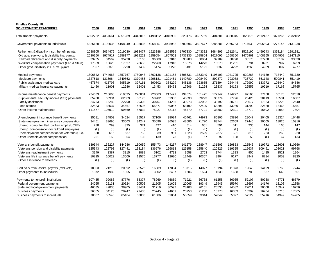| <b>Pinellas County, FL</b><br><b>GOVERNMENT TRANSFERS</b>                                               | 2000           | 1999           | 1998           | 1997           | 1996           | 1995           | 1994           | 1993           | 1992           | 1991           | 1990           | 1989           | 1988           | 1987           |
|---------------------------------------------------------------------------------------------------------|----------------|----------------|----------------|----------------|----------------|----------------|----------------|----------------|----------------|----------------|----------------|----------------|----------------|----------------|
| Total transfer payments                                                                                 | 4502722        | 4357661        | 4351289        | 4343016        | 4198112        | 4046905        | 3828176        | 3627759        | 3404381        | 3088045        | 2823875        | 2612487        | 2377266        | 2232182        |
| Government payments to individuals                                                                      | 4325180        | 4192035        | 4198049        | 4193836        | 4058057        | 3908982        | 3700596        | 3507677        | 3285281        | 2975783        | 2714639        | 2505803        | 2276146        | 2131238        |
| Retirement & disability insur. benefit pymts.                                                           | 2088805        | 2034479        | 2019030        | 1983477        | 1923388        | 1868536        | 1797330        | 1743332        | 1684895        | 1612641        | 1528190        | 1459243        | 1353184        | 1291381        |
| Old age, survivors, & disability ins. pymts.                                                            | 2030160        | 1974917        | 1958177        | 1919222        | 1859054        | 1807502        | 1737335        | 1685804        | 1627096        | 1558350        | 1476961        | 1408165        | 1304908        | 1247115        |
| Railroad retirement and disability payments                                                             | 33765          | 34569          | 35728          | 36168          | 36600          | 37818          | 38288          | 38064          | 39189          | 38798          | 38170          | 37238          | 36182          | 33030          |
| Worker's compensation payments (Fed & State)                                                            | 17553          | 16623          | 17327          | 20655          | 22260          | 17940          | 16576          | 14273          | 13573          | 11201          | 8794           | 8931           | 6997           | 6959           |
| Other govt. disability ins. & ret. pymts.                                                               | 7327           | 8370           | 7798           | 7432           | 5474           | 5276           | 5131           | 5191           | 5037           | 4292           | 4265           | 4909           | 5097           | 4277           |
| Medical payments                                                                                        | 1806642        | 1744663        | 1757767        | 1780048        | 1702136        | 1621153        | 1506531        | 353349         | 1195103        | 1041725        | 922268         | 814139         | 713449         | 651730         |
| Medicare payments                                                                                       | 1327518        | 1316964        | 1349862        | 1370486        | 1298181        | 1221461        | 1140789        | 008470         | 899372         | 793088         | 726722         | 661148         | 590841         | 551419         |
| Public assistance medical care                                                                          | 467674         | 415798         | 395619         | 397161         | 390502         | 384229         | 348136         | 323655         | 271894         | 224444         | 172990         | 133772         | 105440         | 84546          |
| Military medical insurance payments                                                                     | 11450          | 11901          | 12286          | 12401          | 13453          | 15463          | 17606          | 21224          | 23837          | 24193          | 22556          | 19219          | 17168          | 15765          |
|                                                                                                         | 234633         | 218663         | 219395         | 220001         | 220563         | 217421         | 194674         | 181475         | 172142         | 124227         | 97165          | 77458          | 66176          | 52618          |
| Income maintenance benefit payments<br>Supplemental security income (SSI) payments<br>Family assistance | 65780<br>24753 | 63934<br>15282 | 62069<br>22790 | 60170<br>29303 | 58902<br>30757 | 51986<br>44236 | 45030<br>39973 | 39293<br>42032 | 35774<br>39192 | 27796<br>30751 | 23426<br>23677 | 20413<br>17823 | 18531<br>16223 | 16687<br>12640 |
| Food stamps                                                                                             | 32523          | 33537          | 34667          | 42696          | 55877          | 59087          | 63192          | 62429          | 63296          | 43289          | 31290          | 22620          | 18468          | 15487          |
| Other income maintenance                                                                                | 111577         | 105910         | 99869          | 87832          | 75027          | 62112          | 46479          | 37721          | 33880          | 22391          | 18772          | 16602          | 12954          | 7804           |
| Unemployment insurance benefit payments                                                                 | 35581          | 34803          | 34624          | 35517          | 37106          | 38034          | 45461          | 74973          | 86806          | 53826          | 28047          | 20405          | 19324          | 16448          |
| State unemployment insurance compensation                                                               | 34461          | 33690          | 33603          | 34247          | 35696          | 36595          | 43686          | 71720          | 83744          | 52659          | 27440          | 20005          | 18825          | 15916          |
| Unemp. comp. for Fed. civilian empl. (UCFE)                                                             | 288            | 299            | 325            | 371            | 427            | 410            | 514            | 661            | 591            | 511            | 235            | 144            | 166            | 147            |
| Unemp. compensation for railroad employees                                                              | (L)            | (L)            | (L)            | (L)            | (L)            | (L)            | (L)            | (L)            | (L)            | (L)            | (L)            | (L)            | (L)            | (L)            |
| Unemployment compensation for veterans (UCX)                                                            | 558            | 616            | 637            | 753            | 839            | 951            | 1228           | 2529           | 2372           | 521            | 316            | 223            | 260            | 220            |
| Other unemployment compensation                                                                         | 251            | 159            | 54             | 133            | 139            | 73             | (L)            | 57             | 92             | 128            | 50             | (L)            | 67             | 133            |
| Veterans benefit payments                                                                               | 139344         | 136227         | 144286         | 150659         | 155473         | 144257         | 141279         | 138947         | 131503         | 129853         | 125546         | 119772         | 113601         | 110666         |
| Veterans pension and disability payments                                                                | 125343         | 122793         | 127441         | 133184         | 136576         | 126813         | 125158         | 125840         | 120826         | 119325         | 115637         | 109491         | 103021         | 99768          |
| Veterans readjustment payments                                                                          | 3149           | 3387           | 3315           | 3888           | 5102           | 4793           | 3658           | 2703           | 1744           | 1323           | 950            | 1485           | 1521           | 1964           |
| Veterans life insurance benefit payments                                                                | 10825          | 10022          | 13509          | 13570          | 13777          | 12620          | 12449          | 10357          | 8904           | 9177           | 8947           | 8784           | 9053           | 8925           |
| Other assistance to veterans                                                                            | (L)            | (L)            | (L)            | (L)            | (L)            | (L)            | (L)            | (L)            | (L)            | (L)            | (L)            | (L)            | (L)            | (L)            |
| Fed ed.& train. assist. paymts. (excl. vets)                                                            | 18303          | 21218          | 20992          | 22526          | 16089          | 17094          | 13715          | 14077          | 13194          | 11873          | 12640          | 14199          | 9769           | 7744           |
| Other payments to individuals                                                                           | 1872           | 1982           | 1955           | 1608           | 3302           | 2487           | 1606           | 1524           | 1638           | 1638           | 783            | 587            | 643            | 651            |
| Payments to nonprofit institutions                                                                      | 107455         | 99086          | 87776          | 85377          | 78969          | 76859          | 71921          | 66738          | 61258          | 56935          | 52107          | 50968          | 46771          | 46679          |
| Federal government payments                                                                             | 24065          | 22131          | 20624          | 20508          | 21505          | 21605          | 20065          | 19349          | 16945          | 15970          | 13697          | 14176          | 13108          | 12858          |
| State and local government payments                                                                     | 46535          | 42830          | 38905          | 37431          | 31719          | 30593          | 28103          | 26151          | 25535          | 24582          | 22011          | 20008          | 16947          | 16756          |
| <b>Business payments</b>                                                                                | 36855          | 34125          | 28247          | 27438          | 25745          | 24661          | 23753          | 21238          | 18778          | 16383          | 16399          | 16784          | 16716          | 17065          |
| Business payments to individuals                                                                        | 70087          | 66540          | 65464          | 63803          | 61086          | 61064          | 55659          | 53344          | 57842          | 55327          | 57129          | 55716          | 54349          | 54265          |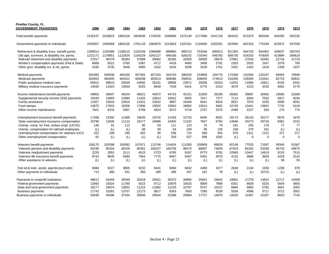| <b>Pinellas County, FL</b><br><b>GOVERNMENT TRANSFERS</b>                                   | 1986             | 1985             | 1984             | 1983               | 1982             | 1981             | 1980             | 1979             | 1978             | 1977             | 1976             | 1975             | 1974            | 1973             |
|---------------------------------------------------------------------------------------------|------------------|------------------|------------------|--------------------|------------------|------------------|------------------|------------------|------------------|------------------|------------------|------------------|-----------------|------------------|
| Total transfer payments                                                                     | 2135157          | 2018623          | 1881018          | 1854636            | 1742035          | 1569686          | 1372140          | 1177668          | 1041718          | 954415           | 871975           | 800180           | 645292          | 555192           |
| Government payments to individuals                                                          | 2033507          | 1930568          | 1804135          | 1791118            | 1683070          | 1513916          | 1322161          | 1134000          | 1002201          | 922994           | 842310           | 775169           | 623972          | 537039           |
| Retirement & disability insur. benefit pymts.                                               | 1269014          | 1225486          | 1168215          | 1150169<br>1104229 | 1086688          | 988983<br>946166 | 868710<br>828142 | 753348<br>716340 | 680013<br>646783 | 621355<br>589730 | 564720<br>534203 | 504462<br>476004 | 439037          | 393763<br>369819 |
| Old age, survivors, & disability ins. pymts.<br>Railroad retirement and disability payments | 1221171<br>37017 | 1178851<br>36379 | 1122626<br>36383 | 37068              | 1042127<br>36682 | 35165            | 33300            | 30500            | 28678            | 27861            | 27033            | 25492            | 413884<br>22716 | 21723            |
| Worker's compensation payments (Fed & State)                                                | 6666             | 6521             | 5760             | 5387               | 4717             | 4418             | 4060             | 3408             | 2791             | 2263             | 2032             | 1547             | 1078            | 784              |
| Other govt. disability ins. & ret. pymts.                                                   | 4160             | 3735             | 3446             | 3485               | 3162             | 3234             | 3208             | 3100             | 1761             | 1501             | 1452             | 1419             | 1359            | 1437             |
|                                                                                             |                  |                  |                  |                    |                  |                  |                  |                  |                  |                  |                  |                  |                 |                  |
| Medical payments                                                                            | 581995           | 530938           | 465430           | 457355             | 407193           | 344720           | 280343           | 233858           | 194776           | 172266           | 142094           | 125197           | 94954           | 70948            |
| Medicare payments                                                                           | 502053           | 460405           | 404312           | 404038             | 363513           | 308486           | 250031           | 208045           | 174613           | 154335           | 126005           | 110341           | 82723           | 60831            |
| Public assistance medical care                                                              | 65912            | 58610            | 50559            | 44092              | 35231            | 28808            | 23871            | 20038            | 15010            | 13252            | 11866            | 10621            | 8150            | 6341             |
| Military medical insurance payments                                                         | 14030            | 11923            | 10559            | 9225               | 8449             | 7426             | 6441             | 5775             | 5153             | 4679             | 4223             | 4235             | 4081            | 3776             |
| Income maintenance benefit payments                                                         | 49863            | 48547            | 48103            | 46521              | 45972            | 44723            | 42151            | 31929            | 26330            | 28362            | 29687            | 26462            | 19505           | 16268            |
| Supplemental security income (SSI) payments                                                 | 15440            | 13855            | 12980            | 11425              | 10814            | 10022            | 8925             | 7917             | 7377             | 7113             | 6944             | 7032             | 5917            | 4034             |
| Family assistance                                                                           | 11927            | 10618            | 10910            | 11551              | 10032            | 9687             | 10448            | 8441             | 6916             | 8021             | 7075             | 5195             | 5580            | 6041             |
| Food stamps                                                                                 | 14675            | 17842            | 18306            | 17836              | 19502            | 19942            | 18062            | 12814            | 9462             | 10740            | 13441            | 13842            | 7732            | 5418             |
| Other income maintenance                                                                    | 7821             | 6232             | 5907             | 5709               | 5624             | 5072             | 4716             | 2757             | 2575             | 2488             | 2227             | 393              | 276             | 775              |
| Unemployment insurance benefit payments                                                     | 17268            | 13292            | 11469            | 19620              | 19742            | 11434            | 12725            | 9405             | 8501             | 16174            | 26110            | 35177            | 9876            | 3476             |
| State unemployment insurance compensation                                                   | 16790            | 12946            | 11110            | 19177              | 19486            | 10402            | 11242            | 7947             | 6782             | 14846            | 24273            | 33716            | 9381            | 3152             |
| Unemp. comp. for Fed. civilian empl. (UCFE)                                                 | 146              | 91               | 112              | 90                 | 63               | 111              | 123              | 75               | 78               | 191              | 256              | 179              | 77              | 77               |
| Unemp. compensation for railroad employees                                                  | (L)              | (L)              | (L)              | 68                 | 59               | 54               | 109              | 95               | 135              | 158              | 270              | 161              | (L)             | (L)              |
| Unemployment compensation for veterans (UCX)                                                | 222              | 188              | 195              | 262                | 95               | 538              | 724              | 589              | 504              | 976              | 1311             | 1121             | 371             | 217              |
| Other unemployment compensation                                                             | 81               | (L)              | (L)              | (L)                | (L)              | 329              | 527              | 699              | 1002             | (L)              | $\mathbf 0$      | $\mathbf 0$      | $\Omega$        | $\Omega$         |
| Veterans benefit payments                                                                   | 106170           | 102598           | 100582           | 107871             | 113746           | 114424           | 111093           | 100809           | 89026            | 82149            | 77525            | 71597            | 59340           | 51587            |
| Veterans pension and disability payments                                                    | 94195            | 90104            | 89105            | 95391              | 100227           | 100758           | 96474            | 86607            | 74659            | 67424            | 60182            | 53338            | 46733           | 40875            |
| Veterans readjustment payments                                                              | 2226             | 2852             | 3111             | 4515               | 5723             | 6795             | 8187             | 8773             | 9761             | 10560            | 13447            | 14619            | 9120            | 7515             |
| Veterans life insurance benefit payments                                                    | 9742             | 9635             | 8360             | 7944               | 7775             | 6847             | 6407             | 5401             | 4575             | 4125             | 3866             | 3609             | 3429            | 3142             |
| Other assistance to veterans                                                                | (L)              | (L)              | (L)              | (L)                | (L)              | (L)              | (L)              | (L)              | (L)              | (L)              | (L)              | (L)              | 58              | 55               |
| Fed ed.& train. assist. paymts.(excl.vets)                                                  | 8484             | 9227             | 9805             | 9232               | 9441             | 9366             | 6842             | 4490             | 3477             | 2648             | 2134             | 1559             | 1238            | 978              |
| Other payments to individuals                                                               | 713              | 480              | 531              | 350                | 288              | 266              | 297              | 161              | 78               | (L)              | (L)              | 10715            | (L)             | (L)              |
|                                                                                             |                  |                  |                  |                    |                  |                  |                  |                  |                  |                  |                  |                  |                 |                  |
| Payments to nonprofit institutions                                                          | 48612            | 42459            | 39349            | 32619              | 29421            | 30372            | 28985            | 25941            | 24642            | 18801            | 17278            | 14824            | 12717           | 10408            |
| Federal government payments                                                                 | 12693            | 10524            | 11760            | 9223               | 8712             | 10876            | 10525            | 8909             | 7866             | 6351             | 6829             | 5325             | 5504            | 4855             |
| State and local government payments                                                         | 18177            | 16674            | 13832            | 11223              | 11082            | 11233            | 10797            | 9747             | 10237            | 6894             | 5863             | 5782             | 3501            | 2052             |
| <b>Business payments</b>                                                                    | 17742            | 15261            | 13757            | 12173              | 9627             | 8263             | 7663             | 7285             | 6539             | 5556             | 4586             | 3717             | 3712            | 3501             |
| Business payments to individuals                                                            | 53038            | 45596            | 37534            | 30899              | 29544            | 25398            | 20994            | 17727            | 14875            | 12620            | 12387            | 10187            | 8603            | 7745             |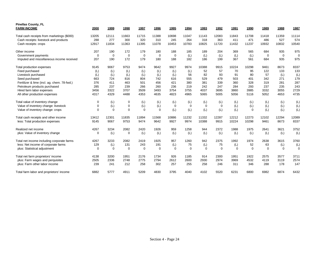| <b>Pinellas County, FL</b><br><b>FARM INCOME</b> | 2000        | 1999        | 1998        | 1997        | 1996        | 1995        | 1994     | 1993     | 1992     | 1991     | 1990     | 1989        | 1988        | 1987        |
|--------------------------------------------------|-------------|-------------|-------------|-------------|-------------|-------------|----------|----------|----------|----------|----------|-------------|-------------|-------------|
| Total cash receipts from marketings (\$000)      | 13205       | 12111       | 11663       | 11715       | 11388       | 10698       | 11047    | 11143    | 12083    | 11843    | 11708    | 11418       | 11359       | 11114       |
| Cash receipts: livestock and products            | 288         | 277         | 300         | 320         | 310         | 245         | 264      | 318      | 363      | 411      | 471      | 486         | 527         | 574         |
| Cash receipts: crops                             | 12917       | 11834       | 11363       | 11395       | 11078       | 10453       | 10783    | 10825    | 11720    | 11432    | 11237    | 10932       | 10832       | 10540       |
| Other income                                     | 207         | 190         | 172         | 179         | 180         | 188         | 185      | 189      | 204      | 369      | 565      | 684         | 935         | 975         |
| Government payments                              | $\mathbf 0$ | $\mathbf 0$ | $\mathbf 0$ | $\mathbf 0$ | $\mathbf 0$ | $\mathbf 0$ | (L)      | (L)      | (L)      | (L)      | (L)      | $\mathbf 0$ | $\mathbf 0$ | $\mathbf 0$ |
| Imputed and miscellaneous income received        | 207         | 190         | 172         | 179         | 180         | 188         | 182      | 186      | 199      | 367      | 561      | 684         | 935         | 975         |
| Total production expenses                        | 9145        | 9067        | 9753        | 9474        | 9642        | 9927        | 9974     | 10388    | 9915     | 10224    | 10298    | 9461        | 8673        | 8337        |
| Feed purchased                                   | (L)         | (L)         | (L)         | (L)         | (L)         | (L)         | (L)      | 52       | 57       | 70       | 95       | 122         | 133         | 133         |
| Livestock purchased                              | (L)         | (L)         | (L)         | (L)         | (L)         | (L)         | 56       | 82       | 93       | 91       | 80       | 57          | (L)         | (L)         |
| Seed purchased                                   | 663         | 724         | 816         | 804         | 742         | 616         | 555      | 529      | 479      | 503      | 401      | 342         | 271         | 179         |
| Fertilizer & lime (incl. ag. chem. 78-fwd.)      | 376         | 411         | 463         | 501         | 456         | 421         | 380      | 381      | 339      | 360      | 328      | 319         | 281         | 287         |
| Petroleum products purchased                     | 285         | 237         | 239         | 266         | 260         | 236         | 219      | 242      | 247      | 284      | 293      | 237         | 235         | 243         |
| Hired farm labor expenses                        | 3456        | 3322        | 3707        | 3509        | 3493        | 3754        | 3755     | 4037     | 3695     | 3860     | 3985     | 3332        | 3055        | 2729        |
| All other production expenses                    | 4317        | 4329        | 4488        | 4353        | 4635        | 4823        | 4965     | 5065     | 5005     | 5056     | 5116     | 5052        | 4653        | 4735        |
| Total value of inventory change                  | $\Omega$    | (L)         | 0           | (L)         | (L)         | (L)         | (L)      | (L)      | (L)      | (L)      | (L)      | (L)         | (L)         | (L)         |
| Value of inventory change: livestock             | $\Omega$    | (L)         | $\mathbf 0$ | (L)         | (L)         | 0           | $\Omega$ | 0        | 0        | (L)      | (L)      | (L)         | (L)         | (L)         |
| Value of inventory change: crops                 | $\Omega$    | $\Omega$    | $\Omega$    | $\Omega$    | $\Omega$    | (L)         | (L)      | (L)      | (L)      | (L)      | $\Omega$ | (L)         | (L)         | (L)         |
| Total cash receipts and other income             | 13412       | 12301       | 11835       | 11894       | 11568       | 10886       | 11232    | 11332    | 12287    | 12212    | 12273    | 12102       | 12294       | 12089       |
| less: Total production expenses                  | 9145        | 9067        | 9753        | 9474        | 9642        | 9927        | 9974     | 10388    | 9915     | 10224    | 10298    | 9461        | 8673        | 8337        |
| Realized net income                              | 4267        | 3234        | 2082        | 2420        | 1926        | 959         | 1258     | 944      | 2372     | 1988     | 1975     | 2641        | 3621        | 3752        |
| plus: Value of inventory change                  | $\Omega$    | (L)         | $\mathbf 0$ | (L)         | (L)         | (L)         | (L)      | (L)      | (L)      | (L)      | (L)      | (L)         | (L)         | (L)         |
| Total net income including corporate farms       | 4267        | 3233        | 2082        | 2419        | 1925        | 957         | 1260     | 942      | 2375     | 1992     | 1974     | 2638        | 3615        | 3760        |
| less: Net income of corporate farms              | 129         | (L)         | 131         | 243         | 191         | (L)         | 75       | (L)      | 75       | (L)      | 52       | 63          | (L)         | (L)         |
| plus: Statistical adjustment                     | $\Omega$    | $\Omega$    | $\Omega$    | $\Omega$    | $\Omega$    | $\Omega$    | $\Omega$ | $\Omega$ | $\Omega$ | $\Omega$ | $\Omega$ | $\Omega$    | $\Omega$    | $\Omega$    |
| Total net farm proprietors' income               | 4138        | 3200        | 1951        | 2176        | 1734        | 926         | 1185     | 914      | 2300     | 1951     | 1922     | 2575        | 3577        | 3711        |
| plus: Farm wages and perquisites                 | 2505        | 2336        | 2748        | 2775        | 2794        | 2612        | 2600     | 2930     | 2974     | 3969     | 4532     | 4119        | 3119        | 2574        |
| plus: Farm other labor income                    | 239         | 241         | 212         | 258         | 302         | 257         | 255      | 258      | 246      | 311      | 346      | 288         | 178         | 147         |
| Total farm labor and proprietors' income         | 6882        | 5777        | 4911        | 5209        | 4830        | 3795        | 4040     | 4102     | 5520     | 6231     | 6800     | 6982        | 6874        | 6432        |